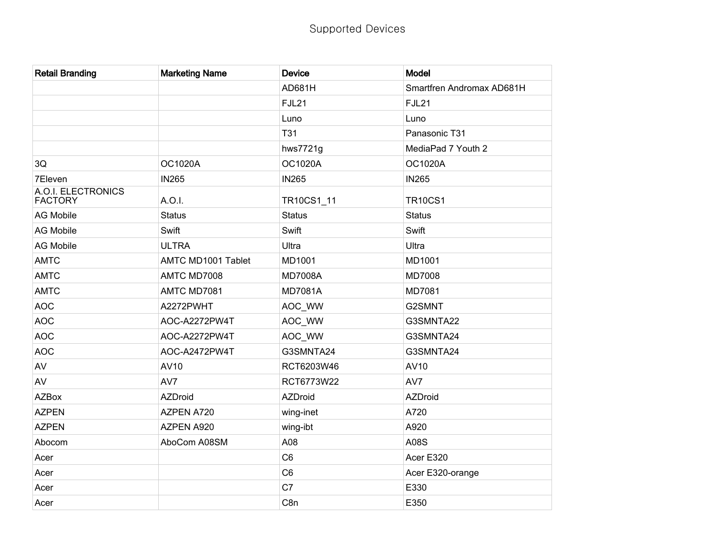| <b>Retail Branding</b>               | <b>Marketing Name</b> | <b>Device</b>   | Model                     |
|--------------------------------------|-----------------------|-----------------|---------------------------|
|                                      |                       | AD681H          | Smartfren Andromax AD681H |
|                                      |                       | FJL21           | <b>FJL21</b>              |
|                                      |                       | Luno            | Luno                      |
|                                      |                       | <b>T31</b>      | Panasonic T31             |
|                                      |                       | hws7721g        | MediaPad 7 Youth 2        |
| 3Q                                   | <b>OC1020A</b>        | OC1020A         | <b>OC1020A</b>            |
| 7Eleven                              | <b>IN265</b>          | <b>IN265</b>    | <b>IN265</b>              |
| A.O.I. ELECTRONICS<br><b>FACTORY</b> | A.O.I.                | TR10CS1_11      | <b>TR10CS1</b>            |
| <b>AG Mobile</b>                     | <b>Status</b>         | <b>Status</b>   | <b>Status</b>             |
| <b>AG Mobile</b>                     | Swift                 | Swift           | Swift                     |
| <b>AG Mobile</b>                     | <b>ULTRA</b>          | Ultra           | Ultra                     |
| <b>AMTC</b>                          | AMTC MD1001 Tablet    | MD1001          | MD1001                    |
| <b>AMTC</b>                          | AMTC MD7008           | <b>MD7008A</b>  | <b>MD7008</b>             |
| <b>AMTC</b>                          | AMTC MD7081           | <b>MD7081A</b>  | MD7081                    |
| <b>AOC</b>                           | A2272PWHT             | AOC_WW          | G2SMNT                    |
| <b>AOC</b>                           | AOC-A2272PW4T         | AOC_WW          | G3SMNTA22                 |
| <b>AOC</b>                           | AOC-A2272PW4T         | AOC_WW          | G3SMNTA24                 |
| <b>AOC</b>                           | AOC-A2472PW4T         | G3SMNTA24       | G3SMNTA24                 |
| AV                                   | AV10                  | RCT6203W46      | AV10                      |
| AV                                   | AV7                   | RCT6773W22      | AV7                       |
| <b>AZBox</b>                         | <b>AZDroid</b>        | AZDroid         | AZDroid                   |
| <b>AZPEN</b>                         | AZPEN A720            | wing-inet       | A720                      |
| <b>AZPEN</b>                         | AZPEN A920            | wing-ibt        | A920                      |
| Abocom                               | AboCom A08SM          | A08             | A08S                      |
| Acer                                 |                       | C <sub>6</sub>  | Acer E320                 |
| Acer                                 |                       | C <sub>6</sub>  | Acer E320-orange          |
| Acer                                 |                       | C <sub>7</sub>  | E330                      |
| Acer                                 |                       | C <sub>8n</sub> | E350                      |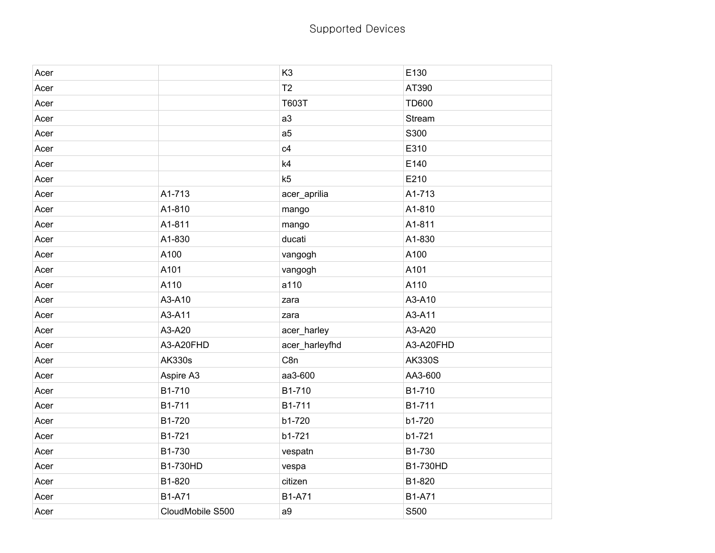| Acer |                  | K <sub>3</sub>  | E130          |
|------|------------------|-----------------|---------------|
| Acer |                  | T <sub>2</sub>  | AT390         |
| Acer |                  | T603T           | <b>TD600</b>  |
| Acer |                  | a3              | Stream        |
| Acer |                  | a <sub>5</sub>  | S300          |
| Acer |                  | c4              | E310          |
| Acer |                  | k4              | E140          |
| Acer |                  | k5              | E210          |
| Acer | A1-713           | acer_aprilia    | A1-713        |
| Acer | A1-810           | mango           | A1-810        |
| Acer | A1-811           | mango           | A1-811        |
| Acer | A1-830           | ducati          | A1-830        |
| Acer | A100             | vangogh         | A100          |
| Acer | A101             | vangogh         | A101          |
| Acer | A110             | a110            | A110          |
| Acer | A3-A10           | zara            | A3-A10        |
| Acer | A3-A11           | zara            | A3-A11        |
| Acer | A3-A20           | acer_harley     | A3-A20        |
| Acer | A3-A20FHD        | acer_harleyfhd  | A3-A20FHD     |
| Acer | <b>AK330s</b>    | C <sub>8n</sub> | <b>AK330S</b> |
| Acer | Aspire A3        | aa3-600         | AA3-600       |
| Acer | B1-710           | B1-710          | B1-710        |
| Acer | B1-711           | B1-711          | B1-711        |
| Acer | B1-720           | b1-720          | b1-720        |
| Acer | B1-721           | b1-721          | b1-721        |
| Acer | B1-730           | vespatn         | B1-730        |
| Acer | B1-730HD         | vespa           | B1-730HD      |
| Acer | B1-820           | citizen         | B1-820        |
| Acer | <b>B1-A71</b>    | <b>B1-A71</b>   | <b>B1-A71</b> |
| Acer | CloudMobile S500 | a9              | S500          |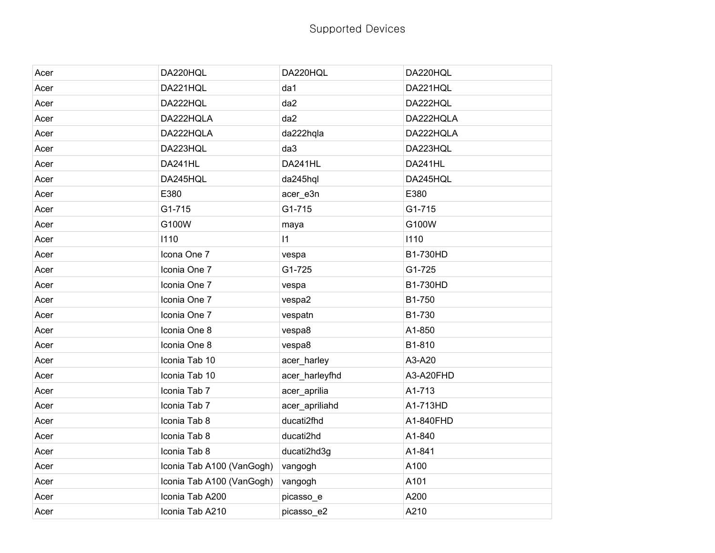| Acer | DA220HQL                  | DA220HQL       | DA220HQL  |
|------|---------------------------|----------------|-----------|
| Acer | DA221HQL                  | da1            | DA221HQL  |
| Acer | DA222HQL                  | da2            | DA222HQL  |
| Acer | DA222HQLA                 | da2            | DA222HQLA |
| Acer | DA222HQLA                 | da222hqla      | DA222HQLA |
| Acer | DA223HQL                  | da3            | DA223HQL  |
| Acer | DA241HL                   | DA241HL        | DA241HL   |
| Acer | DA245HQL                  | da245hql       | DA245HQL  |
| Acer | E380                      | acer_e3n       | E380      |
| Acer | G1-715                    | G1-715         | G1-715    |
| Acer | G100W                     | maya           | G100W     |
| Acer | 1110                      | $\vert$ 1      | 1110      |
| Acer | Icona One 7               | vespa          | B1-730HD  |
| Acer | Iconia One 7              | G1-725         | G1-725    |
| Acer | Iconia One 7              | vespa          | B1-730HD  |
| Acer | Iconia One 7              | vespa2         | B1-750    |
| Acer | Iconia One 7              | vespatn        | B1-730    |
| Acer | Iconia One 8              | vespa8         | A1-850    |
| Acer | Iconia One 8              | vespa8         | B1-810    |
| Acer | Iconia Tab 10             | acer_harley    | A3-A20    |
| Acer | Iconia Tab 10             | acer_harleyfhd | A3-A20FHD |
| Acer | Iconia Tab 7              | acer_aprilia   | A1-713    |
| Acer | Iconia Tab 7              | acer_apriliahd | A1-713HD  |
| Acer | Iconia Tab 8              | ducati2fhd     | A1-840FHD |
| Acer | Iconia Tab 8              | ducati2hd      | A1-840    |
| Acer | Iconia Tab 8              | ducati2hd3g    | A1-841    |
| Acer | Iconia Tab A100 (VanGogh) | vangogh        | A100      |
| Acer | Iconia Tab A100 (VanGogh) | vangogh        | A101      |
| Acer | Iconia Tab A200           | picasso_e      | A200      |
| Acer | Iconia Tab A210           | picasso_e2     | A210      |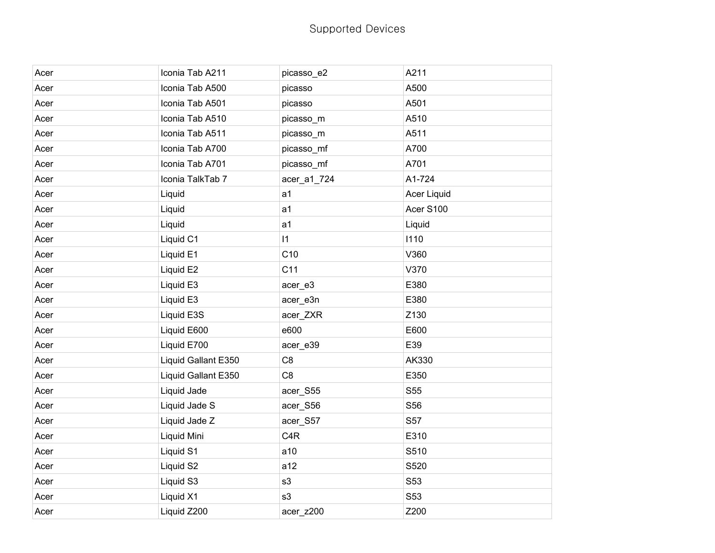| Acer | Iconia Tab A211     | picasso_e2       | A211        |
|------|---------------------|------------------|-------------|
| Acer | Iconia Tab A500     | picasso          | A500        |
| Acer | Iconia Tab A501     | picasso          | A501        |
| Acer | Iconia Tab A510     | picasso_m        | A510        |
| Acer | Iconia Tab A511     | picasso_m        | A511        |
| Acer | Iconia Tab A700     | picasso_mf       | A700        |
| Acer | Iconia Tab A701     | picasso_mf       | A701        |
| Acer | Iconia TalkTab 7    | acer_a1_724      | A1-724      |
| Acer | Liquid              | a <sub>1</sub>   | Acer Liquid |
| Acer | Liquid              | a <sub>1</sub>   | Acer S100   |
| Acer | Liquid              | a <sub>1</sub>   | Liquid      |
| Acer | Liquid C1           | $\vert 1 \vert$  | 1110        |
| Acer | Liquid E1           | C10              | V360        |
| Acer | Liquid E2           | C <sub>11</sub>  | V370        |
| Acer | Liquid E3           | acer_e3          | E380        |
| Acer | Liquid E3           | acer_e3n         | E380        |
| Acer | Liquid E3S          | acer_ZXR         | Z130        |
| Acer | Liquid E600         | e600             | E600        |
| Acer | Liquid E700         | acer_e39         | E39         |
| Acer | Liquid Gallant E350 | C <sub>8</sub>   | AK330       |
| Acer | Liquid Gallant E350 | C <sub>8</sub>   | E350        |
| Acer | Liquid Jade         | acer_S55         | S55         |
| Acer | Liquid Jade S       | acer_S56         | S56         |
| Acer | Liquid Jade Z       | acer_S57         | S57         |
| Acer | Liquid Mini         | C <sub>4</sub> R | E310        |
| Acer | Liquid S1           | a10              | S510        |
| Acer | Liquid S2           | a12              | S520        |
| Acer | Liquid S3           | s3               | S53         |
| Acer | Liquid X1           | s3               | S53         |
| Acer | Liquid Z200         | acer_z200        | Z200        |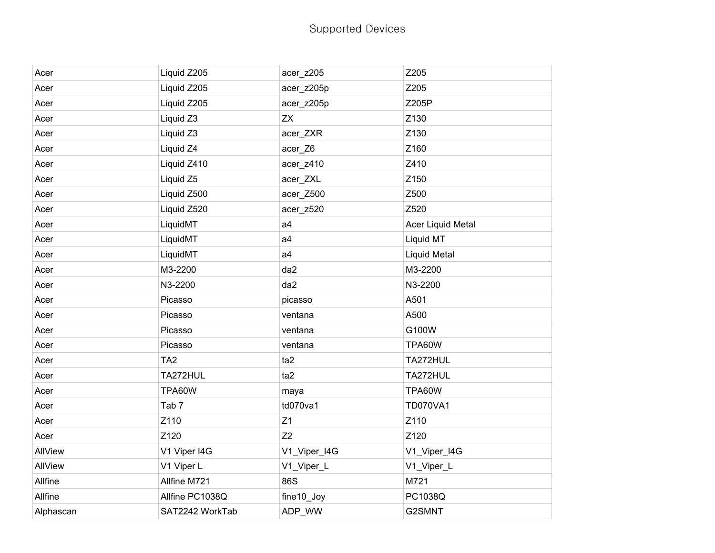## Supported Devices

| Acer      | Liquid Z205      | acer_z205      | Z205                |
|-----------|------------------|----------------|---------------------|
| Acer      | Liquid Z205      | acer z205p     | Z205                |
| Acer      | Liquid Z205      | acer_z205p     | Z205P               |
| Acer      | Liquid Z3        | <b>ZX</b>      | Z130                |
| Acer      | Liquid Z3        | acer_ZXR       | Z130                |
| Acer      | Liquid Z4        | acer_Z6        | Z160                |
| Acer      | Liquid Z410      | acer_z410      | Z410                |
| Acer      | Liquid Z5        | acer_ZXL       | Z150                |
| Acer      | Liquid Z500      | acer_Z500      | Z500                |
| Acer      | Liquid Z520      | acer_z520      | Z520                |
| Acer      | LiquidMT         | a <sub>4</sub> | Acer Liquid Metal   |
| Acer      | LiquidMT         | a <sub>4</sub> | Liquid MT           |
| Acer      | LiquidMT         | a <sub>4</sub> | <b>Liquid Metal</b> |
| Acer      | M3-2200          | da2            | M3-2200             |
| Acer      | N3-2200          | da2            | N3-2200             |
| Acer      | Picasso          | picasso        | A501                |
| Acer      | Picasso          | ventana        | A500                |
| Acer      | Picasso          | ventana        | G100W               |
| Acer      | Picasso          | ventana        | TPA60W              |
| Acer      | TA <sub>2</sub>  | ta2            | TA272HUL            |
| Acer      | TA272HUL         | ta2            | TA272HUL            |
| Acer      | TPA60W           | maya           | TPA60W              |
| Acer      | Tab <sub>7</sub> | td070va1       | <b>TD070VA1</b>     |
| Acer      | Z110             | Z1             | Z110                |
| Acer      | Z120             | Z2             | Z120                |
| AllView   | V1 Viper I4G     | V1_Viper_I4G   | V1_Viper_I4G        |
| AllView   | V1 Viper L       | V1_Viper_L     | V1_Viper_L          |
| Allfine   | Allfine M721     | 86S            | M721                |
| Allfine   | Allfine PC1038Q  | fine10_Joy     | PC1038Q             |
| Alphascan | SAT2242 WorkTab  | ADP WW         | G2SMNT              |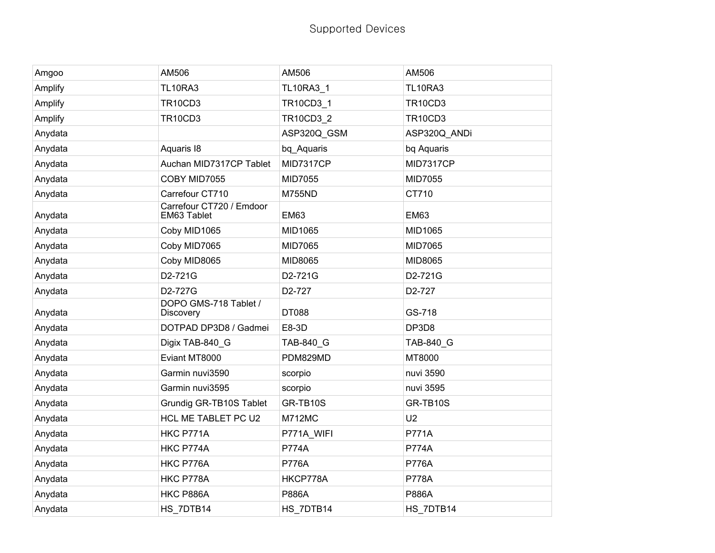| Amgoo   | AM506                                     | AM506            | AM506          |
|---------|-------------------------------------------|------------------|----------------|
| Amplify | <b>TL10RA3</b>                            | <b>TL10RA3 1</b> | <b>TL10RA3</b> |
| Amplify | <b>TR10CD3</b>                            | TR10CD3_1        | <b>TR10CD3</b> |
| Amplify | <b>TR10CD3</b>                            | <b>TR10CD3 2</b> | <b>TR10CD3</b> |
| Anydata |                                           | ASP320Q_GSM      | ASP320Q_ANDi   |
| Anydata | Aquaris 18                                | bq_Aquaris       | bq Aquaris     |
| Anydata | Auchan MID7317CP Tablet                   | MID7317CP        | MID7317CP      |
| Anydata | COBY MID7055                              | MID7055          | MID7055        |
| Anydata | Carrefour CT710                           | <b>M755ND</b>    | CT710          |
| Anydata | Carrefour CT720 / Emdoor<br>EM63 Tablet   | <b>EM63</b>      | <b>EM63</b>    |
| Anydata | Coby MID1065                              | MID1065          | MID1065        |
| Anydata | Coby MID7065                              | MID7065          | MID7065        |
| Anydata | Coby MID8065                              | MID8065          | MID8065        |
| Anydata | D2-721G                                   | D2-721G          | D2-721G        |
| Anydata | D2-727G                                   | D2-727           | D2-727         |
| Anydata | DOPO GMS-718 Tablet /<br><b>Discovery</b> | DT088            | GS-718         |
| Anydata | DOTPAD DP3D8 / Gadmei                     | E8-3D            | DP3D8          |
| Anydata | Digix TAB-840_G                           | TAB-840_G        | TAB-840 G      |
| Anydata | Eviant MT8000                             | PDM829MD         | MT8000         |
| Anydata | Garmin nuvi3590                           | scorpio          | nuvi 3590      |
| Anydata | Garmin nuvi3595                           | scorpio          | nuvi 3595      |
| Anydata | Grundig GR-TB10S Tablet                   | GR-TB10S         | GR-TB10S       |
| Anydata | HCL ME TABLET PC U2                       | <b>M712MC</b>    | U <sub>2</sub> |
| Anydata | HKC P771A                                 | P771A_WIFI       | <b>P771A</b>   |
| Anydata | HKC P774A                                 | <b>P774A</b>     | <b>P774A</b>   |
| Anydata | HKC P776A                                 | <b>P776A</b>     | <b>P776A</b>   |
| Anydata | HKC P778A                                 | HKCP778A         | <b>P778A</b>   |
| Anydata | HKC P886A                                 | <b>P886A</b>     | P886A          |
| Anydata | HS 7DTB14                                 | HS_7DTB14        | HS_7DTB14      |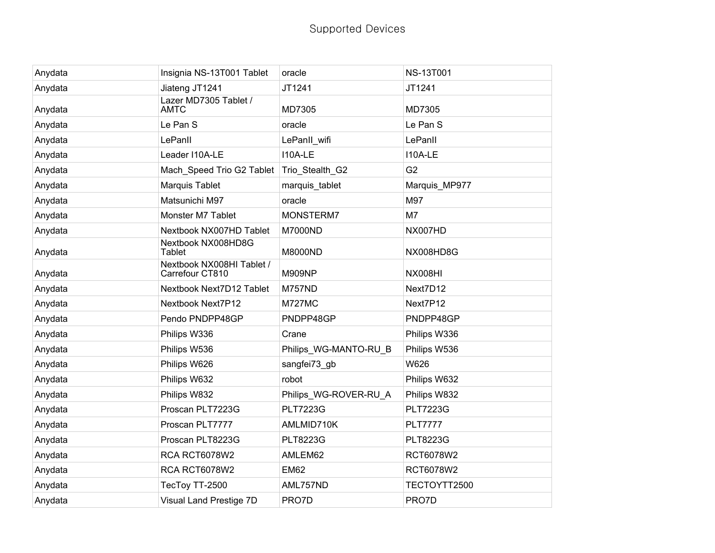| Anydata | Insignia NS-13T001 Tablet                    | oracle                | <b>NS-13T001</b> |
|---------|----------------------------------------------|-----------------------|------------------|
| Anydata | Jiateng JT1241                               | JT1241                | JT1241           |
| Anydata | Lazer MD7305 Tablet /<br><b>AMTC</b>         | MD7305                | MD7305           |
| Anydata | Le Pan S                                     | oracle                | Le Pan S         |
| Anydata | LePanll                                      | LePanII wifi          | LePanII          |
| Anydata | Leader I10A-LE                               | I10A-LE               | I10A-LE          |
| Anydata | Mach_Speed Trio G2 Tablet                    | Trio_Stealth_G2       | G <sub>2</sub>   |
| Anydata | Marquis Tablet                               | marquis_tablet        | Marquis_MP977    |
| Anydata | Matsunichi M97                               | oracle                | M97              |
| Anydata | Monster M7 Tablet                            | MONSTERM7             | M7               |
| Anydata | Nextbook NX007HD Tablet                      | M7000ND               | NX007HD          |
| Anydata | Nextbook NX008HD8G<br><b>Tablet</b>          | M8000ND               | NX008HD8G        |
| Anydata | Nextbook NX008HI Tablet /<br>Carrefour CT810 | <b>M909NP</b>         | <b>NX008HI</b>   |
| Anydata | Nextbook Next7D12 Tablet                     | <b>M757ND</b>         | Next7D12         |
| Anydata | Nextbook Next7P12                            | <b>M727MC</b>         | Next7P12         |
| Anydata | Pendo PNDPP48GP                              | PNDPP48GP             | PNDPP48GP        |
| Anydata | Philips W336                                 | Crane                 | Philips W336     |
| Anydata | Philips W536                                 | Philips WG-MANTO-RU B | Philips W536     |
| Anydata | Philips W626                                 | sangfei73_gb          | W626             |
| Anydata | Philips W632                                 | robot                 | Philips W632     |
| Anydata | Philips W832                                 | Philips_WG-ROVER-RU_A | Philips W832     |
| Anydata | Proscan PLT7223G                             | <b>PLT7223G</b>       | <b>PLT7223G</b>  |
| Anydata | Proscan PLT7777                              | AMLMID710K            | <b>PLT7777</b>   |
| Anydata | Proscan PLT8223G                             | <b>PLT8223G</b>       | <b>PLT8223G</b>  |
| Anydata | RCA RCT6078W2                                | AMLEM62               | RCT6078W2        |
| Anydata | RCA RCT6078W2                                | <b>EM62</b>           | RCT6078W2        |
| Anydata | TecToy TT-2500                               | AML757ND              | TECTOYTT2500     |
| Anydata | Visual Land Prestige 7D                      | PRO7D                 | PRO7D            |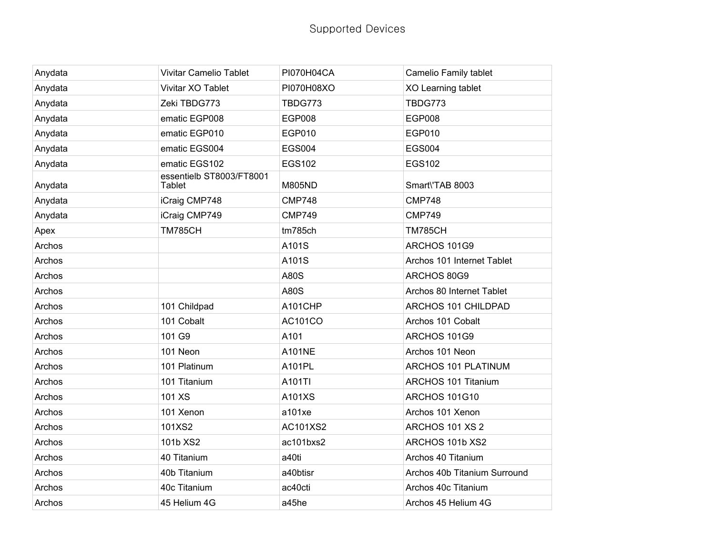| Anydata | <b>Vivitar Camelio Tablet</b>      | <b>PI070H04CA</b> | Camelio Family tablet        |
|---------|------------------------------------|-------------------|------------------------------|
| Anydata | Vivitar XO Tablet                  | PI070H08XO        | XO Learning tablet           |
| Anydata | Zeki TBDG773                       | TBDG773           | TBDG773                      |
| Anydata | ematic EGP008                      | <b>EGP008</b>     | <b>EGP008</b>                |
| Anydata | ematic EGP010                      | EGP010            | EGP010                       |
| Anydata | ematic EGS004                      | <b>EGS004</b>     | <b>EGS004</b>                |
| Anydata | ematic EGS102                      | <b>EGS102</b>     | <b>EGS102</b>                |
| Anydata | essentielb ST8003/FT8001<br>Tablet | <b>M805ND</b>     | Smart\'TAB 8003              |
| Anydata | iCraig CMP748                      | <b>CMP748</b>     | <b>CMP748</b>                |
| Anydata | iCraig CMP749                      | <b>CMP749</b>     | <b>CMP749</b>                |
| Apex    | <b>TM785CH</b>                     | tm785ch           | <b>TM785CH</b>               |
| Archos  |                                    | A101S             | ARCHOS 101G9                 |
| Archos  |                                    | A101S             | Archos 101 Internet Tablet   |
| Archos  |                                    | A80S              | ARCHOS 80G9                  |
| Archos  |                                    | A80S              | Archos 80 Internet Tablet    |
| Archos  | 101 Childpad                       | A101CHP           | ARCHOS 101 CHILDPAD          |
| Archos  | 101 Cobalt                         | AC101CO           | Archos 101 Cobalt            |
| Archos  | 101 G9                             | A101              | ARCHOS 101G9                 |
| Archos  | 101 Neon                           | <b>A101NE</b>     | Archos 101 Neon              |
| Archos  | 101 Platinum                       | A101PL            | <b>ARCHOS 101 PLATINUM</b>   |
| Archos  | 101 Titanium                       | A101TI            | <b>ARCHOS 101 Titanium</b>   |
| Archos  | 101 XS                             | A101XS            | <b>ARCHOS 101G10</b>         |
| Archos  | 101 Xenon                          | a101xe            | Archos 101 Xenon             |
| Archos  | 101XS2                             | AC101XS2          | ARCHOS 101 XS 2              |
| Archos  | 101b XS2                           | ac101bxs2         | ARCHOS 101b XS2              |
| Archos  | 40 Titanium                        | a40ti             | Archos 40 Titanium           |
| Archos  | 40b Titanium                       | a40btisr          | Archos 40b Titanium Surround |
| Archos  | 40c Titanium                       | ac40cti           | Archos 40c Titanium          |
| Archos  | 45 Helium 4G                       | a45he             | Archos 45 Helium 4G          |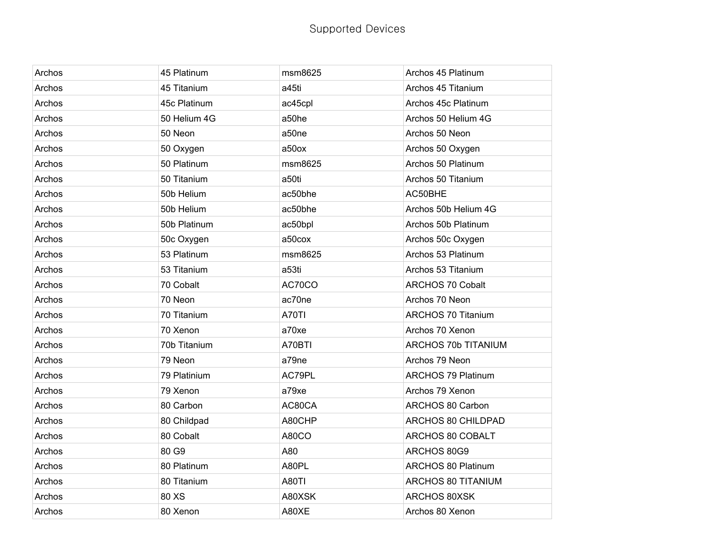| Archos | 45 Platinum  | msm8625      | Archos 45 Platinum        |
|--------|--------------|--------------|---------------------------|
| Archos | 45 Titanium  | a45ti        | Archos 45 Titanium        |
| Archos | 45c Platinum | ac45cpl      | Archos 45c Platinum       |
| Archos | 50 Helium 4G | a50he        | Archos 50 Helium 4G       |
| Archos | 50 Neon      | a50ne        | Archos 50 Neon            |
| Archos | 50 Oxygen    | a50ox        | Archos 50 Oxygen          |
| Archos | 50 Platinum  | msm8625      | Archos 50 Platinum        |
| Archos | 50 Titanium  | a50ti        | Archos 50 Titanium        |
| Archos | 50b Helium   | ac50bhe      | AC50BHE                   |
| Archos | 50b Helium   | ac50bhe      | Archos 50b Helium 4G      |
| Archos | 50b Platinum | ac50bpl      | Archos 50b Platinum       |
| Archos | 50c Oxygen   | a50cox       | Archos 50c Oxygen         |
| Archos | 53 Platinum  | msm8625      | Archos 53 Platinum        |
| Archos | 53 Titanium  | a53ti        | Archos 53 Titanium        |
| Archos | 70 Cobalt    | AC70CO       | <b>ARCHOS 70 Cobalt</b>   |
| Archos | 70 Neon      | ac70ne       | Archos 70 Neon            |
| Archos | 70 Titanium  | A70TI        | <b>ARCHOS 70 Titanium</b> |
| Archos | 70 Xenon     | a70xe        | Archos 70 Xenon           |
| Archos | 70b Titanium | A70BTI       | ARCHOS 70b TITANIUM       |
| Archos | 79 Neon      | a79ne        | Archos 79 Neon            |
| Archos | 79 Platinium | AC79PL       | <b>ARCHOS 79 Platinum</b> |
| Archos | 79 Xenon     | a79xe        | Archos 79 Xenon           |
| Archos | 80 Carbon    | AC80CA       | ARCHOS 80 Carbon          |
| Archos | 80 Childpad  | A80CHP       | ARCHOS 80 CHILDPAD        |
| Archos | 80 Cobalt    | A80CO        | ARCHOS 80 COBALT          |
| Archos | 80 G9        | A80          | ARCHOS 80G9               |
| Archos | 80 Platinum  | A80PL        | <b>ARCHOS 80 Platinum</b> |
| Archos | 80 Titanium  | <b>A80TI</b> | ARCHOS 80 TITANIUM        |
| Archos | 80 XS        | A80XSK       | ARCHOS 80XSK              |
| Archos | 80 Xenon     | A80XE        | Archos 80 Xenon           |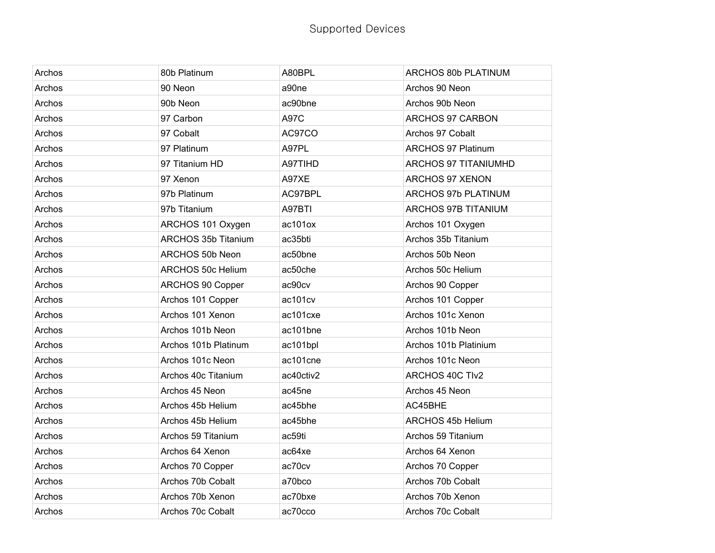| Archos | 80b Platinum               | A80BPL      | ARCHOS 80b PLATINUM        |
|--------|----------------------------|-------------|----------------------------|
| Archos | 90 Neon                    | a90ne       | Archos 90 Neon             |
| Archos | 90b Neon                   | ac90bne     | Archos 90b Neon            |
| Archos | 97 Carbon                  | <b>A97C</b> | ARCHOS 97 CARBON           |
| Archos | 97 Cobalt                  | AC97CO      | Archos 97 Cobalt           |
| Archos | 97 Platinum                | A97PL       | <b>ARCHOS 97 Platinum</b>  |
| Archos | 97 Titanium HD             | A97TIHD     | ARCHOS 97 TITANIUMHD       |
| Archos | 97 Xenon                   | A97XE       | ARCHOS 97 XENON            |
| Archos | 97b Platinum               | AC97BPL     | <b>ARCHOS 97b PLATINUM</b> |
| Archos | 97b Titanium               | A97BTI      | ARCHOS 97B TITANIUM        |
| Archos | ARCHOS 101 Oxygen          | ac101ox     | Archos 101 Oxygen          |
| Archos | <b>ARCHOS 35b Titanium</b> | ac35bti     | Archos 35b Titanium        |
| Archos | ARCHOS 50b Neon            | ac50bne     | Archos 50b Neon            |
| Archos | ARCHOS 50c Helium          | ac50che     | Archos 50c Helium          |
| Archos | ARCHOS 90 Copper           | ac90cv      | Archos 90 Copper           |
| Archos | Archos 101 Copper          | ac101cv     | Archos 101 Copper          |
| Archos | Archos 101 Xenon           | ac101cxe    | Archos 101c Xenon          |
| Archos | Archos 101b Neon           | ac101bne    | Archos 101b Neon           |
| Archos | Archos 101b Platinum       | ac101bpl    | Archos 101b Platinium      |
| Archos | Archos 101c Neon           | ac101cne    | Archos 101c Neon           |
| Archos | Archos 40c Titanium        | ac40ctiv2   | <b>ARCHOS 40C TIv2</b>     |
| Archos | Archos 45 Neon             | ac45ne      | Archos 45 Neon             |
| Archos | Archos 45b Helium          | ac45bhe     | AC45BHE                    |
| Archos | Archos 45b Helium          | ac45bhe     | ARCHOS 45b Helium          |
| Archos | Archos 59 Titanium         | ac59ti      | Archos 59 Titanium         |
| Archos | Archos 64 Xenon            | ac64xe      | Archos 64 Xenon            |
| Archos | Archos 70 Copper           | ac70cv      | Archos 70 Copper           |
| Archos | Archos 70b Cobalt          | a70bco      | Archos 70b Cobalt          |
| Archos | Archos 70b Xenon           | ac70bxe     | Archos 70b Xenon           |
| Archos | Archos 70c Cobalt          | ac70cco     | Archos 70c Cobalt          |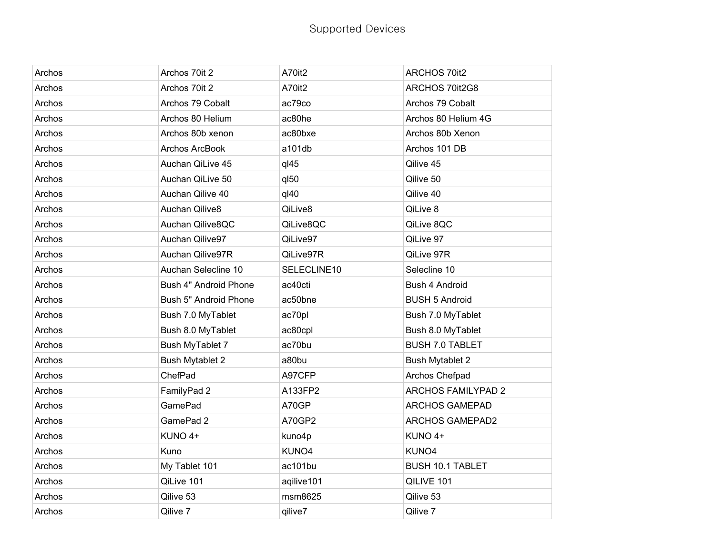| Archos | Archos 70it 2          | A70it2           | <b>ARCHOS 70it2</b>       |
|--------|------------------------|------------------|---------------------------|
| Archos | Archos 70it 2          | A70it2           | ARCHOS 70it2G8            |
| Archos | Archos 79 Cobalt       | ac79co           | Archos 79 Cobalt          |
| Archos | Archos 80 Helium       | ac80he           | Archos 80 Helium 4G       |
| Archos | Archos 80b xenon       | ac80bxe          | Archos 80b Xenon          |
| Archos | Archos ArcBook         | a101db           | Archos 101 DB             |
| Archos | Auchan QiLive 45       | $q$ $45$         | Qilive 45                 |
| Archos | Auchan QiLive 50       | q <sub>150</sub> | Qilive 50                 |
| Archos | Auchan Qilive 40       | q <sub>40</sub>  | Qilive 40                 |
| Archos | Auchan Qilive8         | QiLive8          | QiLive 8                  |
| Archos | Auchan Qilive8QC       | QiLive8QC        | QiLive 8QC                |
| Archos | Auchan Qilive97        | QiLive97         | QiLive 97                 |
| Archos | Auchan Qilive97R       | QiLive97R        | QiLive 97R                |
| Archos | Auchan Selecline 10    | SELECLINE10      | Selecline 10              |
| Archos | Bush 4" Android Phone  | ac40cti          | Bush 4 Android            |
| Archos | Bush 5" Android Phone  | ac50bne          | <b>BUSH 5 Android</b>     |
| Archos | Bush 7.0 MyTablet      | ac70pl           | Bush 7.0 MyTablet         |
| Archos | Bush 8.0 MyTablet      | ac80cpl          | Bush 8.0 MyTablet         |
| Archos | Bush MyTablet 7        | ac70bu           | <b>BUSH 7.0 TABLET</b>    |
| Archos | <b>Bush Mytablet 2</b> | a80bu            | <b>Bush Mytablet 2</b>    |
| Archos | ChefPad                | A97CFP           | Archos Chefpad            |
| Archos | FamilyPad 2            | A133FP2          | <b>ARCHOS FAMILYPAD 2</b> |
| Archos | <b>GamePad</b>         | A70GP            | <b>ARCHOS GAMEPAD</b>     |
| Archos | GamePad 2              | A70GP2           | <b>ARCHOS GAMEPAD2</b>    |
| Archos | KUNO 4+                | kuno4p           | KUNO 4+                   |
| Archos | Kuno                   | KUNO4            | KUNO4                     |
| Archos | My Tablet 101          | ac101bu          | <b>BUSH 10.1 TABLET</b>   |
| Archos | QiLive 101             | aqilive101       | QILIVE 101                |
| Archos | Qilive 53              | msm8625          | Qilive 53                 |
| Archos | Qilive 7               | qilive7          | Qilive 7                  |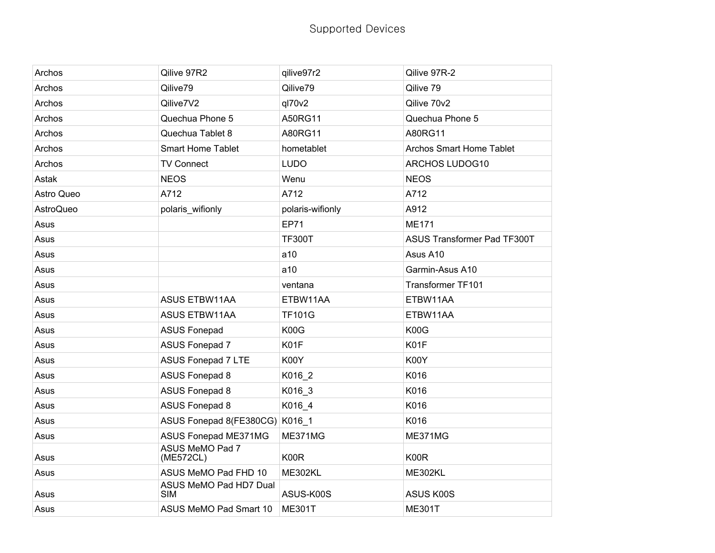| Archos     | Qilive 97R2                          | qilive97r2       | Qilive 97R-2                    |
|------------|--------------------------------------|------------------|---------------------------------|
| Archos     | Qilive79                             | Qilive79         | Qilive 79                       |
| Archos     | Qilive7V2                            | q170v2           | Qilive 70v2                     |
| Archos     | Quechua Phone 5                      | A50RG11          | Quechua Phone 5                 |
| Archos     | Quechua Tablet 8                     | A80RG11          | A80RG11                         |
| Archos     | <b>Smart Home Tablet</b>             | hometablet       | <b>Archos Smart Home Tablet</b> |
| Archos     | <b>TV Connect</b>                    | <b>LUDO</b>      | <b>ARCHOS LUDOG10</b>           |
| Astak      | <b>NEOS</b>                          | Wenu             | <b>NEOS</b>                     |
| Astro Queo | A712                                 | A712             | A712                            |
| AstroQueo  | polaris wifionly                     | polaris-wifionly | A912                            |
| Asus       |                                      | <b>EP71</b>      | <b>ME171</b>                    |
| Asus       |                                      | <b>TF300T</b>    | ASUS Transformer Pad TF300T     |
| Asus       |                                      | a10              | Asus A10                        |
| Asus       |                                      | a10              | Garmin-Asus A10                 |
| Asus       |                                      | ventana          | Transformer TF101               |
| Asus       | <b>ASUS ETBW11AA</b>                 | ETBW11AA         | ETBW11AA                        |
| Asus       | <b>ASUS ETBW11AA</b>                 | <b>TF101G</b>    | ETBW11AA                        |
| Asus       | <b>ASUS Fonepad</b>                  | K00G             | K00G                            |
| Asus       | <b>ASUS Fonepad 7</b>                | K01F             | K01F                            |
| Asus       | <b>ASUS Fonepad 7 LTE</b>            | K00Y             | K00Y                            |
| Asus       | <b>ASUS Fonepad 8</b>                | K016_2           | K016                            |
| Asus       | <b>ASUS Fonepad 8</b>                | K016_3           | K016                            |
| Asus       | <b>ASUS Fonepad 8</b>                | K016_4           | K016                            |
| Asus       | ASUS Fonepad 8(FE380CG) K016_1       |                  | K016                            |
| Asus       | ASUS Fonepad ME371MG                 | ME371MG          | ME371MG                         |
| Asus       | ASUS MeMO Pad 7<br>(ME572CL)         | K00R             | K00R                            |
| Asus       | ASUS MeMO Pad FHD 10                 | <b>ME302KL</b>   | ME302KL                         |
| Asus       | ASUS MeMO Pad HD7 Dual<br><b>SIM</b> | ASUS-K00S        | ASUS K00S                       |
| Asus       | ASUS MeMO Pad Smart 10               | <b>ME301T</b>    | <b>ME301T</b>                   |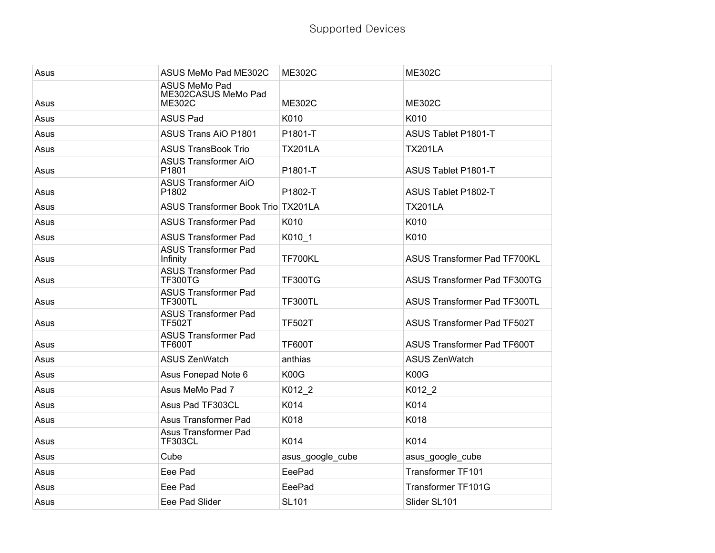| Asus | ASUS MeMo Pad ME302C                                  | <b>ME302C</b>    | <b>ME302C</b>                       |
|------|-------------------------------------------------------|------------------|-------------------------------------|
| Asus | <b>ASUS MeMo Pad</b><br>ME302CASUS MeMo Pad<br>ME302C | <b>ME302C</b>    | <b>ME302C</b>                       |
| Asus | <b>ASUS Pad</b>                                       | K010             | K010                                |
| Asus | <b>ASUS Trans AiO P1801</b>                           | P1801-T          | ASUS Tablet P1801-T                 |
| Asus | <b>ASUS TransBook Trio</b>                            | <b>TX201LA</b>   | <b>TX201LA</b>                      |
| Asus | <b>ASUS Transformer AiO</b><br>P1801                  | P1801-T          | ASUS Tablet P1801-T                 |
| Asus | <b>ASUS Transformer AiO</b><br>P1802                  | P1802-T          | ASUS Tablet P1802-T                 |
| Asus | ASUS Transformer Book Trio TX201LA                    |                  | <b>TX201LA</b>                      |
| Asus | <b>ASUS Transformer Pad</b>                           | K010             | K010                                |
| Asus | <b>ASUS Transformer Pad</b>                           | K010_1           | K010                                |
| Asus | <b>ASUS Transformer Pad</b><br>Infinity               | <b>TF700KL</b>   | <b>ASUS Transformer Pad TF700KL</b> |
| Asus | <b>ASUS Transformer Pad</b><br><b>TF300TG</b>         | <b>TF300TG</b>   | <b>ASUS Transformer Pad TF300TG</b> |
| Asus | <b>ASUS Transformer Pad</b><br><b>TF300TL</b>         | <b>TF300TL</b>   | <b>ASUS Transformer Pad TF300TL</b> |
| Asus | <b>ASUS Transformer Pad</b><br><b>TF502T</b>          | <b>TF502T</b>    | <b>ASUS Transformer Pad TF502T</b>  |
| Asus | <b>ASUS Transformer Pad</b><br><b>TF600T</b>          | <b>TF600T</b>    | <b>ASUS Transformer Pad TF600T</b>  |
| Asus | <b>ASUS ZenWatch</b>                                  | anthias          | <b>ASUS ZenWatch</b>                |
| Asus | Asus Fonepad Note 6                                   | K00G             | K00G                                |
| Asus | Asus MeMo Pad 7                                       | K012 2           | K012 2                              |
| Asus | Asus Pad TF303CL                                      | K014             | K014                                |
| Asus | <b>Asus Transformer Pad</b>                           | K018             | K018                                |
| Asus | Asus Transformer Pad<br><b>TF303CL</b>                | K014             | K014                                |
| Asus | Cube                                                  | asus_google_cube | asus_google_cube                    |
| Asus | Eee Pad                                               | EeePad           | Transformer TF101                   |
| Asus | Eee Pad                                               | EeePad           | Transformer TF101G                  |
| Asus | Eee Pad Slider                                        | <b>SL101</b>     | Slider SL101                        |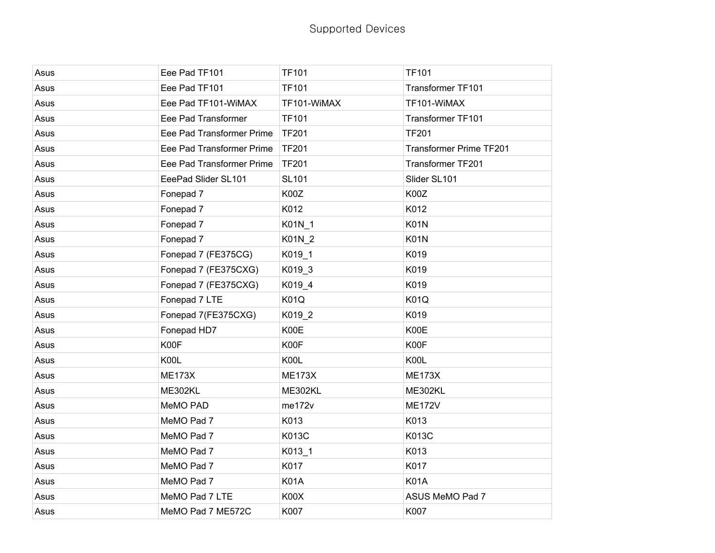| Asus | Eee Pad TF101             | <b>TF101</b>   | <b>TF101</b>            |
|------|---------------------------|----------------|-------------------------|
| Asus | Eee Pad TF101             | <b>TF101</b>   | Transformer TF101       |
| Asus | Eee Pad TF101-WiMAX       | TF101-WiMAX    | TF101-WiMAX             |
| Asus | Eee Pad Transformer       | <b>TF101</b>   | Transformer TF101       |
| Asus | Eee Pad Transformer Prime | <b>TF201</b>   | <b>TF201</b>            |
| Asus | Eee Pad Transformer Prime | <b>TF201</b>   | Transformer Prime TF201 |
| Asus | Eee Pad Transformer Prime | <b>TF201</b>   | Transformer TF201       |
| Asus | EeePad Slider SL101       | <b>SL101</b>   | Slider SL101            |
| Asus | Fonepad 7                 | K00Z           | K00Z                    |
| Asus | Fonepad 7                 | K012           | K012                    |
| Asus | Fonepad 7                 | K01N_1         | <b>K01N</b>             |
| Asus | Fonepad 7                 | K01N_2         | <b>K01N</b>             |
| Asus | Fonepad 7 (FE375CG)       | K019_1         | K019                    |
| Asus | Fonepad 7 (FE375CXG)      | K019_3         | K019                    |
| Asus | Fonepad 7 (FE375CXG)      | K019_4         | K019                    |
| Asus | Fonepad 7 LTE             | <b>K01Q</b>    | <b>K01Q</b>             |
| Asus | Fonepad 7(FE375CXG)       | K019_2         | K019                    |
| Asus | Fonepad HD7               | K00E           | K00E                    |
| Asus | K00F                      | K00F           | K00F                    |
| Asus | K00L                      | K00L           | K00L                    |
| Asus | <b>ME173X</b>             | <b>ME173X</b>  | <b>ME173X</b>           |
| Asus | ME302KL                   | <b>ME302KL</b> | <b>ME302KL</b>          |
| Asus | MeMO PAD                  | me172v         | <b>ME172V</b>           |
| Asus | MeMO Pad 7                | K013           | K013                    |
| Asus | MeMO Pad 7                | K013C          | K013C                   |
| Asus | MeMO Pad 7                | K013_1         | K013                    |
| Asus | MeMO Pad 7                | K017           | K017                    |
| Asus | MeMO Pad 7                | <b>K01A</b>    | <b>K01A</b>             |
| Asus | MeMO Pad 7 LTE            | K00X           | ASUS MeMO Pad 7         |
| Asus | MeMO Pad 7 ME572C         | K007           | K007                    |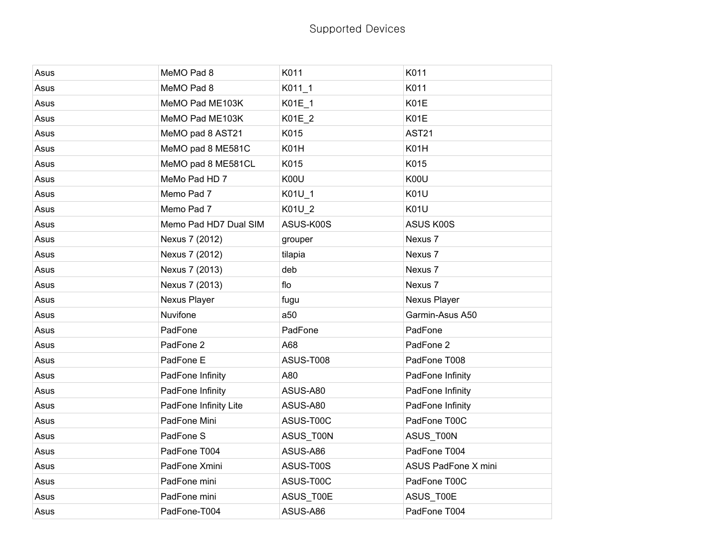| Asus | MeMO Pad 8            | K011             | K011                |
|------|-----------------------|------------------|---------------------|
| Asus | MeMO Pad 8            | K011 1           | K011                |
| Asus | MeMO Pad ME103K       | K01E_1           | K01E                |
| Asus | MeMO Pad ME103K       | K01E_2           | K01E                |
| Asus | MeMO pad 8 AST21      | K015             | <b>AST21</b>        |
| Asus | MeMO pad 8 ME581C     | K01H             | K01H                |
| Asus | MeMO pad 8 ME581CL    | K015             | K015                |
| Asus | MeMo Pad HD 7         | K00U             | K00U                |
| Asus | Memo Pad 7            | K01U_1           | <b>K01U</b>         |
| Asus | Memo Pad 7            | K01U_2           | <b>K01U</b>         |
| Asus | Memo Pad HD7 Dual SIM | ASUS-K00S        | ASUS K00S           |
| Asus | Nexus 7 (2012)        | grouper          | Nexus 7             |
| Asus | Nexus 7 (2012)        | tilapia          | Nexus 7             |
| Asus | Nexus 7 (2013)        | deb              | Nexus 7             |
| Asus | Nexus 7 (2013)        | flo              | Nexus 7             |
| Asus | Nexus Player          | fugu             | Nexus Player        |
| Asus | Nuvifone              | a50              | Garmin-Asus A50     |
| Asus | PadFone               | PadFone          | PadFone             |
| Asus | PadFone 2             | A68              | PadFone 2           |
| Asus | PadFone E             | <b>ASUS-T008</b> | PadFone T008        |
| Asus | PadFone Infinity      | A80              | PadFone Infinity    |
| Asus | PadFone Infinity      | ASUS-A80         | PadFone Infinity    |
| Asus | PadFone Infinity Lite | ASUS-A80         | PadFone Infinity    |
| Asus | PadFone Mini          | ASUS-T00C        | PadFone T00C        |
| Asus | PadFone S             | ASUS_T00N        | ASUS_T00N           |
| Asus | PadFone T004          | ASUS-A86         | PadFone T004        |
| Asus | PadFone Xmini         | ASUS-T00S        | ASUS PadFone X mini |
| Asus | PadFone mini          | ASUS-T00C        | PadFone T00C        |
| Asus | PadFone mini          | ASUS_T00E        | ASUS_T00E           |
| Asus | PadFone-T004          | ASUS-A86         | PadFone T004        |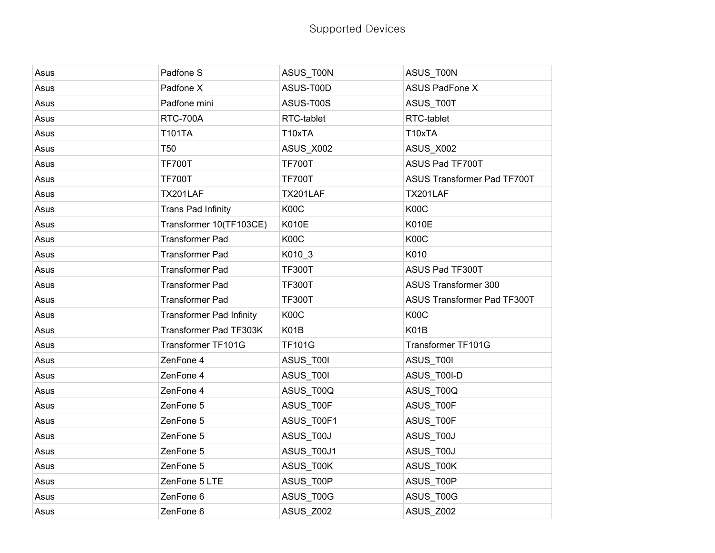| Asus | Padfone S                       | ASUS_T00N     | ASUS_T00N                   |
|------|---------------------------------|---------------|-----------------------------|
| Asus | Padfone X                       | ASUS-T00D     | <b>ASUS PadFone X</b>       |
| Asus | Padfone mini                    | ASUS-T00S     | ASUS_T00T                   |
| Asus | <b>RTC-700A</b>                 | RTC-tablet    | RTC-tablet                  |
| Asus | <b>T101TA</b>                   | T10xTA        | T10xTA                      |
| Asus | <b>T50</b>                      | ASUS_X002     | ASUS_X002                   |
| Asus | <b>TF700T</b>                   | <b>TF700T</b> | ASUS Pad TF700T             |
| Asus | <b>TF700T</b>                   | <b>TF700T</b> | ASUS Transformer Pad TF700T |
| Asus | TX201LAF                        | TX201LAF      | TX201LAF                    |
| Asus | <b>Trans Pad Infinity</b>       | K00C          | K00C                        |
| Asus | Transformer 10(TF103CE)         | <b>K010E</b>  | <b>K010E</b>                |
| Asus | <b>Transformer Pad</b>          | K00C          | K00C                        |
| Asus | <b>Transformer Pad</b>          | K010_3        | K010                        |
| Asus | <b>Transformer Pad</b>          | <b>TF300T</b> | ASUS Pad TF300T             |
| Asus | <b>Transformer Pad</b>          | <b>TF300T</b> | <b>ASUS Transformer 300</b> |
| Asus | <b>Transformer Pad</b>          | <b>TF300T</b> | ASUS Transformer Pad TF300T |
| Asus | <b>Transformer Pad Infinity</b> | K00C          | K00C                        |
| Asus | Transformer Pad TF303K          | K01B          | K01B                        |
| Asus | Transformer TF101G              | <b>TF101G</b> | Transformer TF101G          |
| Asus | ZenFone 4                       | ASUS_T00I     | ASUS_T00I                   |
| Asus | ZenFone 4                       | ASUS_T00I     | ASUS_T00I-D                 |
| Asus | ZenFone 4                       | ASUS_T00Q     | ASUS_T00Q                   |
| Asus | ZenFone 5                       | ASUS_T00F     | ASUS_T00F                   |
| Asus | ZenFone 5                       | ASUS_T00F1    | ASUS_T00F                   |
| Asus | ZenFone 5                       | ASUS_T00J     | ASUS_T00J                   |
| Asus | ZenFone 5                       | ASUS_T00J1    | ASUS_T00J                   |
| Asus | ZenFone 5                       | ASUS_T00K     | ASUS_T00K                   |
| Asus | ZenFone 5 LTE                   | ASUS_T00P     | ASUS_T00P                   |
| Asus | ZenFone 6                       | ASUS_T00G     | ASUS_T00G                   |
| Asus | ZenFone 6                       | ASUS Z002     | ASUS Z002                   |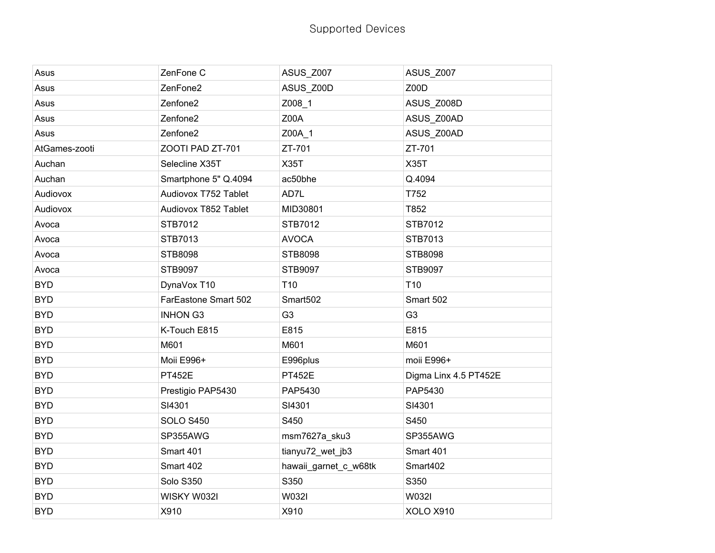| Asus          | ZenFone C            | <b>ASUS_Z007</b>      | <b>ASUS_Z007</b>      |
|---------------|----------------------|-----------------------|-----------------------|
| Asus          | ZenFone2             | ASUS Z00D             | Z00D                  |
| Asus          | Zenfone2             | Z008_1                | ASUS_Z008D            |
| Asus          | Zenfone2             | Z00A                  | ASUS Z00AD            |
| Asus          | Zenfone <sub>2</sub> | Z00A_1                | ASUS Z00AD            |
| AtGames-zooti | ZOOTI PAD ZT-701     | ZT-701                | ZT-701                |
| Auchan        | Selecline X35T       | <b>X35T</b>           | <b>X35T</b>           |
| Auchan        | Smartphone 5" Q.4094 | ac50bhe               | Q.4094                |
| Audiovox      | Audiovox T752 Tablet | AD7L                  | T752                  |
| Audiovox      | Audiovox T852 Tablet | MID30801              | T852                  |
| Avoca         | STB7012              | STB7012               | STB7012               |
| Avoca         | STB7013              | <b>AVOCA</b>          | STB7013               |
| Avoca         | STB8098              | STB8098               | STB8098               |
| Avoca         | STB9097              | STB9097               | STB9097               |
| <b>BYD</b>    | DynaVox T10          | T <sub>10</sub>       | T <sub>10</sub>       |
| <b>BYD</b>    | FarEastone Smart 502 | Smart502              | Smart 502             |
| <b>BYD</b>    | <b>INHON G3</b>      | G <sub>3</sub>        | G <sub>3</sub>        |
| <b>BYD</b>    | K-Touch E815         | E815                  | E815                  |
| <b>BYD</b>    | M601                 | M601                  | M601                  |
| <b>BYD</b>    | Moii E996+           | E996plus              | moii E996+            |
| <b>BYD</b>    | <b>PT452E</b>        | <b>PT452E</b>         | Digma Linx 4.5 PT452E |
| <b>BYD</b>    | Prestigio PAP5430    | PAP5430               | PAP5430               |
| <b>BYD</b>    | SI4301               | SI4301                | SI4301                |
| <b>BYD</b>    | <b>SOLO S450</b>     | S450                  | S450                  |
| <b>BYD</b>    | SP355AWG             | msm7627a_sku3         | SP355AWG              |
| <b>BYD</b>    | Smart 401            | tianyu72_wet_jb3      | Smart 401             |
| <b>BYD</b>    | Smart 402            | hawaii_garnet_c_w68tk | Smart402              |
| <b>BYD</b>    | <b>Solo S350</b>     | S350                  | S350                  |
| <b>BYD</b>    | WISKY W032I          | W032I                 | W032I                 |
| <b>BYD</b>    | X910                 | X910                  | XOLO X910             |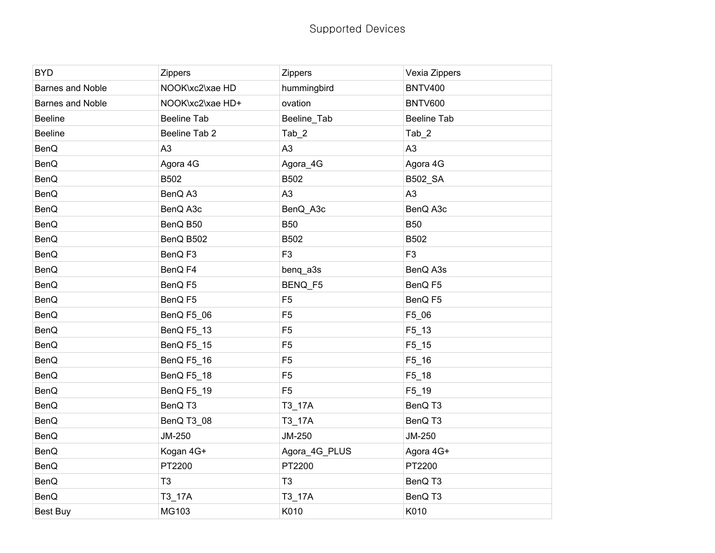| <b>BYD</b>       | Zippers            | <b>Zippers</b> | Vexia Zippers      |
|------------------|--------------------|----------------|--------------------|
| Barnes and Noble | NOOK\xc2\xae HD    | hummingbird    | <b>BNTV400</b>     |
| Barnes and Noble | NOOK\xc2\xae HD+   | ovation        | <b>BNTV600</b>     |
| <b>Beeline</b>   | <b>Beeline Tab</b> | Beeline_Tab    | <b>Beeline Tab</b> |
| <b>Beeline</b>   | Beeline Tab 2      | $Tab_2$        | Tab_2              |
| BenQ             | A <sub>3</sub>     | A <sub>3</sub> | A <sub>3</sub>     |
| <b>BenQ</b>      | Agora 4G           | Agora_4G       | Agora 4G           |
| BenQ             | B502               | B502           | B502_SA            |
| BenQ             | BenQ A3            | A <sub>3</sub> | A <sub>3</sub>     |
| BenQ             | BenQ A3c           | BenQ_A3c       | BenQ A3c           |
| <b>BenQ</b>      | BenQ B50           | <b>B50</b>     | <b>B50</b>         |
| <b>BenQ</b>      | BenQ B502          | B502           | <b>B502</b>        |
| BenQ             | BenQ F3            | F <sub>3</sub> | F <sub>3</sub>     |
| BenQ             | BenQ F4            | benq_a3s       | BenQ A3s           |
| BenQ             | BenQ F5            | BENQ_F5        | BenQ F5            |
| <b>BenQ</b>      | BenQ F5            | F <sub>5</sub> | BenQ F5            |
| BenQ             | BenQ F5_06         | F <sub>5</sub> | F5_06              |
| BenQ             | BenQ F5_13         | F <sub>5</sub> | $F5_13$            |
| <b>BenQ</b>      | BenQ F5_15         | F <sub>5</sub> | $F5$ _15           |
| <b>BenQ</b>      | BenQ F5_16         | F <sub>5</sub> | F5_16              |
| <b>BenQ</b>      | BenQ F5_18         | F <sub>5</sub> | $F5_18$            |
| <b>BenQ</b>      | BenQ F5_19         | F <sub>5</sub> | F5_19              |
| BenQ             | BenQ T3            | T3_17A         | BenQ T3            |
| <b>BenQ</b>      | BenQ T3_08         | T3_17A         | BenQ T3            |
| BenQ             | JM-250             | JM-250         | JM-250             |
| <b>BenQ</b>      | Kogan 4G+          | Agora_4G_PLUS  | Agora 4G+          |
| BenQ             | PT2200             | PT2200         | PT2200             |
| <b>BenQ</b>      | T <sub>3</sub>     | T <sub>3</sub> | BenQ T3            |
| <b>BenQ</b>      | T3_17A             | T3_17A         | BenQ T3            |
| <b>Best Buy</b>  | MG103              | K010           | K010               |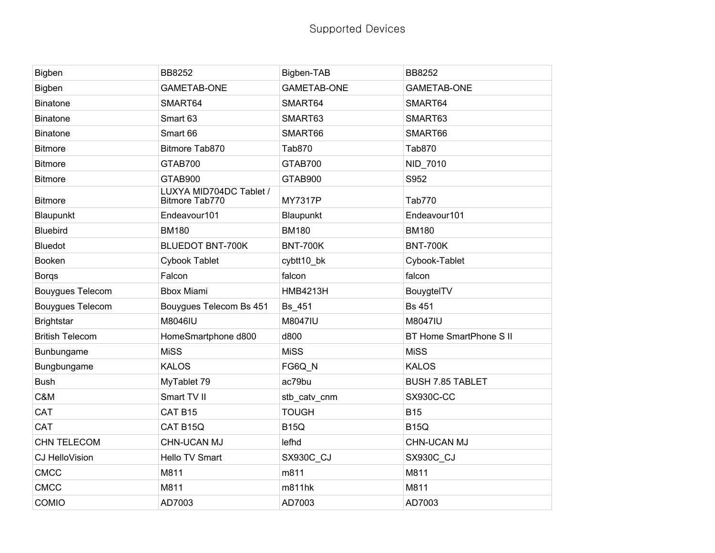| Bigben                  | <b>BB8252</b>                             | Bigben-TAB         | <b>BB8252</b>                  |
|-------------------------|-------------------------------------------|--------------------|--------------------------------|
| Bigben                  | <b>GAMETAB-ONE</b>                        | <b>GAMETAB-ONE</b> | <b>GAMETAB-ONE</b>             |
| <b>Binatone</b>         | SMART64                                   | SMART64            | SMART64                        |
| <b>Binatone</b>         | Smart 63                                  | SMART63            | SMART63                        |
| <b>Binatone</b>         | Smart 66                                  | SMART66            | SMART66                        |
| <b>Bitmore</b>          | Bitmore Tab870                            | Tab870             | Tab870                         |
| <b>Bitmore</b>          | GTAB700                                   | GTAB700            | NID_7010                       |
| <b>Bitmore</b>          | GTAB900                                   | GTAB900            | S952                           |
| <b>Bitmore</b>          | LUXYA MID704DC Tablet /<br>Bitmore Tab770 | <b>MY7317P</b>     | Tab770                         |
| Blaupunkt               | Endeavour101                              | Blaupunkt          | Endeavour101                   |
| <b>Bluebird</b>         | <b>BM180</b>                              | <b>BM180</b>       | <b>BM180</b>                   |
| <b>Bluedot</b>          | <b>BLUEDOT BNT-700K</b>                   | <b>BNT-700K</b>    | <b>BNT-700K</b>                |
| Booken                  | Cybook Tablet                             | cybtt10_bk         | Cybook-Tablet                  |
| <b>Borgs</b>            | Falcon                                    | falcon             | falcon                         |
| <b>Bouygues Telecom</b> | <b>Bbox Miami</b>                         | <b>HMB4213H</b>    | BouygtelTV                     |
| <b>Bouygues Telecom</b> | Bouygues Telecom Bs 451                   | Bs_451             | <b>Bs 451</b>                  |
| <b>Brightstar</b>       | M8046IU                                   | M8047IU            | M8047IU                        |
| <b>British Telecom</b>  | HomeSmartphone d800                       | d800               | <b>BT Home SmartPhone S II</b> |
| Bunbungame              | <b>MiSS</b>                               | <b>MiSS</b>        | <b>MiSS</b>                    |
| Bungbungame             | <b>KALOS</b>                              | FG6Q_N             | <b>KALOS</b>                   |
| <b>Bush</b>             | MyTablet 79                               | ac79bu             | <b>BUSH 7.85 TABLET</b>        |
| C&M                     | Smart TV II                               | stb_catv_cnm       | <b>SX930C-CC</b>               |
| CAT                     | CAT B15                                   | <b>TOUGH</b>       | <b>B15</b>                     |
| <b>CAT</b>              | CAT B15Q                                  | <b>B15Q</b>        | <b>B15Q</b>                    |
| <b>CHN TELECOM</b>      | <b>CHN-UCAN MJ</b>                        | lefhd              | <b>CHN-UCAN MJ</b>             |
| CJ HelloVision          | Hello TV Smart                            | SX930C_CJ          | SX930C_CJ                      |
| <b>CMCC</b>             | M811                                      | m811               | M811                           |
| <b>CMCC</b>             | M811                                      | m811hk             | M811                           |
| <b>COMIO</b>            | AD7003                                    | AD7003             | AD7003                         |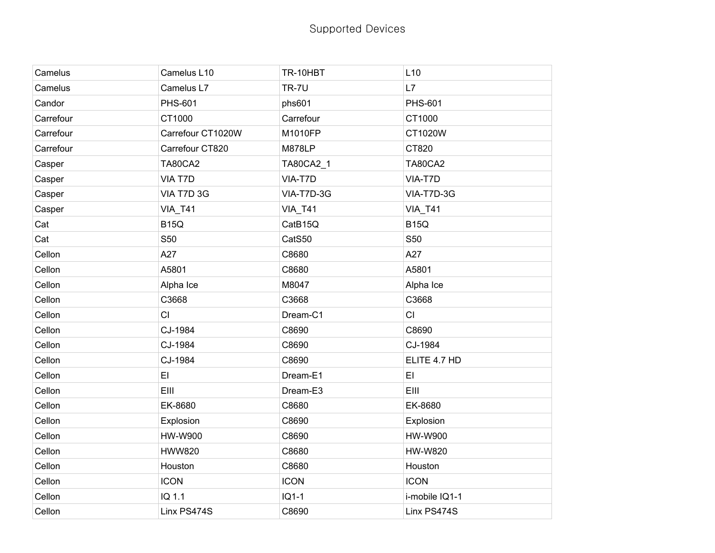| Camelus   | Camelus L10       | TR-10HBT       | L10            |
|-----------|-------------------|----------------|----------------|
| Camelus   | Camelus L7        | <b>TR-7U</b>   | L7             |
| Candor    | <b>PHS-601</b>    | phs601         | <b>PHS-601</b> |
| Carrefour | CT1000            | Carrefour      | CT1000         |
| Carrefour | Carrefour CT1020W | M1010FP        | CT1020W        |
| Carrefour | Carrefour CT820   | <b>M878LP</b>  | CT820          |
| Casper    | <b>TA80CA2</b>    | TA80CA2_1      | <b>TA80CA2</b> |
| Casper    | VIA T7D           | VIA-T7D        | VIA-T7D        |
| Casper    | VIA T7D 3G        | VIA-T7D-3G     | VIA-T7D-3G     |
| Casper    | VIA_T41           | <b>VIA_T41</b> | VIA_T41        |
| Cat       | <b>B15Q</b>       | CatB15Q        | <b>B15Q</b>    |
| Cat       | S50               | CatS50         | S50            |
| Cellon    | A27               | C8680          | A27            |
| Cellon    | A5801             | C8680          | A5801          |
| Cellon    | Alpha Ice         | M8047          | Alpha Ice      |
| Cellon    | C3668             | C3668          | C3668          |
| Cellon    | CI                | Dream-C1       | CI             |
| Cellon    | CJ-1984           | C8690          | C8690          |
| Cellon    | CJ-1984           | C8690          | CJ-1984        |
| Cellon    | CJ-1984           | C8690          | ELITE 4.7 HD   |
| Cellon    | EI                | Dream-E1       | E1             |
| Cellon    | EIII              | Dream-E3       | EIII           |
| Cellon    | EK-8680           | C8680          | EK-8680        |
| Cellon    | Explosion         | C8690          | Explosion      |
| Cellon    | HW-W900           | C8690          | HW-W900        |
| Cellon    | <b>HWW820</b>     | C8680          | <b>HW-W820</b> |
| Cellon    | Houston           | C8680          | Houston        |
| Cellon    | <b>ICON</b>       | <b>ICON</b>    | <b>ICON</b>    |
| Cellon    | IQ 1.1            | $IQ1-1$        | i-mobile IQ1-1 |
| Cellon    | Linx PS474S       | C8690          | Linx PS474S    |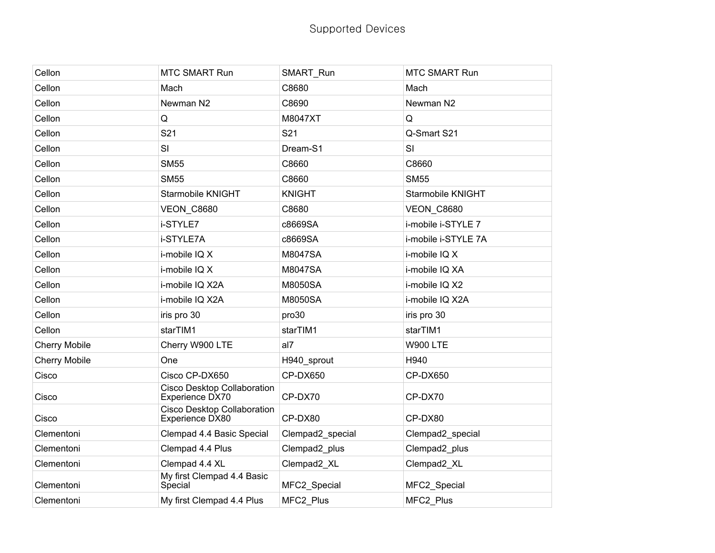| Cellon               | <b>MTC SMART Run</b>                                  | SMART_Run        | <b>MTC SMART Run</b> |
|----------------------|-------------------------------------------------------|------------------|----------------------|
| Cellon               | Mach                                                  | C8680            | Mach                 |
| Cellon               | Newman N2                                             | C8690            | Newman N2            |
| Cellon               | Q                                                     | M8047XT          | Q                    |
| Cellon               | S21                                                   | S21              | Q-Smart S21          |
| Cellon               | SI                                                    | Dream-S1         | SI                   |
| Cellon               | <b>SM55</b>                                           | C8660            | C8660                |
| Cellon               | <b>SM55</b>                                           | C8660            | <b>SM55</b>          |
| Cellon               | Starmobile KNIGHT                                     | <b>KNIGHT</b>    | Starmobile KNIGHT    |
| Cellon               | <b>VEON_C8680</b>                                     | C8680            | <b>VEON_C8680</b>    |
| Cellon               | i-STYLE7                                              | c8669SA          | i-mobile i-STYLE 7   |
| Cellon               | i-STYLE7A                                             | c8669SA          | i-mobile i-STYLE 7A  |
| Cellon               | i-mobile IQ X                                         | M8047SA          | i-mobile IQ X        |
| Cellon               | i-mobile IQ X                                         | M8047SA          | i-mobile IQ XA       |
| Cellon               | i-mobile IQ X2A                                       | M8050SA          | i-mobile IQ X2       |
| Cellon               | i-mobile IQ X2A                                       | M8050SA          | i-mobile IQ X2A      |
| Cellon               | iris pro 30                                           | pro30            | iris pro 30          |
| Cellon               | starTIM1                                              | starTIM1         | starTIM1             |
| <b>Cherry Mobile</b> | Cherry W900 LTE                                       | al7              | <b>W900 LTE</b>      |
| <b>Cherry Mobile</b> | One                                                   | H940_sprout      | H940                 |
| Cisco                | Cisco CP-DX650                                        | CP-DX650         | CP-DX650             |
| Cisco                | Cisco Desktop Collaboration<br>Experience DX70        | CP-DX70          | CP-DX70              |
| Cisco                | <b>Cisco Desktop Collaboration</b><br>Experience DX80 | CP-DX80          | CP-DX80              |
| Clementoni           | Clempad 4.4 Basic Special                             | Clempad2_special | Clempad2_special     |
| Clementoni           | Clempad 4.4 Plus                                      | Clempad2 plus    | Clempad2_plus        |
| Clementoni           | Clempad 4.4 XL                                        | Clempad2_XL      | Clempad2_XL          |
| Clementoni           | My first Clempad 4.4 Basic<br>Special                 | MFC2_Special     | MFC2_Special         |
| Clementoni           | My first Clempad 4.4 Plus                             | MFC2_Plus        | MFC2 Plus            |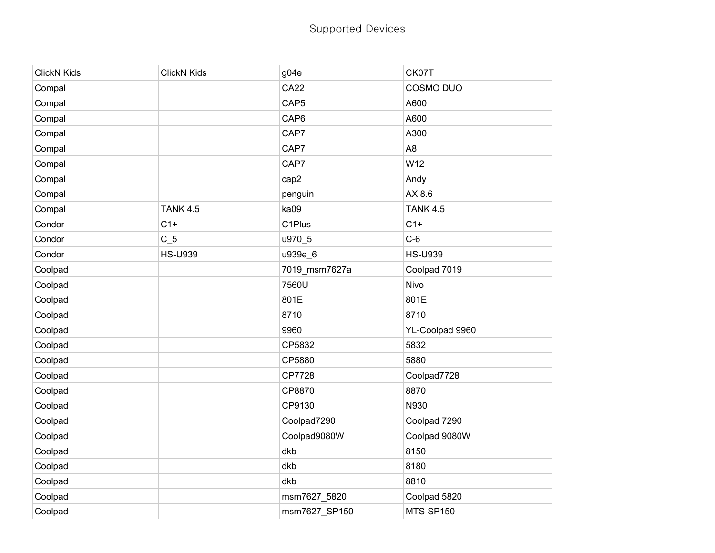| <b>ClickN Kids</b> | <b>ClickN Kids</b> | g04e                | CK07T           |
|--------------------|--------------------|---------------------|-----------------|
| Compal             |                    | <b>CA22</b>         | COSMO DUO       |
| Compal             |                    | CAP <sub>5</sub>    | A600            |
| Compal             |                    | CAP6                | A600            |
| Compal             |                    | CAP7                | A300            |
| Compal             |                    | CAP7                | A <sub>8</sub>  |
| Compal             |                    | CAP7                | W12             |
| Compal             |                    | cap2                | Andy            |
| Compal             |                    | penguin             | AX 8.6          |
| Compal             | <b>TANK 4.5</b>    | ka09                | <b>TANK 4.5</b> |
| Condor             | $C1+$              | C <sub>1</sub> Plus | $C1+$           |
| Condor             | $C_5$              | u970_5              | $C-6$           |
| Condor             | <b>HS-U939</b>     | u939e_6             | <b>HS-U939</b>  |
| Coolpad            |                    | 7019_msm7627a       | Coolpad 7019    |
| Coolpad            |                    | 7560U               | Nivo            |
| Coolpad            |                    | 801E                | 801E            |
| Coolpad            |                    | 8710                | 8710            |
| Coolpad            |                    | 9960                | YL-Coolpad 9960 |
| Coolpad            |                    | CP5832              | 5832            |
| Coolpad            |                    | CP5880              | 5880            |
| Coolpad            |                    | CP7728              | Coolpad7728     |
| Coolpad            |                    | CP8870              | 8870            |
| Coolpad            |                    | CP9130              | N930            |
| Coolpad            |                    | Coolpad7290         | Coolpad 7290    |
| Coolpad            |                    | Coolpad9080W        | Coolpad 9080W   |
| Coolpad            |                    | dkb                 | 8150            |
| Coolpad            |                    | dkb                 | 8180            |
| Coolpad            |                    | dkb                 | 8810            |
| Coolpad            |                    | msm7627_5820        | Coolpad 5820    |
| Coolpad            |                    | msm7627_SP150       | MTS-SP150       |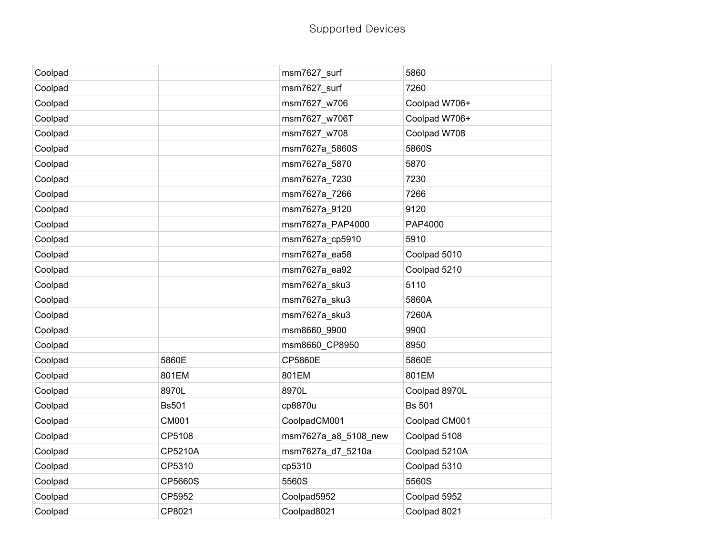| Coolpad |              | msm7627_surf         | 5860          |
|---------|--------------|----------------------|---------------|
| Coolpad |              | msm7627 surf         | 7260          |
| Coolpad |              | msm7627_w706         | Coolpad W706+ |
| Coolpad |              | msm7627_w706T        | Coolpad W706+ |
| Coolpad |              | msm7627 w708         | Coolpad W708  |
| Coolpad |              | msm7627a 5860S       | 5860S         |
| Coolpad |              | msm7627a_5870        | 5870          |
| Coolpad |              | msm7627a_7230        | 7230          |
| Coolpad |              | msm7627a 7266        | 7266          |
| Coolpad |              | msm7627a_9120        | 9120          |
| Coolpad |              | msm7627a_PAP4000     | PAP4000       |
| Coolpad |              | msm7627a_cp5910      | 5910          |
| Coolpad |              | msm7627a_ea58        | Coolpad 5010  |
| Coolpad |              | msm7627a_ea92        | Coolpad 5210  |
| Coolpad |              | msm7627a_sku3        | 5110          |
| Coolpad |              | msm7627a_sku3        | 5860A         |
| Coolpad |              | msm7627a sku3        | 7260A         |
| Coolpad |              | msm8660_9900         | 9900          |
| Coolpad |              | msm8660_CP8950       | 8950          |
| Coolpad | 5860E        | <b>CP5860E</b>       | 5860E         |
| Coolpad | 801EM        | 801EM                | 801EM         |
| Coolpad | 8970L        | 8970L                | Coolpad 8970L |
| Coolpad | <b>Bs501</b> | cp8870u              | <b>Bs 501</b> |
| Coolpad | <b>CM001</b> | CoolpadCM001         | Coolpad CM001 |
| Coolpad | CP5108       | msm7627a_a8_5108_new | Coolpad 5108  |
| Coolpad | CP5210A      | msm7627a_d7_5210a    | Coolpad 5210A |
| Coolpad | CP5310       | cp5310               | Coolpad 5310  |
| Coolpad | CP5660S      | 5560S                | 5560S         |
| Coolpad | CP5952       | Coolpad5952          | Coolpad 5952  |
| Coolpad | CP8021       | Coolpad8021          | Coolpad 8021  |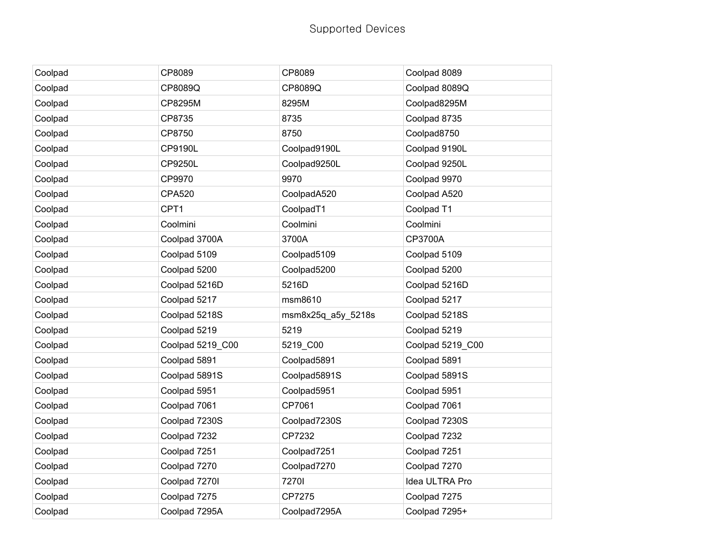| Coolpad | CP8089           | CP8089             | Coolpad 8089     |
|---------|------------------|--------------------|------------------|
| Coolpad | CP8089Q          | CP8089Q            | Coolpad 8089Q    |
| Coolpad | CP8295M          | 8295M              | Coolpad8295M     |
| Coolpad | CP8735           | 8735               | Coolpad 8735     |
| Coolpad | CP8750           | 8750               | Coolpad8750      |
| Coolpad | CP9190L          | Coolpad9190L       | Coolpad 9190L    |
| Coolpad | CP9250L          | Coolpad9250L       | Coolpad 9250L    |
| Coolpad | CP9970           | 9970               | Coolpad 9970     |
| Coolpad | <b>CPA520</b>    | CoolpadA520        | Coolpad A520     |
| Coolpad | CPT1             | CoolpadT1          | Coolpad T1       |
| Coolpad | Coolmini         | Coolmini           | Coolmini         |
| Coolpad | Coolpad 3700A    | 3700A              | CP3700A          |
| Coolpad | Coolpad 5109     | Coolpad5109        | Coolpad 5109     |
| Coolpad | Coolpad 5200     | Coolpad5200        | Coolpad 5200     |
| Coolpad | Coolpad 5216D    | 5216D              | Coolpad 5216D    |
| Coolpad | Coolpad 5217     | msm8610            | Coolpad 5217     |
| Coolpad | Coolpad 5218S    | msm8x25q_a5y_5218s | Coolpad 5218S    |
| Coolpad | Coolpad 5219     | 5219               | Coolpad 5219     |
| Coolpad | Coolpad 5219 C00 | 5219_C00           | Coolpad 5219 C00 |
| Coolpad | Coolpad 5891     | Coolpad5891        | Coolpad 5891     |
| Coolpad | Coolpad 5891S    | Coolpad5891S       | Coolpad 5891S    |
| Coolpad | Coolpad 5951     | Coolpad5951        | Coolpad 5951     |
| Coolpad | Coolpad 7061     | CP7061             | Coolpad 7061     |
| Coolpad | Coolpad 7230S    | Coolpad7230S       | Coolpad 7230S    |
| Coolpad | Coolpad 7232     | CP7232             | Coolpad 7232     |
| Coolpad | Coolpad 7251     | Coolpad7251        | Coolpad 7251     |
| Coolpad | Coolpad 7270     | Coolpad7270        | Coolpad 7270     |
| Coolpad | Coolpad 7270I    | 72701              | Idea ULTRA Pro   |
| Coolpad | Coolpad 7275     | CP7275             | Coolpad 7275     |
| Coolpad | Coolpad 7295A    | Coolpad7295A       | Coolpad 7295+    |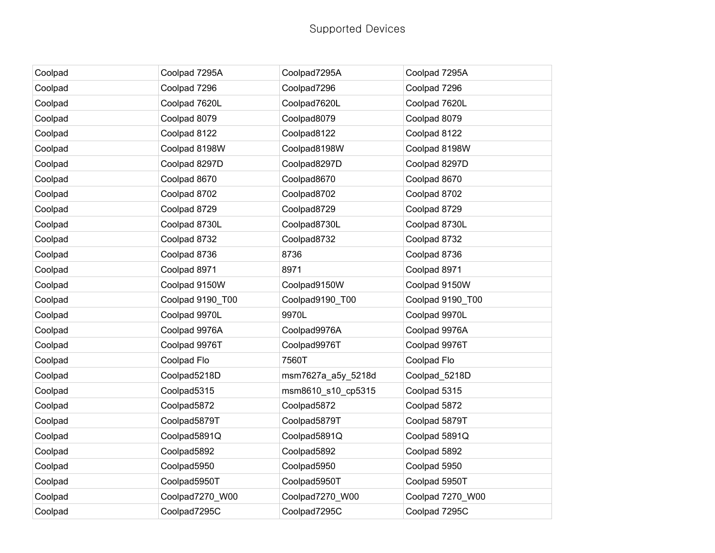| Coolpad | Coolpad 7295A    | Coolpad7295A       | Coolpad 7295A    |
|---------|------------------|--------------------|------------------|
| Coolpad | Coolpad 7296     | Coolpad7296        | Coolpad 7296     |
| Coolpad | Coolpad 7620L    | Coolpad7620L       | Coolpad 7620L    |
| Coolpad | Coolpad 8079     | Coolpad8079        | Coolpad 8079     |
| Coolpad | Coolpad 8122     | Coolpad8122        | Coolpad 8122     |
| Coolpad | Coolpad 8198W    | Coolpad8198W       | Coolpad 8198W    |
| Coolpad | Coolpad 8297D    | Coolpad8297D       | Coolpad 8297D    |
| Coolpad | Coolpad 8670     | Coolpad8670        | Coolpad 8670     |
| Coolpad | Coolpad 8702     | Coolpad8702        | Coolpad 8702     |
| Coolpad | Coolpad 8729     | Coolpad8729        | Coolpad 8729     |
| Coolpad | Coolpad 8730L    | Coolpad8730L       | Coolpad 8730L    |
| Coolpad | Coolpad 8732     | Coolpad8732        | Coolpad 8732     |
| Coolpad | Coolpad 8736     | 8736               | Coolpad 8736     |
| Coolpad | Coolpad 8971     | 8971               | Coolpad 8971     |
| Coolpad | Coolpad 9150W    | Coolpad9150W       | Coolpad 9150W    |
| Coolpad | Coolpad 9190_T00 | Coolpad9190_T00    | Coolpad 9190_T00 |
| Coolpad | Coolpad 9970L    | 9970L              | Coolpad 9970L    |
| Coolpad | Coolpad 9976A    | Coolpad9976A       | Coolpad 9976A    |
| Coolpad | Coolpad 9976T    | Coolpad9976T       | Coolpad 9976T    |
| Coolpad | Coolpad Flo      | 7560T              | Coolpad Flo      |
| Coolpad | Coolpad5218D     | msm7627a_a5y_5218d | Coolpad_5218D    |
| Coolpad | Coolpad5315      | msm8610_s10_cp5315 | Coolpad 5315     |
| Coolpad | Coolpad5872      | Coolpad5872        | Coolpad 5872     |
| Coolpad | Coolpad5879T     | Coolpad5879T       | Coolpad 5879T    |
| Coolpad | Coolpad5891Q     | Coolpad5891Q       | Coolpad 5891Q    |
| Coolpad | Coolpad5892      | Coolpad5892        | Coolpad 5892     |
| Coolpad | Coolpad5950      | Coolpad5950        | Coolpad 5950     |
| Coolpad | Coolpad5950T     | Coolpad5950T       | Coolpad 5950T    |
| Coolpad | Coolpad7270 W00  | Coolpad7270 W00    | Coolpad 7270_W00 |
| Coolpad | Coolpad7295C     | Coolpad7295C       | Coolpad 7295C    |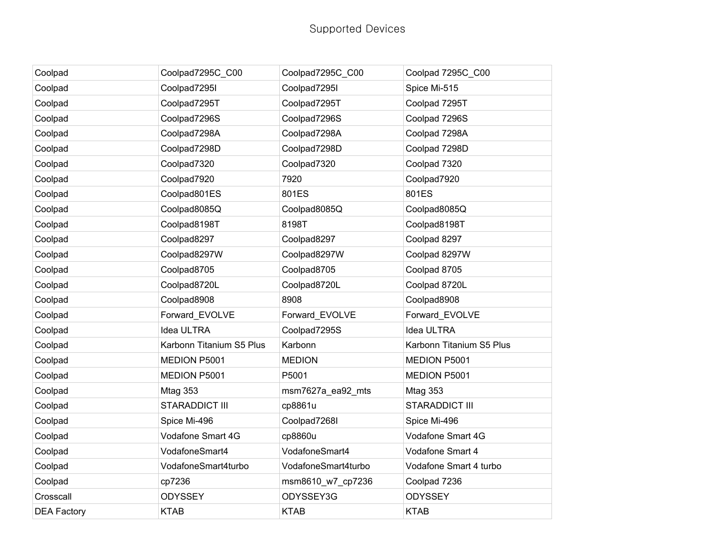| Coolpad            | Coolpad7295C_C00         | Coolpad7295C_C00    | Coolpad 7295C_C00        |
|--------------------|--------------------------|---------------------|--------------------------|
| Coolpad            | Coolpad7295I             | Coolpad7295I        | Spice Mi-515             |
| Coolpad            | Coolpad7295T             | Coolpad7295T        | Coolpad 7295T            |
| Coolpad            | Coolpad7296S             | Coolpad7296S        | Coolpad 7296S            |
| Coolpad            | Coolpad7298A             | Coolpad7298A        | Coolpad 7298A            |
| Coolpad            | Coolpad7298D             | Coolpad7298D        | Coolpad 7298D            |
| Coolpad            | Coolpad7320              | Coolpad7320         | Coolpad 7320             |
| Coolpad            | Coolpad7920              | 7920                | Coolpad7920              |
| Coolpad            | Coolpad801ES             | 801ES               | 801ES                    |
| Coolpad            | Coolpad8085Q             | Coolpad8085Q        | Coolpad8085Q             |
| Coolpad            | Coolpad8198T             | 8198T               | Coolpad8198T             |
| Coolpad            | Coolpad8297              | Coolpad8297         | Coolpad 8297             |
| Coolpad            | Coolpad8297W             | Coolpad8297W        | Coolpad 8297W            |
| Coolpad            | Coolpad8705              | Coolpad8705         | Coolpad 8705             |
| Coolpad            | Coolpad8720L             | Coolpad8720L        | Coolpad 8720L            |
| Coolpad            | Coolpad8908              | 8908                | Coolpad8908              |
| Coolpad            | Forward_EVOLVE           | Forward_EVOLVE      | Forward_EVOLVE           |
| Coolpad            | Idea ULTRA               | Coolpad7295S        | Idea ULTRA               |
| Coolpad            | Karbonn Titanium S5 Plus | Karbonn             | Karbonn Titanium S5 Plus |
| Coolpad            | MEDION P5001             | <b>MEDION</b>       | MEDION P5001             |
| Coolpad            | MEDION P5001             | P5001               | MEDION P5001             |
| Coolpad            | Mtag 353                 | msm7627a_ea92_mts   | Mtag 353                 |
| Coolpad            | <b>STARADDICT III</b>    | cp8861u             | <b>STARADDICT III</b>    |
| Coolpad            | Spice Mi-496             | Coolpad7268I        | Spice Mi-496             |
| Coolpad            | Vodafone Smart 4G        | cp8860u             | Vodafone Smart 4G        |
| Coolpad            | VodafoneSmart4           | VodafoneSmart4      | Vodafone Smart 4         |
| Coolpad            | VodafoneSmart4turbo      | VodafoneSmart4turbo | Vodafone Smart 4 turbo   |
| Coolpad            | cp7236                   | msm8610_w7_cp7236   | Coolpad 7236             |
| Crosscall          | <b>ODYSSEY</b>           | ODYSSEY3G           | <b>ODYSSEY</b>           |
| <b>DEA Factory</b> | <b>KTAB</b>              | <b>KTAB</b>         | <b>KTAB</b>              |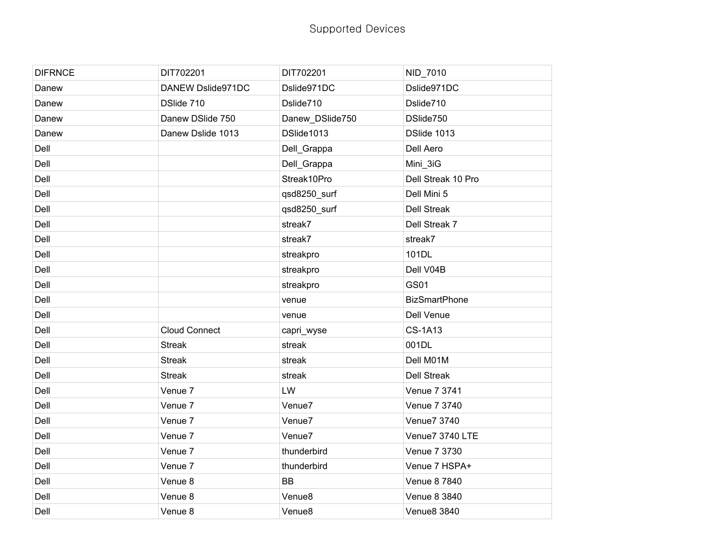| <b>DIFRNCE</b> | DIT702201            | DIT702201          | NID_7010             |
|----------------|----------------------|--------------------|----------------------|
| Danew          | DANEW Dslide971DC    | Dslide971DC        | Dslide971DC          |
| Danew          | DSlide 710           | Dslide710          | Dslide710            |
| Danew          | Danew DSlide 750     | Danew_DSlide750    | DSlide750            |
| Danew          | Danew Dslide 1013    | DSlide1013         | DSlide 1013          |
| Dell           |                      | Dell_Grappa        | Dell Aero            |
| Dell           |                      | Dell_Grappa        | Mini_3iG             |
| Dell           |                      | Streak10Pro        | Dell Streak 10 Pro   |
| Dell           |                      | qsd8250_surf       | Dell Mini 5          |
| Dell           |                      | qsd8250_surf       | <b>Dell Streak</b>   |
| Dell           |                      | streak7            | Dell Streak 7        |
| Dell           |                      | streak7            | streak7              |
| Dell           |                      | streakpro          | 101DL                |
| Dell           |                      | streakpro          | Dell V04B            |
| Dell           |                      | streakpro          | <b>GS01</b>          |
| Dell           |                      | venue              | <b>BizSmartPhone</b> |
| Dell           |                      | venue              | Dell Venue           |
| Dell           | <b>Cloud Connect</b> | capri_wyse         | <b>CS-1A13</b>       |
| Dell           | <b>Streak</b>        | streak             | 001DL                |
| Dell           | <b>Streak</b>        | streak             | Dell M01M            |
| Dell           | <b>Streak</b>        | streak             | <b>Dell Streak</b>   |
| Dell           | Venue 7              | LW                 | Venue 7 3741         |
| Dell           | Venue 7              | Venue7             | Venue 7 3740         |
| Dell           | Venue 7              | Venue7             | Venue7 3740          |
| Dell           | Venue 7              | Venue7             | Venue7 3740 LTE      |
| Dell           | Venue 7              | thunderbird        | Venue 7 3730         |
| Dell           | Venue 7              | thunderbird        | Venue 7 HSPA+        |
| Dell           | Venue 8              | <b>BB</b>          | Venue 8 7840         |
| Dell           | Venue 8              | Venue8             | Venue 8 3840         |
| Dell           | Venue 8              | Venue <sub>8</sub> | <b>Venue8 3840</b>   |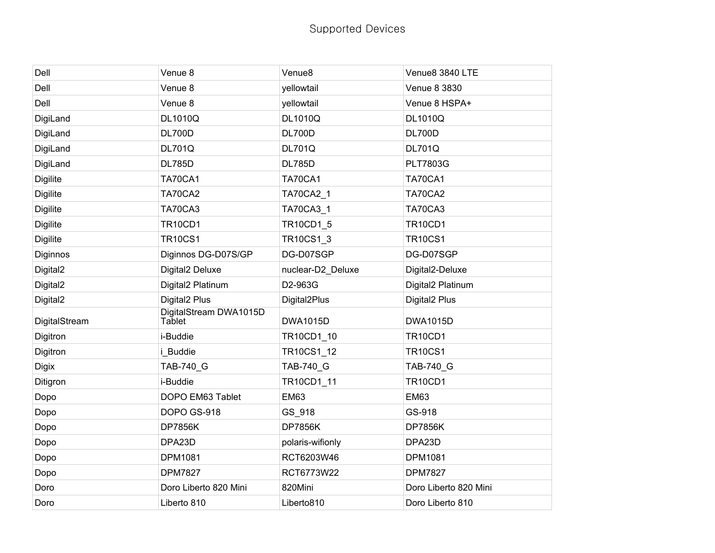| Dell                 | Venue 8                          | Venue <sub>8</sub> | Venue8 3840 LTE           |
|----------------------|----------------------------------|--------------------|---------------------------|
| Dell                 | Venue 8                          | yellowtail         | Venue 8 3830              |
| Dell                 | Venue 8                          | yellowtail         | Venue 8 HSPA+             |
| DigiLand             | <b>DL1010Q</b>                   | <b>DL1010Q</b>     | <b>DL1010Q</b>            |
| DigiLand             | <b>DL700D</b>                    | <b>DL700D</b>      | <b>DL700D</b>             |
| DigiLand             | <b>DL701Q</b>                    | <b>DL701Q</b>      | <b>DL701Q</b>             |
| DigiLand             | <b>DL785D</b>                    | <b>DL785D</b>      | <b>PLT7803G</b>           |
| <b>Digilite</b>      | <b>TA70CA1</b>                   | <b>TA70CA1</b>     | <b>TA70CA1</b>            |
| <b>Digilite</b>      | TA70CA2                          | <b>TA70CA2 1</b>   | TA70CA2                   |
| <b>Digilite</b>      | TA70CA3                          | TA70CA3_1          | TA70CA3                   |
| <b>Digilite</b>      | <b>TR10CD1</b>                   | TR10CD1_5          | <b>TR10CD1</b>            |
| <b>Digilite</b>      | <b>TR10CS1</b>                   | TR10CS1_3          | <b>TR10CS1</b>            |
| Diginnos             | Diginnos DG-D07S/GP              | DG-D07SGP          | DG-D07SGP                 |
| Digital <sub>2</sub> | Digital2 Deluxe                  | nuclear-D2_Deluxe  | Digital2-Deluxe           |
| Digital <sub>2</sub> | Digital2 Platinum                | D2-963G            | Digital2 Platinum         |
| Digital <sub>2</sub> | Digital <sub>2</sub> Plus        | Digital2Plus       | Digital <sub>2</sub> Plus |
| DigitalStream        | DigitalStream DWA1015D<br>Tablet | <b>DWA1015D</b>    | <b>DWA1015D</b>           |
| Digitron             | i-Buddie                         | TR10CD1_10         | <b>TR10CD1</b>            |
| Digitron             | i_Buddie                         | TR10CS1_12         | <b>TR10CS1</b>            |
| <b>Digix</b>         | TAB-740 G                        | TAB-740_G          | <b>TAB-740 G</b>          |
| Ditigron             | i-Buddie                         | TR10CD1_11         | <b>TR10CD1</b>            |
| Dopo                 | DOPO EM63 Tablet                 | <b>EM63</b>        | <b>EM63</b>               |
| Dopo                 | DOPO GS-918                      | GS_918             | GS-918                    |
| Dopo                 | <b>DP7856K</b>                   | <b>DP7856K</b>     | <b>DP7856K</b>            |
| Dopo                 | DPA23D                           | polaris-wifionly   | DPA23D                    |
| Dopo                 | DPM1081                          | RCT6203W46         | DPM1081                   |
| Dopo                 | <b>DPM7827</b>                   | RCT6773W22         | <b>DPM7827</b>            |
| Doro                 | Doro Liberto 820 Mini            | 820Mini            | Doro Liberto 820 Mini     |
| Doro                 | Liberto 810                      | Liberto810         | Doro Liberto 810          |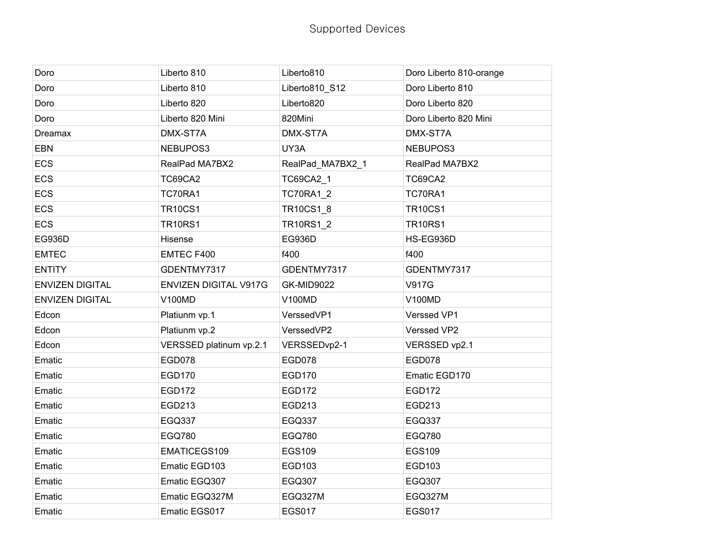| Doro                   | Liberto 810                  | Liberto810        | Doro Liberto 810-orange |
|------------------------|------------------------------|-------------------|-------------------------|
| Doro                   | Liberto 810                  | Liberto810 S12    | Doro Liberto 810        |
| Doro                   | Liberto 820                  | Liberto820        | Doro Liberto 820        |
| Doro                   | Liberto 820 Mini             | 820Mini           | Doro Liberto 820 Mini   |
| Dreamax                | DMX-ST7A                     | DMX-ST7A          | DMX-ST7A                |
| <b>EBN</b>             | NEBUPOS3                     | UY3A              | NEBUPOS3                |
| <b>ECS</b>             | RealPad MA7BX2               | RealPad_MA7BX2_1  | RealPad MA7BX2          |
| <b>ECS</b>             | <b>TC69CA2</b>               | TC69CA2_1         | <b>TC69CA2</b>          |
| <b>ECS</b>             | TC70RA1                      | <b>TC70RA1 2</b>  | TC70RA1                 |
| ECS                    | <b>TR10CS1</b>               | TR10CS1_8         | <b>TR10CS1</b>          |
| <b>ECS</b>             | <b>TR10RS1</b>               | TR10RS1_2         | <b>TR10RS1</b>          |
| EG936D                 | Hisense                      | EG936D            | HS-EG936D               |
| <b>EMTEC</b>           | EMTEC F400                   | f400              | f400                    |
| <b>ENTITY</b>          | GDENTMY7317                  | GDENTMY7317       | GDENTMY7317             |
| <b>ENVIZEN DIGITAL</b> | <b>ENVIZEN DIGITAL V917G</b> | <b>GK-MID9022</b> | <b>V917G</b>            |
| <b>ENVIZEN DIGITAL</b> | <b>V100MD</b>                | <b>V100MD</b>     | <b>V100MD</b>           |
| Edcon                  | Platiunm vp.1                | VerssedVP1        | Verssed VP1             |
| Edcon                  | Platiunm vp.2                | VerssedVP2        | Verssed VP2             |
| Edcon                  | VERSSED platinum vp.2.1      | VERSSEDvp2-1      | VERSSED vp2.1           |
| Ematic                 | <b>EGD078</b>                | <b>EGD078</b>     | <b>EGD078</b>           |
| Ematic                 | EGD170                       | <b>EGD170</b>     | Ematic EGD170           |
| Ematic                 | <b>EGD172</b>                | <b>EGD172</b>     | <b>EGD172</b>           |
| Ematic                 | EGD213                       | EGD213            | EGD213                  |
| Ematic                 | <b>EGQ337</b>                | <b>EGQ337</b>     | <b>EGQ337</b>           |
| Ematic                 | <b>EGQ780</b>                | <b>EGQ780</b>     | <b>EGQ780</b>           |
| Ematic                 | EMATICEGS109                 | <b>EGS109</b>     | <b>EGS109</b>           |
| Ematic                 | Ematic EGD103                | EGD103            | EGD103                  |
| Ematic                 | Ematic EGQ307                | <b>EGQ307</b>     | EGQ307                  |
| Ematic                 | Ematic EGQ327M               | EGQ327M           | EGQ327M                 |
| Ematic                 | Ematic EGS017                | <b>EGS017</b>     | <b>EGS017</b>           |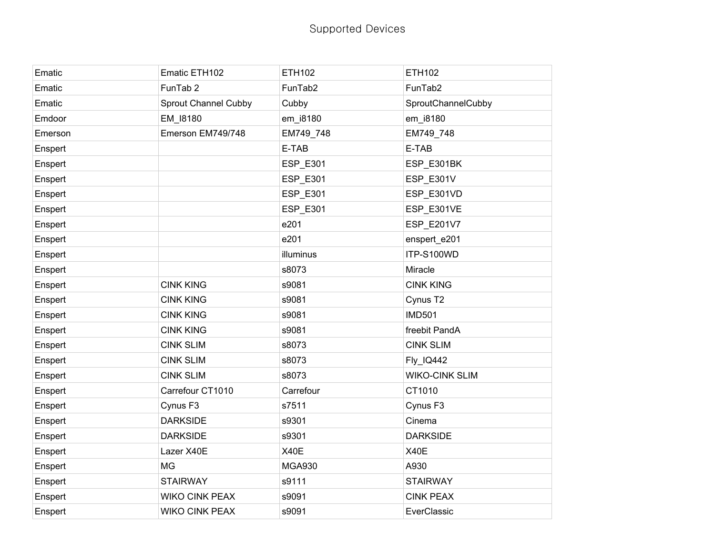| Ematic  | Ematic ETH102         | <b>ETH102</b> | <b>ETH102</b>         |
|---------|-----------------------|---------------|-----------------------|
| Ematic  | FunTab <sub>2</sub>   | FunTab2       | FunTab2               |
| Ematic  | Sprout Channel Cubby  | Cubby         | SproutChannelCubby    |
| Emdoor  | EM_I8180              | em_i8180      | em_i8180              |
| Emerson | Emerson EM749/748     | EM749_748     | EM749_748             |
| Enspert |                       | E-TAB         | E-TAB                 |
| Enspert |                       | ESP_E301      | ESP_E301BK            |
| Enspert |                       | ESP_E301      | ESP_E301V             |
| Enspert |                       | ESP_E301      | ESP E301VD            |
| Enspert |                       | ESP_E301      | ESP_E301VE            |
| Enspert |                       | e201          | ESP_E201V7            |
| Enspert |                       | e201          | enspert_e201          |
| Enspert |                       | illuminus     | ITP-S100WD            |
| Enspert |                       | s8073         | Miracle               |
| Enspert | <b>CINK KING</b>      | s9081         | <b>CINK KING</b>      |
| Enspert | <b>CINK KING</b>      | s9081         | Cynus T2              |
| Enspert | <b>CINK KING</b>      | s9081         | <b>IMD501</b>         |
| Enspert | <b>CINK KING</b>      | s9081         | freebit PandA         |
| Enspert | <b>CINK SLIM</b>      | s8073         | <b>CINK SLIM</b>      |
| Enspert | <b>CINK SLIM</b>      | s8073         | Fly_IQ442             |
| Enspert | <b>CINK SLIM</b>      | s8073         | <b>WIKO-CINK SLIM</b> |
| Enspert | Carrefour CT1010      | Carrefour     | CT1010                |
| Enspert | Cynus F <sub>3</sub>  | s7511         | Cynus F3              |
| Enspert | <b>DARKSIDE</b>       | s9301         | Cinema                |
| Enspert | <b>DARKSIDE</b>       | s9301         | <b>DARKSIDE</b>       |
| Enspert | Lazer X40E            | <b>X40E</b>   | X40E                  |
| Enspert | <b>MG</b>             | <b>MGA930</b> | A930                  |
| Enspert | <b>STAIRWAY</b>       | s9111         | <b>STAIRWAY</b>       |
| Enspert | <b>WIKO CINK PEAX</b> | s9091         | <b>CINK PEAX</b>      |
| Enspert | <b>WIKO CINK PEAX</b> | s9091         | EverClassic           |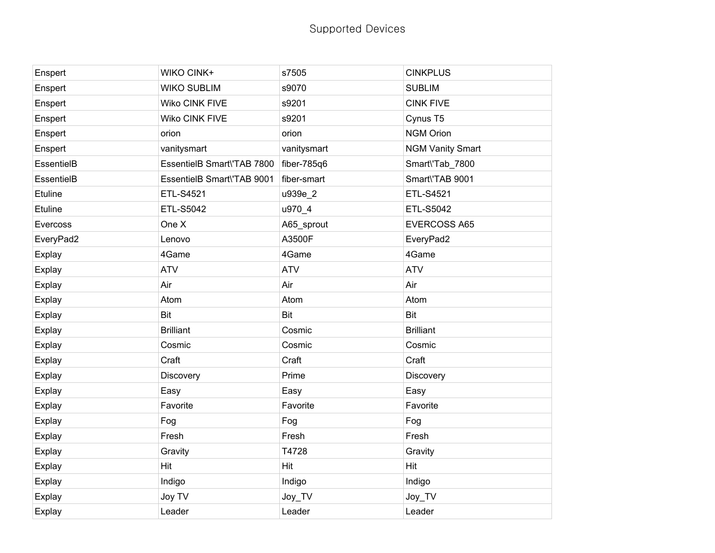| Enspert       | <b>WIKO CINK+</b>          | s7505       | <b>CINKPLUS</b>         |
|---------------|----------------------------|-------------|-------------------------|
| Enspert       | <b>WIKO SUBLIM</b>         | s9070       | <b>SUBLIM</b>           |
| Enspert       | Wiko CINK FIVE             | s9201       | <b>CINK FIVE</b>        |
| Enspert       | Wiko CINK FIVE             | s9201       | Cynus T5                |
| Enspert       | orion                      | orion       | <b>NGM Orion</b>        |
| Enspert       | vanitysmart                | vanitysmart | <b>NGM Vanity Smart</b> |
| EssentielB    | EssentielB Smart\'TAB 7800 | fiber-785q6 | Smart\'Tab_7800         |
| EssentielB    | EssentielB Smart\'TAB 9001 | fiber-smart | Smart\'TAB 9001         |
| Etuline       | ETL-S4521                  | u939e_2     | ETL-S4521               |
| Etuline       | <b>ETL-S5042</b>           | u970_4      | ETL-S5042               |
| Evercoss      | One X                      | A65_sprout  | <b>EVERCOSS A65</b>     |
| EveryPad2     | Lenovo                     | A3500F      | EveryPad2               |
| Explay        | 4Game                      | 4Game       | 4Game                   |
| Explay        | <b>ATV</b>                 | <b>ATV</b>  | <b>ATV</b>              |
| Explay        | Air                        | Air         | Air                     |
| Explay        | Atom                       | Atom        | Atom                    |
| Explay        | Bit                        | <b>Bit</b>  | <b>Bit</b>              |
| Explay        | <b>Brilliant</b>           | Cosmic      | <b>Brilliant</b>        |
| Explay        | Cosmic                     | Cosmic      | Cosmic                  |
| Explay        | Craft                      | Craft       | Craft                   |
| Explay        | Discovery                  | Prime       | Discovery               |
| Explay        | Easy                       | Easy        | Easy                    |
| Explay        | Favorite                   | Favorite    | Favorite                |
| Explay        | Fog                        | Fog         | Fog                     |
| <b>Explay</b> | Fresh                      | Fresh       | Fresh                   |
| Explay        | Gravity                    | T4728       | Gravity                 |
| Explay        | <b>Hit</b>                 | Hit         | Hit                     |
| Explay        | Indigo                     | Indigo      | Indigo                  |
| Explay        | Joy TV                     | Joy_TV      | Joy_TV                  |
| Explay        | Leader                     | Leader      | Leader                  |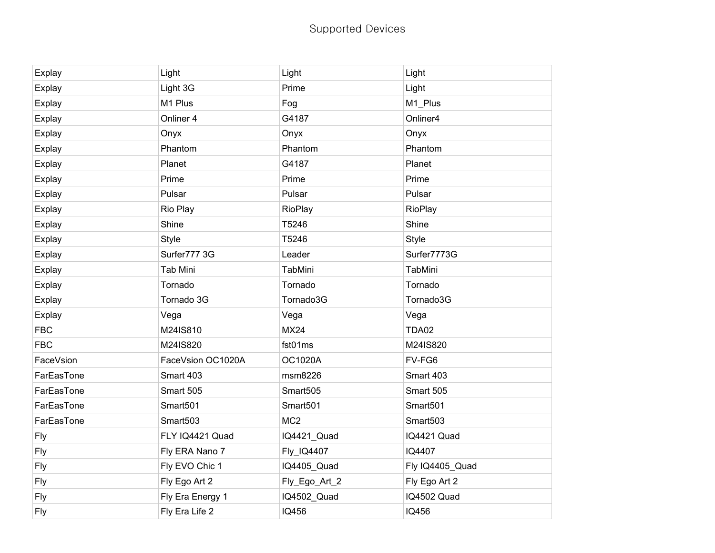## Supported Devices

| <b>Explay</b> | Light             | Light           | Light           |
|---------------|-------------------|-----------------|-----------------|
| Explay        | Light 3G          | Prime           | Light           |
| Explay        | M1 Plus           | Fog             | M1_Plus         |
| Explay        | Onliner 4         | G4187           | Onliner4        |
| Explay        | Onyx              | Onyx            | Onyx            |
| Explay        | Phantom           | Phantom         | Phantom         |
| Explay        | Planet            | G4187           | Planet          |
| Explay        | Prime             | Prime           | Prime           |
| Explay        | Pulsar            | Pulsar          | Pulsar          |
| Explay        | Rio Play          | RioPlay         | RioPlay         |
| Explay        | Shine             | T5246           | Shine           |
| Explay        | <b>Style</b>      | T5246           | <b>Style</b>    |
| Explay        | Surfer777 3G      | Leader          | Surfer7773G     |
| Explay        | <b>Tab Mini</b>   | TabMini         | TabMini         |
| Explay        | Tornado           | Tornado         | Tornado         |
| Explay        | Tornado 3G        | Tornado3G       | Tornado3G       |
| Explay        | Vega              | Vega            | Vega            |
| <b>FBC</b>    | M24IS810          | <b>MX24</b>     | <b>TDA02</b>    |
| <b>FBC</b>    | M24IS820          | fst01ms         | M24IS820        |
| FaceVsion     | FaceVsion OC1020A | <b>OC1020A</b>  | FV-FG6          |
| FarEasTone    | Smart 403         | msm8226         | Smart 403       |
| FarEasTone    | Smart 505         | Smart505        | Smart 505       |
| FarEasTone    | Smart501          | Smart501        | Smart501        |
| FarEasTone    | Smart503          | MC <sub>2</sub> | Smart503        |
| <b>Fly</b>    | FLY IQ4421 Quad   | IQ4421_Quad     | IQ4421 Quad     |
| Fly           | Fly ERA Nano 7    | Fly_IQ4407      | IQ4407          |
| <b>Fly</b>    | Fly EVO Chic 1    | IQ4405_Quad     | Fly IQ4405_Quad |
| Fly           | Fly Ego Art 2     | Fly_Ego_Art_2   | Fly Ego Art 2   |
| Fly           | Fly Era Energy 1  | IQ4502_Quad     | IQ4502 Quad     |
| Fly           | Fly Era Life 2    | IQ456           | <b>IQ456</b>    |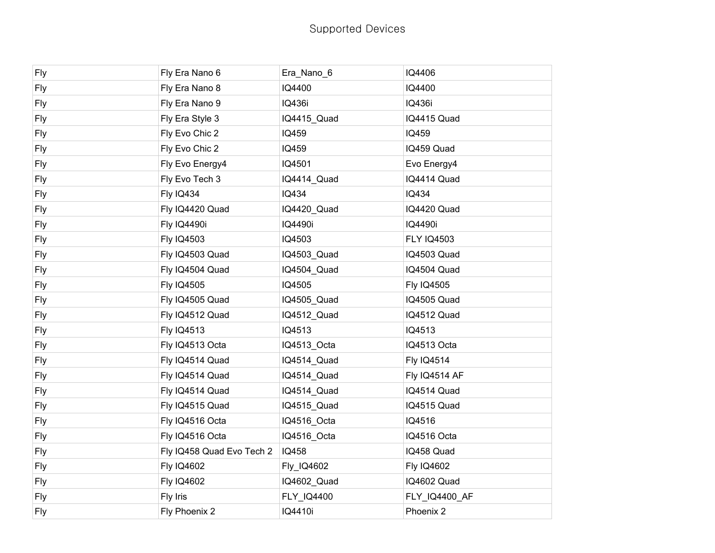| <b>Fly</b> | Fly Era Nano 6            | Era_Nano_6  | IQ4406               |
|------------|---------------------------|-------------|----------------------|
| <b>Fly</b> | Fly Era Nano 8            | IQ4400      | IQ4400               |
| <b>Fly</b> | Fly Era Nano 9            | IQ436i      | IQ436i               |
| Fly        | Fly Era Style 3           | IQ4415_Quad | IQ4415 Quad          |
| Fly        | Fly Evo Chic 2            | IQ459       | IQ459                |
| Fly        | Fly Evo Chic 2            | IQ459       | IQ459 Quad           |
| <b>Fly</b> | Fly Evo Energy4           | IQ4501      | Evo Energy4          |
| <b>Fly</b> | Fly Evo Tech 3            | IQ4414_Quad | IQ4414 Quad          |
| <b>Fly</b> | <b>Fly IQ434</b>          | IQ434       | IQ434                |
| <b>Fly</b> | Fly IQ4420 Quad           | IQ4420_Quad | IQ4420 Quad          |
| Fly        | <b>Fly IQ4490i</b>        | IQ4490i     | IQ4490i              |
| <b>Fly</b> | <b>Fly IQ4503</b>         | IQ4503      | <b>FLY IQ4503</b>    |
| <b>Fly</b> | Fly IQ4503 Quad           | IQ4503_Quad | IQ4503 Quad          |
| <b>Fly</b> | Fly IQ4504 Quad           | IQ4504_Quad | IQ4504 Quad          |
| <b>Fly</b> | <b>Fly IQ4505</b>         | IQ4505      | <b>Fly IQ4505</b>    |
| Fly        | Fly IQ4505 Quad           | IQ4505_Quad | IQ4505 Quad          |
| <b>Fly</b> | Fly IQ4512 Quad           | IQ4512_Quad | IQ4512 Quad          |
| <b>Fly</b> | <b>Fly IQ4513</b>         | IQ4513      | IQ4513               |
| <b>Fly</b> | Fly IQ4513 Octa           | IQ4513_Octa | IQ4513 Octa          |
| <b>Fly</b> | Fly IQ4514 Quad           | IQ4514_Quad | <b>Fly IQ4514</b>    |
| <b>Fly</b> | Fly IQ4514 Quad           | IQ4514_Quad | <b>Fly IQ4514 AF</b> |
| Fly        | Fly IQ4514 Quad           | IQ4514_Quad | IQ4514 Quad          |
| <b>Fly</b> | Fly IQ4515 Quad           | IQ4515_Quad | IQ4515 Quad          |
| <b>Fly</b> | Fly IQ4516 Octa           | IQ4516_Octa | IQ4516               |
| <b>Fly</b> | Fly IQ4516 Octa           | IQ4516_Octa | IQ4516 Octa          |
| <b>Fly</b> | Fly IQ458 Quad Evo Tech 2 | IQ458       | IQ458 Quad           |
| <b>Fly</b> | <b>Fly IQ4602</b>         | Fly_IQ4602  | <b>Fly IQ4602</b>    |
| <b>Fly</b> | <b>Fly IQ4602</b>         | IQ4602_Quad | IQ4602 Quad          |
| <b>Fly</b> | Fly Iris                  | FLY_IQ4400  | FLY_IQ4400_AF        |
| <b>Fly</b> | Fly Phoenix 2             | IQ4410i     | Phoenix 2            |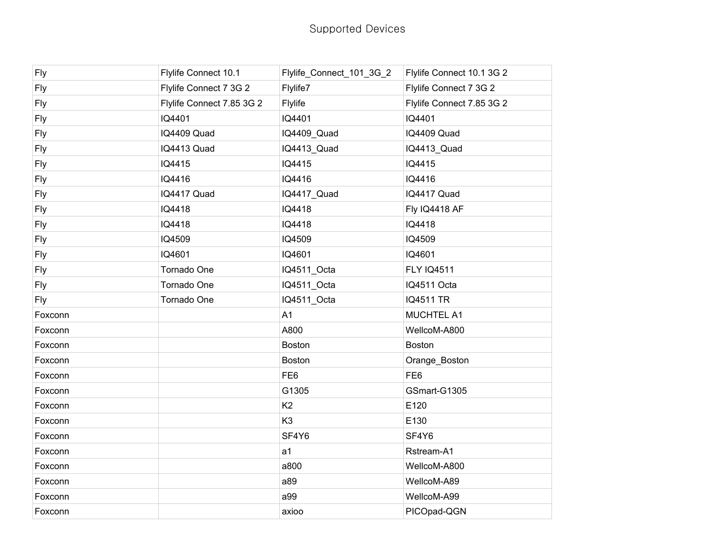| <b>Fly</b> | Flylife Connect 10.1      | Flylife_Connect_101_3G_2 | Flylife Connect 10.1 3G 2 |
|------------|---------------------------|--------------------------|---------------------------|
| Fly        | Flylife Connect 7 3G 2    | Flylife7                 | Flylife Connect 7 3G 2    |
| <b>Fly</b> | Flylife Connect 7.85 3G 2 | Flylife                  | Flylife Connect 7.85 3G 2 |
| <b>Fly</b> | IQ4401                    | IQ4401                   | IQ4401                    |
| <b>Fly</b> | IQ4409 Quad               | IQ4409_Quad              | IQ4409 Quad               |
| <b>Fly</b> | IQ4413 Quad               | IQ4413_Quad              | IQ4413_Quad               |
| Fly        | IQ4415                    | IQ4415                   | IQ4415                    |
| Fly        | IQ4416                    | IQ4416                   | IQ4416                    |
| Fly        | IQ4417 Quad               | IQ4417_Quad              | IQ4417 Quad               |
| Fly        | IQ4418                    | IQ4418                   | Fly IQ4418 AF             |
| <b>Fly</b> | IQ4418                    | IQ4418                   | IQ4418                    |
| <b>Fly</b> | IQ4509                    | IQ4509                   | IQ4509                    |
| <b>Fly</b> | IQ4601                    | IQ4601                   | IQ4601                    |
| <b>Fly</b> | Tornado One               | IQ4511_Octa              | <b>FLY IQ4511</b>         |
| <b>Fly</b> | Tornado One               | IQ4511_Octa              | IQ4511 Octa               |
| Fly        | Tornado One               | IQ4511_Octa              | <b>IQ4511 TR</b>          |
| Foxconn    |                           | A <sub>1</sub>           | MUCHTEL A1                |
| Foxconn    |                           | A800                     | WellcoM-A800              |
| Foxconn    |                           | <b>Boston</b>            | Boston                    |
| Foxconn    |                           | <b>Boston</b>            | Orange_Boston             |
| Foxconn    |                           | FE <sub>6</sub>          | FE <sub>6</sub>           |
| Foxconn    |                           | G1305                    | GSmart-G1305              |
| Foxconn    |                           | K <sub>2</sub>           | E120                      |
| Foxconn    |                           | K <sub>3</sub>           | E130                      |
| Foxconn    |                           | SF4Y6                    | SF4Y6                     |
| Foxconn    |                           | a <sub>1</sub>           | Rstream-A1                |
| Foxconn    |                           | a800                     | WellcoM-A800              |
| Foxconn    |                           | a89                      | WellcoM-A89               |
| Foxconn    |                           | a99                      | WellcoM-A99               |
| Foxconn    |                           | axioo                    | PICOpad-QGN               |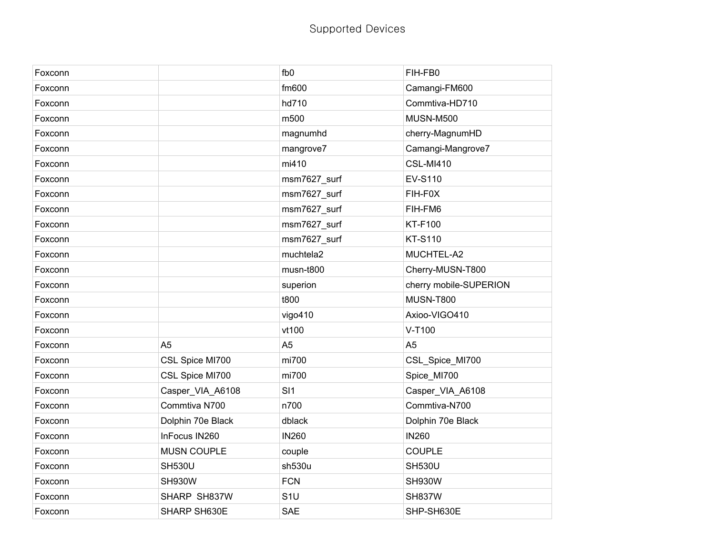| Foxconn |                    | fb <sub>0</sub> | FIH-FB0                |
|---------|--------------------|-----------------|------------------------|
| Foxconn |                    | fm600           | Camangi-FM600          |
| Foxconn |                    | hd710           | Commtiva-HD710         |
| Foxconn |                    | m500            | <b>MUSN-M500</b>       |
| Foxconn |                    | magnumhd        | cherry-MagnumHD        |
| Foxconn |                    | mangrove7       | Camangi-Mangrove7      |
| Foxconn |                    | mi410           | <b>CSL-MI410</b>       |
| Foxconn |                    | msm7627_surf    | <b>EV-S110</b>         |
| Foxconn |                    | msm7627_surf    | FIH-F0X                |
| Foxconn |                    | msm7627_surf    | FIH-FM6                |
| Foxconn |                    | msm7627_surf    | <b>KT-F100</b>         |
| Foxconn |                    | msm7627_surf    | <b>KT-S110</b>         |
| Foxconn |                    | muchtela2       | MUCHTEL-A2             |
| Foxconn |                    | musn-t800       | Cherry-MUSN-T800       |
| Foxconn |                    | superion        | cherry mobile-SUPERION |
| Foxconn |                    | t800            | <b>MUSN-T800</b>       |
| Foxconn |                    | vigo410         | Axioo-VIGO410          |
| Foxconn |                    | vt100           | V-T100                 |
| Foxconn | A <sub>5</sub>     | A <sub>5</sub>  | A <sub>5</sub>         |
| Foxconn | CSL Spice MI700    | mi700           | CSL_Spice_MI700        |
| Foxconn | CSL Spice MI700    | mi700           | Spice_MI700            |
| Foxconn | Casper_VIA_A6108   | SI <sub>1</sub> | Casper_VIA_A6108       |
| Foxconn | Commtiva N700      | n700            | Commtiva-N700          |
| Foxconn | Dolphin 70e Black  | dblack          | Dolphin 70e Black      |
| Foxconn | InFocus IN260      | <b>IN260</b>    | <b>IN260</b>           |
| Foxconn | <b>MUSN COUPLE</b> | couple          | <b>COUPLE</b>          |
| Foxconn | <b>SH530U</b>      | sh530u          | <b>SH530U</b>          |
| Foxconn | <b>SH930W</b>      | <b>FCN</b>      | <b>SH930W</b>          |
| Foxconn | SHARP SH837W       | S <sub>1U</sub> | <b>SH837W</b>          |
| Foxconn | SHARP SH630E       | <b>SAE</b>      | SHP-SH630E             |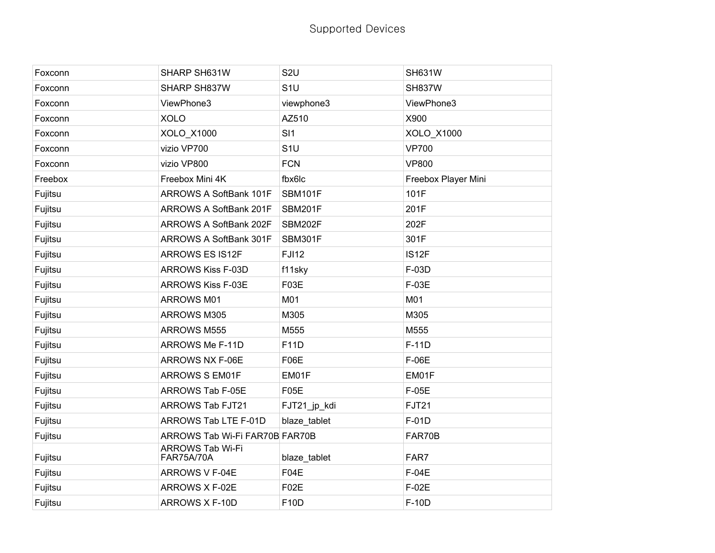| Foxconn | SHARP SH631W                          | S <sub>2U</sub> | <b>SH631W</b>       |
|---------|---------------------------------------|-----------------|---------------------|
| Foxconn | SHARP SH837W                          | S <sub>1U</sub> | <b>SH837W</b>       |
| Foxconn | ViewPhone3                            | viewphone3      | ViewPhone3          |
| Foxconn | <b>XOLO</b>                           | AZ510           | X900                |
| Foxconn | XOLO_X1000                            | SI1             | XOLO_X1000          |
| Foxconn | vizio VP700                           | S <sub>1U</sub> | <b>VP700</b>        |
| Foxconn | vizio VP800                           | <b>FCN</b>      | <b>VP800</b>        |
| Freebox | Freebox Mini 4K                       | fbx6lc          | Freebox Player Mini |
| Fujitsu | ARROWS A SoftBank 101F                | <b>SBM101F</b>  | 101F                |
| Fujitsu | ARROWS A SoftBank 201F                | SBM201F         | 201F                |
| Fujitsu | ARROWS A SoftBank 202F                | SBM202F         | 202F                |
| Fujitsu | ARROWS A SoftBank 301F                | <b>SBM301F</b>  | 301F                |
| Fujitsu | <b>ARROWS ES IS12F</b>                | <b>FJI12</b>    | IS12F               |
| Fujitsu | <b>ARROWS Kiss F-03D</b>              | f11sky          | F-03D               |
| Fujitsu | <b>ARROWS Kiss F-03E</b>              | F03E            | F-03E               |
| Fujitsu | ARROWS M01                            | M01             | M01                 |
| Fujitsu | ARROWS M305                           | M305            | M305                |
| Fujitsu | ARROWS M555                           | M555            | M555                |
| Fujitsu | ARROWS Me F-11D                       | F11D            | $F-11D$             |
| Fujitsu | ARROWS NX F-06E                       | <b>F06E</b>     | F-06E               |
| Fujitsu | <b>ARROWS S EM01F</b>                 | EM01F           | EM01F               |
| Fujitsu | ARROWS Tab F-05E                      | <b>F05E</b>     | F-05E               |
| Fujitsu | ARROWS Tab FJT21                      | FJT21_jp_kdi    | <b>FJT21</b>        |
| Fujitsu | ARROWS Tab LTE F-01D                  | blaze tablet    | F-01D               |
| Fujitsu | ARROWS Tab Wi-Fi FAR70B FAR70B        |                 | FAR70B              |
| Fujitsu | ARROWS Tab Wi-Fi<br><b>FAR75A/70A</b> | blaze_tablet    | FAR7                |
| Fujitsu | ARROWS V F-04E                        | F04E            | F-04E               |
| Fujitsu | ARROWS X F-02E                        | <b>F02E</b>     | F-02E               |
| Fujitsu | ARROWS X F-10D                        | F10D            | F-10D               |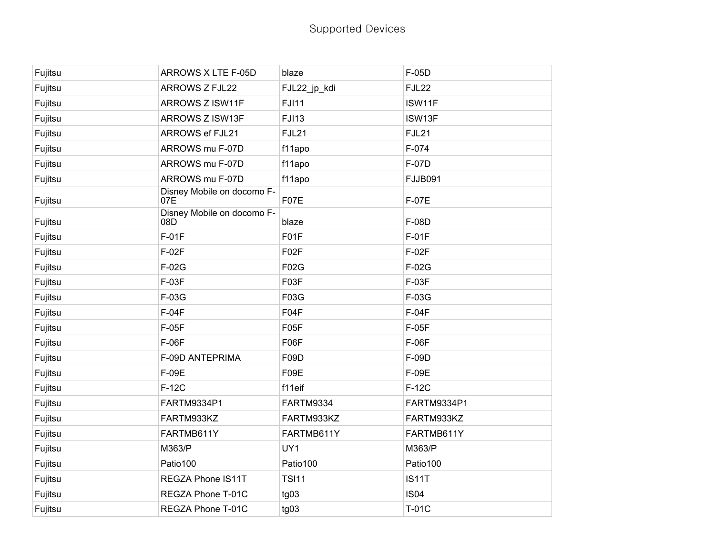| Fujitsu | ARROWS X LTE F-05D                | blaze             | F-05D          |
|---------|-----------------------------------|-------------------|----------------|
| Fujitsu | <b>ARROWS Z FJL22</b>             | FJL22_jp_kdi      | <b>FJL22</b>   |
| Fujitsu | ARROWS Z ISW11F                   | <b>FJI11</b>      | ISW11F         |
| Fujitsu | ARROWS Z ISW13F                   | <b>FJI13</b>      | ISW13F         |
| Fujitsu | <b>ARROWS ef FJL21</b>            | <b>FJL21</b>      | FJL21          |
| Fujitsu | ARROWS mu F-07D                   | f11apo            | F-074          |
| Fujitsu | ARROWS mu F-07D                   | f11apo            | F-07D          |
| Fujitsu | ARROWS mu F-07D                   | f11apo            | <b>FJJB091</b> |
| Fujitsu | Disney Mobile on docomo F-<br>07E | F07E              | F-07E          |
| Fujitsu | Disney Mobile on docomo F-<br>08D | blaze             | F-08D          |
| Fujitsu | $F-01F$                           | F01F              | $F-01F$        |
| Fujitsu | F-02F                             | F <sub>02</sub> F | $F-02F$        |
| Fujitsu | F-02G                             | F02G              | F-02G          |
| Fujitsu | F-03F                             | F03F              | F-03F          |
| Fujitsu | F-03G                             | F03G              | F-03G          |
| Fujitsu | $F-04F$                           | F04F              | $F-04F$        |
| Fujitsu | F-05F                             | F05F              | $F-05F$        |
| Fujitsu | F-06F                             | F06F              | F-06F          |
| Fujitsu | F-09D ANTEPRIMA                   | F09D              | F-09D          |
| Fujitsu | F-09E                             | F09E              | F-09E          |
| Fujitsu | $F-12C$                           | f11eif            | F-12C          |
| Fujitsu | FARTM9334P1                       | <b>FARTM9334</b>  | FARTM9334P1    |
| Fujitsu | FARTM933KZ                        | FARTM933KZ        | FARTM933KZ     |
| Fujitsu | FARTMB611Y                        | FARTMB611Y        | FARTMB611Y     |
| Fujitsu | M363/P                            | UY1               | M363/P         |
| Fujitsu | Patio100                          | Patio100          | Patio100       |
| Fujitsu | REGZA Phone IS11T                 | <b>TSI11</b>      | <b>IS11T</b>   |
| Fujitsu | REGZA Phone T-01C                 | tg03              | <b>IS04</b>    |
| Fujitsu | REGZA Phone T-01C                 | tg03              | T-01C          |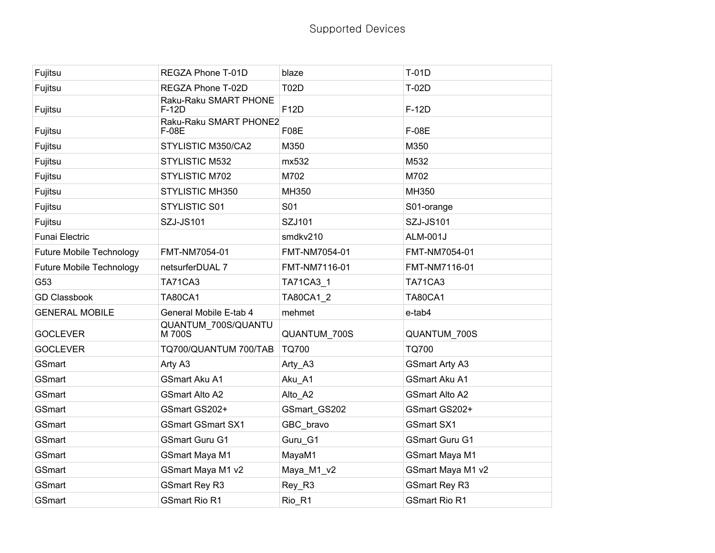| Fujitsu                         | REGZA Phone T-01D               | blaze         | T-01D                 |
|---------------------------------|---------------------------------|---------------|-----------------------|
| Fujitsu                         | REGZA Phone T-02D               | <b>T02D</b>   | T-02D                 |
| Fujitsu                         | Raku-Raku SMART PHONE<br>F-12D  | F12D          | F-12D                 |
| Fujitsu                         | Raku-Raku SMART PHONE2<br>F-08E | F08E          | F-08E                 |
| Fujitsu                         | STYLISTIC M350/CA2              | M350          | M350                  |
| Fujitsu                         | STYLISTIC M532                  | mx532         | M532                  |
| Fujitsu                         | STYLISTIC M702                  | M702          | M702                  |
| Fujitsu                         | <b>STYLISTIC MH350</b>          | MH350         | MH350                 |
| Fujitsu                         | STYLISTIC S01                   | S01           | S01-orange            |
| Fujitsu                         | <b>SZJ-JS101</b>                | SZJ101        | SZJ-JS101             |
| <b>Funai Electric</b>           |                                 | smdkv210      | <b>ALM-001J</b>       |
| Future Mobile Technology        | FMT-NM7054-01                   | FMT-NM7054-01 | FMT-NM7054-01         |
| <b>Future Mobile Technology</b> | netsurferDUAL 7                 | FMT-NM7116-01 | FMT-NM7116-01         |
| G53                             | <b>TA71CA3</b>                  | TA71CA3_1     | <b>TA71CA3</b>        |
| <b>GD Classbook</b>             | <b>TA80CA1</b>                  | TA80CA1 2     | <b>TA80CA1</b>        |
| <b>GENERAL MOBILE</b>           | General Mobile E-tab 4          | mehmet        | e-tab4                |
| <b>GOCLEVER</b>                 | QUANTUM 700S/QUANTU<br>M 700S   | QUANTUM_700S  | QUANTUM_700S          |
| <b>GOCLEVER</b>                 | TQ700/QUANTUM 700/TAB           | <b>TQ700</b>  | <b>TQ700</b>          |
| GSmart                          | Arty A3                         | Arty_A3       | <b>GSmart Arty A3</b> |
| <b>GSmart</b>                   | <b>GSmart Aku A1</b>            | Aku_A1        | <b>GSmart Aku A1</b>  |
| GSmart                          | <b>GSmart Alto A2</b>           | Alto_A2       | <b>GSmart Alto A2</b> |
| GSmart                          | GSmart GS202+                   | GSmart_GS202  | GSmart GS202+         |
| GSmart                          | <b>GSmart GSmart SX1</b>        | GBC_bravo     | <b>GSmart SX1</b>     |
| GSmart                          | <b>GSmart Guru G1</b>           | Guru G1       | <b>GSmart Guru G1</b> |
| GSmart                          | <b>GSmart Maya M1</b>           | MayaM1        | <b>GSmart Maya M1</b> |
| GSmart                          | GSmart Maya M1 v2               | Maya_M1_v2    | GSmart Maya M1 v2     |
| GSmart                          | <b>GSmart Rey R3</b>            | Rey_R3        | <b>GSmart Rey R3</b>  |
| GSmart                          | <b>GSmart Rio R1</b>            | Rio_R1        | <b>GSmart Rio R1</b>  |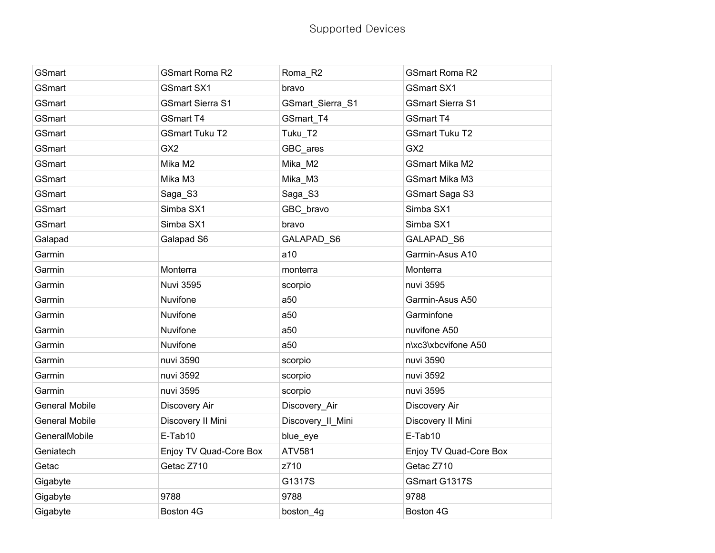| GSmart                | <b>GSmart Roma R2</b>   | Roma_R2           | <b>GSmart Roma R2</b>   |
|-----------------------|-------------------------|-------------------|-------------------------|
| GSmart                | <b>GSmart SX1</b>       | bravo             | <b>GSmart SX1</b>       |
| GSmart                | <b>GSmart Sierra S1</b> | GSmart_Sierra_S1  | <b>GSmart Sierra S1</b> |
| <b>GSmart</b>         | <b>GSmart T4</b>        | GSmart_T4         | <b>GSmart T4</b>        |
| <b>GSmart</b>         | <b>GSmart Tuku T2</b>   | Tuku T2           | <b>GSmart Tuku T2</b>   |
| GSmart                | GX <sub>2</sub>         | GBC ares          | GX <sub>2</sub>         |
| GSmart                | Mika M2                 | Mika_M2           | <b>GSmart Mika M2</b>   |
| <b>GSmart</b>         | Mika M3                 | Mika_M3           | <b>GSmart Mika M3</b>   |
| <b>GSmart</b>         | Saga_S3                 | Saga_S3           | <b>GSmart Saga S3</b>   |
| GSmart                | Simba SX1               | GBC_bravo         | Simba SX1               |
| GSmart                | Simba SX1               | bravo             | Simba SX1               |
| Galapad               | Galapad S6              | GALAPAD_S6        | GALAPAD S6              |
| Garmin                |                         | a10               | Garmin-Asus A10         |
| Garmin                | Monterra                | monterra          | Monterra                |
| Garmin                | <b>Nuvi 3595</b>        | scorpio           | nuvi 3595               |
| Garmin                | Nuvifone                | a50               | Garmin-Asus A50         |
| Garmin                | Nuvifone                | a50               | Garminfone              |
| Garmin                | Nuvifone                | a50               | nuvifone A50            |
| Garmin                | Nuvifone                | a50               | n\xc3\xbcvifone A50     |
| Garmin                | nuvi 3590               | scorpio           | nuvi 3590               |
| Garmin                | nuvi 3592               | scorpio           | nuvi 3592               |
| Garmin                | nuvi 3595               | scorpio           | nuvi 3595               |
| <b>General Mobile</b> | Discovery Air           | Discovery_Air     | Discovery Air           |
| <b>General Mobile</b> | Discovery II Mini       | Discovery_II_Mini | Discovery II Mini       |
| GeneralMobile         | E-Tab10                 | blue_eye          | E-Tab10                 |
| Geniatech             | Enjoy TV Quad-Core Box  | <b>ATV581</b>     | Enjoy TV Quad-Core Box  |
| Getac                 | Getac Z710              | z710              | Getac Z710              |
| Gigabyte              |                         | G1317S            | GSmart G1317S           |
| Gigabyte              | 9788                    | 9788              | 9788                    |
| Gigabyte              | Boston 4G               | boston_4g         | Boston 4G               |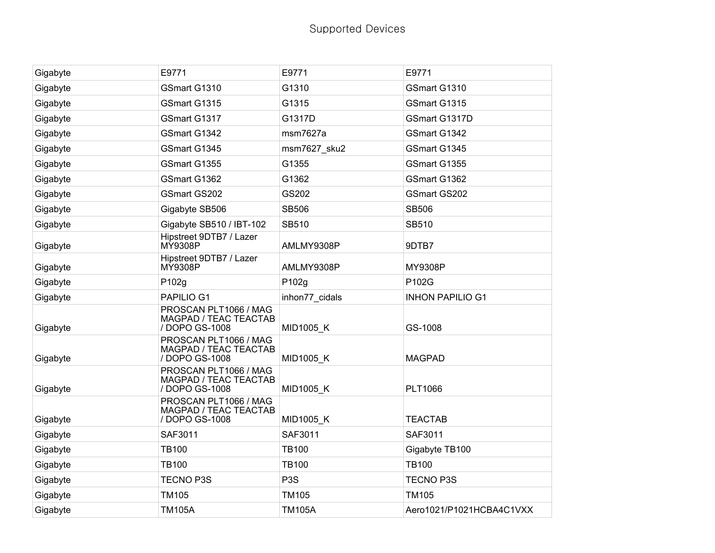| Gigabyte | E9771                                                            | E9771            | E9771                    |
|----------|------------------------------------------------------------------|------------------|--------------------------|
| Gigabyte | GSmart G1310                                                     | G1310            | GSmart G1310             |
| Gigabyte | GSmart G1315                                                     | G1315            | GSmart G1315             |
| Gigabyte | GSmart G1317                                                     | G1317D           | GSmart G1317D            |
| Gigabyte | GSmart G1342                                                     | msm7627a         | GSmart G1342             |
| Gigabyte | GSmart G1345                                                     | msm7627_sku2     | GSmart G1345             |
| Gigabyte | GSmart G1355                                                     | G1355            | GSmart G1355             |
| Gigabyte | GSmart G1362                                                     | G1362            | GSmart G1362             |
| Gigabyte | <b>GSmart GS202</b>                                              | GS202            | GSmart GS202             |
| Gigabyte | Gigabyte SB506                                                   | <b>SB506</b>     | <b>SB506</b>             |
| Gigabyte | Gigabyte SB510 / IBT-102                                         | SB510            | SB510                    |
| Gigabyte | Hipstreet 9DTB7 / Lazer<br>MY9308P                               | AMLMY9308P       | 9DTB7                    |
| Gigabyte | Hipstreet 9DTB7 / Lazer<br>MY9308P                               | AMLMY9308P       | MY9308P                  |
| Gigabyte | P102g                                                            | P102g            | P102G                    |
| Gigabyte | PAPILIO G1                                                       | inhon77_cidals   | <b>INHON PAPILIO G1</b>  |
| Gigabyte | PROSCAN PLT1066 / MAG<br>MAGPAD / TEAC TEACTAB<br>/ DOPO GS-1008 | <b>MID1005 K</b> | GS-1008                  |
| Gigabyte | PROSCAN PLT1066 / MAG<br>MAGPAD / TEAC TEACTAB<br>/ DOPO GS-1008 | MID1005_K        | <b>MAGPAD</b>            |
| Gigabyte | PROSCAN PLT1066 / MAG<br>MAGPAD / TEAC TEACTAB<br>/ DOPO GS-1008 | <b>MID1005 K</b> | <b>PLT1066</b>           |
| Gigabyte | PROSCAN PLT1066 / MAG<br>MAGPAD / TEAC TEACTAB<br>/ DOPO GS-1008 | MID1005_K        | <b>TEACTAB</b>           |
| Gigabyte | SAF3011                                                          | SAF3011          | SAF3011                  |
| Gigabyte | <b>TB100</b>                                                     | <b>TB100</b>     | Gigabyte TB100           |
| Gigabyte | <b>TB100</b>                                                     | <b>TB100</b>     | <b>TB100</b>             |
| Gigabyte | <b>TECNO P3S</b>                                                 | P <sub>3</sub> S | <b>TECNO P3S</b>         |
| Gigabyte | <b>TM105</b>                                                     | <b>TM105</b>     | TM105                    |
| Gigabyte | <b>TM105A</b>                                                    | <b>TM105A</b>    | Aero1021/P1021HCBA4C1VXX |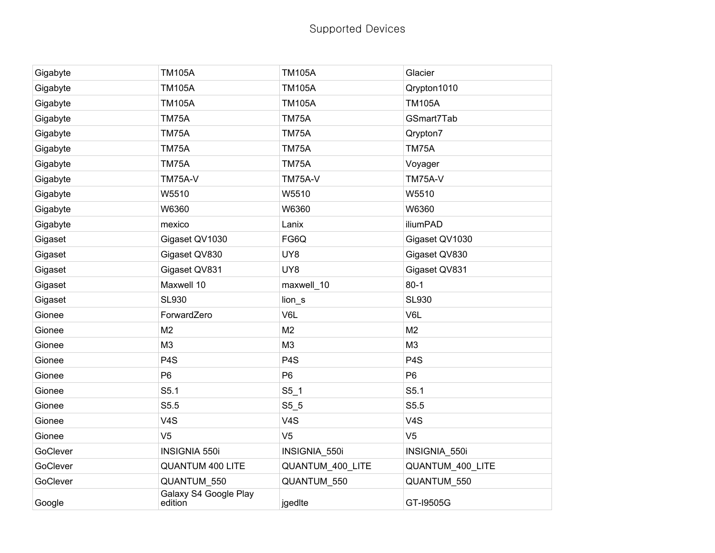| Gigabyte | <b>TM105A</b>                    | <b>TM105A</b>    | Glacier          |
|----------|----------------------------------|------------------|------------------|
| Gigabyte | <b>TM105A</b>                    | <b>TM105A</b>    | Qrypton1010      |
| Gigabyte | <b>TM105A</b>                    | <b>TM105A</b>    | <b>TM105A</b>    |
| Gigabyte | TM75A                            | TM75A            | GSmart7Tab       |
| Gigabyte | <b>TM75A</b>                     | <b>TM75A</b>     | Qrypton7         |
| Gigabyte | <b>TM75A</b>                     | <b>TM75A</b>     | <b>TM75A</b>     |
| Gigabyte | <b>TM75A</b>                     | <b>TM75A</b>     | Voyager          |
| Gigabyte | <b>TM75A-V</b>                   | <b>TM75A-V</b>   | <b>TM75A-V</b>   |
| Gigabyte | W5510                            | W5510            | W5510            |
| Gigabyte | W6360                            | W6360            | W6360            |
| Gigabyte | mexico                           | Lanix            | iliumPAD         |
| Gigaset  | Gigaset QV1030                   | FG6Q             | Gigaset QV1030   |
| Gigaset  | Gigaset QV830                    | UY8              | Gigaset QV830    |
| Gigaset  | Gigaset QV831                    | UY8              | Gigaset QV831    |
| Gigaset  | Maxwell 10                       | maxwell_10       | $80 - 1$         |
| Gigaset  | SL930                            | lion_s           | <b>SL930</b>     |
| Gionee   | ForwardZero                      | V6L              | V6L              |
| Gionee   | M <sub>2</sub>                   | M <sub>2</sub>   | M <sub>2</sub>   |
| Gionee   | M <sub>3</sub>                   | M <sub>3</sub>   | M <sub>3</sub>   |
| Gionee   | P <sub>4</sub> S                 | P <sub>4</sub> S | P <sub>4</sub> S |
| Gionee   | P <sub>6</sub>                   | P <sub>6</sub>   | P <sub>6</sub>   |
| Gionee   | S5.1                             | $S5_1$           | S5.1             |
| Gionee   | S5.5                             | $S5-5$           | S5.5             |
| Gionee   | V4S                              | V <sub>4</sub> S | V4S              |
| Gionee   | V <sub>5</sub>                   | V <sub>5</sub>   | V <sub>5</sub>   |
| GoClever | <b>INSIGNIA 550i</b>             | INSIGNIA_550i    | INSIGNIA_550i    |
| GoClever | <b>QUANTUM 400 LITE</b>          | QUANTUM_400_LITE | QUANTUM_400_LITE |
| GoClever | QUANTUM 550                      | QUANTUM 550      | QUANTUM_550      |
| Google   | Galaxy S4 Google Play<br>edition | jgedIte          | GT-19505G        |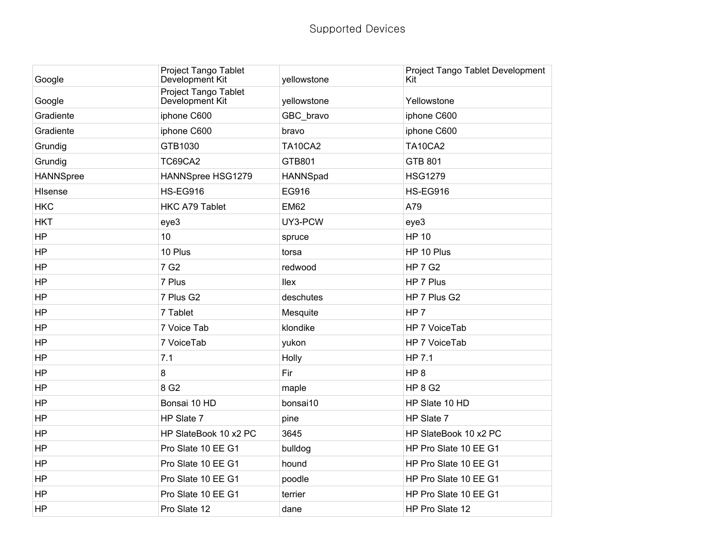| Google           | Project Tango Tablet<br>Development Kit | yellowstone    | Project Tango Tablet Development<br>Kit |
|------------------|-----------------------------------------|----------------|-----------------------------------------|
| Google           | Project Tango Tablet<br>Development Kit | yellowstone    | Yellowstone                             |
| Gradiente        | iphone C600                             | GBC_bravo      | iphone C600                             |
| Gradiente        | iphone C600                             | bravo          | iphone C600                             |
| Grundig          | GTB1030                                 | <b>TA10CA2</b> | <b>TA10CA2</b>                          |
| Grundig          | TC69CA2                                 | GTB801         | <b>GTB 801</b>                          |
| <b>HANNSpree</b> | HANNSpree HSG1279                       | HANNSpad       | <b>HSG1279</b>                          |
| Hisense          | <b>HS-EG916</b>                         | EG916          | <b>HS-EG916</b>                         |
| <b>HKC</b>       | <b>HKC A79 Tablet</b>                   | <b>EM62</b>    | A79                                     |
| <b>HKT</b>       | eye3                                    | UY3-PCW        | eye3                                    |
| <b>HP</b>        | 10                                      | spruce         | <b>HP 10</b>                            |
| HP               | 10 Plus                                 | torsa          | HP 10 Plus                              |
| HP               | 7 G <sub>2</sub>                        | redwood        | <b>HP 7 G2</b>                          |
| <b>HP</b>        | 7 Plus                                  | llex           | HP 7 Plus                               |
| HP               | 7 Plus G2                               | deschutes      | HP 7 Plus G2                            |
| HP               | 7 Tablet                                | Mesquite       | HP <sub>7</sub>                         |
| HP               | 7 Voice Tab                             | klondike       | HP 7 VoiceTab                           |
| HP               | 7 VoiceTab                              | yukon          | HP 7 VoiceTab                           |
| HP               | 7.1                                     | Holly          | HP 7.1                                  |
| HP               | 8                                       | Fir            | HP <sub>8</sub>                         |
| HP               | 8 G <sub>2</sub>                        | maple          | <b>HP 8 G2</b>                          |
| <b>HP</b>        | Bonsai 10 HD                            | bonsai10       | HP Slate 10 HD                          |
| HP               | HP Slate 7                              | pine           | HP Slate 7                              |
| <b>HP</b>        | HP SlateBook 10 x2 PC                   | 3645           | HP SlateBook 10 x2 PC                   |
| <b>HP</b>        | Pro Slate 10 EE G1                      | bulldog        | HP Pro Slate 10 EE G1                   |
| <b>HP</b>        | Pro Slate 10 EE G1                      | hound          | HP Pro Slate 10 EE G1                   |
| HP               | Pro Slate 10 EE G1                      | poodle         | HP Pro Slate 10 EE G1                   |
| <b>HP</b>        | Pro Slate 10 EE G1                      | terrier        | HP Pro Slate 10 EE G1                   |
| <b>HP</b>        | Pro Slate 12                            | dane           | HP Pro Slate 12                         |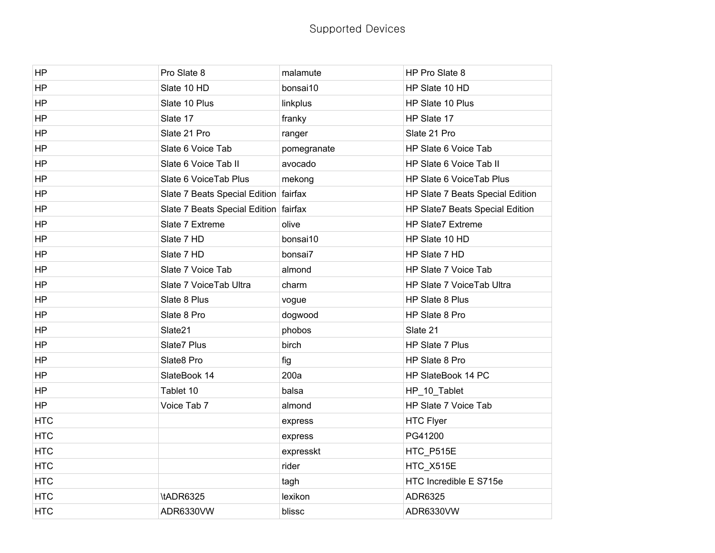| <b>HP</b>  | Pro Slate 8                           | malamute    | HP Pro Slate 8                   |
|------------|---------------------------------------|-------------|----------------------------------|
| <b>HP</b>  | Slate 10 HD                           | bonsai10    | HP Slate 10 HD                   |
| <b>HP</b>  | Slate 10 Plus                         | linkplus    | HP Slate 10 Plus                 |
| HP         | Slate 17                              | franky      | HP Slate 17                      |
| HP         | Slate 21 Pro                          | ranger      | Slate 21 Pro                     |
| <b>HP</b>  | Slate 6 Voice Tab                     | pomegranate | HP Slate 6 Voice Tab             |
| <b>HP</b>  | Slate 6 Voice Tab II                  | avocado     | HP Slate 6 Voice Tab II          |
| <b>HP</b>  | Slate 6 VoiceTab Plus                 | mekong      | HP Slate 6 VoiceTab Plus         |
| HP         | Slate 7 Beats Special Edition fairfax |             | HP Slate 7 Beats Special Edition |
| <b>HP</b>  | Slate 7 Beats Special Edition fairfax |             | HP Slate7 Beats Special Edition  |
| HP         | Slate 7 Extreme                       | olive       | <b>HP Slate7 Extreme</b>         |
| <b>HP</b>  | Slate 7 HD                            | bonsai10    | HP Slate 10 HD                   |
| HP         | Slate 7 HD                            | bonsai7     | HP Slate 7 HD                    |
| HP         | Slate 7 Voice Tab                     | almond      | HP Slate 7 Voice Tab             |
| <b>HP</b>  | Slate 7 Voice Tab Ultra               | charm       | HP Slate 7 VoiceTab Ultra        |
| <b>HP</b>  | Slate 8 Plus                          | vogue       | HP Slate 8 Plus                  |
| HP         | Slate 8 Pro                           | dogwood     | HP Slate 8 Pro                   |
| HP         | Slate21                               | phobos      | Slate 21                         |
| HP         | Slate7 Plus                           | birch       | HP Slate 7 Plus                  |
| <b>HP</b>  | Slate8 Pro                            | fig         | HP Slate 8 Pro                   |
| HP         | SlateBook 14                          | 200a        | HP SlateBook 14 PC               |
| HP         | Tablet 10                             | balsa       | HP_10_Tablet                     |
| <b>HP</b>  | Voice Tab 7                           | almond      | HP Slate 7 Voice Tab             |
| <b>HTC</b> |                                       | express     | <b>HTC Flyer</b>                 |
| <b>HTC</b> |                                       | express     | PG41200                          |
| <b>HTC</b> |                                       | expresskt   | HTC_P515E                        |
| <b>HTC</b> |                                       | rider       | HTC_X515E                        |
| <b>HTC</b> |                                       | tagh        | HTC Incredible E S715e           |
| <b>HTC</b> | \tADR6325                             | lexikon     | ADR6325                          |
| <b>HTC</b> | ADR6330VW                             | blissc      | ADR6330VW                        |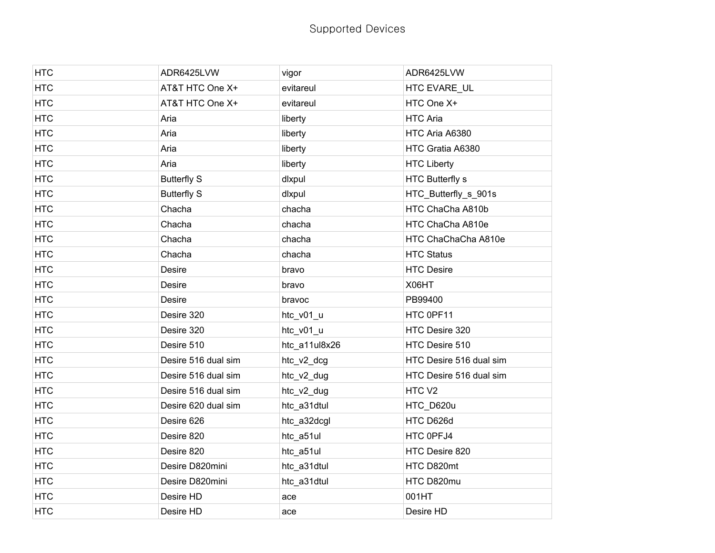| <b>HTC</b> | ADR6425LVW          | vigor         | ADR6425LVW              |
|------------|---------------------|---------------|-------------------------|
| <b>HTC</b> | AT&T HTC One X+     | evitareul     | HTC EVARE UL            |
| <b>HTC</b> | AT&T HTC One X+     | evitareul     | HTC One X+              |
| <b>HTC</b> | Aria                | liberty       | <b>HTC Aria</b>         |
| <b>HTC</b> | Aria                | liberty       | HTC Aria A6380          |
| <b>HTC</b> | Aria                | liberty       | HTC Gratia A6380        |
| <b>HTC</b> | Aria                | liberty       | <b>HTC Liberty</b>      |
| <b>HTC</b> | <b>Butterfly S</b>  | dlxpul        | <b>HTC Butterfly s</b>  |
| <b>HTC</b> | <b>Butterfly S</b>  | dlxpul        | HTC_Butterfly_s_901s    |
| <b>HTC</b> | Chacha              | chacha        | HTC ChaCha A810b        |
| <b>HTC</b> | Chacha              | chacha        | HTC ChaCha A810e        |
| <b>HTC</b> | Chacha              | chacha        | HTC ChaChaCha A810e     |
| <b>HTC</b> | Chacha              | chacha        | <b>HTC Status</b>       |
| <b>HTC</b> | <b>Desire</b>       | bravo         | <b>HTC Desire</b>       |
| <b>HTC</b> | Desire              | bravo         | X06HT                   |
| <b>HTC</b> | Desire              | bravoc        | PB99400                 |
| <b>HTC</b> | Desire 320          | htc_v01_u     | HTC 0PF11               |
| <b>HTC</b> | Desire 320          | htc_v01_u     | HTC Desire 320          |
| <b>HTC</b> | Desire 510          | htc_a11ul8x26 | HTC Desire 510          |
| <b>HTC</b> | Desire 516 dual sim | htc_v2_dcg    | HTC Desire 516 dual sim |
| <b>HTC</b> | Desire 516 dual sim | htc_v2_dug    | HTC Desire 516 dual sim |
| <b>HTC</b> | Desire 516 dual sim | htc_v2_dug    | HTC <sub>V2</sub>       |
| <b>HTC</b> | Desire 620 dual sim | htc_a31dtul   | HTC_D620u               |
| <b>HTC</b> | Desire 626          | htc_a32dcgl   | HTC D626d               |
| <b>HTC</b> | Desire 820          | htc_a51ul     | HTC 0PFJ4               |
| <b>HTC</b> | Desire 820          | htc_a51ul     | HTC Desire 820          |
| <b>HTC</b> | Desire D820mini     | htc_a31dtul   | HTC D820mt              |
| <b>HTC</b> | Desire D820mini     | htc_a31dtul   | HTC D820mu              |
| <b>HTC</b> | Desire HD           | ace           | 001HT                   |
| <b>HTC</b> | Desire HD           | ace           | Desire HD               |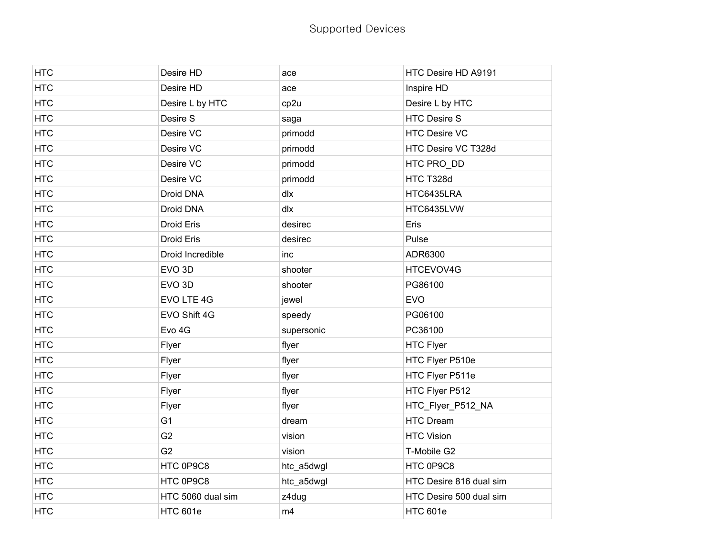| <b>HTC</b> | Desire HD         | ace        | HTC Desire HD A9191     |
|------------|-------------------|------------|-------------------------|
| <b>HTC</b> | Desire HD         | ace        | Inspire HD              |
| <b>HTC</b> | Desire L by HTC   | cp2u       | Desire L by HTC         |
| <b>HTC</b> | Desire S          | saga       | <b>HTC Desire S</b>     |
| <b>HTC</b> | Desire VC         | primodd    | <b>HTC Desire VC</b>    |
| <b>HTC</b> | Desire VC         | primodd    | HTC Desire VC T328d     |
| <b>HTC</b> | Desire VC         | primodd    | HTC PRO_DD              |
| <b>HTC</b> | Desire VC         | primodd    | HTC T328d               |
| <b>HTC</b> | Droid DNA         | dlx        | HTC6435LRA              |
| <b>HTC</b> | Droid DNA         | dlx        | HTC6435LVW              |
| <b>HTC</b> | Droid Eris        | desirec    | Eris                    |
| <b>HTC</b> | <b>Droid Eris</b> | desirec    | Pulse                   |
| <b>HTC</b> | Droid Incredible  | inc        | ADR6300                 |
| <b>HTC</b> | EVO <sub>3D</sub> | shooter    | HTCEVOV4G               |
| <b>HTC</b> | EVO <sub>3D</sub> | shooter    | PG86100                 |
| <b>HTC</b> | EVO LTE 4G        | jewel      | <b>EVO</b>              |
| <b>HTC</b> | EVO Shift 4G      | speedy     | PG06100                 |
| <b>HTC</b> | Evo 4G            | supersonic | PC36100                 |
| <b>HTC</b> | Flyer             | flyer      | <b>HTC Flyer</b>        |
| <b>HTC</b> | Flyer             | flyer      | HTC Flyer P510e         |
| <b>HTC</b> | Flyer             | flyer      | HTC Flyer P511e         |
| <b>HTC</b> | Flyer             | flyer      | HTC Flyer P512          |
| <b>HTC</b> | Flyer             | flyer      | HTC_Flyer_P512_NA       |
| <b>HTC</b> | G <sub>1</sub>    | dream      | <b>HTC Dream</b>        |
| <b>HTC</b> | G <sub>2</sub>    | vision     | <b>HTC Vision</b>       |
| <b>HTC</b> | G <sub>2</sub>    | vision     | T-Mobile G2             |
| <b>HTC</b> | HTC 0P9C8         | htc_a5dwgl | HTC 0P9C8               |
| <b>HTC</b> | HTC 0P9C8         | htc_a5dwgl | HTC Desire 816 dual sim |
| <b>HTC</b> | HTC 5060 dual sim | z4dug      | HTC Desire 500 dual sim |
| <b>HTC</b> | <b>HTC 601e</b>   | m4         | <b>HTC 601e</b>         |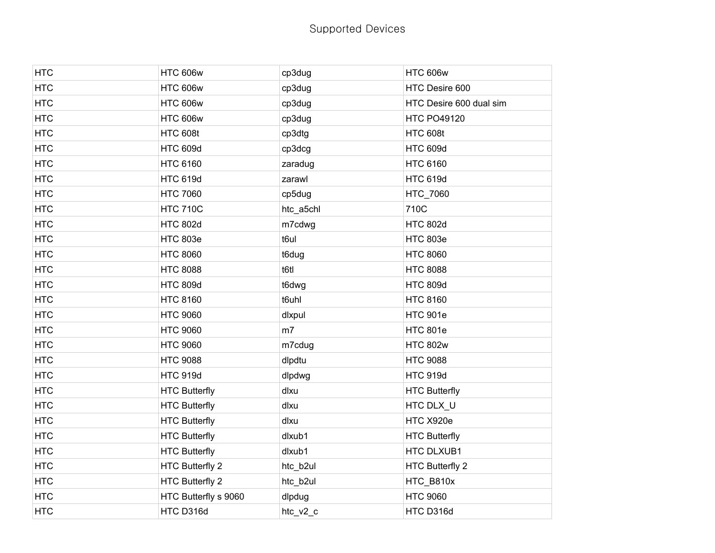| <b>HTC</b> | <b>HTC 606w</b>        | cp3dug    | <b>HTC 606w</b>         |
|------------|------------------------|-----------|-------------------------|
| <b>HTC</b> | <b>HTC 606w</b>        | cp3dug    | HTC Desire 600          |
| <b>HTC</b> | <b>HTC 606w</b>        | cp3dug    | HTC Desire 600 dual sim |
| <b>HTC</b> | <b>HTC 606w</b>        | cp3dug    | <b>HTC PO49120</b>      |
| <b>HTC</b> | <b>HTC 608t</b>        | cp3dtg    | <b>HTC 608t</b>         |
| <b>HTC</b> | <b>HTC 609d</b>        | cp3dcg    | <b>HTC 609d</b>         |
| <b>HTC</b> | <b>HTC 6160</b>        | zaradug   | <b>HTC 6160</b>         |
| <b>HTC</b> | <b>HTC 619d</b>        | zarawl    | <b>HTC 619d</b>         |
| <b>HTC</b> | <b>HTC 7060</b>        | cp5dug    | HTC_7060                |
| <b>HTC</b> | <b>HTC 710C</b>        | htc_a5chl | 710C                    |
| <b>HTC</b> | <b>HTC 802d</b>        | m7cdwg    | <b>HTC 802d</b>         |
| <b>HTC</b> | <b>HTC 803e</b>        | t6ul      | <b>HTC 803e</b>         |
| <b>HTC</b> | <b>HTC 8060</b>        | t6dug     | <b>HTC 8060</b>         |
| <b>HTC</b> | <b>HTC 8088</b>        | t6tl      | <b>HTC 8088</b>         |
| <b>HTC</b> | <b>HTC 809d</b>        | t6dwg     | <b>HTC 809d</b>         |
| <b>HTC</b> | <b>HTC 8160</b>        | t6uhl     | <b>HTC 8160</b>         |
| <b>HTC</b> | <b>HTC 9060</b>        | dlxpul    | <b>HTC 901e</b>         |
| <b>HTC</b> | <b>HTC 9060</b>        | m7        | <b>HTC 801e</b>         |
| <b>HTC</b> | <b>HTC 9060</b>        | m7cdug    | <b>HTC 802w</b>         |
| <b>HTC</b> | <b>HTC 9088</b>        | dlpdtu    | <b>HTC 9088</b>         |
| <b>HTC</b> | <b>HTC 919d</b>        | dlpdwg    | <b>HTC 919d</b>         |
| <b>HTC</b> | <b>HTC Butterfly</b>   | dlxu      | <b>HTC Butterfly</b>    |
| <b>HTC</b> | <b>HTC Butterfly</b>   | dlxu      | HTC DLX_U               |
| <b>HTC</b> | <b>HTC Butterfly</b>   | dlxu      | HTC X920e               |
| <b>HTC</b> | <b>HTC Butterfly</b>   | dlxub1    | <b>HTC Butterfly</b>    |
| <b>HTC</b> | <b>HTC Butterfly</b>   | dlxub1    | HTC DLXUB1              |
| <b>HTC</b> | <b>HTC Butterfly 2</b> | htc_b2ul  | <b>HTC Butterfly 2</b>  |
| <b>HTC</b> | <b>HTC Butterfly 2</b> | htc_b2ul  | HTC_B810x               |
| <b>HTC</b> | HTC Butterfly s 9060   | dlpdug    | <b>HTC 9060</b>         |
| <b>HTC</b> | HTC D316d              | htc_v2_c  | HTC D316d               |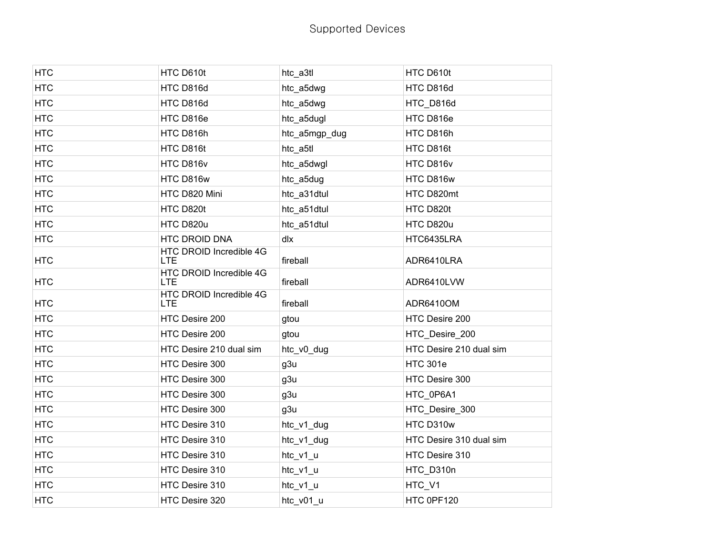| <b>HTC</b> | HTC D610t                             | htc_a3tl      | HTC D610t               |
|------------|---------------------------------------|---------------|-------------------------|
| <b>HTC</b> | HTC D816d                             | htc a5dwg     | HTC D816d               |
| <b>HTC</b> | HTC D816d                             | htc_a5dwg     | HTC_D816d               |
| <b>HTC</b> | HTC D816e                             | htc_a5dugl    | HTC D816e               |
| <b>HTC</b> | HTC D816h                             | htc_a5mgp_dug | HTC D816h               |
| <b>HTC</b> | HTC D816t                             | htc_a5tl      | HTC D816t               |
| <b>HTC</b> | HTC D816v                             | htc_a5dwgl    | HTC D816v               |
| <b>HTC</b> | HTC D816w                             | htc_a5dug     | HTC D816w               |
| <b>HTC</b> | HTC D820 Mini                         | htc_a31dtul   | HTC D820mt              |
| <b>HTC</b> | HTC D820t                             | htc_a51dtul   | HTC D820t               |
| <b>HTC</b> | HTC D820u                             | htc_a51dtul   | HTC D820u               |
| <b>HTC</b> | <b>HTC DROID DNA</b>                  | dlx           | HTC6435LRA              |
| <b>HTC</b> | HTC DROID Incredible 4G<br><b>LTE</b> | fireball      | ADR6410LRA              |
| <b>HTC</b> | HTC DROID Incredible 4G<br>LTE.       | fireball      | ADR6410LVW              |
| <b>HTC</b> | HTC DROID Incredible 4G<br><b>LTE</b> | fireball      | ADR6410OM               |
| <b>HTC</b> | HTC Desire 200                        | gtou          | HTC Desire 200          |
| <b>HTC</b> | HTC Desire 200                        | gtou          | HTC_Desire_200          |
| <b>HTC</b> | HTC Desire 210 dual sim               | htc_v0_dug    | HTC Desire 210 dual sim |
| <b>HTC</b> | HTC Desire 300                        | g3u           | <b>HTC 301e</b>         |
| <b>HTC</b> | HTC Desire 300                        | g3u           | HTC Desire 300          |
| <b>HTC</b> | HTC Desire 300                        | g3u           | HTC_0P6A1               |
| <b>HTC</b> | HTC Desire 300                        | g3u           | HTC_Desire_300          |
| <b>HTC</b> | HTC Desire 310                        | htc_v1_dug    | HTC D310w               |
| <b>HTC</b> | HTC Desire 310                        | htc_v1_dug    | HTC Desire 310 dual sim |
| <b>HTC</b> | HTC Desire 310                        | htc_v1_u      | HTC Desire 310          |
| <b>HTC</b> | HTC Desire 310                        | htc_v1_u      | HTC_D310n               |
| <b>HTC</b> | HTC Desire 310                        | htc_v1_u      | HTC_V1                  |
| <b>HTC</b> | HTC Desire 320                        | htc_v01_u     | HTC 0PF120              |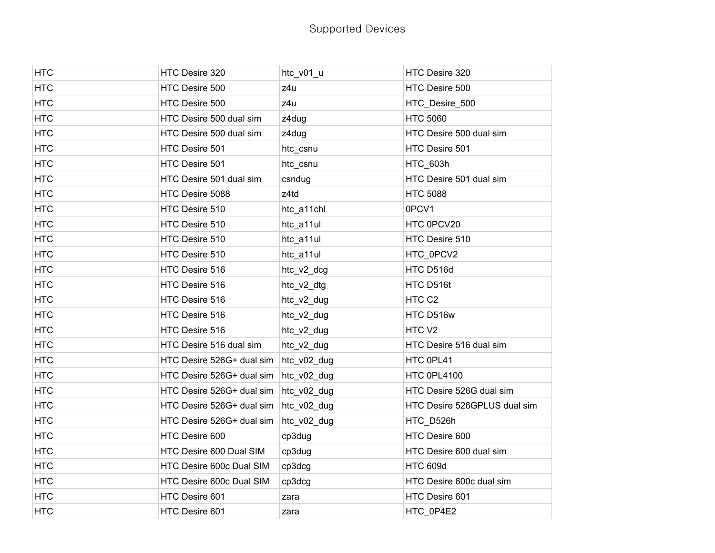| <b>HTC</b> | HTC Desire 320            | htc_v01_u   | HTC Desire 320               |
|------------|---------------------------|-------------|------------------------------|
| <b>HTC</b> | HTC Desire 500            | z4u         | HTC Desire 500               |
| <b>HTC</b> | HTC Desire 500            | z4u         | HTC_Desire_500               |
| <b>HTC</b> | HTC Desire 500 dual sim   | z4dug       | <b>HTC 5060</b>              |
| <b>HTC</b> | HTC Desire 500 dual sim   | z4dug       | HTC Desire 500 dual sim      |
| <b>HTC</b> | HTC Desire 501            | htc_csnu    | HTC Desire 501               |
| <b>HTC</b> | HTC Desire 501            | htc_csnu    | HTC_603h                     |
| <b>HTC</b> | HTC Desire 501 dual sim   | csndug      | HTC Desire 501 dual sim      |
| <b>HTC</b> | HTC Desire 5088           | z4td        | <b>HTC 5088</b>              |
| <b>HTC</b> | HTC Desire 510            | htc_a11chl  | 0PCV1                        |
| <b>HTC</b> | HTC Desire 510            | htc_a11ul   | HTC 0PCV20                   |
| <b>HTC</b> | HTC Desire 510            | htc_a11ul   | HTC Desire 510               |
| <b>HTC</b> | HTC Desire 510            | htc_a11ul   | HTC_0PCV2                    |
| <b>HTC</b> | HTC Desire 516            | htc_v2_dcg  | HTC D516d                    |
| <b>HTC</b> | HTC Desire 516            | htc_v2_dtg  | HTC D516t                    |
| <b>HTC</b> | HTC Desire 516            | htc_v2_dug  | HTC C <sub>2</sub>           |
| <b>HTC</b> | HTC Desire 516            | htc_v2_dug  | HTC D516w                    |
| <b>HTC</b> | HTC Desire 516            | htc_v2_dug  | HTC <sub>V2</sub>            |
| <b>HTC</b> | HTC Desire 516 dual sim   | htc_v2_dug  | HTC Desire 516 dual sim      |
| <b>HTC</b> | HTC Desire 526G+ dual sim | htc_v02_dug | HTC 0PL41                    |
| <b>HTC</b> | HTC Desire 526G+ dual sim | htc_v02_dug | HTC 0PL4100                  |
| <b>HTC</b> | HTC Desire 526G+ dual sim | htc_v02_dug | HTC Desire 526G dual sim     |
| <b>HTC</b> | HTC Desire 526G+ dual sim | htc_v02_dug | HTC Desire 526GPLUS dual sim |
| <b>HTC</b> | HTC Desire 526G+ dual sim | htc_v02_dug | HTC_D526h                    |
| <b>HTC</b> | HTC Desire 600            | cp3dug      | HTC Desire 600               |
| <b>HTC</b> | HTC Desire 600 Dual SIM   | cp3dug      | HTC Desire 600 dual sim      |
| <b>HTC</b> | HTC Desire 600c Dual SIM  | cp3dcg      | <b>HTC 609d</b>              |
| <b>HTC</b> | HTC Desire 600c Dual SIM  | cp3dcg      | HTC Desire 600c dual sim     |
| <b>HTC</b> | HTC Desire 601            | zara        | HTC Desire 601               |
| <b>HTC</b> | HTC Desire 601            | zara        | HTC_0P4E2                    |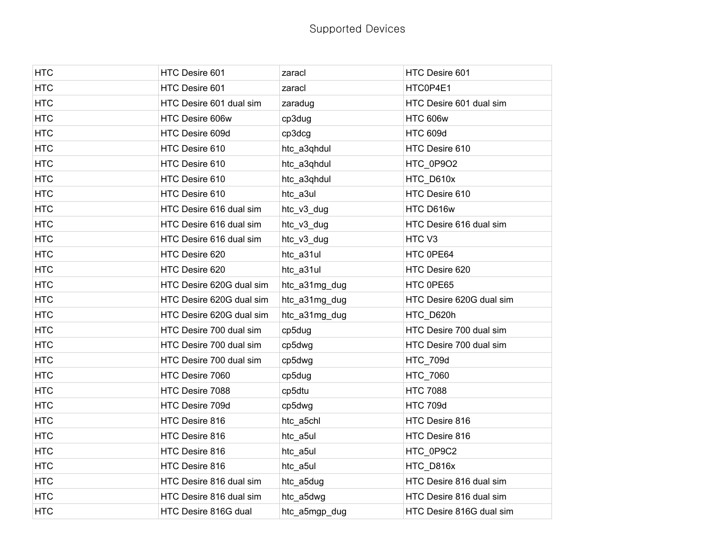| <b>HTC</b> | HTC Desire 601           | zaracl        | HTC Desire 601           |
|------------|--------------------------|---------------|--------------------------|
| <b>HTC</b> | HTC Desire 601           | zaracl        | HTC0P4E1                 |
| <b>HTC</b> | HTC Desire 601 dual sim  | zaradug       | HTC Desire 601 dual sim  |
| <b>HTC</b> | HTC Desire 606w          | cp3dug        | <b>HTC 606w</b>          |
| <b>HTC</b> | HTC Desire 609d          | cp3dcg        | <b>HTC 609d</b>          |
| <b>HTC</b> | HTC Desire 610           | htc_a3qhdul   | HTC Desire 610           |
| <b>HTC</b> | HTC Desire 610           | htc_a3qhdul   | HTC_0P9O2                |
| <b>HTC</b> | HTC Desire 610           | htc_a3qhdul   | HTC_D610x                |
| <b>HTC</b> | HTC Desire 610           | htc_a3ul      | HTC Desire 610           |
| <b>HTC</b> | HTC Desire 616 dual sim  | htc_v3_dug    | HTC D616w                |
| <b>HTC</b> | HTC Desire 616 dual sim  | htc_v3_dug    | HTC Desire 616 dual sim  |
| <b>HTC</b> | HTC Desire 616 dual sim  | htc_v3_dug    | HTC <sub>V3</sub>        |
| <b>HTC</b> | HTC Desire 620           | htc_a31ul     | HTC 0PE64                |
| <b>HTC</b> | HTC Desire 620           | htc_a31ul     | HTC Desire 620           |
| <b>HTC</b> | HTC Desire 620G dual sim | htc_a31mg_dug | HTC 0PE65                |
| <b>HTC</b> | HTC Desire 620G dual sim | htc_a31mg_dug | HTC Desire 620G dual sim |
| <b>HTC</b> | HTC Desire 620G dual sim | htc_a31mg_dug | HTC_D620h                |
| <b>HTC</b> | HTC Desire 700 dual sim  | cp5dug        | HTC Desire 700 dual sim  |
| <b>HTC</b> | HTC Desire 700 dual sim  | cp5dwg        | HTC Desire 700 dual sim  |
| <b>HTC</b> | HTC Desire 700 dual sim  | cp5dwg        | <b>HTC_709d</b>          |
| <b>HTC</b> | HTC Desire 7060          | cp5dug        | HTC_7060                 |
| <b>HTC</b> | HTC Desire 7088          | cp5dtu        | <b>HTC 7088</b>          |
| <b>HTC</b> | HTC Desire 709d          | cp5dwg        | <b>HTC 709d</b>          |
| <b>HTC</b> | HTC Desire 816           | htc_a5chl     | HTC Desire 816           |
| <b>HTC</b> | HTC Desire 816           | htc_a5ul      | HTC Desire 816           |
| <b>HTC</b> | HTC Desire 816           | htc_a5ul      | HTC_0P9C2                |
| <b>HTC</b> | HTC Desire 816           | htc_a5ul      | HTC D816x                |
| <b>HTC</b> | HTC Desire 816 dual sim  | htc_a5dug     | HTC Desire 816 dual sim  |
| <b>HTC</b> | HTC Desire 816 dual sim  | htc_a5dwg     | HTC Desire 816 dual sim  |
| <b>HTC</b> | HTC Desire 816G dual     | htc_a5mgp_dug | HTC Desire 816G dual sim |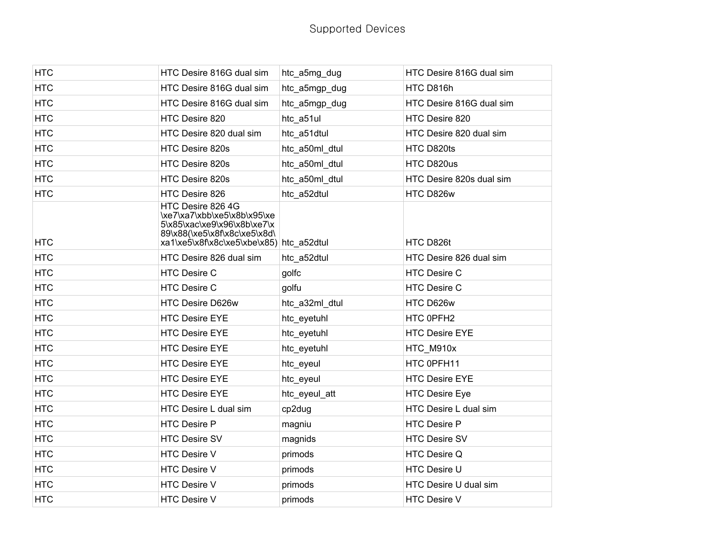| <b>HTC</b> | HTC Desire 816G dual sim                                                                                                                                    | htc_a5mg_dug   | HTC Desire 816G dual sim |
|------------|-------------------------------------------------------------------------------------------------------------------------------------------------------------|----------------|--------------------------|
| <b>HTC</b> | HTC Desire 816G dual sim                                                                                                                                    | htc_a5mgp_dug  | HTC D816h                |
| <b>HTC</b> | HTC Desire 816G dual sim                                                                                                                                    | htc_a5mgp_dug  | HTC Desire 816G dual sim |
| <b>HTC</b> | HTC Desire 820                                                                                                                                              | htc_a51ul      | HTC Desire 820           |
| <b>HTC</b> | HTC Desire 820 dual sim                                                                                                                                     | htc_a51dtul    | HTC Desire 820 dual sim  |
| <b>HTC</b> | HTC Desire 820s                                                                                                                                             | htc a50ml dtul | HTC D820ts               |
| <b>HTC</b> | HTC Desire 820s                                                                                                                                             | htc_a50ml_dtul | HTC D820us               |
| <b>HTC</b> | HTC Desire 820s                                                                                                                                             | htc_a50ml_dtul | HTC Desire 820s dual sim |
| <b>HTC</b> | HTC Desire 826                                                                                                                                              | htc_a52dtul    | HTC D826w                |
| <b>HTC</b> | HTC Desire 826 4G<br>\xe7\xa7\xbb\xe5\x8b\x95\xe<br>5\x85\xac\xe9\x96\x8b\xe7\x<br>89\x88(\xe5\x8f\x8c\xe5\x8d\<br>xa1\xe5\x8f\x8c\xe5\xbe\x85) htc_a52dtul |                | HTC D826t                |
| <b>HTC</b> | HTC Desire 826 dual sim                                                                                                                                     | htc a52dtul    | HTC Desire 826 dual sim  |
| <b>HTC</b> | <b>HTC Desire C</b>                                                                                                                                         | golfc          | <b>HTC Desire C</b>      |
| <b>HTC</b> | HTC Desire C                                                                                                                                                | golfu          | <b>HTC Desire C</b>      |
| <b>HTC</b> | HTC Desire D626w                                                                                                                                            | htc_a32ml_dtul | HTC D626w                |
| <b>HTC</b> | <b>HTC Desire EYE</b>                                                                                                                                       | htc_eyetuhl    | HTC 0PFH2                |
| <b>HTC</b> | <b>HTC Desire EYE</b>                                                                                                                                       | htc_eyetuhl    | <b>HTC Desire EYE</b>    |
| <b>HTC</b> | <b>HTC Desire EYE</b>                                                                                                                                       | htc_eyetuhl    | HTC_M910x                |
| <b>HTC</b> | <b>HTC Desire EYE</b>                                                                                                                                       | htc_eyeul      | HTC 0PFH11               |
| <b>HTC</b> | <b>HTC Desire EYE</b>                                                                                                                                       | htc_eyeul      | HTC Desire EYE           |
| <b>HTC</b> | <b>HTC Desire EYE</b>                                                                                                                                       | htc_eyeul_att  | <b>HTC Desire Eye</b>    |
| <b>HTC</b> | HTC Desire L dual sim                                                                                                                                       | cp2dug         | HTC Desire L dual sim    |
| <b>HTC</b> | <b>HTC Desire P</b>                                                                                                                                         | magniu         | <b>HTC Desire P</b>      |
| <b>HTC</b> | <b>HTC Desire SV</b>                                                                                                                                        | magnids        | <b>HTC Desire SV</b>     |
| <b>HTC</b> | <b>HTC Desire V</b>                                                                                                                                         | primods        | HTC Desire Q             |
| <b>HTC</b> | <b>HTC Desire V</b>                                                                                                                                         | primods        | <b>HTC Desire U</b>      |
| <b>HTC</b> | HTC Desire V                                                                                                                                                | primods        | HTC Desire U dual sim    |
| <b>HTC</b> | <b>HTC Desire V</b>                                                                                                                                         | primods        | <b>HTC Desire V</b>      |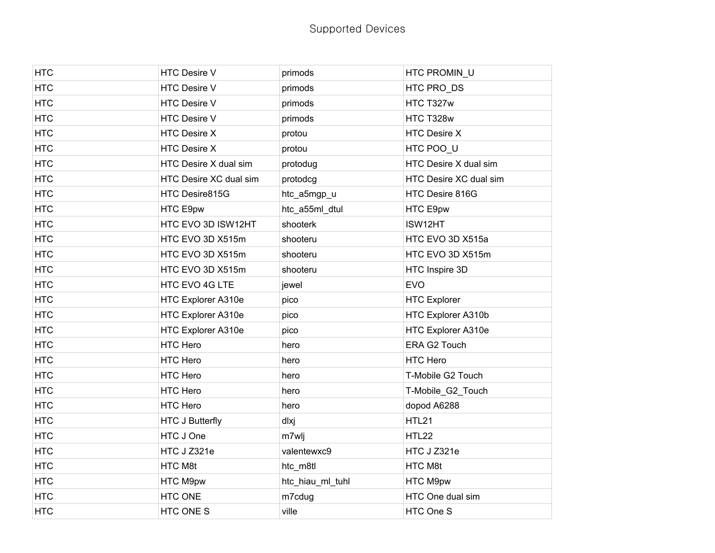| <b>HTC</b> | <b>HTC Desire V</b>    | primods          | HTC PROMIN_U           |
|------------|------------------------|------------------|------------------------|
| <b>HTC</b> | HTC Desire V           | primods          | HTC PRO DS             |
| <b>HTC</b> | <b>HTC Desire V</b>    | primods          | HTC T327w              |
| <b>HTC</b> | <b>HTC Desire V</b>    | primods          | HTC T328w              |
| <b>HTC</b> | <b>HTC Desire X</b>    | protou           | <b>HTC Desire X</b>    |
| <b>HTC</b> | <b>HTC Desire X</b>    | protou           | HTC POO U              |
| <b>HTC</b> | HTC Desire X dual sim  | protodug         | HTC Desire X dual sim  |
| <b>HTC</b> | HTC Desire XC dual sim | protodcg         | HTC Desire XC dual sim |
| <b>HTC</b> | HTC Desire815G         | htc_a5mgp_u      | HTC Desire 816G        |
| <b>HTC</b> | HTC E9pw               | htc_a55ml_dtul   | HTC E9pw               |
| <b>HTC</b> | HTC EVO 3D ISW12HT     | shooterk         | ISW12HT                |
| <b>HTC</b> | HTC EVO 3D X515m       | shooteru         | HTC EVO 3D X515a       |
| <b>HTC</b> | HTC EVO 3D X515m       | shooteru         | HTC EVO 3D X515m       |
| <b>HTC</b> | HTC EVO 3D X515m       | shooteru         | HTC Inspire 3D         |
| <b>HTC</b> | HTC EVO 4G LTE         | jewel            | <b>EVO</b>             |
| <b>HTC</b> | HTC Explorer A310e     | pico             | <b>HTC Explorer</b>    |
| <b>HTC</b> | HTC Explorer A310e     | pico             | HTC Explorer A310b     |
| <b>HTC</b> | HTC Explorer A310e     | pico             | HTC Explorer A310e     |
| <b>HTC</b> | <b>HTC Hero</b>        | hero             | ERA G2 Touch           |
| <b>HTC</b> | HTC Hero               | hero             | <b>HTC Hero</b>        |
| <b>HTC</b> | HTC Hero               | hero             | T-Mobile G2 Touch      |
| <b>HTC</b> | HTC Hero               | hero             | T-Mobile_G2_Touch      |
| <b>HTC</b> | <b>HTC Hero</b>        | hero             | dopod A6288            |
| <b>HTC</b> | <b>HTC J Butterfly</b> | dlxj             | HTL21                  |
| <b>HTC</b> | HTC J One              | m7wlj            | HTL22                  |
| <b>HTC</b> | HTC J Z321e            | valentewxc9      | HTC J Z321e            |
| <b>HTC</b> | HTC M8t                | htc_m8tl         | HTC M8t                |
| <b>HTC</b> | HTC M9pw               | htc_hiau_ml_tuhl | HTC M9pw               |
| <b>HTC</b> | HTC ONE                | m7cdug           | HTC One dual sim       |
| <b>HTC</b> | <b>HTC ONE S</b>       | ville            | HTC One S              |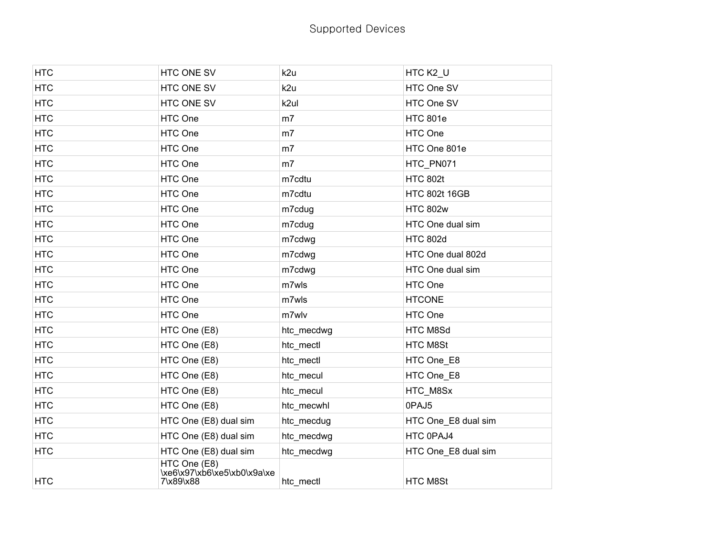| <b>HTC</b> | HTC ONE SV                                               | k2u            | HTC K2_U             |
|------------|----------------------------------------------------------|----------------|----------------------|
| <b>HTC</b> | HTC ONE SV                                               | k2u            | HTC One SV           |
| <b>HTC</b> | HTC ONE SV                                               | k2ul           | HTC One SV           |
| <b>HTC</b> | HTC One                                                  | m7             | <b>HTC 801e</b>      |
| <b>HTC</b> | HTC One                                                  | m <sub>7</sub> | HTC One              |
| <b>HTC</b> | HTC One                                                  | m <sub>7</sub> | HTC One 801e         |
| <b>HTC</b> | HTC One                                                  | m <sub>7</sub> | HTC_PN071            |
| <b>HTC</b> | HTC One                                                  | m7cdtu         | <b>HTC 802t</b>      |
| <b>HTC</b> | HTC One                                                  | m7cdtu         | <b>HTC 802t 16GB</b> |
| <b>HTC</b> | HTC One                                                  | m7cdug         | <b>HTC 802w</b>      |
| <b>HTC</b> | HTC One                                                  | m7cdug         | HTC One dual sim     |
| <b>HTC</b> | HTC One                                                  | m7cdwg         | <b>HTC 802d</b>      |
| <b>HTC</b> | HTC One                                                  | m7cdwg         | HTC One dual 802d    |
| <b>HTC</b> | HTC One                                                  | m7cdwg         | HTC One dual sim     |
| <b>HTC</b> | HTC One                                                  | m7wls          | HTC One              |
| <b>HTC</b> | HTC One                                                  | m7wls          | <b>HTCONE</b>        |
| <b>HTC</b> | HTC One                                                  | m7wlv          | HTC One              |
| <b>HTC</b> | HTC One (E8)                                             | htc_mecdwg     | HTC M8Sd             |
| <b>HTC</b> | HTC One (E8)                                             | htc_mectl      | HTC M8St             |
| <b>HTC</b> | HTC One (E8)                                             | htc_mectl      | HTC One_E8           |
| <b>HTC</b> | HTC One (E8)                                             | htc_mecul      | HTC One_E8           |
| <b>HTC</b> | HTC One (E8)                                             | htc_mecul      | HTC_M8Sx             |
| <b>HTC</b> | HTC One (E8)                                             | htc_mecwhl     | 0PAJ5                |
| <b>HTC</b> | HTC One (E8) dual sim                                    | htc_mecdug     | HTC One_E8 dual sim  |
| <b>HTC</b> | HTC One (E8) dual sim                                    | htc_mecdwg     | HTC 0PAJ4            |
| <b>HTC</b> | HTC One (E8) dual sim                                    | htc mecdwg     | HTC One_E8 dual sim  |
| <b>HTC</b> | HTC One (E8)<br>\xe6\x97\xb6\xe5\xb0\x9a\xe<br>7\x89\x88 | htc mectl      | HTC M8St             |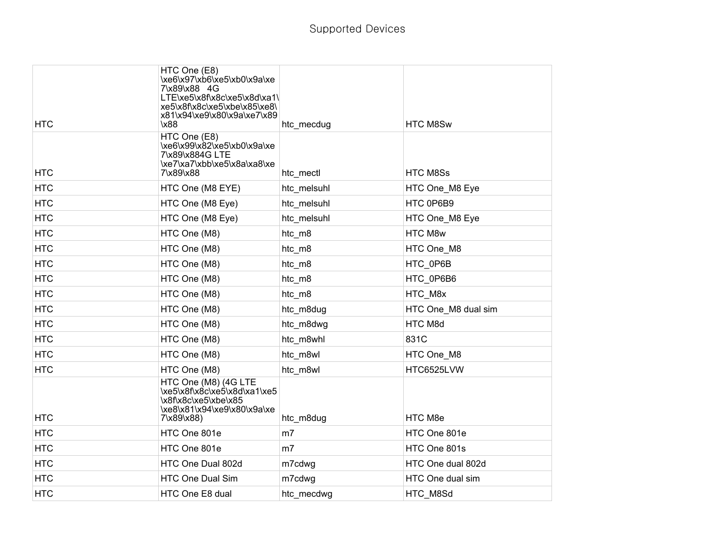| <b>HTC</b> | HTC One (E8)<br>\xe6\x97\xb6\xe5\xb0\x9a\xe<br>7\x89\x88 4G<br>LTE\xe5\x8f\x8c\xe5\x8d\xa1\<br>xe5\x8f\x8c\xe5\xbe\x85\xe8\<br>x81\x94\xe9\x80\x9a\xe7\x89<br>\x88 | htc_mecdug     | HTC M8Sw            |
|------------|--------------------------------------------------------------------------------------------------------------------------------------------------------------------|----------------|---------------------|
| <b>HTC</b> | HTC One (E8)<br>\xe6\x99\x82\xe5\xb0\x9a\xe<br>7\x89\x884G LTE<br>\xe7\xa7\xbb\xe5\x8a\xa8\xe<br>7\x89\x88                                                         | htc_mectl      | <b>HTC M8Ss</b>     |
| <b>HTC</b> | HTC One (M8 EYE)                                                                                                                                                   | htc melsuhl    | HTC One_M8 Eye      |
| <b>HTC</b> | HTC One (M8 Eye)                                                                                                                                                   | htc_melsuhl    | HTC 0P6B9           |
| <b>HTC</b> | HTC One (M8 Eye)                                                                                                                                                   | htc_melsuhl    | HTC One_M8 Eye      |
| <b>HTC</b> | HTC One (M8)                                                                                                                                                       | htc_m8         | HTC M8w             |
| <b>HTC</b> | HTC One (M8)                                                                                                                                                       | htc_m8         | HTC One_M8          |
| <b>HTC</b> | HTC One (M8)                                                                                                                                                       | htc m8         | HTC 0P6B            |
| <b>HTC</b> | HTC One (M8)                                                                                                                                                       | htc_m8         | HTC 0P6B6           |
| <b>HTC</b> | HTC One (M8)                                                                                                                                                       | htc_m8         | HTC_M8x             |
| <b>HTC</b> | HTC One (M8)                                                                                                                                                       | htc_m8dug      | HTC One M8 dual sim |
| <b>HTC</b> | HTC One (M8)                                                                                                                                                       | htc_m8dwg      | HTC M8d             |
| <b>HTC</b> | HTC One (M8)                                                                                                                                                       | htc_m8whl      | 831C                |
| <b>HTC</b> | HTC One (M8)                                                                                                                                                       | htc m8wl       | HTC One M8          |
| <b>HTC</b> | HTC One (M8)                                                                                                                                                       | htc_m8wl       | HTC6525LVW          |
| <b>HTC</b> | HTC One (M8) (4G LTE<br>\xe5\x8f\x8c\xe5\x8d\xa1\xe5<br>\x8f\x8c\xe5\xbe\x85<br>\xe8\x81\x94\xe9\x80\x9a\xe<br>7\x89\x88)                                          | htc_m8dug      | HTC M8e             |
| <b>HTC</b> | HTC One 801e                                                                                                                                                       | m <sub>7</sub> | HTC One 801e        |
| <b>HTC</b> | HTC One 801e                                                                                                                                                       | m7             | HTC One 801s        |
| <b>HTC</b> | HTC One Dual 802d                                                                                                                                                  | m7cdwg         | HTC One dual 802d   |
| <b>HTC</b> | <b>HTC One Dual Sim</b>                                                                                                                                            | m7cdwg         | HTC One dual sim    |
| <b>HTC</b> | HTC One E8 dual                                                                                                                                                    | htc_mecdwg     | HTC_M8Sd            |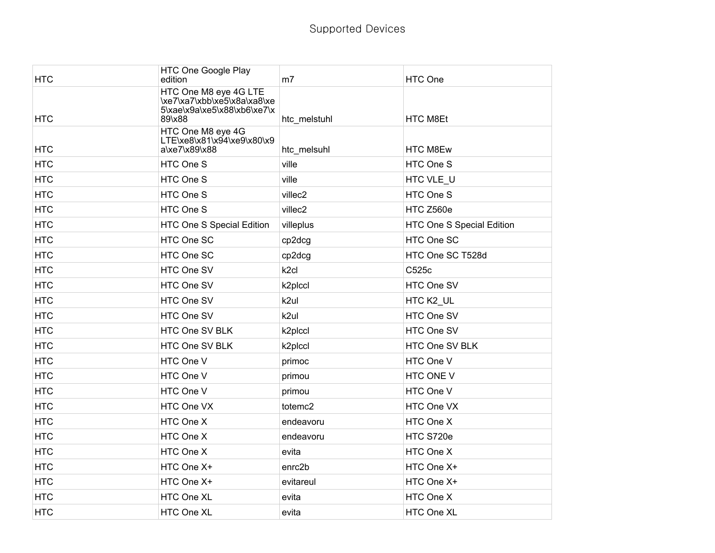| <b>HTC</b> | HTC One Google Play<br>edition                                                                | m7                  | HTC One                   |
|------------|-----------------------------------------------------------------------------------------------|---------------------|---------------------------|
| <b>HTC</b> | HTC One M8 eye 4G LTE<br>\xe7\xa7\xbb\xe5\x8a\xa8\xe<br>5\xae\x9a\xe5\x88\xb6\xe7\x<br>89\x88 | htc_melstuhl        | <b>HTC M8Et</b>           |
| <b>HTC</b> | HTC One M8 eye 4G<br>LTE\xe8\x81\x94\xe9\x80\x9<br>a\xe7\x89\x88                              | htc_melsuhl         | HTC M8Ew                  |
| <b>HTC</b> | HTC One S                                                                                     | ville               | HTC One S                 |
| <b>HTC</b> | HTC One S                                                                                     | ville               | HTC VLE_U                 |
| <b>HTC</b> | HTC One S                                                                                     | villec2             | HTC One S                 |
| <b>HTC</b> | HTC One S                                                                                     | villec2             | HTC Z560e                 |
| <b>HTC</b> | HTC One S Special Edition                                                                     | villeplus           | HTC One S Special Edition |
| <b>HTC</b> | HTC One SC                                                                                    | cp2dcg              | HTC One SC                |
| <b>HTC</b> | HTC One SC                                                                                    | cp2dcg              | HTC One SC T528d          |
| <b>HTC</b> | HTC One SV                                                                                    | k <sub>2cl</sub>    | C525c                     |
| <b>HTC</b> | HTC One SV                                                                                    | k2plccl             | HTC One SV                |
| <b>HTC</b> | HTC One SV                                                                                    | k2ul                | HTC K2_UL                 |
| <b>HTC</b> | HTC One SV                                                                                    | k2ul                | HTC One SV                |
| <b>HTC</b> | HTC One SV BLK                                                                                | k2plccl             | HTC One SV                |
| <b>HTC</b> | HTC One SV BLK                                                                                | k <sub>2plccl</sub> | HTC One SV BLK            |
| <b>HTC</b> | HTC One V                                                                                     | primoc              | HTC One V                 |
| <b>HTC</b> | HTC One V                                                                                     | primou              | HTC ONE V                 |
| <b>HTC</b> | HTC One V                                                                                     | primou              | HTC One V                 |
| <b>HTC</b> | HTC One VX                                                                                    | totemc2             | HTC One VX                |
| <b>HTC</b> | HTC One X                                                                                     | endeavoru           | HTC One X                 |
| <b>HTC</b> | HTC One X                                                                                     | endeavoru           | HTC S720e                 |
| <b>HTC</b> | HTC One X                                                                                     | evita               | HTC One X                 |
| <b>HTC</b> | HTC One X+                                                                                    | enrc <sub>2b</sub>  | HTC One X+                |
| <b>HTC</b> | HTC One X+                                                                                    | evitareul           | HTC One X+                |
| <b>HTC</b> | HTC One XL                                                                                    | evita               | HTC One X                 |
| <b>HTC</b> | HTC One XL                                                                                    | evita               | HTC One XL                |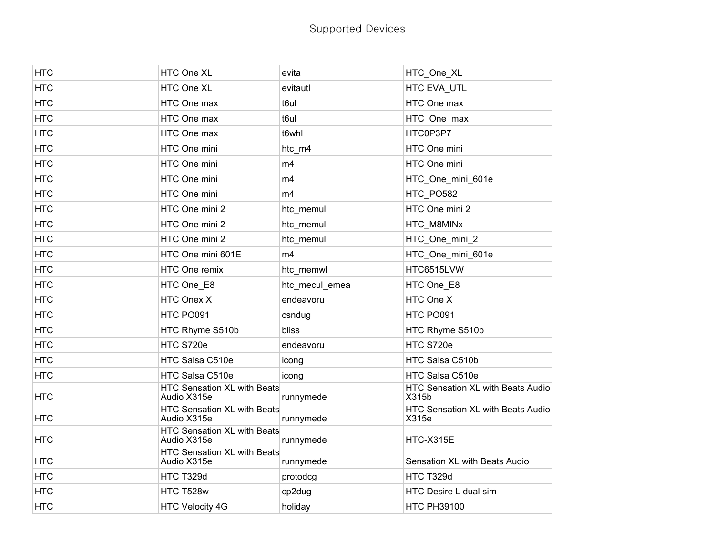| <b>HTC</b> | HTC One XL                                        | evita          | HTC_One_XL                                 |
|------------|---------------------------------------------------|----------------|--------------------------------------------|
| <b>HTC</b> | HTC One XL                                        | evitautl       | HTC EVA UTL                                |
| <b>HTC</b> | HTC One max                                       | t6ul           | HTC One max                                |
| <b>HTC</b> | HTC One max                                       | t6ul           | HTC One max                                |
| <b>HTC</b> | HTC One max                                       | t6whl          | HTC0P3P7                                   |
| <b>HTC</b> | HTC One mini                                      | htc_m4         | HTC One mini                               |
| <b>HTC</b> | HTC One mini                                      | m4             | HTC One mini                               |
| <b>HTC</b> | HTC One mini                                      | m4             | HTC_One_mini_601e                          |
| <b>HTC</b> | HTC One mini                                      | m4             | HTC PO582                                  |
| <b>HTC</b> | HTC One mini 2                                    | htc_memul      | HTC One mini 2                             |
| <b>HTC</b> | HTC One mini 2                                    | htc_memul      | HTC_M8MINx                                 |
| <b>HTC</b> | HTC One mini 2                                    | htc_memul      | HTC_One_mini_2                             |
| <b>HTC</b> | HTC One mini 601E                                 | m4             | HTC_One_mini_601e                          |
| <b>HTC</b> | HTC One remix                                     | htc_memwl      | HTC6515LVW                                 |
| <b>HTC</b> | HTC One E8                                        | htc mecul emea | HTC One E8                                 |
| <b>HTC</b> | HTC Onex X                                        | endeavoru      | HTC One X                                  |
| <b>HTC</b> | HTC PO091                                         | csndug         | HTC PO091                                  |
| <b>HTC</b> | HTC Rhyme S510b                                   | bliss          | HTC Rhyme S510b                            |
| <b>HTC</b> | HTC S720e                                         | endeavoru      | HTC S720e                                  |
| <b>HTC</b> | HTC Salsa C510e                                   | icong          | HTC Salsa C510b                            |
| <b>HTC</b> | HTC Salsa C510e                                   | icong          | HTC Salsa C510e                            |
| <b>HTC</b> | <b>HTC Sensation XL with Beats</b><br>Audio X315e | runnymede      | HTC Sensation XL with Beats Audio<br>X315b |
| <b>HTC</b> | HTC Sensation XL with Beats<br>Audio X315e        | runnymede      | HTC Sensation XL with Beats Audio<br>X315e |
| <b>HTC</b> | HTC Sensation XL with Beats<br>Audio X315e        | runnymede      | HTC-X315E                                  |
| <b>HTC</b> | HTC Sensation XL with Beats<br>Audio X315e        | runnymede      | Sensation XL with Beats Audio              |
| <b>HTC</b> | HTC T329d                                         | protodcg       | HTC T329d                                  |
| <b>HTC</b> | HTC T528w                                         | cp2dug         | HTC Desire L dual sim                      |
| <b>HTC</b> | <b>HTC Velocity 4G</b>                            | holiday        | <b>HTC PH39100</b>                         |
|            |                                                   |                |                                            |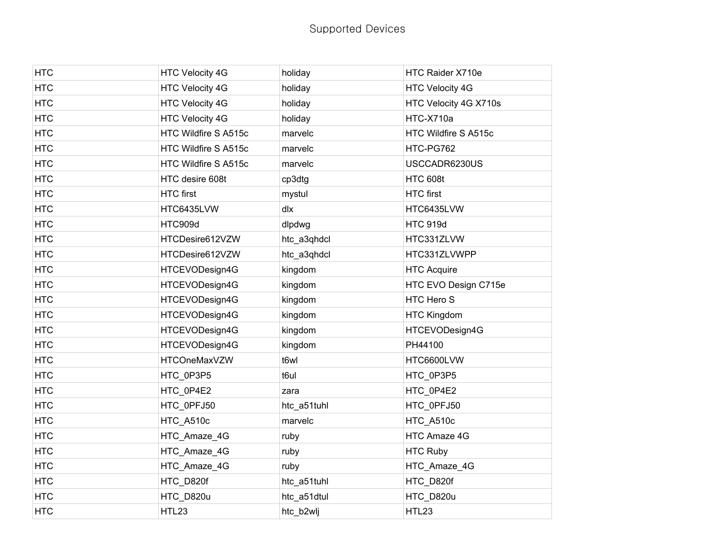| <b>HTC</b> | <b>HTC Velocity 4G</b> | holiday     | HTC Raider X710e       |
|------------|------------------------|-------------|------------------------|
| <b>HTC</b> | <b>HTC Velocity 4G</b> | holiday     | <b>HTC Velocity 4G</b> |
| <b>HTC</b> | <b>HTC Velocity 4G</b> | holiday     | HTC Velocity 4G X710s  |
| <b>HTC</b> | <b>HTC Velocity 4G</b> | holiday     | HTC-X710a              |
| <b>HTC</b> | HTC Wildfire S A515c   | marvelc     | HTC Wildfire S A515c   |
| <b>HTC</b> | HTC Wildfire S A515c   | marvelc     | HTC-PG762              |
| <b>HTC</b> | HTC Wildfire S A515c   | marvelc     | USCCADR6230US          |
| <b>HTC</b> | HTC desire 608t        | cp3dtg      | <b>HTC 608t</b>        |
| <b>HTC</b> | <b>HTC</b> first       | mystul      | <b>HTC</b> first       |
| <b>HTC</b> | HTC6435LVW             | dlx         | HTC6435LVW             |
| <b>HTC</b> | HTC909d                | dlpdwg      | <b>HTC 919d</b>        |
| <b>HTC</b> | HTCDesire612VZW        | htc_a3qhdcl | HTC331ZLVW             |
| <b>HTC</b> | HTCDesire612VZW        | htc_a3qhdcl | HTC331ZLVWPP           |
| <b>HTC</b> | HTCEVODesign4G         | kingdom     | <b>HTC Acquire</b>     |
| <b>HTC</b> | HTCEVODesign4G         | kingdom     | HTC EVO Design C715e   |
| <b>HTC</b> | HTCEVODesign4G         | kingdom     | HTC Hero S             |
| <b>HTC</b> | HTCEVODesign4G         | kingdom     | <b>HTC Kingdom</b>     |
| <b>HTC</b> | HTCEVODesign4G         | kingdom     | HTCEVODesign4G         |
| <b>HTC</b> | HTCEVODesign4G         | kingdom     | PH44100                |
| <b>HTC</b> | <b>HTCOneMaxVZW</b>    | t6wl        | HTC6600LVW             |
| <b>HTC</b> | HTC_0P3P5              | t6ul        | HTC_0P3P5              |
| <b>HTC</b> | HTC_0P4E2              | zara        | HTC_0P4E2              |
| <b>HTC</b> | HTC_0PFJ50             | htc_a51tuhl | HTC_0PFJ50             |
| <b>HTC</b> | HTC A510c              | marvelc     | HTC A510c              |
| <b>HTC</b> | HTC_Amaze_4G           | ruby        | HTC Amaze 4G           |
| <b>HTC</b> | HTC_Amaze_4G           | ruby        | <b>HTC Ruby</b>        |
| <b>HTC</b> | HTC_Amaze_4G           | ruby        | HTC_Amaze_4G           |
| <b>HTC</b> | HTC_D820f              | htc_a51tuhl | HTC_D820f              |
| <b>HTC</b> | HTC_D820u              | htc_a51dtul | HTC_D820u              |
| <b>HTC</b> | HTL23                  | htc_b2wlj   | HTL23                  |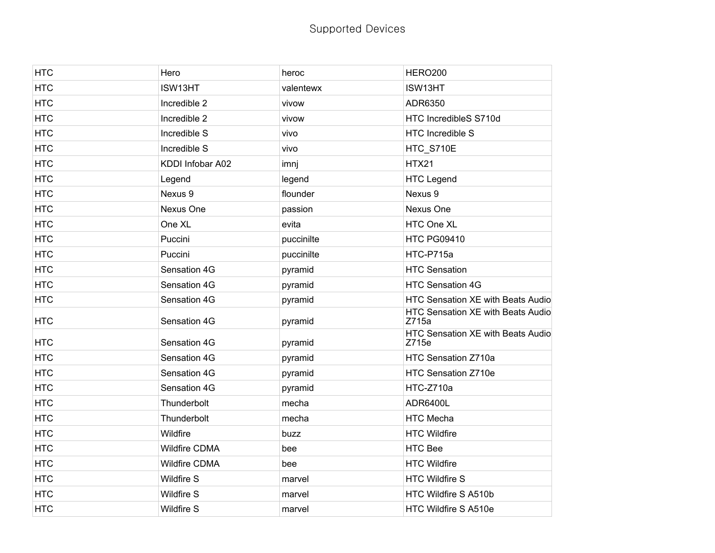| <b>HTC</b> | Hero                 | heroc      | HERO200                                    |
|------------|----------------------|------------|--------------------------------------------|
| <b>HTC</b> | ISW13HT              | valentewx  | ISW13HT                                    |
| <b>HTC</b> | Incredible 2         | vivow      | ADR6350                                    |
| <b>HTC</b> | Incredible 2         | vivow      | HTC IncredibleS S710d                      |
| <b>HTC</b> | Incredible S         | vivo       | <b>HTC Incredible S</b>                    |
| <b>HTC</b> | Incredible S         | vivo       | HTC_S710E                                  |
| <b>HTC</b> | KDDI Infobar A02     | imnj       | <b>HTX21</b>                               |
| <b>HTC</b> | Legend               | legend     | <b>HTC Legend</b>                          |
| <b>HTC</b> | Nexus 9              | flounder   | Nexus 9                                    |
| <b>HTC</b> | Nexus One            | passion    | Nexus One                                  |
| <b>HTC</b> | One XL               | evita      | HTC One XL                                 |
| <b>HTC</b> | Puccini              | puccinilte | <b>HTC PG09410</b>                         |
| <b>HTC</b> | Puccini              | puccinilte | HTC-P715a                                  |
| <b>HTC</b> | Sensation 4G         | pyramid    | <b>HTC Sensation</b>                       |
| <b>HTC</b> | Sensation 4G         | pyramid    | <b>HTC Sensation 4G</b>                    |
| <b>HTC</b> | Sensation 4G         | pyramid    | HTC Sensation XE with Beats Audio          |
| <b>HTC</b> | Sensation 4G         | pyramid    | HTC Sensation XE with Beats Audio<br>Z715a |
| <b>HTC</b> | Sensation 4G         | pyramid    | HTC Sensation XE with Beats Audio<br>Z715e |
| <b>HTC</b> | Sensation 4G         | pyramid    | HTC Sensation Z710a                        |
| <b>HTC</b> | Sensation 4G         | pyramid    | HTC Sensation Z710e                        |
| <b>HTC</b> | Sensation 4G         | pyramid    | HTC-Z710a                                  |
| <b>HTC</b> | Thunderbolt          | mecha      | ADR6400L                                   |
| <b>HTC</b> | Thunderbolt          | mecha      | <b>HTC Mecha</b>                           |
| <b>HTC</b> | Wildfire             | buzz       | <b>HTC Wildfire</b>                        |
| <b>HTC</b> | <b>Wildfire CDMA</b> | bee        | <b>HTC Bee</b>                             |
| <b>HTC</b> | <b>Wildfire CDMA</b> | bee        | <b>HTC Wildfire</b>                        |
| <b>HTC</b> | <b>Wildfire S</b>    | marvel     | <b>HTC Wildfire S</b>                      |
| <b>HTC</b> | <b>Wildfire S</b>    | marvel     | HTC Wildfire S A510b                       |
| <b>HTC</b> | <b>Wildfire S</b>    | marvel     | HTC Wildfire S A510e                       |
|            |                      |            |                                            |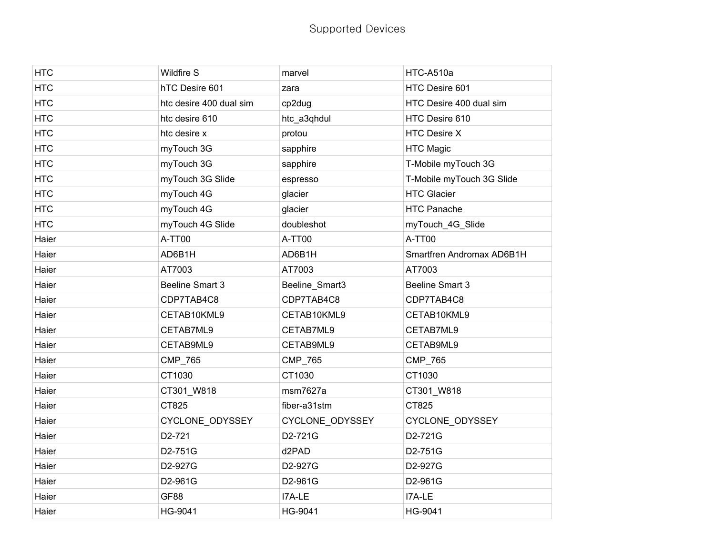| <b>HTC</b> | <b>Wildfire S</b>       | marvel          | HTC-A510a                 |
|------------|-------------------------|-----------------|---------------------------|
| <b>HTC</b> | hTC Desire 601          | zara            | HTC Desire 601            |
| <b>HTC</b> | htc desire 400 dual sim | cp2dug          | HTC Desire 400 dual sim   |
| <b>HTC</b> | htc desire 610          | htc_a3qhdul     | HTC Desire 610            |
| <b>HTC</b> | htc desire x            | protou          | <b>HTC Desire X</b>       |
| <b>HTC</b> | myTouch 3G              | sapphire        | <b>HTC Magic</b>          |
| <b>HTC</b> | myTouch 3G              | sapphire        | T-Mobile myTouch 3G       |
| <b>HTC</b> | myTouch 3G Slide        | espresso        | T-Mobile myTouch 3G Slide |
| <b>HTC</b> | myTouch 4G              | glacier         | <b>HTC Glacier</b>        |
| <b>HTC</b> | myTouch 4G              | glacier         | <b>HTC Panache</b>        |
| <b>HTC</b> | myTouch 4G Slide        | doubleshot      | myTouch_4G_Slide          |
| Haier      | A-TT00                  | A-TT00          | A-TT00                    |
| Haier      | AD6B1H                  | AD6B1H          | Smartfren Andromax AD6B1H |
| Haier      | AT7003                  | AT7003          | AT7003                    |
| Haier      | Beeline Smart 3         | Beeline_Smart3  | <b>Beeline Smart 3</b>    |
| Haier      | CDP7TAB4C8              | CDP7TAB4C8      | CDP7TAB4C8                |
| Haier      | CETAB10KML9             | CETAB10KML9     | CETAB10KML9               |
| Haier      | CETAB7ML9               | CETAB7ML9       | CETAB7ML9                 |
| Haier      | CETAB9ML9               | CETAB9ML9       | CETAB9ML9                 |
| Haier      | CMP_765                 | CMP_765         | CMP_765                   |
| Haier      | CT1030                  | CT1030          | CT1030                    |
| Haier      | CT301_W818              | msm7627a        | CT301_W818                |
| Haier      | CT825                   | fiber-a31stm    | CT825                     |
| Haier      | CYCLONE_ODYSSEY         | CYCLONE_ODYSSEY | CYCLONE_ODYSSEY           |
| Haier      | D2-721                  | D2-721G         | D2-721G                   |
| Haier      | D2-751G                 | d2PAD           | D2-751G                   |
| Haier      | D2-927G                 | D2-927G         | D2-927G                   |
| Haier      | D2-961G                 | D2-961G         | D2-961G                   |
| Haier      | GF88                    | I7A-LE          | I7A-LE                    |
| Haier      | HG-9041                 | HG-9041         | HG-9041                   |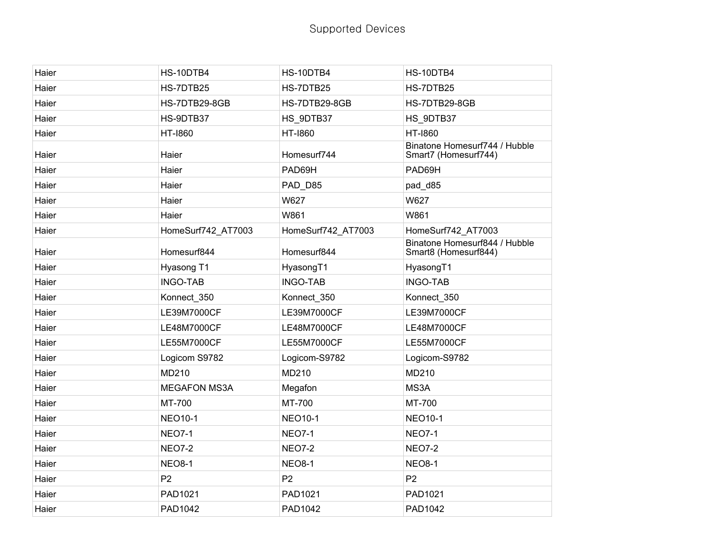| Haier | HS-10DTB4           | HS-10DTB4          | HS-10DTB4                                             |
|-------|---------------------|--------------------|-------------------------------------------------------|
| Haier | HS-7DTB25           | HS-7DTB25          | HS-7DTB25                                             |
| Haier | HS-7DTB29-8GB       | HS-7DTB29-8GB      | HS-7DTB29-8GB                                         |
| Haier | HS-9DTB37           | HS 9DTB37          | HS 9DTB37                                             |
| Haier | HT-1860             | <b>HT-1860</b>     | HT-1860                                               |
| Haier | Haier               | Homesurf744        | Binatone Homesurf744 / Hubble<br>Smart7 (Homesurf744) |
| Haier | Haier               | PAD69H             | PAD69H                                                |
| Haier | Haier               | PAD_D85            | pad_d85                                               |
| Haier | Haier               | W627               | W627                                                  |
| Haier | Haier               | W861               | W861                                                  |
| Haier | HomeSurf742 AT7003  | HomeSurf742_AT7003 | HomeSurf742 AT7003                                    |
| Haier | Homesurf844         | Homesurf844        | Binatone Homesurf844 / Hubble<br>Smart8 (Homesurf844) |
| Haier | Hyasong T1          | HyasongT1          | HyasongT1                                             |
| Haier | <b>INGO-TAB</b>     | <b>INGO-TAB</b>    | <b>INGO-TAB</b>                                       |
| Haier | Konnect_350         | Konnect_350        | Konnect_350                                           |
| Haier | LE39M7000CF         | LE39M7000CF        | LE39M7000CF                                           |
| Haier | LE48M7000CF         | LE48M7000CF        | LE48M7000CF                                           |
| Haier | LE55M7000CF         | LE55M7000CF        | LE55M7000CF                                           |
| Haier | Logicom S9782       | Logicom-S9782      | Logicom-S9782                                         |
| Haier | MD210               | MD210              | MD210                                                 |
| Haier | <b>MEGAFON MS3A</b> | Megafon            | MS3A                                                  |
| Haier | MT-700              | MT-700             | MT-700                                                |
| Haier | <b>NEO10-1</b>      | <b>NEO10-1</b>     | <b>NEO10-1</b>                                        |
| Haier | <b>NEO7-1</b>       | <b>NEO7-1</b>      | <b>NEO7-1</b>                                         |
| Haier | <b>NEO7-2</b>       | <b>NEO7-2</b>      | <b>NEO7-2</b>                                         |
| Haier | <b>NEO8-1</b>       | <b>NEO8-1</b>      | <b>NEO8-1</b>                                         |
| Haier | P <sub>2</sub>      | P <sub>2</sub>     | P <sub>2</sub>                                        |
| Haier | PAD1021             | PAD1021            | PAD1021                                               |
| Haier | PAD1042             | PAD1042            | PAD1042                                               |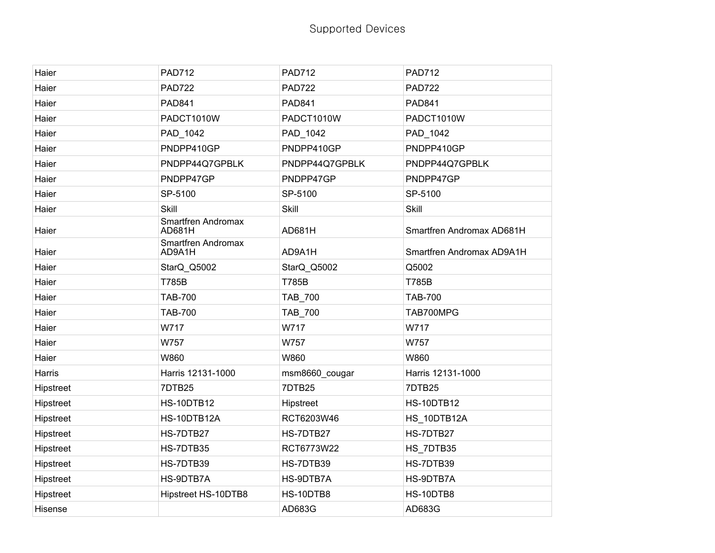| Haier     | <b>PAD712</b>                | <b>PAD712</b>  | <b>PAD712</b>             |
|-----------|------------------------------|----------------|---------------------------|
| Haier     | <b>PAD722</b>                | <b>PAD722</b>  | <b>PAD722</b>             |
| Haier     | <b>PAD841</b>                | <b>PAD841</b>  | <b>PAD841</b>             |
| Haier     | PADCT1010W                   | PADCT1010W     | PADCT1010W                |
| Haier     | PAD_1042                     | PAD 1042       | PAD_1042                  |
| Haier     | PNDPP410GP                   | PNDPP410GP     | PNDPP410GP                |
| Haier     | PNDPP44Q7GPBLK               | PNDPP44Q7GPBLK | PNDPP44Q7GPBLK            |
| Haier     | PNDPP47GP                    | PNDPP47GP      | PNDPP47GP                 |
| Haier     | SP-5100                      | SP-5100        | SP-5100                   |
| Haier     | Skill                        | Skill          | <b>Skill</b>              |
| Haier     | Smartfren Andromax<br>AD681H | AD681H         | Smartfren Andromax AD681H |
| Haier     | Smartfren Andromax<br>AD9A1H | AD9A1H         | Smartfren Andromax AD9A1H |
| Haier     | StarQ_Q5002                  | StarQ_Q5002    | Q5002                     |
| Haier     | <b>T785B</b>                 | <b>T785B</b>   | T785B                     |
| Haier     | <b>TAB-700</b>               | TAB_700        | <b>TAB-700</b>            |
| Haier     | <b>TAB-700</b>               | TAB_700        | TAB700MPG                 |
| Haier     | W717                         | W717           | W717                      |
| Haier     | W757                         | W757           | W757                      |
| Haier     | W860                         | W860           | W860                      |
| Harris    | Harris 12131-1000            | msm8660_cougar | Harris 12131-1000         |
| Hipstreet | <b>7DTB25</b>                | <b>7DTB25</b>  | 7DTB25                    |
| Hipstreet | <b>HS-10DTB12</b>            | Hipstreet      | <b>HS-10DTB12</b>         |
| Hipstreet | HS-10DTB12A                  | RCT6203W46     | HS_10DTB12A               |
| Hipstreet | HS-7DTB27                    | HS-7DTB27      | HS-7DTB27                 |
| Hipstreet | HS-7DTB35                    | RCT6773W22     | HS 7DTB35                 |
| Hipstreet | HS-7DTB39                    | HS-7DTB39      | HS-7DTB39                 |
| Hipstreet | HS-9DTB7A                    | HS-9DTB7A      | HS-9DTB7A                 |
| Hipstreet | Hipstreet HS-10DTB8          | HS-10DTB8      | HS-10DTB8                 |
| Hisense   |                              | AD683G         | AD683G                    |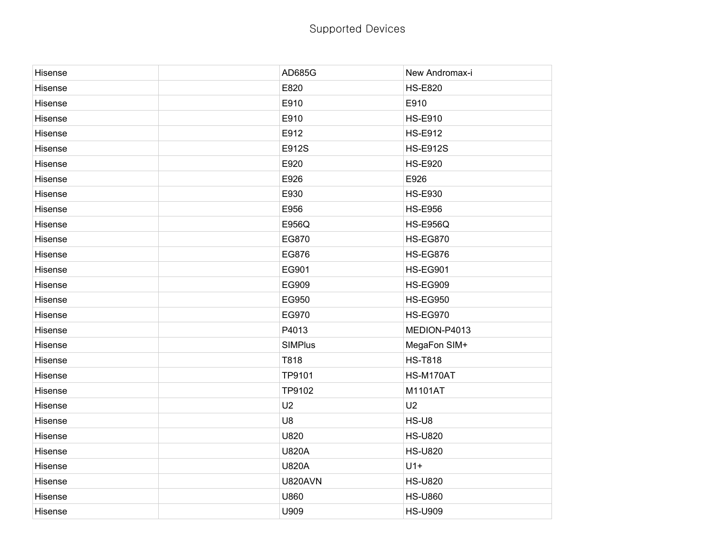| Hisense | AD685G         | New Andromax-i  |
|---------|----------------|-----------------|
| Hisense | E820           | <b>HS-E820</b>  |
| Hisense | E910           | E910            |
| Hisense | E910           | <b>HS-E910</b>  |
| Hisense | E912           | <b>HS-E912</b>  |
| Hisense | E912S          | <b>HS-E912S</b> |
| Hisense | E920           | <b>HS-E920</b>  |
| Hisense | E926           | E926            |
| Hisense | E930           | <b>HS-E930</b>  |
| Hisense | E956           | <b>HS-E956</b>  |
| Hisense | E956Q          | <b>HS-E956Q</b> |
| Hisense | EG870          | <b>HS-EG870</b> |
| Hisense | EG876          | <b>HS-EG876</b> |
| Hisense | EG901          | <b>HS-EG901</b> |
| Hisense | EG909          | <b>HS-EG909</b> |
| Hisense | EG950          | <b>HS-EG950</b> |
| Hisense | EG970          | <b>HS-EG970</b> |
| Hisense | P4013          | MEDION-P4013    |
| Hisense | <b>SIMPlus</b> | MegaFon SIM+    |
| Hisense | T818           | <b>HS-T818</b>  |
| Hisense | TP9101         | HS-M170AT       |
| Hisense | TP9102         | M1101AT         |
| Hisense | U2             | U <sub>2</sub>  |
| Hisense | U8             | HS-U8           |
| Hisense | U820           | <b>HS-U820</b>  |
| Hisense | <b>U820A</b>   | <b>HS-U820</b>  |
| Hisense | <b>U820A</b>   | $U1+$           |
| Hisense | <b>U820AVN</b> | <b>HS-U820</b>  |
| Hisense | U860           | <b>HS-U860</b>  |
| Hisense | U909           | <b>HS-U909</b>  |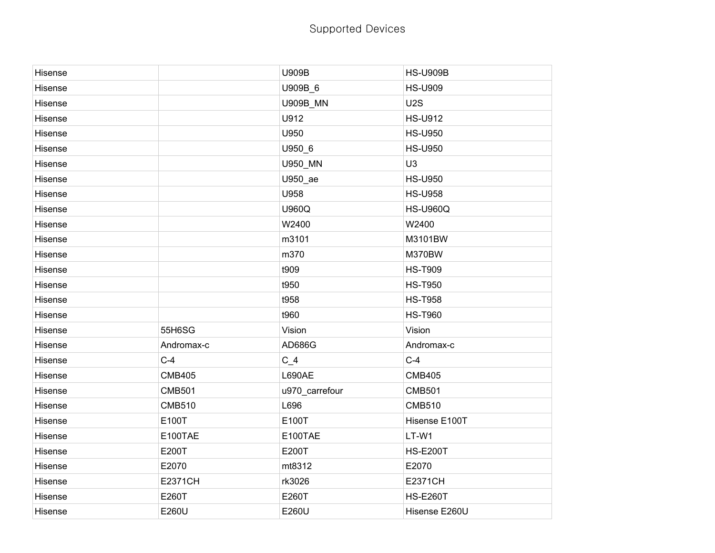| Hisense |                | U909B           | <b>HS-U909B</b> |
|---------|----------------|-----------------|-----------------|
| Hisense |                | U909B_6         | <b>HS-U909</b>  |
| Hisense |                | <b>U909B_MN</b> | U2S             |
| Hisense |                | U912            | <b>HS-U912</b>  |
| Hisense |                | U950            | <b>HS-U950</b>  |
| Hisense |                | U950_6          | <b>HS-U950</b>  |
| Hisense |                | U950_MN         | U <sub>3</sub>  |
| Hisense |                | U950_ae         | <b>HS-U950</b>  |
| Hisense |                | U958            | <b>HS-U958</b>  |
| Hisense |                | U960Q           | <b>HS-U960Q</b> |
| Hisense |                | W2400           | W2400           |
| Hisense |                | m3101           | M3101BW         |
| Hisense |                | m370            | M370BW          |
| Hisense |                | t909            | <b>HS-T909</b>  |
| Hisense |                | t950            | <b>HS-T950</b>  |
| Hisense |                | t958            | <b>HS-T958</b>  |
| Hisense |                | t960            | <b>HS-T960</b>  |
| Hisense | 55H6SG         | Vision          | Vision          |
| Hisense | Andromax-c     | AD686G          | Andromax-c      |
| Hisense | $C-4$          | $C_4$           | $C-4$           |
| Hisense | <b>CMB405</b>  | <b>L690AE</b>   | <b>CMB405</b>   |
| Hisense | <b>CMB501</b>  | u970_carrefour  | <b>CMB501</b>   |
| Hisense | <b>CMB510</b>  | L696            | <b>CMB510</b>   |
| Hisense | E100T          | E100T           | Hisense E100T   |
| Hisense | E100TAE        | E100TAE         | LT-W1           |
| Hisense | E200T          | E200T           | <b>HS-E200T</b> |
| Hisense | E2070          | mt8312          | E2070           |
| Hisense | <b>E2371CH</b> | rk3026          | <b>E2371CH</b>  |
| Hisense | E260T          | E260T           | <b>HS-E260T</b> |
| Hisense | E260U          | E260U           | Hisense E260U   |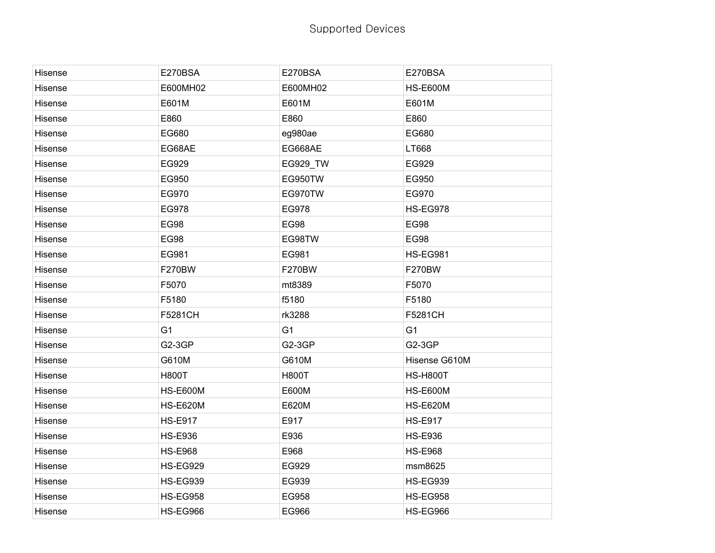| Hisense | E270BSA         | E270BSA        | E270BSA         |
|---------|-----------------|----------------|-----------------|
| Hisense | E600MH02        | E600MH02       | <b>HS-E600M</b> |
| Hisense | E601M           | E601M          | E601M           |
| Hisense | E860            | E860           | E860            |
| Hisense | EG680           | eg980ae        | EG680           |
| Hisense | EG68AE          | EG668AE        | LT668           |
| Hisense | EG929           | EG929_TW       | EG929           |
| Hisense | EG950           | EG950TW        | EG950           |
| Hisense | EG970           | EG970TW        | EG970           |
| Hisense | EG978           | EG978          | <b>HS-EG978</b> |
| Hisense | <b>EG98</b>     | <b>EG98</b>    | <b>EG98</b>     |
| Hisense | <b>EG98</b>     | EG98TW         | <b>EG98</b>     |
| Hisense | EG981           | EG981          | <b>HS-EG981</b> |
| Hisense | F270BW          | <b>F270BW</b>  | F270BW          |
| Hisense | F5070           | mt8389         | F5070           |
| Hisense | F5180           | f5180          | F5180           |
| Hisense | F5281CH         | rk3288         | F5281CH         |
| Hisense | G <sub>1</sub>  | G <sub>1</sub> | G <sub>1</sub>  |
| Hisense | <b>G2-3GP</b>   | G2-3GP         | G2-3GP          |
| Hisense | G610M           | G610M          | Hisense G610M   |
| Hisense | <b>H800T</b>    | <b>H800T</b>   | <b>HS-H800T</b> |
| Hisense | <b>HS-E600M</b> | E600M          | <b>HS-E600M</b> |
| Hisense | <b>HS-E620M</b> | E620M          | <b>HS-E620M</b> |
| Hisense | <b>HS-E917</b>  | E917           | <b>HS-E917</b>  |
| Hisense | <b>HS-E936</b>  | E936           | <b>HS-E936</b>  |
| Hisense | <b>HS-E968</b>  | E968           | <b>HS-E968</b>  |
| Hisense | <b>HS-EG929</b> | EG929          | msm8625         |
| Hisense | <b>HS-EG939</b> | EG939          | <b>HS-EG939</b> |
| Hisense | <b>HS-EG958</b> | EG958          | <b>HS-EG958</b> |
| Hisense | HS-EG966        | EG966          | HS-EG966        |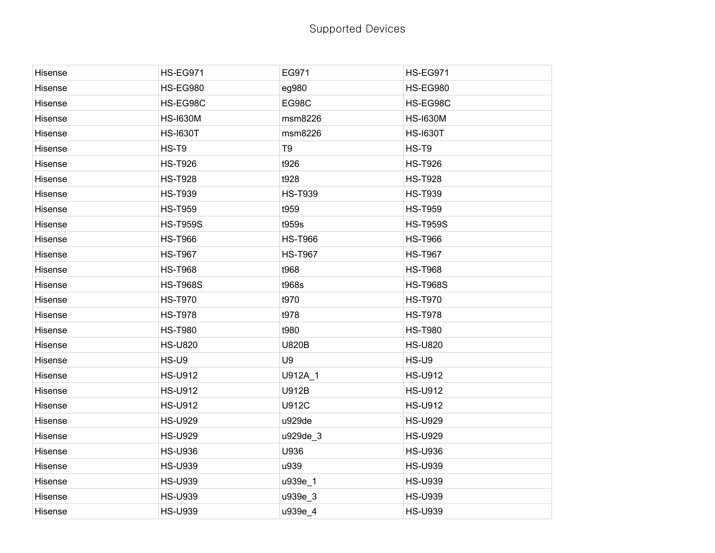| Hisense | <b>HS-EG971</b> | EG971          | <b>HS-EG971</b> |
|---------|-----------------|----------------|-----------------|
| Hisense | <b>HS-EG980</b> | eg980          | <b>HS-EG980</b> |
| Hisense | HS-EG98C        | EG98C          | HS-EG98C        |
| Hisense | <b>HS-I630M</b> | msm8226        | <b>HS-I630M</b> |
| Hisense | <b>HS-I630T</b> | msm8226        | <b>HS-I630T</b> |
| Hisense | HS-T9           | T <sub>9</sub> | HS-T9           |
| Hisense | <b>HS-T926</b>  | t926           | <b>HS-T926</b>  |
| Hisense | <b>HS-T928</b>  | t928           | <b>HS-T928</b>  |
| Hisense | <b>HS-T939</b>  | <b>HS-T939</b> | <b>HS-T939</b>  |
| Hisense | <b>HS-T959</b>  | t959           | <b>HS-T959</b>  |
| Hisense | <b>HS-T959S</b> | t959s          | <b>HS-T959S</b> |
| Hisense | <b>HS-T966</b>  | <b>HS-T966</b> | <b>HS-T966</b>  |
| Hisense | <b>HS-T967</b>  | <b>HS-T967</b> | <b>HS-T967</b>  |
| Hisense | <b>HS-T968</b>  | t968           | <b>HS-T968</b>  |
| Hisense | <b>HS-T968S</b> | t968s          | <b>HS-T968S</b> |
| Hisense | <b>HS-T970</b>  | t970           | <b>HS-T970</b>  |
| Hisense | <b>HS-T978</b>  | t978           | <b>HS-T978</b>  |
| Hisense | <b>HS-T980</b>  | t980           | <b>HS-T980</b>  |
| Hisense | <b>HS-U820</b>  | <b>U820B</b>   | <b>HS-U820</b>  |
| Hisense | HS-U9           | U9             | HS-U9           |
| Hisense | <b>HS-U912</b>  | U912A_1        | <b>HS-U912</b>  |
| Hisense | <b>HS-U912</b>  | <b>U912B</b>   | <b>HS-U912</b>  |
| Hisense | <b>HS-U912</b>  | <b>U912C</b>   | <b>HS-U912</b>  |
| Hisense | <b>HS-U929</b>  | u929de         | <b>HS-U929</b>  |
| Hisense | <b>HS-U929</b>  | u929de_3       | <b>HS-U929</b>  |
| Hisense | <b>HS-U936</b>  | U936           | <b>HS-U936</b>  |
| Hisense | <b>HS-U939</b>  | u939           | <b>HS-U939</b>  |
| Hisense | <b>HS-U939</b>  | u939e_1        | <b>HS-U939</b>  |
| Hisense | <b>HS-U939</b>  | u939e_3        | <b>HS-U939</b>  |
| Hisense | <b>HS-U939</b>  | u939e_4        | <b>HS-U939</b>  |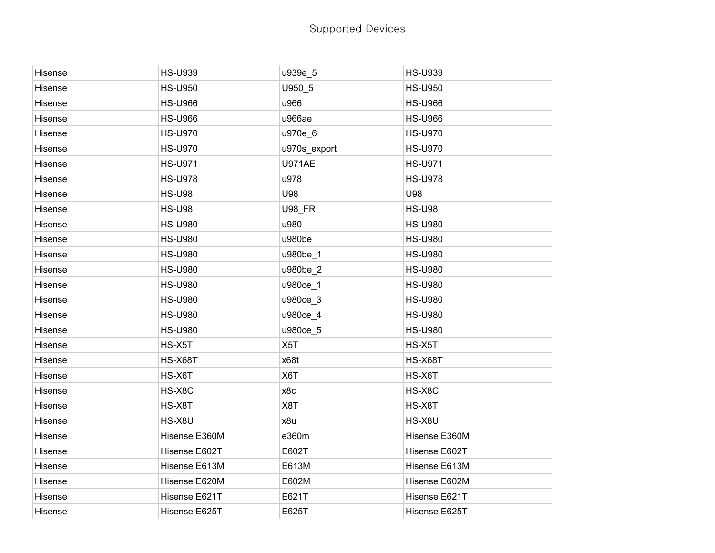| Hisense | <b>HS-U939</b> | u939e_5          | <b>HS-U939</b> |
|---------|----------------|------------------|----------------|
| Hisense | <b>HS-U950</b> | U950_5           | <b>HS-U950</b> |
| Hisense | <b>HS-U966</b> | u966             | <b>HS-U966</b> |
| Hisense | <b>HS-U966</b> | u966ae           | <b>HS-U966</b> |
| Hisense | <b>HS-U970</b> | u970e_6          | <b>HS-U970</b> |
| Hisense | <b>HS-U970</b> | u970s_export     | <b>HS-U970</b> |
| Hisense | <b>HS-U971</b> | <b>U971AE</b>    | <b>HS-U971</b> |
| Hisense | <b>HS-U978</b> | u978             | <b>HS-U978</b> |
| Hisense | <b>HS-U98</b>  | U98              | U98            |
| Hisense | <b>HS-U98</b>  | <b>U98_FR</b>    | <b>HS-U98</b>  |
| Hisense | <b>HS-U980</b> | u980             | <b>HS-U980</b> |
| Hisense | <b>HS-U980</b> | u980be           | <b>HS-U980</b> |
| Hisense | <b>HS-U980</b> | u980be_1         | <b>HS-U980</b> |
| Hisense | <b>HS-U980</b> | u980be_2         | <b>HS-U980</b> |
| Hisense | <b>HS-U980</b> | u980ce_1         | <b>HS-U980</b> |
| Hisense | <b>HS-U980</b> | u980ce_3         | <b>HS-U980</b> |
| Hisense | <b>HS-U980</b> | u980ce_4         | <b>HS-U980</b> |
| Hisense | <b>HS-U980</b> | u980ce_5         | <b>HS-U980</b> |
| Hisense | HS-X5T         | X <sub>5</sub> T | HS-X5T         |
| Hisense | <b>HS-X68T</b> | x68t             | <b>HS-X68T</b> |
| Hisense | HS-X6T         | X6T              | HS-X6T         |
| Hisense | HS-X8C         | x8c              | HS-X8C         |
| Hisense | HS-X8T         | X8T              | HS-X8T         |
| Hisense | HS-X8U         | x8u              | HS-X8U         |
| Hisense | Hisense E360M  | e360m            | Hisense E360M  |
| Hisense | Hisense E602T  | E602T            | Hisense E602T  |
| Hisense | Hisense E613M  | E613M            | Hisense E613M  |
| Hisense | Hisense E620M  | E602M            | Hisense E602M  |
| Hisense | Hisense E621T  | E621T            | Hisense E621T  |
| Hisense | Hisense E625T  | E625T            | Hisense E625T  |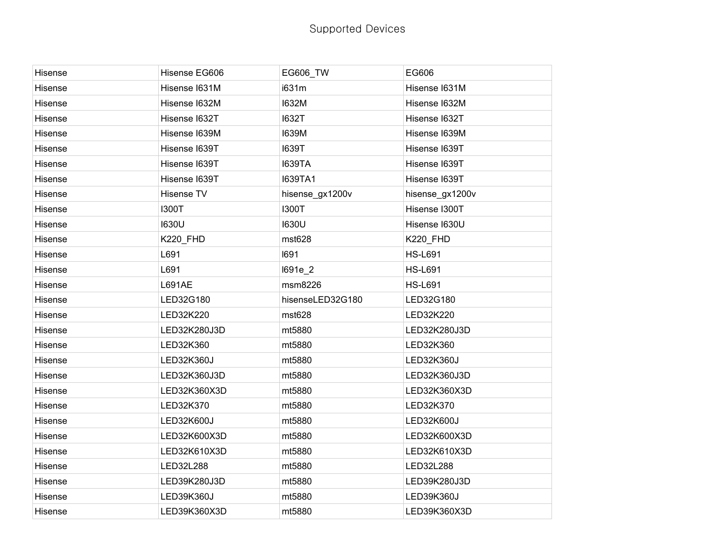| Hisense | Hisense EG606   | EG606_TW         | EG606           |
|---------|-----------------|------------------|-----------------|
| Hisense | Hisense I631M   | i631m            | Hisense I631M   |
| Hisense | Hisense I632M   | <b>I632M</b>     | Hisense I632M   |
|         |                 |                  |                 |
| Hisense | Hisense I632T   | <b>I632T</b>     | Hisense I632T   |
| Hisense | Hisense I639M   | <b>I639M</b>     | Hisense I639M   |
| Hisense | Hisense I639T   | <b>I639T</b>     | Hisense I639T   |
| Hisense | Hisense I639T   | <b>I639TA</b>    | Hisense I639T   |
| Hisense | Hisense I639T   | <b>I639TA1</b>   | Hisense I639T   |
| Hisense | Hisense TV      | hisense_gx1200v  | hisense_gx1200v |
| Hisense | <b>I300T</b>    | <b>I300T</b>     | Hisense I300T   |
| Hisense | 1630U           | <b>I630U</b>     | Hisense I630U   |
| Hisense | <b>K220_FHD</b> | mst628           | K220_FHD        |
| Hisense | L691            | 1691             | <b>HS-L691</b>  |
| Hisense | L691            | I691e_2          | <b>HS-L691</b>  |
| Hisense | L691AE          | msm8226          | <b>HS-L691</b>  |
| Hisense | LED32G180       | hisenseLED32G180 | LED32G180       |
| Hisense | LED32K220       | mst628           | LED32K220       |
| Hisense | LED32K280J3D    | mt5880           | LED32K280J3D    |
| Hisense | LED32K360       | mt5880           | LED32K360       |
| Hisense | LED32K360J      | mt5880           | LED32K360J      |
| Hisense | LED32K360J3D    | mt5880           | LED32K360J3D    |
| Hisense | LED32K360X3D    | mt5880           | LED32K360X3D    |
| Hisense | LED32K370       | mt5880           | LED32K370       |
| Hisense | LED32K600J      | mt5880           | LED32K600J      |
| Hisense | LED32K600X3D    | mt5880           | LED32K600X3D    |
| Hisense | LED32K610X3D    | mt5880           | LED32K610X3D    |
| Hisense | LED32L288       | mt5880           | LED32L288       |
| Hisense | LED39K280J3D    | mt5880           | LED39K280J3D    |
| Hisense | LED39K360J      | mt5880           | LED39K360J      |
| Hisense | LED39K360X3D    | mt5880           | LED39K360X3D    |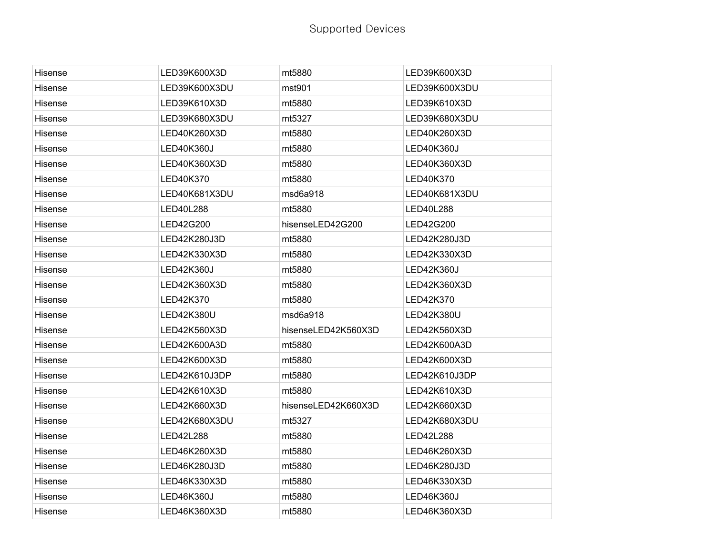| Hisense        | LED39K600X3D  | mt5880              | LED39K600X3D  |
|----------------|---------------|---------------------|---------------|
| Hisense        | LED39K600X3DU | mst901              | LED39K600X3DU |
| Hisense        | LED39K610X3D  | mt5880              | LED39K610X3D  |
| Hisense        | LED39K680X3DU | mt5327              | LED39K680X3DU |
| Hisense        | LED40K260X3D  | mt5880              | LED40K260X3D  |
| Hisense        | LED40K360J    | mt5880              | LED40K360J    |
| Hisense        | LED40K360X3D  | mt5880              | LED40K360X3D  |
| Hisense        | LED40K370     | mt5880              | LED40K370     |
| Hisense        | LED40K681X3DU | msd6a918            | LED40K681X3DU |
| Hisense        | LED40L288     | mt5880              | LED40L288     |
| Hisense        | LED42G200     | hisenseLED42G200    | LED42G200     |
| Hisense        | LED42K280J3D  | mt5880              | LED42K280J3D  |
| Hisense        | LED42K330X3D  | mt5880              | LED42K330X3D  |
| Hisense        | LED42K360J    | mt5880              | LED42K360J    |
| Hisense        | LED42K360X3D  | mt5880              | LED42K360X3D  |
| Hisense        | LED42K370     | mt5880              | LED42K370     |
| Hisense        | LED42K380U    | msd6a918            | LED42K380U    |
| Hisense        | LED42K560X3D  | hisenseLED42K560X3D | LED42K560X3D  |
| Hisense        | LED42K600A3D  | mt5880              | LED42K600A3D  |
| Hisense        | LED42K600X3D  | mt5880              | LED42K600X3D  |
| Hisense        | LED42K610J3DP | mt5880              | LED42K610J3DP |
| Hisense        | LED42K610X3D  | mt5880              | LED42K610X3D  |
| <b>Hisense</b> | LED42K660X3D  | hisenseLED42K660X3D | LED42K660X3D  |
| <b>Hisense</b> | LED42K680X3DU | mt5327              | LED42K680X3DU |
| Hisense        | LED42L288     | mt5880              | LED42L288     |
| Hisense        | LED46K260X3D  | mt5880              | LED46K260X3D  |
| Hisense        | LED46K280J3D  | mt5880              | LED46K280J3D  |
| Hisense        | LED46K330X3D  | mt5880              | LED46K330X3D  |
| Hisense        | LED46K360J    | mt5880              | LED46K360J    |
| Hisense        | LED46K360X3D  | mt5880              | LED46K360X3D  |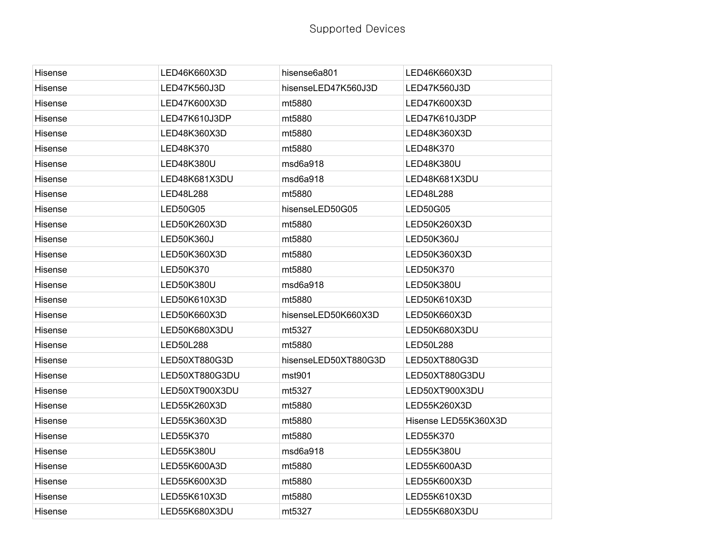| Hisense | LED46K660X3D    | hisense6a801         | LED46K660X3D         |
|---------|-----------------|----------------------|----------------------|
| Hisense | LED47K560J3D    | hisenseLED47K560J3D  | LED47K560J3D         |
| Hisense | LED47K600X3D    | mt5880               | LED47K600X3D         |
| Hisense | LED47K610J3DP   | mt5880               | LED47K610J3DP        |
| Hisense | LED48K360X3D    | mt5880               | LED48K360X3D         |
| Hisense | LED48K370       | mt5880               | LED48K370            |
| Hisense | LED48K380U      | msd6a918             | LED48K380U           |
| Hisense | LED48K681X3DU   | msd6a918             | LED48K681X3DU        |
| Hisense | LED48L288       | mt5880               | LED48L288            |
| Hisense | <b>LED50G05</b> | hisenseLED50G05      | LED50G05             |
| Hisense | LED50K260X3D    | mt5880               | LED50K260X3D         |
| Hisense | LED50K360J      | mt5880               | <b>LED50K360J</b>    |
| Hisense | LED50K360X3D    | mt5880               | LED50K360X3D         |
| Hisense | LED50K370       | mt5880               | LED50K370            |
| Hisense | LED50K380U      | msd6a918             | LED50K380U           |
| Hisense | LED50K610X3D    | mt5880               | LED50K610X3D         |
| Hisense | LED50K660X3D    | hisenseLED50K660X3D  | LED50K660X3D         |
| Hisense | LED50K680X3DU   | mt5327               | LED50K680X3DU        |
| Hisense | LED50L288       | mt5880               | LED50L288            |
| Hisense | LED50XT880G3D   | hisenseLED50XT880G3D | LED50XT880G3D        |
| Hisense | LED50XT880G3DU  | mst901               | LED50XT880G3DU       |
| Hisense | LED50XT900X3DU  | mt5327               | LED50XT900X3DU       |
| Hisense | LED55K260X3D    | mt5880               | LED55K260X3D         |
| Hisense | LED55K360X3D    | mt5880               | Hisense LED55K360X3D |
| Hisense | LED55K370       | mt5880               | LED55K370            |
| Hisense | LED55K380U      | msd6a918             | LED55K380U           |
| Hisense | LED55K600A3D    | mt5880               | LED55K600A3D         |
| Hisense | LED55K600X3D    | mt5880               | LED55K600X3D         |
| Hisense | LED55K610X3D    | mt5880               | LED55K610X3D         |
| Hisense | LED55K680X3DU   | mt5327               | LED55K680X3DU        |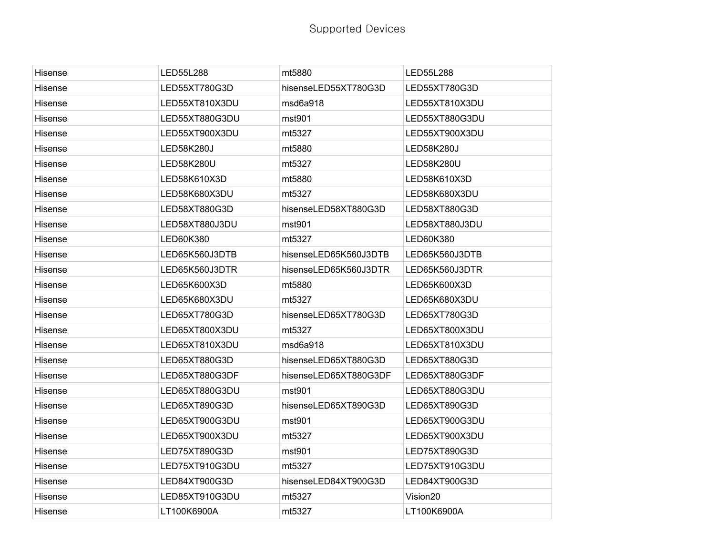| Hisense | LED55L288         | mt5880                | LED55L288         |
|---------|-------------------|-----------------------|-------------------|
| Hisense | LED55XT780G3D     | hisenseLED55XT780G3D  | LED55XT780G3D     |
| Hisense | LED55XT810X3DU    | msd6a918              | LED55XT810X3DU    |
| Hisense | LED55XT880G3DU    | mst901                | LED55XT880G3DU    |
| Hisense | LED55XT900X3DU    | mt5327                | LED55XT900X3DU    |
| Hisense | <b>LED58K280J</b> | mt5880                | <b>LED58K280J</b> |
| Hisense | <b>LED58K280U</b> | mt5327                | <b>LED58K280U</b> |
| Hisense | LED58K610X3D      | mt5880                | LED58K610X3D      |
| Hisense | LED58K680X3DU     | mt5327                | LED58K680X3DU     |
| Hisense | LED58XT880G3D     | hisenseLED58XT880G3D  | LED58XT880G3D     |
| Hisense | LED58XT880J3DU    | mst901                | LED58XT880J3DU    |
| Hisense | LED60K380         | mt5327                | LED60K380         |
| Hisense | LED65K560J3DTB    | hisenseLED65K560J3DTB | LED65K560J3DTB    |
| Hisense | LED65K560J3DTR    | hisenseLED65K560J3DTR | LED65K560J3DTR    |
| Hisense | LED65K600X3D      | mt5880                | LED65K600X3D      |
| Hisense | LED65K680X3DU     | mt5327                | LED65K680X3DU     |
| Hisense | LED65XT780G3D     | hisenseLED65XT780G3D  | LED65XT780G3D     |
| Hisense | LED65XT800X3DU    | mt5327                | LED65XT800X3DU    |
| Hisense | LED65XT810X3DU    | msd6a918              | LED65XT810X3DU    |
| Hisense | LED65XT880G3D     | hisenseLED65XT880G3D  | LED65XT880G3D     |
| Hisense | LED65XT880G3DF    | hisenseLED65XT880G3DF | LED65XT880G3DF    |
| Hisense | LED65XT880G3DU    | mst901                | LED65XT880G3DU    |
| Hisense | LED65XT890G3D     | hisenseLED65XT890G3D  | LED65XT890G3D     |
| Hisense | LED65XT900G3DU    | mst901                | LED65XT900G3DU    |
| Hisense | LED65XT900X3DU    | mt5327                | LED65XT900X3DU    |
| Hisense | LED75XT890G3D     | mst901                | LED75XT890G3D     |
| Hisense | LED75XT910G3DU    | mt5327                | LED75XT910G3DU    |
| Hisense | LED84XT900G3D     | hisenseLED84XT900G3D  | LED84XT900G3D     |
| Hisense | LED85XT910G3DU    | mt5327                | Vision20          |
| Hisense | LT100K6900A       | mt5327                | LT100K6900A       |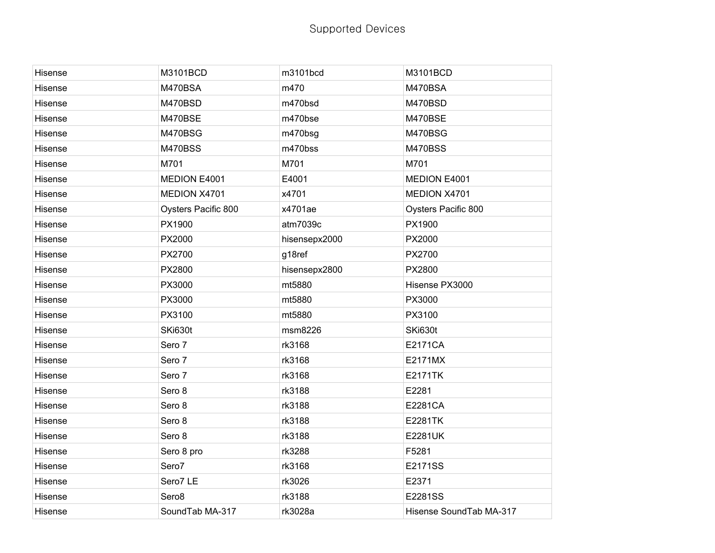| Hisense | M3101BCD            | m3101bcd      | M3101BCD                |
|---------|---------------------|---------------|-------------------------|
| Hisense | M470BSA             | m470          | M470BSA                 |
| Hisense | M470BSD             | m470bsd       | M470BSD                 |
| Hisense | M470BSE             | m470bse       | M470BSE                 |
| Hisense | M470BSG             | m470bsg       | M470BSG                 |
| Hisense | <b>M470BSS</b>      | m470bss       | <b>M470BSS</b>          |
| Hisense | M701                | M701          | M701                    |
| Hisense | MEDION E4001        | E4001         | MEDION E4001            |
| Hisense | MEDION X4701        | x4701         | MEDION X4701            |
| Hisense | Oysters Pacific 800 | x4701ae       | Oysters Pacific 800     |
| Hisense | PX1900              | atm7039c      | PX1900                  |
| Hisense | PX2000              | hisensepx2000 | PX2000                  |
| Hisense | PX2700              | g18ref        | PX2700                  |
| Hisense | PX2800              | hisensepx2800 | PX2800                  |
| Hisense | PX3000              | mt5880        | Hisense PX3000          |
| Hisense | PX3000              | mt5880        | PX3000                  |
| Hisense | PX3100              | mt5880        | PX3100                  |
| Hisense | SKi630t             | msm8226       | SKi630t                 |
| Hisense | Sero 7              | rk3168        | E2171CA                 |
| Hisense | Sero 7              | rk3168        | E2171MX                 |
| Hisense | Sero 7              | rk3168        | <b>E2171TK</b>          |
| Hisense | Sero 8              | rk3188        | E2281                   |
| Hisense | Sero 8              | rk3188        | E2281CA                 |
| Hisense | Sero 8              | rk3188        | E2281TK                 |
| Hisense | Sero 8              | rk3188        | <b>E2281UK</b>          |
| Hisense | Sero 8 pro          | rk3288        | F5281                   |
| Hisense | Sero7               | rk3168        | E2171SS                 |
| Hisense | Sero7 LE            | rk3026        | E2371                   |
| Hisense | Sero <sub>8</sub>   | rk3188        | E2281SS                 |
| Hisense | SoundTab MA-317     | rk3028a       | Hisense SoundTab MA-317 |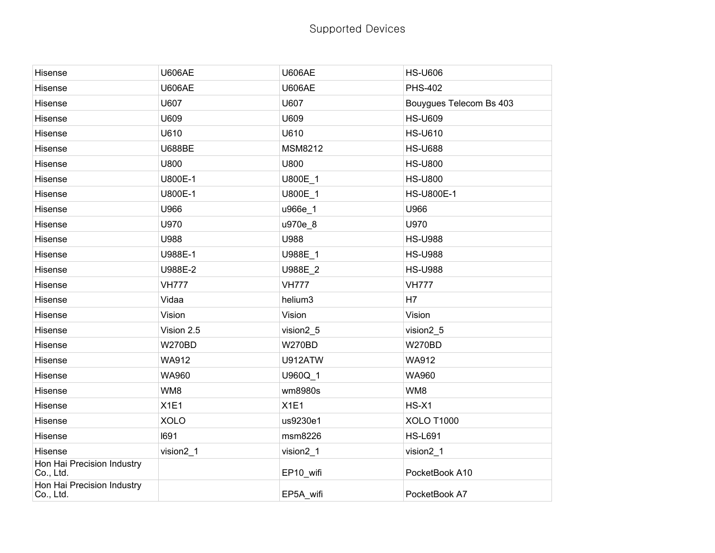| Hisense                                 | <b>U606AE</b> | <b>U606AE</b>  | <b>HS-U606</b>          |
|-----------------------------------------|---------------|----------------|-------------------------|
| Hisense                                 | <b>U606AE</b> | <b>U606AE</b>  | <b>PHS-402</b>          |
| Hisense                                 | U607          | U607           | Bouygues Telecom Bs 403 |
| Hisense                                 | U609          | U609           | <b>HS-U609</b>          |
| Hisense                                 | U610          | U610           | <b>HS-U610</b>          |
| Hisense                                 | <b>U688BE</b> | <b>MSM8212</b> | <b>HS-U688</b>          |
| Hisense                                 | U800          | U800           | <b>HS-U800</b>          |
| Hisense                                 | U800E-1       | U800E 1        | <b>HS-U800</b>          |
| Hisense                                 | U800E-1       | U800E 1        | <b>HS-U800E-1</b>       |
| Hisense                                 | U966          | u966e_1        | U966                    |
| Hisense                                 | U970          | u970e_8        | U970                    |
| Hisense                                 | U988          | U988           | <b>HS-U988</b>          |
| Hisense                                 | U988E-1       | U988E_1        | <b>HS-U988</b>          |
| Hisense                                 | U988E-2       | U988E_2        | <b>HS-U988</b>          |
| Hisense                                 | <b>VH777</b>  | <b>VH777</b>   | <b>VH777</b>            |
| Hisense                                 | Vidaa         | helium3        | H7                      |
| Hisense                                 | Vision        | Vision         | Vision                  |
| Hisense                                 | Vision 2.5    | vision2_5      | vision2_5               |
| Hisense                                 | <b>W270BD</b> | <b>W270BD</b>  | <b>W270BD</b>           |
| Hisense                                 | <b>WA912</b>  | U912ATW        | WA912                   |
| Hisense                                 | <b>WA960</b>  | U960Q 1        | WA960                   |
| Hisense                                 | WM8           | wm8980s        | WM8                     |
| Hisense                                 | X1E1          | X1E1           | $HS-X1$                 |
| Hisense                                 | <b>XOLO</b>   | us9230e1       | <b>XOLO T1000</b>       |
| Hisense                                 | 1691          | msm8226        | <b>HS-L691</b>          |
| Hisense                                 | vision2_1     | vision2_1      | vision2_1               |
| Hon Hai Precision Industry<br>Co., Ltd. |               | EP10_wifi      | PocketBook A10          |
| Hon Hai Precision Industry<br>Co., Ltd. |               | EP5A wifi      | PocketBook A7           |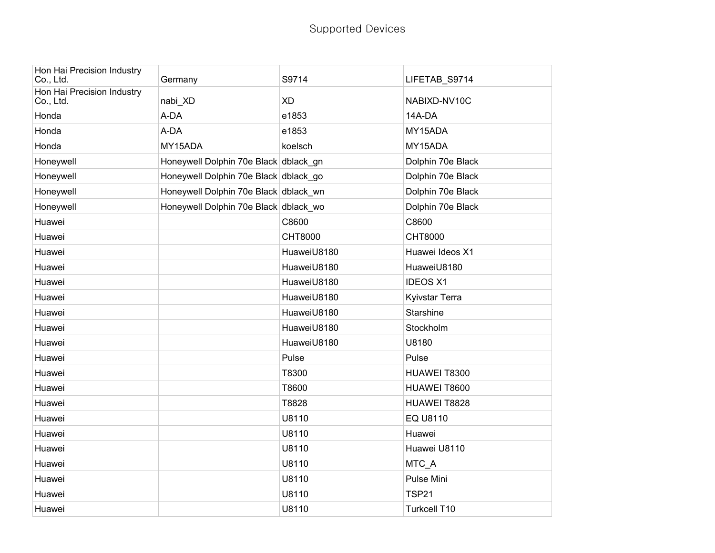| Hon Hai Precision Industry<br>Co., Ltd. | Germany                               | S9714          | LIFETAB_S9714         |
|-----------------------------------------|---------------------------------------|----------------|-----------------------|
| Hon Hai Precision Industry<br>Co., Ltd. | nabi XD                               | <b>XD</b>      | NABIXD-NV10C          |
| Honda                                   | A-DA                                  | e1853          | 14A-DA                |
| Honda                                   | A-DA                                  | e1853          | MY15ADA               |
| Honda                                   | MY15ADA                               | koelsch        | MY15ADA               |
| Honeywell                               | Honeywell Dolphin 70e Black dblack gn |                | Dolphin 70e Black     |
| Honeywell                               | Honeywell Dolphin 70e Black dblack go |                | Dolphin 70e Black     |
| Honeywell                               | Honeywell Dolphin 70e Black dblack wn |                | Dolphin 70e Black     |
| Honeywell                               | Honeywell Dolphin 70e Black dblack_wo |                | Dolphin 70e Black     |
| Huawei                                  |                                       | C8600          | C8600                 |
| Huawei                                  |                                       | <b>CHT8000</b> | <b>CHT8000</b>        |
| Huawei                                  |                                       | HuaweiU8180    | Huawei Ideos X1       |
| Huawei                                  |                                       | HuaweiU8180    | HuaweiU8180           |
| Huawei                                  |                                       | HuaweiU8180    | <b>IDEOS X1</b>       |
| Huawei                                  |                                       | HuaweiU8180    | <b>Kyivstar Terra</b> |
| Huawei                                  |                                       | HuaweiU8180    | Starshine             |
| Huawei                                  |                                       | HuaweiU8180    | Stockholm             |
| Huawei                                  |                                       | HuaweiU8180    | U8180                 |
| Huawei                                  |                                       | Pulse          | Pulse                 |
| Huawei                                  |                                       | T8300          | HUAWEI T8300          |
| Huawei                                  |                                       | T8600          | HUAWEI T8600          |
| Huawei                                  |                                       | T8828          | HUAWEI T8828          |
| Huawei                                  |                                       | U8110          | EQ U8110              |
| Huawei                                  |                                       | U8110          | Huawei                |
| Huawei                                  |                                       | U8110          | Huawei U8110          |
| Huawei                                  |                                       | U8110          | MTC_A                 |
| Huawei                                  |                                       | U8110          | Pulse Mini            |
| Huawei                                  |                                       | U8110          | <b>TSP21</b>          |
| Huawei                                  |                                       | U8110          | Turkcell T10          |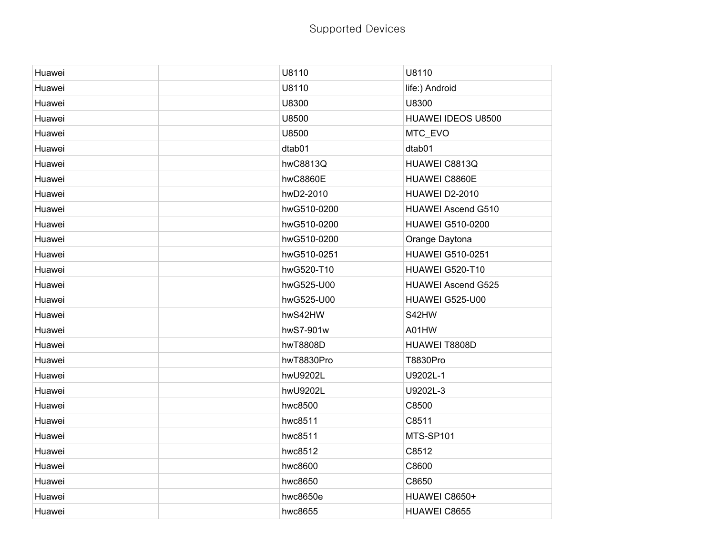| Huawei | U8110       | U8110                     |
|--------|-------------|---------------------------|
| Huawei | U8110       | life:) Android            |
| Huawei | U8300       | U8300                     |
| Huawei | U8500       | HUAWEI IDEOS U8500        |
| Huawei | U8500       | MTC_EVO                   |
| Huawei | dtab01      | dtab01                    |
| Huawei | hwC8813Q    | HUAWEI C8813Q             |
| Huawei | hwC8860E    | HUAWEI C8860E             |
| Huawei | hwD2-2010   | HUAWEI D2-2010            |
| Huawei | hwG510-0200 | <b>HUAWEI Ascend G510</b> |
| Huawei | hwG510-0200 | <b>HUAWEI G510-0200</b>   |
| Huawei | hwG510-0200 | Orange Daytona            |
| Huawei | hwG510-0251 | <b>HUAWEI G510-0251</b>   |
| Huawei | hwG520-T10  | HUAWEI G520-T10           |
| Huawei | hwG525-U00  | <b>HUAWEI Ascend G525</b> |
| Huawei | hwG525-U00  | HUAWEI G525-U00           |
| Huawei | hwS42HW     | S42HW                     |
| Huawei | hwS7-901w   | A01HW                     |
| Huawei | hwT8808D    | HUAWEI T8808D             |
| Huawei | hwT8830Pro  | T8830Pro                  |
| Huawei | hwU9202L    | U9202L-1                  |
| Huawei | hwU9202L    | U9202L-3                  |
| Huawei | hwc8500     | C8500                     |
| Huawei | hwc8511     | C8511                     |
| Huawei | hwc8511     | MTS-SP101                 |
| Huawei | hwc8512     | C8512                     |
| Huawei | hwc8600     | C8600                     |
| Huawei | hwc8650     | C8650                     |
| Huawei | hwc8650e    | HUAWEI C8650+             |
| Huawei | hwc8655     | HUAWEI C8655              |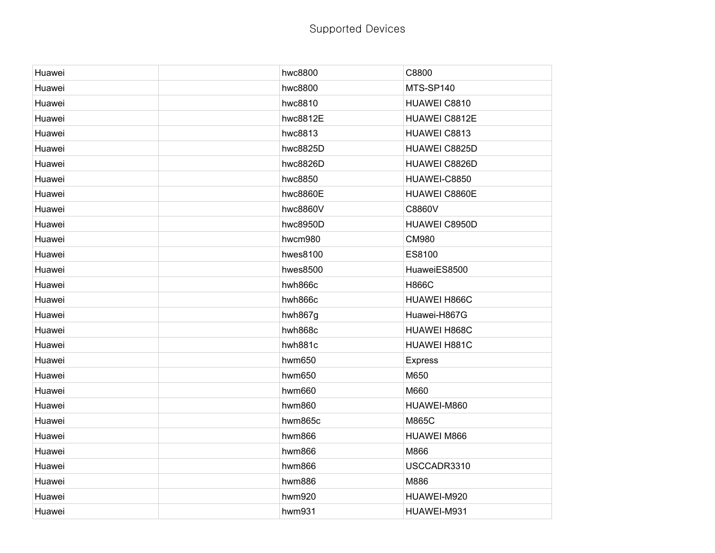| Huawei | hwc8800  | C8800              |
|--------|----------|--------------------|
| Huawei | hwc8800  | MTS-SP140          |
| Huawei | hwc8810  | HUAWEI C8810       |
| Huawei | hwc8812E | HUAWEI C8812E      |
| Huawei | hwc8813  | HUAWEI C8813       |
| Huawei | hwc8825D | HUAWEI C8825D      |
| Huawei | hwc8826D | HUAWEI C8826D      |
| Huawei | hwc8850  | HUAWEI-C8850       |
| Huawei | hwc8860E | HUAWEI C8860E      |
| Huawei | hwc8860V | C8860V             |
| Huawei | hwc8950D | HUAWEI C8950D      |
| Huawei | hwcm980  | <b>CM980</b>       |
| Huawei | hwes8100 | ES8100             |
| Huawei | hwes8500 | HuaweiES8500       |
| Huawei | hwh866c  | <b>H866C</b>       |
| Huawei | hwh866c  | HUAWEI H866C       |
| Huawei | hwh867g  | Huawei-H867G       |
| Huawei | hwh868c  | HUAWEI H868C       |
| Huawei | hwh881c  | HUAWEI H881C       |
| Huawei | hwm650   | <b>Express</b>     |
| Huawei | hwm650   | M650               |
| Huawei | hwm660   | M660               |
| Huawei | hwm860   | HUAWEI-M860        |
| Huawei | hwm865c  | M865C              |
| Huawei | hwm866   | <b>HUAWEI M866</b> |
| Huawei | hwm866   | M866               |
| Huawei | hwm866   | USCCADR3310        |
| Huawei | hwm886   | M886               |
| Huawei | hwm920   | HUAWEI-M920        |
| Huawei | hwm931   | HUAWEI-M931        |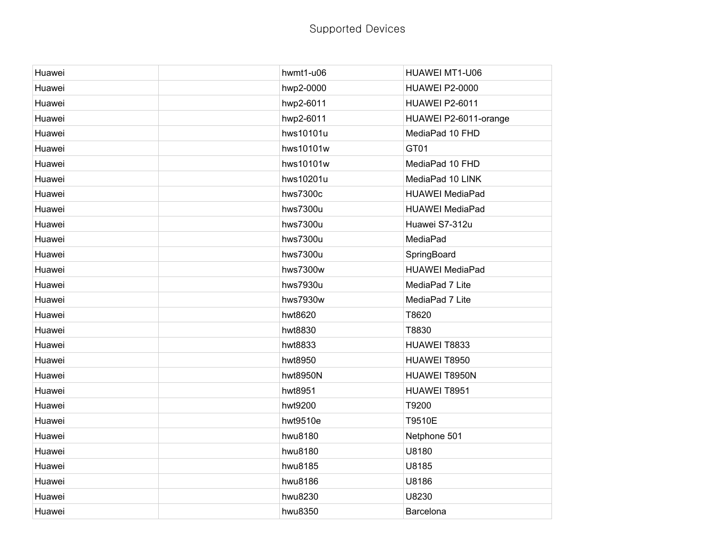| Huawei | hwmt1-u06 | HUAWEI MT1-U06         |
|--------|-----------|------------------------|
| Huawei | hwp2-0000 | <b>HUAWEI P2-0000</b>  |
| Huawei | hwp2-6011 | <b>HUAWEI P2-6011</b>  |
| Huawei | hwp2-6011 | HUAWEI P2-6011-orange  |
| Huawei | hws10101u | MediaPad 10 FHD        |
| Huawei | hws10101w | GT01                   |
| Huawei | hws10101w | MediaPad 10 FHD        |
| Huawei | hws10201u | MediaPad 10 LINK       |
| Huawei | hws7300c  | <b>HUAWEI MediaPad</b> |
| Huawei | hws7300u  | <b>HUAWEI MediaPad</b> |
| Huawei | hws7300u  | Huawei S7-312u         |
| Huawei | hws7300u  | MediaPad               |
| Huawei | hws7300u  | SpringBoard            |
| Huawei | hws7300w  | <b>HUAWEI MediaPad</b> |
| Huawei | hws7930u  | MediaPad 7 Lite        |
| Huawei | hws7930w  | MediaPad 7 Lite        |
| Huawei | hwt8620   | T8620                  |
| Huawei | hwt8830   | T8830                  |
| Huawei | hwt8833   | HUAWEI T8833           |
| Huawei | hwt8950   | HUAWEI T8950           |
| Huawei | hwt8950N  | HUAWEI T8950N          |
| Huawei | hwt8951   | HUAWEI T8951           |
| Huawei | hwt9200   | T9200                  |
| Huawei | hwt9510e  | T9510E                 |
| Huawei | hwu8180   | Netphone 501           |
| Huawei | hwu8180   | U8180                  |
| Huawei | hwu8185   | U8185                  |
| Huawei | hwu8186   | U8186                  |
| Huawei | hwu8230   | U8230                  |
| Huawei | hwu8350   | Barcelona              |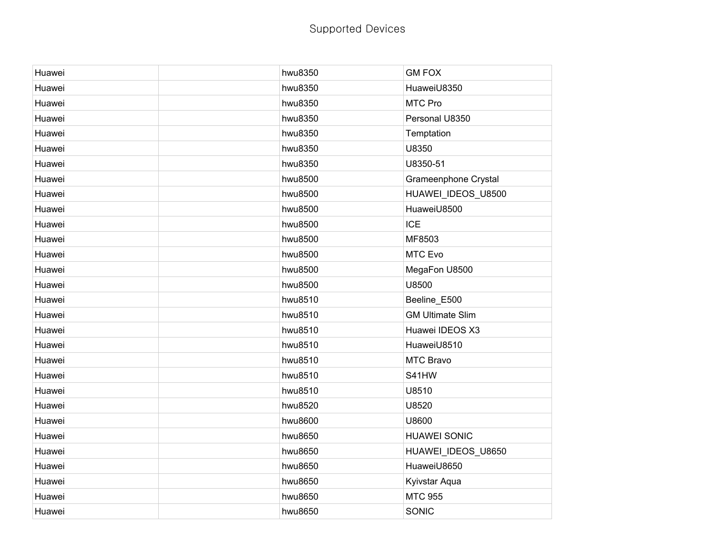| Huawei | hwu8350 | <b>GM FOX</b>           |
|--------|---------|-------------------------|
| Huawei | hwu8350 | HuaweiU8350             |
| Huawei | hwu8350 | MTC Pro                 |
| Huawei | hwu8350 | Personal U8350          |
| Huawei | hwu8350 | Temptation              |
| Huawei | hwu8350 | U8350                   |
| Huawei | hwu8350 | U8350-51                |
| Huawei | hwu8500 | Grameenphone Crystal    |
| Huawei | hwu8500 | HUAWEI_IDEOS_U8500      |
| Huawei | hwu8500 | HuaweiU8500             |
| Huawei | hwu8500 | <b>ICE</b>              |
| Huawei | hwu8500 | MF8503                  |
| Huawei | hwu8500 | MTC Evo                 |
| Huawei | hwu8500 | MegaFon U8500           |
| Huawei | hwu8500 | U8500                   |
| Huawei | hwu8510 | Beeline_E500            |
| Huawei | hwu8510 | <b>GM Ultimate Slim</b> |
| Huawei | hwu8510 | Huawei IDEOS X3         |
| Huawei | hwu8510 | HuaweiU8510             |
| Huawei | hwu8510 | MTC Bravo               |
| Huawei | hwu8510 | S41HW                   |
| Huawei | hwu8510 | U8510                   |
| Huawei | hwu8520 | U8520                   |
| Huawei | hwu8600 | U8600                   |
| Huawei | hwu8650 | <b>HUAWEI SONIC</b>     |
| Huawei | hwu8650 | HUAWEI_IDEOS_U8650      |
| Huawei | hwu8650 | HuaweiU8650             |
| Huawei | hwu8650 | Kyivstar Aqua           |
| Huawei | hwu8650 | <b>MTC 955</b>          |
| Huawei | hwu8650 | SONIC                   |
|        |         |                         |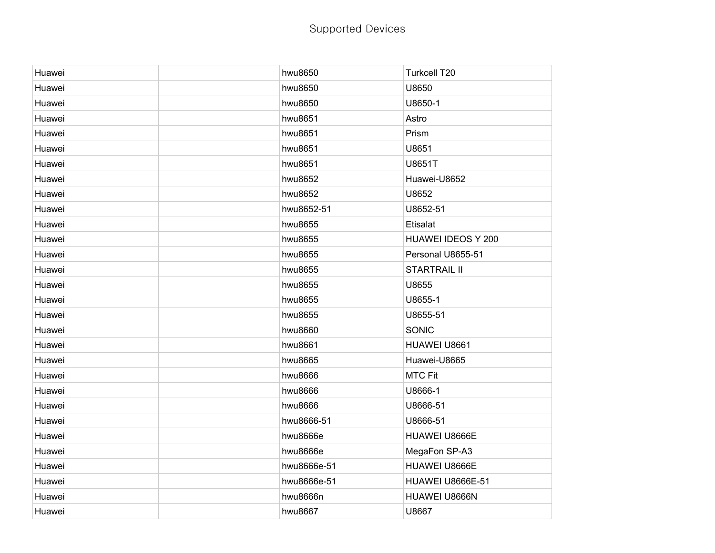| Huawei | hwu8650     | Turkcell T20            |
|--------|-------------|-------------------------|
| Huawei | hwu8650     | U8650                   |
| Huawei | hwu8650     | U8650-1                 |
| Huawei | hwu8651     | Astro                   |
| Huawei | hwu8651     | Prism                   |
| Huawei | hwu8651     | U8651                   |
| Huawei | hwu8651     | U8651T                  |
| Huawei | hwu8652     | Huawei-U8652            |
| Huawei | hwu8652     | U8652                   |
| Huawei | hwu8652-51  | U8652-51                |
| Huawei | hwu8655     | Etisalat                |
| Huawei | hwu8655     | HUAWEI IDEOS Y 200      |
| Huawei | hwu8655     | Personal U8655-51       |
| Huawei | hwu8655     | <b>STARTRAIL II</b>     |
| Huawei | hwu8655     | U8655                   |
| Huawei | hwu8655     | U8655-1                 |
| Huawei | hwu8655     | U8655-51                |
| Huawei | hwu8660     | SONIC                   |
| Huawei | hwu8661     | HUAWEI U8661            |
| Huawei | hwu8665     | Huawei-U8665            |
| Huawei | hwu8666     | <b>MTC Fit</b>          |
| Huawei | hwu8666     | U8666-1                 |
| Huawei | hwu8666     | U8666-51                |
| Huawei | hwu8666-51  | U8666-51                |
| Huawei | hwu8666e    | HUAWEI U8666E           |
| Huawei | hwu8666e    | MegaFon SP-A3           |
| Huawei | hwu8666e-51 | HUAWEI U8666E           |
| Huawei | hwu8666e-51 | <b>HUAWEI U8666E-51</b> |
| Huawei | hwu8666n    | HUAWEI U8666N           |
| Huawei | hwu8667     | U8667                   |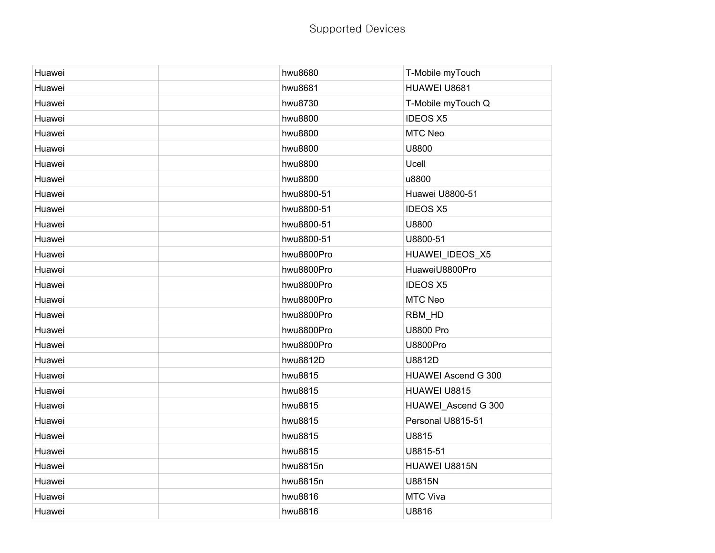| Huawei | hwu8680    | T-Mobile myTouch           |
|--------|------------|----------------------------|
| Huawei | hwu8681    | HUAWEI U8681               |
| Huawei | hwu8730    | T-Mobile myTouch Q         |
| Huawei | hwu8800    | <b>IDEOS X5</b>            |
| Huawei | hwu8800    | MTC Neo                    |
| Huawei | hwu8800    | U8800                      |
| Huawei | hwu8800    | Ucell                      |
| Huawei | hwu8800    | u8800                      |
| Huawei | hwu8800-51 | Huawei U8800-51            |
| Huawei | hwu8800-51 | <b>IDEOS X5</b>            |
| Huawei | hwu8800-51 | U8800                      |
| Huawei | hwu8800-51 | U8800-51                   |
| Huawei | hwu8800Pro | HUAWEI_IDEOS_X5            |
| Huawei | hwu8800Pro | HuaweiU8800Pro             |
| Huawei | hwu8800Pro | <b>IDEOS X5</b>            |
| Huawei | hwu8800Pro | MTC Neo                    |
| Huawei | hwu8800Pro | RBM_HD                     |
| Huawei | hwu8800Pro | <b>U8800 Pro</b>           |
| Huawei | hwu8800Pro | <b>U8800Pro</b>            |
| Huawei | hwu8812D   | U8812D                     |
| Huawei | hwu8815    | <b>HUAWEI Ascend G 300</b> |
| Huawei | hwu8815    | HUAWEI U8815               |
| Huawei | hwu8815    | HUAWEI_Ascend G 300        |
| Huawei | hwu8815    | Personal U8815-51          |
| Huawei | hwu8815    | U8815                      |
| Huawei | hwu8815    | U8815-51                   |
| Huawei | hwu8815n   | HUAWEI U8815N              |
| Huawei | hwu8815n   | <b>U8815N</b>              |
| Huawei | hwu8816    | MTC Viva                   |
| Huawei | hwu8816    | U8816                      |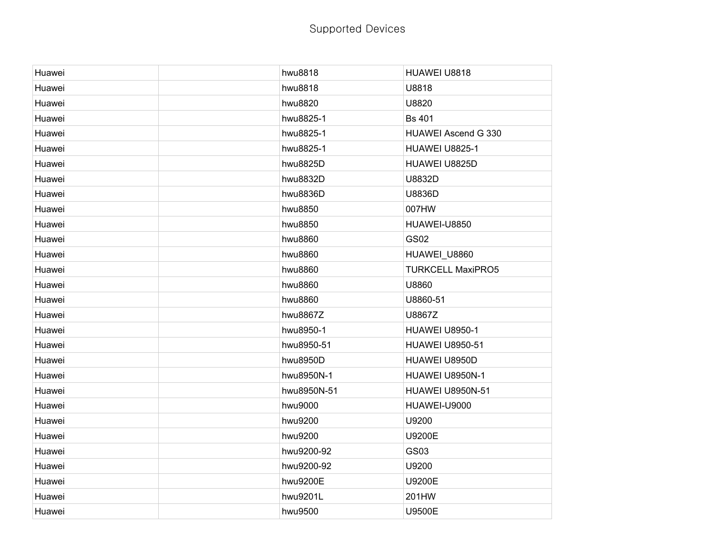| Huawei | hwu8818     | HUAWEI U8818               |
|--------|-------------|----------------------------|
| Huawei | hwu8818     | U8818                      |
| Huawei | hwu8820     | U8820                      |
| Huawei | hwu8825-1   | <b>Bs 401</b>              |
| Huawei | hwu8825-1   | <b>HUAWEI Ascend G 330</b> |
| Huawei | hwu8825-1   | <b>HUAWEI U8825-1</b>      |
| Huawei | hwu8825D    | HUAWEI U8825D              |
| Huawei | hwu8832D    | U8832D                     |
| Huawei | hwu8836D    | U8836D                     |
| Huawei | hwu8850     | 007HW                      |
| Huawei | hwu8850     | HUAWEI-U8850               |
| Huawei | hwu8860     | <b>GS02</b>                |
| Huawei | hwu8860     | HUAWEI_U8860               |
| Huawei | hwu8860     | <b>TURKCELL MaxiPRO5</b>   |
| Huawei | hwu8860     | U8860                      |
| Huawei | hwu8860     | U8860-51                   |
| Huawei | hwu8867Z    | U8867Z                     |
| Huawei | hwu8950-1   | <b>HUAWEI U8950-1</b>      |
| Huawei | hwu8950-51  | <b>HUAWEI U8950-51</b>     |
| Huawei | hwu8950D    | HUAWEI U8950D              |
| Huawei | hwu8950N-1  | HUAWEI U8950N-1            |
| Huawei | hwu8950N-51 | <b>HUAWEI U8950N-51</b>    |
| Huawei | hwu9000     | HUAWEI-U9000               |
| Huawei | hwu9200     | U9200                      |
| Huawei | hwu9200     | U9200E                     |
| Huawei | hwu9200-92  | GS03                       |
| Huawei | hwu9200-92  | U9200                      |
| Huawei | hwu9200E    | U9200E                     |
| Huawei | hwu9201L    | 201HW                      |
| Huawei | hwu9500     | U9500E                     |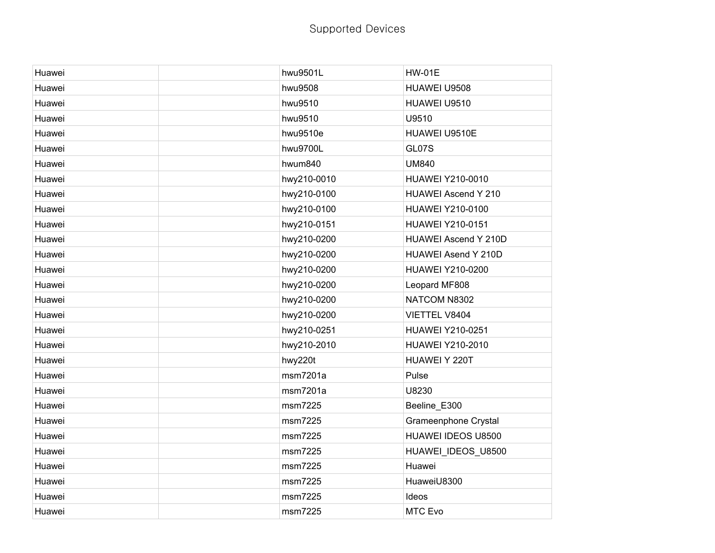| Huawei | hwu9501L    |              | <b>HW-01E</b>              |
|--------|-------------|--------------|----------------------------|
| Huawei | hwu9508     |              | HUAWEI U9508               |
| Huawei | hwu9510     |              | HUAWEI U9510               |
| Huawei | hwu9510     | U9510        |                            |
| Huawei | hwu9510e    |              | HUAWEI U9510E              |
| Huawei | hwu9700L    | GL07S        |                            |
| Huawei | hwum840     | <b>UM840</b> |                            |
| Huawei | hwy210-0010 |              | <b>HUAWEI Y210-0010</b>    |
| Huawei | hwy210-0100 |              | <b>HUAWEI Ascend Y 210</b> |
| Huawei | hwy210-0100 |              | HUAWEI Y210-0100           |
| Huawei | hwy210-0151 |              | <b>HUAWEI Y210-0151</b>    |
| Huawei | hwy210-0200 |              | HUAWEI Ascend Y 210D       |
| Huawei | hwy210-0200 |              | HUAWEI Asend Y 210D        |
| Huawei | hwy210-0200 |              | <b>HUAWEI Y210-0200</b>    |
| Huawei | hwy210-0200 |              | Leopard MF808              |
| Huawei | hwy210-0200 |              | NATCOM N8302               |
| Huawei | hwy210-0200 |              | VIETTEL V8404              |
| Huawei | hwy210-0251 |              | <b>HUAWEI Y210-0251</b>    |
| Huawei | hwy210-2010 |              | <b>HUAWEI Y210-2010</b>    |
| Huawei | hwy220t     |              | HUAWEI Y 220T              |
| Huawei | msm7201a    | Pulse        |                            |
| Huawei | msm7201a    | U8230        |                            |
| Huawei | msm7225     |              | Beeline_E300               |
| Huawei | msm7225     |              | Grameenphone Crystal       |
| Huawei | msm7225     |              | HUAWEI IDEOS U8500         |
| Huawei | msm7225     |              | HUAWEI_IDEOS_U8500         |
| Huawei | msm7225     |              | Huawei                     |
| Huawei | msm7225     |              | HuaweiU8300                |
| Huawei | msm7225     | Ideos        |                            |
| Huawei | msm7225     |              | MTC Evo                    |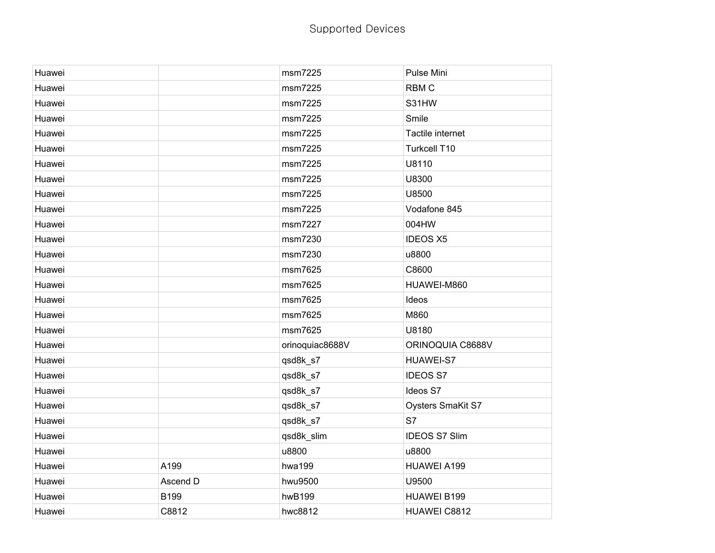| Huawei |          | msm7225         | Pulse Mini               |
|--------|----------|-----------------|--------------------------|
| Huawei |          | msm7225         | <b>RBMC</b>              |
| Huawei |          | msm7225         | S31HW                    |
| Huawei |          | msm7225         | Smile                    |
| Huawei |          | msm7225         | Tactile internet         |
| Huawei |          | msm7225         | Turkcell T10             |
| Huawei |          | msm7225         | U8110                    |
| Huawei |          | msm7225         | U8300                    |
| Huawei |          | msm7225         | U8500                    |
| Huawei |          | msm7225         | Vodafone 845             |
| Huawei |          | msm7227         | 004HW                    |
| Huawei |          | msm7230         | <b>IDEOS X5</b>          |
| Huawei |          | msm7230         | u8800                    |
| Huawei |          | msm7625         | C8600                    |
| Huawei |          | msm7625         | HUAWEI-M860              |
| Huawei |          | msm7625         | Ideos                    |
| Huawei |          | msm7625         | M860                     |
| Huawei |          | msm7625         | U8180                    |
| Huawei |          | orinoquiac8688V | ORINOQUIA C8688V         |
| Huawei |          | qsd8k_s7        | <b>HUAWEI-S7</b>         |
| Huawei |          | qsd8k_s7        | <b>IDEOS S7</b>          |
| Huawei |          | qsd8k_s7        | Ideos S7                 |
| Huawei |          | qsd8k_s7        | <b>Oysters SmaKit S7</b> |
| Huawei |          | qsd8k_s7        | S7                       |
| Huawei |          | qsd8k_slim      | <b>IDEOS S7 Slim</b>     |
| Huawei |          | u8800           | u8800                    |
| Huawei | A199     | hwa199          | HUAWEI A199              |
| Huawei | Ascend D | hwu9500         | U9500                    |
| Huawei | B199     | hwB199          | HUAWEI B199              |
| Huawei | C8812    | hwc8812         | HUAWEI C8812             |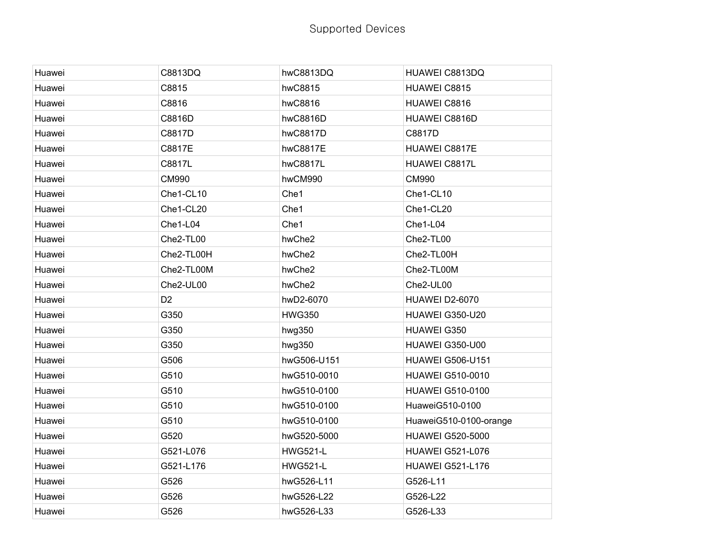| C8813DQ        | hwC8813DQ       | HUAWEI C8813DQ          |
|----------------|-----------------|-------------------------|
| C8815          | hwC8815         | HUAWEI C8815            |
| C8816          | hwC8816         | HUAWEI C8816            |
| C8816D         | hwC8816D        | HUAWEI C8816D           |
| C8817D         | hwC8817D        | C8817D                  |
| C8817E         | hwC8817E        | HUAWEI C8817E           |
| C8817L         | hwC8817L        | HUAWEI C8817L           |
| <b>CM990</b>   | hwCM990         | CM990                   |
| Che1-CL10      | Che1            | Che1-CL10               |
| Che1-CL20      | Che1            | Che1-CL20               |
| Che1-L04       | Che1            | Che1-L04                |
| Che2-TL00      | hwChe2          | Che2-TL00               |
| Che2-TL00H     | hwChe2          | Che2-TL00H              |
| Che2-TL00M     | hwChe2          | Che2-TL00M              |
| Che2-UL00      | hwChe2          | Che2-UL00               |
| D <sub>2</sub> | hwD2-6070       | HUAWEI D2-6070          |
| G350           | <b>HWG350</b>   | HUAWEI G350-U20         |
| G350           | hwg350          | HUAWEI G350             |
| G350           | hwg350          | HUAWEI G350-U00         |
| G506           | hwG506-U151     | <b>HUAWEI G506-U151</b> |
| G510           | hwG510-0010     | <b>HUAWEI G510-0010</b> |
| G510           | hwG510-0100     | <b>HUAWEI G510-0100</b> |
| G510           | hwG510-0100     | HuaweiG510-0100         |
| G510           | hwG510-0100     | HuaweiG510-0100-orange  |
| G520           | hwG520-5000     | <b>HUAWEI G520-5000</b> |
| G521-L076      | <b>HWG521-L</b> | <b>HUAWEI G521-L076</b> |
| G521-L176      | <b>HWG521-L</b> | <b>HUAWEI G521-L176</b> |
| G526           | hwG526-L11      | G526-L11                |
| G526           | hwG526-L22      | G526-L22                |
| G526           | hwG526-L33      | G526-L33                |
|                |                 |                         |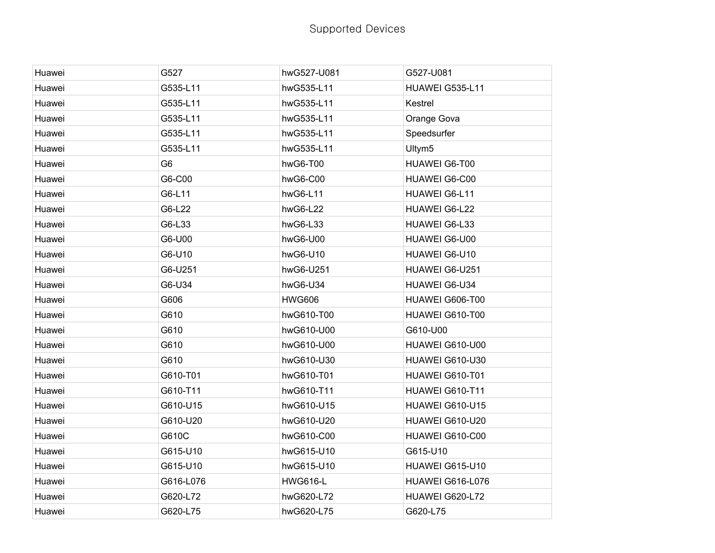| Huawei | G527           | hwG527-U081     | G527-U081          |
|--------|----------------|-----------------|--------------------|
| Huawei | G535-L11       | hwG535-L11      | HUAWEI G535-L11    |
| Huawei | G535-L11       | hwG535-L11      | Kestrel            |
| Huawei | G535-L11       | hwG535-L11      | Orange Gova        |
| Huawei | G535-L11       | hwG535-L11      | Speedsurfer        |
| Huawei | G535-L11       | hwG535-L11      | Ultym <sub>5</sub> |
| Huawei | G <sub>6</sub> | hwG6-T00        | HUAWEI G6-T00      |
| Huawei | G6-C00         | hwG6-C00        | HUAWEI G6-C00      |
| Huawei | G6-L11         | hwG6-L11        | HUAWEI G6-L11      |
| Huawei | G6-L22         | hwG6-L22        | HUAWEI G6-L22      |
| Huawei | G6-L33         | hwG6-L33        | HUAWEI G6-L33      |
| Huawei | G6-U00         | hwG6-U00        | HUAWEI G6-U00      |
| Huawei | G6-U10         | hwG6-U10        | HUAWEI G6-U10      |
| Huawei | G6-U251        | hwG6-U251       | HUAWEI G6-U251     |
| Huawei | G6-U34         | hwG6-U34        | HUAWEI G6-U34      |
| Huawei | G606           | <b>HWG606</b>   | HUAWEI G606-T00    |
| Huawei | G610           | hwG610-T00      | HUAWEI G610-T00    |
| Huawei | G610           | hwG610-U00      | G610-U00           |
| Huawei | G610           | hwG610-U00      | HUAWEI G610-U00    |
| Huawei | G610           | hwG610-U30      | HUAWEI G610-U30    |
| Huawei | G610-T01       | hwG610-T01      | HUAWEI G610-T01    |
| Huawei | G610-T11       | hwG610-T11      | HUAWEI G610-T11    |
| Huawei | G610-U15       | hwG610-U15      | HUAWEI G610-U15    |
| Huawei | G610-U20       | hwG610-U20      | HUAWEI G610-U20    |
| Huawei | G610C          | hwG610-C00      | HUAWEI G610-C00    |
| Huawei | G615-U10       | hwG615-U10      | G615-U10           |
| Huawei | G615-U10       | hwG615-U10      | HUAWEI G615-U10    |
| Huawei | G616-L076      | <b>HWG616-L</b> | HUAWEI G616-L076   |
| Huawei | G620-L72       | hwG620-L72      | HUAWEI G620-L72    |
| Huawei | G620-L75       | hwG620-L75      | G620-L75           |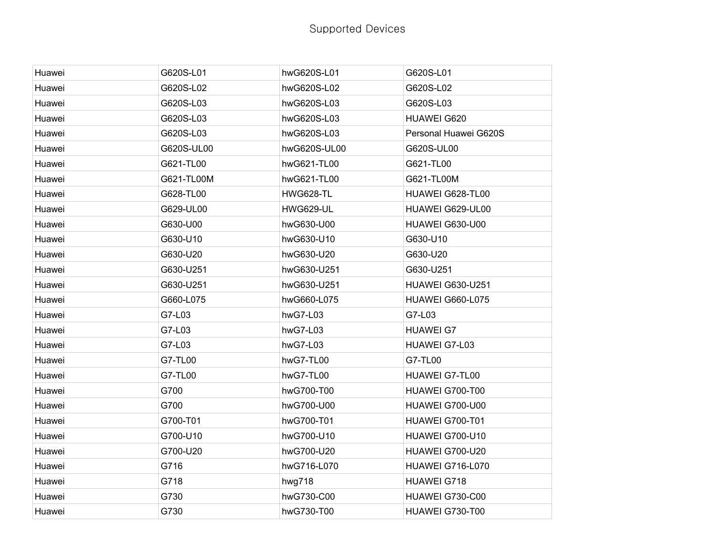| Huawei | G620S-L01  | hwG620S-L01      | G620S-L01               |
|--------|------------|------------------|-------------------------|
| Huawei | G620S-L02  | hwG620S-L02      | G620S-L02               |
| Huawei | G620S-L03  | hwG620S-L03      | G620S-L03               |
| Huawei | G620S-L03  | hwG620S-L03      | <b>HUAWEI G620</b>      |
| Huawei | G620S-L03  | hwG620S-L03      | Personal Huawei G620S   |
| Huawei | G620S-UL00 | hwG620S-UL00     | G620S-UL00              |
| Huawei | G621-TL00  | hwG621-TL00      | G621-TL00               |
| Huawei | G621-TL00M | hwG621-TL00      | G621-TL00M              |
| Huawei | G628-TL00  | HWG628-TL        | HUAWEI G628-TL00        |
| Huawei | G629-UL00  | <b>HWG629-UL</b> | HUAWEI G629-UL00        |
| Huawei | G630-U00   | hwG630-U00       | HUAWEI G630-U00         |
| Huawei | G630-U10   | hwG630-U10       | G630-U10                |
| Huawei | G630-U20   | hwG630-U20       | G630-U20                |
| Huawei | G630-U251  | hwG630-U251      | G630-U251               |
| Huawei | G630-U251  | hwG630-U251      | <b>HUAWEI G630-U251</b> |
| Huawei | G660-L075  | hwG660-L075      | <b>HUAWEI G660-L075</b> |
| Huawei | G7-L03     | hwG7-L03         | G7-L03                  |
| Huawei | G7-L03     | hwG7-L03         | <b>HUAWEI G7</b>        |
| Huawei | G7-L03     | hwG7-L03         | HUAWEI G7-L03           |
| Huawei | G7-TL00    | hwG7-TL00        | G7-TL00                 |
| Huawei | G7-TL00    | hwG7-TL00        | <b>HUAWEI G7-TL00</b>   |
| Huawei | G700       | hwG700-T00       | HUAWEI G700-T00         |
| Huawei | G700       | hwG700-U00       | HUAWEI G700-U00         |
| Huawei | G700-T01   | hwG700-T01       | HUAWEI G700-T01         |
| Huawei | G700-U10   | hwG700-U10       | HUAWEI G700-U10         |
| Huawei | G700-U20   | hwG700-U20       | HUAWEI G700-U20         |
| Huawei | G716       | hwG716-L070      | HUAWEI G716-L070        |
| Huawei | G718       | hwg718           | HUAWEI G718             |
| Huawei | G730       | hwG730-C00       | HUAWEI G730-C00         |
| Huawei | G730       | hwG730-T00       | HUAWEI G730-T00         |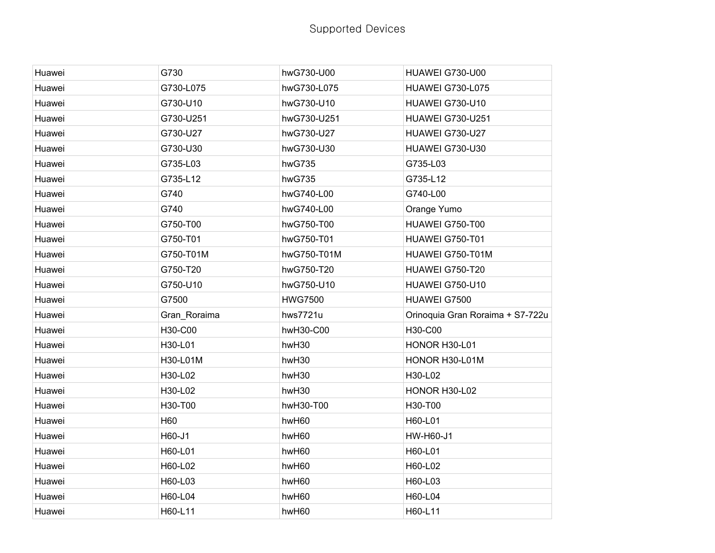| Huawei | G730         | hwG730-U00     | HUAWEI G730-U00                  |
|--------|--------------|----------------|----------------------------------|
| Huawei | G730-L075    | hwG730-L075    | <b>HUAWEI G730-L075</b>          |
| Huawei | G730-U10     | hwG730-U10     | HUAWEI G730-U10                  |
| Huawei | G730-U251    | hwG730-U251    | <b>HUAWEI G730-U251</b>          |
| Huawei | G730-U27     | hwG730-U27     | HUAWEI G730-U27                  |
| Huawei | G730-U30     | hwG730-U30     | HUAWEI G730-U30                  |
| Huawei | G735-L03     | hwG735         | G735-L03                         |
| Huawei | G735-L12     | hwG735         | G735-L12                         |
| Huawei | G740         | hwG740-L00     | G740-L00                         |
| Huawei | G740         | hwG740-L00     | Orange Yumo                      |
| Huawei | G750-T00     | hwG750-T00     | HUAWEI G750-T00                  |
| Huawei | G750-T01     | hwG750-T01     | HUAWEI G750-T01                  |
| Huawei | G750-T01M    | hwG750-T01M    | HUAWEI G750-T01M                 |
| Huawei | G750-T20     | hwG750-T20     | HUAWEI G750-T20                  |
| Huawei | G750-U10     | hwG750-U10     | HUAWEI G750-U10                  |
| Huawei | G7500        | <b>HWG7500</b> | HUAWEI G7500                     |
| Huawei | Gran_Roraima | hws7721u       | Orinoquia Gran Roraima + S7-722u |
| Huawei | H30-C00      | hwH30-C00      | H30-C00                          |
| Huawei | H30-L01      | hwH30          | HONOR H30-L01                    |
| Huawei | H30-L01M     | hwH30          | HONOR H30-L01M                   |
| Huawei | H30-L02      | hwH30          | H30-L02                          |
| Huawei | H30-L02      | hwH30          | HONOR H30-L02                    |
| Huawei | H30-T00      | hwH30-T00      | H30-T00                          |
| Huawei | H60          | hwH60          | H60-L01                          |
| Huawei | H60-J1       | hwH60          | HW-H60-J1                        |
| Huawei | H60-L01      | hwH60          | H60-L01                          |
| Huawei | H60-L02      | hwH60          | H60-L02                          |
| Huawei | H60-L03      | hwH60          | H60-L03                          |
| Huawei | H60-L04      | hwH60          | H60-L04                          |
| Huawei | H60-L11      | hwH60          | H60-L11                          |
|        |              |                |                                  |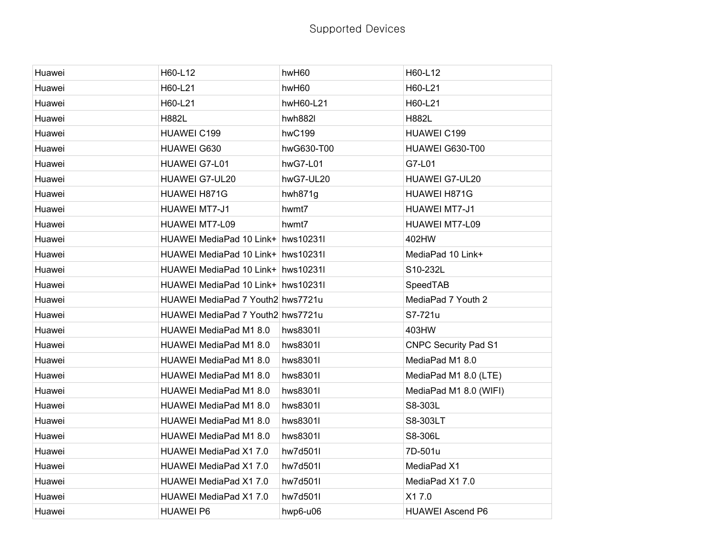| Huawei | H60-L12                            | hwH60      | H60-L12                     |
|--------|------------------------------------|------------|-----------------------------|
| Huawei | H60-L21                            | hwH60      | H60-L21                     |
| Huawei | H60-L21                            | hwH60-L21  | H60-L21                     |
| Huawei | <b>H882L</b>                       | hwh882l    | <b>H882L</b>                |
| Huawei | <b>HUAWEI C199</b>                 | hwC199     | HUAWEI C199                 |
| Huawei | HUAWEI G630                        | hwG630-T00 | HUAWEI G630-T00             |
| Huawei | HUAWEI G7-L01                      | hwG7-L01   | G7-L01                      |
| Huawei | HUAWEI G7-UL20                     | hwG7-UL20  | HUAWEI G7-UL20              |
| Huawei | HUAWEI H871G                       | hwh871g    | HUAWEI H871G                |
| Huawei | <b>HUAWEI MT7-J1</b>               | hwmt7      | HUAWEI MT7-J1               |
| Huawei | HUAWEI MT7-L09                     | hwmt7      | HUAWEI MT7-L09              |
| Huawei | HUAWEI MediaPad 10 Link+ hws10231l |            | 402HW                       |
| Huawei | HUAWEI MediaPad 10 Link+ hws10231l |            | MediaPad 10 Link+           |
| Huawei | HUAWEI MediaPad 10 Link+ hws10231l |            | S10-232L                    |
| Huawei | HUAWEI MediaPad 10 Link+ hws10231l |            | SpeedTAB                    |
| Huawei | HUAWEI MediaPad 7 Youth2 hws7721u  |            | MediaPad 7 Youth 2          |
| Huawei | HUAWEI MediaPad 7 Youth2 hws7721u  |            | S7-721u                     |
| Huawei | HUAWEI MediaPad M1 8.0             | hws8301l   | 403HW                       |
| Huawei | HUAWEI MediaPad M1 8.0             | hws8301l   | <b>CNPC Security Pad S1</b> |
| Huawei | HUAWEI MediaPad M1 8.0             | hws8301l   | MediaPad M1 8.0             |
| Huawei | HUAWEI MediaPad M1 8.0             | hws8301l   | MediaPad M1 8.0 (LTE)       |
| Huawei | HUAWEI MediaPad M1 8.0             | hws8301l   | MediaPad M1 8.0 (WIFI)      |
| Huawei | HUAWEI MediaPad M1 8.0             | hws8301l   | S8-303L                     |
| Huawei | HUAWEI MediaPad M1 8.0             | hws8301l   | S8-303LT                    |
| Huawei | HUAWEI MediaPad M1 8.0             | hws8301l   | S8-306L                     |
| Huawei | HUAWEI MediaPad X1 7.0             | hw7d501l   | 7D-501u                     |
| Huawei | HUAWEI MediaPad X1 7.0             | hw7d501l   | MediaPad X1                 |
| Huawei | HUAWEI MediaPad X1 7.0             | hw7d501l   | MediaPad X1 7.0             |
| Huawei | HUAWEI MediaPad X1 7.0             | hw7d501l   | X17.0                       |
| Huawei | <b>HUAWEI P6</b>                   | hwp6-u06   | <b>HUAWEI Ascend P6</b>     |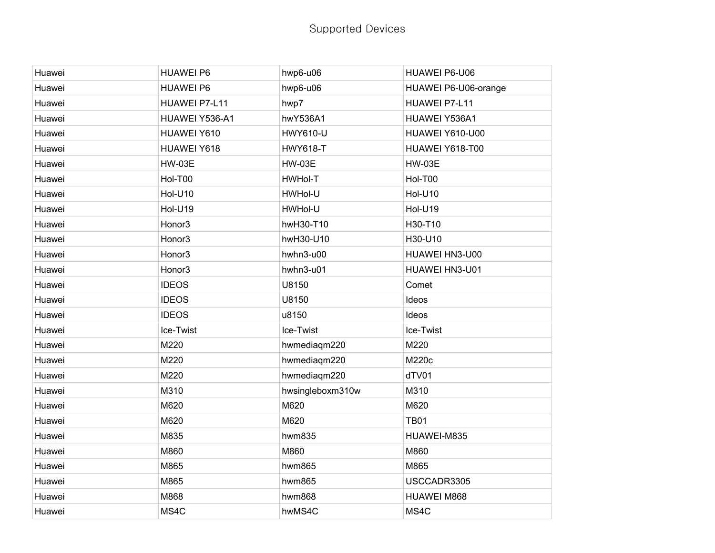| Huawei | <b>HUAWEI P6</b> | hwp6-u06         | HUAWEI P6-U06        |
|--------|------------------|------------------|----------------------|
| Huawei | <b>HUAWEI P6</b> | hwp6-u06         | HUAWEI P6-U06-orange |
| Huawei | HUAWEI P7-L11    | hwp7             | HUAWEI P7-L11        |
| Huawei | HUAWEI Y536-A1   | hwY536A1         | HUAWEI Y536A1        |
| Huawei | HUAWEI Y610      | <b>HWY610-U</b>  | HUAWEI Y610-U00      |
| Huawei | HUAWEI Y618      | <b>HWY618-T</b>  | HUAWEI Y618-T00      |
| Huawei | <b>HW-03E</b>    | <b>HW-03E</b>    | <b>HW-03E</b>        |
| Huawei | Hol-T00          | HWHol-T          | Hol-T00              |
| Huawei | <b>Hol-U10</b>   | HWHol-U          | <b>Hol-U10</b>       |
| Huawei | Hol-U19          | HWHol-U          | Hol-U19              |
| Huawei | Honor3           | hwH30-T10        | H30-T10              |
| Huawei | Honor3           | hwH30-U10        | H30-U10              |
| Huawei | Honor3           | hwhn3-u00        | HUAWEI HN3-U00       |
| Huawei | Honor3           | hwhn3-u01        | HUAWEI HN3-U01       |
| Huawei | <b>IDEOS</b>     | U8150            | Comet                |
| Huawei | <b>IDEOS</b>     | U8150            | Ideos                |
| Huawei | <b>IDEOS</b>     | u8150            | Ideos                |
| Huawei | Ice-Twist        | Ice-Twist        | Ice-Twist            |
| Huawei | M220             | hwmediagm220     | M220                 |
| Huawei | M220             | hwmediagm220     | M220c                |
| Huawei | M220             | hwmediagm220     | dTV01                |
| Huawei | M310             | hwsingleboxm310w | M310                 |
| Huawei | M620             | M620             | M620                 |
| Huawei | M620             | M620             | <b>TB01</b>          |
| Huawei | M835             | hwm835           | HUAWEI-M835          |
| Huawei | M860             | M860             | M860                 |
| Huawei | M865             | hwm865           | M865                 |
| Huawei | M865             | hwm865           | USCCADR3305          |
| Huawei | M868             | hwm868           | HUAWEI M868          |
| Huawei | MS4C             | hwMS4C           | MS4C                 |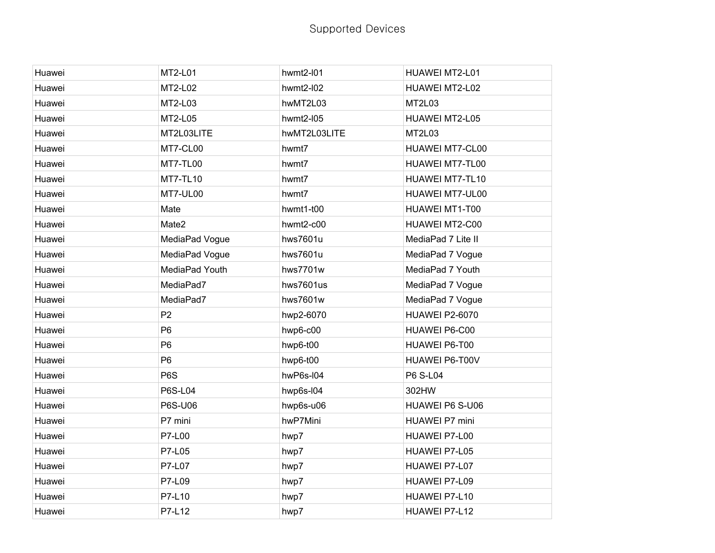| Huawei | MT2-L01          | hwmt2-I01    | HUAWEI MT2-L01     |
|--------|------------------|--------------|--------------------|
| Huawei | MT2-L02          | hwmt2-I02    | HUAWEI MT2-L02     |
| Huawei | MT2-L03          | hwMT2L03     | MT2L03             |
| Huawei | MT2-L05          | hwmt2-I05    | HUAWEI MT2-L05     |
| Huawei | MT2L03LITE       | hwMT2L03LITE | MT2L03             |
| Huawei | MT7-CL00         | hwmt7        | HUAWEI MT7-CL00    |
| Huawei | MT7-TL00         | hwmt7        | HUAWEI MT7-TL00    |
| Huawei | <b>MT7-TL10</b>  | hwmt7        | HUAWEI MT7-TL10    |
| Huawei | MT7-UL00         | hwmt7        | HUAWEI MT7-UL00    |
| Huawei | Mate             | hwmt1-t00    | HUAWEI MT1-T00     |
| Huawei | Mate2            | hwmt2-c00    | HUAWEI MT2-C00     |
| Huawei | MediaPad Vogue   | hws7601u     | MediaPad 7 Lite II |
| Huawei | MediaPad Vogue   | hws7601u     | MediaPad 7 Vogue   |
| Huawei | MediaPad Youth   | hws7701w     | MediaPad 7 Youth   |
| Huawei | MediaPad7        | hws7601us    | MediaPad 7 Vogue   |
| Huawei | MediaPad7        | hws7601w     | MediaPad 7 Vogue   |
| Huawei | P <sub>2</sub>   | hwp2-6070    | HUAWEI P2-6070     |
| Huawei | P <sub>6</sub>   | hwp6-c00     | HUAWEI P6-C00      |
| Huawei | P <sub>6</sub>   | hwp6-t00     | HUAWEI P6-T00      |
| Huawei | P <sub>6</sub>   | hwp6-t00     | HUAWEI P6-T00V     |
| Huawei | P <sub>6</sub> S | hwP6s-I04    | P6 S-L04           |
| Huawei | <b>P6S-L04</b>   | hwp6s-I04    | 302HW              |
| Huawei | P6S-U06          | hwp6s-u06    | HUAWEI P6 S-U06    |
| Huawei | P7 mini          | hwP7Mini     | HUAWEI P7 mini     |
| Huawei | P7-L00           | hwp7         | HUAWEI P7-L00      |
| Huawei | P7-L05           | hwp7         | HUAWEI P7-L05      |
| Huawei | P7-L07           | hwp7         | HUAWEI P7-L07      |
| Huawei | P7-L09           | hwp7         | HUAWEI P7-L09      |
| Huawei | P7-L10           | hwp7         | HUAWEI P7-L10      |
| Huawei | P7-L12           | hwp7         | HUAWEI P7-L12      |
|        |                  |              |                    |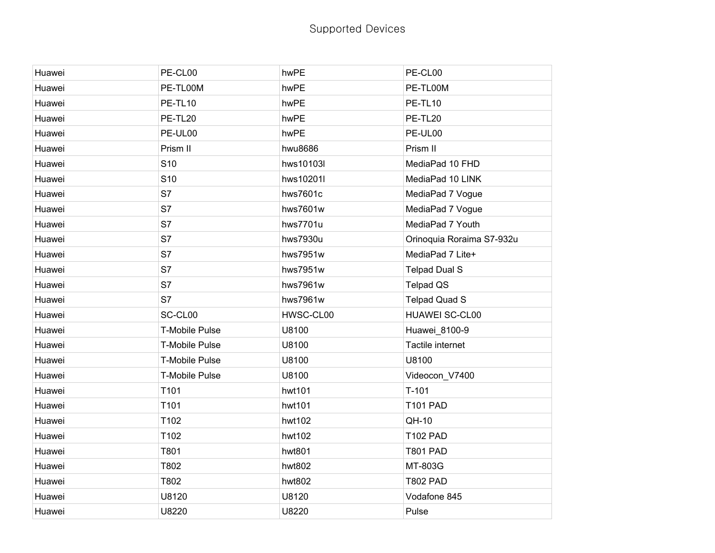| Huawei | PE-CL00               | hwPE      | PE-CL00                   |
|--------|-----------------------|-----------|---------------------------|
| Huawei | PE-TL00M              | hwPE      | PE-TL00M                  |
| Huawei | PE-TL10               | hwPE      | PE-TL10                   |
| Huawei | PE-TL20               | hwPE      | PE-TL20                   |
| Huawei | PE-UL00               | hwPE      | PE-UL00                   |
| Huawei | Prism II              | hwu8686   | Prism II                  |
| Huawei | S <sub>10</sub>       | hws10103l | MediaPad 10 FHD           |
| Huawei | S <sub>10</sub>       | hws10201l | MediaPad 10 LINK          |
| Huawei | S7                    | hws7601c  | MediaPad 7 Vogue          |
| Huawei | S7                    | hws7601w  | MediaPad 7 Vogue          |
| Huawei | S7                    | hws7701u  | MediaPad 7 Youth          |
| Huawei | S7                    | hws7930u  | Orinoquia Roraima S7-932u |
| Huawei | S7                    | hws7951w  | MediaPad 7 Lite+          |
| Huawei | S7                    | hws7951w  | <b>Telpad Dual S</b>      |
| Huawei | S7                    | hws7961w  | <b>Telpad QS</b>          |
| Huawei | S7                    | hws7961w  | <b>Telpad Quad S</b>      |
| Huawei | SC-CL00               | HWSC-CL00 | <b>HUAWEI SC-CL00</b>     |
| Huawei | <b>T-Mobile Pulse</b> | U8100     | Huawei_8100-9             |
| Huawei | <b>T-Mobile Pulse</b> | U8100     | Tactile internet          |
| Huawei | <b>T-Mobile Pulse</b> | U8100     | U8100                     |
| Huawei | <b>T-Mobile Pulse</b> | U8100     | Videocon_V7400            |
| Huawei | T101                  | hwt101    | $T-101$                   |
| Huawei | T101                  | hwt101    | <b>T101 PAD</b>           |
| Huawei | T102                  | hwt102    | QH-10                     |
| Huawei | T102                  | hwt102    | <b>T102 PAD</b>           |
| Huawei | T801                  | hwt801    | <b>T801 PAD</b>           |
| Huawei | T802                  | hwt802    | MT-803G                   |
| Huawei | T802                  | hwt802    | <b>T802 PAD</b>           |
| Huawei | U8120                 | U8120     | Vodafone 845              |
| Huawei | U8220                 | U8220     | Pulse                     |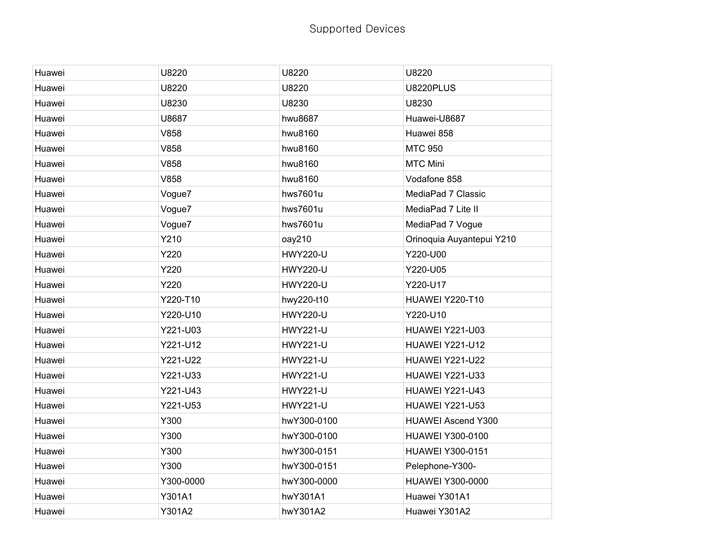## Supported Devices

| Huawei | U8220     | U8220           | U8220                     |
|--------|-----------|-----------------|---------------------------|
| Huawei | U8220     | U8220           | U8220PLUS                 |
| Huawei | U8230     | U8230           | U8230                     |
| Huawei | U8687     | hwu8687         | Huawei-U8687              |
| Huawei | V858      | hwu8160         | Huawei 858                |
| Huawei | V858      | hwu8160         | <b>MTC 950</b>            |
| Huawei | V858      | hwu8160         | <b>MTC Mini</b>           |
| Huawei | V858      | hwu8160         | Vodafone 858              |
| Huawei | Vogue7    | hws7601u        | MediaPad 7 Classic        |
| Huawei | Vogue7    | hws7601u        | MediaPad 7 Lite II        |
| Huawei | Vogue7    | hws7601u        | MediaPad 7 Vogue          |
| Huawei | Y210      | oay210          | Orinoquia Auyantepui Y210 |
| Huawei | Y220      | <b>HWY220-U</b> | Y220-U00                  |
| Huawei | Y220      | <b>HWY220-U</b> | Y220-U05                  |
| Huawei | Y220      | <b>HWY220-U</b> | Y220-U17                  |
| Huawei | Y220-T10  | hwy220-t10      | <b>HUAWEI Y220-T10</b>    |
| Huawei | Y220-U10  | <b>HWY220-U</b> | Y220-U10                  |
| Huawei | Y221-U03  | <b>HWY221-U</b> | <b>HUAWEI Y221-U03</b>    |
| Huawei | Y221-U12  | <b>HWY221-U</b> | HUAWEI Y221-U12           |
| Huawei | Y221-U22  | <b>HWY221-U</b> | <b>HUAWEI Y221-U22</b>    |
| Huawei | Y221-U33  | <b>HWY221-U</b> | <b>HUAWEI Y221-U33</b>    |
| Huawei | Y221-U43  | <b>HWY221-U</b> | <b>HUAWEI Y221-U43</b>    |
| Huawei | Y221-U53  | <b>HWY221-U</b> | <b>HUAWEI Y221-U53</b>    |
| Huawei | Y300      | hwY300-0100     | <b>HUAWEI Ascend Y300</b> |
| Huawei | Y300      | hwY300-0100     | HUAWEI Y300-0100          |
| Huawei | Y300      | hwY300-0151     | <b>HUAWEI Y300-0151</b>   |
| Huawei | Y300      | hwY300-0151     | Pelephone-Y300-           |
| Huawei | Y300-0000 | hwY300-0000     | <b>HUAWEI Y300-0000</b>   |
| Huawei | Y301A1    | hwY301A1        | Huawei Y301A1             |
| Huawei | Y301A2    | hwY301A2        | Huawei Y301A2             |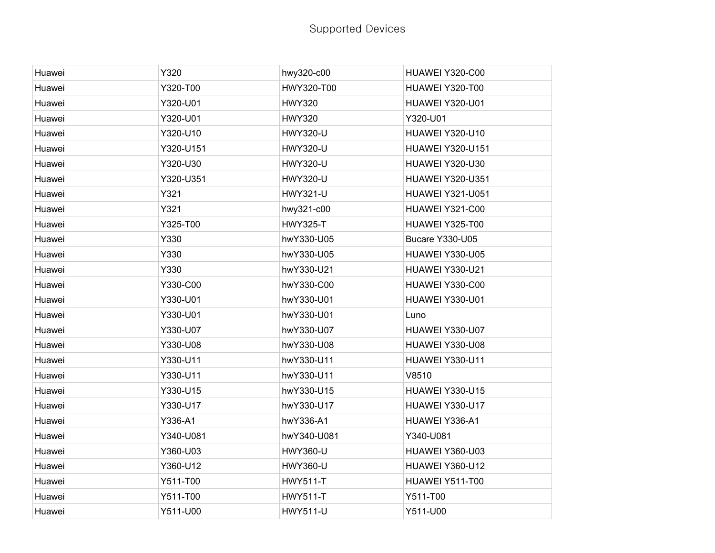| Y320<br>Y320-T00<br>Y320-U01 | hwy320-c00<br>HWY320-T00 | HUAWEI Y320-C00<br>HUAWEI Y320-T00 |
|------------------------------|--------------------------|------------------------------------|
|                              |                          |                                    |
|                              |                          |                                    |
|                              | <b>HWY320</b>            | HUAWEI Y320-U01                    |
| Y320-U01                     | <b>HWY320</b>            | Y320-U01                           |
| Y320-U10                     | <b>HWY320-U</b>          | HUAWEI Y320-U10                    |
| Y320-U151                    | <b>HWY320-U</b>          | <b>HUAWEI Y320-U151</b>            |
| Y320-U30                     | <b>HWY320-U</b>          | <b>HUAWEI Y320-U30</b>             |
| Y320-U351                    | <b>HWY320-U</b>          | <b>HUAWEI Y320-U351</b>            |
| Y321                         | <b>HWY321-U</b>          | <b>HUAWEI Y321-U051</b>            |
| Y321                         | hwy321-c00               | HUAWEI Y321-C00                    |
| Y325-T00                     | <b>HWY325-T</b>          | HUAWEI Y325-T00                    |
| Y330                         | hwY330-U05               | Bucare Y330-U05                    |
| Y330                         | hwY330-U05               | HUAWEI Y330-U05                    |
| Y330                         | hwY330-U21               | HUAWEI Y330-U21                    |
| Y330-C00                     | hwY330-C00               | HUAWEI Y330-C00                    |
| Y330-U01                     | hwY330-U01               | HUAWEI Y330-U01                    |
| Y330-U01                     | hwY330-U01               | Luno                               |
| Y330-U07                     | hwY330-U07               | HUAWEI Y330-U07                    |
| Y330-U08                     | hwY330-U08               | HUAWEI Y330-U08                    |
| Y330-U11                     | hwY330-U11               | HUAWEI Y330-U11                    |
| Y330-U11                     | hwY330-U11               | V8510                              |
| Y330-U15                     | hwY330-U15               | <b>HUAWEI Y330-U15</b>             |
| Y330-U17                     | hwY330-U17               | HUAWEI Y330-U17                    |
| Y336-A1                      | hwY336-A1                | HUAWEI Y336-A1                     |
| Y340-U081                    | hwY340-U081              | Y340-U081                          |
| Y360-U03                     | <b>HWY360-U</b>          | HUAWEI Y360-U03                    |
| Y360-U12                     | <b>HWY360-U</b>          | HUAWEI Y360-U12                    |
| Y511-T00                     | <b>HWY511-T</b>          | HUAWEI Y511-T00                    |
| Y511-T00                     | <b>HWY511-T</b>          | Y511-T00                           |
| Y511-U00                     | <b>HWY511-U</b>          | Y511-U00                           |
|                              |                          |                                    |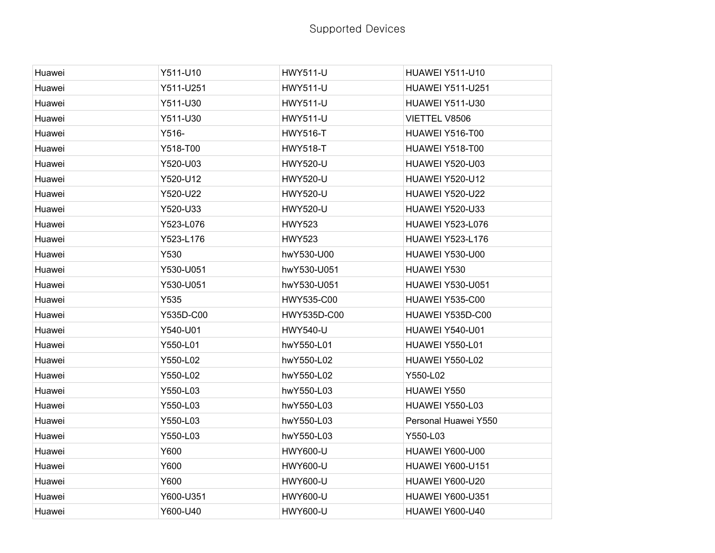| Y511-U10  | <b>HWY511-U</b> | HUAWEI Y511-U10         |
|-----------|-----------------|-------------------------|
| Y511-U251 | <b>HWY511-U</b> | <b>HUAWEI Y511-U251</b> |
| Y511-U30  | <b>HWY511-U</b> | HUAWEI Y511-U30         |
| Y511-U30  | <b>HWY511-U</b> | VIETTEL V8506           |
| Y516-     | <b>HWY516-T</b> | HUAWEI Y516-T00         |
| Y518-T00  | <b>HWY518-T</b> | HUAWEI Y518-T00         |
| Y520-U03  | <b>HWY520-U</b> | HUAWEI Y520-U03         |
| Y520-U12  | <b>HWY520-U</b> | <b>HUAWEI Y520-U12</b>  |
| Y520-U22  | <b>HWY520-U</b> | <b>HUAWEI Y520-U22</b>  |
| Y520-U33  | <b>HWY520-U</b> | HUAWEI Y520-U33         |
| Y523-L076 | <b>HWY523</b>   | <b>HUAWEI Y523-L076</b> |
| Y523-L176 | <b>HWY523</b>   | <b>HUAWEI Y523-L176</b> |
| Y530      | hwY530-U00      | HUAWEI Y530-U00         |
| Y530-U051 | hwY530-U051     | HUAWEI Y530             |
| Y530-U051 | hwY530-U051     | <b>HUAWEI Y530-U051</b> |
| Y535      | HWY535-C00      | HUAWEI Y535-C00         |
| Y535D-C00 | HWY535D-C00     | HUAWEI Y535D-C00        |
| Y540-U01  | <b>HWY540-U</b> | <b>HUAWEI Y540-U01</b>  |
| Y550-L01  | hwY550-L01      | HUAWEI Y550-L01         |
| Y550-L02  | hwY550-L02      | HUAWEI Y550-L02         |
| Y550-L02  | hwY550-L02      | Y550-L02                |
| Y550-L03  | hwY550-L03      | HUAWEI Y550             |
| Y550-L03  | hwY550-L03      | HUAWEI Y550-L03         |
| Y550-L03  | hwY550-L03      | Personal Huawei Y550    |
| Y550-L03  | hwY550-L03      | Y550-L03                |
| Y600      | <b>HWY600-U</b> | HUAWEI Y600-U00         |
| Y600      | <b>HWY600-U</b> | <b>HUAWEI Y600-U151</b> |
| Y600      | <b>HWY600-U</b> | HUAWEI Y600-U20         |
| Y600-U351 | <b>HWY600-U</b> | <b>HUAWEI Y600-U351</b> |
| Y600-U40  | HWY600-U        | <b>HUAWEI Y600-U40</b>  |
|           |                 |                         |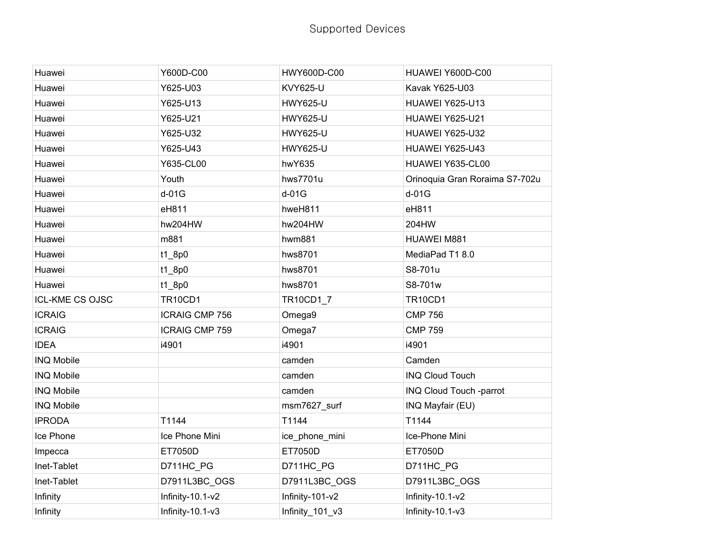| Huawei                 | Y600D-C00             | HWY600D-C00     | HUAWEI Y600D-C00               |
|------------------------|-----------------------|-----------------|--------------------------------|
| Huawei                 | Y625-U03              | <b>KVY625-U</b> | Kavak Y625-U03                 |
| Huawei                 | Y625-U13              | <b>HWY625-U</b> | HUAWEI Y625-U13                |
| Huawei                 | Y625-U21              | <b>HWY625-U</b> | HUAWEI Y625-U21                |
| Huawei                 | Y625-U32              | <b>HWY625-U</b> | HUAWEI Y625-U32                |
| Huawei                 | Y625-U43              | <b>HWY625-U</b> | HUAWEI Y625-U43                |
| Huawei                 | Y635-CL00             | hwY635          | HUAWEI Y635-CL00               |
| Huawei                 | Youth                 | hws7701u        | Orinoquia Gran Roraima S7-702u |
| Huawei                 | $d-01G$               | $d-01G$         | $d-01G$                        |
| Huawei                 | eH811                 | hweH811         | eH811                          |
| Huawei                 | hw204HW               | hw204HW         | 204HW                          |
| Huawei                 | m881                  | hwm881          | HUAWEI M881                    |
| Huawei                 | t1_8p0                | hws8701         | MediaPad T1 8.0                |
| Huawei                 | t1_8p0                | hws8701         | S8-701u                        |
| Huawei                 | $t1$ <sub>_8p0</sub>  | hws8701         | S8-701w                        |
| <b>ICL-KME CS OJSC</b> | <b>TR10CD1</b>        | TR10CD1_7       | <b>TR10CD1</b>                 |
| <b>ICRAIG</b>          | <b>ICRAIG CMP 756</b> | Omega9          | <b>CMP 756</b>                 |
| <b>ICRAIG</b>          | <b>ICRAIG CMP 759</b> | Omega7          | <b>CMP 759</b>                 |
| <b>IDEA</b>            | i4901                 | i4901           | i4901                          |
| <b>INQ Mobile</b>      |                       | camden          | Camden                         |
| <b>INQ Mobile</b>      |                       | camden          | <b>INQ Cloud Touch</b>         |
| <b>INQ Mobile</b>      |                       | camden          | INQ Cloud Touch -parrot        |
| <b>INQ Mobile</b>      |                       | msm7627_surf    | INQ Mayfair (EU)               |
| <b>IPRODA</b>          | T1144                 | T1144           | T1144                          |
| Ice Phone              | Ice Phone Mini        | ice_phone_mini  | Ice-Phone Mini                 |
| Impecca                | ET7050D               | ET7050D         | ET7050D                        |
| Inet-Tablet            | D711HC PG             | D711HC_PG       | D711HC PG                      |
| Inet-Tablet            | D7911L3BC_OGS         | D7911L3BC_OGS   | D7911L3BC OGS                  |
| Infinity               | Infinity-10.1-v2      | Infinity-101-v2 | Infinity-10.1-v2               |
| Infinity               | Infinity-10.1-v3      | Infinity_101_v3 | Infinity-10.1-v3               |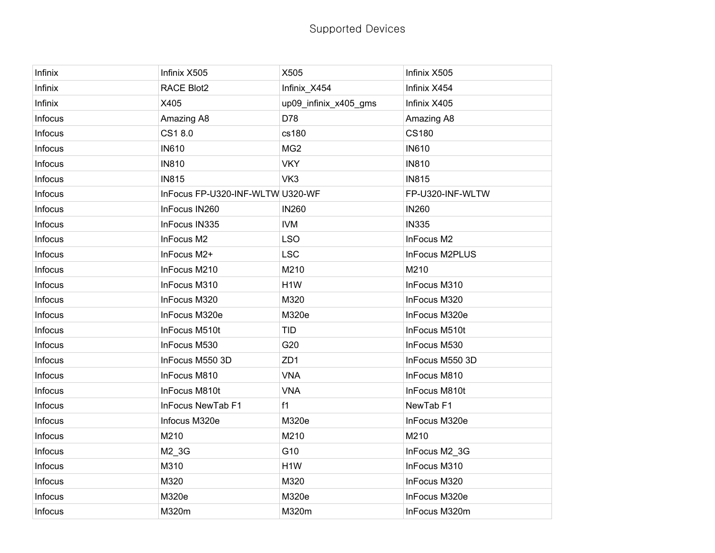| Infinix        | Infinix X505                     | X505                  | Infinix X505         |
|----------------|----------------------------------|-----------------------|----------------------|
| Infinix        | <b>RACE Blot2</b>                | Infinix X454          | Infinix X454         |
| Infinix        | X405                             | up09_infinix_x405_gms | Infinix X405         |
| Infocus        | Amazing A8                       | D78                   | Amazing A8           |
| Infocus        | CS18.0                           | cs180                 | <b>CS180</b>         |
| Infocus        | <b>IN610</b>                     | MG <sub>2</sub>       | <b>IN610</b>         |
| Infocus        | <b>IN810</b>                     | <b>VKY</b>            | <b>IN810</b>         |
| Infocus        | <b>IN815</b>                     | VK3                   | <b>IN815</b>         |
| Infocus        | InFocus FP-U320-INF-WLTW U320-WF |                       | FP-U320-INF-WLTW     |
| Infocus        | InFocus IN260                    | <b>IN260</b>          | <b>IN260</b>         |
| Infocus        | InFocus IN335                    | <b>IVM</b>            | <b>IN335</b>         |
| Infocus        | InFocus M2                       | <b>LSO</b>            | InFocus M2           |
| Infocus        | InFocus M2+                      | <b>LSC</b>            | InFocus M2PLUS       |
| Infocus        | InFocus M210                     | M210                  | M210                 |
| Infocus        | InFocus M310                     | H <sub>1</sub> W      | InFocus M310         |
| Infocus        | InFocus M320                     | M320                  | InFocus M320         |
| Infocus        | InFocus M320e                    | M320e                 | InFocus M320e        |
| Infocus        | InFocus M510t                    | <b>TID</b>            | InFocus M510t        |
| Infocus        | InFocus M530                     | G20                   | InFocus M530         |
| Infocus        | InFocus M550 3D                  | ZD <sub>1</sub>       | InFocus M550 3D      |
| Infocus        | InFocus M810                     | <b>VNA</b>            | InFocus M810         |
| Infocus        | InFocus M810t                    | <b>VNA</b>            | InFocus M810t        |
| Infocus        | InFocus NewTab F1                | f1                    | NewTab <sub>F1</sub> |
| Infocus        | Infocus M320e                    | M320e                 | InFocus M320e        |
| Infocus        | M210                             | M210                  | M210                 |
| Infocus        | M2_3G                            | G10                   | InFocus M2_3G        |
| Infocus        | M310                             | H <sub>1</sub> W      | InFocus M310         |
| Infocus        | M320                             | M320                  | InFocus M320         |
| Infocus        | M320e                            | M320e                 | InFocus M320e        |
| <b>Infocus</b> | M320m                            | M320m                 | InFocus M320m        |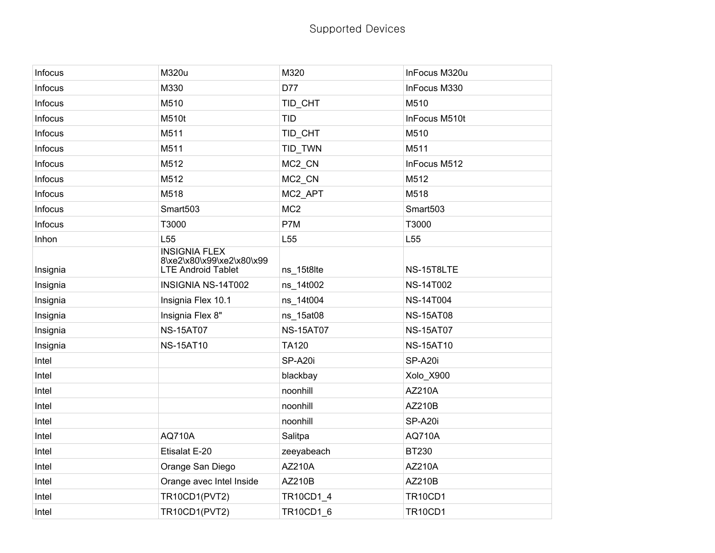| Infocus  | M320u                                                                          | M320             | InFocus M320u    |
|----------|--------------------------------------------------------------------------------|------------------|------------------|
| Infocus  | M330                                                                           | D77              | InFocus M330     |
| Infocus  | M510                                                                           | TID_CHT          | M510             |
| Infocus  | M510t                                                                          | <b>TID</b>       | InFocus M510t    |
| Infocus  | M511                                                                           | TID_CHT          | M510             |
| Infocus  | M511                                                                           | TID_TWN          | M511             |
| Infocus  | M512                                                                           | MC2_CN           | InFocus M512     |
| Infocus  | M512                                                                           | MC2_CN           | M512             |
| Infocus  | M518                                                                           | MC2_APT          | M518             |
| Infocus  | Smart503                                                                       | MC <sub>2</sub>  | Smart503         |
| Infocus  | T3000                                                                          | P7M              | T3000            |
| Inhon    | L <sub>55</sub>                                                                | L <sub>55</sub>  | L <sub>55</sub>  |
| Insignia | <b>INSIGNIA FLEX</b><br>8\xe2\x80\x99\xe2\x80\x99<br><b>LTE Android Tablet</b> | ns_15t8lte       | NS-15T8LTE       |
| Insignia | INSIGNIA NS-14T002                                                             | ns_14t002        | <b>NS-14T002</b> |
| Insignia | Insignia Flex 10.1                                                             | ns_14t004        | <b>NS-14T004</b> |
| Insignia | Insignia Flex 8"                                                               | ns_15at08        | <b>NS-15AT08</b> |
| Insignia | <b>NS-15AT07</b>                                                               | <b>NS-15AT07</b> | <b>NS-15AT07</b> |
| Insignia | <b>NS-15AT10</b>                                                               | <b>TA120</b>     | <b>NS-15AT10</b> |
| Intel    |                                                                                | SP-A20i          | SP-A20i          |
| Intel    |                                                                                | blackbay         | Xolo_X900        |
| Intel    |                                                                                | noonhill         | AZ210A           |
| Intel    |                                                                                | noonhill         | AZ210B           |
| Intel    |                                                                                | noonhill         | SP-A20i          |
| Intel    | <b>AQ710A</b>                                                                  | Salitpa          | <b>AQ710A</b>    |
| Intel    | Etisalat E-20                                                                  | zeeyabeach       | BT230            |
| Intel    | Orange San Diego                                                               | AZ210A           | AZ210A           |
| Intel    | Orange avec Intel Inside                                                       | AZ210B           | AZ210B           |
| Intel    | <b>TR10CD1(PVT2)</b>                                                           | TR10CD1_4        | <b>TR10CD1</b>   |
| Intel    | <b>TR10CD1(PVT2)</b>                                                           | TR10CD1 6        | <b>TR10CD1</b>   |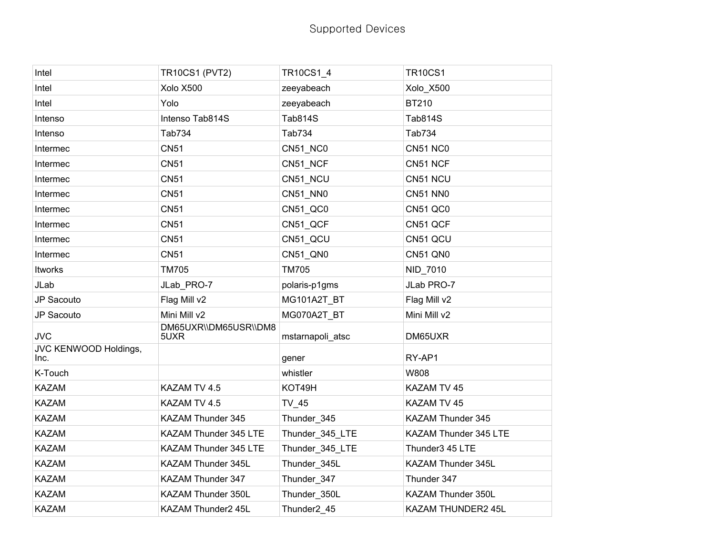| Intel                         | <b>TR10CS1 (PVT2)</b>         | TR10CS1_4        | <b>TR10CS1</b>        |
|-------------------------------|-------------------------------|------------------|-----------------------|
| Intel                         | Xolo X500                     | zeeyabeach       | Xolo_X500             |
| Intel                         | Yolo                          | zeeyabeach       | <b>BT210</b>          |
| Intenso                       | Intenso Tab814S               | <b>Tab814S</b>   | <b>Tab814S</b>        |
| Intenso                       | Tab734                        | Tab734           | Tab734                |
| Intermec                      | <b>CN51</b>                   | CN51 NC0         | <b>CN51 NC0</b>       |
| Intermec                      | <b>CN51</b>                   | CN51_NCF         | CN51 NCF              |
| Intermec                      | <b>CN51</b>                   | CN51_NCU         | CN51 NCU              |
| Intermec                      | <b>CN51</b>                   | CN51_NN0         | <b>CN51 NN0</b>       |
| Intermec                      | <b>CN51</b>                   | CN51_QC0         | <b>CN51 QC0</b>       |
| Intermec                      | <b>CN51</b>                   | CN51_QCF         | CN51 QCF              |
| Intermec                      | <b>CN51</b>                   | CN51_QCU         | CN51 QCU              |
| Intermec                      | <b>CN51</b>                   | CN51_QN0         | <b>CN51 QN0</b>       |
| Itworks                       | <b>TM705</b>                  | <b>TM705</b>     | NID_7010              |
| JLab                          | JLab_PRO-7                    | polaris-p1gms    | JLab PRO-7            |
| JP Sacouto                    | Flag Mill v2                  | MG101A2T_BT      | Flag Mill v2          |
| JP Sacouto                    | Mini Mill v2                  | MG070A2T BT      | Mini Mill v2          |
| <b>JVC</b>                    | DM65UXR\\DM65USR\\DM8<br>5UXR | mstarnapoli_atsc | DM65UXR               |
| JVC KENWOOD Holdings,<br>Inc. |                               | gener            | RY-AP1                |
| K-Touch                       |                               | whistler         | W808                  |
| <b>KAZAM</b>                  | KAZAM TV 4.5                  | KOT49H           | KAZAM TV 45           |
| <b>KAZAM</b>                  | KAZAM TV 4.5                  | TV_45            | KAZAM TV 45           |
| <b>KAZAM</b>                  | KAZAM Thunder 345             | Thunder_345      | KAZAM Thunder 345     |
| <b>KAZAM</b>                  | KAZAM Thunder 345 LTE         | Thunder_345_LTE  | KAZAM Thunder 345 LTE |
| <b>KAZAM</b>                  | KAZAM Thunder 345 LTE         | Thunder_345_LTE  | Thunder3 45 LTE       |
| <b>KAZAM</b>                  | KAZAM Thunder 345L            | Thunder_345L     | KAZAM Thunder 345L    |
| <b>KAZAM</b>                  | KAZAM Thunder 347             | Thunder_347      | Thunder 347           |
| <b>KAZAM</b>                  | KAZAM Thunder 350L            | Thunder 350L     | KAZAM Thunder 350L    |
| <b>KAZAM</b>                  | KAZAM Thunder2 45L            | Thunder2 45      | KAZAM THUNDER2 45L    |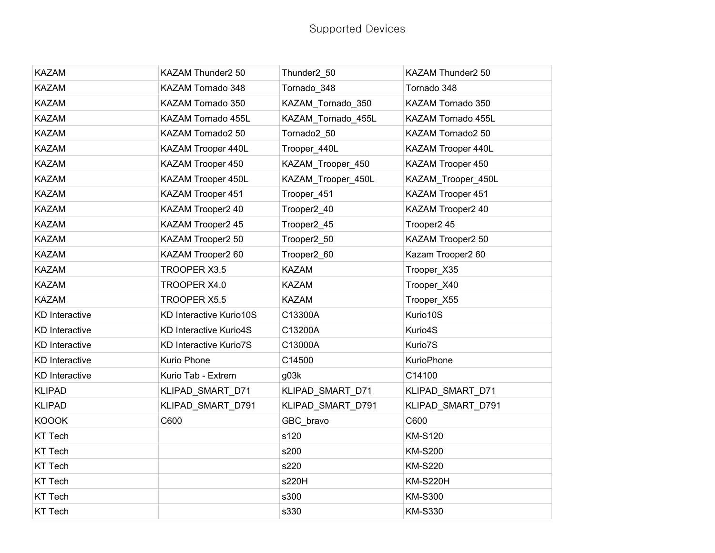| <b>KAZAM</b>          | KAZAM Thunder2 50             | Thunder2_50        | KAZAM Thunder2 50  |
|-----------------------|-------------------------------|--------------------|--------------------|
| <b>KAZAM</b>          | KAZAM Tornado 348             | Tornado 348        | Tornado 348        |
| <b>KAZAM</b>          | KAZAM Tornado 350             | KAZAM Tornado 350  | KAZAM Tornado 350  |
| <b>KAZAM</b>          | KAZAM Tornado 455L            | KAZAM Tornado 455L | KAZAM Tornado 455L |
| <b>KAZAM</b>          | KAZAM Tornado2 50             | Tornado2 50        | KAZAM Tornado2 50  |
| <b>KAZAM</b>          | KAZAM Trooper 440L            | Trooper_440L       | KAZAM Trooper 440L |
| <b>KAZAM</b>          | KAZAM Trooper 450             | KAZAM_Trooper_450  | KAZAM Trooper 450  |
| <b>KAZAM</b>          | KAZAM Trooper 450L            | KAZAM Trooper 450L | KAZAM_Trooper_450L |
| <b>KAZAM</b>          | KAZAM Trooper 451             | Trooper 451        | KAZAM Trooper 451  |
| <b>KAZAM</b>          | KAZAM Trooper2 40             | Trooper2_40        | KAZAM Trooper2 40  |
| <b>KAZAM</b>          | KAZAM Trooper2 45             | Trooper2_45        | Trooper2 45        |
| <b>KAZAM</b>          | KAZAM Trooper2 50             | Trooper2_50        | KAZAM Trooper2 50  |
| <b>KAZAM</b>          | KAZAM Trooper2 60             | Trooper2 60        | Kazam Trooper2 60  |
| <b>KAZAM</b>          | TROOPER X3.5                  | <b>KAZAM</b>       | Trooper_X35        |
| <b>KAZAM</b>          | TROOPER X4.0                  | <b>KAZAM</b>       | Trooper_X40        |
| <b>KAZAM</b>          | TROOPER X5.5                  | <b>KAZAM</b>       | Trooper_X55        |
| <b>KD</b> Interactive | KD Interactive Kurio10S       | C13300A            | Kurio10S           |
| <b>KD</b> Interactive | <b>KD Interactive Kurio4S</b> | C13200A            | Kurio4S            |
| <b>KD</b> Interactive | <b>KD Interactive Kurio7S</b> | C13000A            | Kurio7S            |
| <b>KD</b> Interactive | Kurio Phone                   | C14500             | <b>KurioPhone</b>  |
| <b>KD</b> Interactive | Kurio Tab - Extrem            | g03k               | C14100             |
| <b>KLIPAD</b>         | KLIPAD_SMART_D71              | KLIPAD_SMART_D71   | KLIPAD_SMART_D71   |
| <b>KLIPAD</b>         | KLIPAD_SMART_D791             | KLIPAD_SMART_D791  | KLIPAD_SMART_D791  |
| <b>KOOOK</b>          | C600                          | GBC_bravo          | C600               |
| <b>KT Tech</b>        |                               | s120               | <b>KM-S120</b>     |
| <b>KT Tech</b>        |                               | s200               | <b>KM-S200</b>     |
| <b>KT Tech</b>        |                               | s220               | <b>KM-S220</b>     |
| <b>KT Tech</b>        |                               | s220H              | <b>KM-S220H</b>    |
| <b>KT Tech</b>        |                               | s300               | <b>KM-S300</b>     |
| <b>KT Tech</b>        |                               | s330               | <b>KM-S330</b>     |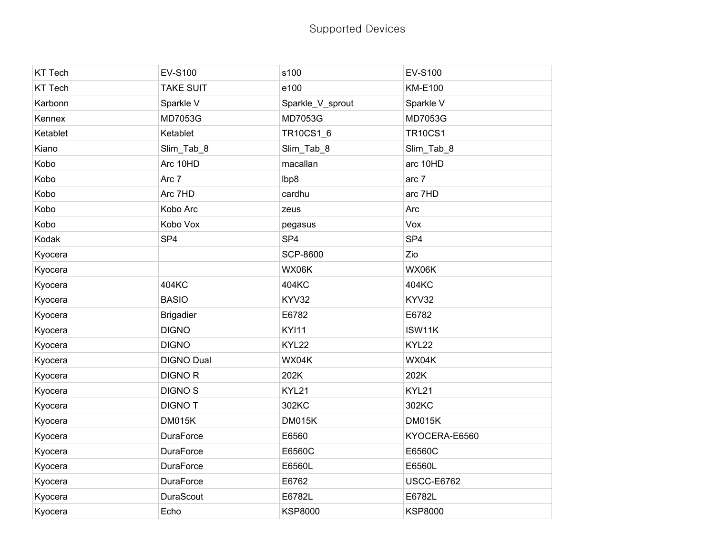| <b>KT Tech</b> | EV-S100           | s100             | <b>EV-S100</b>    |
|----------------|-------------------|------------------|-------------------|
| <b>KT Tech</b> | <b>TAKE SUIT</b>  | e100             | <b>KM-E100</b>    |
| Karbonn        | Sparkle V         | Sparkle_V_sprout | Sparkle V         |
| Kennex         | MD7053G           | MD7053G          | MD7053G           |
| Ketablet       | Ketablet          | TR10CS1_6        | <b>TR10CS1</b>    |
| Kiano          | Slim_Tab_8        | Slim_Tab_8       | Slim_Tab_8        |
| Kobo           | Arc 10HD          | macallan         | arc 10HD          |
| Kobo           | Arc 7             | lbp8             | arc 7             |
| Kobo           | Arc 7HD           | cardhu           | arc 7HD           |
| Kobo           | Kobo Arc          | zeus             | Arc               |
| Kobo           | Kobo Vox          | pegasus          | Vox               |
| Kodak          | SP <sub>4</sub>   | SP <sub>4</sub>  | SP <sub>4</sub>   |
| Kyocera        |                   | <b>SCP-8600</b>  | Zio               |
| Kyocera        |                   | WX06K            | WX06K             |
| Kyocera        | 404KC             | 404KC            | 404KC             |
| Kyocera        | <b>BASIO</b>      | KYV32            | KYV32             |
| Kyocera        | <b>Brigadier</b>  | E6782            | E6782             |
| Kyocera        | <b>DIGNO</b>      | <b>KYI11</b>     | ISW11K            |
| Kyocera        | <b>DIGNO</b>      | KYL22            | KYL22             |
| Kyocera        | <b>DIGNO Dual</b> | WX04K            | WX04K             |
| Kyocera        | <b>DIGNOR</b>     | 202K             | 202K              |
| Kyocera        | <b>DIGNOS</b>     | KYL21            | KYL21             |
| Kyocera        | <b>DIGNOT</b>     | 302KC            | 302KC             |
| Kyocera        | <b>DM015K</b>     | <b>DM015K</b>    | <b>DM015K</b>     |
| Kyocera        | <b>DuraForce</b>  | E6560            | KYOCERA-E6560     |
| Kyocera        | <b>DuraForce</b>  | E6560C           | E6560C            |
| Kyocera        | <b>DuraForce</b>  | E6560L           | E6560L            |
| Kyocera        | <b>DuraForce</b>  | E6762            | <b>USCC-E6762</b> |
| Kyocera        | DuraScout         | E6782L           | E6782L            |
| Kyocera        | Echo              | <b>KSP8000</b>   | <b>KSP8000</b>    |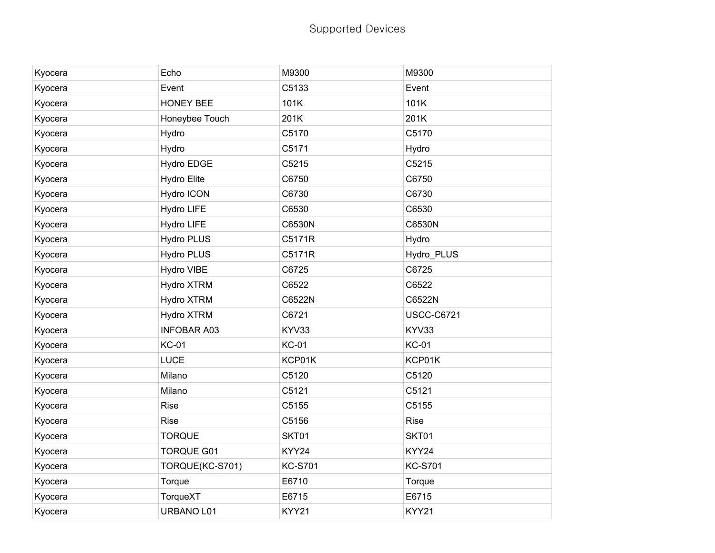| Kyocera | Echo               | M9300          | M9300             |
|---------|--------------------|----------------|-------------------|
| Kyocera | Event              | C5133          | Event             |
| Kyocera | <b>HONEY BEE</b>   | 101K           | 101K              |
| Kyocera | Honeybee Touch     | 201K           | 201K              |
| Kyocera | Hydro              | C5170          | C5170             |
| Kyocera | Hydro              | C5171          | Hydro             |
| Kyocera | Hydro EDGE         | C5215          | C5215             |
| Kyocera | <b>Hydro Elite</b> | C6750          | C6750             |
| Kyocera | Hydro ICON         | C6730          | C6730             |
| Kyocera | Hydro LIFE         | C6530          | C6530             |
| Kyocera | Hydro LIFE         | C6530N         | C6530N            |
| Kyocera | <b>Hydro PLUS</b>  | C5171R         | Hydro             |
| Kyocera | <b>Hydro PLUS</b>  | C5171R         | Hydro_PLUS        |
| Kyocera | Hydro VIBE         | C6725          | C6725             |
| Kyocera | Hydro XTRM         | C6522          | C6522             |
| Kyocera | Hydro XTRM         | C6522N         | C6522N            |
| Kyocera | Hydro XTRM         | C6721          | <b>USCC-C6721</b> |
| Kyocera | <b>INFOBAR A03</b> | KYV33          | KYV33             |
| Kyocera | <b>KC-01</b>       | <b>KC-01</b>   | <b>KC-01</b>      |
| Kyocera | LUCE               | KCP01K         | KCP01K            |
| Kyocera | Milano             | C5120          | C5120             |
| Kyocera | Milano             | C5121          | C5121             |
| Kyocera | <b>Rise</b>        | C5155          | C5155             |
| Kyocera | <b>Rise</b>        | C5156          | Rise              |
| Kyocera | <b>TORQUE</b>      | SKT01          | SKT01             |
| Kyocera | <b>TORQUE G01</b>  | KYY24          | KYY24             |
| Kyocera | TORQUE(KC-S701)    | <b>KC-S701</b> | <b>KC-S701</b>    |
| Kyocera | Torque             | E6710          | Torque            |
| Kyocera | TorqueXT           | E6715          | E6715             |
| Kyocera | URBANO L01         | KYY21          | KYY21             |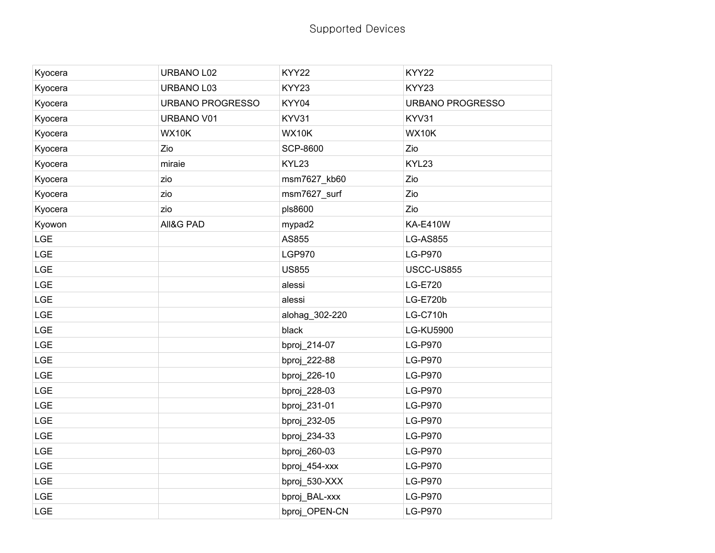| Kyocera    | URBANO L02       | KYY22           | KYY22            |
|------------|------------------|-----------------|------------------|
| Kyocera    | URBANO L03       | KYY23           | KYY23            |
| Kyocera    | URBANO PROGRESSO | KYY04           | URBANO PROGRESSO |
| Kyocera    | URBANO V01       | KYV31           | KYV31            |
| Kyocera    | <b>WX10K</b>     | WX10K           | <b>WX10K</b>     |
| Kyocera    | Zio              | <b>SCP-8600</b> | Zio              |
| Kyocera    | miraie           | KYL23           | KYL23            |
| Kyocera    | zio              | msm7627_kb60    | Zio              |
| Kyocera    | zio              | msm7627_surf    | Zio              |
| Kyocera    | zio              | pls8600         | Zio              |
| Kyowon     | All&G PAD        | mypad2          | <b>KA-E410W</b>  |
| LGE        |                  | AS855           | <b>LG-AS855</b>  |
| <b>LGE</b> |                  | <b>LGP970</b>   | <b>LG-P970</b>   |
| LGE        |                  | <b>US855</b>    | USCC-US855       |
| LGE        |                  | alessi          | <b>LG-E720</b>   |
| LGE        |                  | alessi          | <b>LG-E720b</b>  |
| LGE        |                  | alohag_302-220  | <b>LG-C710h</b>  |
| <b>LGE</b> |                  | black           | <b>LG-KU5900</b> |
| LGE        |                  | bproj_214-07    | LG-P970          |
| <b>LGE</b> |                  | bproj_222-88    | <b>LG-P970</b>   |
| LGE        |                  | bproj_226-10    | <b>LG-P970</b>   |
| <b>LGE</b> |                  | bproj_228-03    | <b>LG-P970</b>   |
| LGE        |                  | bproj_231-01    | <b>LG-P970</b>   |
| LGE        |                  | bproj_232-05    | LG-P970          |
| LGE        |                  | bproj_234-33    | <b>LG-P970</b>   |
| <b>LGE</b> |                  | bproj_260-03    | <b>LG-P970</b>   |
| LGE        |                  | bproj_454-xxx   | <b>LG-P970</b>   |
| LGE        |                  | bproj_530-XXX   | <b>LG-P970</b>   |
| LGE        |                  | bproj_BAL-xxx   | <b>LG-P970</b>   |
| LGE        |                  | bproj_OPEN-CN   | <b>LG-P970</b>   |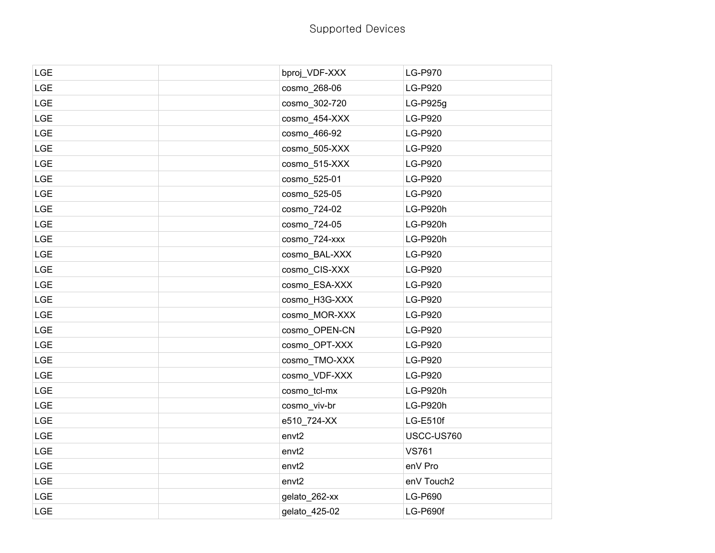| <b>LGE</b> | bproj_VDF-XXX     | LG-P970        |
|------------|-------------------|----------------|
| LGE        | cosmo 268-06      | LG-P920        |
| LGE        | cosmo_302-720     | LG-P925g       |
| <b>LGE</b> | cosmo_454-XXX     | LG-P920        |
| <b>LGE</b> | cosmo_466-92      | <b>LG-P920</b> |
| <b>LGE</b> | cosmo 505-XXX     | <b>LG-P920</b> |
| <b>LGE</b> | cosmo_515-XXX     | LG-P920        |
| <b>LGE</b> | cosmo_525-01      | LG-P920        |
| <b>LGE</b> | cosmo_525-05      | LG-P920        |
| <b>LGE</b> | cosmo 724-02      | LG-P920h       |
| <b>LGE</b> | cosmo_724-05      | LG-P920h       |
| <b>LGE</b> | cosmo_724-xxx     | LG-P920h       |
| <b>LGE</b> | cosmo_BAL-XXX     | LG-P920        |
| <b>LGE</b> | cosmo CIS-XXX     | <b>LG-P920</b> |
| <b>LGE</b> | cosmo_ESA-XXX     | LG-P920        |
| LGE        | cosmo_H3G-XXX     | LG-P920        |
| <b>LGE</b> | cosmo_MOR-XXX     | LG-P920        |
| <b>LGE</b> | cosmo OPEN-CN     | <b>LG-P920</b> |
| <b>LGE</b> | cosmo_OPT-XXX     | LG-P920        |
| <b>LGE</b> | cosmo_TMO-XXX     | LG-P920        |
| <b>LGE</b> | cosmo_VDF-XXX     | LG-P920        |
| <b>LGE</b> | cosmo_tcl-mx      | LG-P920h       |
| <b>LGE</b> | cosmo_viv-br      | LG-P920h       |
| LGE        | e510_724-XX       | LG-E510f       |
| <b>LGE</b> | envt <sub>2</sub> | USCC-US760     |
| <b>LGE</b> | envt <sub>2</sub> | <b>VS761</b>   |
| <b>LGE</b> | envt <sub>2</sub> | enV Pro        |
| <b>LGE</b> | envt2             | enV Touch2     |
| LGE        | gelato_262-xx     | LG-P690        |
| <b>LGE</b> | gelato_425-02     | LG-P690f       |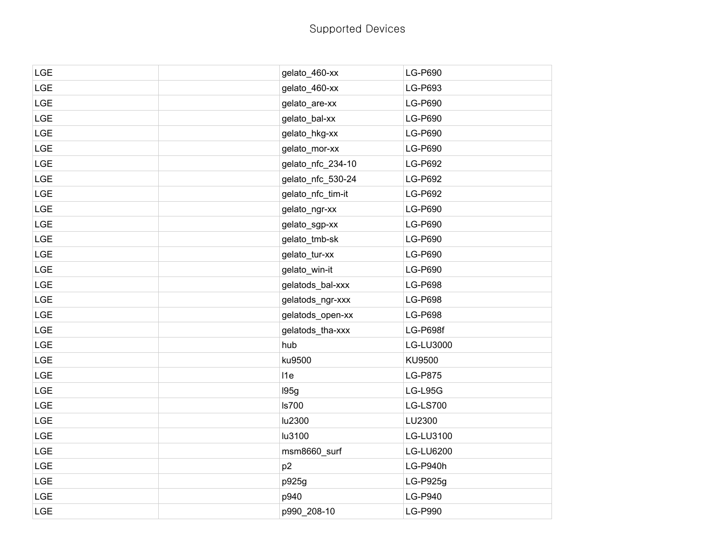| LGE        | gelato_460-xx     | LG-P690          |
|------------|-------------------|------------------|
| LGE        | gelato_460-xx     | LG-P693          |
| <b>LGE</b> | gelato_are-xx     | LG-P690          |
| <b>LGE</b> | gelato_bal-xx     | LG-P690          |
| <b>LGE</b> | gelato_hkg-xx     | LG-P690          |
| LGE        | gelato_mor-xx     | LG-P690          |
| <b>LGE</b> | gelato_nfc_234-10 | LG-P692          |
| LGE        | gelato_nfc_530-24 | LG-P692          |
| <b>LGE</b> | gelato_nfc_tim-it | LG-P692          |
| <b>LGE</b> | gelato_ngr-xx     | LG-P690          |
| <b>LGE</b> | gelato_sgp-xx     | LG-P690          |
| LGE        | gelato_tmb-sk     | LG-P690          |
| <b>LGE</b> | gelato_tur-xx     | LG-P690          |
| LGE        | gelato_win-it     | LG-P690          |
| <b>LGE</b> | gelatods_bal-xxx  | <b>LG-P698</b>   |
| <b>LGE</b> | gelatods_ngr-xxx  | <b>LG-P698</b>   |
| <b>LGE</b> | gelatods_open-xx  | <b>LG-P698</b>   |
| LGE        | gelatods_tha-xxx  | <b>LG-P698f</b>  |
| <b>LGE</b> | hub               | LG-LU3000        |
| LGE        | ku9500            | KU9500           |
| <b>LGE</b> | I <sub>1e</sub>   | <b>LG-P875</b>   |
| <b>LGE</b> | 195g              | LG-L95G          |
| <b>LGE</b> | <b>Is700</b>      | <b>LG-LS700</b>  |
| LGE        | lu2300            | LU2300           |
| <b>LGE</b> | lu3100            | LG-LU3100        |
| LGE        | msm8660_surf      | <b>LG-LU6200</b> |
| <b>LGE</b> | p <sub>2</sub>    | LG-P940h         |
| <b>LGE</b> | p925g             | LG-P925g         |
| LGE        | p940              | LG-P940          |
| LGE        | p990_208-10       | <b>LG-P990</b>   |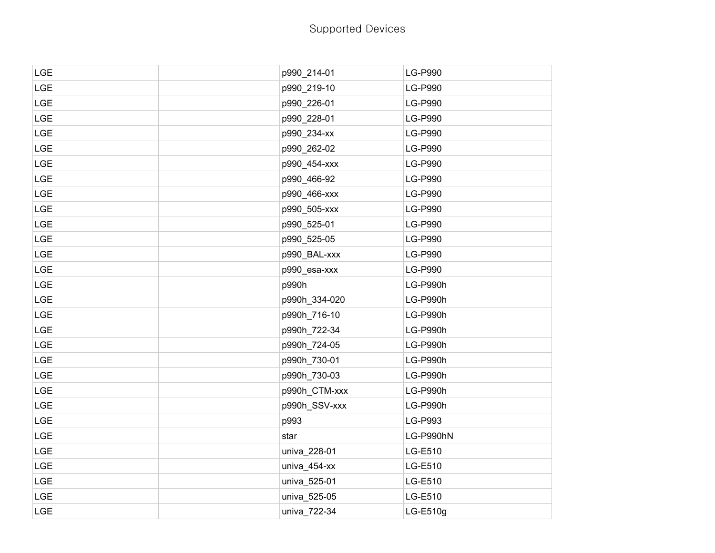| LGE        | p990_214-01   | <b>LG-P990</b>  |
|------------|---------------|-----------------|
| LGE        | p990_219-10   | <b>LG-P990</b>  |
| <b>LGE</b> | p990_226-01   | <b>LG-P990</b>  |
| LGE        | p990_228-01   | <b>LG-P990</b>  |
| <b>LGE</b> | p990_234-xx   | <b>LG-P990</b>  |
| LGE        | p990_262-02   | <b>LG-P990</b>  |
| <b>LGE</b> | p990_454-xxx  | <b>LG-P990</b>  |
| LGE        | p990_466-92   | <b>LG-P990</b>  |
| <b>LGE</b> | p990_466-xxx  | <b>LG-P990</b>  |
| LGE        | p990_505-xxx  | <b>LG-P990</b>  |
| <b>LGE</b> | p990_525-01   | <b>LG-P990</b>  |
| <b>LGE</b> | p990_525-05   | <b>LG-P990</b>  |
| <b>LGE</b> | p990_BAL-xxx  | <b>LG-P990</b>  |
| LGE        | p990_esa-xxx  | <b>LG-P990</b>  |
| <b>LGE</b> | p990h         | LG-P990h        |
| <b>LGE</b> | p990h_334-020 | LG-P990h        |
| <b>LGE</b> | p990h_716-10  | <b>LG-P990h</b> |
| LGE        | p990h_722-34  | LG-P990h        |
| <b>LGE</b> | p990h_724-05  | LG-P990h        |
| LGE        | p990h_730-01  | LG-P990h        |
| <b>LGE</b> | p990h_730-03  | LG-P990h        |
| LGE        | p990h_CTM-xxx | <b>LG-P990h</b> |
| <b>LGE</b> | p990h_SSV-xxx | LG-P990h        |
| LGE        | p993          | LG-P993         |
| LGE        | star          | LG-P990hN       |
| <b>LGE</b> | univa_228-01  | LG-E510         |
| <b>LGE</b> | univa_454-xx  | LG-E510         |
| <b>LGE</b> | univa_525-01  | LG-E510         |
| LGE        | univa_525-05  | LG-E510         |
| <b>LGE</b> | univa_722-34  | LG-E510g        |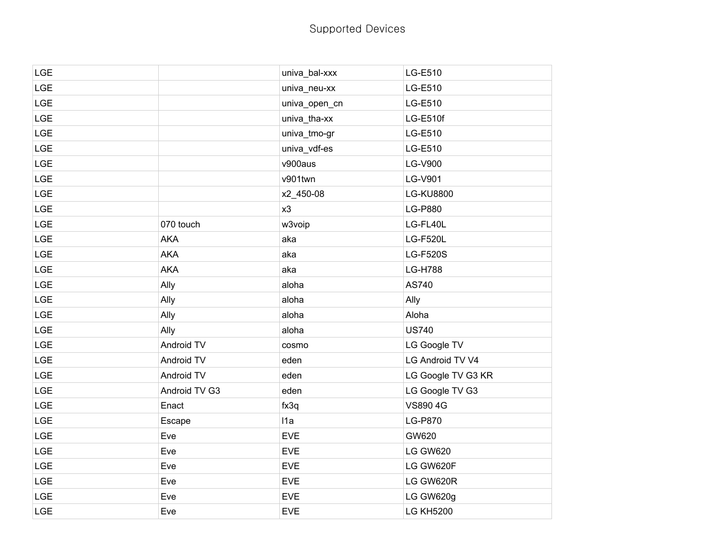|               | univa_bal-xxx | LG-E510            |
|---------------|---------------|--------------------|
|               | univa_neu-xx  | LG-E510            |
|               | univa_open_cn | LG-E510            |
|               | univa_tha-xx  | LG-E510f           |
|               | univa_tmo-gr  | LG-E510            |
|               | univa_vdf-es  | LG-E510            |
|               | v900aus       | <b>LG-V900</b>     |
|               | v901twn       | <b>LG-V901</b>     |
|               | x2_450-08     | <b>LG-KU8800</b>   |
|               | x3            | <b>LG-P880</b>     |
| 070 touch     | w3voip        | LG-FL40L           |
| <b>AKA</b>    | aka           | <b>LG-F520L</b>    |
| <b>AKA</b>    | aka           | <b>LG-F520S</b>    |
| <b>AKA</b>    | aka           | <b>LG-H788</b>     |
| Ally          | aloha         | AS740              |
| Ally          | aloha         | Ally               |
| Ally          | aloha         | Aloha              |
| Ally          | aloha         | <b>US740</b>       |
| Android TV    | cosmo         | LG Google TV       |
| Android TV    | eden          | LG Android TV V4   |
| Android TV    | eden          | LG Google TV G3 KR |
| Android TV G3 | eden          | LG Google TV G3    |
| Enact         | fx3q          | VS890 4G           |
| Escape        | 11a           | <b>LG-P870</b>     |
| Eve           | <b>EVE</b>    | GW620              |
| Eve           | <b>EVE</b>    | <b>LG GW620</b>    |
| Eve           | <b>EVE</b>    | LG GW620F          |
| Eve           | <b>EVE</b>    | LG GW620R          |
| Eve           | <b>EVE</b>    | LG GW620g          |
| Eve           | <b>EVE</b>    | <b>LG KH5200</b>   |
|               |               |                    |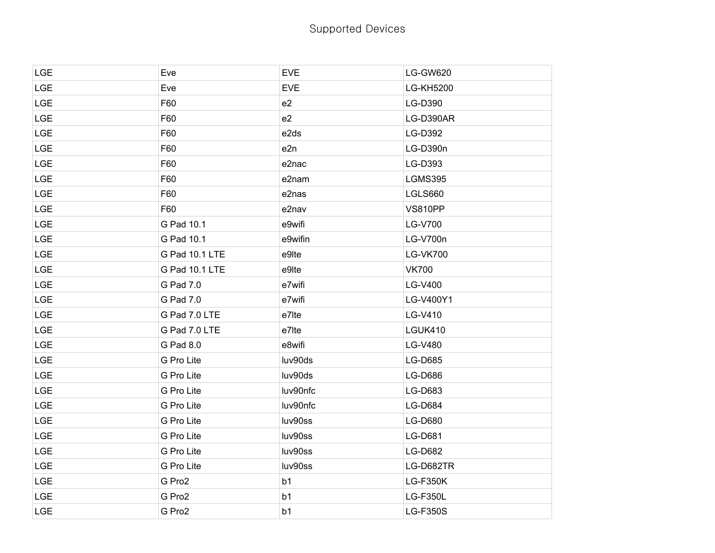| LGE        | Eve            | <b>EVE</b>     | <b>LG-GW620</b>  |
|------------|----------------|----------------|------------------|
| <b>LGE</b> | Eve            | <b>EVE</b>     | <b>LG-KH5200</b> |
| <b>LGE</b> | F60            | e2             | LG-D390          |
| <b>LGE</b> | F60            | e2             | LG-D390AR        |
| <b>LGE</b> | F60            | e2ds           | LG-D392          |
| <b>LGE</b> | F60            | e2n            | LG-D390n         |
| LGE        | F60            | e2nac          | LG-D393          |
| <b>LGE</b> | F60            | e2nam          | <b>LGMS395</b>   |
| <b>LGE</b> | F60            | e2nas          | LGLS660          |
| <b>LGE</b> | F60            | e2nav          | <b>VS810PP</b>   |
| <b>LGE</b> | G Pad 10.1     | e9wifi         | <b>LG-V700</b>   |
| <b>LGE</b> | G Pad 10.1     | e9wifin        | LG-V700n         |
| <b>LGE</b> | G Pad 10.1 LTE | e9lte          | <b>LG-VK700</b>  |
| <b>LGE</b> | G Pad 10.1 LTE | e9lte          | <b>VK700</b>     |
| <b>LGE</b> | G Pad 7.0      | e7wifi         | LG-V400          |
| <b>LGE</b> | G Pad 7.0      | e7wifi         | LG-V400Y1        |
| <b>LGE</b> | G Pad 7.0 LTE  | e7lte          | LG-V410          |
| <b>LGE</b> | G Pad 7.0 LTE  | e7lte          | <b>LGUK410</b>   |
| <b>LGE</b> | G Pad 8.0      | e8wifi         | LG-V480          |
| <b>LGE</b> | G Pro Lite     | luv90ds        | <b>LG-D685</b>   |
| <b>LGE</b> | G Pro Lite     | luv90ds        | <b>LG-D686</b>   |
| <b>LGE</b> | G Pro Lite     | luv90nfc       | LG-D683          |
| <b>LGE</b> | G Pro Lite     | luv90nfc       | <b>LG-D684</b>   |
| <b>LGE</b> | G Pro Lite     | luv90ss        | <b>LG-D680</b>   |
| <b>LGE</b> | G Pro Lite     | luv90ss        | LG-D681          |
| <b>LGE</b> | G Pro Lite     | luv90ss        | <b>LG-D682</b>   |
| <b>LGE</b> | G Pro Lite     | luv90ss        | LG-D682TR        |
| <b>LGE</b> | G Pro2         | b <sub>1</sub> | <b>LG-F350K</b>  |
| <b>LGE</b> | G Pro2         | b <sub>1</sub> | <b>LG-F350L</b>  |
| <b>LGE</b> | G Pro2         | b <sub>1</sub> | <b>LG-F350S</b>  |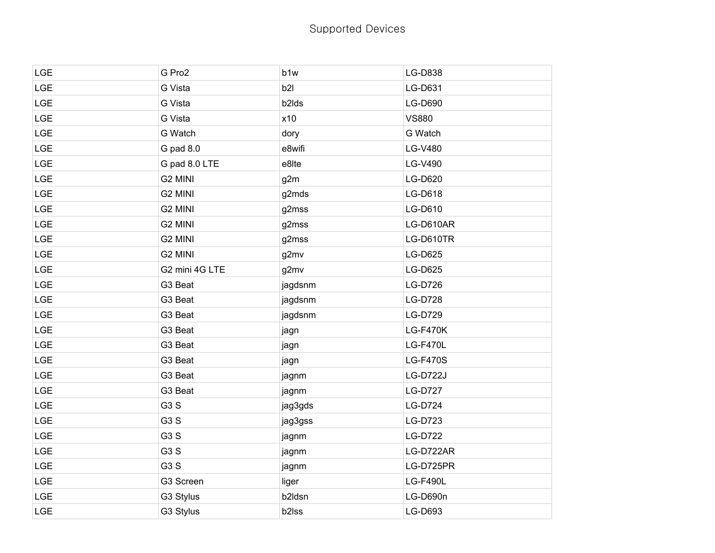| <b>LGE</b> | G Pro2           | b1w                | LG-D838         |
|------------|------------------|--------------------|-----------------|
| LGE        | G Vista          | b2I                | LG-D631         |
| <b>LGE</b> | G Vista          | b <sub>2</sub> lds | <b>LG-D690</b>  |
| <b>LGE</b> | G Vista          | x10                | <b>VS880</b>    |
| <b>LGE</b> | G Watch          | dory               | G Watch         |
| LGE        | G pad 8.0        | e8wifi             | LG-V480         |
| <b>LGE</b> | G pad 8.0 LTE    | e8lte              | LG-V490         |
| LGE        | G2 MINI          | g2m                | LG-D620         |
| <b>LGE</b> | G2 MINI          | g2mds              | LG-D618         |
| <b>LGE</b> | G2 MINI          | g2mss              | LG-D610         |
| <b>LGE</b> | G2 MINI          | g2mss              | LG-D610AR       |
| LGE        | G2 MINI          | g2mss              | LG-D610TR       |
| <b>LGE</b> | G2 MINI          | g2mv               | <b>LG-D625</b>  |
| LGE        | G2 mini 4G LTE   | g2mv               | <b>LG-D625</b>  |
| <b>LGE</b> | G3 Beat          | jagdsnm            | <b>LG-D726</b>  |
| <b>LGE</b> | G3 Beat          | jagdsnm            | <b>LG-D728</b>  |
| <b>LGE</b> | G3 Beat          | jagdsnm            | LG-D729         |
| LGE        | G3 Beat          | jagn               | <b>LG-F470K</b> |
| <b>LGE</b> | G3 Beat          | jagn               | <b>LG-F470L</b> |
| LGE        | G3 Beat          | jagn               | <b>LG-F470S</b> |
| <b>LGE</b> | G3 Beat          | jagnm              | <b>LG-D722J</b> |
| <b>LGE</b> | G3 Beat          | jagnm              | <b>LG-D727</b>  |
| <b>LGE</b> | G <sub>3</sub> S | jag3gds            | <b>LG-D724</b>  |
| LGE        | G <sub>3</sub> S | jag3gss            | LG-D723         |
| <b>LGE</b> | G <sub>3</sub> S | jagnm              | <b>LG-D722</b>  |
| LGE        | G <sub>3</sub> S | jagnm              | LG-D722AR       |
| <b>LGE</b> | G <sub>3</sub> S | jagnm              | LG-D725PR       |
| <b>LGE</b> | G3 Screen        | liger              | <b>LG-F490L</b> |
| <b>LGE</b> | G3 Stylus        | b2ldsn             | LG-D690n        |
| LGE        | G3 Stylus        | b2lss              | LG-D693         |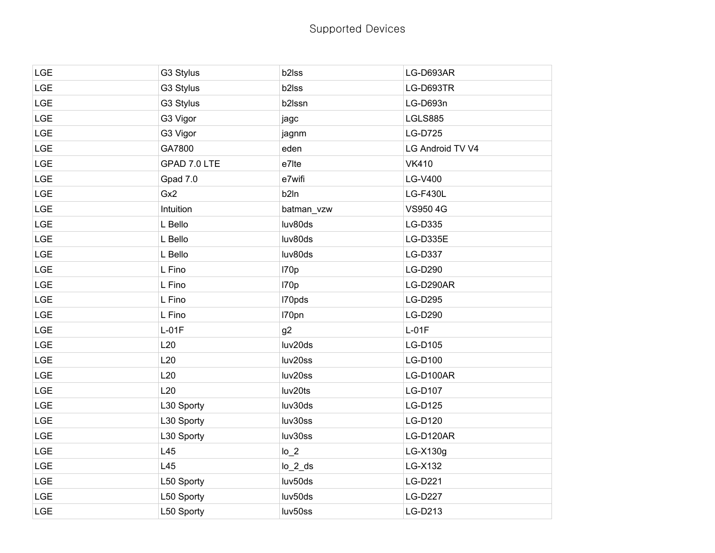| <b>LGE</b> | G3 Stylus    | b2lss      | LG-D693AR        |
|------------|--------------|------------|------------------|
| LGE        | G3 Stylus    | b2lss      | LG-D693TR        |
| <b>LGE</b> | G3 Stylus    | b2lssn     | LG-D693n         |
| <b>LGE</b> | G3 Vigor     | jagc       | <b>LGLS885</b>   |
| <b>LGE</b> | G3 Vigor     | jagnm      | <b>LG-D725</b>   |
| LGE        | GA7800       | eden       | LG Android TV V4 |
| <b>LGE</b> | GPAD 7.0 LTE | e7lte      | <b>VK410</b>     |
| LGE        | Gpad 7.0     | e7wifi     | LG-V400          |
| <b>LGE</b> | Gx2          | b2In       | <b>LG-F430L</b>  |
| <b>LGE</b> | Intuition    | batman_vzw | VS950 4G         |
| <b>LGE</b> | L Bello      | luv80ds    | LG-D335          |
| LGE        | L Bello      | luv80ds    | LG-D335E         |
| <b>LGE</b> | L Bello      | luv80ds    | LG-D337          |
| LGE        | L Fino       | 170p       | LG-D290          |
| <b>LGE</b> | L Fino       | 170p       | LG-D290AR        |
| <b>LGE</b> | L Fino       | I70pds     | <b>LG-D295</b>   |
| <b>LGE</b> | L Fino       | I70pn      | LG-D290          |
| LGE        | $L-01F$      | g2         | $L-01F$          |
| <b>LGE</b> | L20          | luv20ds    | LG-D105          |
| LGE        | L20          | luv20ss    | LG-D100          |
| <b>LGE</b> | L20          | luv20ss    | LG-D100AR        |
| <b>LGE</b> | L20          | luv20ts    | LG-D107          |
| <b>LGE</b> | L30 Sporty   | luv30ds    | LG-D125          |
| LGE        | L30 Sporty   | luv30ss    | LG-D120          |
| <b>LGE</b> | L30 Sporty   | luv30ss    | LG-D120AR        |
| <b>LGE</b> | L45          | $lo_2$     | LG-X130g         |
| <b>LGE</b> | L45          | $lo_2$ _ds | LG-X132          |
| <b>LGE</b> | L50 Sporty   | luv50ds    | LG-D221          |
| <b>LGE</b> | L50 Sporty   | luv50ds    | <b>LG-D227</b>   |
| <b>LGE</b> | L50 Sporty   | luv50ss    | LG-D213          |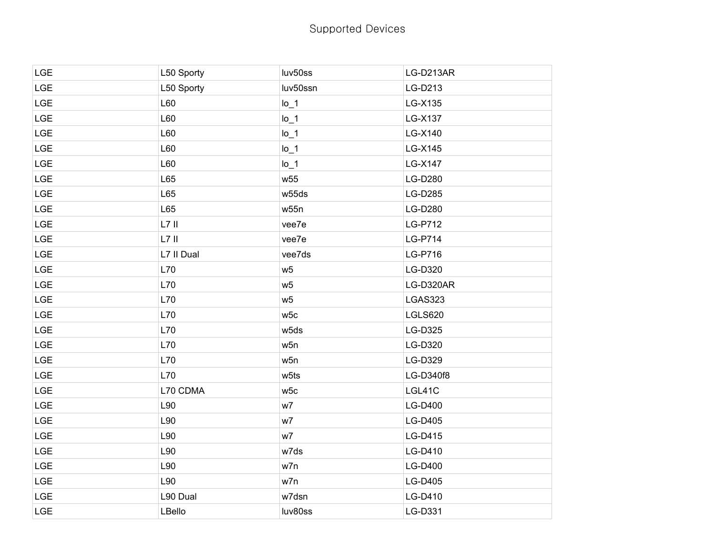| <b>LGE</b> | L50 Sporty | luv50ss         | LG-D213AR      |
|------------|------------|-----------------|----------------|
| <b>LGE</b> | L50 Sporty | luv50ssn        | LG-D213        |
| <b>LGE</b> | L60        | $Io_1$          | LG-X135        |
| <b>LGE</b> | L60        | $Io_1$          | LG-X137        |
| <b>LGE</b> | L60        | $Io_1$          | LG-X140        |
| LGE        | L60        | $Io_1$          | LG-X145        |
| <b>LGE</b> | L60        | $I_0$ 1         | LG-X147        |
| <b>LGE</b> | L65        | w <sub>55</sub> | <b>LG-D280</b> |
| <b>LGE</b> | L65        | w55ds           | <b>LG-D285</b> |
| <b>LGE</b> | L65        | w55n            | <b>LG-D280</b> |
| <b>LGE</b> | $L7$ II    | vee7e           | <b>LG-P712</b> |
| <b>LGE</b> | $L7$ II    | vee7e           | <b>LG-P714</b> |
| <b>LGE</b> | L7 II Dual | vee7ds          | LG-P716        |
| <b>LGE</b> | L70        | W <sub>5</sub>  | LG-D320        |
| <b>LGE</b> | L70        | w <sub>5</sub>  | LG-D320AR      |
| <b>LGE</b> | L70        | w <sub>5</sub>  | LGAS323        |
| <b>LGE</b> | L70        | w5c             | LGLS620        |
| <b>LGE</b> | L70        | w5ds            | LG-D325        |
| <b>LGE</b> | L70        | w5n             | LG-D320        |
| <b>LGE</b> | L70        | w5n             | <b>LG-D329</b> |
| <b>LGE</b> | L70        | w5ts            | LG-D340f8      |
| <b>LGE</b> | L70 CDMA   | w5c             | LGL41C         |
| <b>LGE</b> | L90        | w7              | LG-D400        |
| <b>LGE</b> | L90        | w7              | <b>LG-D405</b> |
| <b>LGE</b> | L90        | w7              | LG-D415        |
| <b>LGE</b> | L90        | w7ds            | LG-D410        |
| <b>LGE</b> | L90        | w7n             | <b>LG-D400</b> |
| <b>LGE</b> | L90        | w7n             | LG-D405        |
| <b>LGE</b> | L90 Dual   | w7dsn           | LG-D410        |
| <b>LGE</b> | LBello     | luv80ss         | LG-D331        |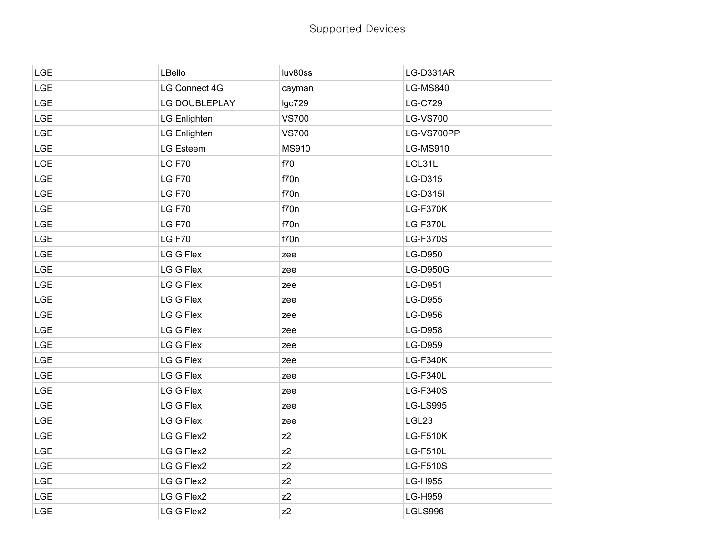| <b>LGE</b> | LBello              | luv80ss        | LG-D331AR       |
|------------|---------------------|----------------|-----------------|
| LGE        | LG Connect 4G       | cayman         | <b>LG-MS840</b> |
| LGE        | LG DOUBLEPLAY       | lgc729         | <b>LG-C729</b>  |
| LGE        | LG Enlighten        | <b>VS700</b>   | <b>LG-VS700</b> |
| <b>LGE</b> | <b>LG Enlighten</b> | <b>VS700</b>   | LG-VS700PP      |
| <b>LGE</b> | LG Esteem           | MS910          | <b>LG-MS910</b> |
| LGE        | <b>LG F70</b>       | f70            | LGL31L          |
| LGE        | <b>LG F70</b>       | f70n           | LG-D315         |
| <b>LGE</b> | <b>LG F70</b>       | f70n           | LG-D315I        |
| <b>LGE</b> | <b>LG F70</b>       | f70n           | <b>LG-F370K</b> |
| LGE        | <b>LG F70</b>       | f70n           | LG-F370L        |
| LGE        | <b>LG F70</b>       | f70n           | <b>LG-F370S</b> |
| LGE        | LG G Flex           | zee            | LG-D950         |
| <b>LGE</b> | LG G Flex           | zee            | <b>LG-D950G</b> |
| LGE        | LG G Flex           | zee            | LG-D951         |
| <b>LGE</b> | LG G Flex           | zee            | <b>LG-D955</b>  |
| LGE        | LG G Flex           | zee            | LG-D956         |
| LGE        | LG G Flex           | zee            | LG-D958         |
| <b>LGE</b> | LG G Flex           | zee            | <b>LG-D959</b>  |
| LGE        | LG G Flex           | zee            | <b>LG-F340K</b> |
| LGE        | LG G Flex           | zee            | <b>LG-F340L</b> |
| <b>LGE</b> | LG G Flex           | zee            | <b>LG-F340S</b> |
| <b>LGE</b> | LG G Flex           | zee            | <b>LG-LS995</b> |
| LGE        | LG G Flex           | zee            | LGL23           |
| LGE        | LG G Flex2          | $Z^2$          | <b>LG-F510K</b> |
| <b>LGE</b> | LG G Flex2          | $Z^2$          | <b>LG-F510L</b> |
| <b>LGE</b> | LG G Flex2          | $Z^2$          | <b>LG-F510S</b> |
| <b>LGE</b> | LG G Flex2          | $Z^2$          | <b>LG-H955</b>  |
| LGE        | LG G Flex2          | z2             | LG-H959         |
| <b>LGE</b> | LG G Flex2          | Z <sub>2</sub> | LGLS996         |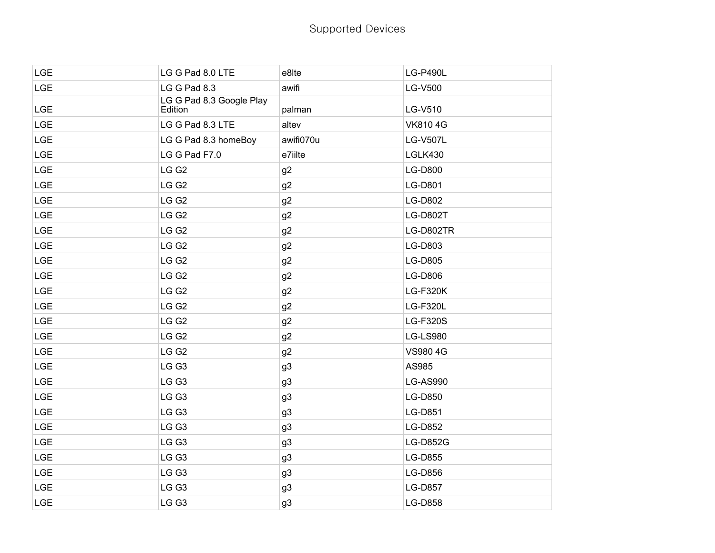| <b>LGE</b> | LG G Pad 8.0 LTE                    | e8lte          | <b>LG-P490L</b> |
|------------|-------------------------------------|----------------|-----------------|
| LGE        | LG G Pad 8.3                        | awifi          | LG-V500         |
| <b>LGE</b> | LG G Pad 8.3 Google Play<br>Edition | palman         | LG-V510         |
| <b>LGE</b> | LG G Pad 8.3 LTE                    | altev          | <b>VK8104G</b>  |
| <b>LGE</b> | LG G Pad 8.3 homeBoy                | awifi070u      | <b>LG-V507L</b> |
| <b>LGE</b> | LG G Pad F7.0                       | e7iilte        | LGLK430         |
| <b>LGE</b> | LG G <sub>2</sub>                   | g2             | <b>LG-D800</b>  |
| <b>LGE</b> | LG G <sub>2</sub>                   | g2             | LG-D801         |
| <b>LGE</b> | LG G <sub>2</sub>                   | g2             | <b>LG-D802</b>  |
| <b>LGE</b> | LG G <sub>2</sub>                   | g2             | <b>LG-D802T</b> |
| <b>LGE</b> | LG G <sub>2</sub>                   | g <sub>2</sub> | LG-D802TR       |
| <b>LGE</b> | LG G <sub>2</sub>                   | g2             | LG-D803         |
| <b>LGE</b> | LG G <sub>2</sub>                   | g2             | <b>LG-D805</b>  |
| <b>LGE</b> | LG G <sub>2</sub>                   | g2             | LG-D806         |
| <b>LGE</b> | LG G <sub>2</sub>                   | g2             | <b>LG-F320K</b> |
| <b>LGE</b> | LG G <sub>2</sub>                   | g2             | <b>LG-F320L</b> |
| LGE        | LG G <sub>2</sub>                   | g2             | LG-F320S        |
| <b>LGE</b> | LG G <sub>2</sub>                   | g2             | <b>LG-LS980</b> |
| <b>LGE</b> | LG G <sub>2</sub>                   | g2             | <b>VS9804G</b>  |
| <b>LGE</b> | LG G3                               | g3             | AS985           |
| <b>LGE</b> | LG G3                               | g3             | <b>LG-AS990</b> |
| <b>LGE</b> | LG G3                               | g <sub>3</sub> | LG-D850         |
| <b>LGE</b> | LG G3                               | g3             | LG-D851         |
| <b>LGE</b> | LG G3                               | g3             | LG-D852         |
| <b>LGE</b> | LG G3                               | g3             | <b>LG-D852G</b> |
| <b>LGE</b> | LG G3                               | g3             | LG-D855         |
| <b>LGE</b> | LG G3                               | g3             | <b>LG-D856</b>  |
| LGE        | LG G3                               | g3             | <b>LG-D857</b>  |
| <b>LGE</b> | LG G3                               | g3             | <b>LG-D858</b>  |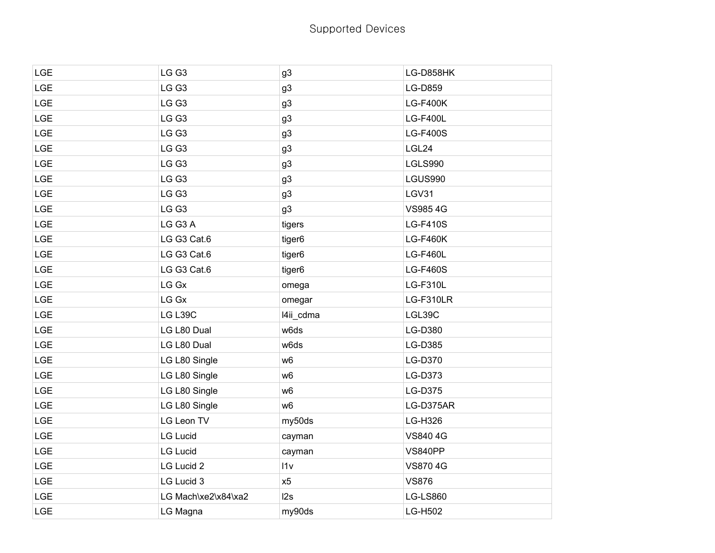| <b>LGE</b> | LG G3               | g3             | LG-D858HK       |
|------------|---------------------|----------------|-----------------|
| <b>LGE</b> | LG G3               | g <sub>3</sub> | LG-D859         |
| <b>LGE</b> | LG G3               | g <sub>3</sub> | <b>LG-F400K</b> |
| <b>LGE</b> | LG G3               | g3             | <b>LG-F400L</b> |
| <b>LGE</b> | LG G3               | g3             | <b>LG-F400S</b> |
| <b>LGE</b> | LG G3               | g <sub>3</sub> | LGL24           |
| <b>LGE</b> | LG G3               | g3             | LGLS990         |
| <b>LGE</b> | LG G3               | g3             | LGUS990         |
| <b>LGE</b> | LG G3               | g3             | LGV31           |
| <b>LGE</b> | LG G3               | g <sub>3</sub> | <b>VS9854G</b>  |
| <b>LGE</b> | LG G3 A             | tigers         | <b>LG-F410S</b> |
| <b>LGE</b> | LG G3 Cat.6         | tiger6         | <b>LG-F460K</b> |
| <b>LGE</b> | LG G3 Cat.6         | tiger6         | <b>LG-F460L</b> |
| <b>LGE</b> | LG G3 Cat.6         | tiger6         | <b>LG-F460S</b> |
| <b>LGE</b> | LG Gx               | omega          | <b>LG-F310L</b> |
| <b>LGE</b> | LG Gx               | omegar         | LG-F310LR       |
| <b>LGE</b> | LG L39C             | l4ii_cdma      | LGL39C          |
| <b>LGE</b> | LG L80 Dual         | w6ds           | LG-D380         |
| LGE        | LG L80 Dual         | w6ds           | LG-D385         |
| <b>LGE</b> | LG L80 Single       | w <sub>6</sub> | LG-D370         |
| <b>LGE</b> | LG L80 Single       | w <sub>6</sub> | LG-D373         |
| <b>LGE</b> | LG L80 Single       | w <sub>6</sub> | LG-D375         |
| LGE        | LG L80 Single       | w <sub>6</sub> | LG-D375AR       |
| LGE        | LG Leon TV          | my50ds         | LG-H326         |
| LGE        | <b>LG Lucid</b>     | cayman         | VS840 4G        |
| <b>LGE</b> | <b>LG Lucid</b>     | cayman         | <b>VS840PP</b>  |
| LGE        | LG Lucid 2          | 11v            | <b>VS8704G</b>  |
| <b>LGE</b> | LG Lucid 3          | x5             | <b>VS876</b>    |
| LGE        | LG Mach\xe2\x84\xa2 | l2s            | <b>LG-LS860</b> |
| <b>LGE</b> | LG Magna            | my90ds         | <b>LG-H502</b>  |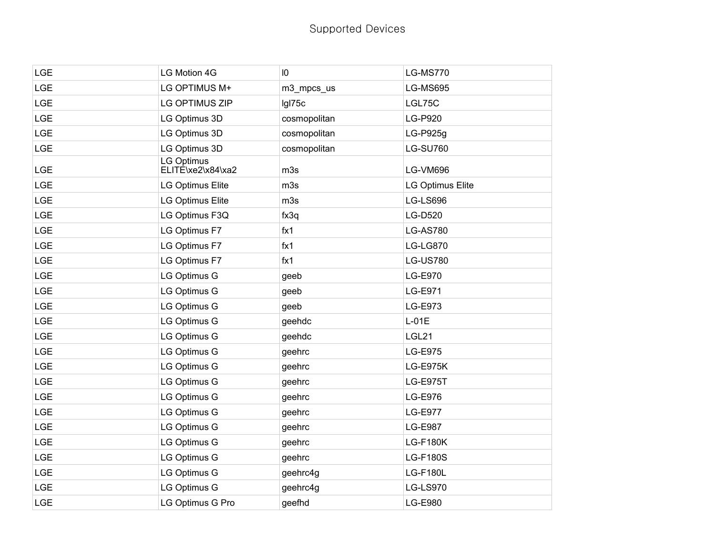| <b>LGE</b> | LG Motion 4G                           | $\overline{10}$ | <b>LG-MS770</b>  |
|------------|----------------------------------------|-----------------|------------------|
| <b>LGE</b> | LG OPTIMUS M+                          | m3_mpcs_us      | <b>LG-MS695</b>  |
| <b>LGE</b> | LG OPTIMUS ZIP                         | Igl75c          | LGL75C           |
| LGE        | LG Optimus 3D                          | cosmopolitan    | LG-P920          |
| LGE        | LG Optimus 3D                          | cosmopolitan    | LG-P925g         |
| LGE        | LG Optimus 3D                          | cosmopolitan    | <b>LG-SU760</b>  |
| <b>LGE</b> | <b>LG Optimus</b><br>ELITE\xe2\x84\xa2 | m3s             | LG-VM696         |
| <b>LGE</b> | <b>LG Optimus Elite</b>                | m3s             | LG Optimus Elite |
| <b>LGE</b> | <b>LG Optimus Elite</b>                | m3s             | LG-LS696         |
| <b>LGE</b> | LG Optimus F3Q                         | fx3q            | LG-D520          |
| <b>LGE</b> | LG Optimus F7                          | fx1             | <b>LG-AS780</b>  |
| <b>LGE</b> | LG Optimus F7                          | fx1             | <b>LG-LG870</b>  |
| <b>LGE</b> | LG Optimus F7                          | fx1             | <b>LG-US780</b>  |
| <b>LGE</b> | <b>LG Optimus G</b>                    | geeb            | LG-E970          |
| <b>LGE</b> | <b>LG Optimus G</b>                    | geeb            | LG-E971          |
| <b>LGE</b> | <b>LG Optimus G</b>                    | geeb            | LG-E973          |
| <b>LGE</b> | <b>LG Optimus G</b>                    | geehdc          | $L-01E$          |
| <b>LGE</b> | <b>LG Optimus G</b>                    | geehdc          | LGL21            |
| <b>LGE</b> | <b>LG Optimus G</b>                    | geehrc          | <b>LG-E975</b>   |
| <b>LGE</b> | LG Optimus G                           | geehrc          | <b>LG-E975K</b>  |
| LGE        | LG Optimus G                           | geehrc          | <b>LG-E975T</b>  |
| <b>LGE</b> | LG Optimus G                           | geehrc          | LG-E976          |
| <b>LGE</b> | <b>LG Optimus G</b>                    | geehrc          | <b>LG-E977</b>   |
| <b>LGE</b> | <b>LG Optimus G</b>                    | geehrc          | <b>LG-E987</b>   |
| <b>LGE</b> | <b>LG Optimus G</b>                    | geehrc          | <b>LG-F180K</b>  |
| LGE        | <b>LG Optimus G</b>                    | geehrc          | <b>LG-F180S</b>  |
| LGE        | <b>LG Optimus G</b>                    | geehrc4g        | <b>LG-F180L</b>  |
| LGE        | <b>LG Optimus G</b>                    | geehrc4g        | <b>LG-LS970</b>  |
| LGE        | LG Optimus G Pro                       | geefhd          | <b>LG-E980</b>   |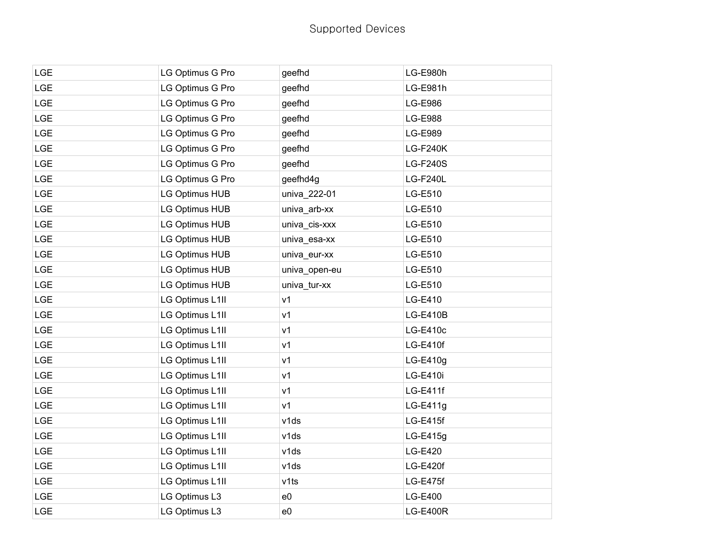| <b>LGE</b> | LG Optimus G Pro      | geefhd         | LG-E980h        |
|------------|-----------------------|----------------|-----------------|
| LGE        | LG Optimus G Pro      | geefhd         | LG-E981h        |
| <b>LGE</b> | LG Optimus G Pro      | geefhd         | LG-E986         |
| LGE        | LG Optimus G Pro      | geefhd         | <b>LG-E988</b>  |
| <b>LGE</b> | LG Optimus G Pro      | geefhd         | LG-E989         |
| <b>LGE</b> | LG Optimus G Pro      | geefhd         | <b>LG-F240K</b> |
| <b>LGE</b> | LG Optimus G Pro      | geefhd         | <b>LG-F240S</b> |
| <b>LGE</b> | LG Optimus G Pro      | geefhd4g       | <b>LG-F240L</b> |
| <b>LGE</b> | <b>LG Optimus HUB</b> | univa_222-01   | LG-E510         |
| <b>LGE</b> | LG Optimus HUB        | univa_arb-xx   | LG-E510         |
| <b>LGE</b> | <b>LG Optimus HUB</b> | univa_cis-xxx  | LG-E510         |
| <b>LGE</b> | LG Optimus HUB        | univa_esa-xx   | LG-E510         |
| <b>LGE</b> | LG Optimus HUB        | univa_eur-xx   | LG-E510         |
| <b>LGE</b> | LG Optimus HUB        | univa_open-eu  | LG-E510         |
| <b>LGE</b> | <b>LG Optimus HUB</b> | univa_tur-xx   | LG-E510         |
| <b>LGE</b> | LG Optimus L1II       | v <sub>1</sub> | LG-E410         |
| <b>LGE</b> | LG Optimus L1II       | v <sub>1</sub> | <b>LG-E410B</b> |
| <b>LGE</b> | LG Optimus L1II       | v <sub>1</sub> | <b>LG-E410c</b> |
| <b>LGE</b> | LG Optimus L1II       | v1             | <b>LG-E410f</b> |
| <b>LGE</b> | LG Optimus L1II       | v <sub>1</sub> | $LG-E410g$      |
| <b>LGE</b> | LG Optimus L1II       | v <sub>1</sub> | LG-E410i        |
| <b>LGE</b> | LG Optimus L1II       | v <sub>1</sub> | <b>LG-E411f</b> |
| <b>LGE</b> | LG Optimus L1II       | v <sub>1</sub> | $LG-E411g$      |
| LGE        | LG Optimus L1II       | v1ds           | <b>LG-E415f</b> |
| <b>LGE</b> | LG Optimus L1II       | v1ds           | LG-E415g        |
| <b>LGE</b> | LG Optimus L1II       | v1ds           | LG-E420         |
| <b>LGE</b> | LG Optimus L1II       | v1ds           | <b>LG-E420f</b> |
| <b>LGE</b> | LG Optimus L1II       | v1ts           | LG-E475f        |
| <b>LGE</b> | LG Optimus L3         | e <sub>0</sub> | LG-E400         |
| <b>LGE</b> | LG Optimus L3         | e0             | <b>LG-E400R</b> |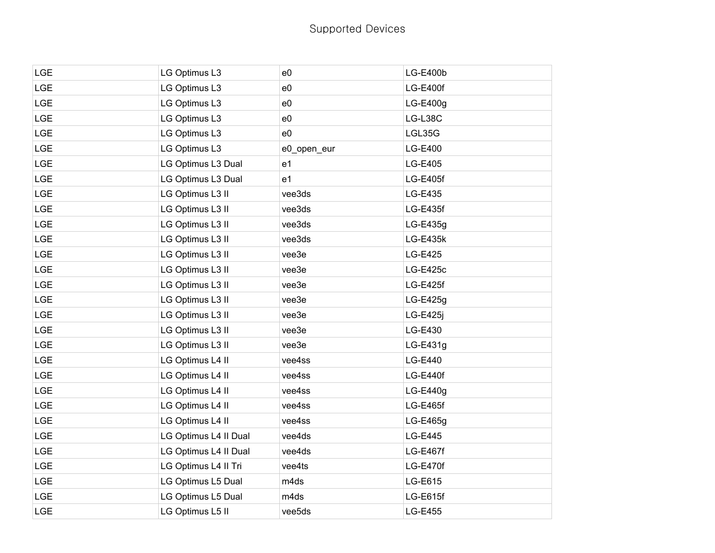| <b>LGE</b> | LG Optimus L3         | e0             | <b>LG-E400b</b> |
|------------|-----------------------|----------------|-----------------|
| <b>LGE</b> | LG Optimus L3         | e0             | LG-E400f        |
| <b>LGE</b> | LG Optimus L3         | e0             | $LG-E400g$      |
| <b>LGE</b> | LG Optimus L3         | e0             | LG-L38C         |
| <b>LGE</b> | LG Optimus L3         | e0             | LGL35G          |
| <b>LGE</b> | LG Optimus L3         | e0_open_eur    | <b>LG-E400</b>  |
| <b>LGE</b> | LG Optimus L3 Dual    | e <sub>1</sub> | LG-E405         |
| <b>LGE</b> | LG Optimus L3 Dual    | e <sub>1</sub> | <b>LG-E405f</b> |
| <b>LGE</b> | LG Optimus L3 II      | vee3ds         | LG-E435         |
| <b>LGE</b> | LG Optimus L3 II      | vee3ds         | LG-E435f        |
| <b>LGE</b> | LG Optimus L3 II      | vee3ds         | LG-E435g        |
| <b>LGE</b> | LG Optimus L3 II      | vee3ds         | LG-E435k        |
| <b>LGE</b> | LG Optimus L3 II      | vee3e          | LG-E425         |
| <b>LGE</b> | LG Optimus L3 II      | vee3e          | <b>LG-E425c</b> |
| <b>LGE</b> | LG Optimus L3 II      | vee3e          | <b>LG-E425f</b> |
| <b>LGE</b> | LG Optimus L3 II      | vee3e          | $LG-E425g$      |
| <b>LGE</b> | LG Optimus L3 II      | vee3e          | LG-E425j        |
| <b>LGE</b> | LG Optimus L3 II      | vee3e          | LG-E430         |
| <b>LGE</b> | LG Optimus L3 II      | vee3e          | LG-E431g        |
| LGE        | LG Optimus L4 II      | vee4ss         | LG-E440         |
| <b>LGE</b> | LG Optimus L4 II      | vee4ss         | LG-E440f        |
| <b>LGE</b> | LG Optimus L4 II      | vee4ss         | LG-E440g        |
| <b>LGE</b> | LG Optimus L4 II      | vee4ss         | <b>LG-E465f</b> |
| LGE        | LG Optimus L4 II      | vee4ss         | LG-E465g        |
| <b>LGE</b> | LG Optimus L4 II Dual | vee4ds         | LG-E445         |
| <b>LGE</b> | LG Optimus L4 II Dual | vee4ds         | <b>LG-E467f</b> |
| <b>LGE</b> | LG Optimus L4 II Tri  | vee4ts         | LG-E470f        |
| <b>LGE</b> | LG Optimus L5 Dual    | m4ds           | LG-E615         |
| <b>LGE</b> | LG Optimus L5 Dual    | m4ds           | LG-E615f        |
| <b>LGE</b> | LG Optimus L5 II      | vee5ds         | <b>LG-E455</b>  |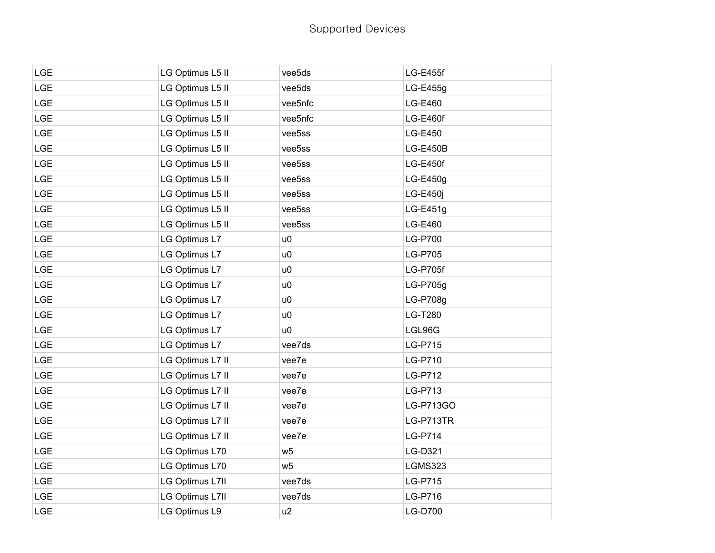| <b>LGE</b> | LG Optimus L5 II | vee5ds         | <b>LG-E455f</b> |
|------------|------------------|----------------|-----------------|
| <b>LGE</b> | LG Optimus L5 II | vee5ds         | LG-E455g        |
| <b>LGE</b> | LG Optimus L5 II | vee5nfc        | LG-E460         |
| <b>LGE</b> | LG Optimus L5 II | vee5nfc        | LG-E460f        |
| <b>LGE</b> | LG Optimus L5 II | vee5ss         | LG-E450         |
| <b>LGE</b> | LG Optimus L5 II | vee5ss         | <b>LG-E450B</b> |
| <b>LGE</b> | LG Optimus L5 II | vee5ss         | LG-E450f        |
| <b>LGE</b> | LG Optimus L5 II | vee5ss         | $LG-E450g$      |
| <b>LGE</b> | LG Optimus L5 II | vee5ss         | LG-E450j        |
| <b>LGE</b> | LG Optimus L5 II | vee5ss         | $LG-E451g$      |
| <b>LGE</b> | LG Optimus L5 II | vee5ss         | LG-E460         |
| <b>LGE</b> | LG Optimus L7    | u0             | <b>LG-P700</b>  |
| <b>LGE</b> | LG Optimus L7    | u0             | LG-P705         |
| <b>LGE</b> | LG Optimus L7    | u0             | <b>LG-P705f</b> |
| <b>LGE</b> | LG Optimus L7    | u0             | LG-P705g        |
| <b>LGE</b> | LG Optimus L7    | u0             | LG-P708g        |
| <b>LGE</b> | LG Optimus L7    | u0             | LG-T280         |
| <b>LGE</b> | LG Optimus L7    | u0             | LGL96G          |
| <b>LGE</b> | LG Optimus L7    | vee7ds         | <b>LG-P715</b>  |
| <b>LGE</b> | LG Optimus L7 II | vee7e          | LG-P710         |
| <b>LGE</b> | LG Optimus L7 II | vee7e          | LG-P712         |
| <b>LGE</b> | LG Optimus L7 II | vee7e          | LG-P713         |
| <b>LGE</b> | LG Optimus L7 II | vee7e          | LG-P713GO       |
| <b>LGE</b> | LG Optimus L7 II | vee7e          | LG-P713TR       |
| <b>LGE</b> | LG Optimus L7 II | vee7e          | <b>LG-P714</b>  |
| <b>LGE</b> | LG Optimus L70   | w <sub>5</sub> | LG-D321         |
| <b>LGE</b> | LG Optimus L70   | w <sub>5</sub> | <b>LGMS323</b>  |
| <b>LGE</b> | LG Optimus L7II  | vee7ds         | LG-P715         |
| <b>LGE</b> | LG Optimus L7II  | vee7ds         | LG-P716         |
| <b>LGE</b> | LG Optimus L9    | u2             | <b>LG-D700</b>  |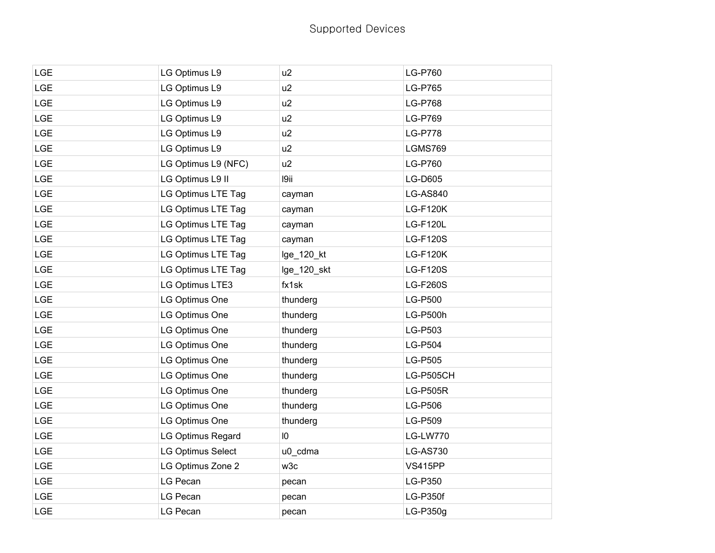| LGE        | LG Optimus L9       | u2          | <b>LG-P760</b>  |
|------------|---------------------|-------------|-----------------|
| <b>LGE</b> | LG Optimus L9       | u2          | <b>LG-P765</b>  |
| <b>LGE</b> | LG Optimus L9       | u2          | <b>LG-P768</b>  |
| LGE        | LG Optimus L9       | u2          | LG-P769         |
| LGE        | LG Optimus L9       | u2          | <b>LG-P778</b>  |
| <b>LGE</b> | LG Optimus L9       | u2          | LGMS769         |
| <b>LGE</b> | LG Optimus L9 (NFC) | u2          | LG-P760         |
| LGE        | LG Optimus L9 II    | 19ii        | <b>LG-D605</b>  |
| LGE        | LG Optimus LTE Tag  | cayman      | <b>LG-AS840</b> |
| <b>LGE</b> | LG Optimus LTE Tag  | cayman      | <b>LG-F120K</b> |
| <b>LGE</b> | LG Optimus LTE Tag  | cayman      | <b>LG-F120L</b> |
| <b>LGE</b> | LG Optimus LTE Tag  | cayman      | <b>LG-F120S</b> |
| <b>LGE</b> | LG Optimus LTE Tag  | lge_120_kt  | <b>LG-F120K</b> |
| <b>LGE</b> | LG Optimus LTE Tag  | lge_120_skt | <b>LG-F120S</b> |
| LGE        | LG Optimus LTE3     | fx1sk       | <b>LG-F260S</b> |
| <b>LGE</b> | LG Optimus One      | thunderg    | <b>LG-P500</b>  |
| <b>LGE</b> | LG Optimus One      | thunderg    | <b>LG-P500h</b> |
| <b>LGE</b> | LG Optimus One      | thunderg    | LG-P503         |
| <b>LGE</b> | LG Optimus One      | thunderg    | LG-P504         |
| <b>LGE</b> | LG Optimus One      | thunderg    | LG-P505         |
| <b>LGE</b> | LG Optimus One      | thunderg    | LG-P505CH       |
| LGE        | LG Optimus One      | thunderg    | <b>LG-P505R</b> |
| <b>LGE</b> | LG Optimus One      | thunderg    | LG-P506         |
| <b>LGE</b> | LG Optimus One      | thunderg    | LG-P509         |
| <b>LGE</b> | LG Optimus Regard   | 10          | <b>LG-LW770</b> |
| <b>LGE</b> | LG Optimus Select   | u0_cdma     | <b>LG-AS730</b> |
| <b>LGE</b> | LG Optimus Zone 2   | w3c         | <b>VS415PP</b>  |
| <b>LGE</b> | LG Pecan            | pecan       | LG-P350         |
| <b>LGE</b> | LG Pecan            | pecan       | <b>LG-P350f</b> |
| <b>LGE</b> | LG Pecan            | pecan       | LG-P350g        |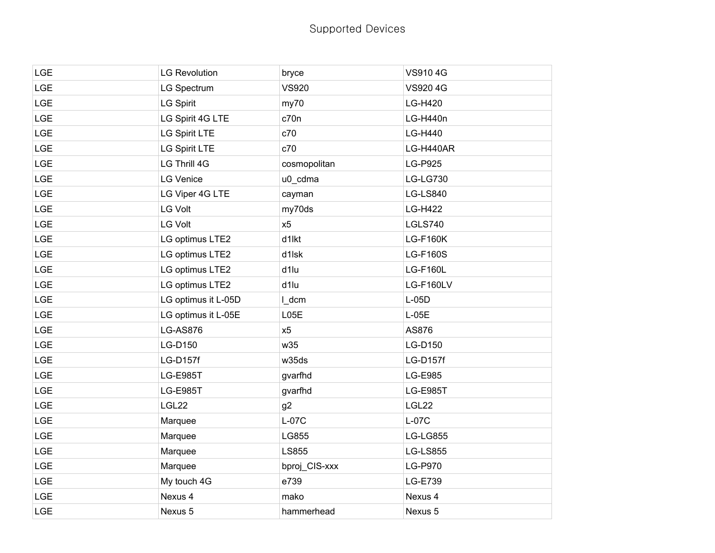| <b>LGE</b> | <b>LG Revolution</b> | bryce         | <b>VS9104G</b>  |
|------------|----------------------|---------------|-----------------|
| <b>LGE</b> | LG Spectrum          | <b>VS920</b>  | VS920 4G        |
| <b>LGE</b> | <b>LG Spirit</b>     | my70          | LG-H420         |
| <b>LGE</b> | LG Spirit 4G LTE     | c70n          | LG-H440n        |
| <b>LGE</b> | <b>LG Spirit LTE</b> | c70           | LG-H440         |
| <b>LGE</b> | LG Spirit LTE        | c70           | LG-H440AR       |
| <b>LGE</b> | LG Thrill 4G         | cosmopolitan  | LG-P925         |
| <b>LGE</b> | <b>LG Venice</b>     | u0_cdma       | <b>LG-LG730</b> |
| <b>LGE</b> | LG Viper 4G LTE      | cayman        | <b>LG-LS840</b> |
| <b>LGE</b> | <b>LG Volt</b>       | my70ds        | <b>LG-H422</b>  |
| <b>LGE</b> | <b>LG Volt</b>       | x5            | LGLS740         |
| <b>LGE</b> | LG optimus LTE2      | d1lkt         | <b>LG-F160K</b> |
| <b>LGE</b> | LG optimus LTE2      | d1lsk         | <b>LG-F160S</b> |
| <b>LGE</b> | LG optimus LTE2      | d1lu          | <b>LG-F160L</b> |
| <b>LGE</b> | LG optimus LTE2      | d1lu          | LG-F160LV       |
| <b>LGE</b> | LG optimus it L-05D  | I_dcm         | $L-05D$         |
| <b>LGE</b> | LG optimus it L-05E  | L05E          | $L-05E$         |
| <b>LGE</b> | <b>LG-AS876</b>      | x5            | AS876           |
| <b>LGE</b> | LG-D150              | w35           | LG-D150         |
| <b>LGE</b> | <b>LG-D157f</b>      | w35ds         | <b>LG-D157f</b> |
| <b>LGE</b> | <b>LG-E985T</b>      | gvarfhd       | LG-E985         |
| <b>LGE</b> | <b>LG-E985T</b>      | gvarfhd       | <b>LG-E985T</b> |
| <b>LGE</b> | LGL22                | g2            | LGL22           |
| <b>LGE</b> | Marquee              | $L-07C$       | $L-07C$         |
| <b>LGE</b> | Marquee              | LG855         | <b>LG-LG855</b> |
| <b>LGE</b> | Marquee              | LS855         | <b>LG-LS855</b> |
| <b>LGE</b> | Marquee              | bproj_CIS-xxx | LG-P970         |
| <b>LGE</b> | My touch 4G          | e739          | LG-E739         |
| <b>LGE</b> | Nexus 4              | mako          | Nexus 4         |
| <b>LGE</b> | Nexus 5              | hammerhead    | Nexus 5         |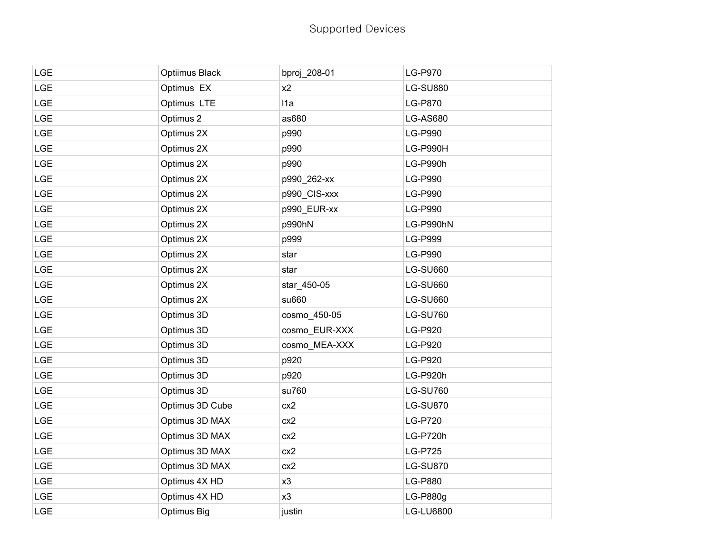| <b>LGE</b> | Optiimus Black  | bproj_208-01  | <b>LG-P970</b>   |
|------------|-----------------|---------------|------------------|
| <b>LGE</b> | Optimus EX      | x2            | <b>LG-SU880</b>  |
| LGE        | Optimus LTE     | I1a           | LG-P870          |
| LGE        | Optimus 2       | as680         | <b>LG-AS680</b>  |
| <b>LGE</b> | Optimus 2X      | p990          | <b>LG-P990</b>   |
| <b>LGE</b> | Optimus 2X      | p990          | LG-P990H         |
| LGE        | Optimus 2X      | p990          | LG-P990h         |
| LGE        | Optimus 2X      | p990_262-xx   | LG-P990          |
| <b>LGE</b> | Optimus 2X      | p990_CIS-xxx  | LG-P990          |
| LGE        | Optimus 2X      | p990_EUR-xx   | LG-P990          |
| LGE        | Optimus 2X      | p990hN        | LG-P990hN        |
| LGE        | Optimus 2X      | p999          | <b>LG-P999</b>   |
| LGE        | Optimus 2X      | star          | LG-P990          |
| LGE        | Optimus 2X      | star          | <b>LG-SU660</b>  |
| <b>LGE</b> | Optimus 2X      | star_450-05   | <b>LG-SU660</b>  |
| <b>LGE</b> | Optimus 2X      | su660         | <b>LG-SU660</b>  |
| LGE        | Optimus 3D      | cosmo_450-05  | <b>LG-SU760</b>  |
| LGE        | Optimus 3D      | cosmo EUR-XXX | LG-P920          |
| <b>LGE</b> | Optimus 3D      | cosmo_MEA-XXX | LG-P920          |
| <b>LGE</b> | Optimus 3D      | p920          | LG-P920          |
| LGE        | Optimus 3D      | p920          | LG-P920h         |
| <b>LGE</b> | Optimus 3D      | su760         | <b>LG-SU760</b>  |
| <b>LGE</b> | Optimus 3D Cube | cx2           | <b>LG-SU870</b>  |
| LGE        | Optimus 3D MAX  | cx2           | <b>LG-P720</b>   |
| <b>LGE</b> | Optimus 3D MAX  | cx2           | LG-P720h         |
| <b>LGE</b> | Optimus 3D MAX  | cx2           | <b>LG-P725</b>   |
| <b>LGE</b> | Optimus 3D MAX  | cx2           | <b>LG-SU870</b>  |
| <b>LGE</b> | Optimus 4X HD   | x3            | LG-P880          |
| LGE        | Optimus 4X HD   | x3            | LG-P880g         |
| <b>LGE</b> | Optimus Big     | justin        | <b>LG-LU6800</b> |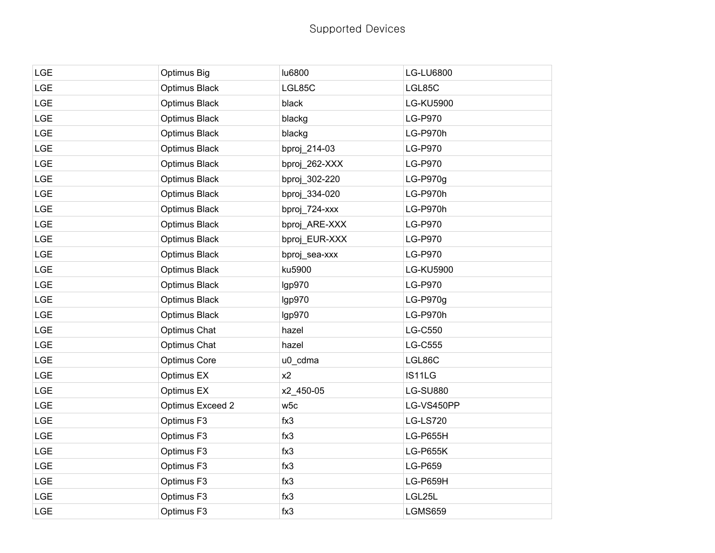## Supported Devices

| <b>LGE</b> | Optimus Big      | lu6800        | LG-LU6800        |
|------------|------------------|---------------|------------------|
| LGE        | Optimus Black    | LGL85C        | LGL85C           |
| LGE        | Optimus Black    | black         | <b>LG-KU5900</b> |
| LGE        | Optimus Black    | blackg        | LG-P970          |
| LGE        | Optimus Black    | blackg        | LG-P970h         |
| LGE        | Optimus Black    | bproj_214-03  | <b>LG-P970</b>   |
| <b>LGE</b> | Optimus Black    | bproj_262-XXX | LG-P970          |
| LGE        | Optimus Black    | bproj_302-220 | LG-P970g         |
| LGE        | Optimus Black    | bproj_334-020 | LG-P970h         |
| <b>LGE</b> | Optimus Black    | bproj_724-xxx | LG-P970h         |
| <b>LGE</b> | Optimus Black    | bproj_ARE-XXX | LG-P970          |
| <b>LGE</b> | Optimus Black    | bproj_EUR-XXX | LG-P970          |
| LGE        | Optimus Black    | bproj_sea-xxx | LG-P970          |
| LGE        | Optimus Black    | ku5900        | <b>LG-KU5900</b> |
| <b>LGE</b> | Optimus Black    | Igp970        | <b>LG-P970</b>   |
| <b>LGE</b> | Optimus Black    | Igp970        | LG-P970g         |
| LGE        | Optimus Black    | Igp970        | LG-P970h         |
| LGE        | Optimus Chat     | hazel         | LG-C550          |
| LGE        | Optimus Chat     | hazel         | <b>LG-C555</b>   |
| <b>LGE</b> | Optimus Core     | u0_cdma       | LGL86C           |
| <b>LGE</b> | Optimus EX       | x2            | IS11LG           |
| LGE        | Optimus EX       | x2_450-05     | <b>LG-SU880</b>  |
| LGE        | Optimus Exceed 2 | w5c           | LG-VS450PP       |
| LGE        | Optimus F3       | fx3           | <b>LG-LS720</b>  |
| LGE        | Optimus F3       | fx3           | <b>LG-P655H</b>  |
| LGE        | Optimus F3       | fx3           | <b>LG-P655K</b>  |
| <b>LGE</b> | Optimus F3       | fx3           | LG-P659          |
| LGE        | Optimus F3       | fx3           | LG-P659H         |
| LGE        | Optimus F3       | fx3           | LGL25L           |
| <b>LGE</b> | Optimus F3       | fx3           | LGMS659          |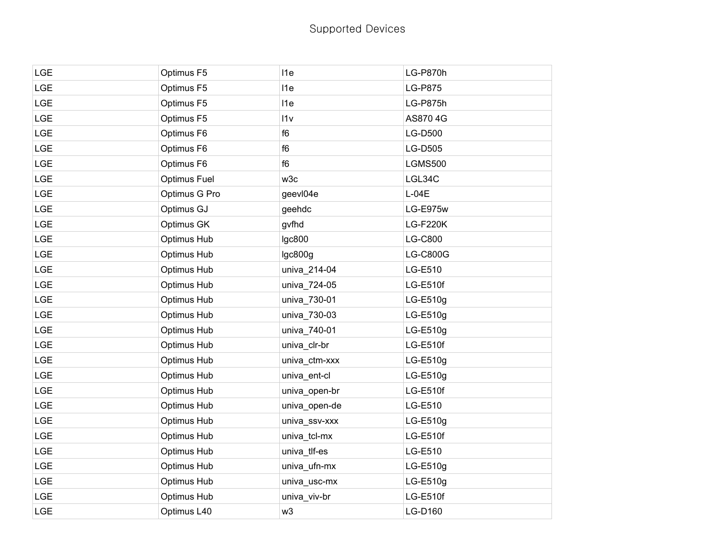| <b>LGE</b> | Optimus F5          | 11e             | LG-P870h        |
|------------|---------------------|-----------------|-----------------|
| LGE        | Optimus F5          | I <sub>1e</sub> | <b>LG-P875</b>  |
| <b>LGE</b> | Optimus F5          | 11e             | LG-P875h        |
| LGE        | Optimus F5          | 11v             | AS8704G         |
| <b>LGE</b> | Optimus F6          | f6              | LG-D500         |
| <b>LGE</b> | Optimus F6          | f6              | LG-D505         |
| LGE        | Optimus F6          | f6              | <b>LGMS500</b>  |
| LGE        | <b>Optimus Fuel</b> | w3c             | LGL34C          |
| <b>LGE</b> | Optimus G Pro       | geevI04e        | $L-04E$         |
| LGE        | Optimus GJ          | geehdc          | LG-E975w        |
| LGE        | Optimus GK          | gvfhd           | <b>LG-F220K</b> |
| <b>LGE</b> | Optimus Hub         | <b>Igc800</b>   | <b>LG-C800</b>  |
| <b>LGE</b> | Optimus Hub         | lgc800g         | LG-C800G        |
| LGE        | Optimus Hub         | univa_214-04    | LG-E510         |
| LGE        | Optimus Hub         | univa_724-05    | LG-E510f        |
| LGE        | Optimus Hub         | univa_730-01    | LG-E510g        |
| <b>LGE</b> | Optimus Hub         | univa_730-03    | LG-E510g        |
| LGE        | Optimus Hub         | univa_740-01    | LG-E510g        |
| <b>LGE</b> | Optimus Hub         | univa_clr-br    | LG-E510f        |
| LGE        | Optimus Hub         | univa_ctm-xxx   | LG-E510g        |
| LGE        | Optimus Hub         | univa_ent-cl    | LG-E510g        |
| LGE        | Optimus Hub         | univa_open-br   | LG-E510f        |
| <b>LGE</b> | Optimus Hub         | univa_open-de   | LG-E510         |
| LGE        | Optimus Hub         | univa_ssv-xxx   | LG-E510g        |
| LGE        | Optimus Hub         | univa_tcl-mx    | LG-E510f        |
| LGE        | Optimus Hub         | univa_tlf-es    | LG-E510         |
| <b>LGE</b> | Optimus Hub         | univa_ufn-mx    | LG-E510g        |
| <b>LGE</b> | Optimus Hub         | univa_usc-mx    | LG-E510g        |
| LGE        | Optimus Hub         | univa_viv-br    | LG-E510f        |
| LGE        | Optimus L40         | w3              | LG-D160         |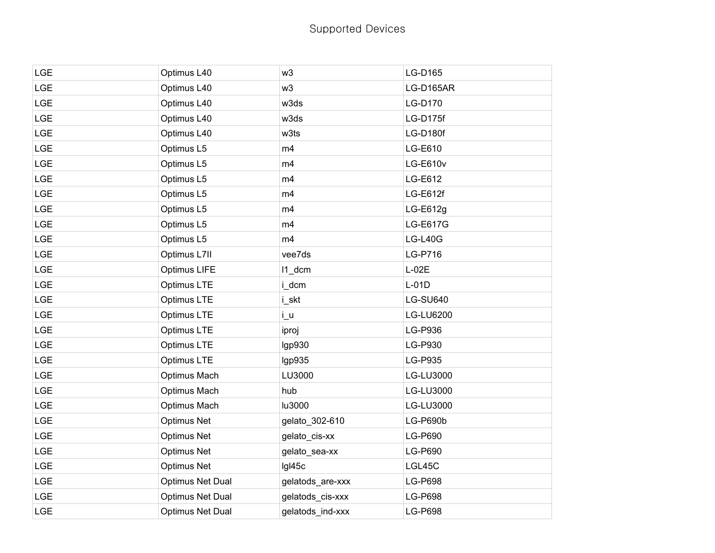| <b>LGE</b> | Optimus L40             | w3               | LG-D165         |
|------------|-------------------------|------------------|-----------------|
| <b>LGE</b> | Optimus L40             | w3               | LG-D165AR       |
| <b>LGE</b> | Optimus L40             | w3ds             | LG-D170         |
| <b>LGE</b> | Optimus L40             | w3ds             | LG-D175f        |
| <b>LGE</b> | Optimus L40             | w3ts             | LG-D180f        |
| LGE        | Optimus L5              | m4               | LG-E610         |
| <b>LGE</b> | Optimus L5              | m4               | <b>LG-E610v</b> |
| <b>LGE</b> | Optimus L5              | m4               | LG-E612         |
| <b>LGE</b> | Optimus L5              | m4               | LG-E612f        |
| LGE        | Optimus L5              | m4               | $LG-E612g$      |
| LGE        | Optimus L5              | m4               | LG-E617G        |
| <b>LGE</b> | Optimus L5              | m4               | $LG-L40G$       |
| <b>LGE</b> | Optimus L7II            | vee7ds           | LG-P716         |
| <b>LGE</b> | Optimus LIFE            | $11$ _dcm        | $L-02E$         |
| <b>LGE</b> | Optimus LTE             | i_dcm            | $L-01D$         |
| <b>LGE</b> | Optimus LTE             | i_skt            | <b>LG-SU640</b> |
| <b>LGE</b> | Optimus LTE             | $i_u$            | LG-LU6200       |
| LGE        | Optimus LTE             | iproj            | LG-P936         |
| <b>LGE</b> | Optimus LTE             | Igp930           | LG-P930         |
| <b>LGE</b> | Optimus LTE             | lgp935           | LG-P935         |
| <b>LGE</b> | Optimus Mach            | LU3000           | LG-LU3000       |
| LGE        | Optimus Mach            | hub              | LG-LU3000       |
| <b>LGE</b> | Optimus Mach            | lu3000           | LG-LU3000       |
| <b>LGE</b> | <b>Optimus Net</b>      | gelato_302-610   | LG-P690b        |
| <b>LGE</b> | <b>Optimus Net</b>      | gelato_cis-xx    | LG-P690         |
| <b>LGE</b> | <b>Optimus Net</b>      | gelato_sea-xx    | LG-P690         |
| LGE        | <b>Optimus Net</b>      | Igl45c           | LGL45C          |
| <b>LGE</b> | <b>Optimus Net Dual</b> | gelatods_are-xxx | LG-P698         |
| <b>LGE</b> | <b>Optimus Net Dual</b> | gelatods_cis-xxx | LG-P698         |
| <b>LGE</b> | <b>Optimus Net Dual</b> | gelatods ind-xxx | <b>LG-P698</b>  |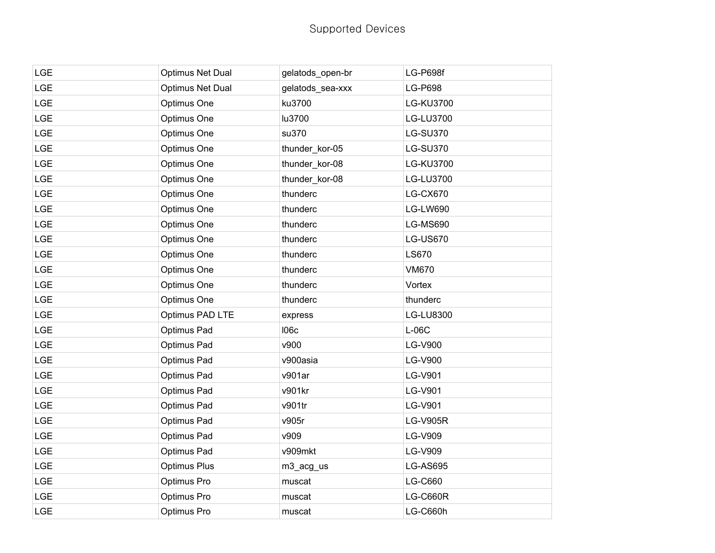| <b>LGE</b> | Optimus Net Dual    | gelatods_open-br | LG-P698f        |
|------------|---------------------|------------------|-----------------|
| <b>LGE</b> | Optimus Net Dual    | gelatods_sea-xxx | <b>LG-P698</b>  |
| <b>LGE</b> | Optimus One         | ku3700           | LG-KU3700       |
| LGE        | Optimus One         | lu3700           | LG-LU3700       |
| <b>LGE</b> | Optimus One         | su370            | <b>LG-SU370</b> |
| <b>LGE</b> | Optimus One         | thunder_kor-05   | <b>LG-SU370</b> |
| LGE        | Optimus One         | thunder_kor-08   | LG-KU3700       |
| <b>LGE</b> | Optimus One         | thunder_kor-08   | LG-LU3700       |
| <b>LGE</b> | Optimus One         | thunderc         | <b>LG-CX670</b> |
| LGE        | Optimus One         | thunderc         | <b>LG-LW690</b> |
| <b>LGE</b> | Optimus One         | thunderc         | <b>LG-MS690</b> |
| <b>LGE</b> | Optimus One         | thunderc         | <b>LG-US670</b> |
| <b>LGE</b> | Optimus One         | thunderc         | <b>LS670</b>    |
| LGE        | Optimus One         | thunderc         | <b>VM670</b>    |
| <b>LGE</b> | Optimus One         | thunderc         | Vortex          |
| <b>LGE</b> | Optimus One         | thunderc         | thunderc        |
| <b>LGE</b> | Optimus PAD LTE     | express          | LG-LU8300       |
| <b>LGE</b> | Optimus Pad         | <b>106c</b>      | $L-06C$         |
| LGE        | Optimus Pad         | v900             | LG-V900         |
| LGE        | Optimus Pad         | v900asia         | <b>LG-V900</b>  |
| <b>LGE</b> | Optimus Pad         | v901ar           | <b>LG-V901</b>  |
| <b>LGE</b> | Optimus Pad         | v901kr           | LG-V901         |
| LGE        | Optimus Pad         | v901tr           | LG-V901         |
| LGE        | Optimus Pad         | v905r            | <b>LG-V905R</b> |
| <b>LGE</b> | Optimus Pad         | v909             | LG-V909         |
| LGE        | Optimus Pad         | v909mkt          | LG-V909         |
| LGE        | <b>Optimus Plus</b> | m3_acg_us        | LG-AS695        |
| <b>LGE</b> | Optimus Pro         | muscat           | LG-C660         |
| <b>LGE</b> | Optimus Pro         | muscat           | LG-C660R        |
| <b>LGE</b> | Optimus Pro         | muscat           | <b>LG-C660h</b> |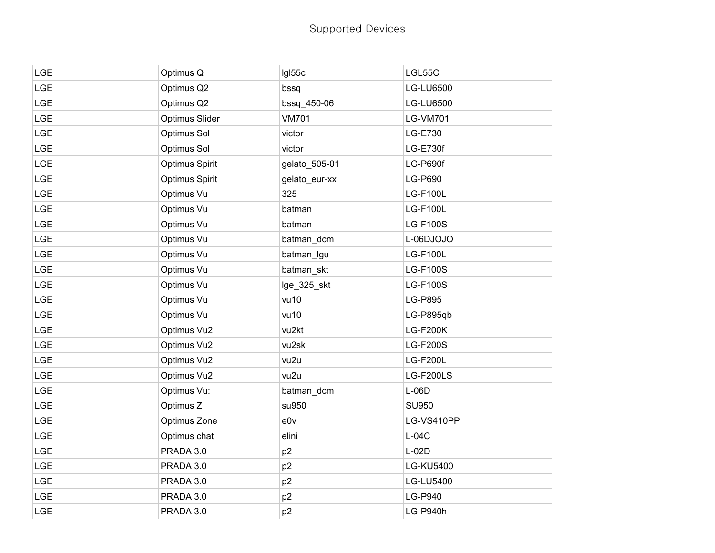## Supported Devices

| <b>LGE</b> | Optimus Q      | IgI55c         | LGL55C           |
|------------|----------------|----------------|------------------|
| <b>LGE</b> | Optimus Q2     | bssq           | <b>LG-LU6500</b> |
| <b>LGE</b> | Optimus Q2     | bssq_450-06    | <b>LG-LU6500</b> |
| LGE        | Optimus Slider | <b>VM701</b>   | <b>LG-VM701</b>  |
| <b>LGE</b> | Optimus Sol    | victor         | LG-E730          |
| LGE        | Optimus Sol    | victor         | LG-E730f         |
| <b>LGE</b> | Optimus Spirit | gelato_505-01  | LG-P690f         |
| LGE        | Optimus Spirit | gelato_eur-xx  | LG-P690          |
| <b>LGE</b> | Optimus Vu     | 325            | <b>LG-F100L</b>  |
| LGE        | Optimus Vu     | batman         | <b>LG-F100L</b>  |
| <b>LGE</b> | Optimus Vu     | batman         | <b>LG-F100S</b>  |
| LGE        | Optimus Vu     | batman_dcm     | L-06DJOJO        |
| <b>LGE</b> | Optimus Vu     | batman_lgu     | <b>LG-F100L</b>  |
| LGE        | Optimus Vu     | batman_skt     | <b>LG-F100S</b>  |
| <b>LGE</b> | Optimus Vu     | lge_325_skt    | <b>LG-F100S</b>  |
| <b>LGE</b> | Optimus Vu     | vu10           | <b>LG-P895</b>   |
| LGE        | Optimus Vu     | vu10           | LG-P895qb        |
| LGE        | Optimus Vu2    | vu2kt          | <b>LG-F200K</b>  |
| <b>LGE</b> | Optimus Vu2    | vu2sk          | <b>LG-F200S</b>  |
| <b>LGE</b> | Optimus Vu2    | vu2u           | <b>LG-F200L</b>  |
| <b>LGE</b> | Optimus Vu2    | vu2u           | LG-F200LS        |
| LGE        | Optimus Vu:    | batman_dcm     | $L-06D$          |
| LGE        | Optimus Z      | su950          | <b>SU950</b>     |
| <b>LGE</b> | Optimus Zone   | e0v            | LG-VS410PP       |
| LGE        | Optimus chat   | elini          | $L-04C$          |
| <b>LGE</b> | PRADA 3.0      | p <sub>2</sub> | $L-02D$          |
| LGE        | PRADA 3.0      | p <sub>2</sub> | <b>LG-KU5400</b> |
| LGE        | PRADA 3.0      | p <sub>2</sub> | LG-LU5400        |
| LGE        | PRADA 3.0      | p <sub>2</sub> | LG-P940          |
| <b>LGE</b> | PRADA 3.0      | p <sub>2</sub> | LG-P940h         |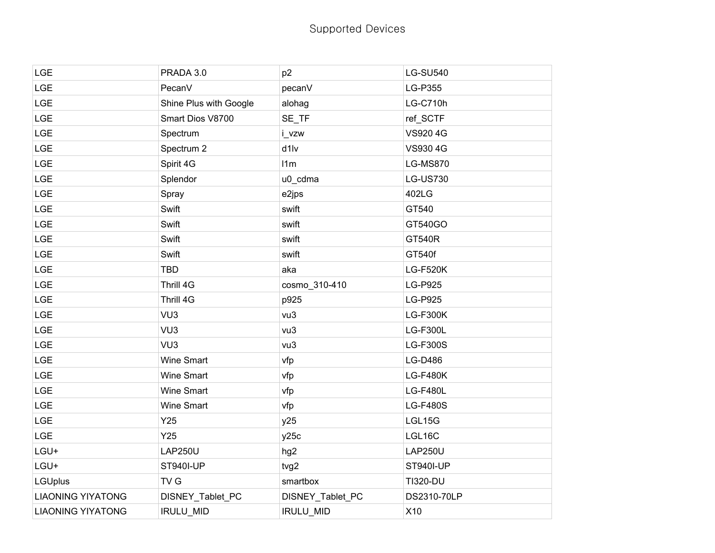| <b>LGE</b>               | PRADA 3.0              | p <sub>2</sub>   | <b>LG-SU540</b>  |
|--------------------------|------------------------|------------------|------------------|
| <b>LGE</b>               | PecanV                 | pecanV           | LG-P355          |
| <b>LGE</b>               | Shine Plus with Google | alohag           | <b>LG-C710h</b>  |
| <b>LGE</b>               | Smart Dios V8700       | SE_TF            | ref_SCTF         |
| <b>LGE</b>               | Spectrum               | i_vzw            | VS920 4G         |
| <b>LGE</b>               | Spectrum 2             | d1lv             | VS930 4G         |
| <b>LGE</b>               | Spirit 4G              | 11m              | <b>LG-MS870</b>  |
| <b>LGE</b>               | Splendor               | u0_cdma          | <b>LG-US730</b>  |
| <b>LGE</b>               | Spray                  | e2jps            | 402LG            |
| <b>LGE</b>               | Swift                  | swift            | GT540            |
| <b>LGE</b>               | Swift                  | swift            | GT540GO          |
| <b>LGE</b>               | Swift                  | swift            | <b>GT540R</b>    |
| <b>LGE</b>               | Swift                  | swift            | GT540f           |
| <b>LGE</b>               | <b>TBD</b>             | aka              | <b>LG-F520K</b>  |
| <b>LGE</b>               | Thrill 4G              | cosmo_310-410    | <b>LG-P925</b>   |
| <b>LGE</b>               | Thrill 4G              | p925             | <b>LG-P925</b>   |
| <b>LGE</b>               | VU <sub>3</sub>        | vu3              | <b>LG-F300K</b>  |
| <b>LGE</b>               | VU <sub>3</sub>        | vu3              | <b>LG-F300L</b>  |
| <b>LGE</b>               | VU <sub>3</sub>        | vu3              | <b>LG-F300S</b>  |
| <b>LGE</b>               | <b>Wine Smart</b>      | vfp              | LG-D486          |
| <b>LGE</b>               | <b>Wine Smart</b>      | vfp              | <b>LG-F480K</b>  |
| <b>LGE</b>               | Wine Smart             | vfp              | <b>LG-F480L</b>  |
| <b>LGE</b>               | Wine Smart             | vfp              | <b>LG-F480S</b>  |
| LGE                      | Y25                    | y25              | LGL15G           |
| <b>LGE</b>               | Y25                    | y25c             | LGL16C           |
| LGU+                     | <b>LAP250U</b>         | hg <sub>2</sub>  | <b>LAP250U</b>   |
| LGU+                     | <b>ST940I-UP</b>       | tvg2             | <b>ST940I-UP</b> |
| <b>LGUplus</b>           | TV G                   | smartbox         | <b>TI320-DU</b>  |
| <b>LIAONING YIYATONG</b> | DISNEY_Tablet_PC       | DISNEY_Tablet_PC | DS2310-70LP      |
| <b>LIAONING YIYATONG</b> | <b>IRULU MID</b>       | <b>IRULU MID</b> | X10              |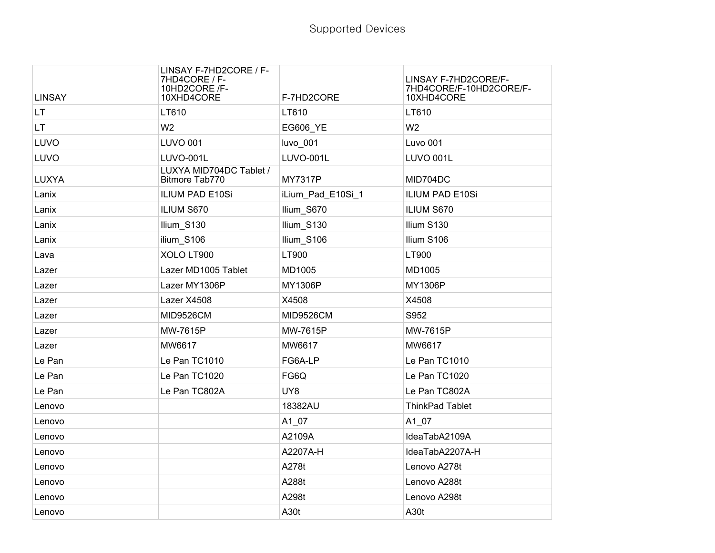| <b>LINSAY</b> | LINSAY F-7HD2CORE / F-<br>7HD4CORE / F-<br>10HD2CORE /F-<br>10XHD4CORE | F-7HD2CORE        | LINSAY F-7HD2CORE/F-<br>7HD4CORE/F-10HD2CORE/F-<br>10XHD4CORE |
|---------------|------------------------------------------------------------------------|-------------------|---------------------------------------------------------------|
| LT.           | LT610                                                                  | LT610             | LT610                                                         |
| LT.           | W <sub>2</sub>                                                         | <b>EG606 YE</b>   | W <sub>2</sub>                                                |
| LUVO          | <b>LUVO 001</b>                                                        | luvo_001          | Luvo 001                                                      |
| LUVO          | LUVO-001L                                                              | LUVO-001L         | LUVO 001L                                                     |
| <b>LUXYA</b>  | LUXYA MID704DC Tablet /<br>Bitmore Tab770                              | <b>MY7317P</b>    | MID704DC                                                      |
| Lanix         | <b>ILIUM PAD E10Si</b>                                                 | iLium_Pad_E10Si_1 | <b>ILIUM PAD E10Si</b>                                        |
| Lanix         | ILIUM S670                                                             | Ilium S670        | ILIUM S670                                                    |
| Lanix         | Ilium_S130                                                             | Ilium_S130        | Ilium S130                                                    |
| Lanix         | ilium S106                                                             | Ilium S106        | Ilium S106                                                    |
| Lava          | XOLO LT900                                                             | LT900             | LT900                                                         |
| Lazer         | Lazer MD1005 Tablet                                                    | MD1005            | MD1005                                                        |
| Lazer         | Lazer MY1306P                                                          | MY1306P           | MY1306P                                                       |
| Lazer         | Lazer X4508                                                            | X4508             | X4508                                                         |
| Lazer         | <b>MID9526CM</b>                                                       | <b>MID9526CM</b>  | S952                                                          |
| Lazer         | MW-7615P                                                               | MW-7615P          | MW-7615P                                                      |
| Lazer         | MW6617                                                                 | MW6617            | MW6617                                                        |
| Le Pan        | Le Pan TC1010                                                          | FG6A-LP           | Le Pan TC1010                                                 |
| Le Pan        | Le Pan TC1020                                                          | FG6Q              | Le Pan TC1020                                                 |
| Le Pan        | Le Pan TC802A                                                          | UY8               | Le Pan TC802A                                                 |
| Lenovo        |                                                                        | 18382AU           | <b>ThinkPad Tablet</b>                                        |
| Lenovo        |                                                                        | A1_07             | $A1_07$                                                       |
| Lenovo        |                                                                        | A2109A            | IdeaTabA2109A                                                 |
| Lenovo        |                                                                        | A2207A-H          | IdeaTabA2207A-H                                               |
| Lenovo        |                                                                        | A278t             | Lenovo A278t                                                  |
| Lenovo        |                                                                        | A288t             | Lenovo A288t                                                  |
| Lenovo        |                                                                        | A298t             | Lenovo A298t                                                  |
| Lenovo        |                                                                        | A30t              | A30t                                                          |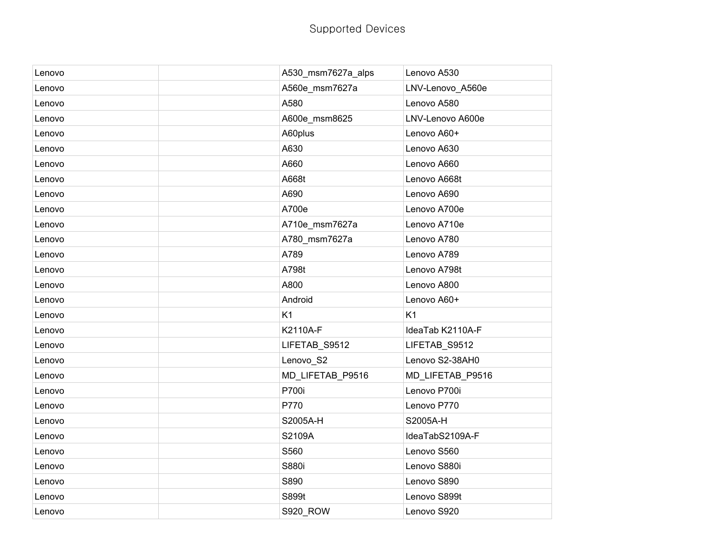| Lenovo | A530_msm7627a_alps | Lenovo A530      |
|--------|--------------------|------------------|
| Lenovo | A560e_msm7627a     | LNV-Lenovo_A560e |
| Lenovo | A580               | Lenovo A580      |
| Lenovo | A600e_msm8625      | LNV-Lenovo A600e |
| Lenovo | A60plus            | Lenovo A60+      |
| Lenovo | A630               | Lenovo A630      |
| Lenovo | A660               | Lenovo A660      |
| Lenovo | A668t              | Lenovo A668t     |
| Lenovo | A690               | Lenovo A690      |
| Lenovo | A700e              | Lenovo A700e     |
| Lenovo | A710e_msm7627a     | Lenovo A710e     |
| Lenovo | A780_msm7627a      | Lenovo A780      |
| Lenovo | A789               | Lenovo A789      |
| Lenovo | A798t              | Lenovo A798t     |
| Lenovo | A800               | Lenovo A800      |
| Lenovo | Android            | Lenovo A60+      |
| Lenovo | K <sub>1</sub>     | K <sub>1</sub>   |
| Lenovo | K2110A-F           | IdeaTab K2110A-F |
| Lenovo | LIFETAB_S9512      | LIFETAB_S9512    |
| Lenovo | Lenovo_S2          | Lenovo S2-38AH0  |
| Lenovo | MD_LIFETAB_P9516   | MD_LIFETAB_P9516 |
| Lenovo | P700i              | Lenovo P700i     |
| Lenovo | P770               | Lenovo P770      |
| Lenovo | S2005A-H           | S2005A-H         |
| Lenovo | S2109A             | IdeaTabS2109A-F  |
| Lenovo | S560               | Lenovo S560      |
| Lenovo | S880i              | Lenovo S880i     |
| Lenovo | S890               | Lenovo S890      |
| Lenovo | S899t              | Lenovo S899t     |
| Lenovo | <b>S920_ROW</b>    | Lenovo S920      |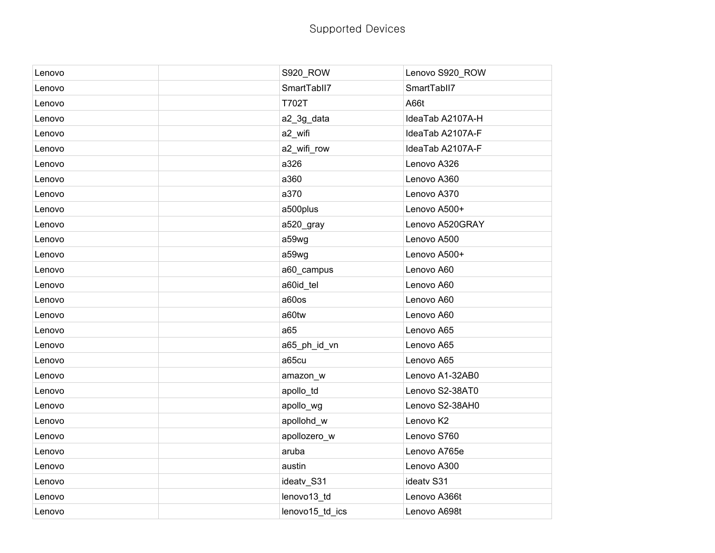| Lenovo | S920_ROW        | Lenovo S920_ROW  |
|--------|-----------------|------------------|
| Lenovo | SmartTabll7     | SmartTabll7      |
| Lenovo | <b>T702T</b>    | A66t             |
| Lenovo | a2_3g_data      | IdeaTab A2107A-H |
| Lenovo | a2_wifi         | IdeaTab A2107A-F |
| Lenovo | a2_wifi_row     | IdeaTab A2107A-F |
| Lenovo | a326            | Lenovo A326      |
| Lenovo | a360            | Lenovo A360      |
| Lenovo | a370            | Lenovo A370      |
| Lenovo | a500plus        | Lenovo A500+     |
| Lenovo | a520_gray       | Lenovo A520GRAY  |
| Lenovo | a59wg           | Lenovo A500      |
| Lenovo | a59wg           | Lenovo A500+     |
| Lenovo | a60_campus      | Lenovo A60       |
| Lenovo | a60id_tel       | Lenovo A60       |
| Lenovo | a60os           | Lenovo A60       |
| Lenovo | a60tw           | Lenovo A60       |
| Lenovo | a65             | Lenovo A65       |
| Lenovo | a65_ph_id_vn    | Lenovo A65       |
| Lenovo | a65cu           | Lenovo A65       |
| Lenovo | amazon_w        | Lenovo A1-32AB0  |
| Lenovo | apollo_td       | Lenovo S2-38AT0  |
| Lenovo | apollo_wg       | Lenovo S2-38AH0  |
| Lenovo | apollohd_w      | Lenovo K2        |
| Lenovo | apollozero_w    | Lenovo S760      |
| Lenovo | aruba           | Lenovo A765e     |
| Lenovo | austin          | Lenovo A300      |
| Lenovo | ideatv_S31      | ideatv S31       |
| Lenovo | lenovo13_td     | Lenovo A366t     |
| Lenovo | lenovo15_td_ics | Lenovo A698t     |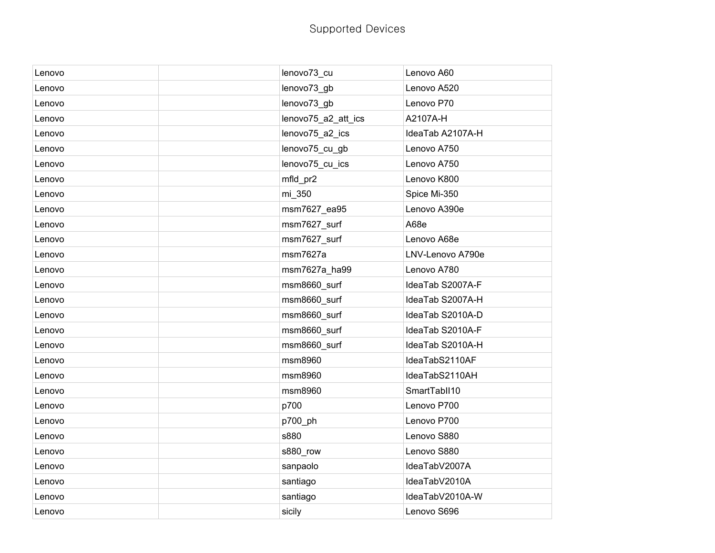| Lenovo | lenovo73_cu         | Lenovo A60       |
|--------|---------------------|------------------|
| Lenovo | lenovo73_gb         | Lenovo A520      |
| Lenovo | lenovo73_gb         | Lenovo P70       |
| Lenovo | lenovo75_a2_att_ics | A2107A-H         |
| Lenovo | lenovo75_a2_ics     | IdeaTab A2107A-H |
| Lenovo | lenovo75_cu_gb      | Lenovo A750      |
| Lenovo | lenovo75_cu_ics     | Lenovo A750      |
| Lenovo | mfld_pr2            | Lenovo K800      |
| Lenovo | mi_350              | Spice Mi-350     |
| Lenovo | msm7627_ea95        | Lenovo A390e     |
| Lenovo | msm7627_surf        | A68e             |
| Lenovo | msm7627_surf        | Lenovo A68e      |
| Lenovo | msm7627a            | LNV-Lenovo A790e |
| Lenovo | msm7627a_ha99       | Lenovo A780      |
| Lenovo | msm8660_surf        | IdeaTab S2007A-F |
| Lenovo | msm8660_surf        | IdeaTab S2007A-H |
| Lenovo | msm8660_surf        | IdeaTab S2010A-D |
| Lenovo | msm8660_surf        | IdeaTab S2010A-F |
| Lenovo | msm8660_surf        | IdeaTab S2010A-H |
| Lenovo | msm8960             | IdeaTabS2110AF   |
| Lenovo | msm8960             | IdeaTabS2110AH   |
| Lenovo | msm8960             | SmartTablI10     |
| Lenovo | p700                | Lenovo P700      |
| Lenovo | p700_ph             | Lenovo P700      |
| Lenovo | s880                | Lenovo S880      |
| Lenovo | s880_row            | Lenovo S880      |
| Lenovo | sanpaolo            | IdeaTabV2007A    |
| Lenovo | santiago            | IdeaTabV2010A    |
| Lenovo | santiago            | IdeaTabV2010A-W  |
| Lenovo | sicily              | Lenovo S696      |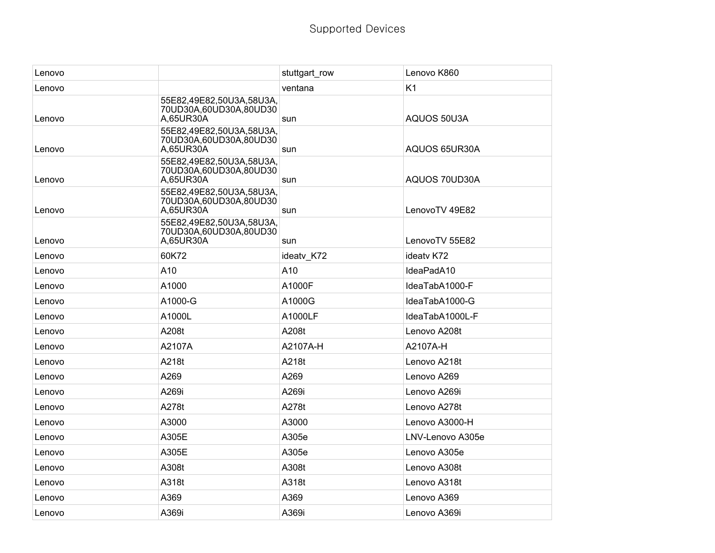| Lenovo |                                                                 | stuttgart_row | Lenovo K860      |
|--------|-----------------------------------------------------------------|---------------|------------------|
| Lenovo |                                                                 | ventana       | K <sub>1</sub>   |
| Lenovo | 55E82,49E82,50U3A,58U3A,<br>70UD30A,60UD30A,80UD30<br>A,65UR30A | sun           | AQUOS 50U3A      |
| Lenovo | 55E82,49E82,50U3A,58U3A,<br>70UD30A,60UD30A,80UD30<br>A,65UR30A | sun           | AQUOS 65UR30A    |
| Lenovo | 55E82,49E82,50U3A,58U3A,<br>70UD30A,60UD30A,80UD30<br>A,65UR30A | sun           | AQUOS 70UD30A    |
| Lenovo | 55E82,49E82,50U3A,58U3A,<br>70UD30A,60UD30A,80UD30<br>A,65UR30A | sun           | LenovoTV 49E82   |
| Lenovo | 55E82,49E82,50U3A,58U3A,<br>70UD30A,60UD30A,80UD30<br>A,65UR30A | sun           | LenovoTV 55E82   |
| Lenovo | 60K72                                                           | ideatv K72    | ideaty K72       |
| Lenovo | A10                                                             | A10           | IdeaPadA10       |
| Lenovo | A1000                                                           | A1000F        | IdeaTabA1000-F   |
| Lenovo | A1000-G                                                         | A1000G        | IdeaTabA1000-G   |
| Lenovo | A1000L                                                          | A1000LF       | IdeaTabA1000L-F  |
| Lenovo | A208t                                                           | A208t         | Lenovo A208t     |
| Lenovo | A2107A                                                          | A2107A-H      | A2107A-H         |
| Lenovo | A218t                                                           | A218t         | Lenovo A218t     |
| Lenovo | A269                                                            | A269          | Lenovo A269      |
| Lenovo | A269i                                                           | A269i         | Lenovo A269i     |
| Lenovo | A278t                                                           | A278t         | Lenovo A278t     |
| Lenovo | A3000                                                           | A3000         | Lenovo A3000-H   |
| Lenovo | A305E                                                           | A305e         | LNV-Lenovo A305e |
| Lenovo | A305E                                                           | A305e         | Lenovo A305e     |
| Lenovo | A308t                                                           | A308t         | Lenovo A308t     |
| Lenovo | A318t                                                           | A318t         | Lenovo A318t     |
| Lenovo | A369                                                            | A369          | Lenovo A369      |
| Lenovo | A369i                                                           | A369i         | Lenovo A369i     |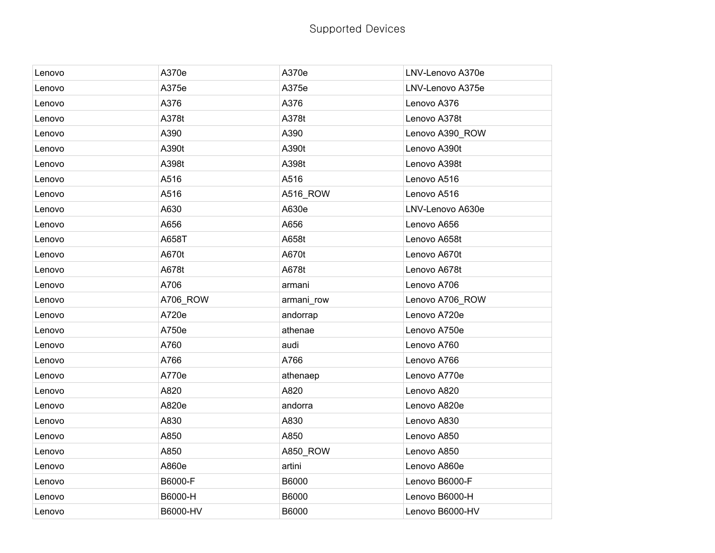| Lenovo | A370e    | A370e      | LNV-Lenovo A370e |
|--------|----------|------------|------------------|
| Lenovo | A375e    | A375e      | LNV-Lenovo A375e |
| Lenovo | A376     | A376       | Lenovo A376      |
| Lenovo | A378t    | A378t      | Lenovo A378t     |
| Lenovo | A390     | A390       | Lenovo A390_ROW  |
| Lenovo | A390t    | A390t      | Lenovo A390t     |
| Lenovo | A398t    | A398t      | Lenovo A398t     |
| Lenovo | A516     | A516       | Lenovo A516      |
| Lenovo | A516     | A516_ROW   | Lenovo A516      |
| Lenovo | A630     | A630e      | LNV-Lenovo A630e |
| Lenovo | A656     | A656       | Lenovo A656      |
| Lenovo | A658T    | A658t      | Lenovo A658t     |
| Lenovo | A670t    | A670t      | Lenovo A670t     |
| Lenovo | A678t    | A678t      | Lenovo A678t     |
| Lenovo | A706     | armani     | Lenovo A706      |
| Lenovo | A706_ROW | armani_row | Lenovo A706_ROW  |
| Lenovo | A720e    | andorrap   | Lenovo A720e     |
| Lenovo | A750e    | athenae    | Lenovo A750e     |
| Lenovo | A760     | audi       | Lenovo A760      |
| Lenovo | A766     | A766       | Lenovo A766      |
| Lenovo | A770e    | athenaep   | Lenovo A770e     |
| Lenovo | A820     | A820       | Lenovo A820      |
| Lenovo | A820e    | andorra    | Lenovo A820e     |
| Lenovo | A830     | A830       | Lenovo A830      |
| Lenovo | A850     | A850       | Lenovo A850      |
| Lenovo | A850     | A850_ROW   | Lenovo A850      |
| Lenovo | A860e    | artini     | Lenovo A860e     |
| Lenovo | B6000-F  | B6000      | Lenovo B6000-F   |
| Lenovo | B6000-H  | B6000      | Lenovo B6000-H   |
| Lenovo | B6000-HV | B6000      | Lenovo B6000-HV  |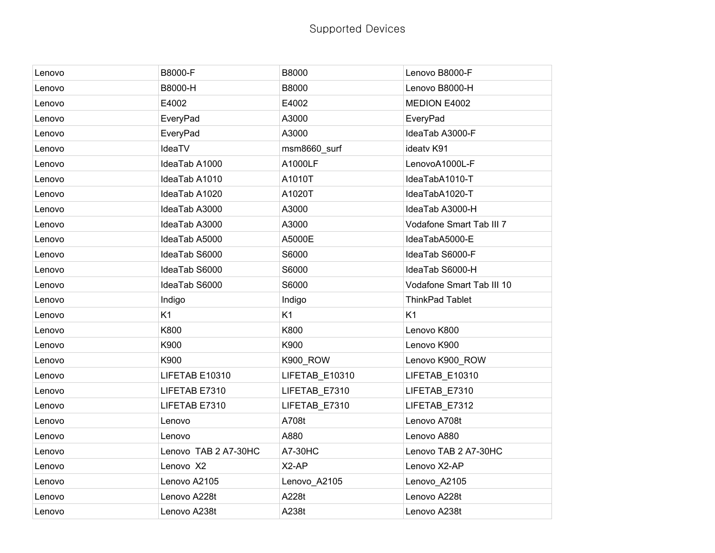| Lenovo | B8000-F              | B8000          | Lenovo B8000-F            |
|--------|----------------------|----------------|---------------------------|
| Lenovo | B8000-H              | B8000          | Lenovo B8000-H            |
| Lenovo | E4002                | E4002          | MEDION E4002              |
| Lenovo | EveryPad             | A3000          | EveryPad                  |
| Lenovo | EveryPad             | A3000          | IdeaTab A3000-F           |
| Lenovo | IdeaTV               | msm8660_surf   | ideatv K91                |
| Lenovo | IdeaTab A1000        | A1000LF        | LenovoA1000L-F            |
| Lenovo | IdeaTab A1010        | A1010T         | IdeaTabA1010-T            |
| Lenovo | IdeaTab A1020        | A1020T         | IdeaTabA1020-T            |
| Lenovo | IdeaTab A3000        | A3000          | IdeaTab A3000-H           |
| Lenovo | IdeaTab A3000        | A3000          | Vodafone Smart Tab III 7  |
| Lenovo | IdeaTab A5000        | A5000E         | IdeaTabA5000-E            |
| Lenovo | IdeaTab S6000        | S6000          | IdeaTab S6000-F           |
| Lenovo | IdeaTab S6000        | S6000          | IdeaTab S6000-H           |
| Lenovo | IdeaTab S6000        | S6000          | Vodafone Smart Tab III 10 |
| Lenovo | Indigo               | Indigo         | ThinkPad Tablet           |
| Lenovo | K <sub>1</sub>       | K1             | K <sub>1</sub>            |
| Lenovo | K800                 | K800           | Lenovo K800               |
| Lenovo | K900                 | K900           | Lenovo K900               |
| Lenovo | K900                 | K900_ROW       | Lenovo K900_ROW           |
| Lenovo | LIFETAB E10310       | LIFETAB_E10310 | LIFETAB_E10310            |
| Lenovo | LIFETAB E7310        | LIFETAB_E7310  | LIFETAB_E7310             |
| Lenovo | LIFETAB E7310        | LIFETAB_E7310  | LIFETAB_E7312             |
| Lenovo | Lenovo               | A708t          | Lenovo A708t              |
| Lenovo | Lenovo               | A880           | Lenovo A880               |
| Lenovo | Lenovo TAB 2 A7-30HC | A7-30HC        | Lenovo TAB 2 A7-30HC      |
| Lenovo | Lenovo X2            | X2-AP          | Lenovo X2-AP              |
| Lenovo | Lenovo A2105         | Lenovo_A2105   | Lenovo_A2105              |
| Lenovo | Lenovo A228t         | A228t          | Lenovo A228t              |
| Lenovo | Lenovo A238t         | A238t          | Lenovo A238t              |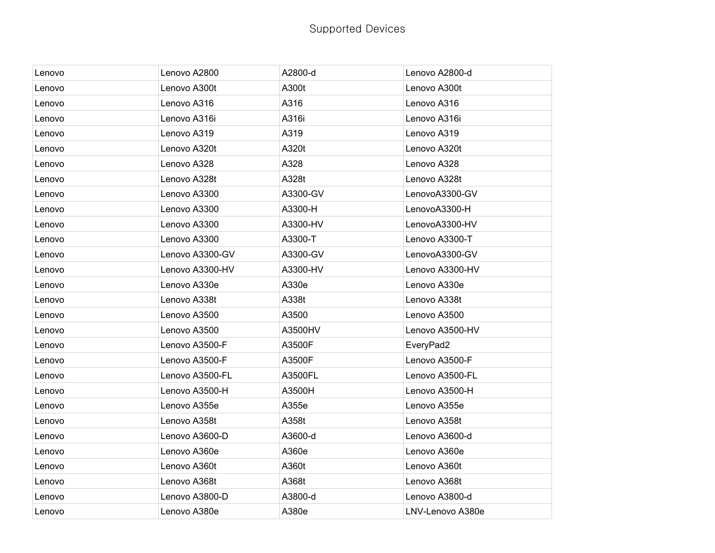| Lenovo | Lenovo A2800    | A2800-d  | Lenovo A2800-d   |
|--------|-----------------|----------|------------------|
| Lenovo | Lenovo A300t    | A300t    | Lenovo A300t     |
| Lenovo | Lenovo A316     | A316     | Lenovo A316      |
| Lenovo | Lenovo A316i    | A316i    | Lenovo A316i     |
| Lenovo | Lenovo A319     | A319     | Lenovo A319      |
| Lenovo | Lenovo A320t    | A320t    | Lenovo A320t     |
| Lenovo | Lenovo A328     | A328     | Lenovo A328      |
| Lenovo | Lenovo A328t    | A328t    | Lenovo A328t     |
| Lenovo | Lenovo A3300    | A3300-GV | LenovoA3300-GV   |
| Lenovo | Lenovo A3300    | A3300-H  | LenovoA3300-H    |
| Lenovo | Lenovo A3300    | A3300-HV | LenovoA3300-HV   |
| Lenovo | Lenovo A3300    | A3300-T  | Lenovo A3300-T   |
| Lenovo | Lenovo A3300-GV | A3300-GV | LenovoA3300-GV   |
| Lenovo | Lenovo A3300-HV | A3300-HV | Lenovo A3300-HV  |
| Lenovo | Lenovo A330e    | A330e    | Lenovo A330e     |
| Lenovo | Lenovo A338t    | A338t    | Lenovo A338t     |
| Lenovo | Lenovo A3500    | A3500    | Lenovo A3500     |
| Lenovo | Lenovo A3500    | A3500HV  | Lenovo A3500-HV  |
| Lenovo | Lenovo A3500-F  | A3500F   | EveryPad2        |
| Lenovo | Lenovo A3500-F  | A3500F   | Lenovo A3500-F   |
| Lenovo | Lenovo A3500-FL | A3500FL  | Lenovo A3500-FL  |
| Lenovo | Lenovo A3500-H  | A3500H   | Lenovo A3500-H   |
| Lenovo | Lenovo A355e    | A355e    | Lenovo A355e     |
| Lenovo | Lenovo A358t    | A358t    | Lenovo A358t     |
| Lenovo | Lenovo A3600-D  | A3600-d  | Lenovo A3600-d   |
| Lenovo | Lenovo A360e    | A360e    | Lenovo A360e     |
| Lenovo | Lenovo A360t    | A360t    | Lenovo A360t     |
| Lenovo | Lenovo A368t    | A368t    | Lenovo A368t     |
| Lenovo | Lenovo A3800-D  | A3800-d  | Lenovo A3800-d   |
| Lenovo | Lenovo A380e    | A380e    | LNV-Lenovo A380e |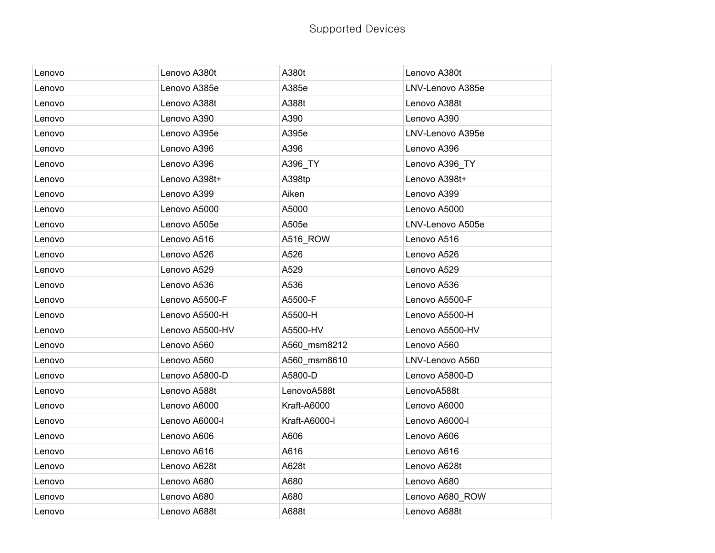| Lenovo | Lenovo A380t    | A380t         | Lenovo A380t     |
|--------|-----------------|---------------|------------------|
| Lenovo | Lenovo A385e    | A385e         | LNV-Lenovo A385e |
| Lenovo | Lenovo A388t    | A388t         | Lenovo A388t     |
| Lenovo | Lenovo A390     | A390          | Lenovo A390      |
| Lenovo | Lenovo A395e    | A395e         | LNV-Lenovo A395e |
| Lenovo | Lenovo A396     | A396          | Lenovo A396      |
| Lenovo | Lenovo A396     | A396_TY       | Lenovo A396_TY   |
| Lenovo | Lenovo A398t+   | A398tp        | Lenovo A398t+    |
| Lenovo | Lenovo A399     | Aiken         | Lenovo A399      |
| Lenovo | Lenovo A5000    | A5000         | Lenovo A5000     |
| Lenovo | Lenovo A505e    | A505e         | LNV-Lenovo A505e |
| Lenovo | Lenovo A516     | A516_ROW      | Lenovo A516      |
| Lenovo | Lenovo A526     | A526          | Lenovo A526      |
| Lenovo | Lenovo A529     | A529          | Lenovo A529      |
| Lenovo | Lenovo A536     | A536          | Lenovo A536      |
| Lenovo | Lenovo A5500-F  | A5500-F       | Lenovo A5500-F   |
| Lenovo | Lenovo A5500-H  | A5500-H       | Lenovo A5500-H   |
| Lenovo | Lenovo A5500-HV | A5500-HV      | Lenovo A5500-HV  |
| Lenovo | Lenovo A560     | A560_msm8212  | Lenovo A560      |
| Lenovo | Lenovo A560     | A560_msm8610  | LNV-Lenovo A560  |
| Lenovo | Lenovo A5800-D  | A5800-D       | Lenovo A5800-D   |
| Lenovo | Lenovo A588t    | LenovoA588t   | LenovoA588t      |
| Lenovo | Lenovo A6000    | Kraft-A6000   | Lenovo A6000     |
| Lenovo | Lenovo A6000-l  | Kraft-A6000-I | Lenovo A6000-l   |
| Lenovo | Lenovo A606     | A606          | Lenovo A606      |
| Lenovo | Lenovo A616     | A616          | Lenovo A616      |
| Lenovo | Lenovo A628t    | A628t         | Lenovo A628t     |
| Lenovo | Lenovo A680     | A680          | Lenovo A680      |
| Lenovo | Lenovo A680     | A680          | Lenovo A680_ROW  |
| Lenovo | Lenovo A688t    | A688t         | Lenovo A688t     |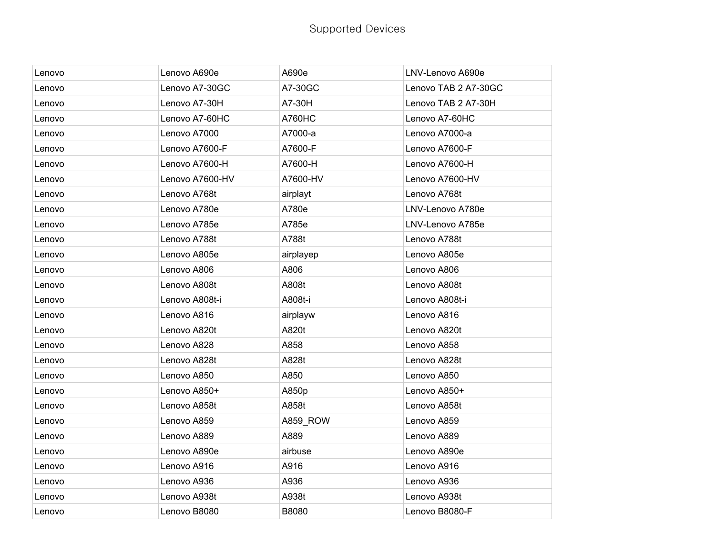| Lenovo | Lenovo A690e    | A690e         | LNV-Lenovo A690e     |
|--------|-----------------|---------------|----------------------|
| Lenovo | Lenovo A7-30GC  | A7-30GC       | Lenovo TAB 2 A7-30GC |
| Lenovo | Lenovo A7-30H   | A7-30H        | Lenovo TAB 2 A7-30H  |
| Lenovo | Lenovo A7-60HC  | <b>A760HC</b> | Lenovo A7-60HC       |
| Lenovo | Lenovo A7000    | A7000-a       | Lenovo A7000-a       |
| Lenovo | Lenovo A7600-F  | A7600-F       | Lenovo A7600-F       |
| Lenovo | Lenovo A7600-H  | A7600-H       | Lenovo A7600-H       |
| Lenovo | Lenovo A7600-HV | A7600-HV      | Lenovo A7600-HV      |
| Lenovo | Lenovo A768t    | airplayt      | Lenovo A768t         |
| Lenovo | Lenovo A780e    | A780e         | LNV-Lenovo A780e     |
| Lenovo | Lenovo A785e    | A785e         | LNV-Lenovo A785e     |
| Lenovo | Lenovo A788t    | A788t         | Lenovo A788t         |
| Lenovo | Lenovo A805e    | airplayep     | Lenovo A805e         |
| Lenovo | Lenovo A806     | A806          | Lenovo A806          |
| Lenovo | Lenovo A808t    | A808t         | Lenovo A808t         |
| Lenovo | Lenovo A808t-i  | A808t-i       | Lenovo A808t-i       |
| Lenovo | Lenovo A816     | airplayw      | Lenovo A816          |
| Lenovo | Lenovo A820t    | A820t         | Lenovo A820t         |
| Lenovo | Lenovo A828     | A858          | Lenovo A858          |
| Lenovo | Lenovo A828t    | A828t         | Lenovo A828t         |
| Lenovo | Lenovo A850     | A850          | Lenovo A850          |
| Lenovo | Lenovo A850+    | A850p         | Lenovo A850+         |
| Lenovo | Lenovo A858t    | A858t         | Lenovo A858t         |
| Lenovo | Lenovo A859     | A859_ROW      | Lenovo A859          |
| Lenovo | Lenovo A889     | A889          | Lenovo A889          |
| Lenovo | Lenovo A890e    | airbuse       | Lenovo A890e         |
| Lenovo | Lenovo A916     | A916          | Lenovo A916          |
| Lenovo | Lenovo A936     | A936          | Lenovo A936          |
| Lenovo | Lenovo A938t    | A938t         | Lenovo A938t         |
| Lenovo | Lenovo B8080    | B8080         | Lenovo B8080-F       |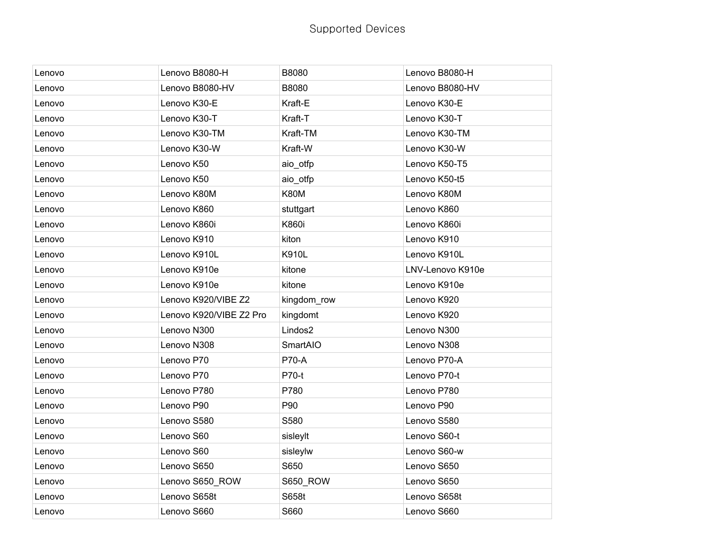| Lenovo | Lenovo B8080-H          | B8080        | Lenovo B8080-H   |
|--------|-------------------------|--------------|------------------|
| Lenovo | Lenovo B8080-HV         | B8080        | Lenovo B8080-HV  |
| Lenovo | Lenovo K30-E            | Kraft-E      | Lenovo K30-E     |
| Lenovo | Lenovo K30-T            | Kraft-T      | Lenovo K30-T     |
| Lenovo | Lenovo K30-TM           | Kraft-TM     | Lenovo K30-TM    |
| Lenovo | Lenovo K30-W            | Kraft-W      | Lenovo K30-W     |
| Lenovo | Lenovo K50              | aio_otfp     | Lenovo K50-T5    |
| Lenovo | Lenovo K50              | aio_otfp     | Lenovo K50-t5    |
| Lenovo | Lenovo K80M             | <b>K80M</b>  | Lenovo K80M      |
| Lenovo | Lenovo K860             | stuttgart    | Lenovo K860      |
| Lenovo | Lenovo K860i            | K860i        | Lenovo K860i     |
| Lenovo | Lenovo K910             | kiton        | Lenovo K910      |
| Lenovo | Lenovo K910L            | K910L        | Lenovo K910L     |
| Lenovo | Lenovo K910e            | kitone       | LNV-Lenovo K910e |
| Lenovo | Lenovo K910e            | kitone       | Lenovo K910e     |
| Lenovo | Lenovo K920/VIBE Z2     | kingdom_row  | Lenovo K920      |
| Lenovo | Lenovo K920/VIBE Z2 Pro | kingdomt     | Lenovo K920      |
| Lenovo | Lenovo N300             | Lindos2      | Lenovo N300      |
| Lenovo | Lenovo N308             | SmartAIO     | Lenovo N308      |
| Lenovo | Lenovo P70              | <b>P70-A</b> | Lenovo P70-A     |
| Lenovo | Lenovo P70              | P70-t        | Lenovo P70-t     |
| Lenovo | Lenovo P780             | P780         | Lenovo P780      |
| Lenovo | Lenovo P90              | P90          | Lenovo P90       |
| Lenovo | Lenovo S580             | S580         | Lenovo S580      |
| Lenovo | Lenovo S60              | sisleylt     | Lenovo S60-t     |
| Lenovo | Lenovo S60              | sisleylw     | Lenovo S60-w     |
| Lenovo | Lenovo S650             | S650         | Lenovo S650      |
| Lenovo | Lenovo S650_ROW         | S650_ROW     | Lenovo S650      |
| Lenovo | Lenovo S658t            | S658t        | Lenovo S658t     |
| Lenovo | Lenovo S660             | S660         | Lenovo S660      |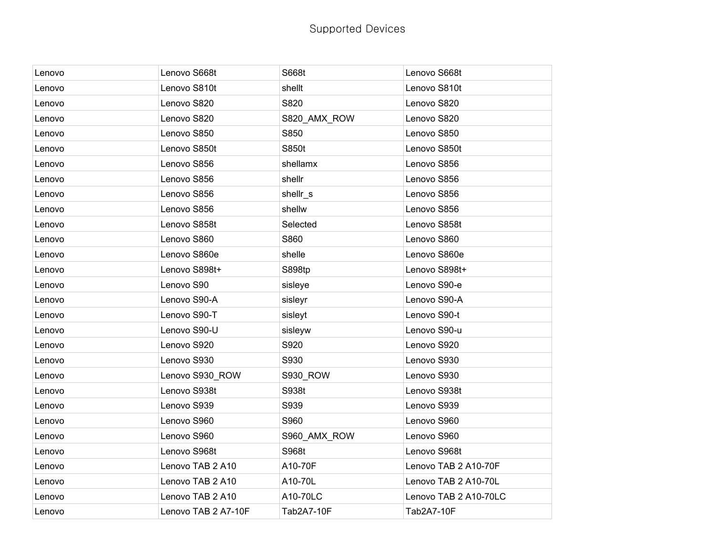|        |                     | S668t        | Lenovo S668t          |
|--------|---------------------|--------------|-----------------------|
| Lenovo | Lenovo S668t        |              |                       |
| Lenovo | Lenovo S810t        | shellt       | Lenovo S810t          |
| Lenovo | Lenovo S820         | S820         | Lenovo S820           |
| Lenovo | Lenovo S820         | S820_AMX_ROW | Lenovo S820           |
| Lenovo | Lenovo S850         | S850         | Lenovo S850           |
| Lenovo | Lenovo S850t        | S850t        | Lenovo S850t          |
| Lenovo | Lenovo S856         | shellamx     | Lenovo S856           |
| Lenovo | Lenovo S856         | shellr       | Lenovo S856           |
| Lenovo | Lenovo S856         | shellr_s     | Lenovo S856           |
| Lenovo | Lenovo S856         | shellw       | Lenovo S856           |
| Lenovo | Lenovo S858t        | Selected     | Lenovo S858t          |
| Lenovo | Lenovo S860         | S860         | Lenovo S860           |
| Lenovo | Lenovo S860e        | shelle       | Lenovo S860e          |
| Lenovo | Lenovo S898t+       | S898tp       | Lenovo S898t+         |
| Lenovo | Lenovo S90          | sisleye      | Lenovo S90-e          |
| Lenovo | Lenovo S90-A        | sisleyr      | Lenovo S90-A          |
| Lenovo | Lenovo S90-T        | sisleyt      | Lenovo S90-t          |
| Lenovo | Lenovo S90-U        | sisleyw      | Lenovo S90-u          |
| Lenovo | Lenovo S920         | S920         | Lenovo S920           |
| Lenovo | Lenovo S930         | S930         | Lenovo S930           |
| Lenovo | Lenovo S930 ROW     | S930_ROW     | Lenovo S930           |
| Lenovo | Lenovo S938t        | S938t        | Lenovo S938t          |
| Lenovo | Lenovo S939         | S939         | Lenovo S939           |
| Lenovo | Lenovo S960         | S960         | Lenovo S960           |
| Lenovo | Lenovo S960         | S960_AMX_ROW | Lenovo S960           |
| Lenovo | Lenovo S968t        | S968t        | Lenovo S968t          |
| Lenovo | Lenovo TAB 2 A10    | A10-70F      | Lenovo TAB 2 A10-70F  |
| Lenovo | Lenovo TAB 2 A10    | A10-70L      | Lenovo TAB 2 A10-70L  |
| Lenovo | Lenovo TAB 2 A10    | A10-70LC     | Lenovo TAB 2 A10-70LC |
| Lenovo | Lenovo TAB 2 A7-10F | Tab2A7-10F   | Tab2A7-10F            |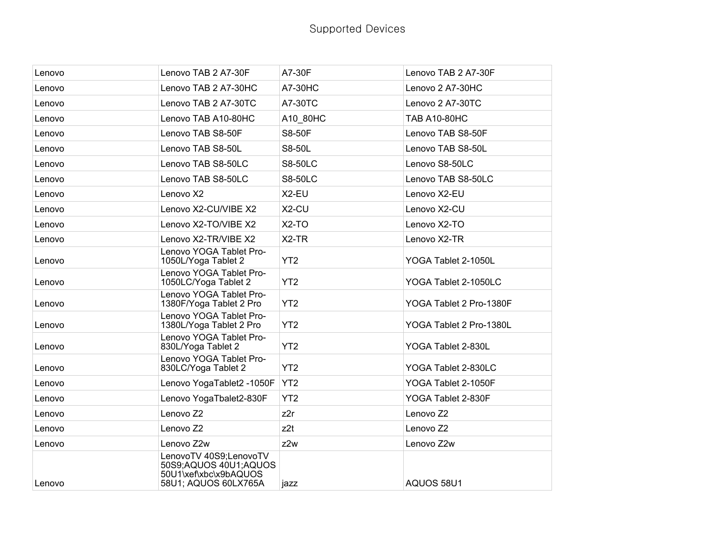| Lenovo | Lenovo TAB 2 A7-30F                                                                              | A7-30F          | Lenovo TAB 2 A7-30F     |
|--------|--------------------------------------------------------------------------------------------------|-----------------|-------------------------|
| Lenovo | Lenovo TAB 2 A7-30HC                                                                             | A7-30HC         | Lenovo 2 A7-30HC        |
| Lenovo | Lenovo TAB 2 A7-30TC                                                                             | A7-30TC         | Lenovo 2 A7-30TC        |
| Lenovo | Lenovo TAB A10-80HC                                                                              | A10_80HC        | <b>TAB A10-80HC</b>     |
| Lenovo | Lenovo TAB S8-50F                                                                                | S8-50F          | Lenovo TAB S8-50F       |
| Lenovo | Lenovo TAB S8-50L                                                                                | S8-50L          | Lenovo TAB S8-50L       |
| Lenovo | Lenovo TAB S8-50LC                                                                               | <b>S8-50LC</b>  | Lenovo S8-50LC          |
| Lenovo | Lenovo TAB S8-50LC                                                                               | <b>S8-50LC</b>  | Lenovo TAB S8-50LC      |
| Lenovo | Lenovo X2                                                                                        | X2-EU           | Lenovo X2-EU            |
| Lenovo | Lenovo X2-CU/VIBE X2                                                                             | X2-CU           | Lenovo X2-CU            |
| Lenovo | Lenovo X2-TO/VIBE X2                                                                             | $X2-TO$         | Lenovo X2-TO            |
| Lenovo | Lenovo X2-TR/VIBE X2                                                                             | $X2-TR$         | Lenovo X2-TR            |
| Lenovo | Lenovo YOGA Tablet Pro-<br>1050L/Yoga Tablet 2                                                   | YT <sub>2</sub> | YOGA Tablet 2-1050L     |
| Lenovo | Lenovo YOGA Tablet Pro-<br>1050LC/Yoga Tablet 2                                                  | YT <sub>2</sub> | YOGA Tablet 2-1050LC    |
| Lenovo | Lenovo YOGA Tablet Pro-<br>1380F/Yoga Tablet 2 Pro                                               | YT <sub>2</sub> | YOGA Tablet 2 Pro-1380F |
| Lenovo | Lenovo YOGA Tablet Pro-<br>1380L/Yoga Tablet 2 Pro                                               | YT <sub>2</sub> | YOGA Tablet 2 Pro-1380L |
| Lenovo | Lenovo YOGA Tablet Pro-<br>830L/Yoga Tablet 2                                                    | YT <sub>2</sub> | YOGA Tablet 2-830L      |
| Lenovo | Lenovo YOGA Tablet Pro-<br>830LC/Yoga Tablet 2                                                   | YT <sub>2</sub> | YOGA Tablet 2-830LC     |
| Lenovo | Lenovo YogaTablet2 -1050F                                                                        | YT <sub>2</sub> | YOGA Tablet 2-1050F     |
| Lenovo | Lenovo YogaTbalet2-830F                                                                          | YT <sub>2</sub> | YOGA Tablet 2-830F      |
| Lenovo | Lenovo <sub>Z2</sub>                                                                             | z2r             | Lenovo <sub>Z2</sub>    |
| Lenovo | Lenovo <sub>Z2</sub>                                                                             | z <sub>2t</sub> | Lenovo <sub>Z2</sub>    |
| Lenovo | Lenovo Z2w                                                                                       | z2w             | Lenovo Z2w              |
| Lenovo | LenovoTV 40S9;LenovoTV<br>50S9;AQUOS 40U1;AQUOS<br>50U1\xef\xbc\x9bAQUOS<br>58U1; AQUOS 60LX765A | jazz            | AQUOS 58U1              |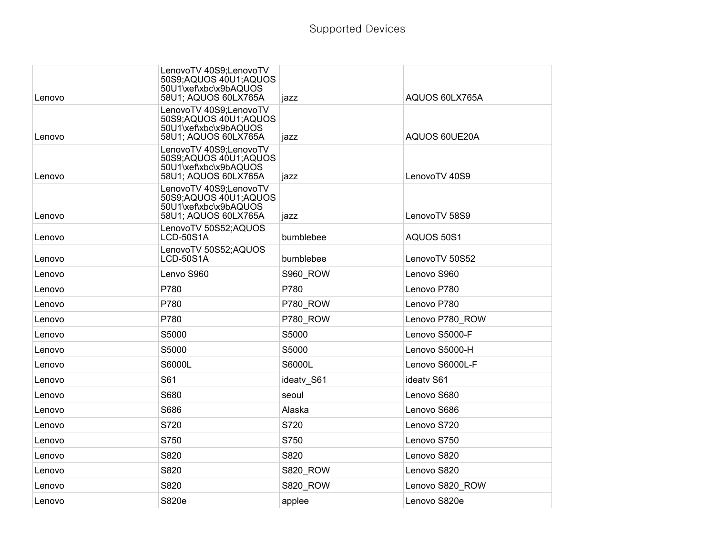| Lenovo | LenovoTV 40S9;LenovoTV<br>50S9;AQUOS 40U1;AQUOS<br>50U1\xef\xbc\x9bAQUOS<br>58U1; AQUOS 60LX765A | jazz            | AQUOS 60LX765A  |
|--------|--------------------------------------------------------------------------------------------------|-----------------|-----------------|
| Lenovo | LenovoTV 40S9;LenovoTV<br>50S9;AQUOS 40U1;AQUOS<br>50U1\xef\xbc\x9bAQUOS<br>58U1; AQUOS 60LX765A | jazz            | AQUOS 60UE20A   |
| Lenovo | LenovoTV 40S9;LenovoTV<br>50S9;AQUOS 40U1;AQUOS<br>50U1\xef\xbc\x9bAQUOS<br>58U1; AQUOS 60LX765A | jazz            | LenovoTV 40S9   |
| Lenovo | LenovoTV 40S9;LenovoTV<br>50S9;AQUOS 40U1;AQUOS<br>50U1\xef\xbc\x9bAQUOS<br>58U1; AQUOS 60LX765A | jazz            | LenovoTV 58S9   |
| Lenovo | LenovoTV 50S52;AQUOS<br><b>LCD-50S1A</b>                                                         | bumblebee       | AQUOS 50S1      |
| Lenovo | LenovoTV 50S52;AQUOS<br><b>LCD-50S1A</b>                                                         | bumblebee       | LenovoTV 50S52  |
| Lenovo | Lenvo S960                                                                                       | <b>S960_ROW</b> | Lenovo S960     |
| Lenovo | P780                                                                                             | P780            | Lenovo P780     |
| Lenovo | P780                                                                                             | P780 ROW        | Lenovo P780     |
| Lenovo | P780                                                                                             | P780_ROW        | Lenovo P780 ROW |
| Lenovo | S5000                                                                                            | S5000           | Lenovo S5000-F  |
| Lenovo | S5000                                                                                            | S5000           | Lenovo S5000-H  |
| Lenovo | S6000L                                                                                           | S6000L          | Lenovo S6000L-F |
| Lenovo | S61                                                                                              | ideatv_S61      | ideatv S61      |
| Lenovo | S680                                                                                             | seoul           | Lenovo S680     |
| Lenovo | S686                                                                                             | Alaska          | Lenovo S686     |
| Lenovo | S720                                                                                             | S720            | Lenovo S720     |
| Lenovo | S750                                                                                             | S750            | Lenovo S750     |
| Lenovo | S820                                                                                             | S820            | Lenovo S820     |
| Lenovo | S820                                                                                             | <b>S820_ROW</b> | Lenovo S820     |
| Lenovo | S820                                                                                             | <b>S820_ROW</b> | Lenovo S820_ROW |
| Lenovo | S820e                                                                                            | applee          | Lenovo S820e    |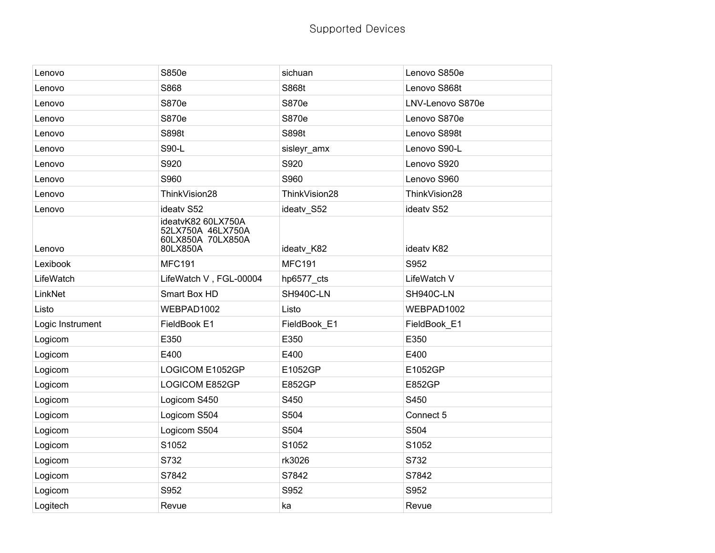| Lenovo           | S850e                                                                    | sichuan       | Lenovo S850e     |
|------------------|--------------------------------------------------------------------------|---------------|------------------|
| Lenovo           | S868                                                                     | S868t         | Lenovo S868t     |
| Lenovo           | S870e                                                                    | S870e         | LNV-Lenovo S870e |
| Lenovo           | S870e                                                                    | S870e         | Lenovo S870e     |
| Lenovo           | S898t                                                                    | S898t         | Lenovo S898t     |
| Lenovo           | S90-L                                                                    | sisleyr_amx   | Lenovo S90-L     |
| Lenovo           | S920                                                                     | S920          | Lenovo S920      |
| Lenovo           | S960                                                                     | S960          | Lenovo S960      |
| Lenovo           | ThinkVision28                                                            | ThinkVision28 | ThinkVision28    |
| Lenovo           | ideatv S52                                                               | ideatv_S52    | ideatv S52       |
| Lenovo           | ideatvK82 60LX750A<br>52LX750A 46LX750A<br>60LX850A 70LX850A<br>80LX850A | ideatv_K82    | ideatv K82       |
| Lexibook         | <b>MFC191</b>                                                            | <b>MFC191</b> | S952             |
| LifeWatch        | LifeWatch V, FGL-00004                                                   | hp6577_cts    | LifeWatch V      |
| LinkNet          | Smart Box HD                                                             | SH940C-LN     | SH940C-LN        |
| Listo            | WEBPAD1002                                                               | Listo         | WEBPAD1002       |
| Logic Instrument | FieldBook E1                                                             | FieldBook_E1  | FieldBook E1     |
| Logicom          | E350                                                                     | E350          | E350             |
| Logicom          | E400                                                                     | E400          | E400             |
| Logicom          | LOGICOM E1052GP                                                          | E1052GP       | E1052GP          |
| Logicom          | <b>LOGICOM E852GP</b>                                                    | E852GP        | <b>E852GP</b>    |
| Logicom          | Logicom S450                                                             | S450          | S450             |
| Logicom          | Logicom S504                                                             | S504          | Connect 5        |
| Logicom          | Logicom S504                                                             | S504          | S504             |
| Logicom          | S1052                                                                    | S1052         | S1052            |
| Logicom          | S732                                                                     | rk3026        | S732             |
| Logicom          | S7842                                                                    | S7842         | S7842            |
| Logicom          | S952                                                                     | S952          | S952             |
| Logitech         | Revue                                                                    | ka            | Revue            |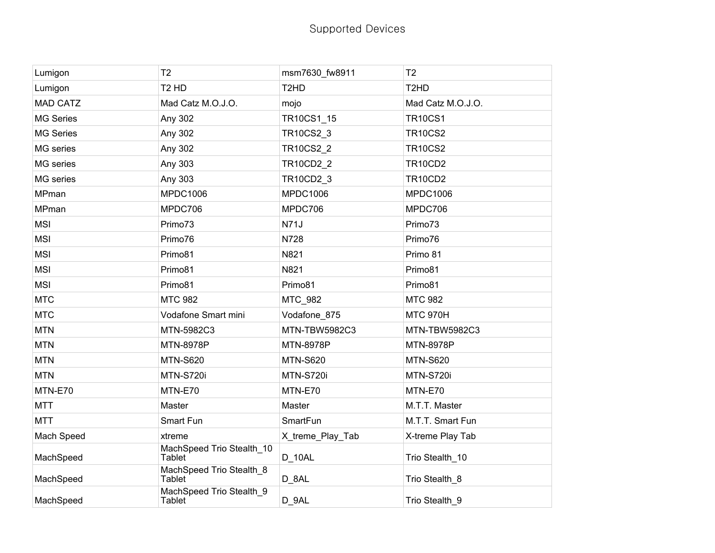| Lumigon          | T <sub>2</sub>                             | msm7630_fw8911                | T <sub>2</sub>                |
|------------------|--------------------------------------------|-------------------------------|-------------------------------|
| Lumigon          | T <sub>2</sub> H <sub>D</sub>              | T <sub>2</sub> H <sub>D</sub> | T <sub>2</sub> H <sub>D</sub> |
| <b>MAD CATZ</b>  | Mad Catz M.O.J.O.                          | mojo                          | Mad Catz M.O.J.O.             |
| <b>MG Series</b> | Any 302                                    | TR10CS1_15                    | <b>TR10CS1</b>                |
| <b>MG Series</b> | Any 302                                    | TR10CS2_3                     | <b>TR10CS2</b>                |
| MG series        | Any 302                                    | TR10CS2_2                     | <b>TR10CS2</b>                |
| MG series        | Any 303                                    | <b>TR10CD2 2</b>              | <b>TR10CD2</b>                |
| MG series        | Any 303                                    | TR10CD2_3                     | <b>TR10CD2</b>                |
| MPman            | <b>MPDC1006</b>                            | <b>MPDC1006</b>               | <b>MPDC1006</b>               |
| MPman            | MPDC706                                    | MPDC706                       | MPDC706                       |
| <b>MSI</b>       | Primo73                                    | <b>N71J</b>                   | Primo73                       |
| <b>MSI</b>       | Primo76                                    | N728                          | Primo76                       |
| <b>MSI</b>       | Primo81                                    | N821                          | Primo 81                      |
| <b>MSI</b>       | Primo81                                    | N821                          | Primo81                       |
| <b>MSI</b>       | Primo81                                    | Primo81                       | Primo81                       |
| <b>MTC</b>       | <b>MTC 982</b>                             | MTC 982                       | <b>MTC 982</b>                |
| <b>MTC</b>       | Vodafone Smart mini                        | Vodafone_875                  | <b>MTC 970H</b>               |
| <b>MTN</b>       | MTN-5982C3                                 | MTN-TBW5982C3                 | MTN-TBW5982C3                 |
| <b>MTN</b>       | MTN-8978P                                  | MTN-8978P                     | MTN-8978P                     |
| <b>MTN</b>       | <b>MTN-S620</b>                            | <b>MTN-S620</b>               | <b>MTN-S620</b>               |
| <b>MTN</b>       | MTN-S720i                                  | MTN-S720i                     | MTN-S720i                     |
| MTN-E70          | MTN-E70                                    | MTN-E70                       | MTN-E70                       |
| <b>MTT</b>       | Master                                     | Master                        | M.T.T. Master                 |
| <b>MTT</b>       | Smart Fun                                  | SmartFun                      | M.T.T. Smart Fun              |
| Mach Speed       | xtreme                                     | X_treme_Play_Tab              | X-treme Play Tab              |
| MachSpeed        | MachSpeed Trio Stealth_10<br><b>Tablet</b> | D_10AL                        | Trio Stealth_10               |
| MachSpeed        | MachSpeed Trio Stealth_8<br><b>Tablet</b>  | D_8AL                         | Trio Stealth 8                |
| MachSpeed        | MachSpeed Trio Stealth 9<br>Tablet         | D_9AL                         | Trio Stealth_9                |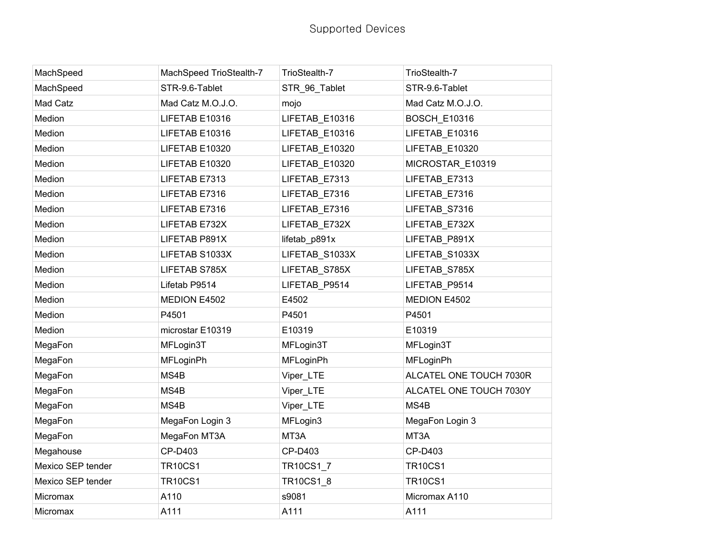| MachSpeed         | MachSpeed TrioStealth-7 | TrioStealth-7  | TrioStealth-7           |
|-------------------|-------------------------|----------------|-------------------------|
| MachSpeed         | STR-9.6-Tablet          | STR 96 Tablet  | STR-9.6-Tablet          |
| Mad Catz          | Mad Catz M.O.J.O.       | mojo           | Mad Catz M.O.J.O.       |
| Medion            | LIFETAB E10316          | LIFETAB_E10316 | <b>BOSCH_E10316</b>     |
| Medion            | LIFETAB E10316          | LIFETAB_E10316 | LIFETAB_E10316          |
| Medion            | LIFETAB E10320          | LIFETAB_E10320 | LIFETAB_E10320          |
| Medion            | LIFETAB E10320          | LIFETAB_E10320 | MICROSTAR_E10319        |
| Medion            | LIFETAB E7313           | LIFETAB E7313  | LIFETAB E7313           |
| Medion            | LIFETAB E7316           | LIFETAB_E7316  | LIFETAB_E7316           |
| Medion            | LIFETAB E7316           | LIFETAB_E7316  | LIFETAB_S7316           |
| Medion            | LIFETAB E732X           | LIFETAB_E732X  | LIFETAB_E732X           |
| Medion            | LIFETAB P891X           | lifetab_p891x  | LIFETAB_P891X           |
| Medion            | LIFETAB S1033X          | LIFETAB_S1033X | LIFETAB_S1033X          |
| Medion            | LIFETAB S785X           | LIFETAB_S785X  | LIFETAB_S785X           |
| Medion            | Lifetab P9514           | LIFETAB_P9514  | LIFETAB_P9514           |
| Medion            | MEDION E4502            | E4502          | MEDION E4502            |
| Medion            | P4501                   | P4501          | P4501                   |
| Medion            | microstar E10319        | E10319         | E10319                  |
| MegaFon           | MFLogin3T               | MFLogin3T      | MFLogin3T               |
| MegaFon           | <b>MFLoginPh</b>        | MFLoginPh      | MFLoginPh               |
| MegaFon           | MS4B                    | Viper_LTE      | ALCATEL ONE TOUCH 7030R |
| MegaFon           | MS4B                    | Viper_LTE      | ALCATEL ONE TOUCH 7030Y |
| MegaFon           | MS4B                    | Viper_LTE      | MS4B                    |
| MegaFon           | MegaFon Login 3         | MFLogin3       | MegaFon Login 3         |
| MegaFon           | MegaFon MT3A            | MT3A           | MT3A                    |
| Megahouse         | CP-D403                 | CP-D403        | CP-D403                 |
| Mexico SEP tender | <b>TR10CS1</b>          | TR10CS1_7      | <b>TR10CS1</b>          |
| Mexico SEP tender | <b>TR10CS1</b>          | TR10CS1_8      | <b>TR10CS1</b>          |
| Micromax          | A110                    | s9081          | Micromax A110           |
| Micromax          | A111                    | A111           | A111                    |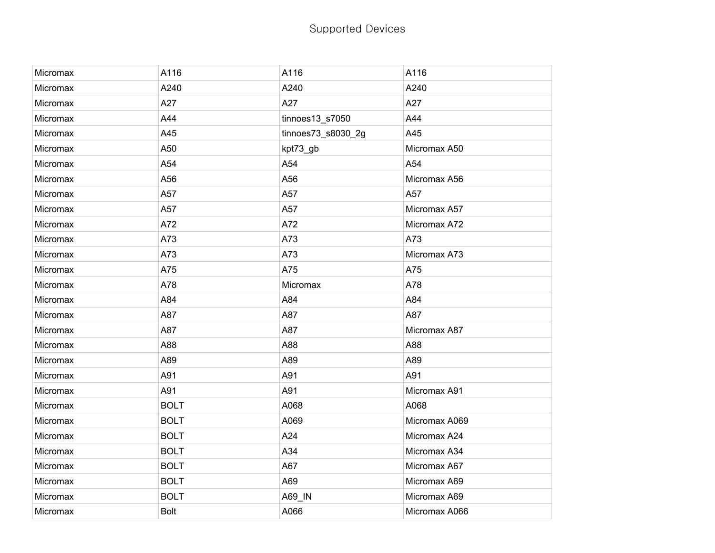| Micromax | A116        | A116               | A116          |
|----------|-------------|--------------------|---------------|
| Micromax | A240        | A240               | A240          |
| Micromax | A27         | A27                | A27           |
| Micromax | A44         | tinnoes13_s7050    | A44           |
| Micromax | A45         | tinnoes73_s8030_2g | A45           |
| Micromax | A50         | kpt73_gb           | Micromax A50  |
| Micromax | A54         | A54                | A54           |
| Micromax | A56         | A56                | Micromax A56  |
| Micromax | A57         | A57                | A57           |
| Micromax | A57         | A57                | Micromax A57  |
| Micromax | A72         | A72                | Micromax A72  |
| Micromax | A73         | A73                | A73           |
| Micromax | A73         | A73                | Micromax A73  |
| Micromax | A75         | A75                | A75           |
| Micromax | A78         | Micromax           | A78           |
| Micromax | A84         | A84                | A84           |
| Micromax | A87         | A87                | A87           |
| Micromax | A87         | A87                | Micromax A87  |
| Micromax | A88         | A88                | A88           |
| Micromax | A89         | A89                | A89           |
| Micromax | A91         | A91                | A91           |
| Micromax | A91         | A91                | Micromax A91  |
| Micromax | <b>BOLT</b> | A068               | A068          |
| Micromax | <b>BOLT</b> | A069               | Micromax A069 |
| Micromax | <b>BOLT</b> | A24                | Micromax A24  |
| Micromax | <b>BOLT</b> | A34                | Micromax A34  |
| Micromax | <b>BOLT</b> | A67                | Micromax A67  |
| Micromax | <b>BOLT</b> | A69                | Micromax A69  |
| Micromax | <b>BOLT</b> | A69_IN             | Micromax A69  |
| Micromax | <b>Bolt</b> | A066               | Micromax A066 |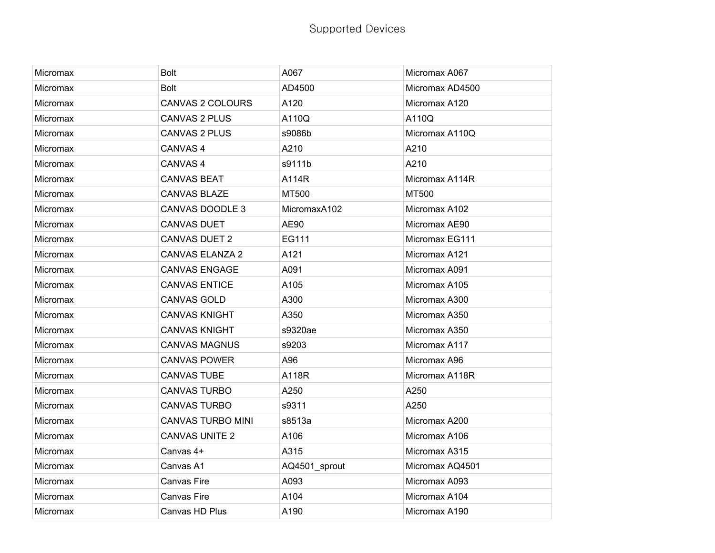| Micromax        | <b>Bolt</b>              | A067          | Micromax A067   |
|-----------------|--------------------------|---------------|-----------------|
| Micromax        | <b>Bolt</b>              | AD4500        | Micromax AD4500 |
| Micromax        | <b>CANVAS 2 COLOURS</b>  | A120          | Micromax A120   |
| <b>Micromax</b> | <b>CANVAS 2 PLUS</b>     | A110Q         | A110Q           |
| Micromax        | <b>CANVAS 2 PLUS</b>     | s9086b        | Micromax A110Q  |
| Micromax        | CANVAS <sub>4</sub>      | A210          | A210            |
| <b>Micromax</b> | CANVAS <sub>4</sub>      | s9111b        | A210            |
| <b>Micromax</b> | <b>CANVAS BEAT</b>       | A114R         | Micromax A114R  |
| Micromax        | <b>CANVAS BLAZE</b>      | MT500         | MT500           |
| Micromax        | CANVAS DOODLE 3          | MicromaxA102  | Micromax A102   |
| <b>Micromax</b> | <b>CANVAS DUET</b>       | AE90          | Micromax AE90   |
| <b>Micromax</b> | <b>CANVAS DUET 2</b>     | EG111         | Micromax EG111  |
| Micromax        | <b>CANVAS ELANZA 2</b>   | A121          | Micromax A121   |
| Micromax        | <b>CANVAS ENGAGE</b>     | A091          | Micromax A091   |
| Micromax        | <b>CANVAS ENTICE</b>     | A105          | Micromax A105   |
| Micromax        | <b>CANVAS GOLD</b>       | A300          | Micromax A300   |
| Micromax        | <b>CANVAS KNIGHT</b>     | A350          | Micromax A350   |
| Micromax        | <b>CANVAS KNIGHT</b>     | s9320ae       | Micromax A350   |
| Micromax        | <b>CANVAS MAGNUS</b>     | s9203         | Micromax A117   |
| Micromax        | <b>CANVAS POWER</b>      | A96           | Micromax A96    |
| Micromax        | <b>CANVAS TUBE</b>       | A118R         | Micromax A118R  |
| Micromax        | <b>CANVAS TURBO</b>      | A250          | A250            |
| Micromax        | <b>CANVAS TURBO</b>      | s9311         | A250            |
| Micromax        | <b>CANVAS TURBO MINI</b> | s8513a        | Micromax A200   |
| Micromax        | <b>CANVAS UNITE 2</b>    | A106          | Micromax A106   |
| Micromax        | Canvas 4+                | A315          | Micromax A315   |
| Micromax        | Canvas A1                | AQ4501_sprout | Micromax AQ4501 |
| Micromax        | Canvas Fire              | A093          | Micromax A093   |
| Micromax        | <b>Canvas Fire</b>       | A104          | Micromax A104   |
| <b>Micromax</b> | Canvas HD Plus           | A190          | Micromax A190   |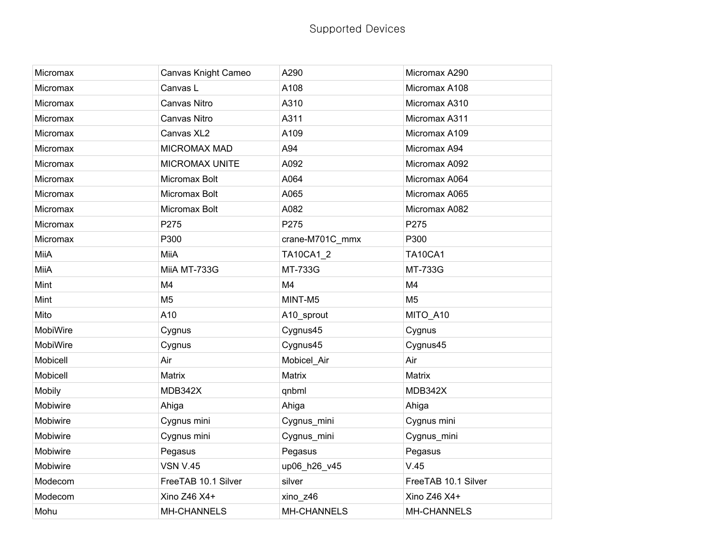| Micromax        | Canvas Knight Cameo | A290               | Micromax A290       |
|-----------------|---------------------|--------------------|---------------------|
| <b>Micromax</b> | Canvas L            | A108               | Micromax A108       |
| Micromax        | Canvas Nitro        | A310               | Micromax A310       |
| Micromax        | Canvas Nitro        | A311               | Micromax A311       |
| Micromax        | Canvas XL2          | A109               | Micromax A109       |
| Micromax        | <b>MICROMAX MAD</b> | A94                | Micromax A94        |
| Micromax        | MICROMAX UNITE      | A092               | Micromax A092       |
| Micromax        | Micromax Bolt       | A064               | Micromax A064       |
| Micromax        | Micromax Bolt       | A065               | Micromax A065       |
| Micromax        | Micromax Bolt       | A082               | Micromax A082       |
| Micromax        | P275                | P275               | P275                |
| Micromax        | P300                | crane-M701C_mmx    | P300                |
| MiiA            | MiiA                | <b>TA10CA1 2</b>   | <b>TA10CA1</b>      |
| MiiA            | MiiA MT-733G        | MT-733G            | MT-733G             |
| Mint            | M4                  | M4                 | M <sub>4</sub>      |
| Mint            | M <sub>5</sub>      | MINT-M5            | M <sub>5</sub>      |
| Mito            | A10                 | A10_sprout         | MITO_A10            |
| MobiWire        | Cygnus              | Cygnus45           | Cygnus              |
| MobiWire        | Cygnus              | Cygnus45           | Cygnus45            |
| Mobicell        | Air                 | Mobicel_Air        | Air                 |
| Mobicell        | Matrix              | Matrix             | Matrix              |
| Mobily          | MDB342X             | qnbml              | MDB342X             |
| Mobiwire        | Ahiga               | Ahiga              | Ahiga               |
| Mobiwire        | Cygnus mini         | Cygnus_mini        | Cygnus mini         |
| Mobiwire        | Cygnus mini         | Cygnus_mini        | Cygnus_mini         |
| Mobiwire        | Pegasus             | Pegasus            | Pegasus             |
| Mobiwire        | <b>VSN V.45</b>     | up06_h26_v45       | V.45                |
| Modecom         | FreeTAB 10.1 Silver | silver             | FreeTAB 10.1 Silver |
| Modecom         | Xino Z46 X4+        | xino_z46           | Xino Z46 X4+        |
| Mohu            | <b>MH-CHANNELS</b>  | <b>MH-CHANNELS</b> | <b>MH-CHANNELS</b>  |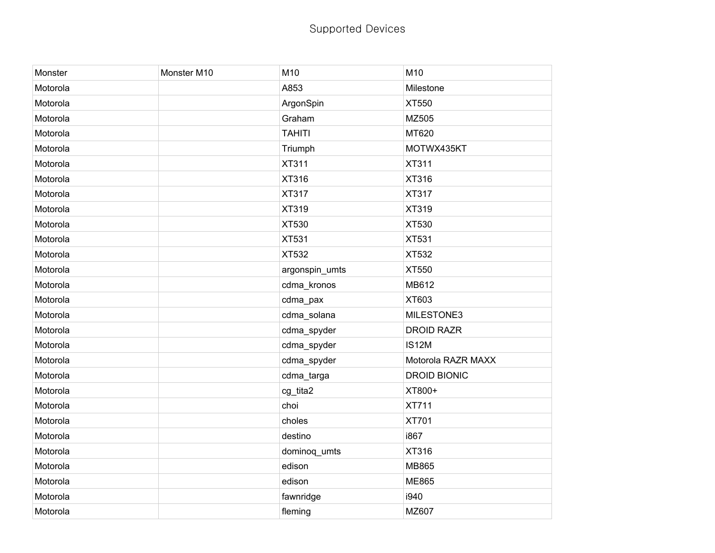| Monster  | Monster M10 | M10            | M10                 |
|----------|-------------|----------------|---------------------|
| Motorola |             | A853           | Milestone           |
| Motorola |             | ArgonSpin      | XT550               |
| Motorola |             | Graham         | MZ505               |
| Motorola |             | <b>TAHITI</b>  | MT620               |
| Motorola |             | Triumph        | MOTWX435KT          |
| Motorola |             | XT311          | <b>XT311</b>        |
| Motorola |             | XT316          | XT316               |
| Motorola |             | XT317          | <b>XT317</b>        |
| Motorola |             | XT319          | <b>XT319</b>        |
| Motorola |             | XT530          | XT530               |
| Motorola |             | <b>XT531</b>   | <b>XT531</b>        |
| Motorola |             | XT532          | XT532               |
| Motorola |             | argonspin_umts | XT550               |
| Motorola |             | cdma_kronos    | MB612               |
| Motorola |             | cdma_pax       | XT603               |
| Motorola |             | cdma_solana    | MILESTONE3          |
| Motorola |             | cdma_spyder    | <b>DROID RAZR</b>   |
| Motorola |             | cdma_spyder    | IS12M               |
| Motorola |             | cdma_spyder    | Motorola RAZR MAXX  |
| Motorola |             | cdma_targa     | <b>DROID BIONIC</b> |
| Motorola |             | cg_tita2       | XT800+              |
| Motorola |             | choi           | <b>XT711</b>        |
| Motorola |             | choles         | <b>XT701</b>        |
| Motorola |             | destino        | i867                |
| Motorola |             | dominoq_umts   | XT316               |
| Motorola |             | edison         | <b>MB865</b>        |
| Motorola |             | edison         | <b>ME865</b>        |
| Motorola |             | fawnridge      | i940                |
| Motorola |             | fleming        | MZ607               |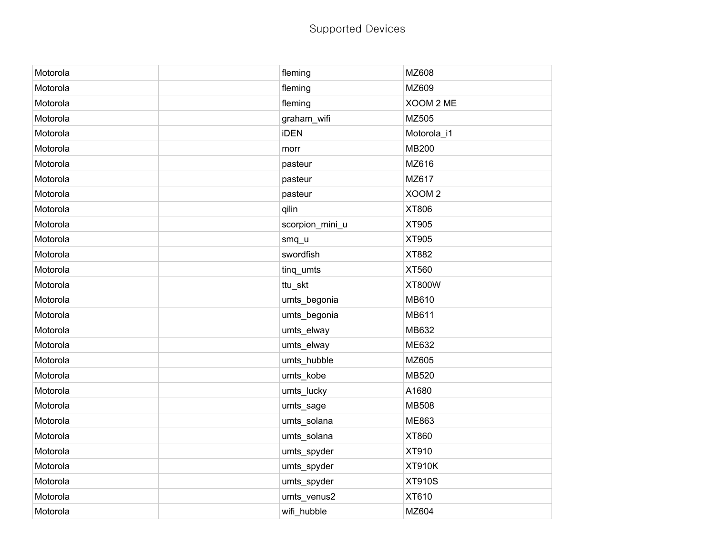| Motorola | fleming         | MZ608             |
|----------|-----------------|-------------------|
| Motorola | fleming         | MZ609             |
| Motorola | fleming         | XOOM 2 ME         |
| Motorola | graham_wifi     | MZ505             |
| Motorola | iDEN            | Motorola_i1       |
| Motorola | morr            | <b>MB200</b>      |
| Motorola | pasteur         | MZ616             |
| Motorola | pasteur         | MZ617             |
| Motorola | pasteur         | XOOM <sub>2</sub> |
| Motorola | qilin           | XT806             |
| Motorola | scorpion_mini_u | XT905             |
| Motorola | smq_u           | XT905             |
| Motorola | swordfish       | XT882             |
| Motorola | tinq_umts       | XT560             |
| Motorola | ttu_skt         | <b>XT800W</b>     |
| Motorola | umts_begonia    | MB610             |
| Motorola | umts_begonia    | MB611             |
| Motorola | umts_elway      | MB632             |
| Motorola | umts_elway      | ME632             |
| Motorola | umts_hubble     | MZ605             |
| Motorola | umts_kobe       | MB520             |
| Motorola | umts_lucky      | A1680             |
| Motorola | umts_sage       | <b>MB508</b>      |
| Motorola | umts_solana     | ME863             |
| Motorola | umts_solana     | XT860             |
| Motorola | umts_spyder     | XT910             |
| Motorola | umts_spyder     | <b>XT910K</b>     |
| Motorola | umts_spyder     | <b>XT910S</b>     |
| Motorola | umts_venus2     | XT610             |
| Motorola | wifi_hubble     | MZ604             |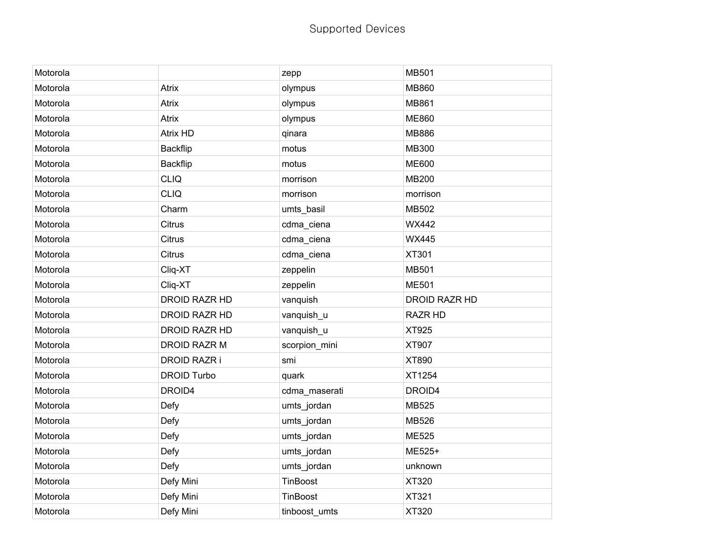| Motorola |                      | zepp          | <b>MB501</b>         |
|----------|----------------------|---------------|----------------------|
| Motorola | Atrix                | olympus       | <b>MB860</b>         |
| Motorola | Atrix                | olympus       | <b>MB861</b>         |
| Motorola | Atrix                | olympus       | <b>ME860</b>         |
| Motorola | <b>Atrix HD</b>      | qinara        | <b>MB886</b>         |
| Motorola | Backflip             | motus         | <b>MB300</b>         |
| Motorola | <b>Backflip</b>      | motus         | <b>ME600</b>         |
| Motorola | <b>CLIQ</b>          | morrison      | <b>MB200</b>         |
| Motorola | <b>CLIQ</b>          | morrison      | morrison             |
| Motorola | Charm                | umts_basil    | MB502                |
| Motorola | <b>Citrus</b>        | cdma_ciena    | <b>WX442</b>         |
| Motorola | <b>Citrus</b>        | cdma_ciena    | <b>WX445</b>         |
| Motorola | <b>Citrus</b>        | cdma_ciena    | XT301                |
| Motorola | Cliq-XT              | zeppelin      | <b>MB501</b>         |
| Motorola | Cliq-XT              | zeppelin      | <b>ME501</b>         |
| Motorola | <b>DROID RAZR HD</b> | vanquish      | <b>DROID RAZR HD</b> |
| Motorola | <b>DROID RAZR HD</b> | vanquish_u    | <b>RAZR HD</b>       |
| Motorola | DROID RAZR HD        | vanquish_u    | XT925                |
| Motorola | DROID RAZR M         | scorpion_mini | XT907                |
| Motorola | <b>DROID RAZR i</b>  | smi           | XT890                |
| Motorola | <b>DROID Turbo</b>   | quark         | XT1254               |
| Motorola | DROID4               | cdma_maserati | DROID4               |
| Motorola | Defy                 | umts_jordan   | <b>MB525</b>         |
| Motorola | Defy                 | umts_jordan   | MB526                |
| Motorola | Defy                 | umts_jordan   | <b>ME525</b>         |
| Motorola | Defy                 | umts_jordan   | ME525+               |
| Motorola | Defy                 | umts_jordan   | unknown              |
| Motorola | Defy Mini            | TinBoost      | XT320                |
| Motorola | Defy Mini            | TinBoost      | XT321                |
| Motorola | Defy Mini            | tinboost umts | XT320                |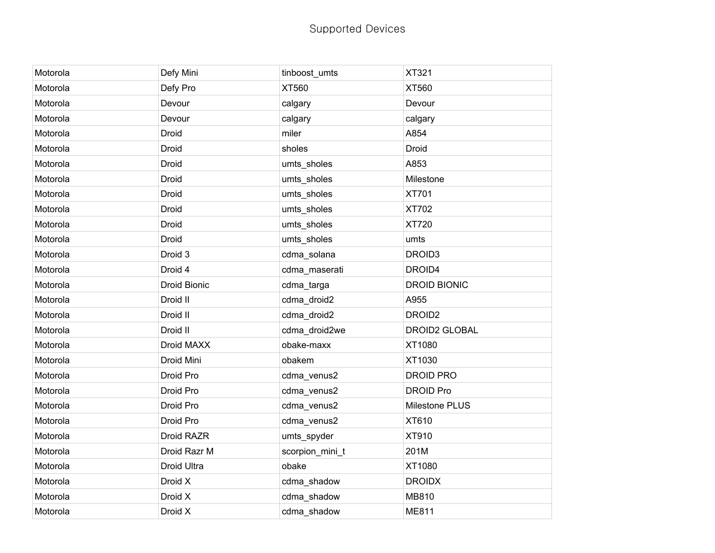| Motorola | Defy Mini    | tinboost_umts   | XT321               |
|----------|--------------|-----------------|---------------------|
| Motorola | Defy Pro     | XT560           | XT560               |
| Motorola | Devour       | calgary         | Devour              |
| Motorola | Devour       | calgary         | calgary             |
| Motorola | Droid        | miler           | A854                |
| Motorola | Droid        | sholes          | Droid               |
| Motorola | Droid        | umts_sholes     | A853                |
| Motorola | Droid        | umts_sholes     | Milestone           |
| Motorola | Droid        | umts_sholes     | XT701               |
| Motorola | Droid        | umts_sholes     | XT702               |
| Motorola | Droid        | umts_sholes     | XT720               |
| Motorola | Droid        | umts_sholes     | umts                |
| Motorola | Droid 3      | cdma_solana     | DROID3              |
| Motorola | Droid 4      | cdma_maserati   | DROID4              |
| Motorola | Droid Bionic | cdma_targa      | <b>DROID BIONIC</b> |
| Motorola | Droid II     | cdma_droid2     | A955                |
| Motorola | Droid II     | cdma_droid2     | DROID <sub>2</sub>  |
| Motorola | Droid II     | cdma_droid2we   | DROID2 GLOBAL       |
| Motorola | Droid MAXX   | obake-maxx      | XT1080              |
| Motorola | Droid Mini   | obakem          | XT1030              |
| Motorola | Droid Pro    | cdma_venus2     | <b>DROID PRO</b>    |
| Motorola | Droid Pro    | cdma_venus2     | <b>DROID Pro</b>    |
| Motorola | Droid Pro    | cdma_venus2     | Milestone PLUS      |
| Motorola | Droid Pro    | cdma_venus2     | XT610               |
| Motorola | Droid RAZR   | umts_spyder     | XT910               |
| Motorola | Droid Razr M | scorpion_mini_t | 201M                |
| Motorola | Droid Ultra  | obake           | XT1080              |
| Motorola | Droid X      | cdma_shadow     | <b>DROIDX</b>       |
| Motorola | Droid X      | cdma_shadow     | MB810               |
| Motorola | Droid X      | cdma_shadow     | <b>ME811</b>        |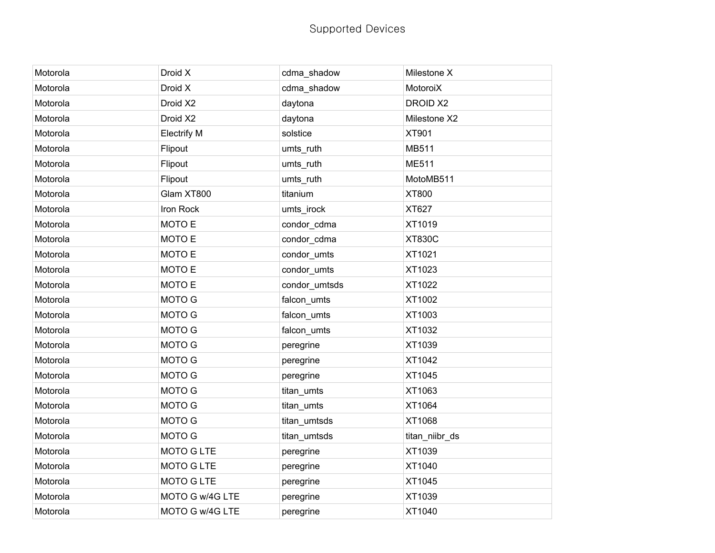| Motorola | Droid X            | cdma_shadow   | Milestone X    |
|----------|--------------------|---------------|----------------|
| Motorola | Droid X            | cdma_shadow   | MotoroiX       |
| Motorola | Droid X2           | daytona       | DROID X2       |
| Motorola | Droid X2           | daytona       | Milestone X2   |
| Motorola | <b>Electrify M</b> | solstice      | XT901          |
| Motorola | Flipout            | umts_ruth     | MB511          |
| Motorola | Flipout            | umts_ruth     | ME511          |
| Motorola | Flipout            | umts_ruth     | MotoMB511      |
| Motorola | Glam XT800         | titanium      | XT800          |
| Motorola | Iron Rock          | umts_irock    | XT627          |
| Motorola | MOTO E             | condor_cdma   | XT1019         |
| Motorola | MOTO E             | condor_cdma   | <b>XT830C</b>  |
| Motorola | MOTO E             | condor_umts   | XT1021         |
| Motorola | MOTO E             | condor_umts   | XT1023         |
| Motorola | MOTO E             | condor_umtsds | XT1022         |
| Motorola | MOTO G             | falcon_umts   | XT1002         |
| Motorola | MOTO G             | falcon_umts   | XT1003         |
| Motorola | MOTO G             | falcon_umts   | XT1032         |
| Motorola | MOTO G             | peregrine     | XT1039         |
| Motorola | MOTO G             | peregrine     | XT1042         |
| Motorola | MOTO G             | peregrine     | XT1045         |
| Motorola | MOTO G             | titan_umts    | XT1063         |
| Motorola | MOTO G             | titan_umts    | XT1064         |
| Motorola | MOTO G             | titan_umtsds  | XT1068         |
| Motorola | MOTO G             | titan_umtsds  | titan_niibr_ds |
| Motorola | MOTO G LTE         | peregrine     | XT1039         |
| Motorola | <b>MOTO G LTE</b>  | peregrine     | XT1040         |
| Motorola | <b>MOTO G LTE</b>  | peregrine     | XT1045         |
| Motorola | MOTO G w/4G LTE    | peregrine     | XT1039         |
| Motorola | MOTO G w/4G LTE    | peregrine     | XT1040         |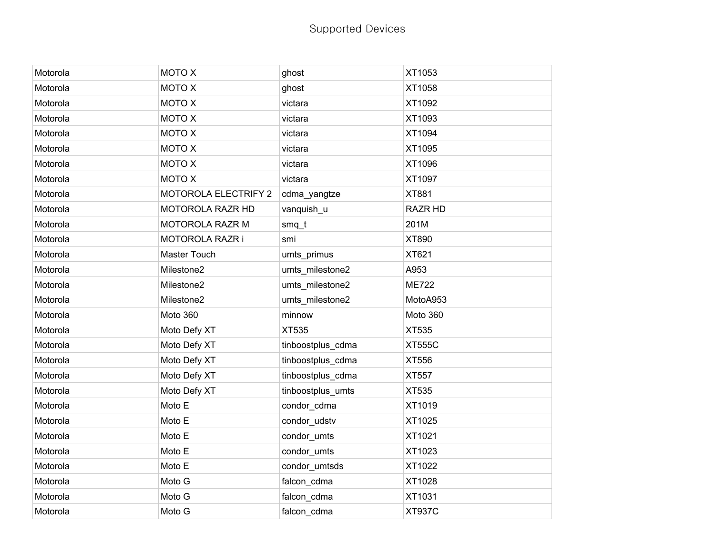| Motorola | MOTO X                      | ghost             | XT1053         |
|----------|-----------------------------|-------------------|----------------|
| Motorola | MOTO X                      | ghost             | XT1058         |
| Motorola | MOTO X                      | victara           | XT1092         |
| Motorola | MOTO X                      | victara           | XT1093         |
| Motorola | <b>MOTO X</b>               | victara           | XT1094         |
| Motorola | MOTO X                      | victara           | XT1095         |
| Motorola | MOTO X                      | victara           | XT1096         |
| Motorola | MOTO X                      | victara           | XT1097         |
| Motorola | <b>MOTOROLA ELECTRIFY 2</b> | cdma_yangtze      | <b>XT881</b>   |
| Motorola | MOTOROLA RAZR HD            | vanquish_u        | <b>RAZR HD</b> |
| Motorola | MOTOROLA RAZR M             | $smq_t$           | 201M           |
| Motorola | MOTOROLA RAZR i             | smi               | XT890          |
| Motorola | Master Touch                | umts_primus       | XT621          |
| Motorola | Milestone2                  | umts_milestone2   | A953           |
| Motorola | Milestone2                  | umts_milestone2   | <b>ME722</b>   |
| Motorola | Milestone2                  | umts_milestone2   | MotoA953       |
| Motorola | Moto 360                    | minnow            | Moto 360       |
| Motorola | Moto Defy XT                | XT535             | XT535          |
| Motorola | Moto Defy XT                | tinboostplus_cdma | <b>XT555C</b>  |
| Motorola | Moto Defy XT                | tinboostplus_cdma | XT556          |
| Motorola | Moto Defy XT                | tinboostplus_cdma | XT557          |
| Motorola | Moto Defy XT                | tinboostplus_umts | XT535          |
| Motorola | Moto E                      | condor_cdma       | XT1019         |
| Motorola | Moto E                      | condor_udstv      | XT1025         |
| Motorola | Moto E                      | condor_umts       | XT1021         |
| Motorola | Moto E                      | condor_umts       | XT1023         |
| Motorola | Moto E                      | condor_umtsds     | XT1022         |
| Motorola | Moto G                      | falcon_cdma       | XT1028         |
| Motorola | Moto G                      | falcon_cdma       | XT1031         |
| Motorola | Moto G                      | falcon_cdma       | <b>XT937C</b>  |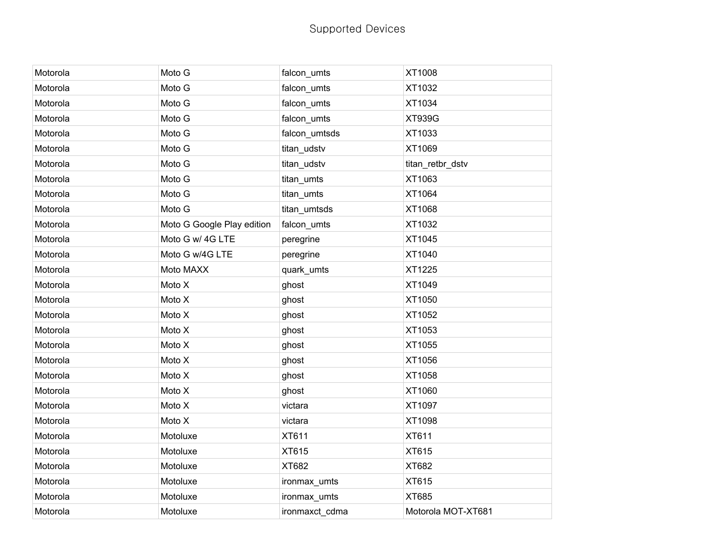| Motorola | Moto G                     | falcon_umts    | XT1008             |
|----------|----------------------------|----------------|--------------------|
| Motorola | Moto G                     | falcon_umts    | XT1032             |
| Motorola | Moto G                     | falcon_umts    | XT1034             |
| Motorola | Moto G                     | falcon_umts    | <b>XT939G</b>      |
| Motorola | Moto G                     | falcon_umtsds  | XT1033             |
| Motorola | Moto G                     | titan_udstv    | XT1069             |
| Motorola | Moto G                     | titan_udstv    | titan_retbr_dstv   |
| Motorola | Moto G                     | titan_umts     | XT1063             |
| Motorola | Moto G                     | titan_umts     | XT1064             |
| Motorola | Moto G                     | titan_umtsds   | XT1068             |
| Motorola | Moto G Google Play edition | falcon_umts    | XT1032             |
| Motorola | Moto G w/ 4G LTE           | peregrine      | XT1045             |
| Motorola | Moto G w/4G LTE            | peregrine      | XT1040             |
| Motorola | Moto MAXX                  | quark_umts     | XT1225             |
| Motorola | Moto X                     | ghost          | XT1049             |
| Motorola | Moto X                     | ghost          | XT1050             |
| Motorola | Moto X                     | ghost          | XT1052             |
| Motorola | Moto X                     | ghost          | XT1053             |
| Motorola | Moto X                     | ghost          | XT1055             |
| Motorola | Moto X                     | ghost          | XT1056             |
| Motorola | Moto X                     | ghost          | XT1058             |
| Motorola | Moto X                     | ghost          | XT1060             |
| Motorola | Moto X                     | victara        | XT1097             |
| Motorola | Moto X                     | victara        | XT1098             |
| Motorola | Motoluxe                   | XT611          | XT611              |
| Motorola | Motoluxe                   | XT615          | XT615              |
| Motorola | Motoluxe                   | XT682          | XT682              |
| Motorola | Motoluxe                   | ironmax_umts   | XT615              |
| Motorola | Motoluxe                   | ironmax_umts   | XT685              |
| Motorola | Motoluxe                   | ironmaxct cdma | Motorola MOT-XT681 |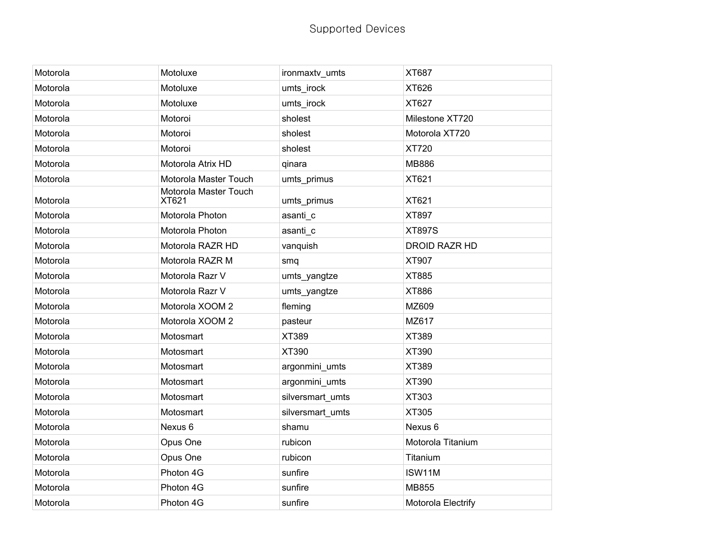| Motorola | Motoluxe                       | ironmaxtv_umts   | XT687              |
|----------|--------------------------------|------------------|--------------------|
| Motorola | Motoluxe                       | umts_irock       | XT626              |
| Motorola | Motoluxe                       | umts_irock       | <b>XT627</b>       |
| Motorola | Motoroi                        | sholest          | Milestone XT720    |
| Motorola | Motoroi                        | sholest          | Motorola XT720     |
| Motorola | Motoroi                        | sholest          | XT720              |
| Motorola | Motorola Atrix HD              | qinara           | <b>MB886</b>       |
| Motorola | Motorola Master Touch          | umts_primus      | XT621              |
| Motorola | Motorola Master Touch<br>XT621 | umts_primus      | XT621              |
| Motorola | Motorola Photon                | asanti_c         | XT897              |
| Motorola | Motorola Photon                | asanti c         | <b>XT897S</b>      |
| Motorola | Motorola RAZR HD               | vanquish         | DROID RAZR HD      |
| Motorola | Motorola RAZR M                | smq              | XT907              |
| Motorola | Motorola Razr V                | umts_yangtze     | <b>XT885</b>       |
| Motorola | Motorola Razr V                | umts_yangtze     | <b>XT886</b>       |
| Motorola | Motorola XOOM 2                | fleming          | MZ609              |
| Motorola | Motorola XOOM 2                | pasteur          | MZ617              |
| Motorola | Motosmart                      | XT389            | <b>XT389</b>       |
| Motorola | Motosmart                      | XT390            | XT390              |
| Motorola | Motosmart                      | argonmini_umts   | <b>XT389</b>       |
| Motorola | Motosmart                      | argonmini_umts   | XT390              |
| Motorola | Motosmart                      | silversmart umts | XT303              |
| Motorola | Motosmart                      | silversmart_umts | <b>XT305</b>       |
| Motorola | Nexus 6                        | shamu            | Nexus 6            |
| Motorola | Opus One                       | rubicon          | Motorola Titanium  |
| Motorola | Opus One                       | rubicon          | Titanium           |
| Motorola | Photon 4G                      | sunfire          | ISW11M             |
| Motorola | Photon 4G                      | sunfire          | <b>MB855</b>       |
| Motorola | Photon 4G                      | sunfire          | Motorola Electrify |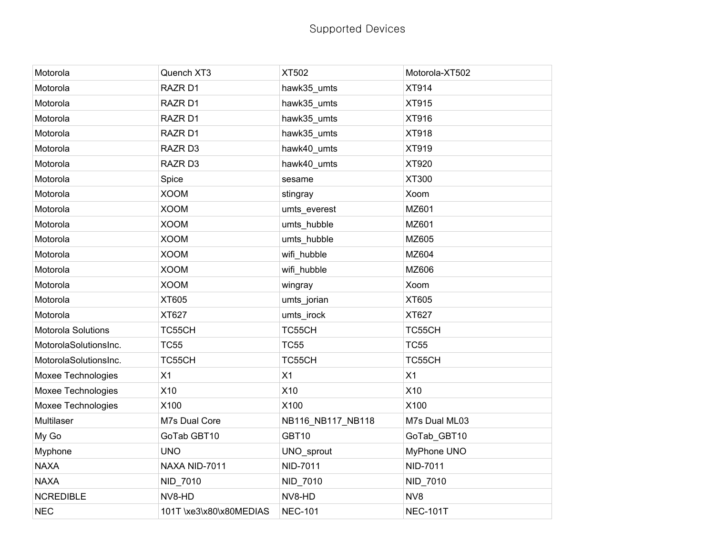| Motorola              | Quench XT3              | XT502             | Motorola-XT502  |
|-----------------------|-------------------------|-------------------|-----------------|
| Motorola              | RAZR D1                 | hawk35_umts       | XT914           |
| Motorola              | RAZR D1                 | hawk35_umts       | XT915           |
| Motorola              | RAZR D1                 | hawk35_umts       | XT916           |
| Motorola              | RAZR D1                 | hawk35_umts       | XT918           |
| Motorola              | RAZR D3                 | hawk40 umts       | XT919           |
| Motorola              | RAZR D3                 | hawk40_umts       | XT920           |
| Motorola              | Spice                   | sesame            | XT300           |
| Motorola              | <b>XOOM</b>             | stingray          | Xoom            |
| Motorola              | <b>XOOM</b>             | umts_everest      | MZ601           |
| Motorola              | <b>XOOM</b>             | umts_hubble       | MZ601           |
| Motorola              | <b>XOOM</b>             | umts_hubble       | MZ605           |
| Motorola              | <b>XOOM</b>             | wifi_hubble       | MZ604           |
| Motorola              | <b>XOOM</b>             | wifi_hubble       | MZ606           |
| Motorola              | <b>XOOM</b>             | wingray           | Xoom            |
| Motorola              | XT605                   | umts_jorian       | XT605           |
| Motorola              | XT627                   | umts_irock        | XT627           |
| Motorola Solutions    | TC55CH                  | TC55CH            | TC55CH          |
| MotorolaSolutionsInc. | <b>TC55</b>             | <b>TC55</b>       | <b>TC55</b>     |
| MotorolaSolutionsInc. | TC55CH                  | TC55CH            | TC55CH          |
| Moxee Technologies    | X1                      | X1                | X1              |
| Moxee Technologies    | X10                     | X10               | X10             |
| Moxee Technologies    | X100                    | X100              | X100            |
| Multilaser            | M7s Dual Core           | NB116_NB117_NB118 | M7s Dual ML03   |
| My Go                 | GoTab GBT10             | GBT10             | GoTab_GBT10     |
| Myphone               | <b>UNO</b>              | UNO_sprout        | MyPhone UNO     |
| <b>NAXA</b>           | NAXA NID-7011           | NID-7011          | NID-7011        |
| <b>NAXA</b>           | NID_7010                | NID_7010          | NID_7010        |
| <b>NCREDIBLE</b>      | NV8-HD                  | NV8-HD            | NV8             |
| <b>NEC</b>            | 101T \xe3\x80\x80MEDIAS | <b>NEC-101</b>    | <b>NEC-101T</b> |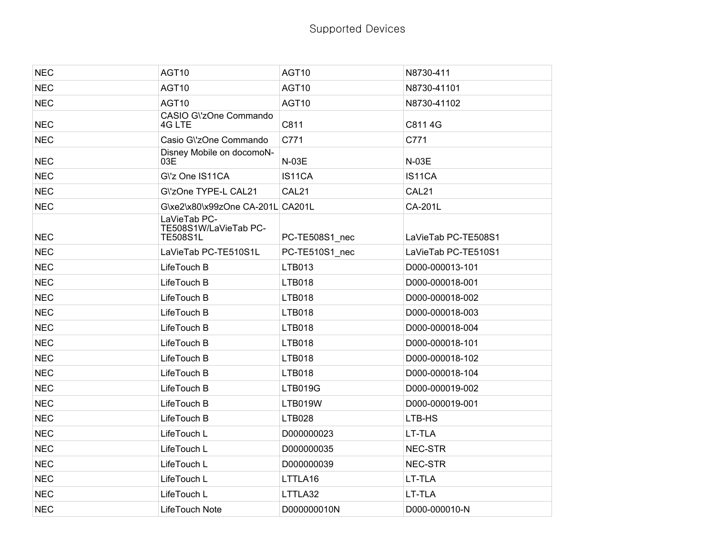| <b>NEC</b> | AGT10                                                    | AGT10          | N8730-411           |
|------------|----------------------------------------------------------|----------------|---------------------|
| <b>NEC</b> | AGT10                                                    | AGT10          | N8730-41101         |
| <b>NEC</b> | AGT10                                                    | AGT10          | N8730-41102         |
| <b>NEC</b> | CASIO G\'zOne Commando<br>4G LTE                         | C811           | C811 4G             |
| <b>NEC</b> | Casio G\'zOne Commando                                   | C771           | C771                |
| <b>NEC</b> | Disney Mobile on docomoN-<br>03E                         | N-03E          | N-03E               |
| <b>NEC</b> | G\'z One IS11CA                                          | IS11CA         | IS11CA              |
| <b>NEC</b> | G\'zOne TYPE-L CAL21                                     | CAL21          | CAL21               |
| <b>NEC</b> | G\xe2\x80\x99zOne CA-201L CA201L                         |                | CA-201L             |
| <b>NEC</b> | LaVieTab PC-<br>TE508S1W/LaVieTab PC-<br><b>TE508S1L</b> | PC-TE508S1_nec | LaVieTab PC-TE508S1 |
| <b>NEC</b> | LaVieTab PC-TE510S1L                                     | PC-TE510S1 nec | LaVieTab PC-TE510S1 |
| <b>NEC</b> | LifeTouch B                                              | LTB013         | D000-000013-101     |
| <b>NEC</b> | LifeTouch B                                              | <b>LTB018</b>  | D000-000018-001     |
| <b>NEC</b> | LifeTouch B                                              | <b>LTB018</b>  | D000-000018-002     |
| <b>NEC</b> | LifeTouch B                                              | <b>LTB018</b>  | D000-000018-003     |
| <b>NEC</b> | LifeTouch B                                              | <b>LTB018</b>  | D000-000018-004     |
| <b>NEC</b> | LifeTouch B                                              | <b>LTB018</b>  | D000-000018-101     |
| <b>NEC</b> | LifeTouch B                                              | <b>LTB018</b>  | D000-000018-102     |
| <b>NEC</b> | LifeTouch B                                              | <b>LTB018</b>  | D000-000018-104     |
| <b>NEC</b> | LifeTouch B                                              | <b>LTB019G</b> | D000-000019-002     |
| <b>NEC</b> | LifeTouch B                                              | <b>LTB019W</b> | D000-000019-001     |
| <b>NEC</b> | LifeTouch B                                              | <b>LTB028</b>  | LTB-HS              |
| <b>NEC</b> | LifeTouch L                                              | D000000023     | LT-TLA              |
| <b>NEC</b> | LifeTouch L                                              | D000000035     | NEC-STR             |
| <b>NEC</b> | LifeTouch L                                              | D000000039     | NEC-STR             |
| <b>NEC</b> | LifeTouch L                                              | LTTLA16        | LT-TLA              |
| <b>NEC</b> | LifeTouch L                                              | LTTLA32        | LT-TLA              |
| <b>NEC</b> | LifeTouch Note                                           | D000000010N    | D000-000010-N       |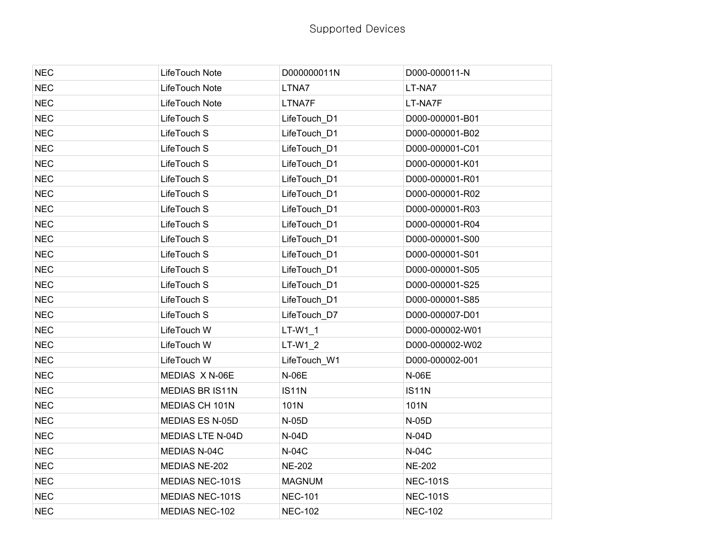| <b>NEC</b> | LifeTouch Note         | D000000011N    | D000-000011-N   |
|------------|------------------------|----------------|-----------------|
| <b>NEC</b> | LifeTouch Note         | LTNA7          | LT-NA7          |
| <b>NEC</b> | LifeTouch Note         | LTNA7F         | LT-NA7F         |
| <b>NEC</b> | LifeTouch S            | LifeTouch_D1   | D000-000001-B01 |
| <b>NEC</b> | LifeTouch S            | LifeTouch D1   | D000-000001-B02 |
| <b>NEC</b> | LifeTouch S            | LifeTouch D1   | D000-000001-C01 |
| <b>NEC</b> | LifeTouch S            | LifeTouch D1   | D000-000001-K01 |
| <b>NEC</b> | LifeTouch S            | LifeTouch_D1   | D000-000001-R01 |
| <b>NEC</b> | LifeTouch S            | LifeTouch D1   | D000-000001-R02 |
| <b>NEC</b> | LifeTouch S            | LifeTouch_D1   | D000-000001-R03 |
| <b>NEC</b> | LifeTouch S            | LifeTouch D1   | D000-000001-R04 |
| <b>NEC</b> | LifeTouch S            | LifeTouch_D1   | D000-000001-S00 |
| <b>NEC</b> | LifeTouch S            | LifeTouch_D1   | D000-000001-S01 |
| <b>NEC</b> | LifeTouch S            | LifeTouch D1   | D000-000001-S05 |
| <b>NEC</b> | LifeTouch S            | LifeTouch_D1   | D000-000001-S25 |
| <b>NEC</b> | LifeTouch S            | LifeTouch_D1   | D000-000001-S85 |
| <b>NEC</b> | LifeTouch S            | LifeTouch D7   | D000-000007-D01 |
| <b>NEC</b> | LifeTouch W            | LT-W1 1        | D000-000002-W01 |
| <b>NEC</b> | LifeTouch W            | $LT-W1_2$      | D000-000002-W02 |
| <b>NEC</b> | LifeTouch W            | LifeTouch_W1   | D000-000002-001 |
| <b>NEC</b> | MEDIAS X N-06E         | <b>N-06E</b>   | <b>N-06E</b>    |
| <b>NEC</b> | MEDIAS BR IS11N        | <b>IS11N</b>   | <b>IS11N</b>    |
| <b>NEC</b> | MEDIAS CH 101N         | 101N           | 101N            |
| <b>NEC</b> | <b>MEDIAS ES N-05D</b> | $N-05D$        | N-05D           |
| <b>NEC</b> | MEDIAS LTE N-04D       | $N-04D$        | $N-04D$         |
| <b>NEC</b> | MEDIAS N-04C           | <b>N-04C</b>   | <b>N-04C</b>    |
| <b>NEC</b> | MEDIAS NE-202          | <b>NE-202</b>  | <b>NE-202</b>   |
| <b>NEC</b> | MEDIAS NEC-101S        | <b>MAGNUM</b>  | <b>NEC-101S</b> |
| <b>NEC</b> | <b>MEDIAS NEC-101S</b> | <b>NEC-101</b> | <b>NEC-101S</b> |
| <b>NEC</b> | <b>MEDIAS NEC-102</b>  | <b>NEC-102</b> | <b>NEC-102</b>  |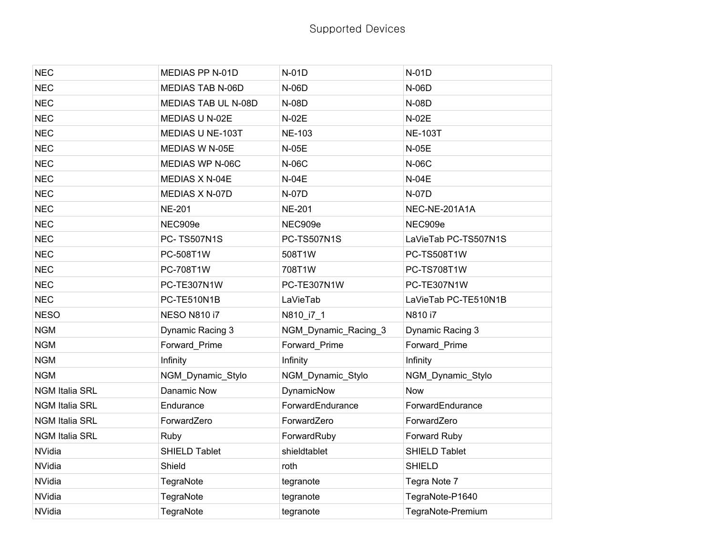| <b>NEC</b>            | MEDIAS PP N-01D         | $N-01D$              | N-01D                |
|-----------------------|-------------------------|----------------------|----------------------|
| <b>NEC</b>            | <b>MEDIAS TAB N-06D</b> | N-06D                | N-06D                |
| <b>NEC</b>            | MEDIAS TAB UL N-08D     | N-08D                | N-08D                |
| <b>NEC</b>            | MEDIAS U N-02E          | N-02E                | $N-02E$              |
| <b>NEC</b>            | MEDIAS U NE-103T        | <b>NE-103</b>        | <b>NE-103T</b>       |
| <b>NEC</b>            | MEDIAS W N-05E          | <b>N-05E</b>         | <b>N-05E</b>         |
| <b>NEC</b>            | MEDIAS WP N-06C         | <b>N-06C</b>         | <b>N-06C</b>         |
| <b>NEC</b>            | MEDIAS X N-04E          | <b>N-04E</b>         | <b>N-04E</b>         |
| <b>NEC</b>            | MEDIAS X N-07D          | N-07D                | <b>N-07D</b>         |
| <b>NEC</b>            | <b>NE-201</b>           | <b>NE-201</b>        | NEC-NE-201A1A        |
| <b>NEC</b>            | NEC909e                 | NEC909e              | NEC909e              |
| <b>NEC</b>            | PC-TS507N1S             | <b>PC-TS507N1S</b>   | LaVieTab PC-TS507N1S |
| <b>NEC</b>            | PC-508T1W               | 508T1W               | PC-TS508T1W          |
| <b>NEC</b>            | PC-708T1W               | 708T1W               | PC-TS708T1W          |
| <b>NEC</b>            | PC-TE307N1W             | PC-TE307N1W          | PC-TE307N1W          |
| <b>NEC</b>            | PC-TE510N1B             | LaVieTab             | LaVieTab PC-TE510N1B |
| <b>NESO</b>           | <b>NESO N810 i7</b>     | N810_i7_1            | N810 i7              |
| <b>NGM</b>            | Dynamic Racing 3        | NGM_Dynamic_Racing_3 | Dynamic Racing 3     |
| <b>NGM</b>            | Forward Prime           | Forward_Prime        | Forward Prime        |
| <b>NGM</b>            | Infinity                | Infinity             | Infinity             |
| <b>NGM</b>            | NGM_Dynamic_Stylo       | NGM_Dynamic_Stylo    | NGM_Dynamic_Stylo    |
| <b>NGM Italia SRL</b> | Danamic Now             | DynamicNow           | <b>Now</b>           |
| <b>NGM Italia SRL</b> | Endurance               | ForwardEndurance     | ForwardEndurance     |
| <b>NGM Italia SRL</b> | ForwardZero             | ForwardZero          | ForwardZero          |
| <b>NGM Italia SRL</b> | Ruby                    | ForwardRuby          | Forward Ruby         |
| NVidia                | SHIELD Tablet           | shieldtablet         | SHIELD Tablet        |
| NVidia                | Shield                  | roth                 | <b>SHIELD</b>        |
| NVidia                | TegraNote               | tegranote            | Tegra Note 7         |
| NVidia                | TegraNote               | tegranote            | TegraNote-P1640      |
| <b>NVidia</b>         | TegraNote               | tegranote            | TegraNote-Premium    |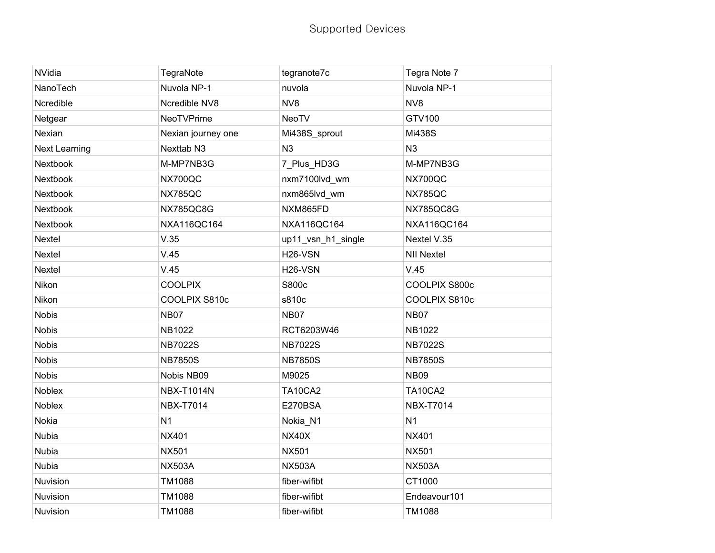| NVidia        | TegraNote             | tegranote7c          | Tegra Note 7      |
|---------------|-----------------------|----------------------|-------------------|
| NanoTech      | Nuvola NP-1           | nuvola               | Nuvola NP-1       |
| Ncredible     | Ncredible NV8         | NV8                  | NV8               |
| Netgear       | <b>NeoTVPrime</b>     | <b>NeoTV</b>         | GTV100            |
| Nexian        | Nexian journey one    | Mi438S_sprout        | Mi438S            |
| Next Learning | Nexttab <sub>N3</sub> | N3                   | N3                |
| Nextbook      | M-MP7NB3G             | 7_Plus_HD3G          | M-MP7NB3G         |
| Nextbook      | NX700QC               | nxm7100lvd_wm        | NX700QC           |
| Nextbook      | <b>NX785QC</b>        | nxm865lvd_wm         | <b>NX785QC</b>    |
| Nextbook      | NX785QC8G             | NXM865FD             | NX785QC8G         |
| Nextbook      | NXA116QC164           | NXA116QC164          | NXA116QC164       |
| Nextel        | V.35                  | up11_vsn_h1_single   | Nextel V.35       |
| Nextel        | V.45                  | H <sub>26</sub> -VSN | <b>NII Nextel</b> |
| Nextel        | V.45                  | H <sub>26</sub> -VSN | V.45              |
| Nikon         | <b>COOLPIX</b>        | S800c                | COOLPIX S800c     |
| Nikon         | COOLPIX S810c         | s810c                | COOLPIX S810c     |
| <b>Nobis</b>  | <b>NB07</b>           | <b>NB07</b>          | <b>NB07</b>       |
| <b>Nobis</b>  | NB1022                | RCT6203W46           | NB1022            |
| <b>Nobis</b>  | <b>NB7022S</b>        | <b>NB7022S</b>       | <b>NB7022S</b>    |
| <b>Nobis</b>  | <b>NB7850S</b>        | <b>NB7850S</b>       | <b>NB7850S</b>    |
| <b>Nobis</b>  | Nobis NB09            | M9025                | <b>NB09</b>       |
| Noblex        | <b>NBX-T1014N</b>     | <b>TA10CA2</b>       | <b>TA10CA2</b>    |
| Noblex        | <b>NBX-T7014</b>      | E270BSA              | <b>NBX-T7014</b>  |
| Nokia         | N <sub>1</sub>        | Nokia_N1             | N <sub>1</sub>    |
| Nubia         | <b>NX401</b>          | <b>NX40X</b>         | <b>NX401</b>      |
| Nubia         | <b>NX501</b>          | <b>NX501</b>         | <b>NX501</b>      |
| Nubia         | <b>NX503A</b>         | <b>NX503A</b>        | <b>NX503A</b>     |
| Nuvision      | TM1088                | fiber-wifibt         | CT1000            |
| Nuvision      | TM1088                | fiber-wifibt         | Endeavour101      |
| Nuvision      | TM1088                | fiber-wifibt         | TM1088            |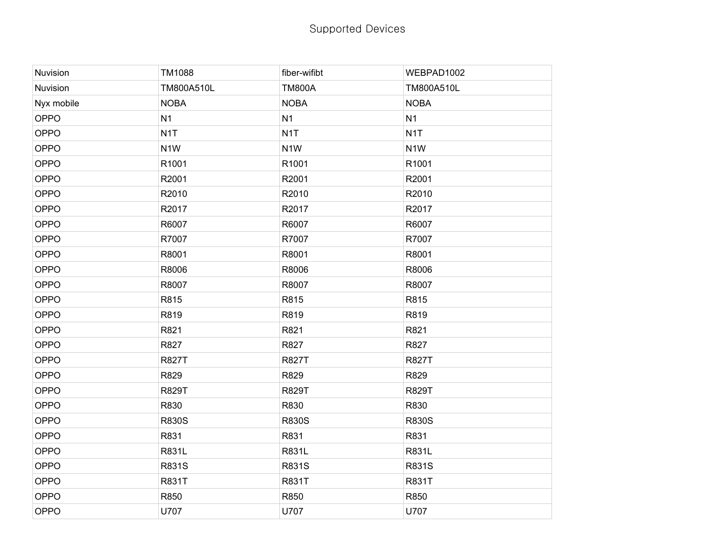| Nuvision   | TM1088           | fiber-wifibt     | WEBPAD1002       |
|------------|------------------|------------------|------------------|
| Nuvision   | TM800A510L       | <b>TM800A</b>    | TM800A510L       |
| Nyx mobile | <b>NOBA</b>      | <b>NOBA</b>      | <b>NOBA</b>      |
| OPPO       | N <sub>1</sub>   | N <sub>1</sub>   | N <sub>1</sub>   |
| OPPO       | N <sub>1</sub> T | N <sub>1</sub> T | N <sub>1</sub> T |
| OPPO       | N <sub>1</sub> W | N <sub>1</sub> W | N <sub>1</sub> W |
| OPPO       | R1001            | R1001            | R1001            |
| OPPO       | R2001            | R2001            | R2001            |
| OPPO       | R2010            | R2010            | R2010            |
| OPPO       | R2017            | R2017            | R2017            |
| OPPO       | R6007            | R6007            | R6007            |
| OPPO       | R7007            | R7007            | R7007            |
| OPPO       | R8001            | R8001            | R8001            |
| OPPO       | R8006            | R8006            | R8006            |
| OPPO       | R8007            | R8007            | R8007            |
| OPPO       | R815             | R815             | R815             |
| OPPO       | R819             | R819             | R819             |
| OPPO       | R821             | R821             | R821             |
| OPPO       | R827             | R827             | R827             |
| OPPO       | <b>R827T</b>     | <b>R827T</b>     | <b>R827T</b>     |
| OPPO       | R829             | R829             | R829             |
| OPPO       | <b>R829T</b>     | <b>R829T</b>     | <b>R829T</b>     |
| OPPO       | R830             | R830             | R830             |
| OPPO       | <b>R830S</b>     | <b>R830S</b>     | <b>R830S</b>     |
| OPPO       | R831             | R831             | R831             |
| OPPO       | R831L            | R831L            | R831L            |
| OPPO       | R831S            | R831S            | R831S            |
| OPPO       | <b>R831T</b>     | <b>R831T</b>     | <b>R831T</b>     |
| OPPO       | R850             | R850             | R850             |
| OPPO       | U707             | U707             | U707             |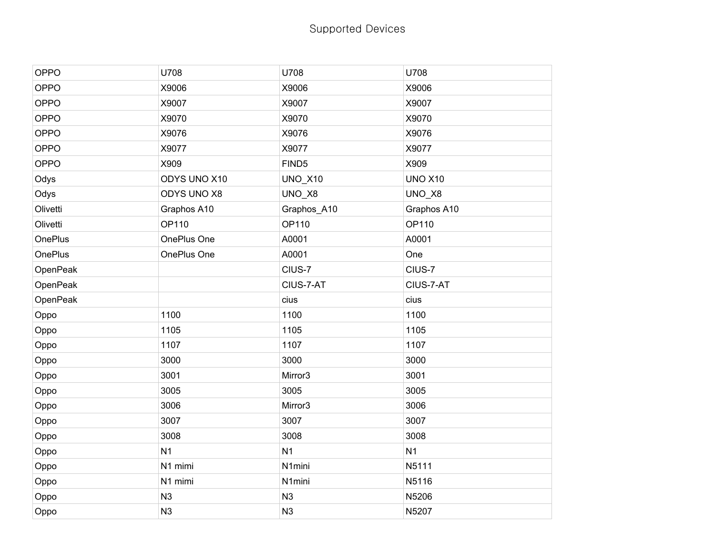## Supported Devices

| OPPO     | U708               | U708              | U708           |
|----------|--------------------|-------------------|----------------|
| OPPO     | X9006              | X9006             | X9006          |
| OPPO     | X9007              | X9007             | X9007          |
| OPPO     | X9070              | X9070             | X9070          |
| OPPO     | X9076              | X9076             | X9076          |
| OPPO     | X9077              | X9077             | X9077          |
| OPPO     | X909               | FIND <sub>5</sub> | X909           |
| Odys     | ODYS UNO X10       | <b>UNO_X10</b>    | <b>UNO X10</b> |
| Odys     | <b>ODYS UNO X8</b> | UNO_X8            | UNO_X8         |
| Olivetti | Graphos A10        | Graphos_A10       | Graphos A10    |
| Olivetti | OP110              | OP110             | OP110          |
| OnePlus  | OnePlus One        | A0001             | A0001          |
| OnePlus  | OnePlus One        | A0001             | One            |
| OpenPeak |                    | CIUS-7            | CIUS-7         |
| OpenPeak |                    | CIUS-7-AT         | CIUS-7-AT      |
| OpenPeak |                    | cius              | cius           |
| Oppo     | 1100               | 1100              | 1100           |
| Oppo     | 1105               | 1105              | 1105           |
| Oppo     | 1107               | 1107              | 1107           |
| Oppo     | 3000               | 3000              | 3000           |
| Oppo     | 3001               | Mirror3           | 3001           |
| Oppo     | 3005               | 3005              | 3005           |
| Oppo     | 3006               | Mirror3           | 3006           |
| Oppo     | 3007               | 3007              | 3007           |
| Oppo     | 3008               | 3008              | 3008           |
| Oppo     | N <sub>1</sub>     | N <sub>1</sub>    | N <sub>1</sub> |
|          |                    |                   |                |
| Oppo     | N1 mimi            | N1mini            | N5111          |
| Oppo     | N1 mimi            | N1mini            | N5116          |
| Oppo     | N <sub>3</sub>     | N3                | N5206          |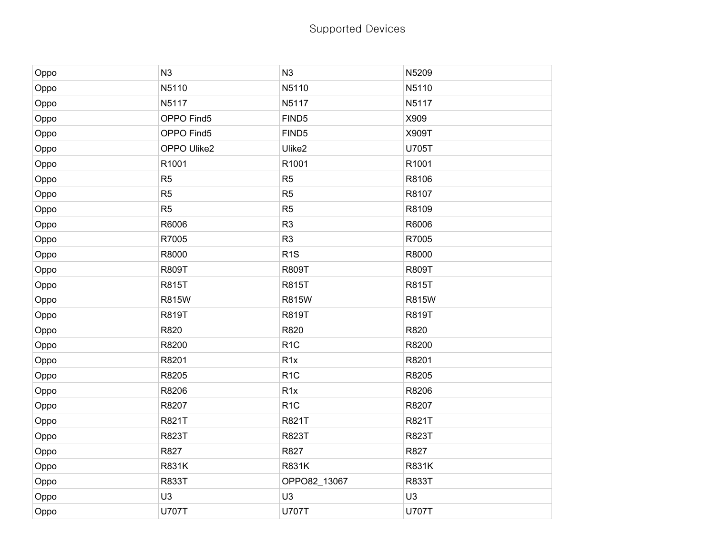| Oppo | N <sub>3</sub> | N3                | N5209          |
|------|----------------|-------------------|----------------|
| Oppo | N5110          | N5110             | N5110          |
| Oppo | N5117          | N5117             | N5117          |
| Oppo | OPPO Find5     | FIND <sub>5</sub> | X909           |
| Oppo | OPPO Find5     | FIND <sub>5</sub> | X909T          |
| Oppo | OPPO Ulike2    | Ulike2            | U705T          |
| Oppo | R1001          | R1001             | R1001          |
| Oppo | R <sub>5</sub> | R <sub>5</sub>    | R8106          |
| Oppo | R <sub>5</sub> | R <sub>5</sub>    | R8107          |
| Oppo | R <sub>5</sub> | R <sub>5</sub>    | R8109          |
| Oppo | R6006          | R <sub>3</sub>    | R6006          |
| Oppo | R7005          | R <sub>3</sub>    | R7005          |
| Oppo | R8000          | R <sub>1</sub> S  | R8000          |
| Oppo | <b>R809T</b>   | <b>R809T</b>      | <b>R809T</b>   |
| Oppo | <b>R815T</b>   | <b>R815T</b>      | <b>R815T</b>   |
| Oppo | <b>R815W</b>   | <b>R815W</b>      | <b>R815W</b>   |
| Oppo | <b>R819T</b>   | <b>R819T</b>      | <b>R819T</b>   |
| Oppo | R820           | R820              | R820           |
| Oppo | R8200          | R <sub>1</sub> C  | R8200          |
| Oppo | R8201          | R <sub>1x</sub>   | R8201          |
| Oppo | R8205          | R <sub>1</sub> C  | R8205          |
| Oppo | R8206          | R <sub>1x</sub>   | R8206          |
| Oppo | R8207          | R <sub>1</sub> C  | R8207          |
| Oppo | R821T          | R821T             | R821T          |
| Oppo | <b>R823T</b>   | R823T             | <b>R823T</b>   |
| Oppo | R827           | R827              | R827           |
| Oppo | <b>R831K</b>   | <b>R831K</b>      | <b>R831K</b>   |
| Oppo | <b>R833T</b>   | OPPO82_13067      | <b>R833T</b>   |
| Oppo | U <sub>3</sub> | U <sub>3</sub>    | U <sub>3</sub> |
| Oppo | <b>U707T</b>   | <b>U707T</b>      | <b>U707T</b>   |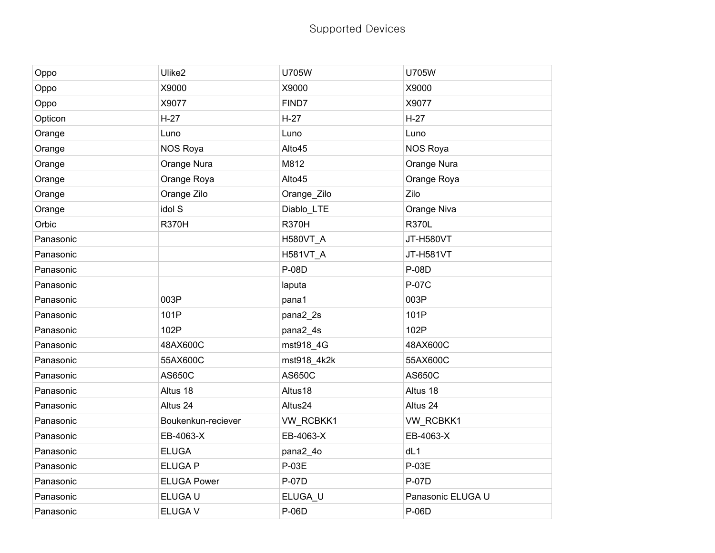## Supported Devices

| Oppo      | Ulike2             | <b>U705W</b>    | <b>U705W</b>      |
|-----------|--------------------|-----------------|-------------------|
| Oppo      | X9000              | X9000           | X9000             |
| Oppo      | X9077              | FIND7           | X9077             |
| Opticon   | $H-27$             | $H-27$          | $H-27$            |
| Orange    | Luno               | Luno            | Luno              |
| Orange    | <b>NOS Roya</b>    | Alto45          | NOS Roya          |
| Orange    | Orange Nura        | M812            | Orange Nura       |
| Orange    | Orange Roya        | Alto45          | Orange Roya       |
| Orange    | Orange Zilo        | Orange_Zilo     | Zilo              |
| Orange    | idol S             | Diablo_LTE      | Orange Niva       |
| Orbic     | <b>R370H</b>       | <b>R370H</b>    | <b>R370L</b>      |
| Panasonic |                    | <b>H580VT_A</b> | <b>JT-H580VT</b>  |
| Panasonic |                    | H581VT_A        | JT-H581VT         |
| Panasonic |                    | <b>P-08D</b>    | P-08D             |
| Panasonic |                    | laputa          | P-07C             |
| Panasonic | 003P               | pana1           | 003P              |
| Panasonic | 101P               | pana2_2s        | 101P              |
| Panasonic | 102P               | pana2_4s        | 102P              |
| Panasonic | 48AX600C           | mst918_4G       | 48AX600C          |
| Panasonic | 55AX600C           | mst918_4k2k     | 55AX600C          |
| Panasonic | <b>AS650C</b>      | <b>AS650C</b>   | AS650C            |
| Panasonic | Altus 18           | Altus18         | Altus 18          |
| Panasonic | Altus 24           | Altus24         | Altus 24          |
| Panasonic | Boukenkun-reciever | VW_RCBKK1       | VW_RCBKK1         |
| Panasonic | EB-4063-X          | EB-4063-X       | EB-4063-X         |
| Panasonic | <b>ELUGA</b>       | pana2_4o        | dL1               |
| Panasonic | <b>ELUGA P</b>     | P-03E           | P-03E             |
| Panasonic | <b>ELUGA Power</b> | <b>P-07D</b>    | P-07D             |
| Panasonic | ELUGA U            | ELUGA_U         | Panasonic ELUGA U |
| Panasonic | ELUGA V            | <b>P-06D</b>    | P-06D             |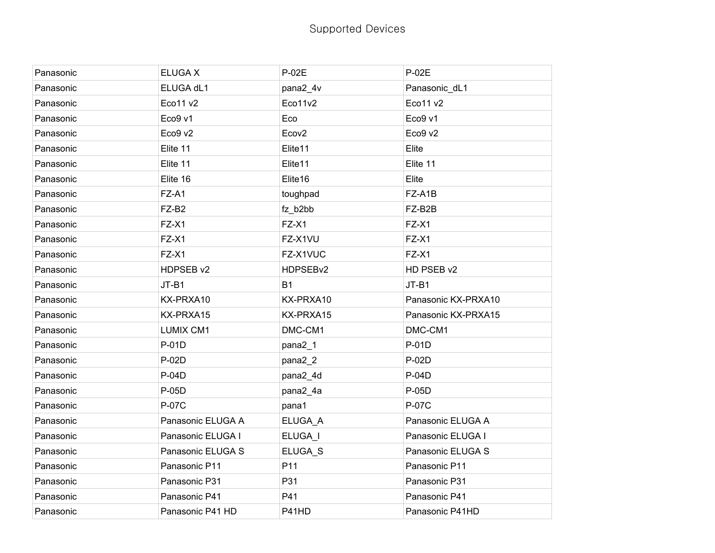| Panasonic | <b>ELUGA X</b>    | P-02E             | P-02E               |
|-----------|-------------------|-------------------|---------------------|
| Panasonic | ELUGA dL1         | pana2_4v          | Panasonic_dL1       |
| Panasonic | Eco11 v2          | Eco11v2           | Eco11 v2            |
| Panasonic | Eco9 v1           | Eco               | Eco9 v1             |
| Panasonic | Eco9 v2           | Ecov <sub>2</sub> | Eco9 v2             |
| Panasonic | Elite 11          | Elite11           | Elite               |
| Panasonic | Elite 11          | Elite11           | Elite 11            |
| Panasonic | Elite 16          | Elite16           | Elite               |
| Panasonic | FZ-A1             | toughpad          | FZ-A1B              |
| Panasonic | FZ-B2             | fz_b2bb           | FZ-B2B              |
| Panasonic | FZ-X1             | FZ-X1             | FZ-X1               |
| Panasonic | FZ-X1             | FZ-X1VU           | FZ-X1               |
| Panasonic | FZ-X1             | FZ-X1VUC          | FZ-X1               |
| Panasonic | HDPSEB v2         | HDPSEBv2          | HD PSEB v2          |
| Panasonic | JT-B1             | <b>B1</b>         | $JT-B1$             |
| Panasonic | KX-PRXA10         | KX-PRXA10         | Panasonic KX-PRXA10 |
| Panasonic | KX-PRXA15         | KX-PRXA15         | Panasonic KX-PRXA15 |
| Panasonic | <b>LUMIX CM1</b>  | DMC-CM1           | DMC-CM1             |
| Panasonic | P-01D             | pana2_1           | P-01D               |
| Panasonic | P-02D             | pana2_2           | P-02D               |
| Panasonic | P-04D             | pana2_4d          | P-04D               |
| Panasonic | P-05D             | pana2_4a          | P-05D               |
| Panasonic | P-07C             | pana1             | P-07C               |
| Panasonic | Panasonic ELUGA A | ELUGA_A           | Panasonic ELUGA A   |
| Panasonic | Panasonic ELUGA I | ELUGA_I           | Panasonic ELUGA I   |
| Panasonic | Panasonic ELUGA S | ELUGA_S           | Panasonic ELUGA S   |
| Panasonic | Panasonic P11     | P11               | Panasonic P11       |
| Panasonic | Panasonic P31     | P31               | Panasonic P31       |
| Panasonic | Panasonic P41     | P41               | Panasonic P41       |
| Panasonic | Panasonic P41 HD  | P41HD             | Panasonic P41HD     |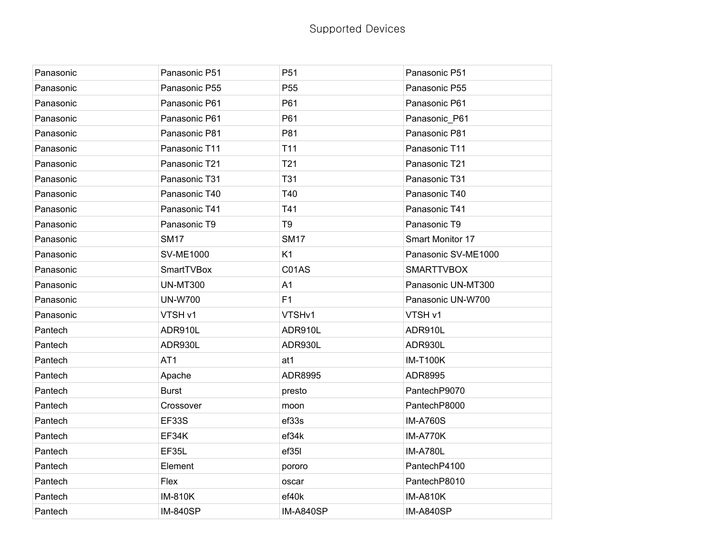| Panasonic | Panasonic P51    | P <sub>51</sub>  | Panasonic P51       |
|-----------|------------------|------------------|---------------------|
| Panasonic | Panasonic P55    | P <sub>55</sub>  | Panasonic P55       |
| Panasonic | Panasonic P61    | P61              | Panasonic P61       |
| Panasonic | Panasonic P61    | P61              | Panasonic_P61       |
| Panasonic | Panasonic P81    | P81              | Panasonic P81       |
| Panasonic | Panasonic T11    | T <sub>11</sub>  | Panasonic T11       |
| Panasonic | Panasonic T21    | T21              | Panasonic T21       |
| Panasonic | Panasonic T31    | <b>T31</b>       | Panasonic T31       |
| Panasonic | Panasonic T40    | T40              | Panasonic T40       |
| Panasonic | Panasonic T41    | T41              | Panasonic T41       |
| Panasonic | Panasonic T9     | T <sub>9</sub>   | Panasonic T9        |
| Panasonic | <b>SM17</b>      | <b>SM17</b>      | Smart Monitor 17    |
| Panasonic | <b>SV-ME1000</b> | K1               | Panasonic SV-ME1000 |
| Panasonic | SmartTVBox       | C01AS            | <b>SMARTTVBOX</b>   |
| Panasonic | <b>UN-MT300</b>  | A1               | Panasonic UN-MT300  |
| Panasonic | <b>UN-W700</b>   | F1               | Panasonic UN-W700   |
| Panasonic | VTSH v1          | VTSHv1           | VTSH v1             |
| Pantech   | ADR910L          | ADR910L          | ADR910L             |
| Pantech   | ADR930L          | ADR930L          | ADR930L             |
| Pantech   | AT <sub>1</sub>  | at1              | <b>IM-T100K</b>     |
| Pantech   | Apache           | ADR8995          | ADR8995             |
| Pantech   | <b>Burst</b>     | presto           | PantechP9070        |
| Pantech   | Crossover        | moon             | PantechP8000        |
| Pantech   | <b>EF33S</b>     | ef33s            | <b>IM-A760S</b>     |
| Pantech   | EF34K            | ef34k            | IM-A770K            |
| Pantech   | EF35L            | ef35I            | <b>IM-A780L</b>     |
| Pantech   | Element          | pororo           | PantechP4100        |
| Pantech   | Flex             | oscar            | PantechP8010        |
| Pantech   | <b>IM-810K</b>   | ef40k            | <b>IM-A810K</b>     |
| Pantech   | <b>IM-840SP</b>  | <b>IM-A840SP</b> | <b>IM-A840SP</b>    |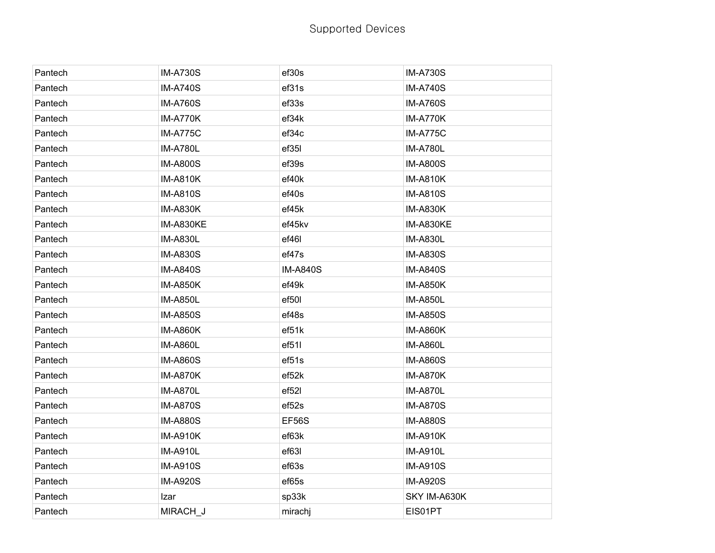| Pantech | <b>IM-A730S</b> | ef30s             | <b>IM-A730S</b> |
|---------|-----------------|-------------------|-----------------|
| Pantech | <b>IM-A740S</b> | ef31s             | <b>IM-A740S</b> |
| Pantech | <b>IM-A760S</b> | ef33s             | <b>IM-A760S</b> |
| Pantech | IM-A770K        | ef34k             | <b>IM-A770K</b> |
| Pantech | <b>IM-A775C</b> | ef34c             | <b>IM-A775C</b> |
| Pantech | <b>IM-A780L</b> | ef35l             | <b>IM-A780L</b> |
| Pantech | <b>IM-A800S</b> | ef39s             | <b>IM-A800S</b> |
| Pantech | <b>IM-A810K</b> | ef40k             | <b>IM-A810K</b> |
| Pantech | <b>IM-A810S</b> | ef40s             | <b>IM-A810S</b> |
| Pantech | <b>IM-A830K</b> | ef45k             | <b>IM-A830K</b> |
| Pantech | IM-A830KE       | ef45kv            | IM-A830KE       |
| Pantech | <b>IM-A830L</b> | ef46l             | <b>IM-A830L</b> |
| Pantech | <b>IM-A830S</b> | ef47s             | <b>IM-A830S</b> |
| Pantech | <b>IM-A840S</b> | <b>IM-A840S</b>   | <b>IM-A840S</b> |
| Pantech | <b>IM-A850K</b> | ef49k             | <b>IM-A850K</b> |
| Pantech | <b>IM-A850L</b> | ef50l             | <b>IM-A850L</b> |
| Pantech | <b>IM-A850S</b> | ef48s             | <b>IM-A850S</b> |
| Pantech | <b>IM-A860K</b> | ef51k             | <b>IM-A860K</b> |
| Pantech | <b>IM-A860L</b> | ef511             | <b>IM-A860L</b> |
| Pantech | <b>IM-A860S</b> | ef51s             | <b>IM-A860S</b> |
| Pantech | <b>IM-A870K</b> | ef52k             | <b>IM-A870K</b> |
| Pantech | <b>IM-A870L</b> | ef52l             | <b>IM-A870L</b> |
| Pantech | <b>IM-A870S</b> | ef <sub>52s</sub> | <b>IM-A870S</b> |
| Pantech | <b>IM-A880S</b> | <b>EF56S</b>      | <b>IM-A880S</b> |
| Pantech | <b>IM-A910K</b> | ef63k             | <b>IM-A910K</b> |
| Pantech | <b>IM-A910L</b> | ef63l             | <b>IM-A910L</b> |
| Pantech | <b>IM-A910S</b> | ef63s             | <b>IM-A910S</b> |
| Pantech | <b>IM-A920S</b> | ef65s             | <b>IM-A920S</b> |
| Pantech | Izar            | sp33k             | SKY IM-A630K    |
| Pantech | MIRACH J        | mirachj           | EIS01PT         |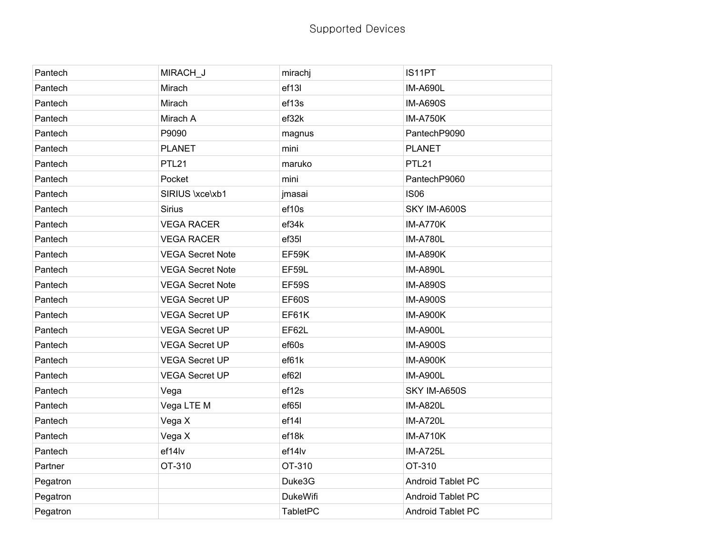| Pantech  | MIRACH_J                | mirachj         | IS11PT            |
|----------|-------------------------|-----------------|-------------------|
| Pantech  | Mirach                  | ef13l           | <b>IM-A690L</b>   |
| Pantech  | Mirach                  | ef13s           | <b>IM-A690S</b>   |
| Pantech  | Mirach A                | ef32k           | <b>IM-A750K</b>   |
| Pantech  | P9090                   | magnus          | PantechP9090      |
| Pantech  | <b>PLANET</b>           | mini            | <b>PLANET</b>     |
| Pantech  | PTL <sub>21</sub>       | maruko          | PTL <sub>21</sub> |
| Pantech  | Pocket                  | mini            | PantechP9060      |
| Pantech  | SIRIUS \xce\xb1         | jmasai          | <b>IS06</b>       |
| Pantech  | <b>Sirius</b>           | ef10s           | SKY IM-A600S      |
| Pantech  | <b>VEGA RACER</b>       | ef34k           | IM-A770K          |
| Pantech  | <b>VEGA RACER</b>       | ef35l           | <b>IM-A780L</b>   |
| Pantech  | <b>VEGA Secret Note</b> | EF59K           | <b>IM-A890K</b>   |
| Pantech  | <b>VEGA Secret Note</b> | EF59L           | <b>IM-A890L</b>   |
| Pantech  | <b>VEGA Secret Note</b> | <b>EF59S</b>    | <b>IM-A890S</b>   |
| Pantech  | <b>VEGA Secret UP</b>   | EF60S           | <b>IM-A900S</b>   |
| Pantech  | <b>VEGA Secret UP</b>   | EF61K           | <b>IM-A900K</b>   |
| Pantech  | <b>VEGA Secret UP</b>   | EF62L           | <b>IM-A900L</b>   |
| Pantech  | <b>VEGA Secret UP</b>   | ef60s           | <b>IM-A900S</b>   |
| Pantech  | <b>VEGA Secret UP</b>   | ef61k           | <b>IM-A900K</b>   |
| Pantech  | <b>VEGA Secret UP</b>   | ef62l           | <b>IM-A900L</b>   |
| Pantech  | Vega                    | ef12s           | SKY IM-A650S      |
| Pantech  | Vega LTE M              | ef65l           | <b>IM-A820L</b>   |
| Pantech  | Vega X                  | ef14l           | <b>IM-A720L</b>   |
| Pantech  | Vega X                  | ef18k           | <b>IM-A710K</b>   |
| Pantech  | ef14lv                  | ef14lv          | <b>IM-A725L</b>   |
| Partner  | OT-310                  | OT-310          | OT-310            |
| Pegatron |                         | Duke3G          | Android Tablet PC |
| Pegatron |                         | <b>DukeWifi</b> | Android Tablet PC |
| Pegatron |                         | <b>TabletPC</b> | Android Tablet PC |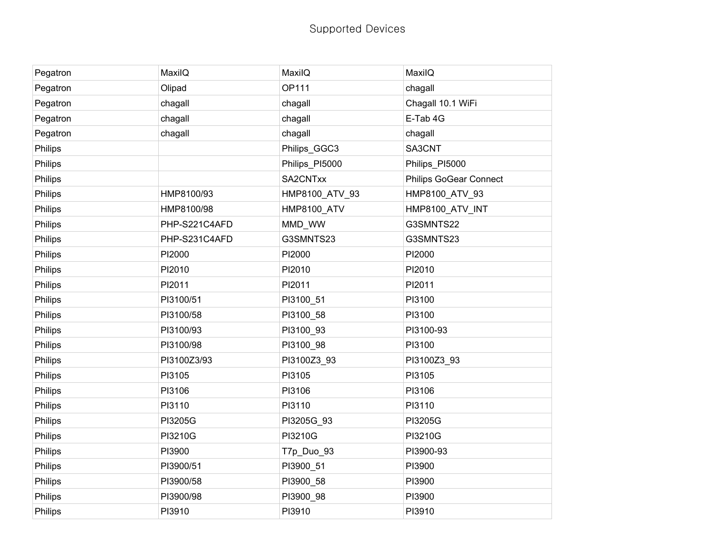| Pegatron | MaxilQ        | MaxilQ             | MaxilQ                        |
|----------|---------------|--------------------|-------------------------------|
| Pegatron | Olipad        | <b>OP111</b>       | chagall                       |
| Pegatron | chagall       | chagall            | Chagall 10.1 WiFi             |
| Pegatron | chagall       | chagall            | E-Tab 4G                      |
| Pegatron | chagall       | chagall            | chagall                       |
| Philips  |               | Philips_GGC3       | SA3CNT                        |
| Philips  |               | Philips_PI5000     | Philips_PI5000                |
| Philips  |               | SA2CNTxx           | <b>Philips GoGear Connect</b> |
| Philips  | HMP8100/93    | HMP8100_ATV_93     | HMP8100_ATV_93                |
| Philips  | HMP8100/98    | <b>HMP8100_ATV</b> | HMP8100_ATV_INT               |
| Philips  | PHP-S221C4AFD | MMD_WW             | G3SMNTS22                     |
| Philips  | PHP-S231C4AFD | G3SMNTS23          | G3SMNTS23                     |
| Philips  | PI2000        | PI2000             | PI2000                        |
| Philips  | PI2010        | PI2010             | PI2010                        |
| Philips  | PI2011        | PI2011             | PI2011                        |
| Philips  | PI3100/51     | PI3100_51          | PI3100                        |
| Philips  | PI3100/58     | PI3100_58          | PI3100                        |
| Philips  | PI3100/93     | PI3100_93          | PI3100-93                     |
| Philips  | PI3100/98     | PI3100_98          | PI3100                        |
| Philips  | PI3100Z3/93   | PI3100Z3_93        | PI3100Z3_93                   |
| Philips  | PI3105        | PI3105             | PI3105                        |
| Philips  | PI3106        | PI3106             | PI3106                        |
| Philips  | PI3110        | PI3110             | PI3110                        |
| Philips  | PI3205G       | PI3205G 93         | PI3205G                       |
| Philips  | PI3210G       | PI3210G            | PI3210G                       |
| Philips  | PI3900        | T7p_Duo_93         | PI3900-93                     |
| Philips  | PI3900/51     | PI3900_51          | PI3900                        |
| Philips  | PI3900/58     | PI3900_58          | PI3900                        |
| Philips  | PI3900/98     | PI3900_98          | PI3900                        |
| Philips  | PI3910        | PI3910             | PI3910                        |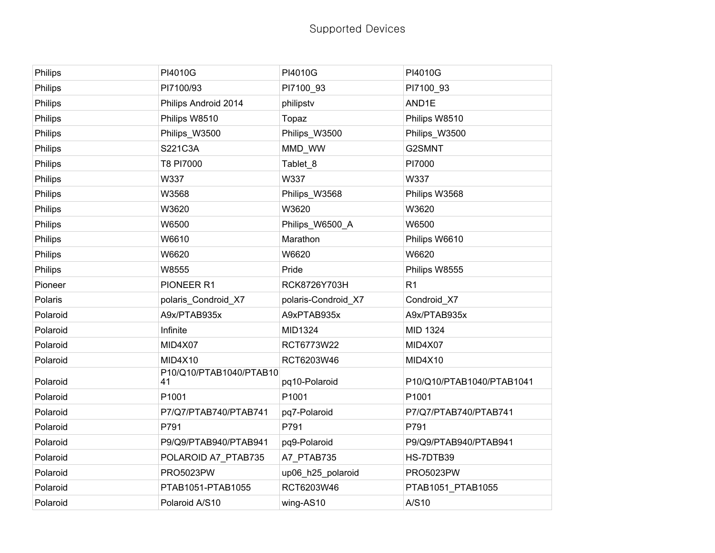| Philips  | PI4010G                       | PI4010G             | PI4010G                   |
|----------|-------------------------------|---------------------|---------------------------|
| Philips  | PI7100/93                     | PI7100_93           | PI7100_93                 |
| Philips  | Philips Android 2014          | philipstv           | AND1E                     |
| Philips  | Philips W8510                 | Topaz               | Philips W8510             |
| Philips  | Philips_W3500                 | Philips_W3500       | Philips_W3500             |
| Philips  | S221C3A                       | MMD_WW              | G2SMNT                    |
| Philips  | T8 PI7000                     | Tablet_8            | PI7000                    |
| Philips  | W337                          | W337                | W337                      |
| Philips  | W3568                         | Philips_W3568       | Philips W3568             |
| Philips  | W3620                         | W3620               | W3620                     |
| Philips  | W6500                         | Philips_W6500_A     | W6500                     |
| Philips  | W6610                         | Marathon            | Philips W6610             |
| Philips  | W6620                         | W6620               | W6620                     |
| Philips  | W8555                         | Pride               | Philips W8555             |
| Pioneer  | PIONEER R1                    | RCK8726Y703H        | R <sub>1</sub>            |
| Polaris  | polaris_Condroid_X7           | polaris-Condroid_X7 | Condroid_X7               |
| Polaroid | A9x/PTAB935x                  | A9xPTAB935x         | A9x/PTAB935x              |
| Polaroid | Infinite                      | MID1324             | MID 1324                  |
| Polaroid | MID4X07                       | RCT6773W22          | MID4X07                   |
| Polaroid | MID4X10                       | RCT6203W46          | MID4X10                   |
| Polaroid | P10/Q10/PTAB1040/PTAB10<br>41 | pq10-Polaroid       | P10/Q10/PTAB1040/PTAB1041 |
| Polaroid | P1001                         | P1001               | P1001                     |
| Polaroid | P7/Q7/PTAB740/PTAB741         | pq7-Polaroid        | P7/Q7/PTAB740/PTAB741     |
| Polaroid | P791                          | P791                | P791                      |
| Polaroid | P9/Q9/PTAB940/PTAB941         | pq9-Polaroid        | P9/Q9/PTAB940/PTAB941     |
| Polaroid | POLAROID A7_PTAB735           | A7_PTAB735          | HS-7DTB39                 |
| Polaroid | <b>PRO5023PW</b>              | up06_h25_polaroid   | <b>PRO5023PW</b>          |
| Polaroid | PTAB1051-PTAB1055             | RCT6203W46          | PTAB1051_PTAB1055         |
| Polaroid | Polaroid A/S10                | wing-AS10           | A/S10                     |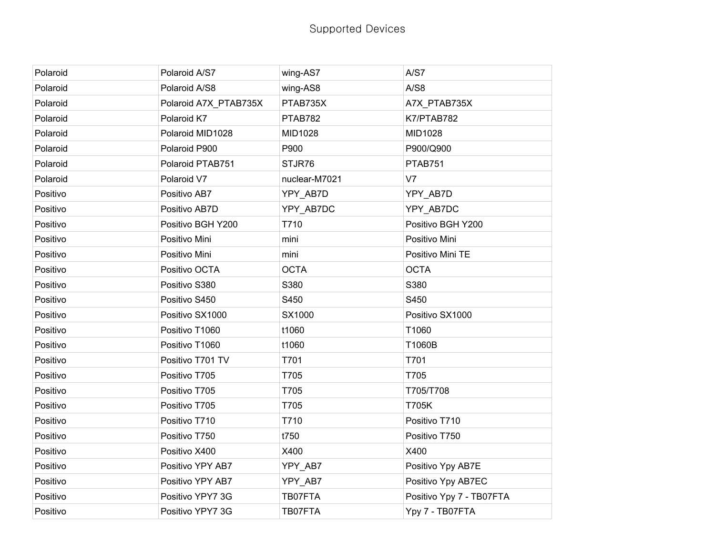| Polaroid | Polaroid A/S7         | wing-AS7      | A/S7                     |
|----------|-----------------------|---------------|--------------------------|
| Polaroid | Polaroid A/S8         | wing-AS8      | A/S8                     |
| Polaroid | Polaroid A7X_PTAB735X | PTAB735X      | A7X_PTAB735X             |
| Polaroid | Polaroid K7           | PTAB782       | K7/PTAB782               |
| Polaroid | Polaroid MID1028      | MID1028       | MID1028                  |
| Polaroid | Polaroid P900         | P900          | P900/Q900                |
| Polaroid | Polaroid PTAB751      | STJR76        | PTAB751                  |
| Polaroid | Polaroid V7           | nuclear-M7021 | V <sub>7</sub>           |
| Positivo | Positivo AB7          | YPY_AB7D      | YPY_AB7D                 |
| Positivo | Positivo AB7D         | YPY_AB7DC     | YPY_AB7DC                |
| Positivo | Positivo BGH Y200     | T710          | Positivo BGH Y200        |
| Positivo | Positivo Mini         | mini          | Positivo Mini            |
| Positivo | Positivo Mini         | mini          | Positivo Mini TE         |
| Positivo | Positivo OCTA         | <b>OCTA</b>   | <b>OCTA</b>              |
| Positivo | Positivo S380         | S380          | S380                     |
| Positivo | Positivo S450         | S450          | S450                     |
| Positivo | Positivo SX1000       | SX1000        | Positivo SX1000          |
| Positivo | Positivo T1060        | t1060         | T1060                    |
| Positivo | Positivo T1060        | t1060         | T1060B                   |
| Positivo | Positivo T701 TV      | T701          | T701                     |
| Positivo | Positivo T705         | T705          | T705                     |
| Positivo | Positivo T705         | T705          | T705/T708                |
| Positivo | Positivo T705         | T705          | <b>T705K</b>             |
| Positivo | Positivo T710         | T710          | Positivo T710            |
| Positivo | Positivo T750         | t750          | Positivo T750            |
| Positivo | Positivo X400         | X400          | X400                     |
| Positivo | Positivo YPY AB7      | YPY_AB7       | Positivo Ypy AB7E        |
| Positivo | Positivo YPY AB7      | YPY_AB7       | Positivo Ypy AB7EC       |
| Positivo | Positivo YPY7 3G      | TB07FTA       | Positivo Ypy 7 - TB07FTA |
| Positivo | Positivo YPY7 3G      | TB07FTA       | Ypy 7 - TB07FTA          |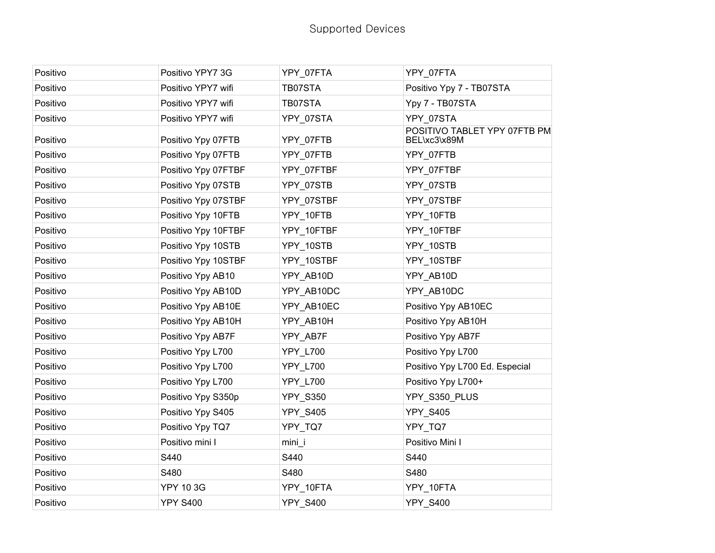| Positivo | Positivo YPY7 3G    | YPY_07FTA       | YPY_07FTA                                    |
|----------|---------------------|-----------------|----------------------------------------------|
| Positivo | Positivo YPY7 wifi  | TB07STA         | Positivo Ypy 7 - TB07STA                     |
| Positivo | Positivo YPY7 wifi  | TB07STA         | Ypy 7 - TB07STA                              |
| Positivo | Positivo YPY7 wifi  | YPY_07STA       | YPY_07STA                                    |
| Positivo | Positivo Ypy 07FTB  | YPY_07FTB       | POSITIVO TABLET YPY 07FTB PM<br>BEL\xc3\x89M |
| Positivo | Positivo Ypy 07FTB  | YPY_07FTB       | YPY_07FTB                                    |
| Positivo | Positivo Ypy 07FTBF | YPY 07FTBF      | YPY 07FTBF                                   |
| Positivo | Positivo Ypy 07STB  | YPY 07STB       | YPY_07STB                                    |
| Positivo | Positivo Ypy 07STBF | YPY 07STBF      | YPY 07STBF                                   |
| Positivo | Positivo Ypy 10FTB  | YPY_10FTB       | YPY 10FTB                                    |
| Positivo | Positivo Ypy 10FTBF | YPY 10FTBF      | YPY 10FTBF                                   |
| Positivo | Positivo Ypy 10STB  | YPY_10STB       | YPY_10STB                                    |
| Positivo | Positivo Ypy 10STBF | YPY 10STBF      | YPY_10STBF                                   |
| Positivo | Positivo Ypy AB10   | YPY AB10D       | YPY AB10D                                    |
| Positivo | Positivo Ypy AB10D  | YPY AB10DC      | YPY AB10DC                                   |
| Positivo | Positivo Ypy AB10E  | YPY AB10EC      | Positivo Ypy AB10EC                          |
| Positivo | Positivo Ypy AB10H  | YPY AB10H       | Positivo Ypy AB10H                           |
| Positivo | Positivo Ypy AB7F   | YPY_AB7F        | Positivo Ypy AB7F                            |
| Positivo | Positivo Ypy L700   | YPY_L700        | Positivo Ypy L700                            |
| Positivo | Positivo Ypy L700   | <b>YPY_L700</b> | Positivo Ypy L700 Ed. Especial               |
| Positivo | Positivo Ypy L700   | YPY_L700        | Positivo Ypy L700+                           |
| Positivo | Positivo Ypy S350p  | <b>YPY_S350</b> | YPY_S350_PLUS                                |
| Positivo | Positivo Ypy S405   | <b>YPY_S405</b> | <b>YPY_S405</b>                              |
| Positivo | Positivo Ypy TQ7    | YPY_TQ7         | YPY_TQ7                                      |
| Positivo | Positivo mini I     | mini            | Positivo Mini I                              |
| Positivo | S440                | S440            | S440                                         |
| Positivo | S480                | S480            | S480                                         |
| Positivo | <b>YPY 10 3G</b>    | YPY_10FTA       | YPY_10FTA                                    |
| Positivo | <b>YPY S400</b>     | <b>YPY_S400</b> | <b>YPY S400</b>                              |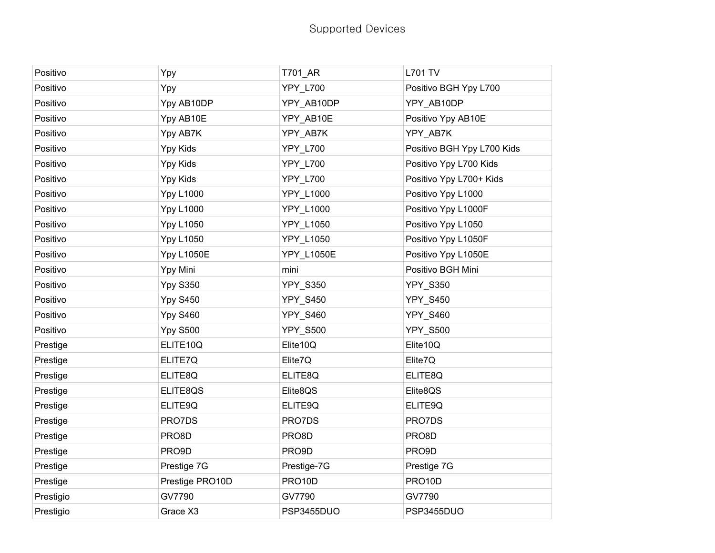| Positivo  | Ypy               | T701_AR          | <b>L701 TV</b>             |
|-----------|-------------------|------------------|----------------------------|
| Positivo  | Ypy               | <b>YPY L700</b>  | Positivo BGH Ypy L700      |
| Positivo  | Ypy AB10DP        | YPY_AB10DP       | YPY AB10DP                 |
| Positivo  | Ypy AB10E         | YPY_AB10E        | Positivo Ypy AB10E         |
| Positivo  | Ypy AB7K          | YPY_AB7K         | YPY_AB7K                   |
| Positivo  | Ypy Kids          | <b>YPY L700</b>  | Positivo BGH Ypy L700 Kids |
| Positivo  | Ypy Kids          | <b>YPY_L700</b>  | Positivo Ypy L700 Kids     |
| Positivo  | Ypy Kids          | <b>YPY_L700</b>  | Positivo Ypy L700+ Kids    |
| Positivo  | <b>Ypy L1000</b>  | YPY_L1000        | Positivo Ypy L1000         |
| Positivo  | <b>Ypy L1000</b>  | <b>YPY L1000</b> | Positivo Ypy L1000F        |
| Positivo  | <b>Ypy L1050</b>  | YPY_L1050        | Positivo Ypy L1050         |
| Positivo  | <b>Ypy L1050</b>  | YPY_L1050        | Positivo Ypy L1050F        |
| Positivo  | <b>Ypy L1050E</b> | YPY_L1050E       | Positivo Ypy L1050E        |
| Positivo  | Ypy Mini          | mini             | Positivo BGH Mini          |
| Positivo  | <b>Ypy S350</b>   | <b>YPY_S350</b>  | <b>YPY_S350</b>            |
| Positivo  | <b>Ypy S450</b>   | <b>YPY_S450</b>  | <b>YPY_S450</b>            |
| Positivo  | <b>Ypy S460</b>   | YPY_S460         | <b>YPY_S460</b>            |
| Positivo  | <b>Ypy S500</b>   | <b>YPY S500</b>  | <b>YPY_S500</b>            |
| Prestige  | ELITE10Q          | Elite10Q         | Elite10Q                   |
| Prestige  | ELITE7Q           | Elite7Q          | Elite7Q                    |
| Prestige  | ELITE8Q           | ELITE8Q          | ELITE8Q                    |
| Prestige  | ELITE8QS          | Elite8QS         | Elite8QS                   |
| Prestige  | ELITE9Q           | ELITE9Q          | ELITE9Q                    |
| Prestige  | PRO7DS            | PRO7DS           | PRO7DS                     |
| Prestige  | PRO8D             | PRO8D            | PRO8D                      |
| Prestige  | PRO9D             | PRO9D            | PRO9D                      |
| Prestige  | Prestige 7G       | Prestige-7G      | Prestige 7G                |
| Prestige  | Prestige PRO10D   | PRO10D           | PRO10D                     |
| Prestigio | GV7790            | GV7790           | GV7790                     |
| Prestigio | Grace X3          | PSP3455DUO       | PSP3455DUO                 |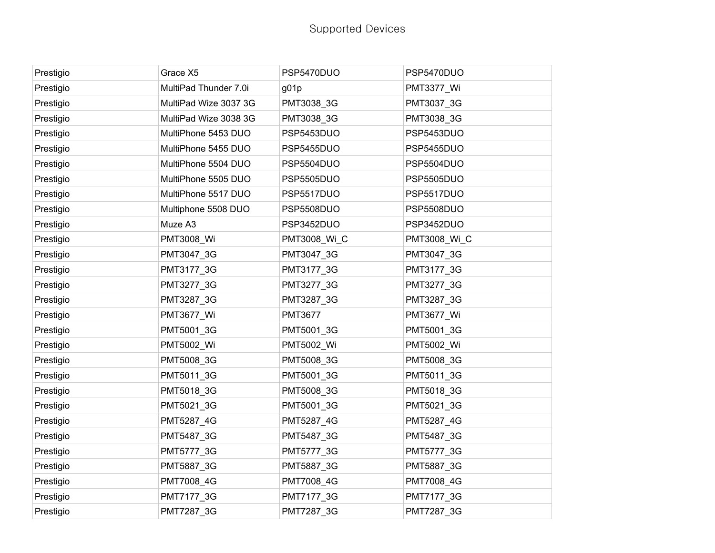| Prestigio | Grace X5              | PSP5470DUO     | PSP5470DUO        |
|-----------|-----------------------|----------------|-------------------|
| Prestigio | MultiPad Thunder 7.0i | g01p           | PMT3377 Wi        |
| Prestigio | MultiPad Wize 3037 3G | PMT3038 3G     | PMT3037_3G        |
| Prestigio | MultiPad Wize 3038 3G | PMT3038_3G     | PMT3038_3G        |
| Prestigio | MultiPhone 5453 DUO   | PSP5453DUO     | PSP5453DUO        |
| Prestigio | MultiPhone 5455 DUO   | PSP5455DUO     | PSP5455DUO        |
| Prestigio | MultiPhone 5504 DUO   | PSP5504DUO     | PSP5504DUO        |
| Prestigio | MultiPhone 5505 DUO   | PSP5505DUO     | PSP5505DUO        |
| Prestigio | MultiPhone 5517 DUO   | PSP5517DUO     | PSP5517DUO        |
| Prestigio | Multiphone 5508 DUO   | PSP5508DUO     | PSP5508DUO        |
| Prestigio | Muze A3               | PSP3452DUO     | PSP3452DUO        |
| Prestigio | <b>PMT3008_Wi</b>     | PMT3008_Wi_C   | PMT3008_Wi_C      |
| Prestigio | PMT3047_3G            | PMT3047_3G     | PMT3047_3G        |
| Prestigio | PMT3177 3G            | PMT3177 3G     | PMT3177 3G        |
| Prestigio | PMT3277_3G            | PMT3277_3G     | PMT3277_3G        |
| Prestigio | PMT3287_3G            | PMT3287_3G     | PMT3287_3G        |
| Prestigio | <b>PMT3677_Wi</b>     | <b>PMT3677</b> | <b>PMT3677_Wi</b> |
| Prestigio | PMT5001_3G            | PMT5001 3G     | PMT5001 3G        |
| Prestigio | PMT5002_Wi            | PMT5002_Wi     | PMT5002_Wi        |
| Prestigio | PMT5008_3G            | PMT5008_3G     | PMT5008_3G        |
| Prestigio | PMT5011_3G            | PMT5001_3G     | PMT5011_3G        |
| Prestigio | PMT5018 3G            | PMT5008 3G     | PMT5018 3G        |
| Prestigio | PMT5021_3G            | PMT5001_3G     | PMT5021_3G        |
| Prestigio | PMT5287_4G            | PMT5287_4G     | PMT5287_4G        |
| Prestigio | PMT5487_3G            | PMT5487_3G     | PMT5487_3G        |
| Prestigio | PMT5777 3G            | PMT5777 3G     | PMT5777 3G        |
| Prestigio | PMT5887_3G            | PMT5887_3G     | PMT5887_3G        |
| Prestigio | PMT7008_4G            | PMT7008_4G     | PMT7008_4G        |
| Prestigio | PMT7177_3G            | PMT7177_3G     | PMT7177_3G        |
| Prestigio | PMT7287 3G            | PMT7287 3G     | PMT7287 3G        |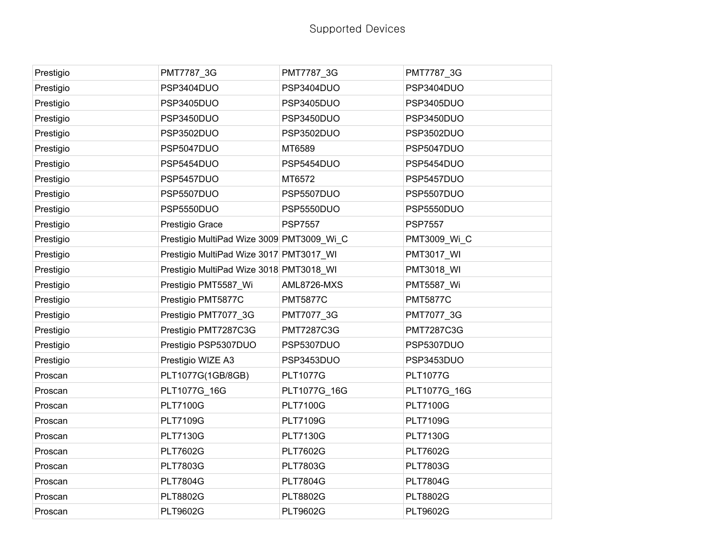| Prestigio | PMT7787_3G                                | PMT7787_3G        | PMT7787_3G        |
|-----------|-------------------------------------------|-------------------|-------------------|
| Prestigio | PSP3404DUO                                | PSP3404DUO        | PSP3404DUO        |
| Prestigio | PSP3405DUO                                | PSP3405DUO        | PSP3405DUO        |
| Prestigio | PSP3450DUO                                | PSP3450DUO        | PSP3450DUO        |
| Prestigio | PSP3502DUO                                | PSP3502DUO        | PSP3502DUO        |
| Prestigio | PSP5047DUO                                | MT6589            | PSP5047DUO        |
| Prestigio | PSP5454DUO                                | PSP5454DUO        | PSP5454DUO        |
| Prestigio | PSP5457DUO                                | MT6572            | PSP5457DUO        |
| Prestigio | PSP5507DUO                                | PSP5507DUO        | PSP5507DUO        |
| Prestigio | PSP5550DUO                                | PSP5550DUO        | PSP5550DUO        |
| Prestigio | Prestigio Grace                           | <b>PSP7557</b>    | <b>PSP7557</b>    |
| Prestigio | Prestigio MultiPad Wize 3009 PMT3009_Wi_C |                   | PMT3009_Wi_C      |
| Prestigio | Prestigio MultiPad Wize 3017 PMT3017_WI   |                   | <b>PMT3017_WI</b> |
| Prestigio | Prestigio MultiPad Wize 3018 PMT3018_WI   |                   | PMT3018_WI        |
| Prestigio | Prestigio PMT5587_Wi                      | AML8726-MXS       | <b>PMT5587_Wi</b> |
| Prestigio | Prestigio PMT5877C                        | <b>PMT5877C</b>   | <b>PMT5877C</b>   |
| Prestigio | Prestigio PMT7077_3G                      | PMT7077_3G        | PMT7077_3G        |
| Prestigio | Prestigio PMT7287C3G                      | <b>PMT7287C3G</b> | <b>PMT7287C3G</b> |
| Prestigio | Prestigio PSP5307DUO                      | PSP5307DUO        | PSP5307DUO        |
| Prestigio | Prestigio WIZE A3                         | PSP3453DUO        | PSP3453DUO        |
| Proscan   | PLT1077G(1GB/8GB)                         | <b>PLT1077G</b>   | <b>PLT1077G</b>   |
| Proscan   | PLT1077G 16G                              | PLT1077G 16G      | PLT1077G 16G      |
| Proscan   | <b>PLT7100G</b>                           | <b>PLT7100G</b>   | <b>PLT7100G</b>   |
| Proscan   | <b>PLT7109G</b>                           | <b>PLT7109G</b>   | <b>PLT7109G</b>   |
| Proscan   | <b>PLT7130G</b>                           | <b>PLT7130G</b>   | <b>PLT7130G</b>   |
| Proscan   | <b>PLT7602G</b>                           | <b>PLT7602G</b>   | <b>PLT7602G</b>   |
| Proscan   | <b>PLT7803G</b>                           | <b>PLT7803G</b>   | <b>PLT7803G</b>   |
| Proscan   | <b>PLT7804G</b>                           | <b>PLT7804G</b>   | <b>PLT7804G</b>   |
| Proscan   | <b>PLT8802G</b>                           | <b>PLT8802G</b>   | <b>PLT8802G</b>   |
| Proscan   | <b>PLT9602G</b>                           | <b>PLT9602G</b>   | <b>PLT9602G</b>   |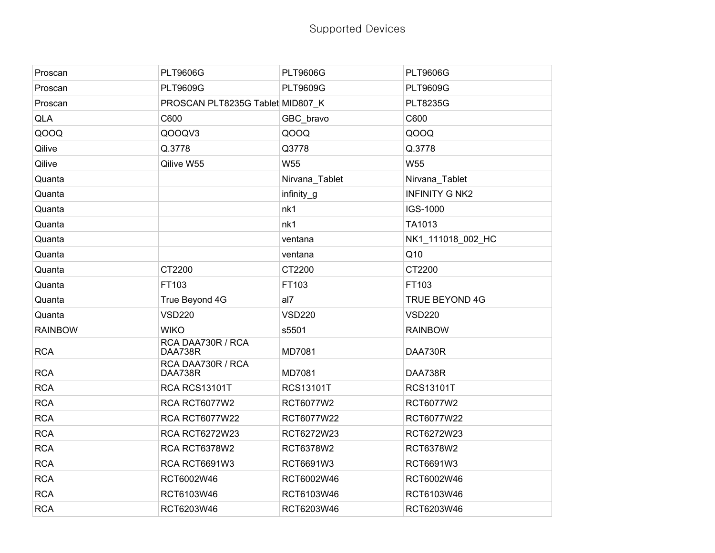| Proscan        | <b>PLT9606G</b>                  | <b>PLT9606G</b>  | <b>PLT9606G</b>       |
|----------------|----------------------------------|------------------|-----------------------|
| Proscan        | <b>PLT9609G</b>                  | <b>PLT9609G</b>  | <b>PLT9609G</b>       |
| Proscan        | PROSCAN PLT8235G Tablet MID807 K |                  | <b>PLT8235G</b>       |
| <b>QLA</b>     | C600                             | GBC_bravo        | C600                  |
| QOOQ           | QOOQV3                           | QOOQ             | QOOQ                  |
| Qilive         | Q.3778                           | Q3778            | Q.3778                |
| Qilive         | Qilive W55                       | W55              | W <sub>55</sub>       |
| Quanta         |                                  | Nirvana_Tablet   | Nirvana_Tablet        |
| Quanta         |                                  | infinity_g       | <b>INFINITY G NK2</b> |
| Quanta         |                                  | nk1              | IGS-1000              |
| Quanta         |                                  | nk1              | TA1013                |
| Quanta         |                                  | ventana          | NK1_111018_002_HC     |
| Quanta         |                                  | ventana          | Q10                   |
| Quanta         | CT2200                           | CT2200           | CT2200                |
| Quanta         | FT103                            | FT103            | FT103                 |
| Quanta         | True Beyond 4G                   | al7              | <b>TRUE BEYOND 4G</b> |
| Quanta         | <b>VSD220</b>                    | <b>VSD220</b>    | <b>VSD220</b>         |
| <b>RAINBOW</b> | <b>WIKO</b>                      | s5501            | <b>RAINBOW</b>        |
| <b>RCA</b>     | RCA DAA730R / RCA<br>DAA738R     | MD7081           | DAA730R               |
| <b>RCA</b>     | RCA DAA730R / RCA<br>DAA738R     | MD7081           | DAA738R               |
| <b>RCA</b>     | RCA RCS13101T                    | <b>RCS13101T</b> | <b>RCS13101T</b>      |
| <b>RCA</b>     | RCA RCT6077W2                    | RCT6077W2        | RCT6077W2             |
| <b>RCA</b>     | <b>RCA RCT6077W22</b>            | RCT6077W22       | RCT6077W22            |
| <b>RCA</b>     | <b>RCA RCT6272W23</b>            | RCT6272W23       | RCT6272W23            |
| <b>RCA</b>     | RCA RCT6378W2                    | RCT6378W2        | RCT6378W2             |
| <b>RCA</b>     | RCA RCT6691W3                    | RCT6691W3        | RCT6691W3             |
| <b>RCA</b>     | RCT6002W46                       | RCT6002W46       | RCT6002W46            |
| <b>RCA</b>     | RCT6103W46                       | RCT6103W46       | RCT6103W46            |
| <b>RCA</b>     | RCT6203W46                       | RCT6203W46       | RCT6203W46            |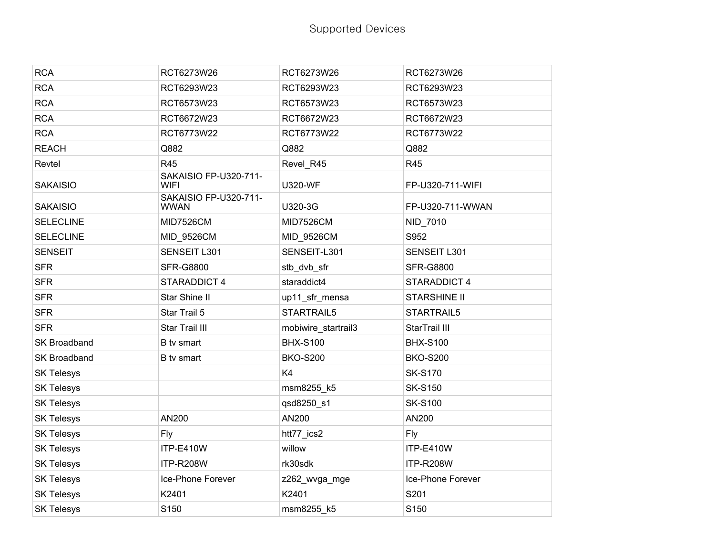| <b>RCA</b>        | RCT6273W26                           | RCT6273W26          | RCT6273W26          |
|-------------------|--------------------------------------|---------------------|---------------------|
| <b>RCA</b>        | RCT6293W23                           | RCT6293W23          | RCT6293W23          |
| <b>RCA</b>        | RCT6573W23                           | RCT6573W23          | RCT6573W23          |
| <b>RCA</b>        | RCT6672W23                           | RCT6672W23          | RCT6672W23          |
| <b>RCA</b>        | RCT6773W22                           | RCT6773W22          | RCT6773W22          |
| <b>REACH</b>      | Q882                                 | Q882                | Q882                |
| Revtel            | <b>R45</b>                           | Revel_R45           | R45                 |
| <b>SAKAISIO</b>   | SAKAISIO FP-U320-711-<br>WIFI        | <b>U320-WF</b>      | FP-U320-711-WIFI    |
| <b>SAKAISIO</b>   | SAKAISIO FP-U320-711-<br><b>WWAN</b> | U320-3G             | FP-U320-711-WWAN    |
| <b>SELECLINE</b>  | <b>MID7526CM</b>                     | <b>MID7526CM</b>    | NID_7010            |
| <b>SELECLINE</b>  | MID_9526CM                           | MID_9526CM          | S952                |
| <b>SENSEIT</b>    | SENSEIT L301                         | SENSEIT-L301        | SENSEIT L301        |
| <b>SFR</b>        | <b>SFR-G8800</b>                     | stb_dvb_sfr         | <b>SFR-G8800</b>    |
| <b>SFR</b>        | STARADDICT 4                         | staraddict4         | STARADDICT 4        |
| <b>SFR</b>        | Star Shine II                        | up11_sfr_mensa      | <b>STARSHINE II</b> |
| <b>SFR</b>        | Star Trail 5                         | STARTRAIL5          | STARTRAIL5          |
| <b>SFR</b>        | Star Trail III                       | mobiwire_startrail3 | StarTrail III       |
| SK Broadband      | B tv smart                           | <b>BHX-S100</b>     | <b>BHX-S100</b>     |
| SK Broadband      | B tv smart                           | <b>BKO-S200</b>     | <b>BKO-S200</b>     |
| <b>SK Telesys</b> |                                      | K4                  | <b>SK-S170</b>      |
| <b>SK Telesys</b> |                                      | msm8255_k5          | <b>SK-S150</b>      |
| <b>SK Telesys</b> |                                      | qsd8250_s1          | <b>SK-S100</b>      |
| <b>SK Telesys</b> | AN200                                | AN200               | AN200               |
| <b>SK Telesys</b> | Fly                                  | htt77_ics2          | <b>Fly</b>          |
| <b>SK Telesys</b> | ITP-E410W                            | willow              | ITP-E410W           |
| <b>SK Telesys</b> | ITP-R208W                            | rk30sdk             | ITP-R208W           |
| <b>SK Telesys</b> | Ice-Phone Forever                    | z262_wvga_mge       | Ice-Phone Forever   |
| <b>SK Telesys</b> | K2401                                | K2401               | S201                |
| <b>SK Telesys</b> | S150                                 | msm8255 k5          | S150                |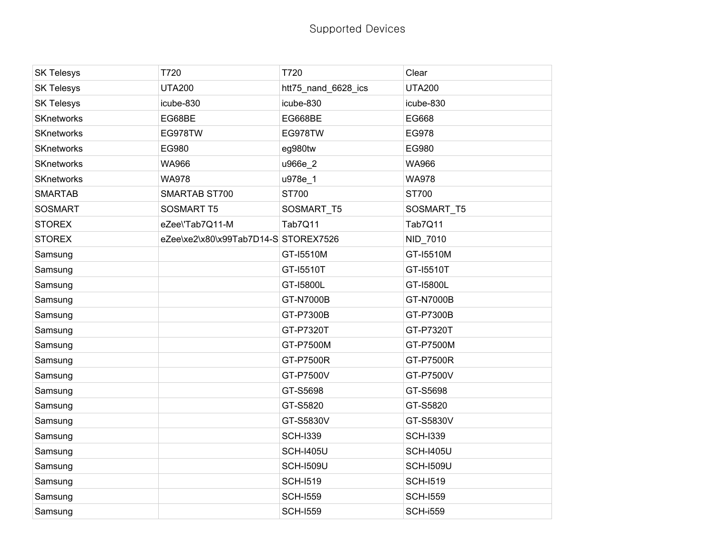| <b>SK Telesys</b> | T720                                 | T720                | Clear            |
|-------------------|--------------------------------------|---------------------|------------------|
| <b>SK Telesys</b> | <b>UTA200</b>                        | htt75_nand_6628_ics | <b>UTA200</b>    |
| <b>SK Telesys</b> | icube-830                            | icube-830           | icube-830        |
| <b>SKnetworks</b> | EG68BE                               | EG668BE             | EG668            |
| <b>SKnetworks</b> | EG978TW                              | EG978TW             | EG978            |
| SKnetworks        | EG980                                | eg980tw             | EG980            |
| <b>SKnetworks</b> | WA966                                | u966e_2             | <b>WA966</b>     |
| <b>SKnetworks</b> | <b>WA978</b>                         | u978e_1             | <b>WA978</b>     |
| <b>SMARTAB</b>    | SMARTAB ST700                        | ST700               | ST700            |
| <b>SOSMART</b>    | <b>SOSMART T5</b>                    | SOSMART_T5          | SOSMART_T5       |
| <b>STOREX</b>     | eZee\'Tab7Q11-M                      | Tab7Q11             | Tab7Q11          |
| <b>STOREX</b>     | eZee\xe2\x80\x99Tab7D14-S STOREX7526 |                     | NID_7010         |
| Samsung           |                                      | GT-15510M           | GT-15510M        |
| Samsung           |                                      | GT-15510T           | GT-15510T        |
| Samsung           |                                      | GT-I5800L           | GT-15800L        |
| Samsung           |                                      | GT-N7000B           | GT-N7000B        |
| Samsung           |                                      | GT-P7300B           | GT-P7300B        |
| Samsung           |                                      | GT-P7320T           | GT-P7320T        |
| Samsung           |                                      | GT-P7500M           | GT-P7500M        |
| Samsung           |                                      | GT-P7500R           | GT-P7500R        |
| Samsung           |                                      | GT-P7500V           | GT-P7500V        |
| Samsung           |                                      | GT-S5698            | GT-S5698         |
| Samsung           |                                      | GT-S5820            | GT-S5820         |
| Samsung           |                                      | GT-S5830V           | GT-S5830V        |
| Samsung           |                                      | <b>SCH-I339</b>     | <b>SCH-I339</b>  |
| Samsung           |                                      | <b>SCH-I405U</b>    | <b>SCH-I405U</b> |
| Samsung           |                                      | <b>SCH-I509U</b>    | <b>SCH-I509U</b> |
| Samsung           |                                      | <b>SCH-I519</b>     | <b>SCH-I519</b>  |
| Samsung           |                                      | <b>SCH-1559</b>     | <b>SCH-I559</b>  |
| Samsung           |                                      | <b>SCH-I559</b>     | <b>SCH-i559</b>  |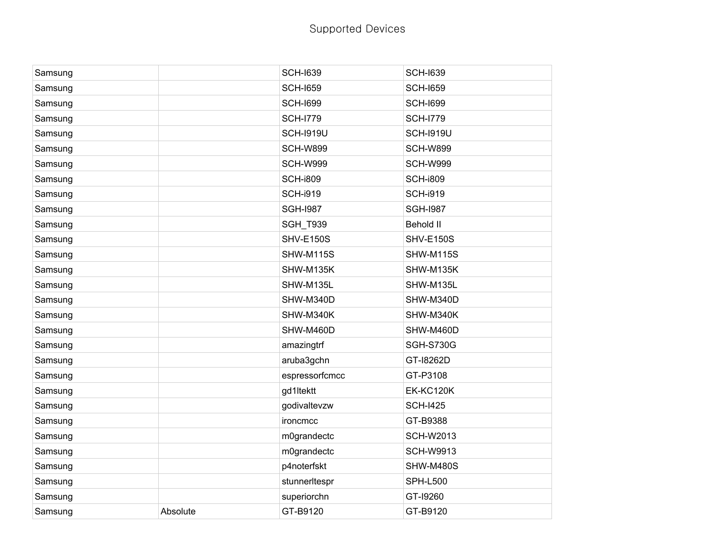| Samsung |          | <b>SCH-1639</b>  | <b>SCH-I639</b>  |
|---------|----------|------------------|------------------|
| Samsung |          | <b>SCH-1659</b>  | <b>SCH-1659</b>  |
| Samsung |          | <b>SCH-1699</b>  | <b>SCH-1699</b>  |
| Samsung |          | <b>SCH-1779</b>  | <b>SCH-1779</b>  |
| Samsung |          | <b>SCH-1919U</b> | <b>SCH-1919U</b> |
| Samsung |          | <b>SCH-W899</b>  | <b>SCH-W899</b>  |
| Samsung |          | <b>SCH-W999</b>  | <b>SCH-W999</b>  |
| Samsung |          | <b>SCH-i809</b>  | <b>SCH-i809</b>  |
| Samsung |          | <b>SCH-i919</b>  | <b>SCH-i919</b>  |
| Samsung |          | <b>SGH-1987</b>  | <b>SGH-1987</b>  |
| Samsung |          | <b>SGH_T939</b>  | <b>Behold II</b> |
| Samsung |          | <b>SHV-E150S</b> | <b>SHV-E150S</b> |
| Samsung |          | <b>SHW-M115S</b> | <b>SHW-M115S</b> |
| Samsung |          | SHW-M135K        | SHW-M135K        |
| Samsung |          | SHW-M135L        | SHW-M135L        |
| Samsung |          | SHW-M340D        | SHW-M340D        |
| Samsung |          | SHW-M340K        | SHW-M340K        |
| Samsung |          | SHW-M460D        | SHW-M460D        |
| Samsung |          | amazingtrf       | <b>SGH-S730G</b> |
| Samsung |          | aruba3gchn       | GT-18262D        |
| Samsung |          | espressorfcmcc   | GT-P3108         |
| Samsung |          | gd1ltektt        | <b>EK-KC120K</b> |
| Samsung |          | godivaltevzw     | <b>SCH-I425</b>  |
| Samsung |          | ironcmcc         | GT-B9388         |
| Samsung |          | m0grandectc      | <b>SCH-W2013</b> |
| Samsung |          | m0grandectc      | <b>SCH-W9913</b> |
| Samsung |          | p4noterfskt      | SHW-M480S        |
| Samsung |          | stunnerItespr    | <b>SPH-L500</b>  |
| Samsung |          | superiorchn      | GT-19260         |
| Samsung | Absolute | GT-B9120         | GT-B9120         |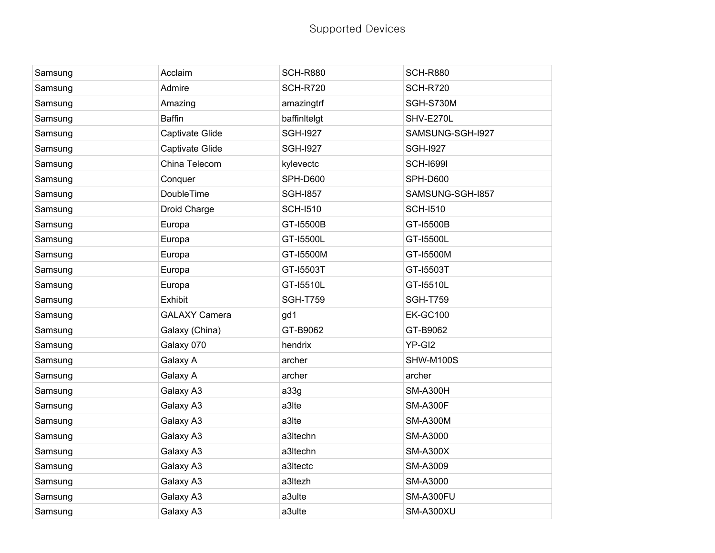| Samsung | Acclaim              | <b>SCH-R880</b> | <b>SCH-R880</b>  |
|---------|----------------------|-----------------|------------------|
| Samsung | Admire               | <b>SCH-R720</b> | <b>SCH-R720</b>  |
| Samsung | Amazing              | amazingtrf      | SGH-S730M        |
| Samsung | <b>Baffin</b>        | baffinitelgt    | SHV-E270L        |
| Samsung | Captivate Glide      | <b>SGH-I927</b> | SAMSUNG-SGH-I927 |
| Samsung | Captivate Glide      | <b>SGH-I927</b> | <b>SGH-I927</b>  |
| Samsung | China Telecom        | kylevectc       | <b>SCH-I699I</b> |
| Samsung | Conquer              | <b>SPH-D600</b> | <b>SPH-D600</b>  |
| Samsung | DoubleTime           | <b>SGH-1857</b> | SAMSUNG-SGH-I857 |
| Samsung | Droid Charge         | <b>SCH-I510</b> | <b>SCH-I510</b>  |
| Samsung | Europa               | GT-15500B       | GT-15500B        |
| Samsung | Europa               | GT-15500L       | GT-15500L        |
| Samsung | Europa               | GT-15500M       | GT-15500M        |
| Samsung | Europa               | GT-15503T       | GT-15503T        |
| Samsung | Europa               | GT-15510L       | GT-15510L        |
| Samsung | Exhibit              | <b>SGH-T759</b> | <b>SGH-T759</b>  |
| Samsung | <b>GALAXY Camera</b> | gd1             | <b>EK-GC100</b>  |
| Samsung | Galaxy (China)       | GT-B9062        | GT-B9062         |
| Samsung | Galaxy 070           | hendrix         | YP-GI2           |
| Samsung | Galaxy A             | archer          | SHW-M100S        |
| Samsung | Galaxy A             | archer          | archer           |
| Samsung | Galaxy A3            | a33g            | <b>SM-A300H</b>  |
| Samsung | Galaxy A3            | a3Ite           | <b>SM-A300F</b>  |
| Samsung | Galaxy A3            | a3Ite           | <b>SM-A300M</b>  |
| Samsung | Galaxy A3            | a3Itechn        | SM-A3000         |
| Samsung | Galaxy A3            | a3Itechn        | <b>SM-A300X</b>  |
| Samsung | Galaxy A3            | a3Itectc        | SM-A3009         |
| Samsung | Galaxy A3            | a3Itezh         | SM-A3000         |
| Samsung | Galaxy A3            | a3ulte          | SM-A300FU        |
| Samsung | Galaxy A3            | a3ulte          | SM-A300XU        |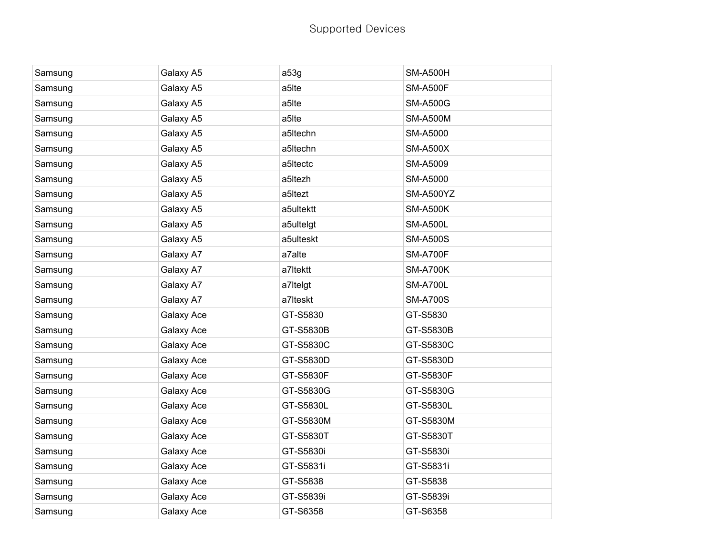| Samsung | Galaxy A5  | a53g      | <b>SM-A500H</b> |
|---------|------------|-----------|-----------------|
| Samsung | Galaxy A5  | a5lte     | <b>SM-A500F</b> |
| Samsung | Galaxy A5  | a5lte     | <b>SM-A500G</b> |
| Samsung | Galaxy A5  | a5lte     | <b>SM-A500M</b> |
| Samsung | Galaxy A5  | a5Itechn  | SM-A5000        |
| Samsung | Galaxy A5  | a5Itechn  | <b>SM-A500X</b> |
| Samsung | Galaxy A5  | a5Itectc  | SM-A5009        |
| Samsung | Galaxy A5  | a5ltezh   | SM-A5000        |
| Samsung | Galaxy A5  | a5Itezt   | SM-A500YZ       |
| Samsung | Galaxy A5  | a5ultektt | <b>SM-A500K</b> |
| Samsung | Galaxy A5  | a5ultelgt | <b>SM-A500L</b> |
| Samsung | Galaxy A5  | a5ulteskt | <b>SM-A500S</b> |
| Samsung | Galaxy A7  | a7alte    | <b>SM-A700F</b> |
| Samsung | Galaxy A7  | a7Itektt  | <b>SM-A700K</b> |
| Samsung | Galaxy A7  | a7Itelgt  | <b>SM-A700L</b> |
| Samsung | Galaxy A7  | a7Iteskt  | <b>SM-A700S</b> |
| Samsung | Galaxy Ace | GT-S5830  | GT-S5830        |
| Samsung | Galaxy Ace | GT-S5830B | GT-S5830B       |
| Samsung | Galaxy Ace | GT-S5830C | GT-S5830C       |
| Samsung | Galaxy Ace | GT-S5830D | GT-S5830D       |
| Samsung | Galaxy Ace | GT-S5830F | GT-S5830F       |
| Samsung | Galaxy Ace | GT-S5830G | GT-S5830G       |
| Samsung | Galaxy Ace | GT-S5830L | GT-S5830L       |
| Samsung | Galaxy Ace | GT-S5830M | GT-S5830M       |
| Samsung | Galaxy Ace | GT-S5830T | GT-S5830T       |
| Samsung | Galaxy Ace | GT-S5830i | GT-S5830i       |
| Samsung | Galaxy Ace | GT-S5831i | GT-S5831i       |
| Samsung | Galaxy Ace | GT-S5838  | GT-S5838        |
| Samsung | Galaxy Ace | GT-S5839i | GT-S5839i       |
| Samsung | Galaxy Ace | GT-S6358  | GT-S6358        |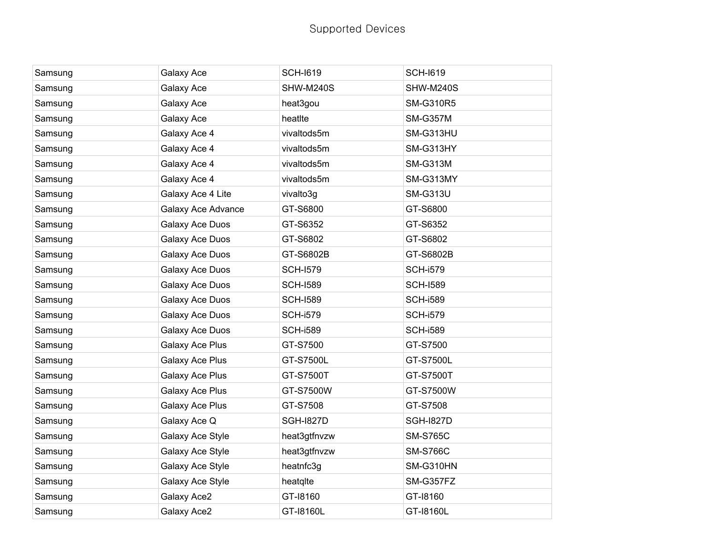| Samsung | Galaxy Ace         | <b>SCH-I619</b>  | <b>SCH-I619</b>  |
|---------|--------------------|------------------|------------------|
| Samsung | Galaxy Ace         | SHW-M240S        | SHW-M240S        |
| Samsung | Galaxy Ace         | heat3gou         | <b>SM-G310R5</b> |
| Samsung | Galaxy Ace         | heatIte          | <b>SM-G357M</b>  |
| Samsung | Galaxy Ace 4       | vivaltods5m      | SM-G313HU        |
| Samsung | Galaxy Ace 4       | vivaltods5m      | SM-G313HY        |
| Samsung | Galaxy Ace 4       | vivaltods5m      | <b>SM-G313M</b>  |
| Samsung | Galaxy Ace 4       | vivaltods5m      | SM-G313MY        |
| Samsung | Galaxy Ace 4 Lite  | vivalto3g        | <b>SM-G313U</b>  |
| Samsung | Galaxy Ace Advance | GT-S6800         | GT-S6800         |
| Samsung | Galaxy Ace Duos    | GT-S6352         | GT-S6352         |
| Samsung | Galaxy Ace Duos    | GT-S6802         | GT-S6802         |
| Samsung | Galaxy Ace Duos    | GT-S6802B        | GT-S6802B        |
| Samsung | Galaxy Ace Duos    | <b>SCH-I579</b>  | <b>SCH-i579</b>  |
| Samsung | Galaxy Ace Duos    | <b>SCH-I589</b>  | <b>SCH-I589</b>  |
| Samsung | Galaxy Ace Duos    | <b>SCH-I589</b>  | <b>SCH-i589</b>  |
| Samsung | Galaxy Ace Duos    | <b>SCH-i579</b>  | <b>SCH-i579</b>  |
| Samsung | Galaxy Ace Duos    | <b>SCH-i589</b>  | <b>SCH-i589</b>  |
| Samsung | Galaxy Ace Plus    | GT-S7500         | GT-S7500         |
| Samsung | Galaxy Ace Plus    | GT-S7500L        | GT-S7500L        |
| Samsung | Galaxy Ace Plus    | GT-S7500T        | GT-S7500T        |
| Samsung | Galaxy Ace Plus    | GT-S7500W        | GT-S7500W        |
| Samsung | Galaxy Ace Plus    | GT-S7508         | GT-S7508         |
| Samsung | Galaxy Ace Q       | <b>SGH-1827D</b> | <b>SGH-1827D</b> |
| Samsung | Galaxy Ace Style   | heat3gtfnvzw     | <b>SM-S765C</b>  |
| Samsung | Galaxy Ace Style   | heat3gtfnvzw     | <b>SM-S766C</b>  |
| Samsung | Galaxy Ace Style   | heatnfc3g        | SM-G310HN        |
| Samsung | Galaxy Ace Style   | heatqlte         | SM-G357FZ        |
| Samsung | Galaxy Ace2        | GT-18160         | GT-18160         |
| Samsung | Galaxy Ace2        | GT-18160L        | GT-18160L        |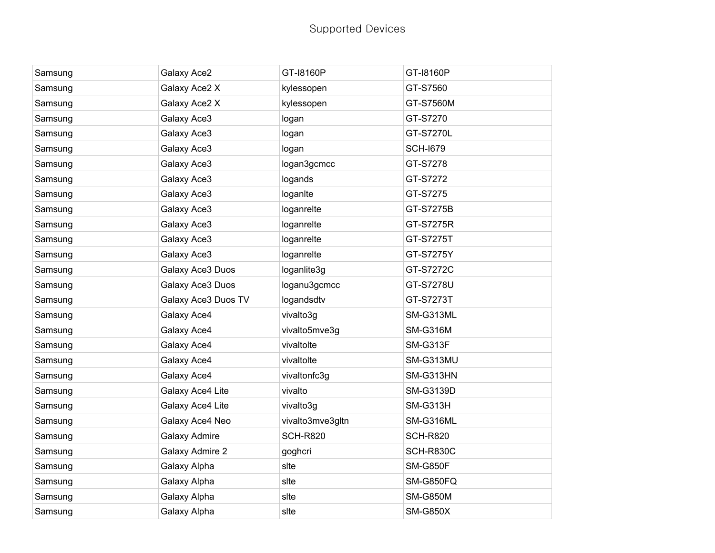| Samsung | Galaxy Ace2         | GT-18160P        | GT-18160P        |
|---------|---------------------|------------------|------------------|
| Samsung | Galaxy Ace2 X       | kylessopen       | GT-S7560         |
| Samsung | Galaxy Ace2 X       | kylessopen       | GT-S7560M        |
| Samsung | Galaxy Ace3         | logan            | GT-S7270         |
| Samsung | Galaxy Ace3         | logan            | GT-S7270L        |
| Samsung | Galaxy Ace3         | logan            | <b>SCH-I679</b>  |
| Samsung | Galaxy Ace3         | logan3gcmcc      | GT-S7278         |
| Samsung | Galaxy Ace3         | logands          | GT-S7272         |
| Samsung | Galaxy Ace3         | loganite         | GT-S7275         |
| Samsung | Galaxy Ace3         | loganrelte       | GT-S7275B        |
| Samsung | Galaxy Ace3         | loganrelte       | GT-S7275R        |
| Samsung | Galaxy Ace3         | loganrelte       | GT-S7275T        |
| Samsung | Galaxy Ace3         | loganrelte       | GT-S7275Y        |
| Samsung | Galaxy Ace3 Duos    | loganlite3g      | GT-S7272C        |
| Samsung | Galaxy Ace3 Duos    | loganu3gcmcc     | GT-S7278U        |
| Samsung | Galaxy Ace3 Duos TV | logandsdtv       | GT-S7273T        |
| Samsung | Galaxy Ace4         | vivalto3g        | SM-G313ML        |
| Samsung | Galaxy Ace4         | vivalto5mve3g    | <b>SM-G316M</b>  |
| Samsung | Galaxy Ace4         | vivaltolte       | <b>SM-G313F</b>  |
| Samsung | Galaxy Ace4         | vivaltolte       | SM-G313MU        |
| Samsung | Galaxy Ace4         | vivaltonfc3g     | SM-G313HN        |
| Samsung | Galaxy Ace4 Lite    | vivalto          | <b>SM-G3139D</b> |
| Samsung | Galaxy Ace4 Lite    | vivalto3g        | SM-G313H         |
| Samsung | Galaxy Ace4 Neo     | vivalto3mve3gltn | SM-G316ML        |
| Samsung | Galaxy Admire       | <b>SCH-R820</b>  | <b>SCH-R820</b>  |
| Samsung | Galaxy Admire 2     | goghcri          | SCH-R830C        |
| Samsung | Galaxy Alpha        | slte             | <b>SM-G850F</b>  |
| Samsung | Galaxy Alpha        | slte             | SM-G850FQ        |
| Samsung | Galaxy Alpha        | slte             | <b>SM-G850M</b>  |
| Samsung | Galaxy Alpha        | slte             | <b>SM-G850X</b>  |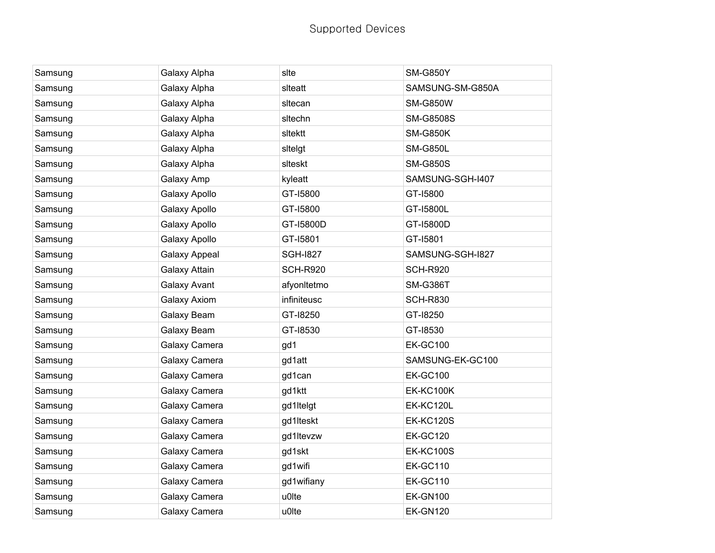| Samsung | Galaxy Alpha         | slte            | <b>SM-G850Y</b>  |
|---------|----------------------|-----------------|------------------|
| Samsung | Galaxy Alpha         | siteatt         | SAMSUNG-SM-G850A |
| Samsung | Galaxy Alpha         | sitecan         | <b>SM-G850W</b>  |
| Samsung | Galaxy Alpha         | sitechn         | <b>SM-G8508S</b> |
| Samsung | Galaxy Alpha         | sitektt         | <b>SM-G850K</b>  |
| Samsung | Galaxy Alpha         | sitelgt         | <b>SM-G850L</b>  |
| Samsung | Galaxy Alpha         | slteskt         | <b>SM-G850S</b>  |
| Samsung | Galaxy Amp           | kyleatt         | SAMSUNG-SGH-I407 |
| Samsung | Galaxy Apollo        | GT-15800        | GT-15800         |
| Samsung | Galaxy Apollo        | GT-15800        | GT-15800L        |
| Samsung | Galaxy Apollo        | GT-I5800D       | GT-15800D        |
| Samsung | Galaxy Apollo        | GT-I5801        | GT-I5801         |
| Samsung | <b>Galaxy Appeal</b> | <b>SGH-1827</b> | SAMSUNG-SGH-I827 |
| Samsung | Galaxy Attain        | <b>SCH-R920</b> | <b>SCH-R920</b>  |
| Samsung | Galaxy Avant         | afyonItetmo     | <b>SM-G386T</b>  |
| Samsung | Galaxy Axiom         | infiniteusc     | <b>SCH-R830</b>  |
| Samsung | Galaxy Beam          | GT-18250        | GT-18250         |
| Samsung | Galaxy Beam          | GT-18530        | GT-18530         |
| Samsung | Galaxy Camera        | gd1             | <b>EK-GC100</b>  |
| Samsung | Galaxy Camera        | gd1att          | SAMSUNG-EK-GC100 |
| Samsung | Galaxy Camera        | gd1can          | <b>EK-GC100</b>  |
| Samsung | Galaxy Camera        | gd1ktt          | <b>EK-KC100K</b> |
| Samsung | Galaxy Camera        | gd1ltelgt       | EK-KC120L        |
| Samsung | Galaxy Camera        | gd1lteskt       | <b>EK-KC120S</b> |
| Samsung | Galaxy Camera        | gd1ltevzw       | <b>EK-GC120</b>  |
| Samsung | Galaxy Camera        | gd1skt          | <b>EK-KC100S</b> |
| Samsung | Galaxy Camera        | gd1wifi         | <b>EK-GC110</b>  |
| Samsung | Galaxy Camera        | gd1wifiany      | <b>EK-GC110</b>  |
| Samsung | Galaxy Camera        | u0lte           | <b>EK-GN100</b>  |
| Samsung | Galaxy Camera        | u0lte           | <b>EK-GN120</b>  |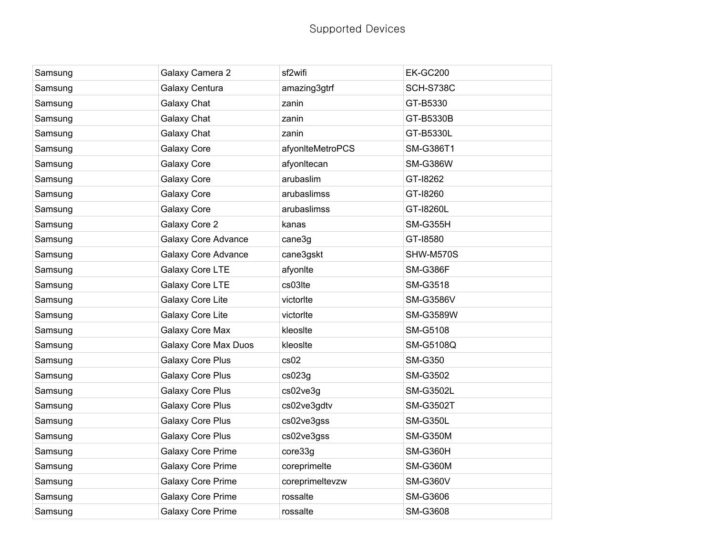| Samsung | Galaxy Camera 2             | sf2wifi          | <b>EK-GC200</b>  |
|---------|-----------------------------|------------------|------------------|
| Samsung | Galaxy Centura              | amazing3gtrf     | <b>SCH-S738C</b> |
| Samsung | Galaxy Chat                 | zanin            | GT-B5330         |
| Samsung | Galaxy Chat                 | zanin            | GT-B5330B        |
| Samsung | Galaxy Chat                 | zanin            | GT-B5330L        |
| Samsung | Galaxy Core                 | afyonIteMetroPCS | SM-G386T1        |
| Samsung | Galaxy Core                 | afyonItecan      | <b>SM-G386W</b>  |
| Samsung | Galaxy Core                 | arubaslim        | GT-18262         |
| Samsung | Galaxy Core                 | arubaslimss      | GT-18260         |
| Samsung | Galaxy Core                 | arubaslimss      | GT-18260L        |
| Samsung | Galaxy Core 2               | kanas            | <b>SM-G355H</b>  |
| Samsung | <b>Galaxy Core Advance</b>  | cane3g           | GT-18580         |
| Samsung | Galaxy Core Advance         | cane3gskt        | SHW-M570S        |
| Samsung | Galaxy Core LTE             | afyonIte         | <b>SM-G386F</b>  |
| Samsung | Galaxy Core LTE             | cs03lte          | SM-G3518         |
| Samsung | Galaxy Core Lite            | victorIte        | <b>SM-G3586V</b> |
| Samsung | Galaxy Core Lite            | victorIte        | <b>SM-G3589W</b> |
| Samsung | Galaxy Core Max             | kleosite         | <b>SM-G5108</b>  |
| Samsung | <b>Galaxy Core Max Duos</b> | kleosite         | SM-G5108Q        |
| Samsung | Galaxy Core Plus            | cs02             | <b>SM-G350</b>   |
| Samsung | Galaxy Core Plus            | cs023g           | SM-G3502         |
| Samsung | <b>Galaxy Core Plus</b>     | cs02ve3g         | <b>SM-G3502L</b> |
| Samsung | Galaxy Core Plus            | cs02ve3gdtv      | <b>SM-G3502T</b> |
| Samsung | <b>Galaxy Core Plus</b>     | cs02ve3gss       | <b>SM-G350L</b>  |
| Samsung | Galaxy Core Plus            | cs02ve3gss       | <b>SM-G350M</b>  |
| Samsung | Galaxy Core Prime           | core33g          | <b>SM-G360H</b>  |
| Samsung | Galaxy Core Prime           | coreprimelte     | <b>SM-G360M</b>  |
| Samsung | <b>Galaxy Core Prime</b>    | coreprimeltevzw  | <b>SM-G360V</b>  |
| Samsung | <b>Galaxy Core Prime</b>    | rossalte         | SM-G3606         |
| Samsung | <b>Galaxy Core Prime</b>    | rossalte         | <b>SM-G3608</b>  |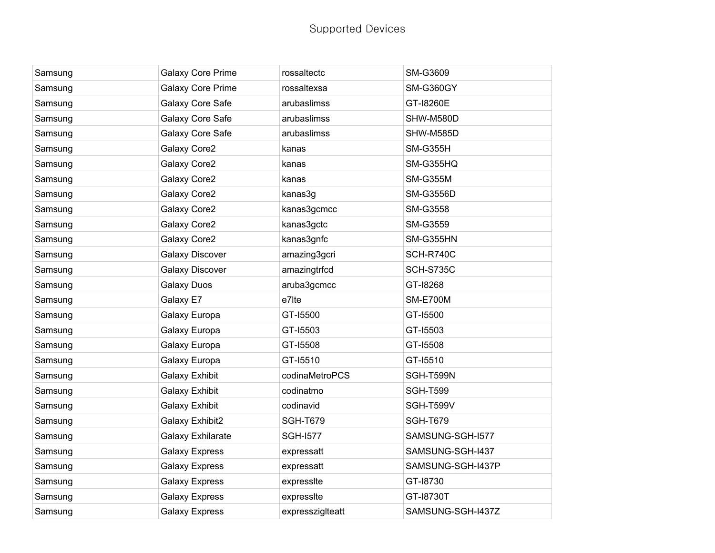| Samsung | <b>Galaxy Core Prime</b> | rossaltectc      | SM-G3609          |
|---------|--------------------------|------------------|-------------------|
| Samsung | Galaxy Core Prime        | rossaltexsa      | SM-G360GY         |
| Samsung | Galaxy Core Safe         | arubaslimss      | GT-18260E         |
| Samsung | Galaxy Core Safe         | arubaslimss      | SHW-M580D         |
| Samsung | Galaxy Core Safe         | arubaslimss      | SHW-M585D         |
| Samsung | Galaxy Core2             | kanas            | <b>SM-G355H</b>   |
| Samsung | Galaxy Core2             | kanas            | SM-G355HQ         |
| Samsung | Galaxy Core2             | kanas            | <b>SM-G355M</b>   |
| Samsung | Galaxy Core2             | kanas3g          | <b>SM-G3556D</b>  |
| Samsung | Galaxy Core2             | kanas3gcmcc      | SM-G3558          |
| Samsung | Galaxy Core2             | kanas3gctc       | SM-G3559          |
| Samsung | Galaxy Core2             | kanas3gnfc       | SM-G355HN         |
| Samsung | <b>Galaxy Discover</b>   | amazing3gcri     | SCH-R740C         |
| Samsung | Galaxy Discover          | amazingtrfcd     | SCH-S735C         |
| Samsung | <b>Galaxy Duos</b>       | aruba3gcmcc      | GT-18268          |
| Samsung | Galaxy E7                | e7lte            | <b>SM-E700M</b>   |
| Samsung | Galaxy Europa            | GT-15500         | GT-15500          |
| Samsung | Galaxy Europa            | GT-15503         | GT-15503          |
| Samsung | Galaxy Europa            | GT-15508         | GT-15508          |
| Samsung | Galaxy Europa            | GT-15510         | GT-15510          |
| Samsung | <b>Galaxy Exhibit</b>    | codinaMetroPCS   | SGH-T599N         |
| Samsung | <b>Galaxy Exhibit</b>    | codinatmo        | <b>SGH-T599</b>   |
| Samsung | <b>Galaxy Exhibit</b>    | codinavid        | SGH-T599V         |
| Samsung | Galaxy Exhibit2          | <b>SGH-T679</b>  | <b>SGH-T679</b>   |
| Samsung | Galaxy Exhilarate        | <b>SGH-1577</b>  | SAMSUNG-SGH-I577  |
| Samsung | <b>Galaxy Express</b>    | expressatt       | SAMSUNG-SGH-I437  |
| Samsung | <b>Galaxy Express</b>    | expressatt       | SAMSUNG-SGH-I437P |
| Samsung | <b>Galaxy Express</b>    | expressite       | GT-18730          |
| Samsung | <b>Galaxy Express</b>    | expressite       | GT-18730T         |
| Samsung | <b>Galaxy Express</b>    | expresszigIteatt | SAMSUNG-SGH-I437Z |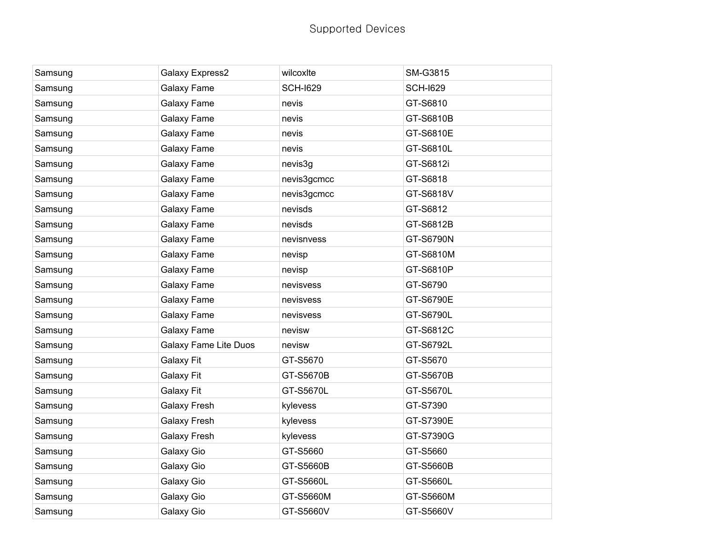| Samsung | Galaxy Express2       | wilcoxite       | SM-G3815        |
|---------|-----------------------|-----------------|-----------------|
| Samsung | Galaxy Fame           | <b>SCH-1629</b> | <b>SCH-I629</b> |
| Samsung | Galaxy Fame           | nevis           | GT-S6810        |
| Samsung | Galaxy Fame           | nevis           | GT-S6810B       |
| Samsung | Galaxy Fame           | nevis           | GT-S6810E       |
| Samsung | Galaxy Fame           | nevis           | GT-S6810L       |
| Samsung | Galaxy Fame           | nevis3g         | GT-S6812i       |
| Samsung | Galaxy Fame           | nevis3gcmcc     | GT-S6818        |
| Samsung | Galaxy Fame           | nevis3gcmcc     | GT-S6818V       |
| Samsung | Galaxy Fame           | nevisds         | GT-S6812        |
| Samsung | Galaxy Fame           | nevisds         | GT-S6812B       |
| Samsung | Galaxy Fame           | nevisnvess      | GT-S6790N       |
| Samsung | Galaxy Fame           | nevisp          | GT-S6810M       |
| Samsung | Galaxy Fame           | nevisp          | GT-S6810P       |
| Samsung | Galaxy Fame           | nevisvess       | GT-S6790        |
| Samsung | Galaxy Fame           | nevisvess       | GT-S6790E       |
| Samsung | Galaxy Fame           | nevisvess       | GT-S6790L       |
| Samsung | Galaxy Fame           | nevisw          | GT-S6812C       |
| Samsung | Galaxy Fame Lite Duos | nevisw          | GT-S6792L       |
| Samsung | <b>Galaxy Fit</b>     | GT-S5670        | GT-S5670        |
| Samsung | <b>Galaxy Fit</b>     | GT-S5670B       | GT-S5670B       |
| Samsung | Galaxy Fit            | GT-S5670L       | GT-S5670L       |
| Samsung | <b>Galaxy Fresh</b>   | kylevess        | GT-S7390        |
| Samsung | <b>Galaxy Fresh</b>   | kylevess        | GT-S7390E       |
| Samsung | <b>Galaxy Fresh</b>   | kylevess        | GT-S7390G       |
| Samsung | Galaxy Gio            | GT-S5660        | GT-S5660        |
| Samsung | Galaxy Gio            | GT-S5660B       | GT-S5660B       |
| Samsung | Galaxy Gio            | GT-S5660L       | GT-S5660L       |
| Samsung | Galaxy Gio            | GT-S5660M       | GT-S5660M       |
| Samsung | Galaxy Gio            | GT-S5660V       | GT-S5660V       |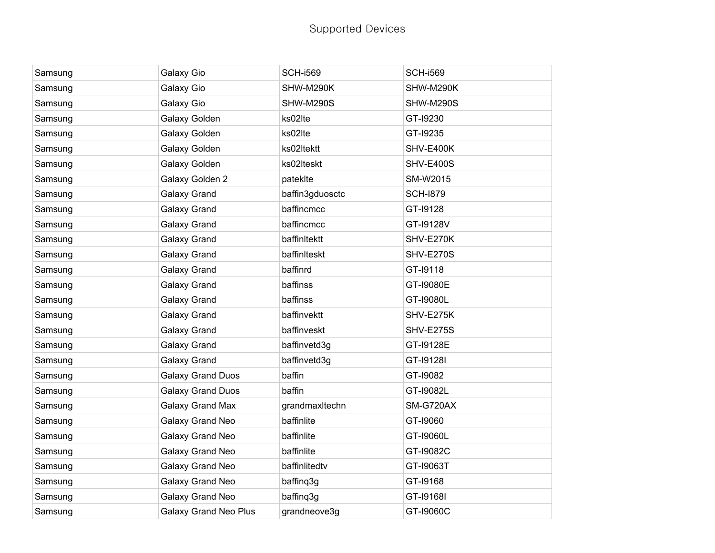| Samsung | Galaxy Gio                   | <b>SCH-i569</b> | <b>SCH-i569</b>  |
|---------|------------------------------|-----------------|------------------|
| Samsung | Galaxy Gio                   | SHW-M290K       | SHW-M290K        |
| Samsung | Galaxy Gio                   | SHW-M290S       | SHW-M290S        |
| Samsung | Galaxy Golden                | ks02lte         | GT-19230         |
| Samsung | Galaxy Golden                | ks02lte         | GT-19235         |
| Samsung | Galaxy Golden                | ks02Itektt      | SHV-E400K        |
| Samsung | Galaxy Golden                | ks02Iteskt      | <b>SHV-E400S</b> |
| Samsung | Galaxy Golden 2              | pateklte        | SM-W2015         |
| Samsung | Galaxy Grand                 | baffin3gduosctc | <b>SCH-1879</b>  |
| Samsung | Galaxy Grand                 | baffincmcc      | GT-19128         |
| Samsung | Galaxy Grand                 | baffincmcc      | GT-19128V        |
| Samsung | Galaxy Grand                 | baffinltektt    | SHV-E270K        |
| Samsung | Galaxy Grand                 | baffinlteskt    | <b>SHV-E270S</b> |
| Samsung | Galaxy Grand                 | baffinrd        | GT-19118         |
| Samsung | Galaxy Grand                 | baffinss        | GT-19080E        |
| Samsung | Galaxy Grand                 | baffinss        | GT-19080L        |
| Samsung | Galaxy Grand                 | baffinvektt     | SHV-E275K        |
| Samsung | Galaxy Grand                 | baffinveskt     | <b>SHV-E275S</b> |
| Samsung | Galaxy Grand                 | baffinvetd3g    | GT-19128E        |
| Samsung | Galaxy Grand                 | baffinvetd3g    | GT-19128I        |
| Samsung | <b>Galaxy Grand Duos</b>     | baffin          | GT-19082         |
| Samsung | <b>Galaxy Grand Duos</b>     | baffin          | GT-19082L        |
| Samsung | Galaxy Grand Max             | grandmaxitechn  | SM-G720AX        |
| Samsung | Galaxy Grand Neo             | baffinlite      | GT-19060         |
| Samsung | Galaxy Grand Neo             | baffinlite      | GT-19060L        |
| Samsung | Galaxy Grand Neo             | baffinlite      | GT-19082C        |
| Samsung | Galaxy Grand Neo             | baffinlitedtv   | GT-I9063T        |
| Samsung | Galaxy Grand Neo             | baffing3g       | GT-19168         |
| Samsung | Galaxy Grand Neo             | baffinq3g       | GT-191681        |
| Samsung | <b>Galaxy Grand Neo Plus</b> | grandneove3g    | GT-19060C        |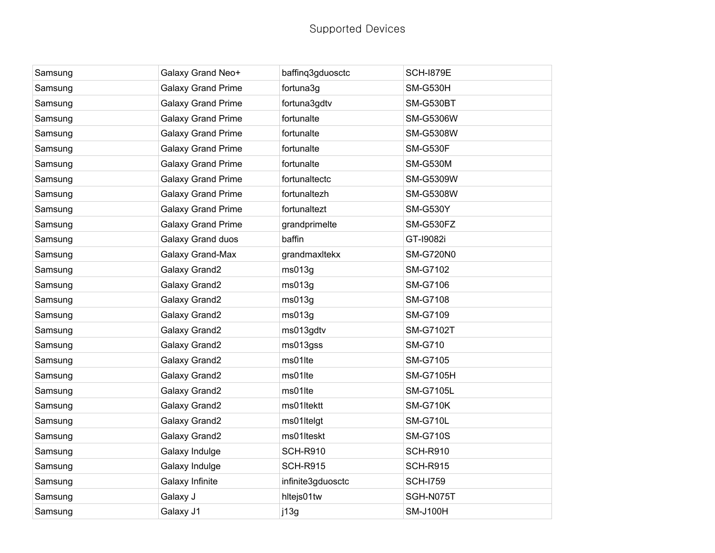| Samsung | Galaxy Grand Neo+         | baffinq3gduosctc  | <b>SCH-1879E</b> |
|---------|---------------------------|-------------------|------------------|
| Samsung | <b>Galaxy Grand Prime</b> | fortuna3g         | <b>SM-G530H</b>  |
| Samsung | <b>Galaxy Grand Prime</b> | fortuna3gdtv      | SM-G530BT        |
| Samsung | <b>Galaxy Grand Prime</b> | fortunalte        | <b>SM-G5306W</b> |
| Samsung | <b>Galaxy Grand Prime</b> | fortunalte        | <b>SM-G5308W</b> |
| Samsung | <b>Galaxy Grand Prime</b> | fortunalte        | <b>SM-G530F</b>  |
| Samsung | <b>Galaxy Grand Prime</b> | fortunalte        | <b>SM-G530M</b>  |
| Samsung | <b>Galaxy Grand Prime</b> | fortunaltectc     | SM-G5309W        |
| Samsung | <b>Galaxy Grand Prime</b> | fortunaltezh      | <b>SM-G5308W</b> |
| Samsung | <b>Galaxy Grand Prime</b> | fortunaltezt      | <b>SM-G530Y</b>  |
| Samsung | <b>Galaxy Grand Prime</b> | grandprimelte     | SM-G530FZ        |
| Samsung | Galaxy Grand duos         | baffin            | GT-19082i        |
| Samsung | Galaxy Grand-Max          | grandmaxitekx     | <b>SM-G720N0</b> |
| Samsung | Galaxy Grand2             | ms013g            | <b>SM-G7102</b>  |
| Samsung | Galaxy Grand2             | ms013g            | <b>SM-G7106</b>  |
| Samsung | Galaxy Grand2             | ms013g            | <b>SM-G7108</b>  |
| Samsung | Galaxy Grand2             | ms013g            | SM-G7109         |
| Samsung | Galaxy Grand2             | ms013gdtv         | <b>SM-G7102T</b> |
| Samsung | Galaxy Grand2             | ms013gss          | <b>SM-G710</b>   |
| Samsung | Galaxy Grand2             | ms01lte           | <b>SM-G7105</b>  |
| Samsung | Galaxy Grand2             | ms01lte           | <b>SM-G7105H</b> |
| Samsung | Galaxy Grand2             | ms01lte           | <b>SM-G7105L</b> |
| Samsung | Galaxy Grand2             | ms01ltektt        | <b>SM-G710K</b>  |
| Samsung | Galaxy Grand2             | ms01Itelgt        | <b>SM-G710L</b>  |
| Samsung | Galaxy Grand2             | ms01lteskt        | <b>SM-G710S</b>  |
| Samsung | Galaxy Indulge            | <b>SCH-R910</b>   | <b>SCH-R910</b>  |
| Samsung | Galaxy Indulge            | <b>SCH-R915</b>   | <b>SCH-R915</b>  |
| Samsung | Galaxy Infinite           | infinite3gduosctc | <b>SCH-I759</b>  |
| Samsung | Galaxy J                  | hltejs01tw        | SGH-N075T        |
| Samsung | Galaxy J1                 | j13g              | <b>SM-J100H</b>  |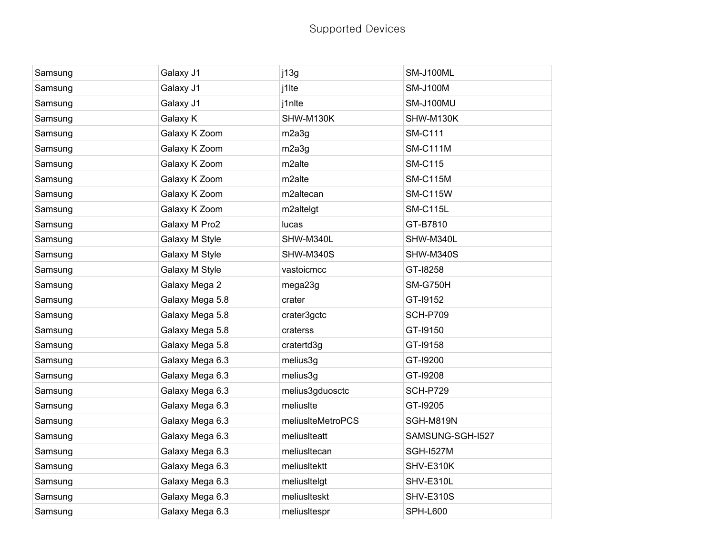| Samsung | Galaxy J1       | j13g              | SM-J100ML        |
|---------|-----------------|-------------------|------------------|
| Samsung | Galaxy J1       | j1lte             | <b>SM-J100M</b>  |
| Samsung | Galaxy J1       | j1nlte            | SM-J100MU        |
| Samsung | Galaxy K        | SHW-M130K         | SHW-M130K        |
| Samsung | Galaxy K Zoom   | m2a3g             | <b>SM-C111</b>   |
| Samsung | Galaxy K Zoom   | m2a3g             | <b>SM-C111M</b>  |
| Samsung | Galaxy K Zoom   | m2alte            | <b>SM-C115</b>   |
| Samsung | Galaxy K Zoom   | m2alte            | <b>SM-C115M</b>  |
| Samsung | Galaxy K Zoom   | m2altecan         | <b>SM-C115W</b>  |
| Samsung | Galaxy K Zoom   | m2altelgt         | <b>SM-C115L</b>  |
| Samsung | Galaxy M Pro2   | lucas             | GT-B7810         |
| Samsung | Galaxy M Style  | SHW-M340L         | SHW-M340L        |
| Samsung | Galaxy M Style  | SHW-M340S         | SHW-M340S        |
| Samsung | Galaxy M Style  | vastoicmcc        | GT-18258         |
| Samsung | Galaxy Mega 2   | mega23g           | <b>SM-G750H</b>  |
| Samsung | Galaxy Mega 5.8 | crater            | GT-19152         |
| Samsung | Galaxy Mega 5.8 | crater3gctc       | <b>SCH-P709</b>  |
| Samsung | Galaxy Mega 5.8 | craterss          | GT-19150         |
| Samsung | Galaxy Mega 5.8 | cratertd3g        | GT-19158         |
| Samsung | Galaxy Mega 6.3 | melius3g          | GT-19200         |
| Samsung | Galaxy Mega 6.3 | melius3g          | GT-19208         |
| Samsung | Galaxy Mega 6.3 | melius3gduosctc   | <b>SCH-P729</b>  |
| Samsung | Galaxy Mega 6.3 | meliusIte         | GT-19205         |
| Samsung | Galaxy Mega 6.3 | meliusIteMetroPCS | SGH-M819N        |
| Samsung | Galaxy Mega 6.3 | meliusIteatt      | SAMSUNG-SGH-I527 |
| Samsung | Galaxy Mega 6.3 | meliusItecan      | <b>SGH-I527M</b> |
| Samsung | Galaxy Mega 6.3 | meliusItektt      | SHV-E310K        |
| Samsung | Galaxy Mega 6.3 | meliusItelgt      | SHV-E310L        |
| Samsung | Galaxy Mega 6.3 | meliusIteskt      | <b>SHV-E310S</b> |
| Samsung | Galaxy Mega 6.3 | meliusItespr      | <b>SPH-L600</b>  |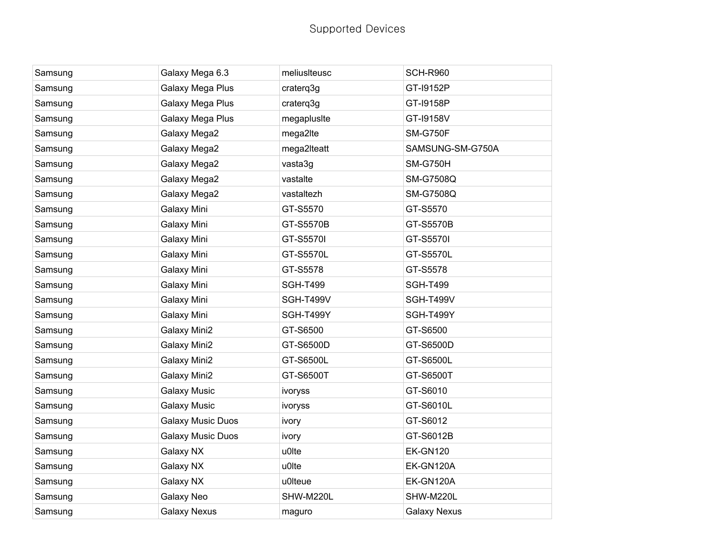| Samsung | Galaxy Mega 6.3          | meliusIteusc    | <b>SCH-R960</b>     |
|---------|--------------------------|-----------------|---------------------|
| Samsung | Galaxy Mega Plus         | craterq3g       | GT-19152P           |
| Samsung | Galaxy Mega Plus         | craterq3g       | GT-19158P           |
| Samsung | Galaxy Mega Plus         | megaplusIte     | GT-19158V           |
| Samsung | Galaxy Mega2             | mega2lte        | <b>SM-G750F</b>     |
| Samsung | Galaxy Mega2             | mega2Iteatt     | SAMSUNG-SM-G750A    |
| Samsung | Galaxy Mega2             | vasta3g         | <b>SM-G750H</b>     |
| Samsung | Galaxy Mega2             | vastalte        | <b>SM-G7508Q</b>    |
| Samsung | Galaxy Mega2             | vastaltezh      | <b>SM-G7508Q</b>    |
| Samsung | Galaxy Mini              | GT-S5570        | GT-S5570            |
| Samsung | Galaxy Mini              | GT-S5570B       | GT-S5570B           |
| Samsung | Galaxy Mini              | GT-S5570I       | GT-S5570I           |
| Samsung | Galaxy Mini              | GT-S5570L       | GT-S5570L           |
| Samsung | Galaxy Mini              | GT-S5578        | GT-S5578            |
| Samsung | Galaxy Mini              | <b>SGH-T499</b> | <b>SGH-T499</b>     |
| Samsung | Galaxy Mini              | SGH-T499V       | SGH-T499V           |
| Samsung | Galaxy Mini              | SGH-T499Y       | SGH-T499Y           |
| Samsung | Galaxy Mini2             | GT-S6500        | GT-S6500            |
| Samsung | <b>Galaxy Mini2</b>      | GT-S6500D       | GT-S6500D           |
| Samsung | Galaxy Mini2             | GT-S6500L       | GT-S6500L           |
| Samsung | Galaxy Mini2             | GT-S6500T       | GT-S6500T           |
| Samsung | <b>Galaxy Music</b>      | ivoryss         | GT-S6010            |
| Samsung | <b>Galaxy Music</b>      | ivoryss         | GT-S6010L           |
| Samsung | <b>Galaxy Music Duos</b> | ivory           | GT-S6012            |
| Samsung | <b>Galaxy Music Duos</b> | ivory           | GT-S6012B           |
| Samsung | Galaxy NX                | u0lte           | <b>EK-GN120</b>     |
| Samsung | Galaxy NX                | u0lte           | EK-GN120A           |
| Samsung | Galaxy NX                | u0lteue         | EK-GN120A           |
| Samsung | Galaxy Neo               | SHW-M220L       | SHW-M220L           |
| Samsung | <b>Galaxy Nexus</b>      | maguro          | <b>Galaxy Nexus</b> |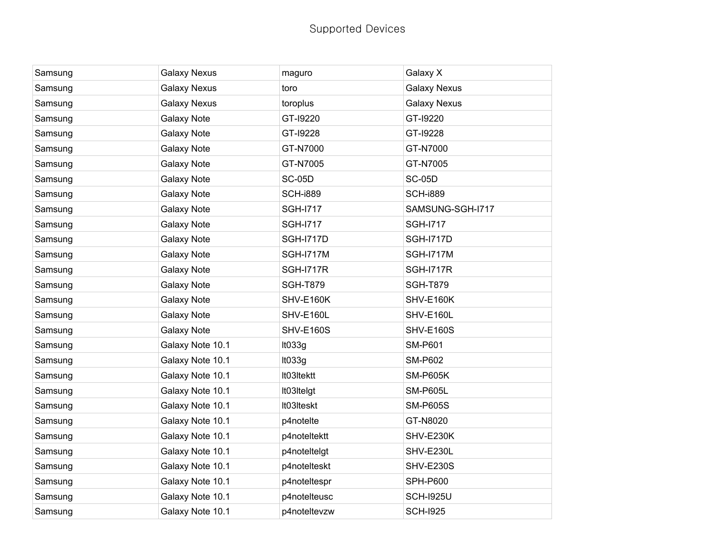| Samsung | <b>Galaxy Nexus</b> | maguro           | Galaxy X            |
|---------|---------------------|------------------|---------------------|
| Samsung | <b>Galaxy Nexus</b> | toro             | <b>Galaxy Nexus</b> |
| Samsung | <b>Galaxy Nexus</b> | toroplus         | <b>Galaxy Nexus</b> |
| Samsung | <b>Galaxy Note</b>  | GT-19220         | GT-19220            |
| Samsung | <b>Galaxy Note</b>  | GT-19228         | GT-19228            |
| Samsung | <b>Galaxy Note</b>  | GT-N7000         | GT-N7000            |
| Samsung | <b>Galaxy Note</b>  | GT-N7005         | GT-N7005            |
| Samsung | <b>Galaxy Note</b>  | <b>SC-05D</b>    | <b>SC-05D</b>       |
| Samsung | <b>Galaxy Note</b>  | <b>SCH-i889</b>  | <b>SCH-i889</b>     |
| Samsung | <b>Galaxy Note</b>  | <b>SGH-1717</b>  | SAMSUNG-SGH-I717    |
| Samsung | Galaxy Note         | <b>SGH-I717</b>  | <b>SGH-1717</b>     |
| Samsung | <b>Galaxy Note</b>  | <b>SGH-I717D</b> | <b>SGH-I717D</b>    |
| Samsung | <b>Galaxy Note</b>  | <b>SGH-I717M</b> | <b>SGH-I717M</b>    |
| Samsung | <b>Galaxy Note</b>  | <b>SGH-I717R</b> | <b>SGH-I717R</b>    |
| Samsung | <b>Galaxy Note</b>  | <b>SGH-T879</b>  | <b>SGH-T879</b>     |
| Samsung | <b>Galaxy Note</b>  | SHV-E160K        | SHV-E160K           |
| Samsung | <b>Galaxy Note</b>  | SHV-E160L        | SHV-E160L           |
| Samsung | <b>Galaxy Note</b>  | <b>SHV-E160S</b> | <b>SHV-E160S</b>    |
| Samsung | Galaxy Note 10.1    | It033g           | <b>SM-P601</b>      |
| Samsung | Galaxy Note 10.1    | It033g           | <b>SM-P602</b>      |
| Samsung | Galaxy Note 10.1    | It03Itektt       | <b>SM-P605K</b>     |
| Samsung | Galaxy Note 10.1    | It03Itelgt       | <b>SM-P605L</b>     |
| Samsung | Galaxy Note 10.1    | It03Iteskt       | <b>SM-P605S</b>     |
| Samsung | Galaxy Note 10.1    | p4notelte        | GT-N8020            |
| Samsung | Galaxy Note 10.1    | p4noteltektt     | SHV-E230K           |
| Samsung | Galaxy Note 10.1    | p4noteItelgt     | SHV-E230L           |
| Samsung | Galaxy Note 10.1    | p4notelteskt     | <b>SHV-E230S</b>    |
| Samsung | Galaxy Note 10.1    | p4noteltespr     | <b>SPH-P600</b>     |
| Samsung | Galaxy Note 10.1    | p4noteIteusc     | <b>SCH-1925U</b>    |
| Samsung | Galaxy Note 10.1    | p4noteltevzw     | <b>SCH-I925</b>     |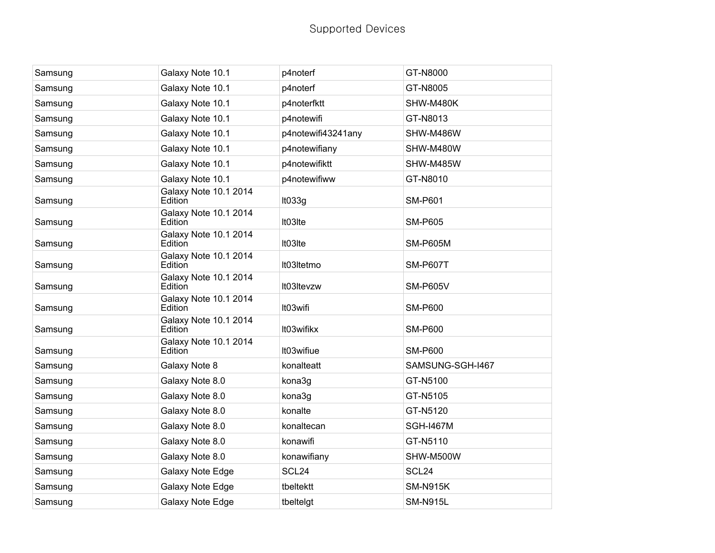| Samsung | Galaxy Note 10.1                 | p4noterf           | GT-N8000          |
|---------|----------------------------------|--------------------|-------------------|
| Samsung | Galaxy Note 10.1                 | p4noterf           | GT-N8005          |
| Samsung | Galaxy Note 10.1                 | p4noterfktt        | SHW-M480K         |
| Samsung | Galaxy Note 10.1                 | p4notewifi         | GT-N8013          |
| Samsung | Galaxy Note 10.1                 | p4notewifi43241any | SHW-M486W         |
| Samsung | Galaxy Note 10.1                 | p4notewifiany      | SHW-M480W         |
| Samsung | Galaxy Note 10.1                 | p4notewifiktt      | SHW-M485W         |
| Samsung | Galaxy Note 10.1                 | p4notewifiww       | GT-N8010          |
| Samsung | Galaxy Note 10.1 2014<br>Edition | It033g             | <b>SM-P601</b>    |
| Samsung | Galaxy Note 10.1 2014<br>Edition | It03Ite            | <b>SM-P605</b>    |
| Samsung | Galaxy Note 10.1 2014<br>Edition | It03Ite            | <b>SM-P605M</b>   |
| Samsung | Galaxy Note 10.1 2014<br>Edition | It03Itetmo         | <b>SM-P607T</b>   |
| Samsung | Galaxy Note 10.1 2014<br>Edition | It03Itevzw         | <b>SM-P605V</b>   |
| Samsung | Galaxy Note 10.1 2014<br>Edition | It03wifi           | <b>SM-P600</b>    |
| Samsung | Galaxy Note 10.1 2014<br>Edition | It03wifikx         | <b>SM-P600</b>    |
| Samsung | Galaxy Note 10.1 2014<br>Edition | It03wifiue         | <b>SM-P600</b>    |
| Samsung | Galaxy Note 8                    | konalteatt         | SAMSUNG-SGH-I467  |
| Samsung | Galaxy Note 8.0                  | kona3g             | GT-N5100          |
| Samsung | Galaxy Note 8.0                  | kona3g             | GT-N5105          |
| Samsung | Galaxy Note 8.0                  | konalte            | GT-N5120          |
| Samsung | Galaxy Note 8.0                  | konaltecan         | <b>SGH-I467M</b>  |
| Samsung | Galaxy Note 8.0                  | konawifi           | GT-N5110          |
| Samsung | Galaxy Note 8.0                  | konawifiany        | SHW-M500W         |
| Samsung | Galaxy Note Edge                 | SCL <sub>24</sub>  | SCL <sub>24</sub> |
| Samsung | Galaxy Note Edge                 | tbeltektt          | <b>SM-N915K</b>   |
| Samsung | Galaxy Note Edge                 | tbeltelgt          | <b>SM-N915L</b>   |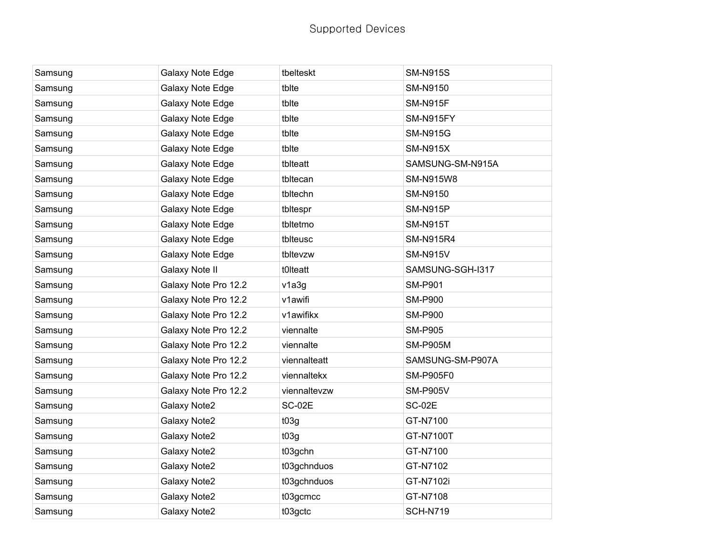| Samsung | Galaxy Note Edge     | tbelteskt     | <b>SM-N915S</b>  |
|---------|----------------------|---------------|------------------|
| Samsung | Galaxy Note Edge     | tblte         | SM-N9150         |
| Samsung | Galaxy Note Edge     | tblte         | <b>SM-N915F</b>  |
| Samsung | Galaxy Note Edge     | tblte         | SM-N915FY        |
| Samsung | Galaxy Note Edge     | tblte         | <b>SM-N915G</b>  |
| Samsung | Galaxy Note Edge     | tblte         | <b>SM-N915X</b>  |
| Samsung | Galaxy Note Edge     | tblteatt      | SAMSUNG-SM-N915A |
| Samsung | Galaxy Note Edge     | tbltecan      | SM-N915W8        |
| Samsung | Galaxy Note Edge     | tbltechn      | SM-N9150         |
| Samsung | Galaxy Note Edge     | tbltespr      | <b>SM-N915P</b>  |
| Samsung | Galaxy Note Edge     | tbltetmo      | <b>SM-N915T</b>  |
| Samsung | Galaxy Note Edge     | tblteusc      | <b>SM-N915R4</b> |
| Samsung | Galaxy Note Edge     | tbltevzw      | <b>SM-N915V</b>  |
| Samsung | Galaxy Note II       | t0Iteatt      | SAMSUNG-SGH-I317 |
| Samsung | Galaxy Note Pro 12.2 | v1a3g         | <b>SM-P901</b>   |
| Samsung | Galaxy Note Pro 12.2 | v1awifi       | <b>SM-P900</b>   |
| Samsung | Galaxy Note Pro 12.2 | v1awifikx     | <b>SM-P900</b>   |
| Samsung | Galaxy Note Pro 12.2 | viennalte     | <b>SM-P905</b>   |
| Samsung | Galaxy Note Pro 12.2 | viennalte     | <b>SM-P905M</b>  |
| Samsung | Galaxy Note Pro 12.2 | viennalteatt  | SAMSUNG-SM-P907A |
| Samsung | Galaxy Note Pro 12.2 | viennaltekx   | <b>SM-P905F0</b> |
| Samsung | Galaxy Note Pro 12.2 | viennaltevzw  | <b>SM-P905V</b>  |
| Samsung | Galaxy Note2         | <b>SC-02E</b> | <b>SC-02E</b>    |
| Samsung | Galaxy Note2         | t03g          | GT-N7100         |
| Samsung | Galaxy Note2         | t03g          | GT-N7100T        |
| Samsung | Galaxy Note2         | t03gchn       | GT-N7100         |
| Samsung | Galaxy Note2         | t03gchnduos   | GT-N7102         |
| Samsung | Galaxy Note2         | t03gchnduos   | GT-N7102i        |
| Samsung | Galaxy Note2         | t03gcmcc      | GT-N7108         |
| Samsung | <b>Galaxy Note2</b>  | t03gctc       | <b>SCH-N719</b>  |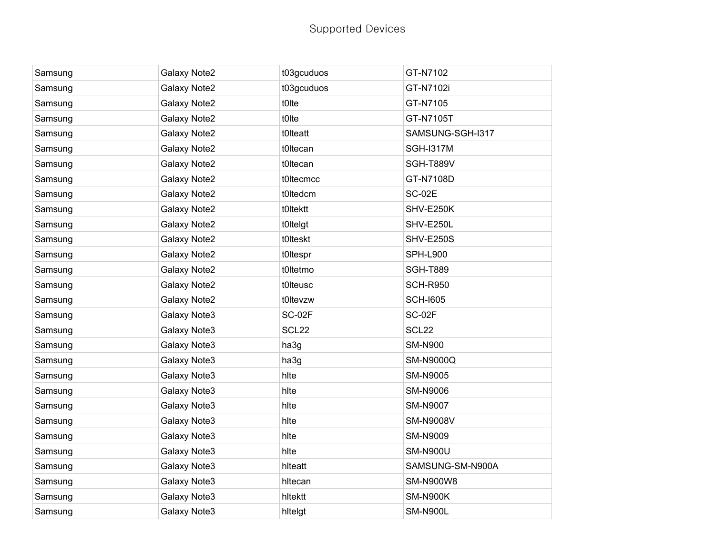| Samsung | Galaxy Note2 | t03gcuduos        | GT-N7102          |
|---------|--------------|-------------------|-------------------|
| Samsung | Galaxy Note2 | t03gcuduos        | GT-N7102i         |
| Samsung | Galaxy Note2 | t0lte             | GT-N7105          |
| Samsung | Galaxy Note2 | t0lte             | GT-N7105T         |
| Samsung | Galaxy Note2 | t0Iteatt          | SAMSUNG-SGH-I317  |
| Samsung | Galaxy Note2 | t0ltecan          | <b>SGH-I317M</b>  |
| Samsung | Galaxy Note2 | t0ltecan          | SGH-T889V         |
| Samsung | Galaxy Note2 | t0Itecmcc         | GT-N7108D         |
| Samsung | Galaxy Note2 | t0ltedcm          | <b>SC-02E</b>     |
| Samsung | Galaxy Note2 | t0Itektt          | SHV-E250K         |
| Samsung | Galaxy Note2 | t0Itelgt          | SHV-E250L         |
| Samsung | Galaxy Note2 | t0lteskt          | <b>SHV-E250S</b>  |
| Samsung | Galaxy Note2 | t0ltespr          | <b>SPH-L900</b>   |
| Samsung | Galaxy Note2 | t0ltetmo          | <b>SGH-T889</b>   |
| Samsung | Galaxy Note2 | t0Iteusc          | <b>SCH-R950</b>   |
| Samsung | Galaxy Note2 | t0ltevzw          | <b>SCH-1605</b>   |
| Samsung | Galaxy Note3 | SC-02F            | <b>SC-02F</b>     |
| Samsung | Galaxy Note3 | SCL <sub>22</sub> | SCL <sub>22</sub> |
| Samsung | Galaxy Note3 | ha3g              | <b>SM-N900</b>    |
| Samsung | Galaxy Note3 | ha3g              | <b>SM-N9000Q</b>  |
| Samsung | Galaxy Note3 | hlte              | <b>SM-N9005</b>   |
| Samsung | Galaxy Note3 | hlte              | SM-N9006          |
| Samsung | Galaxy Note3 | hlte              | <b>SM-N9007</b>   |
| Samsung | Galaxy Note3 | hlte              | <b>SM-N9008V</b>  |
| Samsung | Galaxy Note3 | hlte              | SM-N9009          |
| Samsung | Galaxy Note3 | hlte              | <b>SM-N900U</b>   |
| Samsung | Galaxy Note3 | hlteatt           | SAMSUNG-SM-N900A  |
| Samsung | Galaxy Note3 | hltecan           | <b>SM-N900W8</b>  |
| Samsung | Galaxy Note3 | hltektt           | <b>SM-N900K</b>   |
| Samsung | Galaxy Note3 | hitelgt           | <b>SM-N900L</b>   |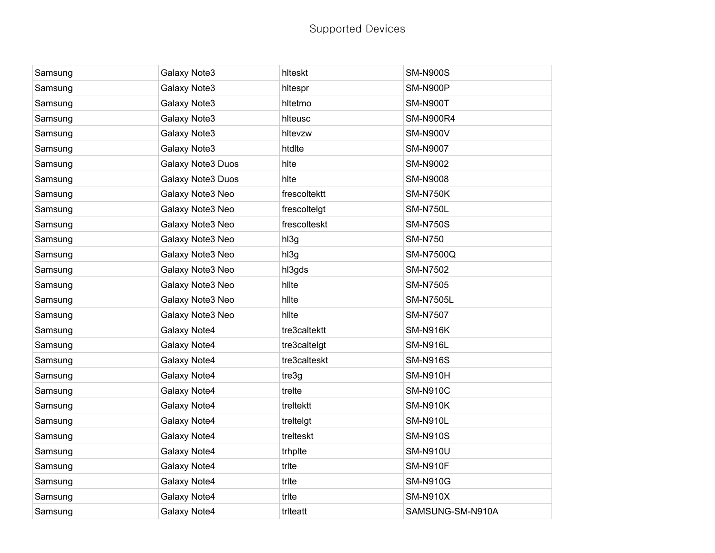| Samsung | Galaxy Note3      | hlteskt      | <b>SM-N900S</b>  |
|---------|-------------------|--------------|------------------|
| Samsung | Galaxy Note3      | hltespr      | <b>SM-N900P</b>  |
| Samsung | Galaxy Note3      | hltetmo      | <b>SM-N900T</b>  |
| Samsung | Galaxy Note3      | hlteusc      | <b>SM-N900R4</b> |
| Samsung | Galaxy Note3      | hltevzw      | <b>SM-N900V</b>  |
| Samsung | Galaxy Note3      | htdlte       | <b>SM-N9007</b>  |
| Samsung | Galaxy Note3 Duos | hlte         | SM-N9002         |
| Samsung | Galaxy Note3 Duos | hlte         | <b>SM-N9008</b>  |
| Samsung | Galaxy Note3 Neo  | frescoltektt | <b>SM-N750K</b>  |
| Samsung | Galaxy Note3 Neo  | frescoltelgt | <b>SM-N750L</b>  |
| Samsung | Galaxy Note3 Neo  | frescolteskt | <b>SM-N750S</b>  |
| Samsung | Galaxy Note3 Neo  | hl3g         | <b>SM-N750</b>   |
| Samsung | Galaxy Note3 Neo  | hl3g         | <b>SM-N7500Q</b> |
| Samsung | Galaxy Note3 Neo  | hl3gds       | <b>SM-N7502</b>  |
| Samsung | Galaxy Note3 Neo  | hllte        | <b>SM-N7505</b>  |
| Samsung | Galaxy Note3 Neo  | hllte        | <b>SM-N7505L</b> |
| Samsung | Galaxy Note3 Neo  | hllte        | <b>SM-N7507</b>  |
| Samsung | Galaxy Note4      | tre3caltektt | <b>SM-N916K</b>  |
| Samsung | Galaxy Note4      | tre3caltelgt | <b>SM-N916L</b>  |
| Samsung | Galaxy Note4      | tre3calteskt | <b>SM-N916S</b>  |
| Samsung | Galaxy Note4      | tre3g        | <b>SM-N910H</b>  |
| Samsung | Galaxy Note4      | trelte       | <b>SM-N910C</b>  |
| Samsung | Galaxy Note4      | treltektt    | <b>SM-N910K</b>  |
| Samsung | Galaxy Note4      | treltelgt    | <b>SM-N910L</b>  |
| Samsung | Galaxy Note4      | trelteskt    | <b>SM-N910S</b>  |
| Samsung | Galaxy Note4      | trhplte      | <b>SM-N910U</b>  |
| Samsung | Galaxy Note4      | trite        | <b>SM-N910F</b>  |
| Samsung | Galaxy Note4      | trite        | <b>SM-N910G</b>  |
| Samsung | Galaxy Note4      | trite        | <b>SM-N910X</b>  |
| Samsung | Galaxy Note4      | triteatt     | SAMSUNG-SM-N910A |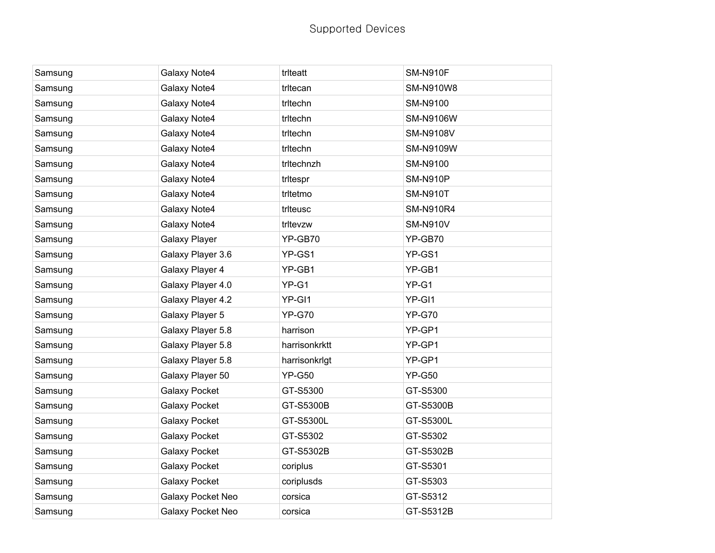| Samsung | Galaxy Note4         | triteatt      | <b>SM-N910F</b>  |
|---------|----------------------|---------------|------------------|
| Samsung | Galaxy Note4         | tritecan      | <b>SM-N910W8</b> |
| Samsung | Galaxy Note4         | tritechn      | SM-N9100         |
| Samsung | Galaxy Note4         | tritechn      | <b>SM-N9106W</b> |
| Samsung | Galaxy Note4         | tritechn      | <b>SM-N9108V</b> |
| Samsung | Galaxy Note4         | tritechn      | SM-N9109W        |
| Samsung | Galaxy Note4         | tritechnzh    | SM-N9100         |
| Samsung | Galaxy Note4         | tritespr      | <b>SM-N910P</b>  |
| Samsung | Galaxy Note4         | tritetmo      | <b>SM-N910T</b>  |
| Samsung | Galaxy Note4         | triteusc      | <b>SM-N910R4</b> |
| Samsung | Galaxy Note4         | tritevzw      | <b>SM-N910V</b>  |
| Samsung | <b>Galaxy Player</b> | YP-GB70       | YP-GB70          |
| Samsung | Galaxy Player 3.6    | YP-GS1        | YP-GS1           |
| Samsung | Galaxy Player 4      | YP-GB1        | YP-GB1           |
| Samsung | Galaxy Player 4.0    | YP-G1         | YP-G1            |
| Samsung | Galaxy Player 4.2    | YP-GI1        | YP-GI1           |
| Samsung | Galaxy Player 5      | <b>YP-G70</b> | <b>YP-G70</b>    |
| Samsung | Galaxy Player 5.8    | harrison      | YP-GP1           |
| Samsung | Galaxy Player 5.8    | harrisonkrktt | YP-GP1           |
| Samsung | Galaxy Player 5.8    | harrisonkrigt | YP-GP1           |
| Samsung | Galaxy Player 50     | <b>YP-G50</b> | <b>YP-G50</b>    |
| Samsung | <b>Galaxy Pocket</b> | GT-S5300      | GT-S5300         |
| Samsung | <b>Galaxy Pocket</b> | GT-S5300B     | GT-S5300B        |
| Samsung | <b>Galaxy Pocket</b> | GT-S5300L     | GT-S5300L        |
| Samsung | <b>Galaxy Pocket</b> | GT-S5302      | GT-S5302         |
| Samsung | <b>Galaxy Pocket</b> | GT-S5302B     | GT-S5302B        |
| Samsung | <b>Galaxy Pocket</b> | coriplus      | GT-S5301         |
| Samsung | <b>Galaxy Pocket</b> | coriplusds    | GT-S5303         |
| Samsung | Galaxy Pocket Neo    | corsica       | GT-S5312         |
| Samsung | Galaxy Pocket Neo    | corsica       | GT-S5312B        |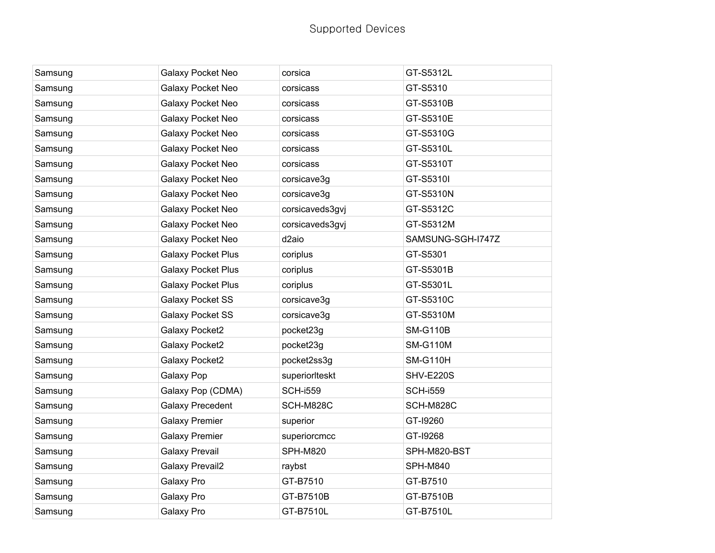| Samsung | Galaxy Pocket Neo         | corsica           | GT-S5312L         |
|---------|---------------------------|-------------------|-------------------|
| Samsung | Galaxy Pocket Neo         | corsicass         | GT-S5310          |
| Samsung | Galaxy Pocket Neo         | corsicass         | GT-S5310B         |
| Samsung | Galaxy Pocket Neo         | corsicass         | GT-S5310E         |
| Samsung | Galaxy Pocket Neo         | corsicass         | GT-S5310G         |
| Samsung | Galaxy Pocket Neo         | corsicass         | GT-S5310L         |
| Samsung | Galaxy Pocket Neo         | corsicass         | GT-S5310T         |
| Samsung | Galaxy Pocket Neo         | corsicave3g       | GT-S5310I         |
| Samsung | <b>Galaxy Pocket Neo</b>  | corsicave3g       | GT-S5310N         |
| Samsung | Galaxy Pocket Neo         | corsicaveds3gvj   | GT-S5312C         |
| Samsung | Galaxy Pocket Neo         | corsicaveds3gvj   | GT-S5312M         |
| Samsung | Galaxy Pocket Neo         | d <sub>2aio</sub> | SAMSUNG-SGH-I747Z |
| Samsung | <b>Galaxy Pocket Plus</b> | coriplus          | GT-S5301          |
| Samsung | <b>Galaxy Pocket Plus</b> | coriplus          | GT-S5301B         |
| Samsung | <b>Galaxy Pocket Plus</b> | coriplus          | GT-S5301L         |
| Samsung | <b>Galaxy Pocket SS</b>   | corsicave3g       | GT-S5310C         |
| Samsung | <b>Galaxy Pocket SS</b>   | corsicave3g       | GT-S5310M         |
| Samsung | Galaxy Pocket2            | pocket23g         | <b>SM-G110B</b>   |
| Samsung | Galaxy Pocket2            | pocket23g         | <b>SM-G110M</b>   |
| Samsung | Galaxy Pocket2            | pocket2ss3g       | <b>SM-G110H</b>   |
| Samsung | Galaxy Pop                | superiorIteskt    | SHV-E220S         |
| Samsung | Galaxy Pop (CDMA)         | <b>SCH-i559</b>   | <b>SCH-i559</b>   |
| Samsung | <b>Galaxy Precedent</b>   | SCH-M828C         | SCH-M828C         |
| Samsung | <b>Galaxy Premier</b>     | superior          | GT-19260          |
| Samsung | <b>Galaxy Premier</b>     | superiorcmcc      | GT-19268          |
| Samsung | <b>Galaxy Prevail</b>     | <b>SPH-M820</b>   | SPH-M820-BST      |
| Samsung | <b>Galaxy Prevail2</b>    | raybst            | <b>SPH-M840</b>   |
| Samsung | Galaxy Pro                | GT-B7510          | GT-B7510          |
| Samsung | Galaxy Pro                | GT-B7510B         | GT-B7510B         |
| Samsung | Galaxy Pro                | GT-B7510L         | GT-B7510L         |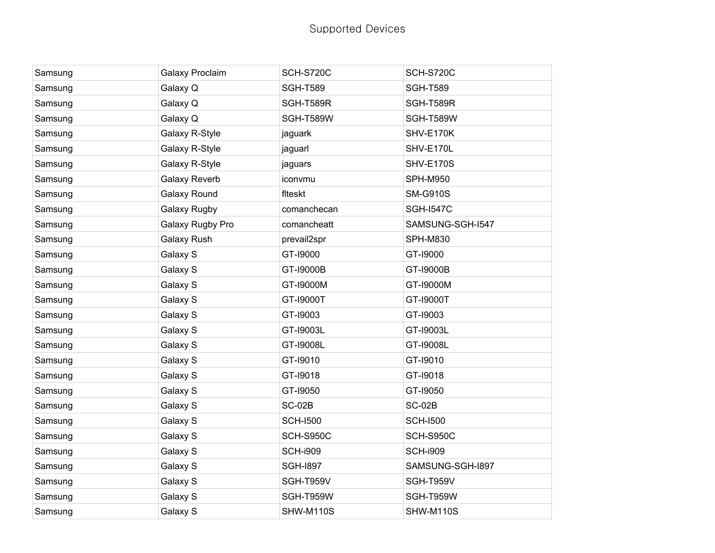| Samsung | Galaxy Proclaim      | <b>SCH-S720C</b> | <b>SCH-S720C</b> |
|---------|----------------------|------------------|------------------|
| Samsung | Galaxy Q             | <b>SGH-T589</b>  | <b>SGH-T589</b>  |
| Samsung | Galaxy Q             | SGH-T589R        | SGH-T589R        |
| Samsung | Galaxy Q             | SGH-T589W        | SGH-T589W        |
| Samsung | Galaxy R-Style       | jaguark          | SHV-E170K        |
| Samsung | Galaxy R-Style       | jaguarl          | SHV-E170L        |
| Samsung | Galaxy R-Style       | jaguars          | <b>SHV-E170S</b> |
| Samsung | <b>Galaxy Reverb</b> | iconvmu          | <b>SPH-M950</b>  |
| Samsung | Galaxy Round         | fiteskt          | <b>SM-G910S</b>  |
| Samsung | Galaxy Rugby         | comanchecan      | <b>SGH-1547C</b> |
| Samsung | Galaxy Rugby Pro     | comancheatt      | SAMSUNG-SGH-I547 |
| Samsung | Galaxy Rush          | prevail2spr      | <b>SPH-M830</b>  |
| Samsung | Galaxy S             | GT-19000         | GT-19000         |
| Samsung | Galaxy S             | GT-19000B        | GT-19000B        |
| Samsung | Galaxy S             | GT-19000M        | GT-19000M        |
| Samsung | Galaxy S             | GT-19000T        | GT-19000T        |
| Samsung | Galaxy S             | GT-19003         | GT-19003         |
| Samsung | Galaxy S             | GT-19003L        | GT-19003L        |
| Samsung | Galaxy S             | GT-19008L        | GT-19008L        |
| Samsung | Galaxy S             | GT-19010         | GT-19010         |
| Samsung | Galaxy S             | GT-19018         | GT-19018         |
| Samsung | Galaxy S             | GT-19050         | GT-19050         |
| Samsung | Galaxy S             | <b>SC-02B</b>    | <b>SC-02B</b>    |
| Samsung | Galaxy S             | <b>SCH-I500</b>  | <b>SCH-I500</b>  |
| Samsung | Galaxy S             | <b>SCH-S950C</b> | <b>SCH-S950C</b> |
| Samsung | Galaxy S             | <b>SCH-i909</b>  | <b>SCH-i909</b>  |
| Samsung | Galaxy S             | <b>SGH-1897</b>  | SAMSUNG-SGH-I897 |
| Samsung | Galaxy S             | SGH-T959V        | SGH-T959V        |
| Samsung | Galaxy S             | SGH-T959W        | SGH-T959W        |
| Samsung | Galaxy S             | SHW-M110S        | <b>SHW-M110S</b> |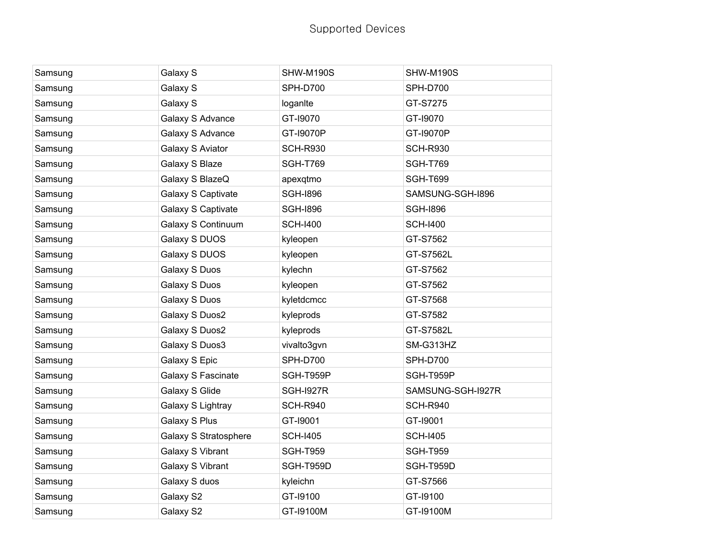| Samsung | Galaxy S              | SHW-M190S        | SHW-M190S         |
|---------|-----------------------|------------------|-------------------|
| Samsung | Galaxy S              | <b>SPH-D700</b>  | <b>SPH-D700</b>   |
| Samsung | Galaxy S              | loganite         | GT-S7275          |
| Samsung | Galaxy S Advance      | GT-19070         | GT-19070          |
| Samsung | Galaxy S Advance      | GT-19070P        | GT-19070P         |
| Samsung | Galaxy S Aviator      | <b>SCH-R930</b>  | <b>SCH-R930</b>   |
| Samsung | Galaxy S Blaze        | <b>SGH-T769</b>  | <b>SGH-T769</b>   |
| Samsung | Galaxy S BlazeQ       | apexqtmo         | <b>SGH-T699</b>   |
| Samsung | Galaxy S Captivate    | <b>SGH-1896</b>  | SAMSUNG-SGH-I896  |
| Samsung | Galaxy S Captivate    | <b>SGH-1896</b>  | <b>SGH-1896</b>   |
| Samsung | Galaxy S Continuum    | <b>SCH-I400</b>  | <b>SCH-I400</b>   |
| Samsung | Galaxy S DUOS         | kyleopen         | GT-S7562          |
| Samsung | Galaxy S DUOS         | kyleopen         | GT-S7562L         |
| Samsung | Galaxy S Duos         | kylechn          | GT-S7562          |
| Samsung | Galaxy S Duos         | kyleopen         | GT-S7562          |
| Samsung | Galaxy S Duos         | kyletdcmcc       | GT-S7568          |
| Samsung | Galaxy S Duos2        | kyleprods        | GT-S7582          |
| Samsung | Galaxy S Duos2        | kyleprods        | GT-S7582L         |
| Samsung | Galaxy S Duos3        | vivalto3gvn      | SM-G313HZ         |
| Samsung | Galaxy S Epic         | <b>SPH-D700</b>  | <b>SPH-D700</b>   |
| Samsung | Galaxy S Fascinate    | SGH-T959P        | SGH-T959P         |
| Samsung | Galaxy S Glide        | <b>SGH-I927R</b> | SAMSUNG-SGH-I927R |
| Samsung | Galaxy S Lightray     | <b>SCH-R940</b>  | <b>SCH-R940</b>   |
| Samsung | Galaxy S Plus         | GT-19001         | GT-19001          |
| Samsung | Galaxy S Stratosphere | <b>SCH-I405</b>  | <b>SCH-I405</b>   |
| Samsung | Galaxy S Vibrant      | <b>SGH-T959</b>  | <b>SGH-T959</b>   |
| Samsung | Galaxy S Vibrant      | SGH-T959D        | SGH-T959D         |
| Samsung | Galaxy S duos         | kyleichn         | GT-S7566          |
| Samsung | Galaxy S2             | GT-19100         | GT-19100          |
| Samsung | Galaxy S2             | GT-19100M        | GT-19100M         |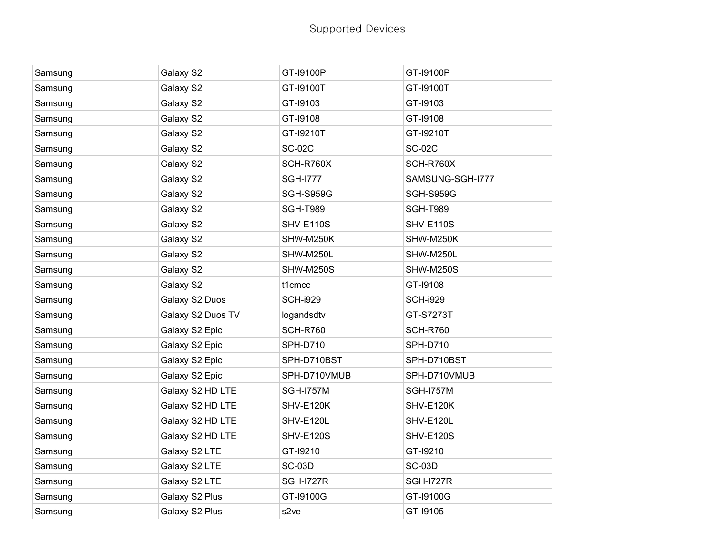| Samsung | Galaxy S2         | GT-19100P        | GT-19100P        |
|---------|-------------------|------------------|------------------|
| Samsung | Galaxy S2         | GT-19100T        | GT-19100T        |
| Samsung | Galaxy S2         | GT-19103         | GT-19103         |
| Samsung | Galaxy S2         | GT-19108         | GT-19108         |
| Samsung | Galaxy S2         | GT-19210T        | GT-19210T        |
| Samsung | Galaxy S2         | <b>SC-02C</b>    | <b>SC-02C</b>    |
| Samsung | Galaxy S2         | SCH-R760X        | SCH-R760X        |
| Samsung | Galaxy S2         | <b>SGH-1777</b>  | SAMSUNG-SGH-I777 |
| Samsung | Galaxy S2         | <b>SGH-S959G</b> | <b>SGH-S959G</b> |
| Samsung | Galaxy S2         | <b>SGH-T989</b>  | <b>SGH-T989</b>  |
| Samsung | Galaxy S2         | <b>SHV-E110S</b> | <b>SHV-E110S</b> |
| Samsung | Galaxy S2         | SHW-M250K        | SHW-M250K        |
| Samsung | Galaxy S2         | SHW-M250L        | SHW-M250L        |
| Samsung | Galaxy S2         | SHW-M250S        | SHW-M250S        |
| Samsung | Galaxy S2         | t1cmcc           | GT-19108         |
| Samsung | Galaxy S2 Duos    | <b>SCH-i929</b>  | <b>SCH-i929</b>  |
| Samsung | Galaxy S2 Duos TV | logandsdtv       | GT-S7273T        |
| Samsung | Galaxy S2 Epic    | <b>SCH-R760</b>  | <b>SCH-R760</b>  |
| Samsung | Galaxy S2 Epic    | <b>SPH-D710</b>  | <b>SPH-D710</b>  |
| Samsung | Galaxy S2 Epic    | SPH-D710BST      | SPH-D710BST      |
| Samsung | Galaxy S2 Epic    | SPH-D710VMUB     | SPH-D710VMUB     |
| Samsung | Galaxy S2 HD LTE  | <b>SGH-I757M</b> | <b>SGH-I757M</b> |
| Samsung | Galaxy S2 HD LTE  | SHV-E120K        | SHV-E120K        |
| Samsung | Galaxy S2 HD LTE  | SHV-E120L        | SHV-E120L        |
| Samsung | Galaxy S2 HD LTE  | <b>SHV-E120S</b> | <b>SHV-E120S</b> |
| Samsung | Galaxy S2 LTE     | GT-19210         | GT-19210         |
| Samsung | Galaxy S2 LTE     | <b>SC-03D</b>    | <b>SC-03D</b>    |
| Samsung | Galaxy S2 LTE     | <b>SGH-I727R</b> | <b>SGH-I727R</b> |
| Samsung | Galaxy S2 Plus    | GT-I9100G        | GT-I9100G        |
| Samsung | Galaxy S2 Plus    | s2ve             | GT-19105         |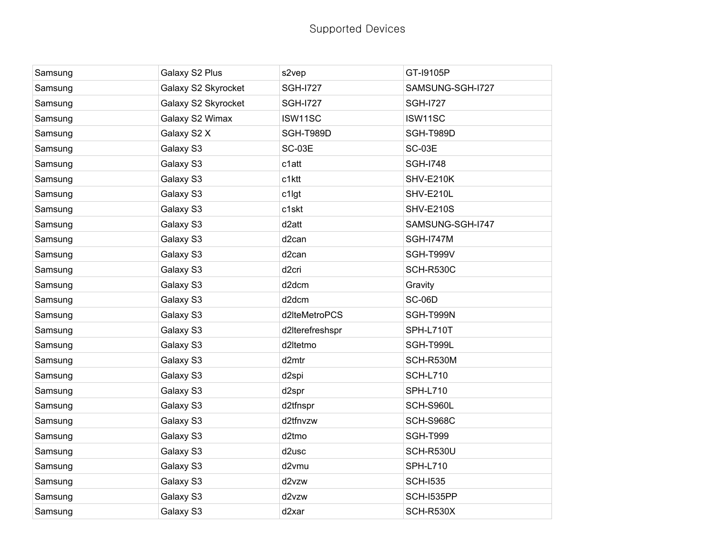| Samsung | Galaxy S2 Plus      | s2vep              | GT-19105P        |
|---------|---------------------|--------------------|------------------|
| Samsung | Galaxy S2 Skyrocket | <b>SGH-I727</b>    | SAMSUNG-SGH-I727 |
| Samsung | Galaxy S2 Skyrocket | <b>SGH-I727</b>    | <b>SGH-1727</b>  |
| Samsung | Galaxy S2 Wimax     | ISW11SC            | ISW11SC          |
| Samsung | Galaxy S2 X         | SGH-T989D          | SGH-T989D        |
| Samsung | Galaxy S3           | SC-03E             | SC-03E           |
| Samsung | Galaxy S3           | c1att              | <b>SGH-1748</b>  |
| Samsung | Galaxy S3           | c1ktt              | SHV-E210K        |
| Samsung | Galaxy S3           | c1lgt              | SHV-E210L        |
| Samsung | Galaxy S3           | c1skt              | <b>SHV-E210S</b> |
| Samsung | Galaxy S3           | d <sub>2</sub> att | SAMSUNG-SGH-I747 |
| Samsung | Galaxy S3           | d <sub>2</sub> can | <b>SGH-I747M</b> |
| Samsung | Galaxy S3           | d <sub>2</sub> can | SGH-T999V        |
| Samsung | Galaxy S3           | d <sub>2cri</sub>  | SCH-R530C        |
| Samsung | Galaxy S3           | d2dcm              | Gravity          |
| Samsung | Galaxy S3           | d2dcm              | <b>SC-06D</b>    |
| Samsung | Galaxy S3           | d2lteMetroPCS      | SGH-T999N        |
| Samsung | Galaxy S3           | d2lterefreshspr    | SPH-L710T        |
| Samsung | Galaxy S3           | d2ltetmo           | SGH-T999L        |
| Samsung | Galaxy S3           | d2mtr              | SCH-R530M        |
| Samsung | Galaxy S3           | d <sub>2spi</sub>  | <b>SCH-L710</b>  |
| Samsung | Galaxy S3           | d2spr              | <b>SPH-L710</b>  |
| Samsung | Galaxy S3           | d2tfnspr           | SCH-S960L        |
| Samsung | Galaxy S3           | d2tfnvzw           | <b>SCH-S968C</b> |
| Samsung | Galaxy S3           | d2tmo              | <b>SGH-T999</b>  |
| Samsung | Galaxy S3           | d2usc              | SCH-R530U        |
| Samsung | Galaxy S3           | d2vmu              | <b>SPH-L710</b>  |
| Samsung | Galaxy S3           | d2vzw              | <b>SCH-I535</b>  |
| Samsung | Galaxy S3           | d2vzw              | SCH-I535PP       |
| Samsung | Galaxy S3           | d2xar              | SCH-R530X        |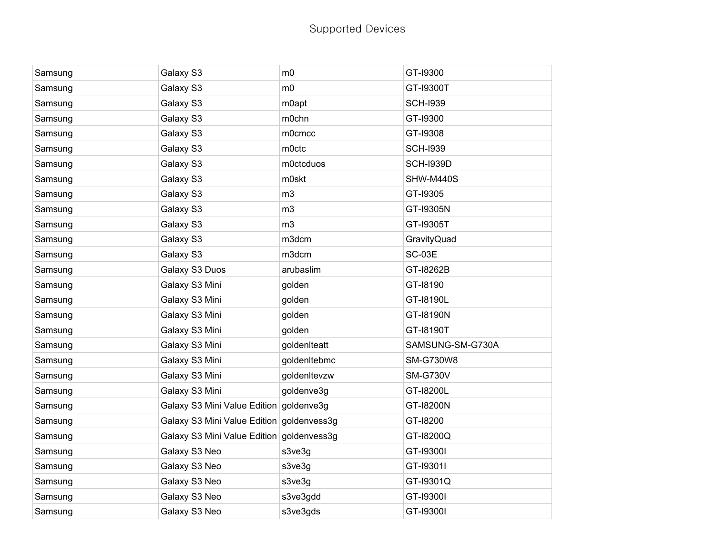| Samsung | Galaxy S3                                 | m <sub>0</sub> | GT-19300         |
|---------|-------------------------------------------|----------------|------------------|
| Samsung | Galaxy S3                                 | m <sub>0</sub> | GT-19300T        |
| Samsung | Galaxy S3                                 | m0apt          | <b>SCH-I939</b>  |
| Samsung | Galaxy S3                                 | m0chn          | GT-19300         |
| Samsung | Galaxy S3                                 | m0cmcc         | GT-19308         |
| Samsung | Galaxy S3                                 | m0ctc          | <b>SCH-I939</b>  |
| Samsung | Galaxy S3                                 | m0ctcduos      | <b>SCH-I939D</b> |
| Samsung | Galaxy S3                                 | m0skt          | SHW-M440S        |
| Samsung | Galaxy S3                                 | m <sub>3</sub> | GT-19305         |
| Samsung | Galaxy S3                                 | m <sub>3</sub> | GT-19305N        |
| Samsung | Galaxy S3                                 | m <sub>3</sub> | GT-19305T        |
| Samsung | Galaxy S3                                 | m3dcm          | GravityQuad      |
| Samsung | Galaxy S3                                 | m3dcm          | <b>SC-03E</b>    |
| Samsung | Galaxy S3 Duos                            | arubaslim      | GT-18262B        |
| Samsung | Galaxy S3 Mini                            | golden         | GT-18190         |
| Samsung | Galaxy S3 Mini                            | golden         | GT-18190L        |
| Samsung | Galaxy S3 Mini                            | golden         | GT-18190N        |
| Samsung | Galaxy S3 Mini                            | golden         | GT-18190T        |
| Samsung | Galaxy S3 Mini                            | goldenIteatt   | SAMSUNG-SM-G730A |
| Samsung | Galaxy S3 Mini                            | goldenItebmc   | <b>SM-G730W8</b> |
| Samsung | Galaxy S3 Mini                            | goldenItevzw   | <b>SM-G730V</b>  |
| Samsung | Galaxy S3 Mini                            | goldenve3g     | GT-18200L        |
| Samsung | Galaxy S3 Mini Value Edition goldenve3g   |                | GT-18200N        |
| Samsung | Galaxy S3 Mini Value Edition goldenvess3g |                | GT-18200         |
| Samsung | Galaxy S3 Mini Value Edition goldenvess3g |                | GT-18200Q        |
| Samsung | Galaxy S3 Neo                             | s3ve3g         | GT-193001        |
| Samsung | Galaxy S3 Neo                             | s3ve3g         | GT-193011        |
| Samsung | Galaxy S3 Neo                             | s3ve3g         | GT-19301Q        |
| Samsung | Galaxy S3 Neo                             | s3ve3gdd       | GT-193001        |
| Samsung | Galaxy S3 Neo                             | s3ve3gds       | GT-193001        |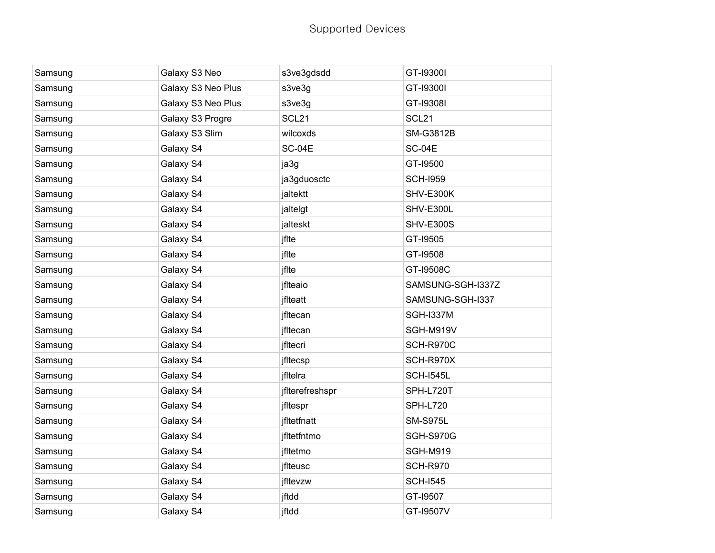| Samsung | Galaxy S3 Neo      | s3ve3gdsdd        | GT-193001         |
|---------|--------------------|-------------------|-------------------|
| Samsung | Galaxy S3 Neo Plus | s3ve3g            | GT-193001         |
| Samsung | Galaxy S3 Neo Plus | s3ve3g            | GT-193081         |
| Samsung | Galaxy S3 Progre   | SCL <sub>21</sub> | SCL <sub>21</sub> |
| Samsung | Galaxy S3 Slim     | wilcoxds          | <b>SM-G3812B</b>  |
| Samsung | Galaxy S4          | <b>SC-04E</b>     | <b>SC-04E</b>     |
| Samsung | Galaxy S4          | ja3g              | GT-19500          |
| Samsung | Galaxy S4          | ja3gduosctc       | <b>SCH-I959</b>   |
| Samsung | Galaxy S4          | jaltektt          | SHV-E300K         |
| Samsung | Galaxy S4          | jaltelgt          | SHV-E300L         |
| Samsung | Galaxy S4          | jalteskt          | <b>SHV-E300S</b>  |
| Samsung | Galaxy S4          | jflte             | GT-19505          |
| Samsung | Galaxy S4          | jflte             | GT-19508          |
| Samsung | Galaxy S4          | jflte             | GT-19508C         |
| Samsung | Galaxy S4          | jflteaio          | SAMSUNG-SGH-I337Z |
| Samsung | Galaxy S4          | jfiteatt          | SAMSUNG-SGH-I337  |
| Samsung | Galaxy S4          | jfltecan          | <b>SGH-I337M</b>  |
| Samsung | Galaxy S4          | jfltecan          | SGH-M919V         |
| Samsung | Galaxy S4          | jfltecri          | SCH-R970C         |
| Samsung | Galaxy S4          | jfltecsp          | SCH-R970X         |
| Samsung | Galaxy S4          | jfitelra          | <b>SCH-I545L</b>  |
| Samsung | Galaxy S4          | jflterefreshspr   | SPH-L720T         |
| Samsung | Galaxy S4          | jfltespr          | <b>SPH-L720</b>   |
| Samsung | Galaxy S4          | jfltetfnatt       | <b>SM-S975L</b>   |
| Samsung | Galaxy S4          | jfltetfntmo       | <b>SGH-S970G</b>  |
| Samsung | Galaxy S4          | jfltetmo          | <b>SGH-M919</b>   |
| Samsung | Galaxy S4          | jflteusc          | <b>SCH-R970</b>   |
| Samsung | Galaxy S4          | jfltevzw          | <b>SCH-I545</b>   |
| Samsung | Galaxy S4          | jftdd             | GT-19507          |
| Samsung | Galaxy S4          | jftdd             | GT-19507V         |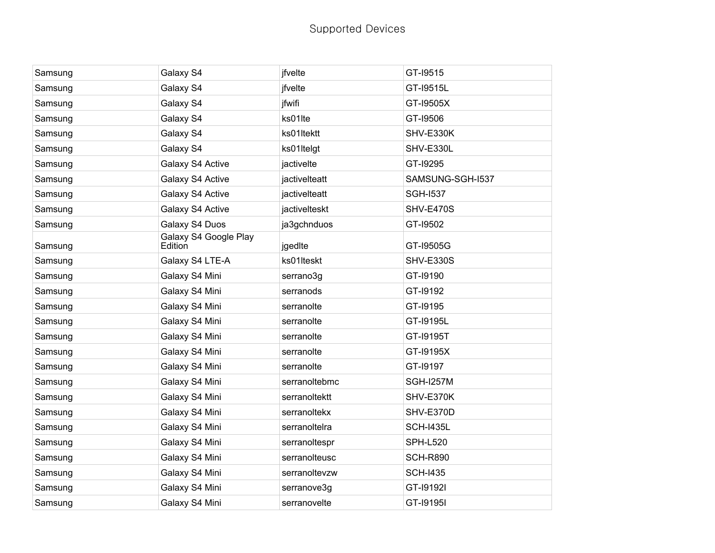| Samsung | Galaxy S4                        | jfvelte       | GT-19515         |
|---------|----------------------------------|---------------|------------------|
| Samsung | Galaxy S4                        | jfvelte       | GT-19515L        |
| Samsung | Galaxy S4                        | jfwifi        | GT-19505X        |
| Samsung | Galaxy S4                        | ks01lte       | GT-19506         |
| Samsung | Galaxy S4                        | ks01ltektt    | SHV-E330K        |
| Samsung | Galaxy S4                        | ks01Itelgt    | SHV-E330L        |
| Samsung | Galaxy S4 Active                 | jactivelte    | GT-19295         |
| Samsung | Galaxy S4 Active                 | jactivelteatt | SAMSUNG-SGH-I537 |
| Samsung | Galaxy S4 Active                 | jactivelteatt | <b>SGH-I537</b>  |
| Samsung | Galaxy S4 Active                 | jactivelteskt | <b>SHV-E470S</b> |
| Samsung | Galaxy S4 Duos                   | ja3gchnduos   | GT-19502         |
| Samsung | Galaxy S4 Google Play<br>Edition | jgedIte       | GT-19505G        |
| Samsung | Galaxy S4 LTE-A                  | ks01lteskt    | <b>SHV-E330S</b> |
| Samsung | Galaxy S4 Mini                   | serrano3g     | GT-19190         |
| Samsung | Galaxy S4 Mini                   | serranods     | GT-19192         |
| Samsung | Galaxy S4 Mini                   | serranolte    | GT-19195         |
| Samsung | Galaxy S4 Mini                   | serranolte    | GT-19195L        |
| Samsung | Galaxy S4 Mini                   | serranolte    | GT-19195T        |
| Samsung | Galaxy S4 Mini                   | serranolte    | GT-19195X        |
| Samsung | Galaxy S4 Mini                   | serranolte    | GT-19197         |
| Samsung | Galaxy S4 Mini                   | serranoltebmc | <b>SGH-I257M</b> |
| Samsung | Galaxy S4 Mini                   | serranoltektt | SHV-E370K        |
| Samsung | Galaxy S4 Mini                   | serranoltekx  | SHV-E370D        |
| Samsung | Galaxy S4 Mini                   | serranoltelra | <b>SCH-I435L</b> |
| Samsung | Galaxy S4 Mini                   | serranoltespr | <b>SPH-L520</b>  |
| Samsung | Galaxy S4 Mini                   | serranolteusc | <b>SCH-R890</b>  |
| Samsung | Galaxy S4 Mini                   | serranoltevzw | <b>SCH-I435</b>  |
| Samsung | Galaxy S4 Mini                   | serranove3g   | GT-191921        |
| Samsung | Galaxy S4 Mini                   | serranovelte  | GT-191951        |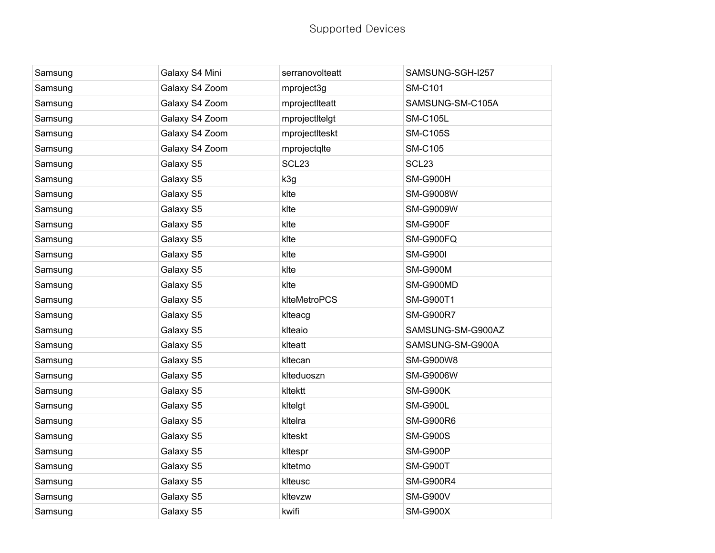| Samsung | Galaxy S4 Mini | serranovolteatt   | SAMSUNG-SGH-I257  |
|---------|----------------|-------------------|-------------------|
| Samsung | Galaxy S4 Zoom | mproject3g        | <b>SM-C101</b>    |
| Samsung | Galaxy S4 Zoom | mprojectIteatt    | SAMSUNG-SM-C105A  |
| Samsung | Galaxy S4 Zoom | mprojectItelgt    | <b>SM-C105L</b>   |
| Samsung | Galaxy S4 Zoom | mprojectIteskt    | <b>SM-C105S</b>   |
| Samsung | Galaxy S4 Zoom | mprojectqlte      | <b>SM-C105</b>    |
| Samsung | Galaxy S5      | SCL <sub>23</sub> | SCL <sub>23</sub> |
| Samsung | Galaxy S5      | k3g               | <b>SM-G900H</b>   |
| Samsung | Galaxy S5      | klte              | <b>SM-G9008W</b>  |
| Samsung | Galaxy S5      | klte              | <b>SM-G9009W</b>  |
| Samsung | Galaxy S5      | klte              | SM-G900F          |
| Samsung | Galaxy S5      | klte              | SM-G900FQ         |
| Samsung | Galaxy S5      | klte              | <b>SM-G900I</b>   |
| Samsung | Galaxy S5      | klte              | <b>SM-G900M</b>   |
| Samsung | Galaxy S5      | klte              | SM-G900MD         |
| Samsung | Galaxy S5      | klteMetroPCS      | SM-G900T1         |
| Samsung | Galaxy S5      | klteacg           | <b>SM-G900R7</b>  |
| Samsung | Galaxy S5      | klteaio           | SAMSUNG-SM-G900AZ |
| Samsung | Galaxy S5      | klteatt           | SAMSUNG-SM-G900A  |
| Samsung | Galaxy S5      | kltecan           | <b>SM-G900W8</b>  |
| Samsung | Galaxy S5      | klteduoszn        | <b>SM-G9006W</b>  |
| Samsung | Galaxy S5      | kltektt           | <b>SM-G900K</b>   |
| Samsung | Galaxy S5      | kltelgt           | SM-G900L          |
| Samsung | Galaxy S5      | kltelra           | <b>SM-G900R6</b>  |
| Samsung | Galaxy S5      | klteskt           | <b>SM-G900S</b>   |
| Samsung | Galaxy S5      | kltespr           | <b>SM-G900P</b>   |
| Samsung | Galaxy S5      | kltetmo           | <b>SM-G900T</b>   |
| Samsung | Galaxy S5      | klteusc           | <b>SM-G900R4</b>  |
| Samsung | Galaxy S5      | kltevzw           | <b>SM-G900V</b>   |
| Samsung | Galaxy S5      | kwifi             | <b>SM-G900X</b>   |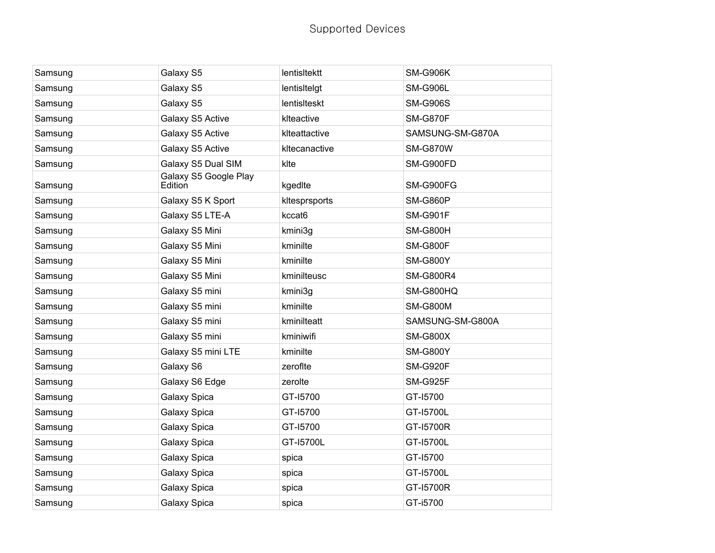| Samsung | Galaxy S5                        | lentisltektt  | <b>SM-G906K</b>  |
|---------|----------------------------------|---------------|------------------|
| Samsung | Galaxy S5                        | lentisitelgt  | <b>SM-G906L</b>  |
| Samsung | Galaxy S5                        | lentislteskt  | <b>SM-G906S</b>  |
| Samsung | Galaxy S5 Active                 | klteactive    | <b>SM-G870F</b>  |
| Samsung | Galaxy S5 Active                 | klteattactive | SAMSUNG-SM-G870A |
| Samsung | Galaxy S5 Active                 | kltecanactive | <b>SM-G870W</b>  |
| Samsung | Galaxy S5 Dual SIM               | klte          | SM-G900FD        |
| Samsung | Galaxy S5 Google Play<br>Edition | kgedIte       | SM-G900FG        |
| Samsung | Galaxy S5 K Sport                | kltesprsports | <b>SM-G860P</b>  |
| Samsung | Galaxy S5 LTE-A                  | kccat6        | <b>SM-G901F</b>  |
| Samsung | Galaxy S5 Mini                   | kmini3g       | <b>SM-G800H</b>  |
| Samsung | Galaxy S5 Mini                   | kminilte      | <b>SM-G800F</b>  |
| Samsung | Galaxy S5 Mini                   | kminilte      | <b>SM-G800Y</b>  |
| Samsung | Galaxy S5 Mini                   | kminilteusc   | <b>SM-G800R4</b> |
| Samsung | Galaxy S5 mini                   | kmini3g       | <b>SM-G800HQ</b> |
| Samsung | Galaxy S5 mini                   | kminilte      | <b>SM-G800M</b>  |
| Samsung | Galaxy S5 mini                   | kminilteatt   | SAMSUNG-SM-G800A |
| Samsung | Galaxy S5 mini                   | kminiwifi     | <b>SM-G800X</b>  |
| Samsung | Galaxy S5 mini LTE               | kminilte      | <b>SM-G800Y</b>  |
| Samsung | Galaxy S6                        | zerofite      | <b>SM-G920F</b>  |
| Samsung | Galaxy S6 Edge                   | zerolte       | <b>SM-G925F</b>  |
| Samsung | Galaxy Spica                     | GT-15700      | GT-15700         |
| Samsung | Galaxy Spica                     | GT-15700      | GT-15700L        |
| Samsung | Galaxy Spica                     | GT-15700      | GT-15700R        |
| Samsung | Galaxy Spica                     | GT-15700L     | GT-15700L        |
| Samsung | Galaxy Spica                     | spica         | GT-15700         |
| Samsung | Galaxy Spica                     | spica         | GT-15700L        |
| Samsung | Galaxy Spica                     | spica         | GT-15700R        |
| Samsung | Galaxy Spica                     | spica         | GT-i5700         |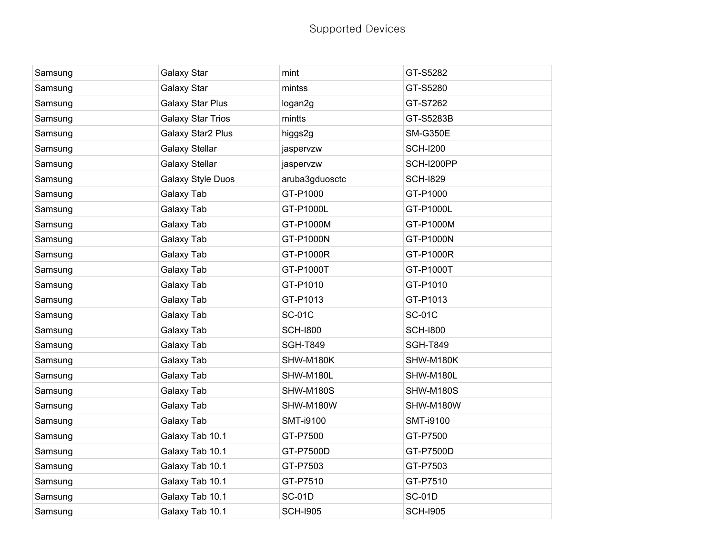| Samsung | Galaxy Star              | mint             | GT-S5282         |
|---------|--------------------------|------------------|------------------|
| Samsung | Galaxy Star              | mintss           | GT-S5280         |
| Samsung | <b>Galaxy Star Plus</b>  | logan2g          | GT-S7262         |
| Samsung | <b>Galaxy Star Trios</b> | mintts           | GT-S5283B        |
| Samsung | Galaxy Star2 Plus        | higgs2g          | <b>SM-G350E</b>  |
| Samsung | <b>Galaxy Stellar</b>    | jaspervzw        | <b>SCH-I200</b>  |
| Samsung | Galaxy Stellar           | jaspervzw        | SCH-I200PP       |
| Samsung | Galaxy Style Duos        | aruba3gduosctc   | <b>SCH-1829</b>  |
| Samsung | Galaxy Tab               | GT-P1000         | GT-P1000         |
| Samsung | Galaxy Tab               | GT-P1000L        | GT-P1000L        |
| Samsung | Galaxy Tab               | GT-P1000M        | GT-P1000M        |
| Samsung | Galaxy Tab               | GT-P1000N        | GT-P1000N        |
| Samsung | Galaxy Tab               | GT-P1000R        | GT-P1000R        |
| Samsung | Galaxy Tab               | GT-P1000T        | GT-P1000T        |
| Samsung | Galaxy Tab               | GT-P1010         | GT-P1010         |
| Samsung | Galaxy Tab               | GT-P1013         | GT-P1013         |
| Samsung | Galaxy Tab               | <b>SC-01C</b>    | <b>SC-01C</b>    |
| Samsung | Galaxy Tab               | <b>SCH-1800</b>  | <b>SCH-1800</b>  |
| Samsung | Galaxy Tab               | <b>SGH-T849</b>  | <b>SGH-T849</b>  |
| Samsung | Galaxy Tab               | SHW-M180K        | SHW-M180K        |
| Samsung | Galaxy Tab               | SHW-M180L        | SHW-M180L        |
| Samsung | Galaxy Tab               | SHW-M180S        | SHW-M180S        |
| Samsung | Galaxy Tab               | SHW-M180W        | SHW-M180W        |
| Samsung | Galaxy Tab               | <b>SMT-i9100</b> | <b>SMT-i9100</b> |
| Samsung | Galaxy Tab 10.1          | GT-P7500         | GT-P7500         |
| Samsung | Galaxy Tab 10.1          | GT-P7500D        | GT-P7500D        |
| Samsung | Galaxy Tab 10.1          | GT-P7503         | GT-P7503         |
| Samsung | Galaxy Tab 10.1          | GT-P7510         | GT-P7510         |
| Samsung | Galaxy Tab 10.1          | <b>SC-01D</b>    | <b>SC-01D</b>    |
| Samsung | Galaxy Tab 10.1          | <b>SCH-I905</b>  | <b>SCH-I905</b>  |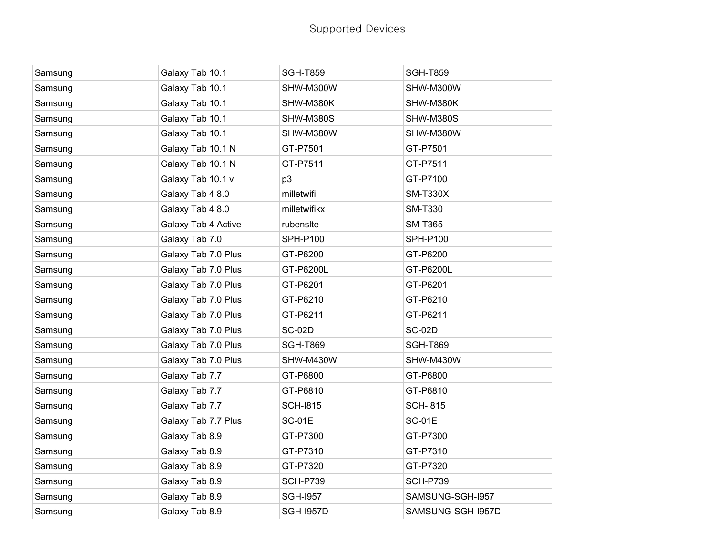| Samsung | Galaxy Tab 10.1     | <b>SGH-T859</b>  | <b>SGH-T859</b>   |
|---------|---------------------|------------------|-------------------|
| Samsung | Galaxy Tab 10.1     | SHW-M300W        | SHW-M300W         |
| Samsung | Galaxy Tab 10.1     | SHW-M380K        | SHW-M380K         |
| Samsung | Galaxy Tab 10.1     | SHW-M380S        | SHW-M380S         |
| Samsung | Galaxy Tab 10.1     | SHW-M380W        | SHW-M380W         |
| Samsung | Galaxy Tab 10.1 N   | GT-P7501         | GT-P7501          |
| Samsung | Galaxy Tab 10.1 N   | GT-P7511         | GT-P7511          |
| Samsung | Galaxy Tab 10.1 v   | p3               | GT-P7100          |
| Samsung | Galaxy Tab 4 8.0    | milletwifi       | <b>SM-T330X</b>   |
| Samsung | Galaxy Tab 4 8.0    | milletwifikx     | <b>SM-T330</b>    |
| Samsung | Galaxy Tab 4 Active | rubensite        | <b>SM-T365</b>    |
| Samsung | Galaxy Tab 7.0      | <b>SPH-P100</b>  | <b>SPH-P100</b>   |
| Samsung | Galaxy Tab 7.0 Plus | GT-P6200         | GT-P6200          |
| Samsung | Galaxy Tab 7.0 Plus | GT-P6200L        | GT-P6200L         |
| Samsung | Galaxy Tab 7.0 Plus | GT-P6201         | GT-P6201          |
| Samsung | Galaxy Tab 7.0 Plus | GT-P6210         | GT-P6210          |
| Samsung | Galaxy Tab 7.0 Plus | GT-P6211         | GT-P6211          |
| Samsung | Galaxy Tab 7.0 Plus | <b>SC-02D</b>    | <b>SC-02D</b>     |
| Samsung | Galaxy Tab 7.0 Plus | <b>SGH-T869</b>  | <b>SGH-T869</b>   |
| Samsung | Galaxy Tab 7.0 Plus | SHW-M430W        | SHW-M430W         |
| Samsung | Galaxy Tab 7.7      | GT-P6800         | GT-P6800          |
| Samsung | Galaxy Tab 7.7      | GT-P6810         | GT-P6810          |
| Samsung | Galaxy Tab 7.7      | <b>SCH-1815</b>  | <b>SCH-1815</b>   |
| Samsung | Galaxy Tab 7.7 Plus | <b>SC-01E</b>    | <b>SC-01E</b>     |
| Samsung | Galaxy Tab 8.9      | GT-P7300         | GT-P7300          |
| Samsung | Galaxy Tab 8.9      | GT-P7310         | GT-P7310          |
| Samsung | Galaxy Tab 8.9      | GT-P7320         | GT-P7320          |
| Samsung | Galaxy Tab 8.9      | <b>SCH-P739</b>  | <b>SCH-P739</b>   |
| Samsung | Galaxy Tab 8.9      | <b>SGH-1957</b>  | SAMSUNG-SGH-I957  |
| Samsung | Galaxy Tab 8.9      | <b>SGH-I957D</b> | SAMSUNG-SGH-I957D |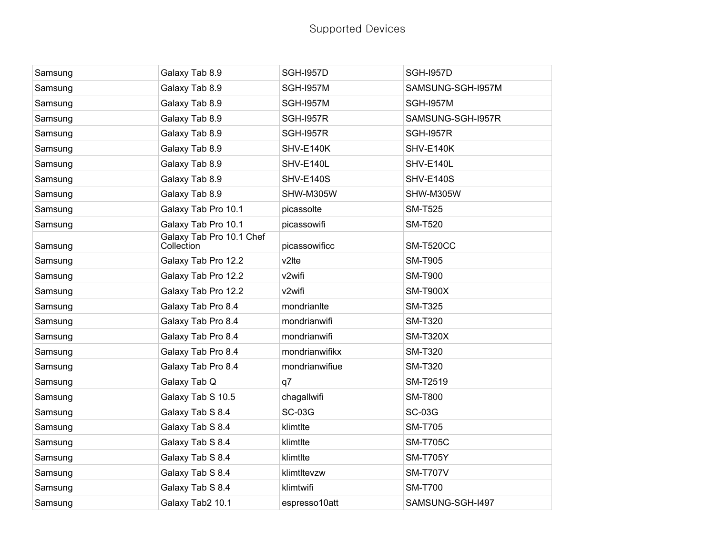| Samsung | Galaxy Tab 8.9                         | <b>SGH-1957D</b> | <b>SGH-1957D</b>  |
|---------|----------------------------------------|------------------|-------------------|
| Samsung | Galaxy Tab 8.9                         | <b>SGH-I957M</b> | SAMSUNG-SGH-I957M |
| Samsung | Galaxy Tab 8.9                         | <b>SGH-1957M</b> | <b>SGH-1957M</b>  |
| Samsung | Galaxy Tab 8.9                         | <b>SGH-I957R</b> | SAMSUNG-SGH-I957R |
| Samsung | Galaxy Tab 8.9                         | <b>SGH-I957R</b> | <b>SGH-I957R</b>  |
| Samsung | Galaxy Tab 8.9                         | SHV-E140K        | SHV-E140K         |
| Samsung | Galaxy Tab 8.9                         | SHV-E140L        | SHV-E140L         |
| Samsung | Galaxy Tab 8.9                         | <b>SHV-E140S</b> | SHV-E140S         |
| Samsung | Galaxy Tab 8.9                         | SHW-M305W        | SHW-M305W         |
| Samsung | Galaxy Tab Pro 10.1                    | picassolte       | <b>SM-T525</b>    |
| Samsung | Galaxy Tab Pro 10.1                    | picassowifi      | <b>SM-T520</b>    |
| Samsung | Galaxy Tab Pro 10.1 Chef<br>Collection | picassowificc    | <b>SM-T520CC</b>  |
| Samsung | Galaxy Tab Pro 12.2                    | v2lte            | <b>SM-T905</b>    |
| Samsung | Galaxy Tab Pro 12.2                    | v2wifi           | <b>SM-T900</b>    |
| Samsung | Galaxy Tab Pro 12.2                    | v2wifi           | <b>SM-T900X</b>   |
| Samsung | Galaxy Tab Pro 8.4                     | mondrianite      | <b>SM-T325</b>    |
| Samsung | Galaxy Tab Pro 8.4                     | mondrianwifi     | <b>SM-T320</b>    |
| Samsung | Galaxy Tab Pro 8.4                     | mondrianwifi     | <b>SM-T320X</b>   |
| Samsung | Galaxy Tab Pro 8.4                     | mondrianwifikx   | <b>SM-T320</b>    |
| Samsung | Galaxy Tab Pro 8.4                     | mondrianwifiue   | <b>SM-T320</b>    |
| Samsung | Galaxy Tab Q                           | q7               | SM-T2519          |
| Samsung | Galaxy Tab S 10.5                      | chagallwifi      | <b>SM-T800</b>    |
| Samsung | Galaxy Tab S 8.4                       | <b>SC-03G</b>    | <b>SC-03G</b>     |
| Samsung | Galaxy Tab S 8.4                       | klimtlte         | <b>SM-T705</b>    |
| Samsung | Galaxy Tab S 8.4                       | klimtlte         | <b>SM-T705C</b>   |
| Samsung | Galaxy Tab S 8.4                       | klimtlte         | <b>SM-T705Y</b>   |
| Samsung | Galaxy Tab S 8.4                       | klimtltevzw      | <b>SM-T707V</b>   |
| Samsung | Galaxy Tab S 8.4                       | klimtwifi        | <b>SM-T700</b>    |
| Samsung | Galaxy Tab2 10.1                       | espresso10att    | SAMSUNG-SGH-I497  |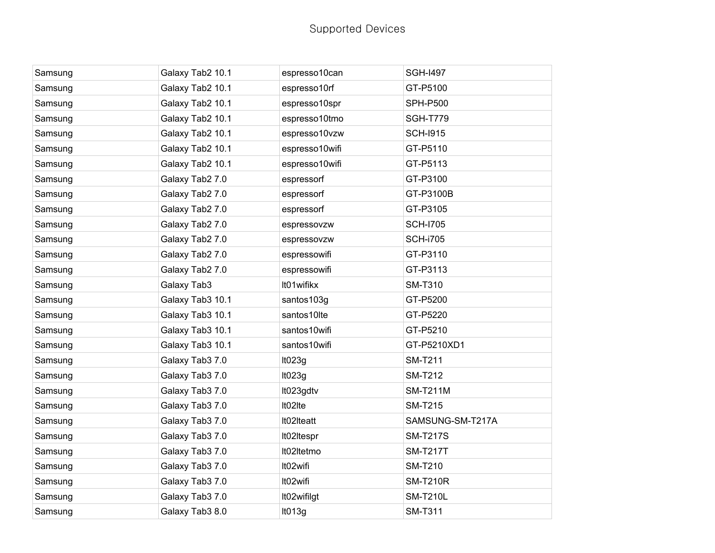| Samsung | Galaxy Tab2 10.1 | espresso10can  | <b>SGH-I497</b>  |
|---------|------------------|----------------|------------------|
| Samsung | Galaxy Tab2 10.1 | espresso10rf   | GT-P5100         |
| Samsung | Galaxy Tab2 10.1 | espresso10spr  | <b>SPH-P500</b>  |
| Samsung | Galaxy Tab2 10.1 | espresso10tmo  | <b>SGH-T779</b>  |
| Samsung | Galaxy Tab2 10.1 | espresso10vzw  | <b>SCH-I915</b>  |
| Samsung | Galaxy Tab2 10.1 | espresso10wifi | GT-P5110         |
| Samsung | Galaxy Tab2 10.1 | espresso10wifi | GT-P5113         |
| Samsung | Galaxy Tab2 7.0  | espressorf     | GT-P3100         |
| Samsung | Galaxy Tab2 7.0  | espressorf     | GT-P3100B        |
| Samsung | Galaxy Tab2 7.0  | espressorf     | GT-P3105         |
| Samsung | Galaxy Tab2 7.0  | espressovzw    | <b>SCH-I705</b>  |
| Samsung | Galaxy Tab2 7.0  | espressovzw    | <b>SCH-i705</b>  |
| Samsung | Galaxy Tab2 7.0  | espressowifi   | GT-P3110         |
| Samsung | Galaxy Tab2 7.0  | espressowifi   | GT-P3113         |
| Samsung | Galaxy Tab3      | It01wifikx     | <b>SM-T310</b>   |
| Samsung | Galaxy Tab3 10.1 | santos103g     | GT-P5200         |
| Samsung | Galaxy Tab3 10.1 | santos10lte    | GT-P5220         |
| Samsung | Galaxy Tab3 10.1 | santos10wifi   | GT-P5210         |
| Samsung | Galaxy Tab3 10.1 | santos10wifi   | GT-P5210XD1      |
| Samsung | Galaxy Tab3 7.0  | It023g         | <b>SM-T211</b>   |
| Samsung | Galaxy Tab3 7.0  | It023g         | <b>SM-T212</b>   |
| Samsung | Galaxy Tab3 7.0  | It023gdtv      | <b>SM-T211M</b>  |
| Samsung | Galaxy Tab3 7.0  | It02Ite        | <b>SM-T215</b>   |
| Samsung | Galaxy Tab3 7.0  | It02Iteatt     | SAMSUNG-SM-T217A |
| Samsung | Galaxy Tab3 7.0  | It02Itespr     | <b>SM-T217S</b>  |
| Samsung | Galaxy Tab3 7.0  | It02Itetmo     | <b>SM-T217T</b>  |
| Samsung | Galaxy Tab3 7.0  | It02wifi       | <b>SM-T210</b>   |
| Samsung | Galaxy Tab3 7.0  | It02wifi       | <b>SM-T210R</b>  |
| Samsung | Galaxy Tab3 7.0  | It02wifilgt    | <b>SM-T210L</b>  |
| Samsung | Galaxy Tab3 8.0  | It013g         | <b>SM-T311</b>   |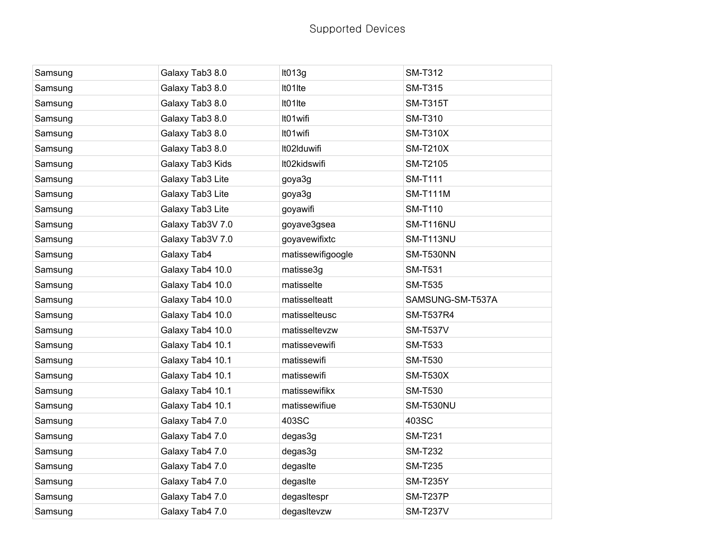| Samsung | Galaxy Tab3 8.0  | It013g            | <b>SM-T312</b>   |
|---------|------------------|-------------------|------------------|
| Samsung | Galaxy Tab3 8.0  | It01Ite           | <b>SM-T315</b>   |
| Samsung | Galaxy Tab3 8.0  | It01Ite           | <b>SM-T315T</b>  |
| Samsung | Galaxy Tab3 8.0  | It01wifi          | <b>SM-T310</b>   |
| Samsung | Galaxy Tab3 8.0  | It01wifi          | <b>SM-T310X</b>  |
| Samsung | Galaxy Tab3 8.0  | It02Iduwifi       | <b>SM-T210X</b>  |
| Samsung | Galaxy Tab3 Kids | It02kidswifi      | SM-T2105         |
| Samsung | Galaxy Tab3 Lite | goya3g            | <b>SM-T111</b>   |
| Samsung | Galaxy Tab3 Lite | goya3g            | <b>SM-T111M</b>  |
| Samsung | Galaxy Tab3 Lite | goyawifi          | <b>SM-T110</b>   |
| Samsung | Galaxy Tab3V 7.0 | goyave3gsea       | SM-T116NU        |
| Samsung | Galaxy Tab3V 7.0 | goyavewifixtc     | SM-T113NU        |
| Samsung | Galaxy Tab4      | matissewifigoogle | <b>SM-T530NN</b> |
| Samsung | Galaxy Tab4 10.0 | matisse3g         | <b>SM-T531</b>   |
| Samsung | Galaxy Tab4 10.0 | matisselte        | <b>SM-T535</b>   |
| Samsung | Galaxy Tab4 10.0 | matisselteatt     | SAMSUNG-SM-T537A |
| Samsung | Galaxy Tab4 10.0 | matisselteusc     | <b>SM-T537R4</b> |
| Samsung | Galaxy Tab4 10.0 | matisseltevzw     | <b>SM-T537V</b>  |
| Samsung | Galaxy Tab4 10.1 | matissevewifi     | <b>SM-T533</b>   |
| Samsung | Galaxy Tab4 10.1 | matissewifi       | <b>SM-T530</b>   |
| Samsung | Galaxy Tab4 10.1 | matissewifi       | <b>SM-T530X</b>  |
| Samsung | Galaxy Tab4 10.1 | matissewifikx     | <b>SM-T530</b>   |
| Samsung | Galaxy Tab4 10.1 | matissewifiue     | SM-T530NU        |
| Samsung | Galaxy Tab4 7.0  | 403SC             | 403SC            |
| Samsung | Galaxy Tab4 7.0  | degas3g           | <b>SM-T231</b>   |
| Samsung | Galaxy Tab4 7.0  | degas3g           | <b>SM-T232</b>   |
| Samsung | Galaxy Tab4 7.0  | degasite          | <b>SM-T235</b>   |
| Samsung | Galaxy Tab4 7.0  | degasite          | <b>SM-T235Y</b>  |
| Samsung | Galaxy Tab4 7.0  | degasItespr       | <b>SM-T237P</b>  |
| Samsung | Galaxy Tab4 7.0  | degasitevzw       | <b>SM-T237V</b>  |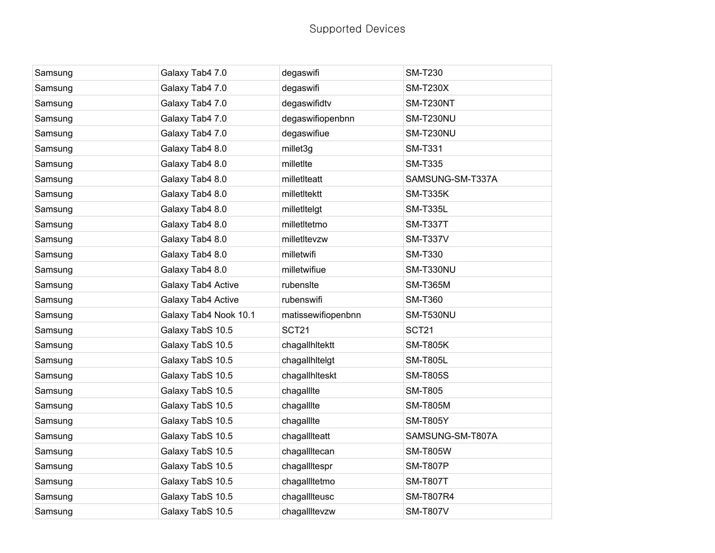| Samsung | Galaxy Tab4 7.0       | degaswifi          | <b>SM-T230</b>   |
|---------|-----------------------|--------------------|------------------|
| Samsung | Galaxy Tab4 7.0       | degaswifi          | <b>SM-T230X</b>  |
| Samsung | Galaxy Tab4 7.0       | degaswifidtv       | <b>SM-T230NT</b> |
| Samsung | Galaxy Tab4 7.0       | degaswifiopenbnn   | SM-T230NU        |
| Samsung | Galaxy Tab4 7.0       | degaswifiue        | SM-T230NU        |
| Samsung | Galaxy Tab4 8.0       | millet3g           | <b>SM-T331</b>   |
| Samsung | Galaxy Tab4 8.0       | milletIte          | <b>SM-T335</b>   |
| Samsung | Galaxy Tab4 8.0       | milletIteatt       | SAMSUNG-SM-T337A |
| Samsung | Galaxy Tab4 8.0       | milletItektt       | <b>SM-T335K</b>  |
| Samsung | Galaxy Tab4 8.0       | milletItelgt       | <b>SM-T335L</b>  |
| Samsung | Galaxy Tab4 8.0       | milletItetmo       | <b>SM-T337T</b>  |
| Samsung | Galaxy Tab4 8.0       | milletItevzw       | <b>SM-T337V</b>  |
| Samsung | Galaxy Tab4 8.0       | milletwifi         | <b>SM-T330</b>   |
| Samsung | Galaxy Tab4 8.0       | milletwifiue       | SM-T330NU        |
| Samsung | Galaxy Tab4 Active    | rubensite          | <b>SM-T365M</b>  |
| Samsung | Galaxy Tab4 Active    | rubenswifi         | <b>SM-T360</b>   |
| Samsung | Galaxy Tab4 Nook 10.1 | matissewifiopenbnn | SM-T530NU        |
| Samsung | Galaxy TabS 10.5      | SCT21              | SCT21            |
| Samsung | Galaxy TabS 10.5      | chagallhitektt     | <b>SM-T805K</b>  |
| Samsung | Galaxy TabS 10.5      | chagallhitelgt     | <b>SM-T805L</b>  |
| Samsung | Galaxy TabS 10.5      | chagallhiteskt     | <b>SM-T805S</b>  |
| Samsung | Galaxy TabS 10.5      | chagallite         | <b>SM-T805</b>   |
| Samsung | Galaxy TabS 10.5      | chagallite         | <b>SM-T805M</b>  |
| Samsung | Galaxy TabS 10.5      | chagallite         | <b>SM-T805Y</b>  |
| Samsung | Galaxy TabS 10.5      | chagallIteatt      | SAMSUNG-SM-T807A |
| Samsung | Galaxy TabS 10.5      | chagallItecan      | <b>SM-T805W</b>  |
| Samsung | Galaxy TabS 10.5      | chagallitespr      | <b>SM-T807P</b>  |
| Samsung | Galaxy TabS 10.5      | chagallItetmo      | <b>SM-T807T</b>  |
| Samsung | Galaxy TabS 10.5      | chagallIteusc      | <b>SM-T807R4</b> |
| Samsung | Galaxy TabS 10.5      | chagallItevzw      | <b>SM-T807V</b>  |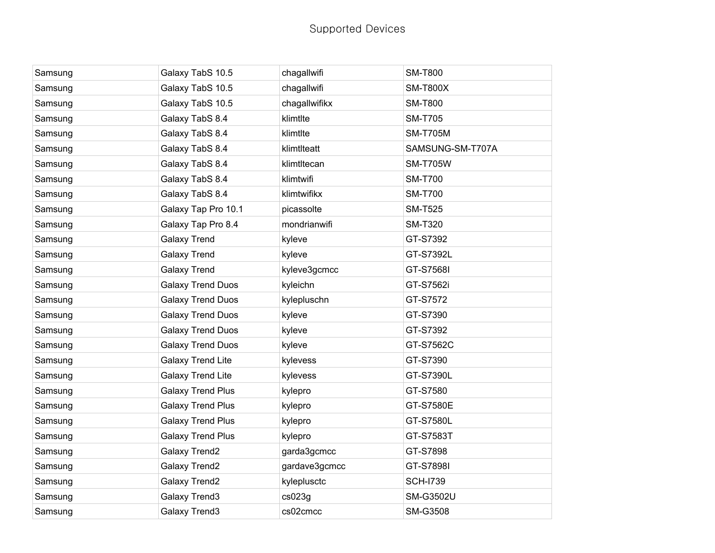| Samsung | Galaxy TabS 10.5         | chagallwifi   | <b>SM-T800</b>   |
|---------|--------------------------|---------------|------------------|
| Samsung | Galaxy TabS 10.5         | chagallwifi   | <b>SM-T800X</b>  |
| Samsung | Galaxy TabS 10.5         | chagallwifikx | <b>SM-T800</b>   |
| Samsung | Galaxy TabS 8.4          | klimtlte      | <b>SM-T705</b>   |
| Samsung | Galaxy TabS 8.4          | klimtlte      | <b>SM-T705M</b>  |
| Samsung | Galaxy TabS 8.4          | klimtlteatt   | SAMSUNG-SM-T707A |
| Samsung | Galaxy TabS 8.4          | klimtltecan   | <b>SM-T705W</b>  |
| Samsung | Galaxy TabS 8.4          | klimtwifi     | <b>SM-T700</b>   |
| Samsung | Galaxy TabS 8.4          | klimtwifikx   | <b>SM-T700</b>   |
| Samsung | Galaxy Tap Pro 10.1      | picassolte    | <b>SM-T525</b>   |
| Samsung | Galaxy Tap Pro 8.4       | mondrianwifi  | <b>SM-T320</b>   |
| Samsung | <b>Galaxy Trend</b>      | kyleve        | GT-S7392         |
| Samsung | <b>Galaxy Trend</b>      | kyleve        | GT-S7392L        |
| Samsung | <b>Galaxy Trend</b>      | kyleve3gcmcc  | GT-S7568I        |
| Samsung | <b>Galaxy Trend Duos</b> | kyleichn      | GT-S7562i        |
| Samsung | <b>Galaxy Trend Duos</b> | kylepluschn   | GT-S7572         |
| Samsung | <b>Galaxy Trend Duos</b> | kyleve        | GT-S7390         |
| Samsung | <b>Galaxy Trend Duos</b> | kyleve        | GT-S7392         |
| Samsung | <b>Galaxy Trend Duos</b> | kyleve        | GT-S7562C        |
| Samsung | <b>Galaxy Trend Lite</b> | kylevess      | GT-S7390         |
| Samsung | <b>Galaxy Trend Lite</b> | kylevess      | GT-S7390L        |
| Samsung | <b>Galaxy Trend Plus</b> | kylepro       | GT-S7580         |
| Samsung | <b>Galaxy Trend Plus</b> | kylepro       | GT-S7580E        |
| Samsung | <b>Galaxy Trend Plus</b> | kylepro       | GT-S7580L        |
| Samsung | <b>Galaxy Trend Plus</b> | kylepro       | GT-S7583T        |
| Samsung | Galaxy Trend2            | garda3gcmcc   | GT-S7898         |
| Samsung | Galaxy Trend2            | gardave3gcmcc | GT-S7898I        |
| Samsung | <b>Galaxy Trend2</b>     | kyleplusctc   | <b>SCH-I739</b>  |
| Samsung | Galaxy Trend3            | cs023g        | <b>SM-G3502U</b> |
| Samsung | Galaxy Trend3            | cs02cmcc      | <b>SM-G3508</b>  |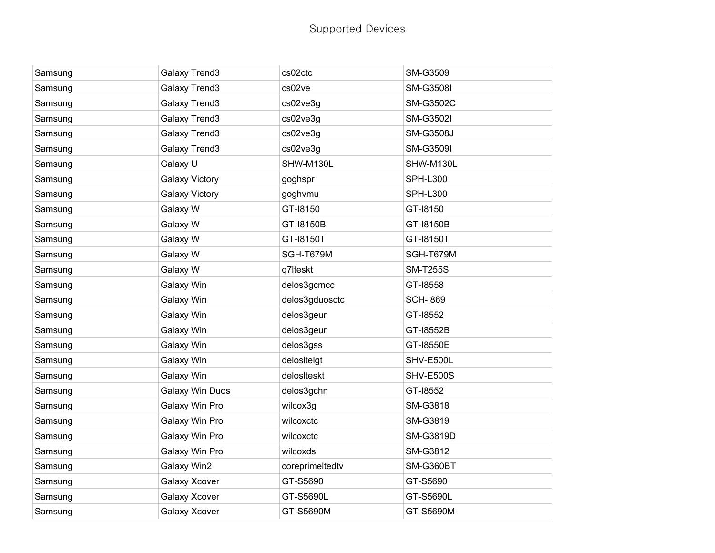| Samsung | Galaxy Trend3         | cs02ctc         | SM-G3509         |
|---------|-----------------------|-----------------|------------------|
| Samsung | Galaxy Trend3         | cs02ve          | <b>SM-G3508I</b> |
| Samsung | Galaxy Trend3         | cs02ve3g        | <b>SM-G3502C</b> |
| Samsung | Galaxy Trend3         | cs02ve3g        | <b>SM-G3502I</b> |
| Samsung | Galaxy Trend3         | cs02ve3g        | <b>SM-G3508J</b> |
| Samsung | Galaxy Trend3         | cs02ve3g        | <b>SM-G3509I</b> |
| Samsung | Galaxy U              | SHW-M130L       | SHW-M130L        |
| Samsung | <b>Galaxy Victory</b> | goghspr         | <b>SPH-L300</b>  |
| Samsung | <b>Galaxy Victory</b> | goghvmu         | <b>SPH-L300</b>  |
| Samsung | Galaxy W              | GT-18150        | GT-18150         |
| Samsung | Galaxy W              | GT-18150B       | GT-18150B        |
| Samsung | Galaxy W              | GT-18150T       | GT-18150T        |
| Samsung | Galaxy W              | SGH-T679M       | SGH-T679M        |
| Samsung | Galaxy W              | q7lteskt        | <b>SM-T255S</b>  |
| Samsung | Galaxy Win            | delos3gcmcc     | GT-18558         |
| Samsung | Galaxy Win            | delos3gduosctc  | <b>SCH-1869</b>  |
| Samsung | Galaxy Win            | delos3geur      | GT-18552         |
| Samsung | Galaxy Win            | delos3geur      | GT-18552B        |
| Samsung | Galaxy Win            | delos3gss       | GT-18550E        |
| Samsung | Galaxy Win            | delosItelgt     | SHV-E500L        |
| Samsung | Galaxy Win            | delosIteskt     | <b>SHV-E500S</b> |
| Samsung | Galaxy Win Duos       | delos3gchn      | GT-18552         |
| Samsung | Galaxy Win Pro        | wilcox3g        | SM-G3818         |
| Samsung | Galaxy Win Pro        | wilcoxctc       | SM-G3819         |
| Samsung | Galaxy Win Pro        | wilcoxctc       | SM-G3819D        |
| Samsung | Galaxy Win Pro        | wilcoxds        | SM-G3812         |
| Samsung | Galaxy Win2           | coreprimeltedtv | <b>SM-G360BT</b> |
| Samsung | <b>Galaxy Xcover</b>  | GT-S5690        | GT-S5690         |
| Samsung | <b>Galaxy Xcover</b>  | GT-S5690L       | GT-S5690L        |
| Samsung | <b>Galaxy Xcover</b>  | GT-S5690M       | GT-S5690M        |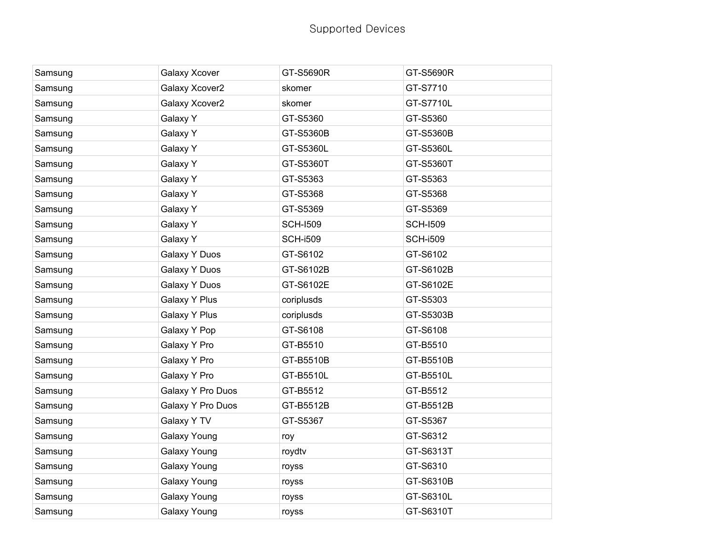| Samsung | Galaxy Xcover     | GT-S5690R       | GT-S5690R       |
|---------|-------------------|-----------------|-----------------|
| Samsung | Galaxy Xcover2    | skomer          | GT-S7710        |
| Samsung | Galaxy Xcover2    | skomer          | GT-S7710L       |
| Samsung | Galaxy Y          | GT-S5360        | GT-S5360        |
| Samsung | Galaxy Y          | GT-S5360B       | GT-S5360B       |
| Samsung | Galaxy Y          | GT-S5360L       | GT-S5360L       |
| Samsung | Galaxy Y          | GT-S5360T       | GT-S5360T       |
| Samsung | Galaxy Y          | GT-S5363        | GT-S5363        |
| Samsung | Galaxy Y          | GT-S5368        | GT-S5368        |
| Samsung | Galaxy Y          | GT-S5369        | GT-S5369        |
| Samsung | Galaxy Y          | <b>SCH-I509</b> | <b>SCH-I509</b> |
| Samsung | Galaxy Y          | <b>SCH-i509</b> | <b>SCH-i509</b> |
| Samsung | Galaxy Y Duos     | GT-S6102        | GT-S6102        |
| Samsung | Galaxy Y Duos     | GT-S6102B       | GT-S6102B       |
| Samsung | Galaxy Y Duos     | GT-S6102E       | GT-S6102E       |
| Samsung | Galaxy Y Plus     | coriplusds      | GT-S5303        |
| Samsung | Galaxy Y Plus     | coriplusds      | GT-S5303B       |
| Samsung | Galaxy Y Pop      | GT-S6108        | GT-S6108        |
| Samsung | Galaxy Y Pro      | GT-B5510        | GT-B5510        |
| Samsung | Galaxy Y Pro      | GT-B5510B       | GT-B5510B       |
| Samsung | Galaxy Y Pro      | GT-B5510L       | GT-B5510L       |
| Samsung | Galaxy Y Pro Duos | GT-B5512        | GT-B5512        |
| Samsung | Galaxy Y Pro Duos | GT-B5512B       | GT-B5512B       |
| Samsung | Galaxy Y TV       | GT-S5367        | GT-S5367        |
| Samsung | Galaxy Young      | roy             | GT-S6312        |
| Samsung | Galaxy Young      | roydtv          | GT-S6313T       |
| Samsung | Galaxy Young      | royss           | GT-S6310        |
| Samsung | Galaxy Young      | royss           | GT-S6310B       |
| Samsung | Galaxy Young      | royss           | GT-S6310L       |
| Samsung | Galaxy Young      | royss           | GT-S6310T       |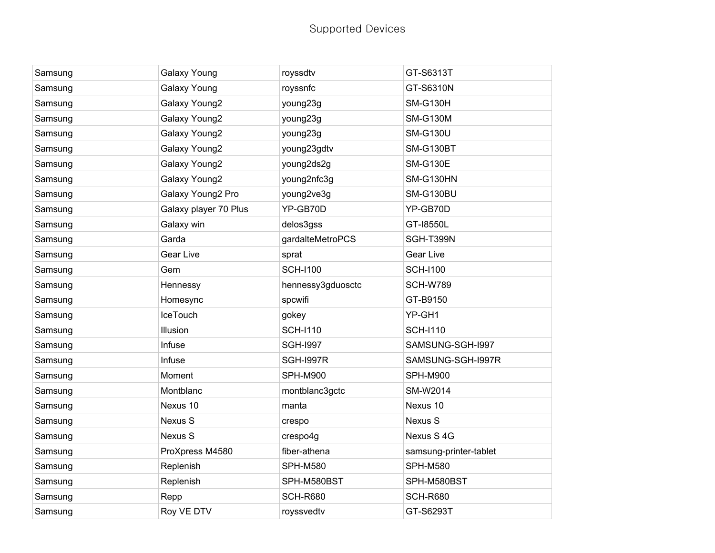| Samsung | Galaxy Young          | royssdtv          | GT-S6313T              |
|---------|-----------------------|-------------------|------------------------|
| Samsung | Galaxy Young          | royssnfc          | GT-S6310N              |
| Samsung | Galaxy Young2         | young23g          | <b>SM-G130H</b>        |
| Samsung | Galaxy Young2         | young23g          | <b>SM-G130M</b>        |
| Samsung | Galaxy Young2         | young23g          | <b>SM-G130U</b>        |
| Samsung | Galaxy Young2         | young23gdtv       | <b>SM-G130BT</b>       |
| Samsung | Galaxy Young2         | young2ds2g        | <b>SM-G130E</b>        |
| Samsung | Galaxy Young2         | young2nfc3g       | <b>SM-G130HN</b>       |
| Samsung | Galaxy Young2 Pro     | young2ve3g        | SM-G130BU              |
| Samsung | Galaxy player 70 Plus | YP-GB70D          | YP-GB70D               |
| Samsung | Galaxy win            | delos3gss         | GT-18550L              |
| Samsung | Garda                 | gardalteMetroPCS  | SGH-T399N              |
| Samsung | <b>Gear Live</b>      | sprat             | Gear Live              |
| Samsung | Gem                   | <b>SCH-I100</b>   | <b>SCH-I100</b>        |
| Samsung | Hennessy              | hennessy3gduosctc | <b>SCH-W789</b>        |
| Samsung | Homesync              | spcwifi           | GT-B9150               |
| Samsung | <b>IceTouch</b>       | gokey             | YP-GH1                 |
| Samsung | Illusion              | <b>SCH-I110</b>   | <b>SCH-I110</b>        |
| Samsung | Infuse                | <b>SGH-1997</b>   | SAMSUNG-SGH-I997       |
| Samsung | Infuse                | <b>SGH-I997R</b>  | SAMSUNG-SGH-I997R      |
| Samsung | Moment                | <b>SPH-M900</b>   | <b>SPH-M900</b>        |
| Samsung | Montblanc             | montblanc3gctc    | SM-W2014               |
| Samsung | Nexus 10              | manta             | Nexus 10               |
| Samsung | Nexus S               | crespo            | Nexus S                |
| Samsung | Nexus S               | crespo4g          | Nexus S 4G             |
| Samsung | ProXpress M4580       | fiber-athena      | samsung-printer-tablet |
| Samsung | Replenish             | <b>SPH-M580</b>   | <b>SPH-M580</b>        |
| Samsung | Replenish             | SPH-M580BST       | SPH-M580BST            |
| Samsung | Repp                  | <b>SCH-R680</b>   | <b>SCH-R680</b>        |
| Samsung | Roy VE DTV            | royssvedtv        | GT-S6293T              |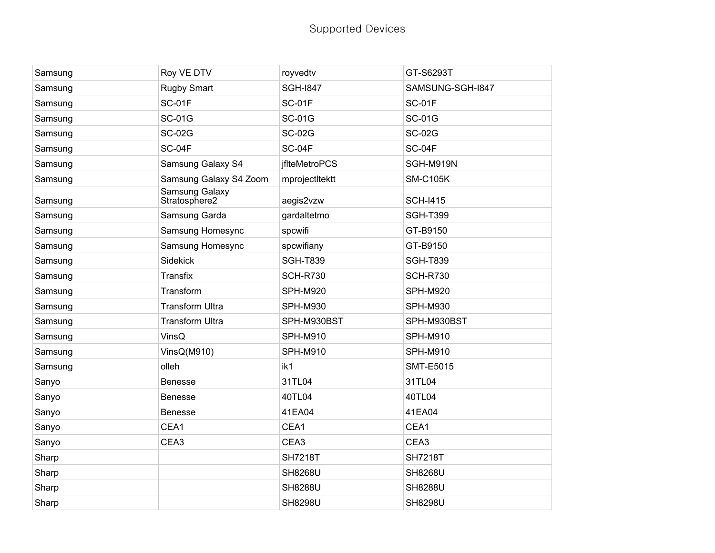| Samsung | Roy VE DTV                      | royvedtv             | GT-S6293T        |
|---------|---------------------------------|----------------------|------------------|
| Samsung | <b>Rugby Smart</b>              | <b>SGH-1847</b>      | SAMSUNG-SGH-I847 |
| Samsung | <b>SC-01F</b>                   | <b>SC-01F</b>        | <b>SC-01F</b>    |
| Samsung | <b>SC-01G</b>                   | <b>SC-01G</b>        | <b>SC-01G</b>    |
| Samsung | <b>SC-02G</b>                   | <b>SC-02G</b>        | <b>SC-02G</b>    |
| Samsung | SC-04F                          | SC-04F               | <b>SC-04F</b>    |
| Samsung | Samsung Galaxy S4               | <i>ifIteMetroPCS</i> | SGH-M919N        |
| Samsung | Samsung Galaxy S4 Zoom          | mprojectItektt       | <b>SM-C105K</b>  |
| Samsung | Samsung Galaxy<br>Stratosphere2 | aegis2vzw            | <b>SCH-I415</b>  |
| Samsung | Samsung Garda                   | gardaltetmo          | <b>SGH-T399</b>  |
| Samsung | Samsung Homesync                | spcwifi              | GT-B9150         |
| Samsung | Samsung Homesync                | spcwifiany           | GT-B9150         |
| Samsung | Sidekick                        | <b>SGH-T839</b>      | <b>SGH-T839</b>  |
| Samsung | Transfix                        | <b>SCH-R730</b>      | <b>SCH-R730</b>  |
| Samsung | Transform                       | <b>SPH-M920</b>      | SPH-M920         |
| Samsung | <b>Transform Ultra</b>          | <b>SPH-M930</b>      | <b>SPH-M930</b>  |
| Samsung | <b>Transform Ultra</b>          | SPH-M930BST          | SPH-M930BST      |
| Samsung | VinsQ                           | <b>SPH-M910</b>      | <b>SPH-M910</b>  |
| Samsung | VinsQ(M910)                     | <b>SPH-M910</b>      | <b>SPH-M910</b>  |
| Samsung | olleh                           | ik1                  | <b>SMT-E5015</b> |
| Sanyo   | <b>Benesse</b>                  | 31TL04               | 31TL04           |
| Sanyo   | <b>Benesse</b>                  | 40TL04               | 40TL04           |
| Sanyo   | <b>Benesse</b>                  | 41EA04               | 41EA04           |
| Sanyo   | CEA1                            | CEA1                 | CEA1             |
| Sanyo   | CEA <sub>3</sub>                | CEA <sub>3</sub>     | CEA <sub>3</sub> |
| Sharp   |                                 | <b>SH7218T</b>       | <b>SH7218T</b>   |
| Sharp   |                                 | <b>SH8268U</b>       | <b>SH8268U</b>   |
| Sharp   |                                 | <b>SH8288U</b>       | <b>SH8288U</b>   |
| Sharp   |                                 | <b>SH8298U</b>       | <b>SH8298U</b>   |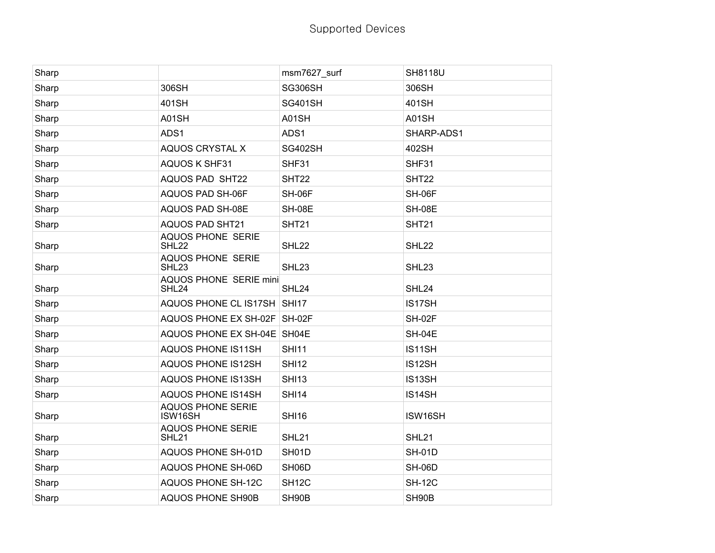| Sharp |                                               | msm7627_surf       | <b>SH8118U</b>    |
|-------|-----------------------------------------------|--------------------|-------------------|
| Sharp | 306SH                                         | <b>SG306SH</b>     | 306SH             |
| Sharp | 401SH                                         | <b>SG401SH</b>     | 401SH             |
| Sharp | A01SH                                         | A01SH              | A01SH             |
| Sharp | ADS1                                          | ADS1               | SHARP-ADS1        |
| Sharp | AQUOS CRYSTAL X                               | SG402SH            | 402SH             |
| Sharp | <b>AQUOS K SHF31</b>                          | SHF31              | SHF31             |
| Sharp | <b>AQUOS PAD SHT22</b>                        | SHT22              | SHT22             |
| Sharp | AQUOS PAD SH-06F                              | SH-06F             | SH-06F            |
| Sharp | AQUOS PAD SH-08E                              | <b>SH-08E</b>      | <b>SH-08E</b>     |
| Sharp | <b>AQUOS PAD SHT21</b>                        | <b>SHT21</b>       | <b>SHT21</b>      |
| Sharp | <b>AQUOS PHONE SERIE</b><br>SHL22             | SHL22              | SHL22             |
| Sharp | <b>AQUOS PHONE SERIE</b><br>SHL <sub>23</sub> | SHL <sub>23</sub>  | SHL <sub>23</sub> |
| Sharp | <b>AQUOS PHONE SERIE mini</b><br>SHL24        | SHL24              | SHL24             |
| Sharp | AQUOS PHONE CL IS17SH SHI17                   |                    | IS17SH            |
| Sharp | AQUOS PHONE EX SH-02F SH-02F                  |                    | <b>SH-02F</b>     |
| Sharp | AQUOS PHONE EX SH-04E SH04E                   |                    | <b>SH-04E</b>     |
| Sharp | <b>AQUOS PHONE IS11SH</b>                     | <b>SHI11</b>       | IS11SH            |
| Sharp | <b>AQUOS PHONE IS12SH</b>                     | <b>SHI12</b>       | IS12SH            |
| Sharp | <b>AQUOS PHONE IS13SH</b>                     | <b>SHI13</b>       | IS13SH            |
| Sharp | <b>AQUOS PHONE IS14SH</b>                     | <b>SHI14</b>       | IS14SH            |
| Sharp | <b>AQUOS PHONE SERIE</b><br>ISW16SH           | <b>SHI16</b>       | ISW16SH           |
| Sharp | <b>AQUOS PHONE SERIE</b><br>SHL21             | SHL21              | <b>SHL21</b>      |
| Sharp | <b>AQUOS PHONE SH-01D</b>                     | SH01D              | <b>SH-01D</b>     |
| Sharp | AQUOS PHONE SH-06D                            | SH06D              | <b>SH-06D</b>     |
| Sharp | <b>AQUOS PHONE SH-12C</b>                     | SH <sub>12</sub> C | <b>SH-12C</b>     |
| Sharp | <b>AQUOS PHONE SH90B</b>                      | SH90B              | SH90B             |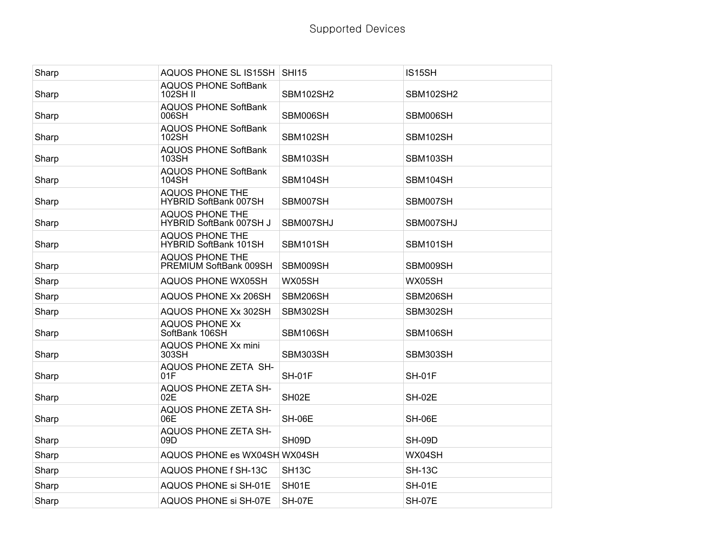| Sharp | AQUOS PHONE SL IS15SH SHI15                            |                    | IS15SH           |
|-------|--------------------------------------------------------|--------------------|------------------|
| Sharp | <b>AQUOS PHONE SoftBank</b><br><b>102SH II</b>         | <b>SBM102SH2</b>   | <b>SBM102SH2</b> |
| Sharp | <b>AQUOS PHONE SoftBank</b><br>006SH                   | SBM006SH           | SBM006SH         |
| Sharp | <b>AQUOS PHONE SoftBank</b><br>102SH                   | SBM102SH           | SBM102SH         |
| Sharp | <b>AQUOS PHONE SoftBank</b><br>103SH                   | SBM103SH           | SBM103SH         |
| Sharp | <b>AQUOS PHONE SoftBank</b><br>104SH                   | SBM104SH           | SBM104SH         |
| Sharp | <b>AQUOS PHONE THE</b><br><b>HYBRID SoftBank 007SH</b> | SBM007SH           | SBM007SH         |
| Sharp | <b>AQUOS PHONE THE</b><br>HYBRID SoftBank 007SH J      | SBM007SHJ          | SBM007SHJ        |
| Sharp | <b>AQUOS PHONE THE</b><br>HYBRID SoftBank 101SH        | SBM101SH           | SBM101SH         |
| Sharp | <b>AQUOS PHONE THE</b><br>PREMIUM SoftBank 009SH       | SBM009SH           | SBM009SH         |
| Sharp | AQUOS PHONE WX05SH                                     | WX05SH             | WX05SH           |
| Sharp | AQUOS PHONE Xx 206SH                                   | SBM206SH           | SBM206SH         |
| Sharp | AQUOS PHONE Xx 302SH                                   | SBM302SH           | SBM302SH         |
| Sharp | <b>AQUOS PHONE Xx</b><br>SoftBank 106SH                | SBM106SH           | SBM106SH         |
| Sharp | AQUOS PHONE Xx mini<br>303SH                           | SBM303SH           | SBM303SH         |
| Sharp | AQUOS PHONE ZETA SH-<br>01F                            | <b>SH-01F</b>      | <b>SH-01F</b>    |
| Sharp | AQUOS PHONE ZETA SH-<br>02E                            | SH <sub>02</sub> E | <b>SH-02E</b>    |
| Sharp | <b>AQUOS PHONE ZETA SH-</b><br>06E                     | <b>SH-06E</b>      | <b>SH-06E</b>    |
| Sharp | <b>AQUOS PHONE ZETA SH-</b><br>09 <sub>D</sub>         | SH09D              | <b>SH-09D</b>    |
| Sharp | AQUOS PHONE es WX04SH WX04SH                           |                    | WX04SH           |
| Sharp | AQUOS PHONE f SH-13C                                   | SH <sub>13</sub> C | <b>SH-13C</b>    |
| Sharp | AQUOS PHONE si SH-01E                                  | SH01E              | <b>SH-01E</b>    |
| Sharp | AQUOS PHONE si SH-07E                                  | SH-07E             | <b>SH-07E</b>    |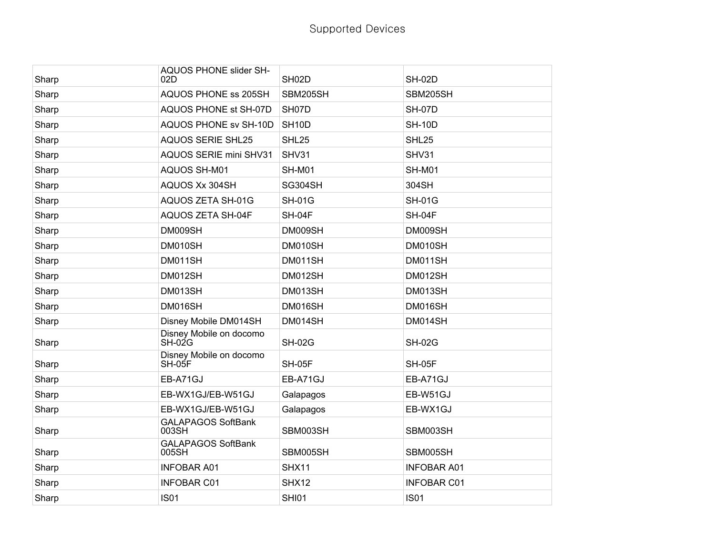| Sharp | AQUOS PHONE slider SH-<br>02D       | SH <sub>02</sub> D | <b>SH-02D</b>      |
|-------|-------------------------------------|--------------------|--------------------|
| Sharp | AQUOS PHONE ss 205SH                | SBM205SH           | SBM205SH           |
| Sharp | AQUOS PHONE st SH-07D               | SH07D              | <b>SH-07D</b>      |
| Sharp | AQUOS PHONE sv SH-10D               | SH <sub>10</sub> D | <b>SH-10D</b>      |
| Sharp | <b>AQUOS SERIE SHL25</b>            | SHL <sub>25</sub>  | SHL25              |
| Sharp | <b>AQUOS SERIE mini SHV31</b>       | SHV31              | SHV31              |
| Sharp | AQUOS SH-M01                        | <b>SH-M01</b>      | <b>SH-M01</b>      |
| Sharp | AQUOS Xx 304SH                      | SG304SH            | 304SH              |
| Sharp | AQUOS ZETA SH-01G                   | <b>SH-01G</b>      | <b>SH-01G</b>      |
| Sharp | <b>AQUOS ZETA SH-04F</b>            | SH-04F             | SH-04F             |
| Sharp | DM009SH                             | DM009SH            | DM009SH            |
| Sharp | DM010SH                             | DM010SH            | DM010SH            |
| Sharp | DM011SH                             | DM011SH            | DM011SH            |
| Sharp | DM012SH                             | DM012SH            | DM012SH            |
| Sharp | DM013SH                             | DM013SH            | DM013SH            |
| Sharp | DM016SH                             | DM016SH            | DM016SH            |
| Sharp | Disney Mobile DM014SH               | DM014SH            | DM014SH            |
| Sharp | Disney Mobile on docomo<br>$SH-02G$ | <b>SH-02G</b>      | <b>SH-02G</b>      |
| Sharp | Disney Mobile on docomo<br>SH-05F   | <b>SH-05F</b>      | <b>SH-05F</b>      |
| Sharp | EB-A71GJ                            | EB-A71GJ           | EB-A71GJ           |
| Sharp | EB-WX1GJ/EB-W51GJ                   | Galapagos          | EB-W51GJ           |
| Sharp | EB-WX1GJ/EB-W51GJ                   | Galapagos          | EB-WX1GJ           |
| Sharp | <b>GALAPAGOS SoftBank</b><br>003SH  | SBM003SH           | SBM003SH           |
| Sharp | <b>GALAPAGOS SoftBank</b><br>005SH  | SBM005SH           | SBM005SH           |
| Sharp | <b>INFOBAR A01</b>                  | SHX11              | <b>INFOBAR A01</b> |
| Sharp | <b>INFOBAR C01</b>                  | SHX12              | <b>INFOBAR C01</b> |
| Sharp | <b>IS01</b>                         | <b>SHI01</b>       | <b>IS01</b>        |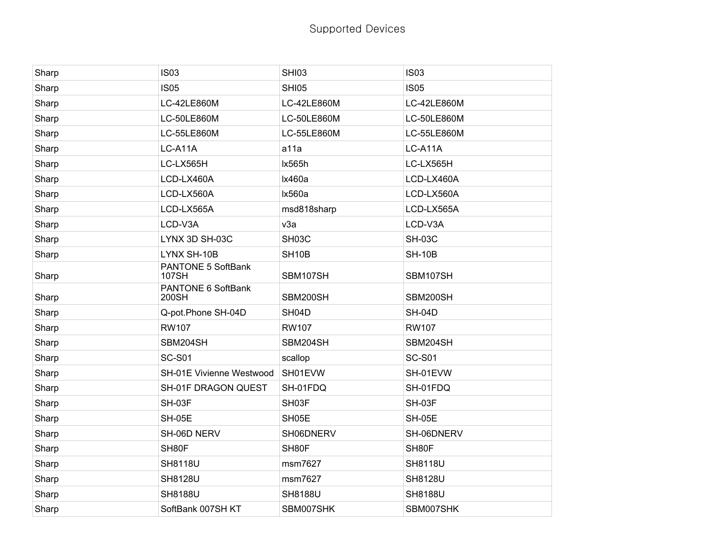| Sharp | <b>IS03</b>                        | <b>SHI03</b>       | <b>IS03</b>    |
|-------|------------------------------------|--------------------|----------------|
| Sharp | <b>IS05</b>                        | <b>SHI05</b>       | <b>IS05</b>    |
| Sharp | LC-42LE860M                        | LC-42LE860M        | LC-42LE860M    |
| Sharp | LC-50LE860M                        | LC-50LE860M        | LC-50LE860M    |
| Sharp | LC-55LE860M                        | LC-55LE860M        | LC-55LE860M    |
| Sharp | LC-A11A                            | a11a               | LC-A11A        |
| Sharp | LC-LX565H                          | Ix565h             | LC-LX565H      |
| Sharp | LCD-LX460A                         | Ix460a             | LCD-LX460A     |
| Sharp | LCD-LX560A                         | Ix560a             | LCD-LX560A     |
| Sharp | LCD-LX565A                         | msd818sharp        | LCD-LX565A     |
| Sharp | LCD-V3A                            | v3a                | LCD-V3A        |
| Sharp | LYNX 3D SH-03C                     | SH03C              | <b>SH-03C</b>  |
| Sharp | LYNX SH-10B                        | SH <sub>10</sub> B | <b>SH-10B</b>  |
| Sharp | PANTONE 5 SoftBank<br><b>107SH</b> | SBM107SH           | SBM107SH       |
| Sharp | PANTONE 6 SoftBank<br>200SH        | SBM200SH           | SBM200SH       |
| Sharp | Q-pot.Phone SH-04D                 | SH04D              | <b>SH-04D</b>  |
| Sharp | <b>RW107</b>                       | <b>RW107</b>       | <b>RW107</b>   |
| Sharp | SBM204SH                           | SBM204SH           | SBM204SH       |
| Sharp | <b>SC-S01</b>                      | scallop            | <b>SC-S01</b>  |
| Sharp | SH-01E Vivienne Westwood           | SH01EVW            | SH-01EVW       |
| Sharp | SH-01F DRAGON QUEST                | SH-01FDQ           | SH-01FDQ       |
| Sharp | SH-03F                             | SH03F              | <b>SH-03F</b>  |
| Sharp | <b>SH-05E</b>                      | SH05E              | <b>SH-05E</b>  |
| Sharp | SH-06D NERV                        | SH06DNERV          | SH-06DNERV     |
| Sharp | SH80F                              | SH80F              | SH80F          |
| Sharp | <b>SH8118U</b>                     | msm7627            | <b>SH8118U</b> |
| Sharp | <b>SH8128U</b>                     | msm7627            | SH8128U        |
| Sharp | <b>SH8188U</b>                     | <b>SH8188U</b>     | <b>SH8188U</b> |
| Sharp | SoftBank 007SH KT                  | SBM007SHK          | SBM007SHK      |
|       |                                    |                    |                |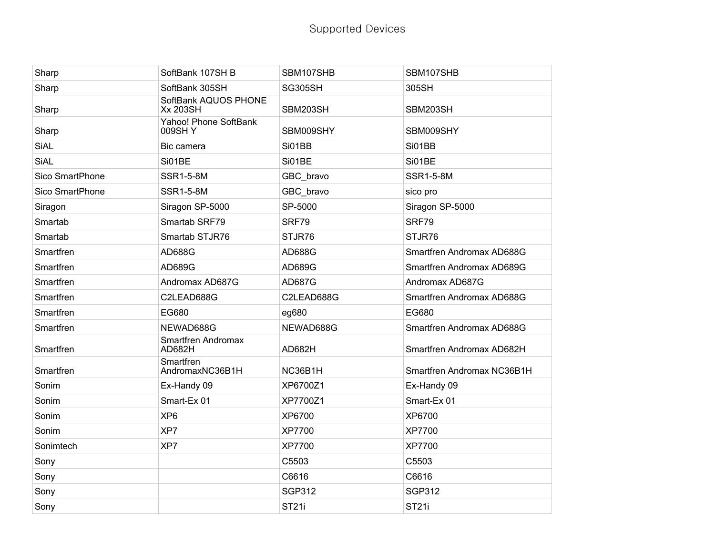| Sharp           | SoftBank 107SH B                        | SBM107SHB      | SBM107SHB                  |
|-----------------|-----------------------------------------|----------------|----------------------------|
| Sharp           | SoftBank 305SH                          | <b>SG305SH</b> | 305SH                      |
| Sharp           | SoftBank AQUOS PHONE<br><b>Xx 203SH</b> | SBM203SH       | SBM203SH                   |
| Sharp           | Yahoo! Phone SoftBank<br>009SH Y        | SBM009SHY      | SBM009SHY                  |
| <b>SiAL</b>     | Bic camera                              | Si01BB         | Si01BB                     |
| <b>SiAL</b>     | Si01BE                                  | Si01BE         | Si01BE                     |
| Sico SmartPhone | <b>SSR1-5-8M</b>                        | GBC_bravo      | <b>SSR1-5-8M</b>           |
| Sico SmartPhone | <b>SSR1-5-8M</b>                        | GBC_bravo      | sico pro                   |
| Siragon         | Siragon SP-5000                         | SP-5000        | Siragon SP-5000            |
| Smartab         | Smartab SRF79                           | SRF79          | SRF79                      |
| Smartab         | Smartab STJR76                          | STJR76         | STJR76                     |
| Smartfren       | AD688G                                  | AD688G         | Smartfren Andromax AD688G  |
| Smartfren       | AD689G                                  | AD689G         | Smartfren Andromax AD689G  |
| Smartfren       | Andromax AD687G                         | AD687G         | Andromax AD687G            |
| Smartfren       | C2LEAD688G                              | C2LEAD688G     | Smartfren Andromax AD688G  |
| Smartfren       | EG680                                   | eg680          | EG680                      |
| Smartfren       | NEWAD688G                               | NEWAD688G      | Smartfren Andromax AD688G  |
| Smartfren       | Smartfren Andromax<br>AD682H            | AD682H         | Smartfren Andromax AD682H  |
| Smartfren       | Smartfren<br>AndromaxNC36B1H            | NC36B1H        | Smartfren Andromax NC36B1H |
| Sonim           | Ex-Handy 09                             | XP6700Z1       | Ex-Handy 09                |
| Sonim           | Smart-Ex 01                             | XP7700Z1       | Smart-Ex 01                |
| Sonim           | XP <sub>6</sub>                         | XP6700         | XP6700                     |
| Sonim           | XP7                                     | XP7700         | XP7700                     |
| Sonimtech       | XP7                                     | XP7700         | XP7700                     |
| Sony            |                                         | C5503          | C5503                      |
| Sony            |                                         | C6616          | C6616                      |
| Sony            |                                         | <b>SGP312</b>  | <b>SGP312</b>              |
| Sony            |                                         | <b>ST21i</b>   | <b>ST21i</b>               |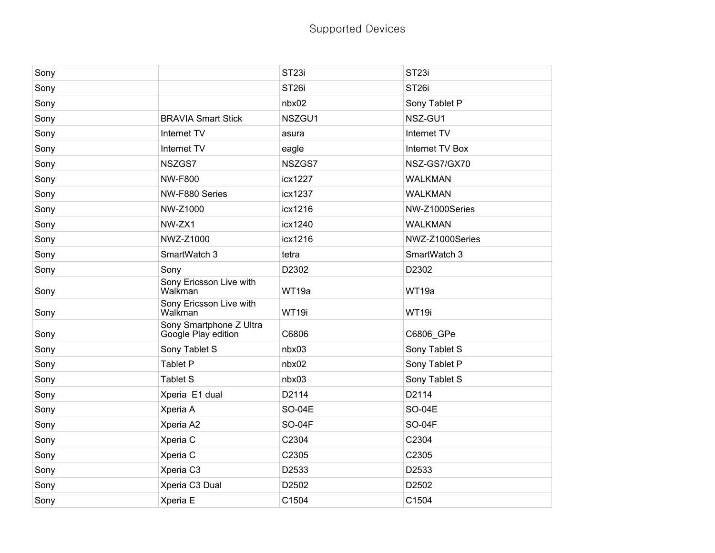| Sony |                                                | ST <sub>23i</sub> | ST <sub>23i</sub> |
|------|------------------------------------------------|-------------------|-------------------|
| Sony |                                                | ST <sub>26i</sub> | ST <sub>26i</sub> |
| Sony |                                                | nbx02             | Sony Tablet P     |
| Sony | <b>BRAVIA Smart Stick</b>                      | NSZGU1            | NSZ-GU1           |
| Sony | Internet TV                                    | asura             | Internet TV       |
| Sony | Internet TV                                    | eagle             | Internet TV Box   |
| Sony | NSZGS7                                         | NSZGS7            | NSZ-GS7/GX70      |
| Sony | <b>NW-F800</b>                                 | icx1227           | <b>WALKMAN</b>    |
| Sony | NW-F880 Series                                 | icx1237           | <b>WALKMAN</b>    |
| Sony | NW-Z1000                                       | icx1216           | NW-Z1000Series    |
| Sony | NW-ZX1                                         | icx1240           | <b>WALKMAN</b>    |
| Sony | NWZ-Z1000                                      | icx1216           | NWZ-Z1000Series   |
| Sony | SmartWatch 3                                   | tetra             | SmartWatch 3      |
| Sony | Sony                                           | D2302             | D2302             |
| Sony | Sony Ericsson Live with<br>Walkman             | WT19a             | WT19a             |
| Sony | Sony Ericsson Live with<br>Walkman             | WT19i             | WT19i             |
| Sony | Sony Smartphone Z Ultra<br>Google Play edition | C6806             | C6806_GPe         |
| Sony | Sony Tablet S                                  | nbx03             | Sony Tablet S     |
| Sony | <b>Tablet P</b>                                | nbx02             | Sony Tablet P     |
| Sony | <b>Tablet S</b>                                | nbx03             | Sony Tablet S     |
| Sony | Xperia E1 dual                                 | D2114             | D2114             |
| Sony | Xperia A                                       | <b>SO-04E</b>     | <b>SO-04E</b>     |
| Sony | Xperia A2                                      | <b>SO-04F</b>     | <b>SO-04F</b>     |
| Sony | Xperia C                                       | C2304             | C2304             |
| Sony | Xperia C                                       | C2305             | C2305             |
| Sony | Xperia C3                                      | D2533             | D2533             |
| Sony | Xperia C3 Dual                                 | D2502             | D2502             |
| Sony | Xperia E                                       | C1504             | C1504             |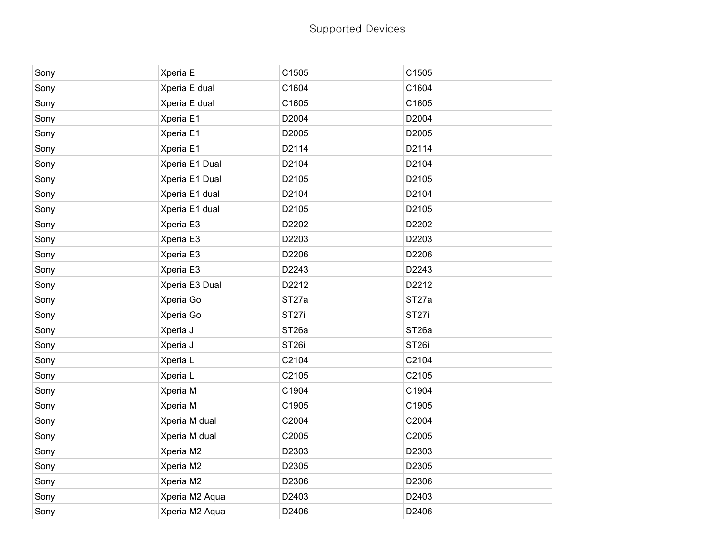| Sony | Xperia E       | C1505             | C1505             |
|------|----------------|-------------------|-------------------|
| Sony | Xperia E dual  | C1604             | C1604             |
| Sony | Xperia E dual  | C1605             | C1605             |
| Sony | Xperia E1      | D2004             | D2004             |
| Sony | Xperia E1      | D2005             | D2005             |
| Sony | Xperia E1      | D2114             | D2114             |
| Sony | Xperia E1 Dual | D2104             | D2104             |
| Sony | Xperia E1 Dual | D2105             | D2105             |
| Sony | Xperia E1 dual | D2104             | D2104             |
| Sony | Xperia E1 dual | D2105             | D2105             |
| Sony | Xperia E3      | D2202             | D2202             |
| Sony | Xperia E3      | D2203             | D2203             |
| Sony | Xperia E3      | D2206             | D2206             |
| Sony | Xperia E3      | D2243             | D2243             |
| Sony | Xperia E3 Dual | D2212             | D2212             |
| Sony | Xperia Go      | ST <sub>27a</sub> | ST <sub>27a</sub> |
| Sony | Xperia Go      | ST <sub>27i</sub> | ST <sub>27i</sub> |
| Sony | Xperia J       | ST <sub>26a</sub> | ST <sub>26a</sub> |
| Sony | Xperia J       | ST <sub>26i</sub> | ST <sub>26i</sub> |
| Sony | Xperia L       | C2104             | C2104             |
| Sony | Xperia L       | C2105             | C2105             |
| Sony | Xperia M       | C1904             | C1904             |
| Sony | Xperia M       | C1905             | C1905             |
| Sony | Xperia M dual  | C2004             | C2004             |
| Sony | Xperia M dual  | C2005             | C2005             |
| Sony | Xperia M2      | D2303             | D2303             |
| Sony | Xperia M2      | D2305             | D2305             |
| Sony | Xperia M2      | D2306             | D2306             |
| Sony | Xperia M2 Aqua | D2403             | D2403             |
| Sony | Xperia M2 Aqua | D2406             | D2406             |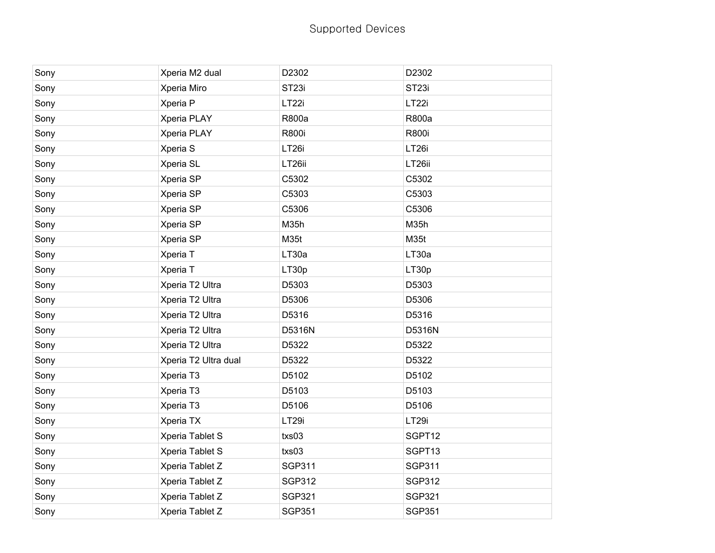| Sony | Xperia M2 dual       | D2302             | D2302             |
|------|----------------------|-------------------|-------------------|
| Sony | Xperia Miro          | ST <sub>23i</sub> | ST <sub>23i</sub> |
| Sony | Xperia P             | LT <sub>22i</sub> | LT <sub>22i</sub> |
| Sony | Xperia PLAY          | R800a             | R800a             |
| Sony | Xperia PLAY          | R800i             | R800i             |
| Sony | Xperia S             | LT <sub>26i</sub> | LT <sub>26i</sub> |
| Sony | Xperia SL            | LT26ii            | LT26ii            |
| Sony | Xperia SP            | C5302             | C5302             |
| Sony | Xperia SP            | C5303             | C5303             |
| Sony | Xperia SP            | C5306             | C5306             |
| Sony | Xperia SP            | M35h              | M35h              |
| Sony | Xperia SP            | M35t              | M35t              |
| Sony | Xperia T             | LT30a             | LT30a             |
| Sony | Xperia T             | LT30p             | LT30p             |
| Sony | Xperia T2 Ultra      | D5303             | D5303             |
| Sony | Xperia T2 Ultra      | D5306             | D5306             |
| Sony | Xperia T2 Ultra      | D5316             | D5316             |
| Sony | Xperia T2 Ultra      | D5316N            | D5316N            |
| Sony | Xperia T2 Ultra      | D5322             | D5322             |
| Sony | Xperia T2 Ultra dual | D5322             | D5322             |
| Sony | Xperia T3            | D5102             | D5102             |
| Sony | Xperia T3            | D5103             | D5103             |
| Sony | Xperia T3            | D5106             | D5106             |
| Sony | Xperia TX            | LT <sub>29i</sub> | LT29i             |
| Sony | Xperia Tablet S      | txs03             | SGPT12            |
| Sony | Xperia Tablet S      | txs03             | SGPT13            |
| Sony | Xperia Tablet Z      | <b>SGP311</b>     | <b>SGP311</b>     |
| Sony | Xperia Tablet Z      | <b>SGP312</b>     | <b>SGP312</b>     |
| Sony | Xperia Tablet Z      | <b>SGP321</b>     | <b>SGP321</b>     |
| Sony | Xperia Tablet Z      | <b>SGP351</b>     | <b>SGP351</b>     |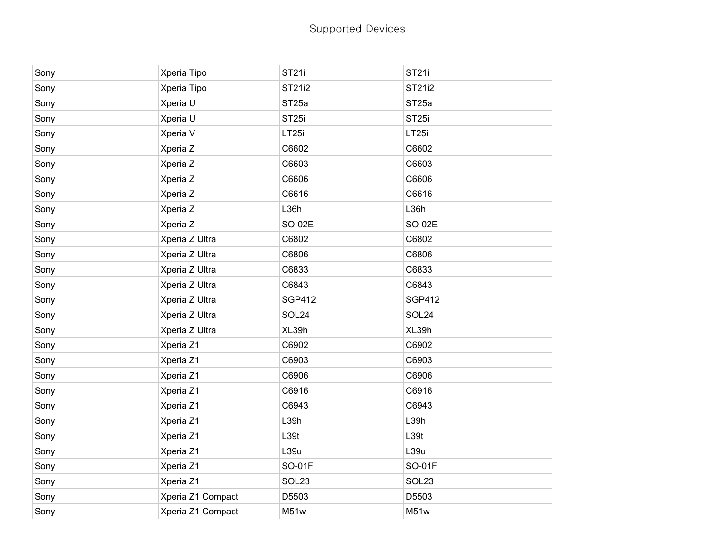| Sony | Xperia Tipo       | ST <sub>21</sub>  | <b>ST21i</b>      |
|------|-------------------|-------------------|-------------------|
| Sony | Xperia Tipo       | ST21i2            | ST21i2            |
| Sony | Xperia U          | ST <sub>25a</sub> | ST <sub>25a</sub> |
| Sony | Xperia U          | ST <sub>25i</sub> | ST <sub>25i</sub> |
| Sony | Xperia V          | LT <sub>25i</sub> | LT <sub>25i</sub> |
| Sony | Xperia Z          | C6602             | C6602             |
| Sony | Xperia Z          | C6603             | C6603             |
| Sony | Xperia Z          | C6606             | C6606             |
| Sony | Xperia Z          | C6616             | C6616             |
| Sony | Xperia Z          | L36h              | L36h              |
| Sony | Xperia Z          | SO-02E            | SO-02E            |
| Sony | Xperia Z Ultra    | C6802             | C6802             |
| Sony | Xperia Z Ultra    | C6806             | C6806             |
| Sony | Xperia Z Ultra    | C6833             | C6833             |
| Sony | Xperia Z Ultra    | C6843             | C6843             |
| Sony | Xperia Z Ultra    | <b>SGP412</b>     | <b>SGP412</b>     |
| Sony | Xperia Z Ultra    | SOL24             | SOL24             |
| Sony | Xperia Z Ultra    | XL39h             | XL39h             |
| Sony | Xperia Z1         | C6902             | C6902             |
| Sony | Xperia Z1         | C6903             | C6903             |
| Sony | Xperia Z1         | C6906             | C6906             |
| Sony | Xperia Z1         | C6916             | C6916             |
| Sony | Xperia Z1         | C6943             | C6943             |
| Sony | Xperia Z1         | L39h              | L39h              |
| Sony | Xperia Z1         | L39t              | L39t              |
| Sony | Xperia Z1         | L39u              | L39u              |
| Sony | Xperia Z1         | <b>SO-01F</b>     | SO-01F            |
| Sony | Xperia Z1         | SOL <sub>23</sub> | SOL <sub>23</sub> |
| Sony | Xperia Z1 Compact | D5503             | D5503             |
| Sony | Xperia Z1 Compact | M51w              | M51w              |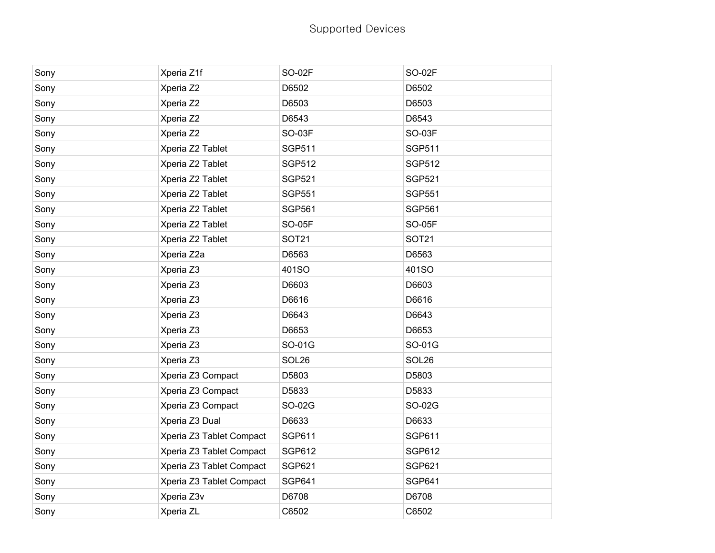| Sony | Xperia Z1f               | <b>SO-02F</b> | <b>SO-02F</b> |
|------|--------------------------|---------------|---------------|
| Sony | Xperia Z2                | D6502         | D6502         |
| Sony | Xperia Z2                | D6503         | D6503         |
| Sony | Xperia Z2                | D6543         | D6543         |
| Sony | Xperia Z2                | <b>SO-03F</b> | <b>SO-03F</b> |
| Sony | Xperia Z2 Tablet         | <b>SGP511</b> | <b>SGP511</b> |
| Sony | Xperia Z2 Tablet         | <b>SGP512</b> | <b>SGP512</b> |
| Sony | Xperia Z2 Tablet         | <b>SGP521</b> | <b>SGP521</b> |
| Sony | Xperia Z2 Tablet         | <b>SGP551</b> | <b>SGP551</b> |
| Sony | Xperia Z2 Tablet         | <b>SGP561</b> | <b>SGP561</b> |
| Sony | Xperia Z2 Tablet         | <b>SO-05F</b> | <b>SO-05F</b> |
| Sony | Xperia Z2 Tablet         | <b>SOT21</b>  | <b>SOT21</b>  |
| Sony | Xperia Z2a               | D6563         | D6563         |
| Sony | Xperia Z3                | 401SO         | 401SO         |
| Sony | Xperia Z3                | D6603         | D6603         |
| Sony | Xperia Z3                | D6616         | D6616         |
| Sony | Xperia Z3                | D6643         | D6643         |
| Sony | Xperia Z3                | D6653         | D6653         |
| Sony | Xperia Z3                | SO-01G        | SO-01G        |
| Sony | Xperia Z3                | SOL26         | SOL26         |
| Sony | Xperia Z3 Compact        | D5803         | D5803         |
| Sony | Xperia Z3 Compact        | D5833         | D5833         |
| Sony | Xperia Z3 Compact        | SO-02G        | SO-02G        |
| Sony | Xperia Z3 Dual           | D6633         | D6633         |
| Sony | Xperia Z3 Tablet Compact | SGP611        | <b>SGP611</b> |
| Sony | Xperia Z3 Tablet Compact | <b>SGP612</b> | <b>SGP612</b> |
| Sony | Xperia Z3 Tablet Compact | <b>SGP621</b> | <b>SGP621</b> |
| Sony | Xperia Z3 Tablet Compact | <b>SGP641</b> | SGP641        |
| Sony | Xperia Z3v               | D6708         | D6708         |
| Sony | Xperia ZL                | C6502         | C6502         |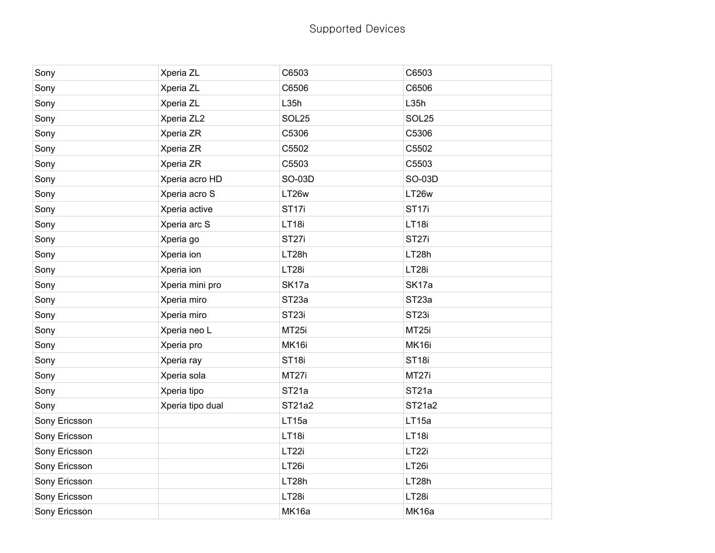| Sony          | Xperia ZL        | C6503             | C6503              |
|---------------|------------------|-------------------|--------------------|
| Sony          | Xperia ZL        | C6506             | C6506              |
| Sony          | Xperia ZL        | L35h              | L35h               |
| Sony          | Xperia ZL2       | SOL25             | SOL25              |
| Sony          | Xperia ZR        | C5306             | C5306              |
| Sony          | Xperia ZR        | C5502             | C5502              |
| Sony          | Xperia ZR        | C5503             | C5503              |
| Sony          | Xperia acro HD   | SO-03D            | SO-03D             |
| Sony          | Xperia acro S    | LT26w             | LT26w              |
| Sony          | Xperia active    | ST <sub>17i</sub> | ST <sub>17i</sub>  |
| Sony          | Xperia arc S     | LT18i             | LT18i              |
| Sony          | Xperia go        | ST <sub>27i</sub> | ST <sub>27i</sub>  |
| Sony          | Xperia ion       | LT28h             | LT28h              |
| Sony          | Xperia ion       | LT28i             | LT28i              |
| Sony          | Xperia mini pro  | SK17a             | SK17a              |
| Sony          | Xperia miro      | ST <sub>23a</sub> | ST <sub>23a</sub>  |
| Sony          | Xperia miro      | ST <sub>23i</sub> | ST <sub>23i</sub>  |
| Sony          | Xperia neo L     | MT <sub>25i</sub> | MT <sub>25i</sub>  |
| Sony          | Xperia pro       | MK16i             | MK16i              |
| Sony          | Xperia ray       | ST <sub>18i</sub> | ST <sub>18i</sub>  |
| Sony          | Xperia sola      | MT27i             | MT27i              |
| Sony          | Xperia tipo      | ST <sub>21a</sub> | ST <sub>21</sub> a |
| Sony          | Xperia tipo dual | ST21a2            | ST21a2             |
| Sony Ericsson |                  | LT15a             | LT15a              |
| Sony Ericsson |                  | LT18i             | LT18i              |
| Sony Ericsson |                  | LT22i             | LT <sub>22i</sub>  |
| Sony Ericsson |                  | LT <sub>26i</sub> | LT <sub>26i</sub>  |
| Sony Ericsson |                  | LT28h             | LT28h              |
| Sony Ericsson |                  | LT28i             | LT28i              |
| Sony Ericsson |                  | <b>MK16a</b>      | MK16a              |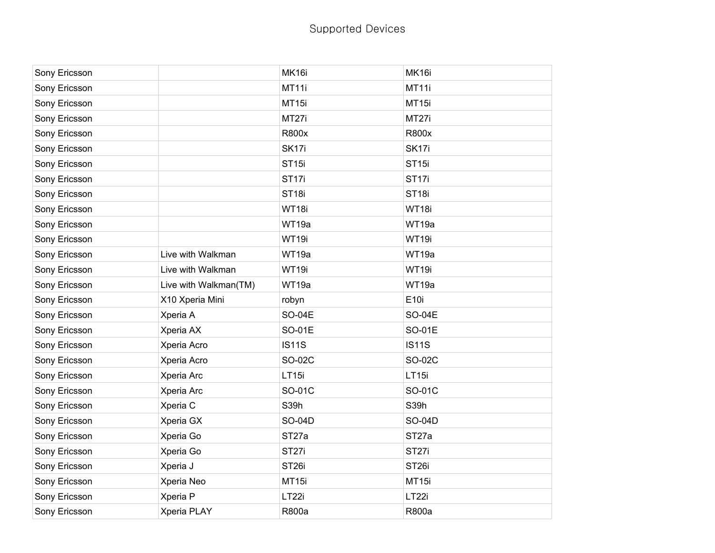| Sony Ericsson |                       | MK16i             | MK16i             |
|---------------|-----------------------|-------------------|-------------------|
| Sony Ericsson |                       | MT11i             | MT11i             |
| Sony Ericsson |                       | MT15i             | MT15i             |
| Sony Ericsson |                       | MT27i             | MT27i             |
| Sony Ericsson |                       | <b>R800x</b>      | R800x             |
| Sony Ericsson |                       | SK <sub>17i</sub> | SK <sub>17i</sub> |
| Sony Ericsson |                       | ST <sub>15i</sub> | <b>ST15i</b>      |
| Sony Ericsson |                       | ST <sub>17i</sub> | ST <sub>17i</sub> |
| Sony Ericsson |                       | ST <sub>18i</sub> | ST <sub>18i</sub> |
| Sony Ericsson |                       | WT18i             | WT18i             |
| Sony Ericsson |                       | WT19a             | WT19a             |
| Sony Ericsson |                       | WT19i             | WT19i             |
| Sony Ericsson | Live with Walkman     | WT19a             | WT19a             |
| Sony Ericsson | Live with Walkman     | WT19i             | WT19i             |
| Sony Ericsson | Live with Walkman(TM) | WT19a             | WT19a             |
| Sony Ericsson | X10 Xperia Mini       | robyn             | E10i              |
| Sony Ericsson | Xperia A              | SO-04E            | SO-04E            |
| Sony Ericsson | Xperia AX             | SO-01E            | SO-01E            |
| Sony Ericsson | Xperia Acro           | <b>IS11S</b>      | <b>IS11S</b>      |
| Sony Ericsson | Xperia Acro           | SO-02C            | SO-02C            |
| Sony Ericsson | Xperia Arc            |                   |                   |
| Sony Ericsson |                       | LT15i             | LT15i             |
|               | Xperia Arc            | SO-01C            | SO-01C            |
| Sony Ericsson | Xperia C              | S39h              | S39h              |
| Sony Ericsson | Xperia GX             | SO-04D            | SO-04D            |
| Sony Ericsson | Xperia Go             | ST <sub>27a</sub> | ST <sub>27a</sub> |
| Sony Ericsson | Xperia Go             | ST <sub>27i</sub> | ST <sub>27i</sub> |
| Sony Ericsson | Xperia J              | ST <sub>26i</sub> | ST <sub>26i</sub> |
| Sony Ericsson | Xperia Neo            | MT15i             | MT15i             |
| Sony Ericsson | Xperia P              | LT22i             | LT22i             |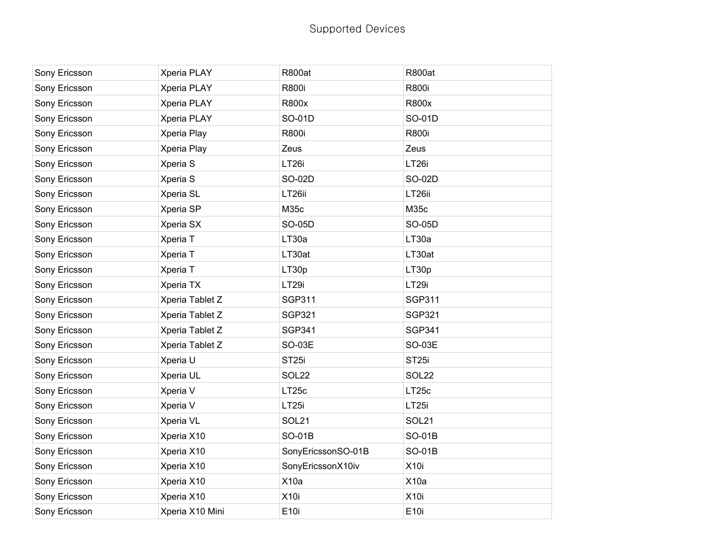| Sony Ericsson | Xperia PLAY     | <b>R800at</b>      | <b>R800at</b>     |
|---------------|-----------------|--------------------|-------------------|
| Sony Ericsson | Xperia PLAY     | R800i              | R800i             |
| Sony Ericsson | Xperia PLAY     | R800x              | R800x             |
| Sony Ericsson | Xperia PLAY     | SO-01D             | SO-01D            |
| Sony Ericsson | Xperia Play     | <b>R800i</b>       | R800i             |
| Sony Ericsson | Xperia Play     | Zeus               | Zeus              |
| Sony Ericsson | Xperia S        | LT <sub>26i</sub>  | LT <sub>26i</sub> |
| Sony Ericsson | Xperia S        | SO-02D             | SO-02D            |
| Sony Ericsson | Xperia SL       | LT26ii             | LT26ii            |
| Sony Ericsson | Xperia SP       | M35c               | M35c              |
| Sony Ericsson | Xperia SX       | SO-05D             | <b>SO-05D</b>     |
| Sony Ericsson | Xperia T        | LT30a              | LT30a             |
| Sony Ericsson | Xperia T        | LT30at             | LT30at            |
| Sony Ericsson | Xperia T        | LT30p              | LT30p             |
| Sony Ericsson | Xperia TX       | LT29i              | LT29i             |
| Sony Ericsson | Xperia Tablet Z | <b>SGP311</b>      | <b>SGP311</b>     |
| Sony Ericsson | Xperia Tablet Z | <b>SGP321</b>      | <b>SGP321</b>     |
| Sony Ericsson | Xperia Tablet Z | <b>SGP341</b>      | <b>SGP341</b>     |
| Sony Ericsson | Xperia Tablet Z | SO-03E             | SO-03E            |
| Sony Ericsson | Xperia U        | ST <sub>25i</sub>  | ST <sub>25i</sub> |
| Sony Ericsson | Xperia UL       | SOL22              | SOL22             |
| Sony Ericsson | Xperia V        | LT25c              | LT25c             |
| Sony Ericsson | Xperia V        | LT <sub>25i</sub>  | LT <sub>25i</sub> |
| Sony Ericsson | Xperia VL       | SOL <sub>21</sub>  | SOL <sub>21</sub> |
| Sony Ericsson | Xperia X10      | <b>SO-01B</b>      | SO-01B            |
| Sony Ericsson | Xperia X10      | SonyEricssonSO-01B | SO-01B            |
| Sony Ericsson | Xperia X10      | SonyEricssonX10iv  | X10i              |
| Sony Ericsson | Xperia X10      | X10a               | X10a              |
| Sony Ericsson | Xperia X10      | <b>X10i</b>        | X <sub>10</sub>   |
| Sony Ericsson | Xperia X10 Mini | E10i               | E10i              |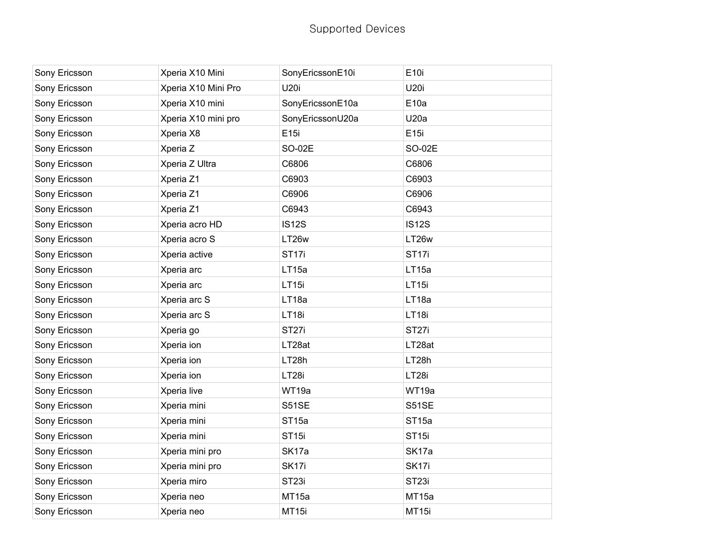| Sony Ericsson | Xperia X10 Mini     | SonyEricssonE10i  | E10i              |
|---------------|---------------------|-------------------|-------------------|
| Sony Ericsson | Xperia X10 Mini Pro | U20i              | <b>U20i</b>       |
| Sony Ericsson | Xperia X10 mini     | SonyEricssonE10a  | E <sub>10a</sub>  |
| Sony Ericsson | Xperia X10 mini pro | SonyEricssonU20a  | U20a              |
| Sony Ericsson | Xperia X8           | E15i              | E15i              |
| Sony Ericsson | Xperia Z            | <b>SO-02E</b>     | <b>SO-02E</b>     |
| Sony Ericsson | Xperia Z Ultra      | C6806             | C6806             |
| Sony Ericsson | Xperia Z1           | C6903             | C6903             |
| Sony Ericsson | Xperia Z1           | C6906             | C6906             |
| Sony Ericsson | Xperia Z1           | C6943             | C6943             |
| Sony Ericsson | Xperia acro HD      | <b>IS12S</b>      | <b>IS12S</b>      |
| Sony Ericsson | Xperia acro S       | LT26w             | LT26w             |
| Sony Ericsson | Xperia active       | ST <sub>17i</sub> | ST <sub>17i</sub> |
| Sony Ericsson | Xperia arc          | LT15a             | LT15a             |
| Sony Ericsson | Xperia arc          | LT15i             | LT <sub>15i</sub> |
| Sony Ericsson | Xperia arc S        | LT18a             | LT18a             |
| Sony Ericsson | Xperia arc S        | LT18i             | LT18i             |
| Sony Ericsson | Xperia go           | ST <sub>27i</sub> | ST <sub>27i</sub> |
| Sony Ericsson | Xperia ion          | LT28at            | LT28at            |
| Sony Ericsson | Xperia ion          | LT28h             | LT28h             |
| Sony Ericsson | Xperia ion          | LT28i             | LT28i             |
| Sony Ericsson | Xperia live         | WT19a             | WT19a             |
| Sony Ericsson | Xperia mini         | S51SE             | <b>S51SE</b>      |
| Sony Ericsson | Xperia mini         | ST <sub>15a</sub> | ST <sub>15a</sub> |
| Sony Ericsson | Xperia mini         | ST <sub>15i</sub> | ST <sub>15i</sub> |
| Sony Ericsson | Xperia mini pro     | SK17a             | SK17a             |
| Sony Ericsson | Xperia mini pro     | SK <sub>17i</sub> | SK <sub>17i</sub> |
| Sony Ericsson | Xperia miro         | ST <sub>23i</sub> | ST <sub>23i</sub> |
| Sony Ericsson | Xperia neo          | MT <sub>15a</sub> | MT15a             |
| Sony Ericsson | Xperia neo          | MT15i             | MT15i             |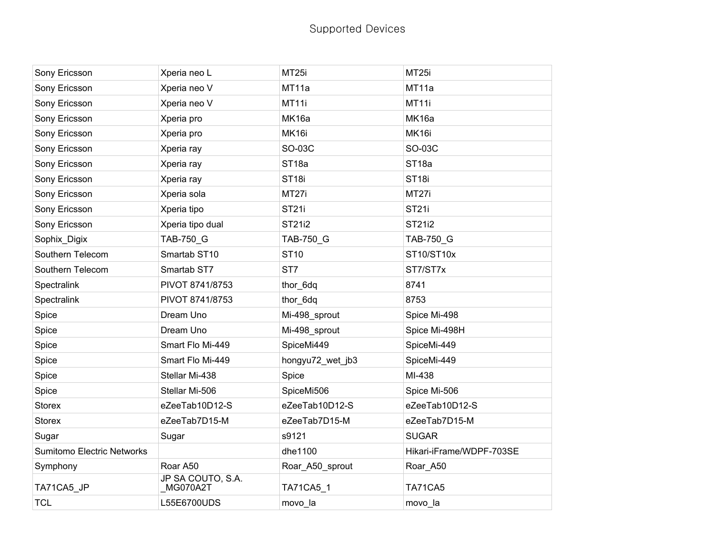| Sony Ericsson                     | Xperia neo L                  | MT <sub>25i</sub> | MT <sub>25i</sub>        |
|-----------------------------------|-------------------------------|-------------------|--------------------------|
| Sony Ericsson                     | Xperia neo V                  | MT11a             | MT11a                    |
| Sony Ericsson                     | Xperia neo V                  | MT11i             | MT11i                    |
| Sony Ericsson                     | Xperia pro                    | MK16a             | MK16a                    |
| Sony Ericsson                     | Xperia pro                    | MK16i             | MK16i                    |
| Sony Ericsson                     | Xperia ray                    | SO-03C            | SO-03C                   |
| Sony Ericsson                     | Xperia ray                    | ST <sub>18a</sub> | ST <sub>18a</sub>        |
| Sony Ericsson                     | Xperia ray                    | ST <sub>18i</sub> | ST <sub>18i</sub>        |
| Sony Ericsson                     | Xperia sola                   | MT27i             | MT27i                    |
| Sony Ericsson                     | Xperia tipo                   | <b>ST21i</b>      | <b>ST21i</b>             |
| Sony Ericsson                     | Xperia tipo dual              | <b>ST21i2</b>     | <b>ST21i2</b>            |
| Sophix Digix                      | TAB-750 G                     | TAB-750 G         | <b>TAB-750 G</b>         |
| Southern Telecom                  | Smartab ST10                  | <b>ST10</b>       | ST10/ST10x               |
| Southern Telecom                  | Smartab ST7                   | ST7               | ST7/ST7x                 |
| Spectralink                       | PIVOT 8741/8753               | thor_6dq          | 8741                     |
| Spectralink                       | PIVOT 8741/8753               | thor_6dq          | 8753                     |
| Spice                             | Dream Uno                     | Mi-498_sprout     | Spice Mi-498             |
| Spice                             | Dream Uno                     | Mi-498_sprout     | Spice Mi-498H            |
| Spice                             | Smart Flo Mi-449              | SpiceMi449        | SpiceMi-449              |
| Spice                             | Smart Flo Mi-449              | hongyu72 wet jb3  | SpiceMi-449              |
| Spice                             | Stellar Mi-438                | Spice             | MI-438                   |
| Spice                             | Stellar Mi-506                | SpiceMi506        | Spice Mi-506             |
| <b>Storex</b>                     | eZeeTab10D12-S                | eZeeTab10D12-S    | eZeeTab10D12-S           |
| <b>Storex</b>                     | eZeeTab7D15-M                 | eZeeTab7D15-M     | eZeeTab7D15-M            |
| Sugar                             | Sugar                         | s9121             | <b>SUGAR</b>             |
| <b>Sumitomo Electric Networks</b> |                               | dhe1100           | Hikari-iFrame/WDPF-703SE |
| Symphony                          | Roar A50                      | Roar_A50_sprout   | Roar_A50                 |
| TA71CA5_JP                        | JP SA COUTO, S.A.<br>MG070A2T | TA71CA5_1         | TA71CA5                  |
| <b>TCL</b>                        | L55E6700UDS                   | movo_la           | movo_la                  |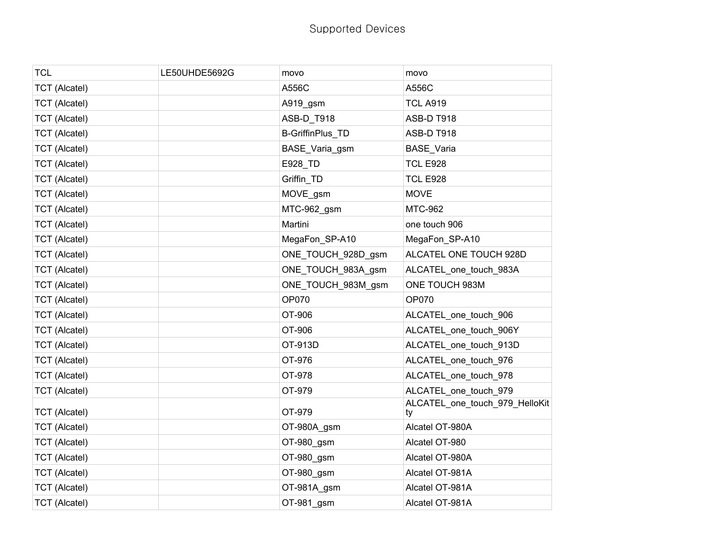| LE50UHDE5692G | movo               | movo                                 |
|---------------|--------------------|--------------------------------------|
|               | A556C              | A556C                                |
|               | A919_gsm           | <b>TCL A919</b>                      |
|               | ASB-D_T918         | ASB-D T918                           |
|               | B-GriffinPlus_TD   | ASB-D T918                           |
|               | BASE_Varia_gsm     | BASE_Varia                           |
|               | E928_TD            | <b>TCL E928</b>                      |
|               | Griffin_TD         | <b>TCL E928</b>                      |
|               | MOVE_gsm           | <b>MOVE</b>                          |
|               | MTC-962_gsm        | <b>MTC-962</b>                       |
|               | Martini            | one touch 906                        |
|               | MegaFon_SP-A10     | MegaFon_SP-A10                       |
|               | ONE_TOUCH_928D_gsm | ALCATEL ONE TOUCH 928D               |
|               | ONE_TOUCH_983A_gsm | ALCATEL_one_touch_983A               |
|               | ONE_TOUCH_983M_gsm | ONE TOUCH 983M                       |
|               | <b>OP070</b>       | <b>OP070</b>                         |
|               | OT-906             | ALCATEL_one_touch_906                |
|               | OT-906             | ALCATEL_one_touch_906Y               |
|               | OT-913D            | ALCATEL_one_touch_913D               |
|               | OT-976             | ALCATEL_one_touch_976                |
|               | OT-978             | ALCATEL_one_touch_978                |
|               | OT-979             | ALCATEL_one_touch_979                |
|               | OT-979             | ALCATEL_one_touch_979_HelloKit<br>ty |
|               | OT-980A_gsm        | Alcatel OT-980A                      |
|               | OT-980_gsm         | Alcatel OT-980                       |
|               | OT-980_gsm         | Alcatel OT-980A                      |
|               |                    | Alcatel OT-981A                      |
|               | OT-981A_gsm        | Alcatel OT-981A                      |
|               | OT-981_gsm         | Alcatel OT-981A                      |
|               |                    | OT-980_gsm                           |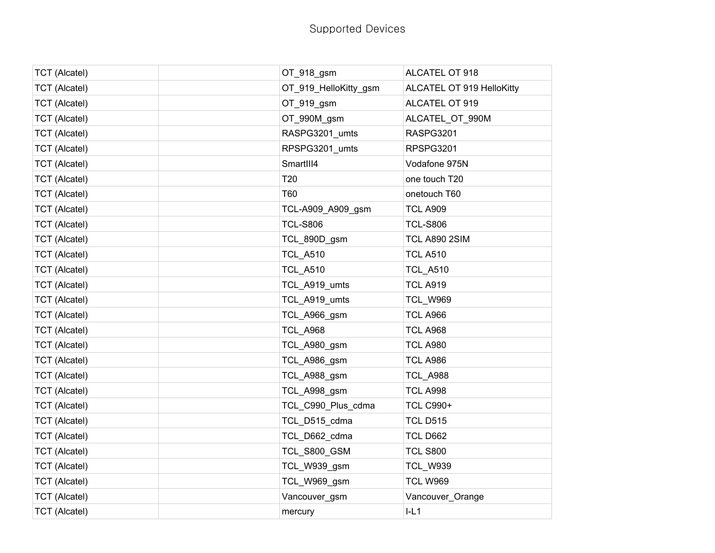| <b>TCT (Alcatel)</b> | OT_918_gsm            | ALCATEL OT 918            |
|----------------------|-----------------------|---------------------------|
| <b>TCT (Alcatel)</b> | OT_919_HelloKitty_gsm | ALCATEL OT 919 HelloKitty |
| <b>TCT</b> (Alcatel) | OT_919_gsm            | ALCATEL OT 919            |
| <b>TCT (Alcatel)</b> | OT_990M_gsm           | ALCATEL_OT_990M           |
| <b>TCT</b> (Alcatel) | RASPG3201_umts        | RASPG3201                 |
| <b>TCT</b> (Alcatel) | RPSPG3201_umts        | RPSPG3201                 |
| <b>TCT (Alcatel)</b> | SmartIII4             | Vodafone 975N             |
| <b>TCT (Alcatel)</b> | T <sub>20</sub>       | one touch T20             |
| <b>TCT (Alcatel)</b> | T60                   | onetouch T60              |
| <b>TCT</b> (Alcatel) | TCL-A909_A909_gsm     | <b>TCL A909</b>           |
| <b>TCT (Alcatel)</b> | <b>TCL-S806</b>       | <b>TCL-S806</b>           |
| <b>TCT (Alcatel)</b> | TCL 890D gsm          | TCL A890 2SIM             |
| <b>TCT (Alcatel)</b> | <b>TCL_A510</b>       | <b>TCL A510</b>           |
| <b>TCT (Alcatel)</b> | <b>TCL A510</b>       | <b>TCL_A510</b>           |
| <b>TCT (Alcatel)</b> | TCL_A919_umts         | <b>TCL A919</b>           |
| <b>TCT (Alcatel)</b> | TCL_A919_umts         | <b>TCL_W969</b>           |
| <b>TCT (Alcatel)</b> | TCL_A966_gsm          | <b>TCL A966</b>           |
| <b>TCT</b> (Alcatel) | <b>TCL_A968</b>       | <b>TCL A968</b>           |
| <b>TCT (Alcatel)</b> | TCL_A980_gsm          | <b>TCL A980</b>           |
| <b>TCT</b> (Alcatel) | TCL_A986_gsm          | <b>TCL A986</b>           |
| <b>TCT (Alcatel)</b> | TCL_A988_gsm          | <b>TCL_A988</b>           |
| <b>TCT (Alcatel)</b> | TCL_A998_gsm          | <b>TCL A998</b>           |
| <b>TCT</b> (Alcatel) | TCL_C990_Plus_cdma    | <b>TCL C990+</b>          |
| <b>TCT (Alcatel)</b> | TCL_D515_cdma         | <b>TCL D515</b>           |
| <b>TCT (Alcatel)</b> | TCL_D662_cdma         | <b>TCL D662</b>           |
| <b>TCT (Alcatel)</b> | TCL_S800_GSM          | <b>TCL S800</b>           |
| <b>TCT (Alcatel)</b> | TCL_W939_gsm          | <b>TCL_W939</b>           |
| <b>TCT (Alcatel)</b> | TCL_W969_gsm          | <b>TCL W969</b>           |
| <b>TCT (Alcatel)</b> | Vancouver_gsm         | Vancouver Orange          |
| <b>TCT (Alcatel)</b> | mercury               | IL1                       |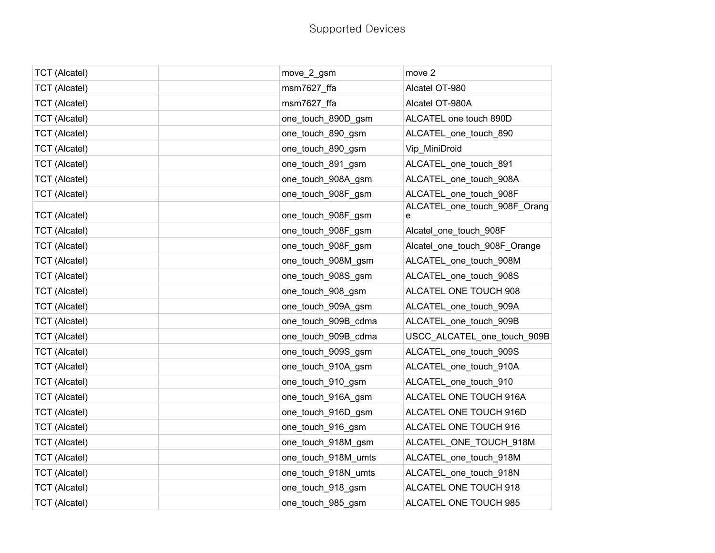| <b>TCT</b> (Alcatel) | move_2_gsm          | move 2                            |
|----------------------|---------------------|-----------------------------------|
| <b>TCT (Alcatel)</b> | msm7627 ffa         | Alcatel OT-980                    |
| <b>TCT</b> (Alcatel) | msm7627 ffa         | Alcatel OT-980A                   |
| <b>TCT (Alcatel)</b> | one_touch_890D_gsm  | ALCATEL one touch 890D            |
| <b>TCT (Alcatel)</b> | one_touch_890_gsm   | ALCATEL_one_touch_890             |
| <b>TCT</b> (Alcatel) | one_touch_890_gsm   | Vip_MiniDroid                     |
| <b>TCT (Alcatel)</b> | one_touch_891_gsm   | ALCATEL_one_touch_891             |
| <b>TCT (Alcatel)</b> | one_touch_908A_gsm  | ALCATEL_one_touch_908A            |
| <b>TCT</b> (Alcatel) | one_touch_908F_gsm  | ALCATEL one touch 908F            |
| <b>TCT (Alcatel)</b> | one_touch_908F_gsm  | ALCATEL_one_touch_908F_Orang<br>е |
| <b>TCT (Alcatel)</b> | one_touch_908F_gsm  | Alcatel_one_touch_908F            |
| <b>TCT</b> (Alcatel) | one_touch_908F_gsm  | Alcatel_one_touch_908F_Orange     |
| <b>TCT (Alcatel)</b> | one_touch_908M_gsm  | ALCATEL_one_touch_908M            |
| <b>TCT (Alcatel)</b> | one_touch_908S_gsm  | ALCATEL_one_touch_908S            |
| <b>TCT (Alcatel)</b> | one_touch_908_gsm   | ALCATEL ONE TOUCH 908             |
| <b>TCT</b> (Alcatel) | one_touch_909A_gsm  | ALCATEL_one_touch_909A            |
| <b>TCT (Alcatel)</b> | one_touch_909B_cdma | ALCATEL_one_touch_909B            |
| <b>TCT (Alcatel)</b> | one_touch_909B_cdma | USCC_ALCATEL_one_touch_909B       |
| <b>TCT (Alcatel)</b> | one_touch_909S_gsm  | ALCATEL_one_touch_909S            |
| <b>TCT</b> (Alcatel) | one_touch_910A_gsm  | ALCATEL_one_touch_910A            |
| <b>TCT (Alcatel)</b> | one_touch_910_gsm   | ALCATEL_one_touch_910             |
| <b>TCT</b> (Alcatel) | one_touch_916A_gsm  | ALCATEL ONE TOUCH 916A            |
| <b>TCT (Alcatel)</b> | one_touch_916D_gsm  | ALCATEL ONE TOUCH 916D            |
| <b>TCT (Alcatel)</b> | one_touch_916_gsm   | ALCATEL ONE TOUCH 916             |
| <b>TCT (Alcatel)</b> | one_touch_918M_gsm  | ALCATEL ONE TOUCH 918M            |
| <b>TCT</b> (Alcatel) | one_touch_918M_umts | ALCATEL_one_touch_918M            |
| <b>TCT</b> (Alcatel) | one_touch_918N_umts | ALCATEL_one_touch_918N            |
| <b>TCT (Alcatel)</b> | one_touch_918_gsm   | ALCATEL ONE TOUCH 918             |
| <b>TCT (Alcatel)</b> | one_touch_985_gsm   | ALCATEL ONE TOUCH 985             |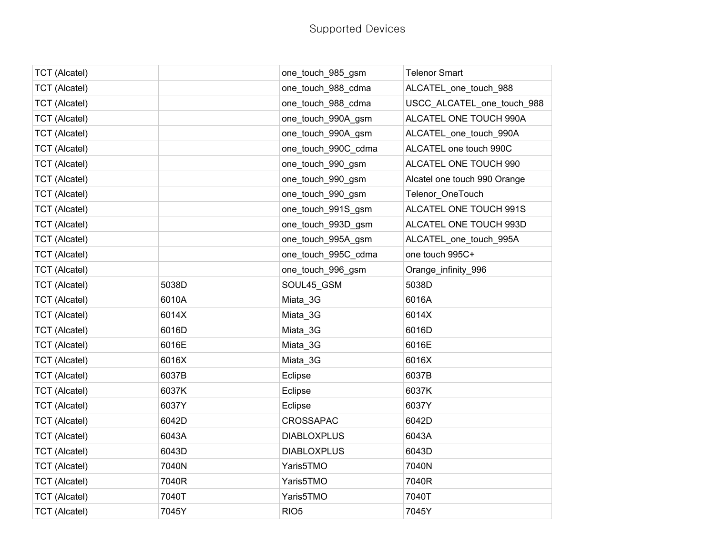| <b>TCT (Alcatel)</b> |       | one_touch_985_gsm   | <b>Telenor Smart</b>         |
|----------------------|-------|---------------------|------------------------------|
| <b>TCT (Alcatel)</b> |       | one_touch_988_cdma  | ALCATEL_one_touch_988        |
| <b>TCT</b> (Alcatel) |       | one_touch_988_cdma  | USCC_ALCATEL_one_touch_988   |
| <b>TCT (Alcatel)</b> |       | one_touch_990A_gsm  | ALCATEL ONE TOUCH 990A       |
| <b>TCT (Alcatel)</b> |       | one_touch_990A_gsm  | ALCATEL_one_touch_990A       |
| <b>TCT</b> (Alcatel) |       | one_touch_990C_cdma | ALCATEL one touch 990C       |
| <b>TCT</b> (Alcatel) |       | one_touch_990_gsm   | ALCATEL ONE TOUCH 990        |
| <b>TCT</b> (Alcatel) |       | one_touch_990_gsm   | Alcatel one touch 990 Orange |
| <b>TCT</b> (Alcatel) |       | one_touch_990_gsm   | Telenor_OneTouch             |
| <b>TCT</b> (Alcatel) |       | one_touch_991S_gsm  | ALCATEL ONE TOUCH 991S       |
| <b>TCT</b> (Alcatel) |       | one_touch_993D_gsm  | ALCATEL ONE TOUCH 993D       |
| <b>TCT</b> (Alcatel) |       | one_touch_995A_gsm  | ALCATEL_one_touch_995A       |
| <b>TCT (Alcatel)</b> |       | one_touch_995C_cdma | one touch 995C+              |
| <b>TCT</b> (Alcatel) |       | one_touch_996_gsm   | Orange_infinity_996          |
| <b>TCT</b> (Alcatel) | 5038D | SOUL45_GSM          | 5038D                        |
| <b>TCT (Alcatel)</b> | 6010A | Miata_3G            | 6016A                        |
| <b>TCT</b> (Alcatel) | 6014X | Miata_3G            | 6014X                        |
| <b>TCT</b> (Alcatel) | 6016D | Miata_3G            | 6016D                        |
| <b>TCT</b> (Alcatel) | 6016E | Miata_3G            | 6016E                        |
| <b>TCT</b> (Alcatel) | 6016X | Miata_3G            | 6016X                        |
| <b>TCT</b> (Alcatel) | 6037B | Eclipse             | 6037B                        |
| <b>TCT</b> (Alcatel) | 6037K | Eclipse             | 6037K                        |
| <b>TCT</b> (Alcatel) | 6037Y | Eclipse             | 6037Y                        |
| <b>TCT</b> (Alcatel) | 6042D | <b>CROSSAPAC</b>    | 6042D                        |
| <b>TCT (Alcatel)</b> | 6043A | <b>DIABLOXPLUS</b>  | 6043A                        |
| <b>TCT</b> (Alcatel) | 6043D | <b>DIABLOXPLUS</b>  | 6043D                        |
| <b>TCT</b> (Alcatel) | 7040N | Yaris5TMO           | 7040N                        |
| <b>TCT (Alcatel)</b> | 7040R | Yaris5TMO           | 7040R                        |
| <b>TCT (Alcatel)</b> | 7040T | Yaris5TMO           | 7040T                        |
| <b>TCT</b> (Alcatel) | 7045Y | RIO <sub>5</sub>    | 7045Y                        |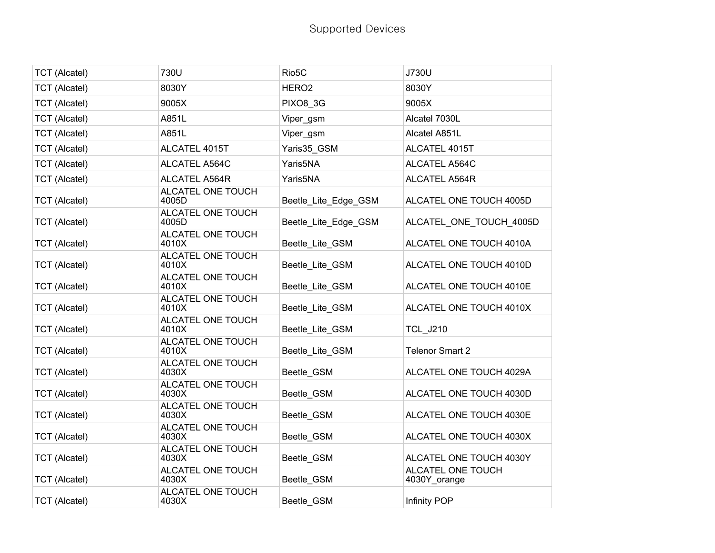| <b>TCT</b> (Alcatel) | 730U                       | Rio <sub>5</sub> C   | J730U                             |
|----------------------|----------------------------|----------------------|-----------------------------------|
| <b>TCT</b> (Alcatel) | 8030Y                      | HERO <sub>2</sub>    | 8030Y                             |
| <b>TCT (Alcatel)</b> | 9005X                      | PIXO8 3G             | 9005X                             |
| <b>TCT (Alcatel)</b> | A851L                      | Viper_gsm            | Alcatel 7030L                     |
| <b>TCT (Alcatel)</b> | A851L                      | Viper_gsm            | Alcatel A851L                     |
| <b>TCT (Alcatel)</b> | ALCATEL 4015T              | Yaris35 GSM          | ALCATEL 4015T                     |
| <b>TCT (Alcatel)</b> | ALCATEL A564C              | Yaris5NA             | ALCATEL A564C                     |
| <b>TCT</b> (Alcatel) | <b>ALCATEL A564R</b>       | Yaris5NA             | ALCATEL A564R                     |
| <b>TCT</b> (Alcatel) | ALCATEL ONE TOUCH<br>4005D | Beetle_Lite_Edge_GSM | ALCATEL ONE TOUCH 4005D           |
| <b>TCT (Alcatel)</b> | ALCATEL ONE TOUCH<br>4005D | Beetle_Lite_Edge_GSM | ALCATEL ONE TOUCH 4005D           |
| <b>TCT</b> (Alcatel) | ALCATEL ONE TOUCH<br>4010X | Beetle_Lite_GSM      | ALCATEL ONE TOUCH 4010A           |
| <b>TCT (Alcatel)</b> | ALCATEL ONE TOUCH<br>4010X | Beetle_Lite_GSM      | ALCATEL ONE TOUCH 4010D           |
| <b>TCT (Alcatel)</b> | ALCATEL ONE TOUCH<br>4010X | Beetle_Lite_GSM      | ALCATEL ONE TOUCH 4010E           |
| <b>TCT</b> (Alcatel) | ALCATEL ONE TOUCH<br>4010X | Beetle_Lite_GSM      | ALCATEL ONE TOUCH 4010X           |
| <b>TCT</b> (Alcatel) | ALCATEL ONE TOUCH<br>4010X | Beetle Lite GSM      | <b>TCL J210</b>                   |
| <b>TCT</b> (Alcatel) | ALCATEL ONE TOUCH<br>4010X | Beetle_Lite_GSM      | <b>Telenor Smart 2</b>            |
| <b>TCT (Alcatel)</b> | ALCATEL ONE TOUCH<br>4030X | Beetle GSM           | ALCATEL ONE TOUCH 4029A           |
| <b>TCT (Alcatel)</b> | ALCATEL ONE TOUCH<br>4030X | Beetle GSM           | ALCATEL ONE TOUCH 4030D           |
| <b>TCT (Alcatel)</b> | ALCATEL ONE TOUCH<br>4030X | Beetle_GSM           | ALCATEL ONE TOUCH 4030E           |
| <b>TCT (Alcatel)</b> | ALCATEL ONE TOUCH<br>4030X | Beetle GSM           | ALCATEL ONE TOUCH 4030X           |
| <b>TCT</b> (Alcatel) | ALCATEL ONE TOUCH<br>4030X | Beetle_GSM           | ALCATEL ONE TOUCH 4030Y           |
| <b>TCT</b> (Alcatel) | ALCATEL ONE TOUCH<br>4030X | Beetle GSM           | ALCATEL ONE TOUCH<br>4030Y_orange |
| <b>TCT (Alcatel)</b> | ALCATEL ONE TOUCH<br>4030X | Beetle_GSM           | Infinity POP                      |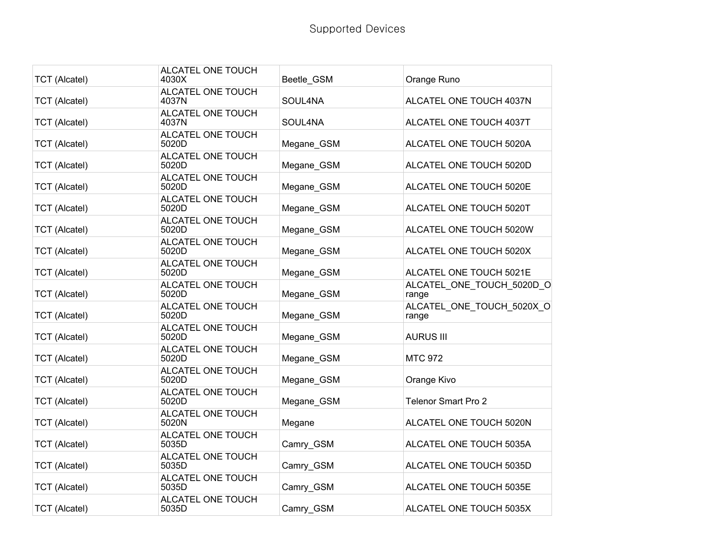| <b>TCT (Alcatel)</b> | ALCATEL ONE TOUCH<br>4030X | Beetle_GSM | Orange Runo                        |
|----------------------|----------------------------|------------|------------------------------------|
| <b>TCT</b> (Alcatel) | ALCATEL ONE TOUCH<br>4037N | SOUL4NA    | ALCATEL ONE TOUCH 4037N            |
| <b>TCT</b> (Alcatel) | ALCATEL ONE TOUCH<br>4037N | SOUL4NA    | ALCATEL ONE TOUCH 4037T            |
| <b>TCT (Alcatel)</b> | ALCATEL ONE TOUCH<br>5020D | Megane_GSM | ALCATEL ONE TOUCH 5020A            |
| <b>TCT</b> (Alcatel) | ALCATEL ONE TOUCH<br>5020D | Megane_GSM | ALCATEL ONE TOUCH 5020D            |
| <b>TCT (Alcatel)</b> | ALCATEL ONE TOUCH<br>5020D | Megane_GSM | ALCATEL ONE TOUCH 5020E            |
| <b>TCT (Alcatel)</b> | ALCATEL ONE TOUCH<br>5020D | Megane GSM | ALCATEL ONE TOUCH 5020T            |
| <b>TCT (Alcatel)</b> | ALCATEL ONE TOUCH<br>5020D | Megane_GSM | ALCATEL ONE TOUCH 5020W            |
| <b>TCT</b> (Alcatel) | ALCATEL ONE TOUCH<br>5020D | Megane_GSM | ALCATEL ONE TOUCH 5020X            |
| <b>TCT</b> (Alcatel) | ALCATEL ONE TOUCH<br>5020D | Megane_GSM | ALCATEL ONE TOUCH 5021E            |
| <b>TCT</b> (Alcatel) | ALCATEL ONE TOUCH<br>5020D | Megane GSM | ALCATEL ONE TOUCH 5020D O<br>range |
| <b>TCT</b> (Alcatel) | ALCATEL ONE TOUCH<br>5020D | Megane GSM | ALCATEL ONE TOUCH 5020X O<br>range |
| <b>TCT</b> (Alcatel) | ALCATEL ONE TOUCH<br>5020D | Megane_GSM | <b>AURUS III</b>                   |
| <b>TCT</b> (Alcatel) | ALCATEL ONE TOUCH<br>5020D | Megane GSM | <b>MTC 972</b>                     |
| <b>TCT (Alcatel)</b> | ALCATEL ONE TOUCH<br>5020D | Megane_GSM | Orange Kivo                        |
| <b>TCT (Alcatel)</b> | ALCATEL ONE TOUCH<br>5020D | Megane GSM | <b>Telenor Smart Pro 2</b>         |
| <b>TCT (Alcatel)</b> | ALCATEL ONE TOUCH<br>5020N | Megane     | ALCATEL ONE TOUCH 5020N            |
| <b>TCT</b> (Alcatel) | ALCATEL ONE TOUCH<br>5035D | Camry_GSM  | ALCATEL ONE TOUCH 5035A            |
| <b>TCT</b> (Alcatel) | ALCATEL ONE TOUCH<br>5035D | Camry_GSM  | ALCATEL ONE TOUCH 5035D            |
| <b>TCT</b> (Alcatel) | ALCATEL ONE TOUCH<br>5035D | Camry_GSM  | ALCATEL ONE TOUCH 5035E            |
| <b>TCT (Alcatel)</b> | ALCATEL ONE TOUCH<br>5035D | Camry GSM  | ALCATEL ONE TOUCH 5035X            |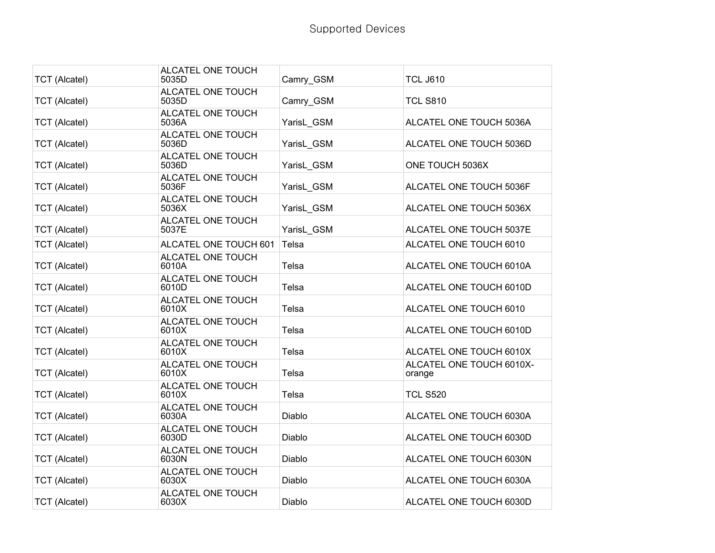| <b>TCT (Alcatel)</b> | ALCATEL ONE TOUCH<br>5035D | Camry GSM  | <b>TCL J610</b>                    |
|----------------------|----------------------------|------------|------------------------------------|
| <b>TCT (Alcatel)</b> | ALCATEL ONE TOUCH<br>5035D | Camry_GSM  | <b>TCL S810</b>                    |
| <b>TCT (Alcatel)</b> | ALCATEL ONE TOUCH<br>5036A | YarisL GSM | ALCATEL ONE TOUCH 5036A            |
| <b>TCT (Alcatel)</b> | ALCATEL ONE TOUCH<br>5036D | YarisL GSM | ALCATEL ONE TOUCH 5036D            |
| <b>TCT (Alcatel)</b> | ALCATEL ONE TOUCH<br>5036D | YarisL GSM | ONE TOUCH 5036X                    |
| <b>TCT (Alcatel)</b> | ALCATEL ONE TOUCH<br>5036F | YarisL GSM | ALCATEL ONE TOUCH 5036F            |
| <b>TCT (Alcatel)</b> | ALCATEL ONE TOUCH<br>5036X | YarisL GSM | ALCATEL ONE TOUCH 5036X            |
| <b>TCT (Alcatel)</b> | ALCATEL ONE TOUCH<br>5037E | YarisL GSM | ALCATEL ONE TOUCH 5037E            |
| <b>TCT (Alcatel)</b> | ALCATEL ONE TOUCH 601      | Telsa      | ALCATEL ONE TOUCH 6010             |
| <b>TCT (Alcatel)</b> | ALCATEL ONE TOUCH<br>6010A | Telsa      | ALCATEL ONE TOUCH 6010A            |
| <b>TCT</b> (Alcatel) | ALCATEL ONE TOUCH<br>6010D | Telsa      | ALCATEL ONE TOUCH 6010D            |
| <b>TCT</b> (Alcatel) | ALCATEL ONE TOUCH<br>6010X | Telsa      | ALCATEL ONE TOUCH 6010             |
| <b>TCT (Alcatel)</b> | ALCATEL ONE TOUCH<br>6010X | Telsa      | ALCATEL ONE TOUCH 6010D            |
| <b>TCT (Alcatel)</b> | ALCATEL ONE TOUCH<br>6010X | Telsa      | ALCATEL ONE TOUCH 6010X            |
| <b>TCT (Alcatel)</b> | ALCATEL ONE TOUCH<br>6010X | Telsa      | ALCATEL ONE TOUCH 6010X-<br>orange |
| <b>TCT (Alcatel)</b> | ALCATEL ONE TOUCH<br>6010X | Telsa      | <b>TCL S520</b>                    |
| <b>TCT</b> (Alcatel) | ALCATEL ONE TOUCH<br>6030A | Diablo     | ALCATEL ONE TOUCH 6030A            |
| <b>TCT</b> (Alcatel) | ALCATEL ONE TOUCH<br>6030D | Diablo     | ALCATEL ONE TOUCH 6030D            |
| <b>TCT (Alcatel)</b> | ALCATEL ONE TOUCH<br>6030N | Diablo     | ALCATEL ONE TOUCH 6030N            |
| <b>TCT (Alcatel)</b> | ALCATEL ONE TOUCH<br>6030X | Diablo     | ALCATEL ONE TOUCH 6030A            |
| <b>TCT (Alcatel)</b> | ALCATEL ONE TOUCH<br>6030X | Diablo     | ALCATEL ONE TOUCH 6030D            |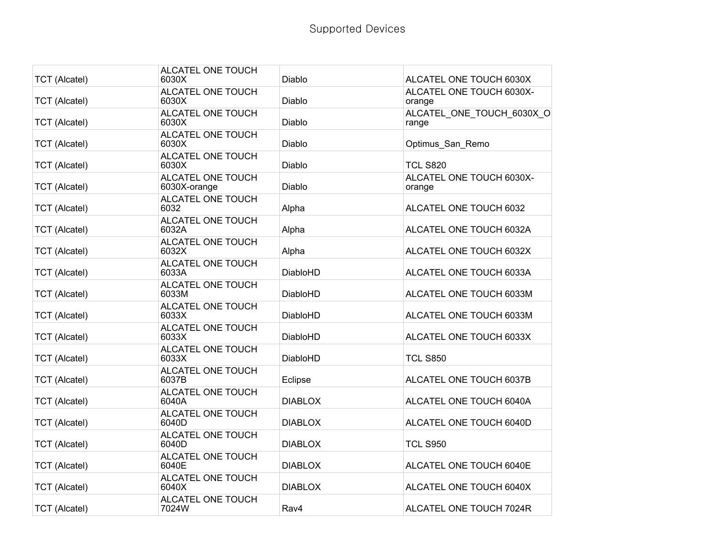| <b>TCT (Alcatel)</b> | ALCATEL ONE TOUCH<br>6030X        | Diablo          | ALCATEL ONE TOUCH 6030X            |
|----------------------|-----------------------------------|-----------------|------------------------------------|
| <b>TCT (Alcatel)</b> | ALCATEL ONE TOUCH<br>6030X        | Diablo          | ALCATEL ONE TOUCH 6030X-<br>orange |
| <b>TCT (Alcatel)</b> | ALCATEL ONE TOUCH<br>6030X        | Diablo          | ALCATEL ONE TOUCH 6030X O<br>range |
| <b>TCT (Alcatel)</b> | ALCATEL ONE TOUCH<br>6030X        | Diablo          | Optimus San Remo                   |
| <b>TCT (Alcatel)</b> | ALCATEL ONE TOUCH<br>6030X        | Diablo          | <b>TCL S820</b>                    |
| <b>TCT (Alcatel)</b> | ALCATEL ONE TOUCH<br>6030X-orange | Diablo          | ALCATEL ONE TOUCH 6030X-<br>orange |
| <b>TCT (Alcatel)</b> | ALCATEL ONE TOUCH<br>6032         | Alpha           | ALCATEL ONE TOUCH 6032             |
| <b>TCT</b> (Alcatel) | ALCATEL ONE TOUCH<br>6032A        | Alpha           | ALCATEL ONE TOUCH 6032A            |
| <b>TCT (Alcatel)</b> | ALCATEL ONE TOUCH<br>6032X        | Alpha           | ALCATEL ONE TOUCH 6032X            |
| <b>TCT (Alcatel)</b> | ALCATEL ONE TOUCH<br>6033A        | <b>DiabloHD</b> | ALCATEL ONE TOUCH 6033A            |
| <b>TCT (Alcatel)</b> | ALCATEL ONE TOUCH<br>6033M        | <b>DiabloHD</b> | ALCATEL ONE TOUCH 6033M            |
| <b>TCT (Alcatel)</b> | ALCATEL ONE TOUCH<br>6033X        | <b>DiabloHD</b> | ALCATEL ONE TOUCH 6033M            |
| <b>TCT (Alcatel)</b> | ALCATEL ONE TOUCH<br>6033X        | <b>DiabloHD</b> | ALCATEL ONE TOUCH 6033X            |
| <b>TCT (Alcatel)</b> | ALCATEL ONE TOUCH<br>6033X        | <b>DiabloHD</b> | <b>TCL S850</b>                    |
| <b>TCT (Alcatel)</b> | ALCATEL ONE TOUCH<br>6037B        | Eclipse         | ALCATEL ONE TOUCH 6037B            |
| <b>TCT (Alcatel)</b> | ALCATEL ONE TOUCH<br>6040A        | <b>DIABLOX</b>  | ALCATEL ONE TOUCH 6040A            |
| <b>TCT (Alcatel)</b> | ALCATEL ONE TOUCH<br>6040D        | <b>DIABLOX</b>  | ALCATEL ONE TOUCH 6040D            |
| <b>TCT (Alcatel)</b> | ALCATEL ONE TOUCH<br>6040D        | <b>DIABLOX</b>  | <b>TCL S950</b>                    |
| <b>TCT (Alcatel)</b> | ALCATEL ONE TOUCH<br>6040E        | <b>DIABLOX</b>  | ALCATEL ONE TOUCH 6040E            |
| <b>TCT (Alcatel)</b> | ALCATEL ONE TOUCH<br>6040X        | <b>DIABLOX</b>  | ALCATEL ONE TOUCH 6040X            |
| <b>TCT (Alcatel)</b> | ALCATEL ONE TOUCH<br>7024W        | Rav4            | ALCATEL ONE TOUCH 7024R            |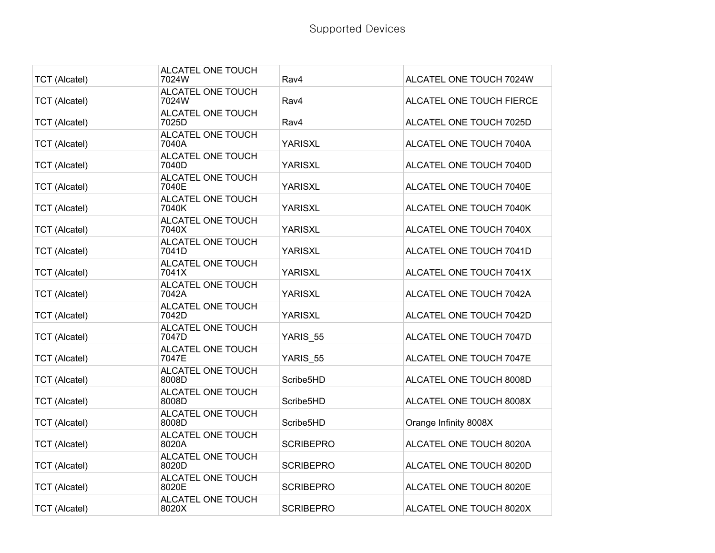| <b>TCT</b> (Alcatel) | ALCATEL ONE TOUCH<br>7024W | Rav4             | ALCATEL ONE TOUCH 7024W  |
|----------------------|----------------------------|------------------|--------------------------|
| <b>TCT (Alcatel)</b> | ALCATEL ONE TOUCH<br>7024W | Rav4             | ALCATEL ONE TOUCH FIERCE |
| <b>TCT (Alcatel)</b> | ALCATEL ONE TOUCH<br>7025D | Rav4             | ALCATEL ONE TOUCH 7025D  |
| <b>TCT (Alcatel)</b> | ALCATEL ONE TOUCH<br>7040A | <b>YARISXL</b>   | ALCATEL ONE TOUCH 7040A  |
| <b>TCT (Alcatel)</b> | ALCATEL ONE TOUCH<br>7040D | <b>YARISXL</b>   | ALCATEL ONE TOUCH 7040D  |
| <b>TCT (Alcatel)</b> | ALCATEL ONE TOUCH<br>7040E | <b>YARISXL</b>   | ALCATEL ONE TOUCH 7040E  |
| <b>TCT</b> (Alcatel) | ALCATEL ONE TOUCH<br>7040K | <b>YARISXL</b>   | ALCATEL ONE TOUCH 7040K  |
| <b>TCT (Alcatel)</b> | ALCATEL ONE TOUCH<br>7040X | YARISXL          | ALCATEL ONE TOUCH 7040X  |
| <b>TCT (Alcatel)</b> | ALCATEL ONE TOUCH<br>7041D | <b>YARISXL</b>   | ALCATEL ONE TOUCH 7041D  |
| <b>TCT (Alcatel)</b> | ALCATEL ONE TOUCH<br>7041X | <b>YARISXL</b>   | ALCATEL ONE TOUCH 7041X  |
| <b>TCT</b> (Alcatel) | ALCATEL ONE TOUCH<br>7042A | <b>YARISXL</b>   | ALCATEL ONE TOUCH 7042A  |
| <b>TCT (Alcatel)</b> | ALCATEL ONE TOUCH<br>7042D | <b>YARISXL</b>   | ALCATEL ONE TOUCH 7042D  |
| <b>TCT</b> (Alcatel) | ALCATEL ONE TOUCH<br>7047D | YARIS 55         | ALCATEL ONE TOUCH 7047D  |
| <b>TCT (Alcatel)</b> | ALCATEL ONE TOUCH<br>7047E | YARIS 55         | ALCATEL ONE TOUCH 7047E  |
| <b>TCT (Alcatel)</b> | ALCATEL ONE TOUCH<br>8008D | Scribe5HD        | ALCATEL ONE TOUCH 8008D  |
| <b>TCT (Alcatel)</b> | ALCATEL ONE TOUCH<br>8008D | Scribe5HD        | ALCATEL ONE TOUCH 8008X  |
| <b>TCT (Alcatel)</b> | ALCATEL ONE TOUCH<br>8008D | Scribe5HD        | Orange Infinity 8008X    |
| <b>TCT (Alcatel)</b> | ALCATEL ONE TOUCH<br>8020A | <b>SCRIBEPRO</b> | ALCATEL ONE TOUCH 8020A  |
| <b>TCT</b> (Alcatel) | ALCATEL ONE TOUCH<br>8020D | <b>SCRIBEPRO</b> | ALCATEL ONE TOUCH 8020D  |
| <b>TCT (Alcatel)</b> | ALCATEL ONE TOUCH<br>8020E | SCRIBEPRO        | ALCATEL ONE TOUCH 8020E  |
| <b>TCT (Alcatel)</b> | ALCATEL ONE TOUCH<br>8020X | <b>SCRIBEPRO</b> | ALCATEL ONE TOUCH 8020X  |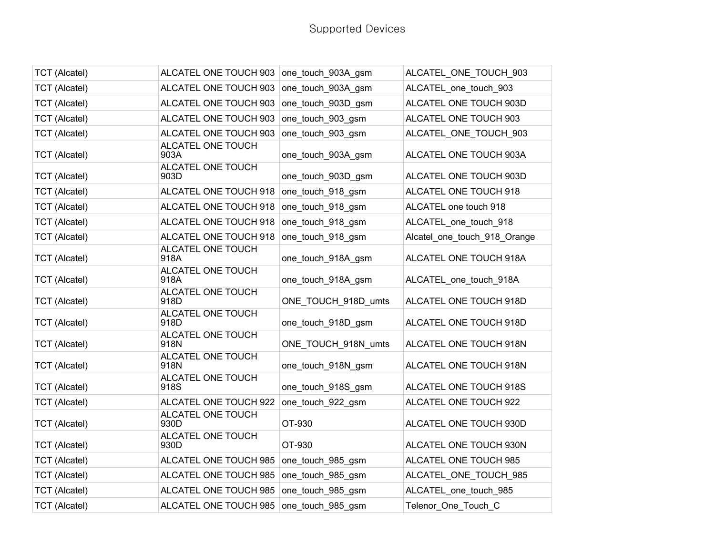| <b>TCT (Alcatel)</b> | ALCATEL ONE TOUCH 903   one_touch_903A_gsm |                     | ALCATEL_ONE_TOUCH_903        |
|----------------------|--------------------------------------------|---------------------|------------------------------|
| <b>TCT (Alcatel)</b> | ALCATEL ONE TOUCH 903                      | one touch 903A gsm  | ALCATEL one touch 903        |
| <b>TCT</b> (Alcatel) | ALCATEL ONE TOUCH 903                      | one touch 903D gsm  | ALCATEL ONE TOUCH 903D       |
| <b>TCT (Alcatel)</b> | ALCATEL ONE TOUCH 903                      | one touch 903 gsm   | ALCATEL ONE TOUCH 903        |
| <b>TCT (Alcatel)</b> | ALCATEL ONE TOUCH 903                      | one_touch_903_gsm   | ALCATEL_ONE_TOUCH_903        |
| <b>TCT (Alcatel)</b> | ALCATEL ONE TOUCH<br>903A                  | one_touch_903A_gsm  | ALCATEL ONE TOUCH 903A       |
| <b>TCT (Alcatel)</b> | ALCATEL ONE TOUCH<br>903D                  | one touch 903D gsm  | ALCATEL ONE TOUCH 903D       |
| <b>TCT (Alcatel)</b> | ALCATEL ONE TOUCH 918                      | one touch 918 gsm   | ALCATEL ONE TOUCH 918        |
| <b>TCT</b> (Alcatel) | ALCATEL ONE TOUCH 918                      | one_touch_918_gsm   | ALCATEL one touch 918        |
| <b>TCT (Alcatel)</b> | ALCATEL ONE TOUCH 918                      | one_touch_918_gsm   | ALCATEL_one_touch_918        |
| <b>TCT (Alcatel)</b> | ALCATEL ONE TOUCH 918                      | one_touch_918_gsm   | Alcatel_one_touch_918_Orange |
| <b>TCT (Alcatel)</b> | ALCATEL ONE TOUCH<br>918A                  | one touch 918A gsm  | ALCATEL ONE TOUCH 918A       |
| <b>TCT (Alcatel)</b> | ALCATEL ONE TOUCH<br>918A                  | one_touch_918A_gsm  | ALCATEL_one_touch_918A       |
| <b>TCT (Alcatel)</b> | ALCATEL ONE TOUCH<br>918D                  | ONE_TOUCH_918D_umts | ALCATEL ONE TOUCH 918D       |
| <b>TCT (Alcatel)</b> | ALCATEL ONE TOUCH<br>918D                  | one_touch_918D_gsm  | ALCATEL ONE TOUCH 918D       |
| <b>TCT (Alcatel)</b> | ALCATEL ONE TOUCH<br>918N                  | ONE TOUCH 918N umts | ALCATEL ONE TOUCH 918N       |
| <b>TCT (Alcatel)</b> | ALCATEL ONE TOUCH<br>918N                  | one_touch_918N_gsm  | ALCATEL ONE TOUCH 918N       |
| <b>TCT (Alcatel)</b> | ALCATEL ONE TOUCH<br>918S                  | one touch 918S gsm  | ALCATEL ONE TOUCH 918S       |
| <b>TCT (Alcatel)</b> | ALCATEL ONE TOUCH 922                      | one_touch_922_gsm   | ALCATEL ONE TOUCH 922        |
| <b>TCT</b> (Alcatel) | ALCATEL ONE TOUCH<br>930D                  | OT-930              | ALCATEL ONE TOUCH 930D       |
| <b>TCT (Alcatel)</b> | ALCATEL ONE TOUCH<br>930D                  | OT-930              | ALCATEL ONE TOUCH 930N       |
| <b>TCT (Alcatel)</b> | ALCATEL ONE TOUCH 985                      | one_touch_985_gsm   | ALCATEL ONE TOUCH 985        |
| <b>TCT (Alcatel)</b> | ALCATEL ONE TOUCH 985                      | one_touch_985_gsm   | ALCATEL ONE TOUCH 985        |
| <b>TCT</b> (Alcatel) | ALCATEL ONE TOUCH 985                      | one_touch_985_gsm   | ALCATEL_one_touch_985        |
| <b>TCT (Alcatel)</b> | ALCATEL ONE TOUCH 985                      | one_touch_985_gsm   | Telenor_One_Touch_C          |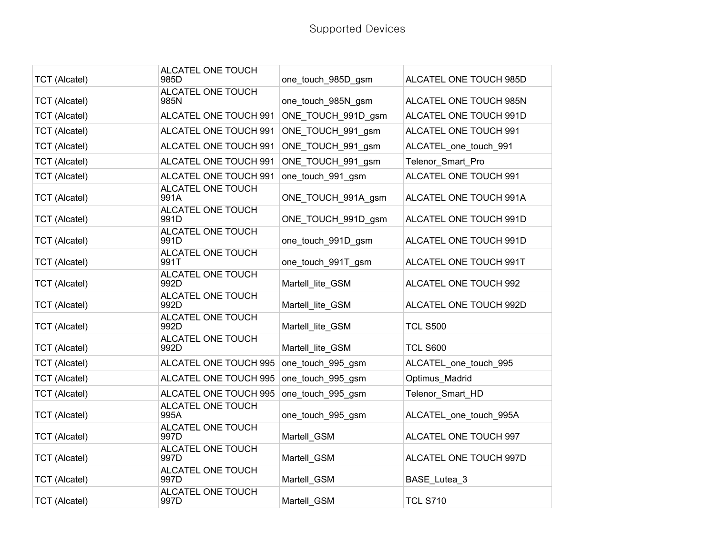| <b>TCT (Alcatel)</b> | ALCATEL ONE TOUCH<br>985D | one_touch_985D_gsm | ALCATEL ONE TOUCH 985D |
|----------------------|---------------------------|--------------------|------------------------|
| <b>TCT (Alcatel)</b> | ALCATEL ONE TOUCH<br>985N | one_touch_985N_gsm | ALCATEL ONE TOUCH 985N |
| <b>TCT (Alcatel)</b> | ALCATEL ONE TOUCH 991     | ONE_TOUCH_991D_gsm | ALCATEL ONE TOUCH 991D |
| <b>TCT (Alcatel)</b> | ALCATEL ONE TOUCH 991     | ONE_TOUCH_991_gsm  | ALCATEL ONE TOUCH 991  |
| <b>TCT (Alcatel)</b> | ALCATEL ONE TOUCH 991     | ONE TOUCH 991 gsm  | ALCATEL one touch 991  |
| <b>TCT (Alcatel)</b> | ALCATEL ONE TOUCH 991     | ONE TOUCH 991 gsm  | Telenor Smart Pro      |
| <b>TCT</b> (Alcatel) | ALCATEL ONE TOUCH 991     | one_touch_991_gsm  | ALCATEL ONE TOUCH 991  |
| <b>TCT</b> (Alcatel) | ALCATEL ONE TOUCH<br>991A | ONE TOUCH 991A gsm | ALCATEL ONE TOUCH 991A |
| <b>TCT (Alcatel)</b> | ALCATEL ONE TOUCH<br>991D | ONE_TOUCH_991D_gsm | ALCATEL ONE TOUCH 991D |
| <b>TCT (Alcatel)</b> | ALCATEL ONE TOUCH<br>991D | one touch 991D gsm | ALCATEL ONE TOUCH 991D |
| <b>TCT</b> (Alcatel) | ALCATEL ONE TOUCH<br>991T | one_touch_991T_gsm | ALCATEL ONE TOUCH 991T |
| <b>TCT (Alcatel)</b> | ALCATEL ONE TOUCH<br>992D | Martell_lite_GSM   | ALCATEL ONE TOUCH 992  |
| <b>TCT</b> (Alcatel) | ALCATEL ONE TOUCH<br>992D | Martell lite GSM   | ALCATEL ONE TOUCH 992D |
| <b>TCT (Alcatel)</b> | ALCATEL ONE TOUCH<br>992D | Martell_lite_GSM   | <b>TCL S500</b>        |
| <b>TCT (Alcatel)</b> | ALCATEL ONE TOUCH<br>992D | Martell lite GSM   | <b>TCL S600</b>        |
| <b>TCT (Alcatel)</b> | ALCATEL ONE TOUCH 995     | one_touch_995_gsm  | ALCATEL one touch 995  |
| <b>TCT (Alcatel)</b> | ALCATEL ONE TOUCH 995     | one_touch_995_gsm  | Optimus Madrid         |
| <b>TCT</b> (Alcatel) | ALCATEL ONE TOUCH 995     | one_touch_995_gsm  | Telenor_Smart_HD       |
| <b>TCT (Alcatel)</b> | ALCATEL ONE TOUCH<br>995A | one_touch_995_gsm  | ALCATEL_one_touch_995A |
| <b>TCT (Alcatel)</b> | ALCATEL ONE TOUCH<br>997D | Martell_GSM        | ALCATEL ONE TOUCH 997  |
| <b>TCT (Alcatel)</b> | ALCATEL ONE TOUCH<br>997D | Martell GSM        | ALCATEL ONE TOUCH 997D |
| <b>TCT</b> (Alcatel) | ALCATEL ONE TOUCH<br>997D | Martell GSM        | BASE Lutea 3           |
| <b>TCT</b> (Alcatel) | ALCATEL ONE TOUCH<br>997D | Martell_GSM        | <b>TCL S710</b>        |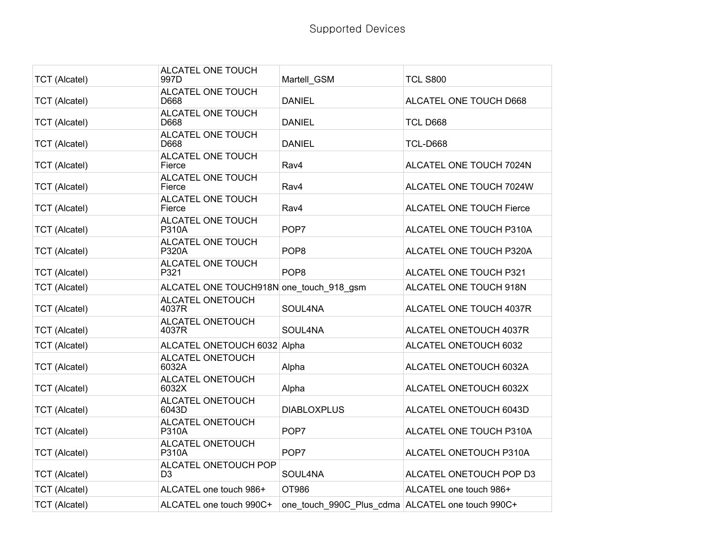| <b>TCT</b> (Alcatel) | ALCATEL ONE TOUCH<br>997D               | Martell GSM                                      | <b>TCL S800</b>          |
|----------------------|-----------------------------------------|--------------------------------------------------|--------------------------|
| <b>TCT</b> (Alcatel) | ALCATEL ONE TOUCH<br>D668               | <b>DANIEL</b>                                    | ALCATEL ONE TOUCH D668   |
| <b>TCT (Alcatel)</b> | ALCATEL ONE TOUCH<br>D668               | <b>DANIEL</b>                                    | <b>TCL D668</b>          |
| <b>TCT (Alcatel)</b> | ALCATEL ONE TOUCH<br>D668               | <b>DANIEL</b>                                    | <b>TCL-D668</b>          |
| <b>TCT (Alcatel)</b> | ALCATEL ONE TOUCH<br>Fierce             | Rav4                                             | ALCATEL ONE TOUCH 7024N  |
| <b>TCT</b> (Alcatel) | ALCATEL ONE TOUCH<br>Fierce             | Rav4                                             | ALCATEL ONE TOUCH 7024W  |
| <b>TCT (Alcatel)</b> | ALCATEL ONE TOUCH<br>Fierce             | Rav4                                             | ALCATEL ONE TOUCH Fierce |
| <b>TCT (Alcatel)</b> | ALCATEL ONE TOUCH<br>P310A              | POP7                                             | ALCATEL ONE TOUCH P310A  |
| <b>TCT (Alcatel)</b> | ALCATEL ONE TOUCH<br>P320A              | POP <sub>8</sub>                                 | ALCATEL ONE TOUCH P320A  |
| <b>TCT (Alcatel)</b> | ALCATEL ONE TOUCH<br>P321               | POP <sub>8</sub>                                 | ALCATEL ONE TOUCH P321   |
| <b>TCT (Alcatel)</b> | ALCATEL ONE TOUCH918N one touch 918 gsm |                                                  | ALCATEL ONE TOUCH 918N   |
| <b>TCT (Alcatel)</b> | ALCATEL ONETOUCH<br>4037R               | SOUL4NA                                          | ALCATEL ONE TOUCH 4037R  |
| <b>TCT (Alcatel)</b> | ALCATEL ONETOUCH<br>4037R               | SOUL4NA                                          | ALCATEL ONETOUCH 4037R   |
| <b>TCT (Alcatel)</b> | ALCATEL ONETOUCH 6032 Alpha             |                                                  | ALCATEL ONETOUCH 6032    |
| <b>TCT (Alcatel)</b> | ALCATEL ONETOUCH<br>6032A               | Alpha                                            | ALCATEL ONETOUCH 6032A   |
| <b>TCT</b> (Alcatel) | ALCATEL ONETOUCH<br>6032X               | Alpha                                            | ALCATEL ONETOUCH 6032X   |
| <b>TCT</b> (Alcatel) | ALCATEL ONETOUCH<br>6043D               | <b>DIABLOXPLUS</b>                               | ALCATEL ONETOUCH 6043D   |
| <b>TCT (Alcatel)</b> | ALCATEL ONETOUCH<br><b>P310A</b>        | POP7                                             | ALCATEL ONE TOUCH P310A  |
| <b>TCT (Alcatel)</b> | ALCATEL ONETOUCH<br><b>P310A</b>        | POP7                                             | ALCATEL ONETOUCH P310A   |
| <b>TCT</b> (Alcatel) | ALCATEL ONETOUCH POP<br>D3              | SOUL4NA                                          | ALCATEL ONETOUCH POP D3  |
| <b>TCT (Alcatel)</b> | ALCATEL one touch 986+                  | OT986                                            | ALCATEL one touch 986+   |
| <b>TCT (Alcatel)</b> | ALCATEL one touch 990C+                 | one touch 990C Plus cdma ALCATEL one touch 990C+ |                          |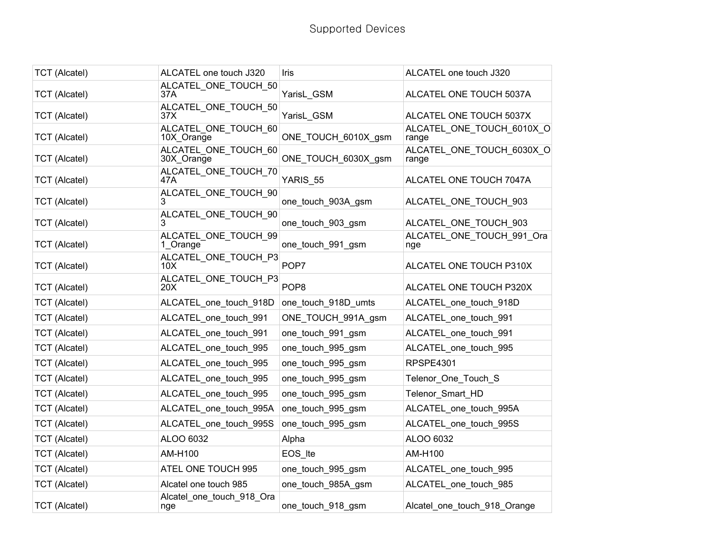| <b>TCT (Alcatel)</b> | ALCATEL one touch J320             | Iris                | ALCATEL one touch J320             |
|----------------------|------------------------------------|---------------------|------------------------------------|
| <b>TCT (Alcatel)</b> | ALCATEL_ONE_TOUCH_50<br>37A        | YarisL_GSM          | ALCATEL ONE TOUCH 5037A            |
| <b>TCT</b> (Alcatel) | ALCATEL_ONE_TOUCH_50<br>37X        | YarisL GSM          | ALCATEL ONE TOUCH 5037X            |
| <b>TCT (Alcatel)</b> | ALCATEL ONE TOUCH 60<br>10X Orange | ONE_TOUCH_6010X_gsm | ALCATEL ONE TOUCH 6010X O<br>range |
| <b>TCT (Alcatel)</b> | ALCATEL_ONE_TOUCH_60<br>30X_Orange | ONE_TOUCH_6030X_gsm | ALCATEL_ONE_TOUCH_6030X_O<br>range |
| <b>TCT (Alcatel)</b> | ALCATEL_ONE_TOUCH_70<br>47A        | YARIS_55            | ALCATEL ONE TOUCH 7047A            |
| <b>TCT</b> (Alcatel) | ALCATEL_ONE_TOUCH_90               | one_touch_903A_gsm  | ALCATEL_ONE_TOUCH_903              |
| <b>TCT</b> (Alcatel) | ALCATEL_ONE_TOUCH_90<br>3          | one_touch_903_gsm   | ALCATEL ONE TOUCH 903              |
| <b>TCT (Alcatel)</b> | ALCATEL_ONE_TOUCH_99<br>1 Orange   | one_touch_991_gsm   | ALCATEL_ONE_TOUCH_991_Ora<br>nge   |
| <b>TCT (Alcatel)</b> | ALCATEL_ONE_TOUCH_P3<br>10X        | POP7                | ALCATEL ONE TOUCH P310X            |
| <b>TCT (Alcatel)</b> | ALCATEL_ONE_TOUCH_P3<br>20X        | POP <sub>8</sub>    | ALCATEL ONE TOUCH P320X            |
| <b>TCT</b> (Alcatel) | ALCATEL_one_touch_918D             | one_touch_918D_umts | ALCATEL_one_touch_918D             |
| <b>TCT (Alcatel)</b> | ALCATEL_one_touch_991              | ONE_TOUCH_991A_gsm  | ALCATEL_one_touch_991              |
| <b>TCT</b> (Alcatel) | ALCATEL_one_touch_991              | one_touch_991_gsm   | ALCATEL_one_touch_991              |
| <b>TCT (Alcatel)</b> | ALCATEL_one_touch_995              | one_touch_995_gsm   | ALCATEL_one_touch_995              |
| <b>TCT</b> (Alcatel) | ALCATEL_one_touch_995              | one_touch_995_gsm   | RPSPE4301                          |
| <b>TCT</b> (Alcatel) | ALCATEL_one_touch_995              | one_touch_995_gsm   | Telenor_One_Touch_S                |
| <b>TCT</b> (Alcatel) | ALCATEL_one_touch_995              | one_touch_995_gsm   | Telenor_Smart_HD                   |
| <b>TCT (Alcatel)</b> | ALCATEL_one_touch_995A             | one_touch_995_gsm   | ALCATEL_one_touch_995A             |
| <b>TCT</b> (Alcatel) | ALCATEL_one_touch_995S             | one_touch_995_gsm   | ALCATEL_one_touch_995S             |
| <b>TCT (Alcatel)</b> | ALOO 6032                          | Alpha               | ALOO 6032                          |
| <b>TCT</b> (Alcatel) | AM-H100                            | EOS_Ite             | AM-H100                            |
| <b>TCT</b> (Alcatel) | ATEL ONE TOUCH 995                 | one_touch_995_gsm   | ALCATEL_one_touch_995              |
| <b>TCT (Alcatel)</b> | Alcatel one touch 985              | one_touch_985A_gsm  | ALCATEL_one_touch_985              |
| <b>TCT (Alcatel)</b> | Alcatel_one_touch_918_Ora<br>nge   | one_touch_918_gsm   | Alcatel_one_touch_918_Orange       |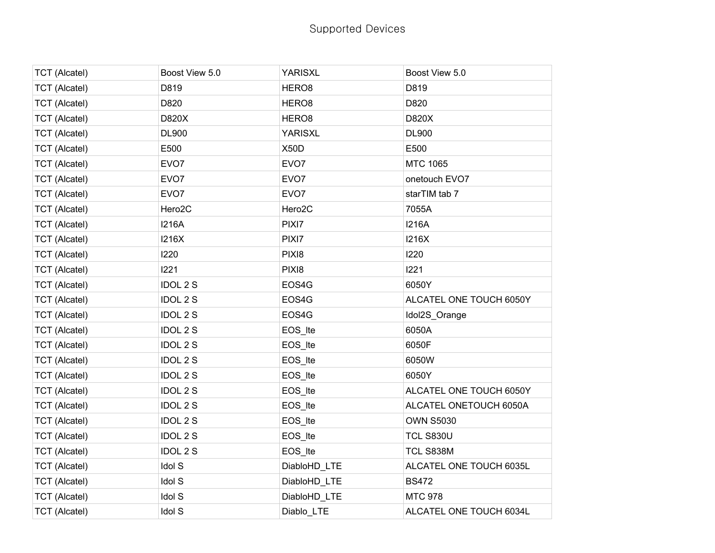| <b>TCT (Alcatel)</b> | Boost View 5.0      | <b>YARISXL</b>      | Boost View 5.0          |
|----------------------|---------------------|---------------------|-------------------------|
| <b>TCT (Alcatel)</b> | D819                | HERO <sub>8</sub>   | D819                    |
| <b>TCT</b> (Alcatel) | D820                | HERO <sub>8</sub>   | D820                    |
| <b>TCT (Alcatel)</b> | D820X               | HERO <sub>8</sub>   | D820X                   |
| <b>TCT (Alcatel)</b> | <b>DL900</b>        | <b>YARISXL</b>      | DL900                   |
| <b>TCT</b> (Alcatel) | E500                | X50D                | E500                    |
| <b>TCT</b> (Alcatel) | EVO <sub>7</sub>    | EVO <sub>7</sub>    | MTC 1065                |
| <b>TCT</b> (Alcatel) | EVO7                | EVO7                | onetouch EVO7           |
| <b>TCT (Alcatel)</b> | EVO <sub>7</sub>    | EVO7                | starTIM tab 7           |
| <b>TCT</b> (Alcatel) | Hero <sub>2</sub> C | Hero <sub>2</sub> C | 7055A                   |
| <b>TCT</b> (Alcatel) | <b>I216A</b>        | PIXI7               | <b>I216A</b>            |
| <b>TCT</b> (Alcatel) | 1216X               | PIXI7               | <b>I216X</b>            |
| <b>TCT (Alcatel)</b> | 1220                | PIXI8               | 1220                    |
| <b>TCT</b> (Alcatel) | 1221                | PIXI8               | 1221                    |
| <b>TCT</b> (Alcatel) | <b>IDOL 2 S</b>     | EOS4G               | 6050Y                   |
| <b>TCT</b> (Alcatel) | <b>IDOL 2 S</b>     | EOS4G               | ALCATEL ONE TOUCH 6050Y |
| <b>TCT (Alcatel)</b> | <b>IDOL 2 S</b>     | EOS4G               | Idol2S_Orange           |
| <b>TCT</b> (Alcatel) | <b>IDOL 2 S</b>     | EOS_Ite             | 6050A                   |
| <b>TCT</b> (Alcatel) | <b>IDOL 2 S</b>     | EOS_Ite             | 6050F                   |
| <b>TCT</b> (Alcatel) | <b>IDOL 2 S</b>     | EOS_Ite             | 6050W                   |
| <b>TCT (Alcatel)</b> | <b>IDOL 2 S</b>     | EOS_Ite             | 6050Y                   |
| <b>TCT</b> (Alcatel) | <b>IDOL 2 S</b>     | EOS_Ite             | ALCATEL ONE TOUCH 6050Y |
| <b>TCT</b> (Alcatel) | <b>IDOL 2 S</b>     | EOS_Ite             | ALCATEL ONETOUCH 6050A  |
| <b>TCT</b> (Alcatel) | <b>IDOL 2 S</b>     | EOS_Ite             | <b>OWN S5030</b>        |
| <b>TCT</b> (Alcatel) | <b>IDOL 2 S</b>     | EOS_Ite             | <b>TCL S830U</b>        |
| <b>TCT</b> (Alcatel) | <b>IDOL 2 S</b>     | EOS_Ite             | TCL S838M               |
| <b>TCT</b> (Alcatel) | <b>Idol S</b>       | DiabloHD_LTE        | ALCATEL ONE TOUCH 6035L |
| <b>TCT</b> (Alcatel) | Idol S              | DiabloHD_LTE        | <b>BS472</b>            |
| <b>TCT</b> (Alcatel) | <b>Idol S</b>       | DiabloHD_LTE        | <b>MTC 978</b>          |
| <b>TCT (Alcatel)</b> | <b>Idol S</b>       | Diablo_LTE          | ALCATEL ONE TOUCH 6034L |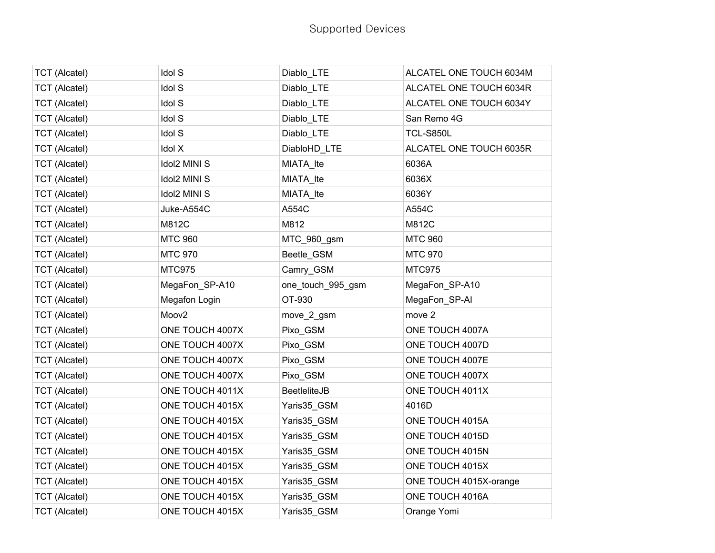| <b>TCT</b> (Alcatel) | <b>Idol S</b>       | Diablo_LTE          | ALCATEL ONE TOUCH 6034M |
|----------------------|---------------------|---------------------|-------------------------|
| <b>TCT</b> (Alcatel) | <b>Idol S</b>       | Diablo_LTE          | ALCATEL ONE TOUCH 6034R |
| <b>TCT (Alcatel)</b> | <b>Idol S</b>       | Diablo_LTE          | ALCATEL ONE TOUCH 6034Y |
| <b>TCT (Alcatel)</b> | <b>Idol S</b>       | Diablo_LTE          | San Remo 4G             |
| <b>TCT</b> (Alcatel) | <b>Idol S</b>       | Diablo_LTE          | <b>TCL-S850L</b>        |
| <b>TCT</b> (Alcatel) | Idol X              | DiabloHD_LTE        | ALCATEL ONE TOUCH 6035R |
| <b>TCT (Alcatel)</b> | <b>Idol2 MINI S</b> | MIATA_Ite           | 6036A                   |
| <b>TCT</b> (Alcatel) | <b>Idol2 MINI S</b> | MIATA_Ite           | 6036X                   |
| <b>TCT (Alcatel)</b> | <b>Idol2 MINI S</b> | MIATA_Ite           | 6036Y                   |
| <b>TCT (Alcatel)</b> | Juke-A554C          | A554C               | A554C                   |
| <b>TCT</b> (Alcatel) | M812C               | M812                | M812C                   |
| <b>TCT (Alcatel)</b> | <b>MTC 960</b>      | MTC_960_gsm         | <b>MTC 960</b>          |
| <b>TCT</b> (Alcatel) | <b>MTC 970</b>      | Beetle_GSM          | <b>MTC 970</b>          |
| <b>TCT</b> (Alcatel) | <b>MTC975</b>       | Camry_GSM           | <b>MTC975</b>           |
| <b>TCT (Alcatel)</b> | MegaFon_SP-A10      | one_touch_995_gsm   | MegaFon_SP-A10          |
| <b>TCT</b> (Alcatel) | Megafon Login       | OT-930              | MegaFon_SP-AI           |
| <b>TCT</b> (Alcatel) | Moov <sub>2</sub>   | move_2_gsm          | move 2                  |
| <b>TCT (Alcatel)</b> | ONE TOUCH 4007X     | Pixo_GSM            | ONE TOUCH 4007A         |
| <b>TCT</b> (Alcatel) | ONE TOUCH 4007X     | Pixo_GSM            | ONE TOUCH 4007D         |
| <b>TCT</b> (Alcatel) | ONE TOUCH 4007X     | Pixo_GSM            | ONE TOUCH 4007E         |
| <b>TCT (Alcatel)</b> | ONE TOUCH 4007X     | Pixo_GSM            | ONE TOUCH 4007X         |
| <b>TCT (Alcatel)</b> | ONE TOUCH 4011X     | <b>BeetleliteJB</b> | ONE TOUCH 4011X         |
| <b>TCT</b> (Alcatel) | ONE TOUCH 4015X     | Yaris35_GSM         | 4016D                   |
| <b>TCT (Alcatel)</b> | ONE TOUCH 4015X     | Yaris35_GSM         | ONE TOUCH 4015A         |
| <b>TCT</b> (Alcatel) | ONE TOUCH 4015X     | Yaris35_GSM         | ONE TOUCH 4015D         |
| <b>TCT</b> (Alcatel) | ONE TOUCH 4015X     | Yaris35_GSM         | ONE TOUCH 4015N         |
| <b>TCT (Alcatel)</b> | ONE TOUCH 4015X     | Yaris35_GSM         | ONE TOUCH 4015X         |
| <b>TCT</b> (Alcatel) | ONE TOUCH 4015X     | Yaris35_GSM         | ONE TOUCH 4015X-orange  |
| <b>TCT</b> (Alcatel) | ONE TOUCH 4015X     | Yaris35_GSM         | ONE TOUCH 4016A         |
| <b>TCT</b> (Alcatel) | ONE TOUCH 4015X     | Yaris35_GSM         | Orange Yomi             |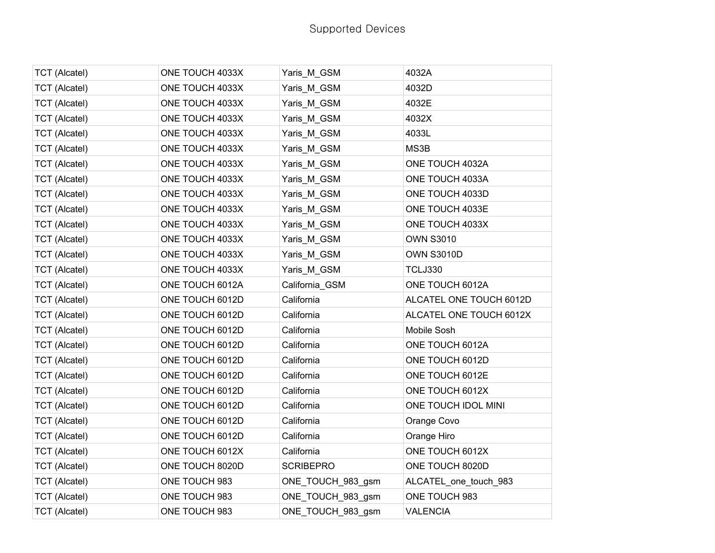| <b>TCT (Alcatel)</b> | ONE TOUCH 4033X | Yaris_M_GSM       | 4032A                   |
|----------------------|-----------------|-------------------|-------------------------|
| <b>TCT (Alcatel)</b> | ONE TOUCH 4033X | Yaris M GSM       | 4032D                   |
| <b>TCT</b> (Alcatel) | ONE TOUCH 4033X | Yaris_M_GSM       | 4032E                   |
| <b>TCT</b> (Alcatel) | ONE TOUCH 4033X | Yaris_M_GSM       | 4032X                   |
| <b>TCT (Alcatel)</b> | ONE TOUCH 4033X | Yaris M GSM       | 4033L                   |
| <b>TCT (Alcatel)</b> | ONE TOUCH 4033X | Yaris M GSM       | MS3B                    |
| <b>TCT</b> (Alcatel) | ONE TOUCH 4033X | Yaris_M_GSM       | ONE TOUCH 4032A         |
| <b>TCT</b> (Alcatel) | ONE TOUCH 4033X | Yaris_M_GSM       | ONE TOUCH 4033A         |
| <b>TCT (Alcatel)</b> | ONE TOUCH 4033X | Yaris M GSM       | ONE TOUCH 4033D         |
| <b>TCT</b> (Alcatel) | ONE TOUCH 4033X | Yaris_M_GSM       | ONE TOUCH 4033E         |
| <b>TCT</b> (Alcatel) | ONE TOUCH 4033X | Yaris_M_GSM       | ONE TOUCH 4033X         |
| <b>TCT</b> (Alcatel) | ONE TOUCH 4033X | Yaris_M_GSM       | <b>OWN S3010</b>        |
| <b>TCT</b> (Alcatel) | ONE TOUCH 4033X | Yaris_M_GSM       | <b>OWN S3010D</b>       |
| <b>TCT</b> (Alcatel) | ONE TOUCH 4033X | Yaris_M_GSM       | <b>TCLJ330</b>          |
| <b>TCT (Alcatel)</b> | ONE TOUCH 6012A | California_GSM    | ONE TOUCH 6012A         |
| <b>TCT</b> (Alcatel) | ONE TOUCH 6012D | California        | ALCATEL ONE TOUCH 6012D |
| <b>TCT</b> (Alcatel) | ONE TOUCH 6012D | California        | ALCATEL ONE TOUCH 6012X |
| <b>TCT</b> (Alcatel) | ONE TOUCH 6012D | California        | Mobile Sosh             |
| <b>TCT</b> (Alcatel) | ONE TOUCH 6012D | California        | ONE TOUCH 6012A         |
| <b>TCT (Alcatel)</b> | ONE TOUCH 6012D | California        | ONE TOUCH 6012D         |
| <b>TCT</b> (Alcatel) | ONE TOUCH 6012D | California        | ONE TOUCH 6012E         |
| <b>TCT</b> (Alcatel) | ONE TOUCH 6012D | California        | ONE TOUCH 6012X         |
| <b>TCT</b> (Alcatel) | ONE TOUCH 6012D | California        | ONE TOUCH IDOL MINI     |
| <b>TCT (Alcatel)</b> | ONE TOUCH 6012D | California        | Orange Covo             |
| <b>TCT</b> (Alcatel) | ONE TOUCH 6012D | California        | Orange Hiro             |
| <b>TCT</b> (Alcatel) | ONE TOUCH 6012X | California        | ONE TOUCH 6012X         |
| <b>TCT (Alcatel)</b> | ONE TOUCH 8020D | <b>SCRIBEPRO</b>  | ONE TOUCH 8020D         |
| <b>TCT</b> (Alcatel) | ONE TOUCH 983   | ONE_TOUCH_983_gsm | ALCATEL_one_touch_983   |
| <b>TCT (Alcatel)</b> | ONE TOUCH 983   | ONE_TOUCH_983_gsm | ONE TOUCH 983           |
| <b>TCT (Alcatel)</b> | ONE TOUCH 983   | ONE_TOUCH_983_gsm | <b>VALENCIA</b>         |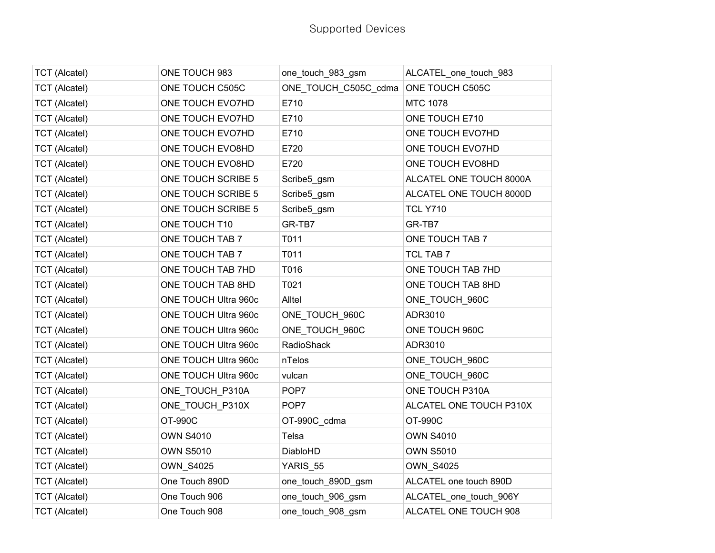| <b>TCT (Alcatel)</b> | ONE TOUCH 983        | one_touch_983_gsm    | ALCATEL_one_touch_983   |
|----------------------|----------------------|----------------------|-------------------------|
| <b>TCT (Alcatel)</b> | ONE TOUCH C505C      | ONE TOUCH C505C cdma | ONE TOUCH C505C         |
| <b>TCT</b> (Alcatel) | ONE TOUCH EVO7HD     | E710                 | <b>MTC 1078</b>         |
| <b>TCT (Alcatel)</b> | ONE TOUCH EVO7HD     | E710                 | ONE TOUCH E710          |
| <b>TCT (Alcatel)</b> | ONE TOUCH EVO7HD     | E710                 | ONE TOUCH EVO7HD        |
| <b>TCT</b> (Alcatel) | ONE TOUCH EVO8HD     | E720                 | ONE TOUCH EVO7HD        |
| <b>TCT (Alcatel)</b> | ONE TOUCH EVO8HD     | E720                 | ONE TOUCH EVO8HD        |
| <b>TCT (Alcatel)</b> | ONE TOUCH SCRIBE 5   | Scribe5_gsm          | ALCATEL ONE TOUCH 8000A |
| <b>TCT (Alcatel)</b> | ONE TOUCH SCRIBE 5   | Scribe5_gsm          | ALCATEL ONE TOUCH 8000D |
| <b>TCT (Alcatel)</b> | ONE TOUCH SCRIBE 5   | Scribe5_gsm          | <b>TCL Y710</b>         |
| <b>TCT (Alcatel)</b> | ONE TOUCH T10        | GR-TB7               | GR-TB7                  |
| <b>TCT (Alcatel)</b> | ONE TOUCH TAB 7      | T011                 | ONE TOUCH TAB 7         |
| <b>TCT (Alcatel)</b> | ONE TOUCH TAB 7      | T011                 | <b>TCL TAB 7</b>        |
| <b>TCT (Alcatel)</b> | ONE TOUCH TAB 7HD    | T016                 | ONE TOUCH TAB 7HD       |
| <b>TCT</b> (Alcatel) | ONE TOUCH TAB 8HD    | T021                 | ONE TOUCH TAB 8HD       |
| <b>TCT</b> (Alcatel) | ONE TOUCH Ultra 960c | Alltel               | ONE_TOUCH_960C          |
| <b>TCT (Alcatel)</b> | ONE TOUCH Ultra 960c | ONE_TOUCH_960C       | ADR3010                 |
| <b>TCT (Alcatel)</b> | ONE TOUCH Ultra 960c | ONE TOUCH 960C       | ONE TOUCH 960C          |
| <b>TCT</b> (Alcatel) | ONE TOUCH Ultra 960c | RadioShack           | ADR3010                 |
| <b>TCT (Alcatel)</b> | ONE TOUCH Ultra 960c | nTelos               | ONE_TOUCH_960C          |
| <b>TCT (Alcatel)</b> | ONE TOUCH Ultra 960c | vulcan               | ONE_TOUCH_960C          |
| <b>TCT (Alcatel)</b> | ONE TOUCH P310A      | POP7                 | ONE TOUCH P310A         |
| <b>TCT (Alcatel)</b> | ONE_TOUCH_P310X      | POP7                 | ALCATEL ONE TOUCH P310X |
| <b>TCT (Alcatel)</b> | OT-990C              | OT-990C_cdma         | OT-990C                 |
| <b>TCT</b> (Alcatel) | <b>OWN S4010</b>     | Telsa                | <b>OWN S4010</b>        |
| <b>TCT</b> (Alcatel) | <b>OWN S5010</b>     | DiabloHD             | <b>OWN S5010</b>        |
| <b>TCT (Alcatel)</b> | <b>OWN_S4025</b>     | YARIS_55             | <b>OWN_S4025</b>        |
| <b>TCT</b> (Alcatel) | One Touch 890D       | one_touch_890D_gsm   | ALCATEL one touch 890D  |
| <b>TCT (Alcatel)</b> | One Touch 906        | one_touch_906_gsm    | ALCATEL_one_touch_906Y  |
| <b>TCT (Alcatel)</b> | One Touch 908        | one_touch_908_gsm    | ALCATEL ONE TOUCH 908   |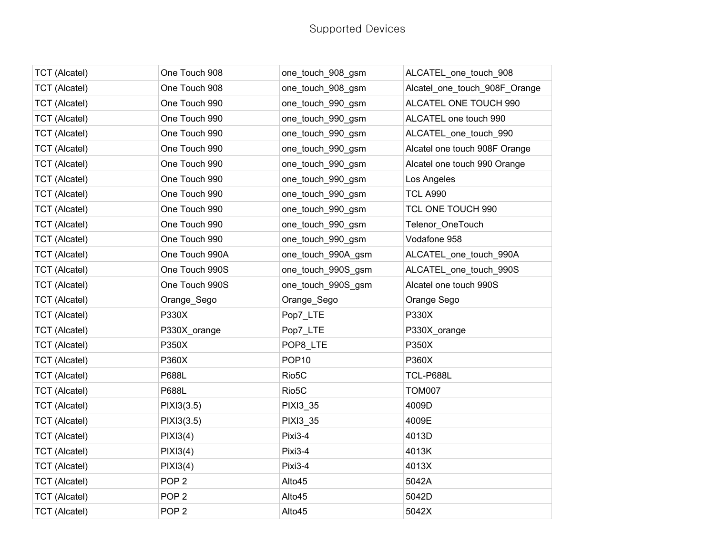| <b>TCT</b> (Alcatel) | One Touch 908    | one_touch_908_gsm  | ALCATEL_one_touch_908         |
|----------------------|------------------|--------------------|-------------------------------|
| <b>TCT</b> (Alcatel) | One Touch 908    | one_touch_908_gsm  | Alcatel_one_touch_908F_Orange |
| <b>TCT</b> (Alcatel) | One Touch 990    | one_touch_990_gsm  | ALCATEL ONE TOUCH 990         |
| <b>TCT</b> (Alcatel) | One Touch 990    | one_touch_990_gsm  | ALCATEL one touch 990         |
| <b>TCT</b> (Alcatel) | One Touch 990    | one_touch_990_gsm  | ALCATEL_one_touch_990         |
| <b>TCT</b> (Alcatel) | One Touch 990    | one_touch_990_gsm  | Alcatel one touch 908F Orange |
| <b>TCT (Alcatel)</b> | One Touch 990    | one_touch_990_gsm  | Alcatel one touch 990 Orange  |
| <b>TCT</b> (Alcatel) | One Touch 990    | one_touch_990_gsm  | Los Angeles                   |
| <b>TCT</b> (Alcatel) | One Touch 990    | one_touch_990_gsm  | <b>TCL A990</b>               |
| <b>TCT</b> (Alcatel) | One Touch 990    | one_touch_990_gsm  | TCL ONE TOUCH 990             |
| <b>TCT</b> (Alcatel) | One Touch 990    | one_touch_990_gsm  | Telenor_OneTouch              |
| <b>TCT</b> (Alcatel) | One Touch 990    | one_touch_990_gsm  | Vodafone 958                  |
| <b>TCT</b> (Alcatel) | One Touch 990A   | one_touch_990A_gsm | ALCATEL_one_touch_990A        |
| <b>TCT (Alcatel)</b> | One Touch 990S   | one_touch_990S_gsm | ALCATEL_one_touch_990S        |
| <b>TCT</b> (Alcatel) | One Touch 990S   | one_touch_990S_gsm | Alcatel one touch 990S        |
| <b>TCT</b> (Alcatel) | Orange_Sego      | Orange_Sego        | Orange Sego                   |
| <b>TCT</b> (Alcatel) | P330X            | Pop7_LTE           | P330X                         |
| <b>TCT (Alcatel)</b> | P330X orange     | Pop7 LTE           | P330X orange                  |
| <b>TCT</b> (Alcatel) | P350X            | POP8_LTE           | P350X                         |
| <b>TCT</b> (Alcatel) | P360X            | POP <sub>10</sub>  | P360X                         |
| <b>TCT (Alcatel)</b> | P688L            | Rio <sub>5</sub> C | TCL-P688L                     |
| <b>TCT</b> (Alcatel) | P688L            | Rio <sub>5</sub> C | <b>TOM007</b>                 |
| <b>TCT</b> (Alcatel) | PIXI3(3.5)       | PIXI3_35           | 4009D                         |
| <b>TCT (Alcatel)</b> | PIX13(3.5)       | <b>PIXI3 35</b>    | 4009E                         |
| <b>TCT</b> (Alcatel) | PIXI3(4)         | Pixi3-4            | 4013D                         |
| <b>TCT</b> (Alcatel) | PIXI3(4)         | Pixi3-4            | 4013K                         |
| <b>TCT</b> (Alcatel) | PIXI3(4)         | Pixi3-4            | 4013X                         |
| <b>TCT</b> (Alcatel) | POP <sub>2</sub> | Alto45             | 5042A                         |
| <b>TCT</b> (Alcatel) | POP <sub>2</sub> | Alto45             | 5042D                         |
| <b>TCT</b> (Alcatel) | POP <sub>2</sub> | Alto45             | 5042X                         |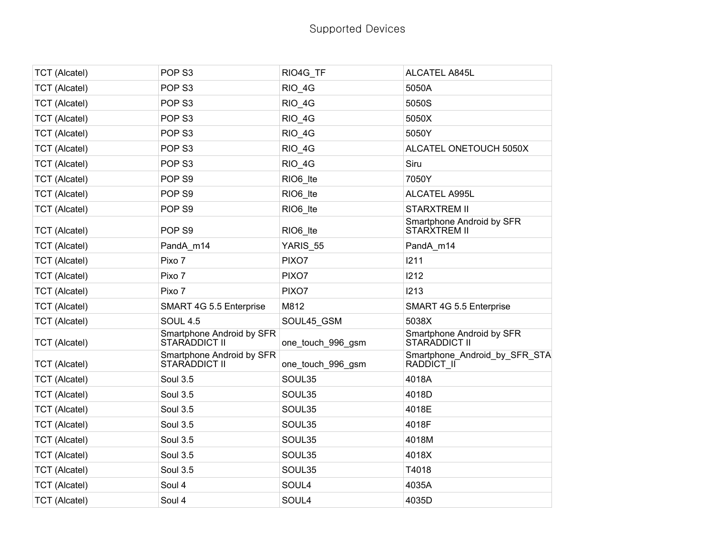| <b>TCT</b> (Alcatel) | POP <sub>S3</sub>                          | RIO4G TF             | ALCATEL A845L                               |
|----------------------|--------------------------------------------|----------------------|---------------------------------------------|
| <b>TCT (Alcatel)</b> | POP <sub>S3</sub>                          | RIO 4G               | 5050A                                       |
| <b>TCT (Alcatel)</b> | POP <sub>S3</sub>                          | RIO_4G               | 5050S                                       |
| <b>TCT</b> (Alcatel) | POP <sub>S3</sub>                          | RIO_4G               | 5050X                                       |
| <b>TCT (Alcatel)</b> | POP <sub>S3</sub>                          | RIO_4G               | 5050Y                                       |
| <b>TCT</b> (Alcatel) | POP <sub>S3</sub>                          | RIO_4G               | ALCATEL ONETOUCH 5050X                      |
| <b>TCT (Alcatel)</b> | POP <sub>S3</sub>                          | RIO_4G               | Siru                                        |
| <b>TCT</b> (Alcatel) | POP <sub>S9</sub>                          | RIO <sub>6_Ite</sub> | 7050Y                                       |
| <b>TCT (Alcatel)</b> | POP <sub>S9</sub>                          | RIO6 Ite             | ALCATEL A995L                               |
| <b>TCT (Alcatel)</b> | POP <sub>S9</sub>                          | RIO <sub>6_Ite</sub> | <b>STARXTREM II</b>                         |
| <b>TCT (Alcatel)</b> | POP <sub>S9</sub>                          | RIO <sub>6</sub> Ite | Smartphone Android by SFR<br>STARXTREM II   |
| <b>TCT (Alcatel)</b> | PandA_m14                                  | YARIS_55             | PandA_m14                                   |
| <b>TCT</b> (Alcatel) | Pixo 7                                     | PIXO7                | 1211                                        |
| <b>TCT</b> (Alcatel) | Pixo 7                                     | PIXO7                | 1212                                        |
| <b>TCT (Alcatel)</b> | Pixo 7                                     | PIXO7                | I213                                        |
| <b>TCT (Alcatel)</b> | SMART 4G 5.5 Enterprise                    | M812                 | SMART 4G 5.5 Enterprise                     |
| <b>TCT</b> (Alcatel) | <b>SOUL 4.5</b>                            | SOUL45_GSM           | 5038X                                       |
| <b>TCT</b> (Alcatel) | Smartphone Android by SFR<br>STARADDICT II | one_touch_996_gsm    | Smartphone Android by SFR<br>STARADDICT II  |
| <b>TCT (Alcatel)</b> | Smartphone Android by SFR<br>STARADDICT II | one_touch_996_gsm    | Smartphone_Android_by_SFR_STA<br>RADDICT II |
| <b>TCT (Alcatel)</b> | <b>Soul 3.5</b>                            | SOUL35               | 4018A                                       |
| <b>TCT (Alcatel)</b> | <b>Soul 3.5</b>                            | SOUL35               | 4018D                                       |
| <b>TCT (Alcatel)</b> | <b>Soul 3.5</b>                            | SOUL35               | 4018E                                       |
| <b>TCT (Alcatel)</b> | <b>Soul 3.5</b>                            | SOUL35               | 4018F                                       |
| <b>TCT (Alcatel)</b> | <b>Soul 3.5</b>                            | SOUL35               | 4018M                                       |
| <b>TCT</b> (Alcatel) | <b>Soul 3.5</b>                            | SOUL35               | 4018X                                       |
| <b>TCT (Alcatel)</b> | <b>Soul 3.5</b>                            | SOUL35               | T4018                                       |
| <b>TCT (Alcatel)</b> | Soul 4                                     | SOUL4                | 4035A                                       |
| <b>TCT (Alcatel)</b> | Soul 4                                     | SOUL4                | 4035D                                       |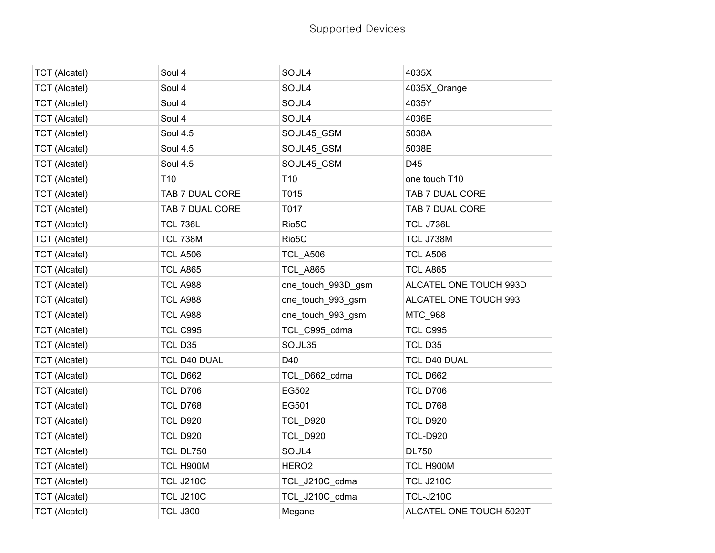| <b>TCT</b> (Alcatel) | Soul 4           | SOUL4              | 4035X                   |
|----------------------|------------------|--------------------|-------------------------|
| <b>TCT</b> (Alcatel) | Soul 4           | SOUL4              | 4035X Orange            |
| <b>TCT</b> (Alcatel) | Soul 4           | SOUL4              | 4035Y                   |
| <b>TCT (Alcatel)</b> | Soul 4           | SOUL4              | 4036E                   |
| <b>TCT</b> (Alcatel) | <b>Soul 4.5</b>  | SOUL45_GSM         | 5038A                   |
| <b>TCT</b> (Alcatel) | <b>Soul 4.5</b>  | SOUL45_GSM         | 5038E                   |
| <b>TCT (Alcatel)</b> | <b>Soul 4.5</b>  | SOUL45_GSM         | D45                     |
| <b>TCT (Alcatel)</b> | T <sub>10</sub>  | T <sub>10</sub>    | one touch T10           |
| <b>TCT</b> (Alcatel) | TAB 7 DUAL CORE  | T015               | TAB 7 DUAL CORE         |
| <b>TCT</b> (Alcatel) | TAB 7 DUAL CORE  | T017               | TAB 7 DUAL CORE         |
| <b>TCT</b> (Alcatel) | <b>TCL 736L</b>  | Rio <sub>5</sub> C | TCL-J736L               |
| <b>TCT (Alcatel)</b> | <b>TCL 738M</b>  | Rio <sub>5</sub> C | TCL J738M               |
| <b>TCT</b> (Alcatel) | <b>TCL A506</b>  | <b>TCL_A506</b>    | <b>TCL A506</b>         |
| <b>TCT (Alcatel)</b> | <b>TCL A865</b>  | <b>TCL A865</b>    | <b>TCL A865</b>         |
| <b>TCT</b> (Alcatel) | <b>TCL A988</b>  | one_touch_993D_gsm | ALCATEL ONE TOUCH 993D  |
| <b>TCT</b> (Alcatel) | <b>TCL A988</b>  | one_touch_993_gsm  | ALCATEL ONE TOUCH 993   |
| <b>TCT</b> (Alcatel) | <b>TCL A988</b>  | one_touch_993_gsm  | MTC_968                 |
| <b>TCT (Alcatel)</b> | <b>TCL C995</b>  | TCL C995 cdma      | <b>TCL C995</b>         |
| <b>TCT</b> (Alcatel) | TCL D35          | SOUL35             | TCL D35                 |
| <b>TCT</b> (Alcatel) | TCL D40 DUAL     | D40                | TCL D40 DUAL            |
| <b>TCT (Alcatel)</b> | <b>TCL D662</b>  | TCL_D662_cdma      | <b>TCL D662</b>         |
| <b>TCT</b> (Alcatel) | <b>TCL D706</b>  | EG502              | <b>TCL D706</b>         |
| <b>TCT</b> (Alcatel) | <b>TCL D768</b>  | EG501              | <b>TCL D768</b>         |
| <b>TCT (Alcatel)</b> | <b>TCL D920</b>  | <b>TCL D920</b>    | <b>TCL D920</b>         |
| <b>TCT</b> (Alcatel) | <b>TCL D920</b>  | <b>TCL_D920</b>    | <b>TCL-D920</b>         |
| <b>TCT</b> (Alcatel) | <b>TCL DL750</b> | SOUL4              | <b>DL750</b>            |
| <b>TCT</b> (Alcatel) | TCL H900M        | HERO <sub>2</sub>  | TCL H900M               |
| <b>TCT</b> (Alcatel) | <b>TCL J210C</b> | TCL_J210C_cdma     | <b>TCL J210C</b>        |
| <b>TCT</b> (Alcatel) | <b>TCL J210C</b> | TCL_J210C_cdma     | <b>TCL-J210C</b>        |
| <b>TCT</b> (Alcatel) | <b>TCL J300</b>  | Megane             | ALCATEL ONE TOUCH 5020T |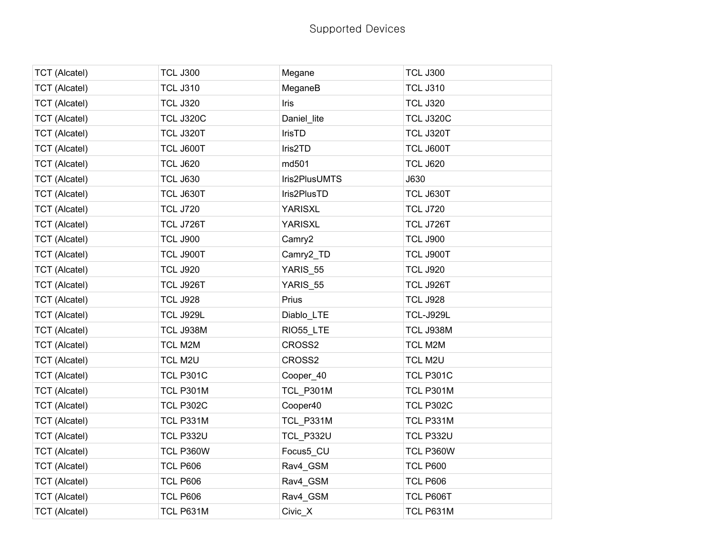| <b>TCT</b> (Alcatel) | <b>TCL J300</b>  | Megane           | <b>TCL J300</b>  |
|----------------------|------------------|------------------|------------------|
| <b>TCT (Alcatel)</b> | <b>TCL J310</b>  | MeganeB          | <b>TCL J310</b>  |
| <b>TCT</b> (Alcatel) | <b>TCL J320</b>  | <b>Iris</b>      | <b>TCL J320</b>  |
| <b>TCT (Alcatel)</b> | <b>TCL J320C</b> | Daniel_lite      | <b>TCL J320C</b> |
| <b>TCT</b> (Alcatel) | TCL J320T        | <b>IrisTD</b>    | TCL J320T        |
| <b>TCT</b> (Alcatel) | TCL J600T        | Iris2TD          | TCL J600T        |
| <b>TCT (Alcatel)</b> | <b>TCL J620</b>  | md501            | <b>TCL J620</b>  |
| <b>TCT</b> (Alcatel) | <b>TCL J630</b>  | Iris2PlusUMTS    | J630             |
| <b>TCT</b> (Alcatel) | TCL J630T        | Iris2PlusTD      | TCL J630T        |
| <b>TCT (Alcatel)</b> | <b>TCL J720</b>  | <b>YARISXL</b>   | <b>TCL J720</b>  |
| <b>TCT</b> (Alcatel) | TCL J726T        | <b>YARISXL</b>   | TCL J726T        |
| <b>TCT (Alcatel)</b> | <b>TCL J900</b>  | Camry2           | <b>TCL J900</b>  |
| <b>TCT</b> (Alcatel) | TCL J900T        | Camry2_TD        | TCL J900T        |
| <b>TCT</b> (Alcatel) | <b>TCL J920</b>  | YARIS_55         | <b>TCL J920</b>  |
| <b>TCT (Alcatel)</b> | TCL J926T        | YARIS_55         | TCL J926T        |
| <b>TCT</b> (Alcatel) | <b>TCL J928</b>  | Prius            | <b>TCL J928</b>  |
| <b>TCT (Alcatel)</b> | TCL J929L        | Diablo_LTE       | <b>TCL-J929L</b> |
| <b>TCT (Alcatel)</b> | TCL J938M        | RIO55_LTE        | TCL J938M        |
| <b>TCT (Alcatel)</b> | TCL M2M          | CROSS2           | TCL M2M          |
| <b>TCT (Alcatel)</b> | TCL M2U          | CROSS2           | TCL M2U          |
| <b>TCT (Alcatel)</b> | <b>TCL P301C</b> | Cooper_40        | <b>TCL P301C</b> |
| <b>TCT</b> (Alcatel) | TCL P301M        | TCL_P301M        | <b>TCL P301M</b> |
| <b>TCT (Alcatel)</b> | TCL P302C        | Cooper40         | TCL P302C        |
| <b>TCT (Alcatel)</b> | TCL P331M        | TCL_P331M        | TCL P331M        |
| <b>TCT (Alcatel)</b> | <b>TCL P332U</b> | <b>TCL_P332U</b> | TCL P332U        |
| <b>TCT (Alcatel)</b> | TCL P360W        | Focus5_CU        | TCL P360W        |
| <b>TCT</b> (Alcatel) | <b>TCL P606</b>  | Rav4_GSM         | <b>TCL P600</b>  |
| <b>TCT (Alcatel)</b> | <b>TCL P606</b>  | Rav4_GSM         | <b>TCL P606</b>  |
| <b>TCT</b> (Alcatel) | <b>TCL P606</b>  | Rav4_GSM         | TCL P606T        |
| <b>TCT</b> (Alcatel) | TCL P631M        | Civic X          | TCL P631M        |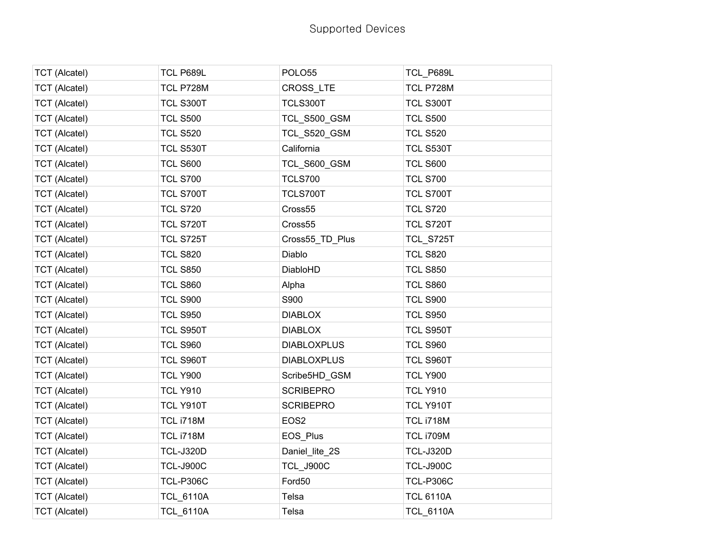| <b>TCT</b> (Alcatel) | TCL P689L        | POLO <sub>55</sub>  | TCL_P689L        |
|----------------------|------------------|---------------------|------------------|
| <b>TCT (Alcatel)</b> | TCL P728M        | CROSS LTE           | TCL P728M        |
| <b>TCT (Alcatel)</b> | TCL S300T        | TCLS300T            | TCL S300T        |
| <b>TCT (Alcatel)</b> | <b>TCL S500</b>  | <b>TCL_S500_GSM</b> | <b>TCL S500</b>  |
| <b>TCT (Alcatel)</b> | <b>TCL S520</b>  | <b>TCL_S520_GSM</b> | <b>TCL S520</b>  |
| <b>TCT (Alcatel)</b> | TCL S530T        | California          | TCL S530T        |
| <b>TCT</b> (Alcatel) | <b>TCL S600</b>  | TCL_S600_GSM        | <b>TCL S600</b>  |
| <b>TCT (Alcatel)</b> | <b>TCL S700</b>  | <b>TCLS700</b>      | <b>TCL S700</b>  |
| <b>TCT (Alcatel)</b> | TCL S700T        | TCLS700T            | TCL S700T        |
| <b>TCT (Alcatel)</b> | <b>TCL S720</b>  | Cross55             | <b>TCL S720</b>  |
| <b>TCT</b> (Alcatel) | TCL S720T        | Cross55             | TCL S720T        |
| <b>TCT (Alcatel)</b> | TCL S725T        | Cross55_TD_Plus     | TCL_S725T        |
| <b>TCT (Alcatel)</b> | <b>TCL S820</b>  | Diablo              | <b>TCL S820</b>  |
| <b>TCT</b> (Alcatel) | <b>TCL S850</b>  | DiabloHD            | <b>TCL S850</b>  |
| <b>TCT</b> (Alcatel) | <b>TCL S860</b>  | Alpha               | <b>TCL S860</b>  |
| <b>TCT (Alcatel)</b> | <b>TCL S900</b>  | S900                | <b>TCL S900</b>  |
| <b>TCT (Alcatel)</b> | <b>TCL S950</b>  | <b>DIABLOX</b>      | <b>TCL S950</b>  |
| <b>TCT</b> (Alcatel) | TCL S950T        | <b>DIABLOX</b>      | TCL S950T        |
| <b>TCT (Alcatel)</b> | <b>TCL S960</b>  | <b>DIABLOXPLUS</b>  | <b>TCL S960</b>  |
| <b>TCT (Alcatel)</b> | TCL S960T        | <b>DIABLOXPLUS</b>  | TCL S960T        |
| <b>TCT (Alcatel)</b> | <b>TCL Y900</b>  | Scribe5HD_GSM       | <b>TCL Y900</b>  |
| <b>TCT</b> (Alcatel) | <b>TCL Y910</b>  | <b>SCRIBEPRO</b>    | <b>TCL Y910</b>  |
| <b>TCT (Alcatel)</b> | TCL Y910T        | <b>SCRIBEPRO</b>    | TCL Y910T        |
| <b>TCT (Alcatel)</b> | TCL i718M        | EOS <sub>2</sub>    | TCL i718M        |
| <b>TCT</b> (Alcatel) | <b>TCL i718M</b> | EOS_Plus            | <b>TCL i709M</b> |
| <b>TCT</b> (Alcatel) | <b>TCL-J320D</b> | Daniel_lite_2S      | <b>TCL-J320D</b> |
| <b>TCT (Alcatel)</b> | <b>TCL-J900C</b> | TCL J900C           | <b>TCL-J900C</b> |
| <b>TCT (Alcatel)</b> | <b>TCL-P306C</b> | Ford50              | <b>TCL-P306C</b> |
| <b>TCT</b> (Alcatel) | <b>TCL_6110A</b> | Telsa               | <b>TCL 6110A</b> |
| <b>TCT</b> (Alcatel) | <b>TCL_6110A</b> | Telsa               | <b>TCL 6110A</b> |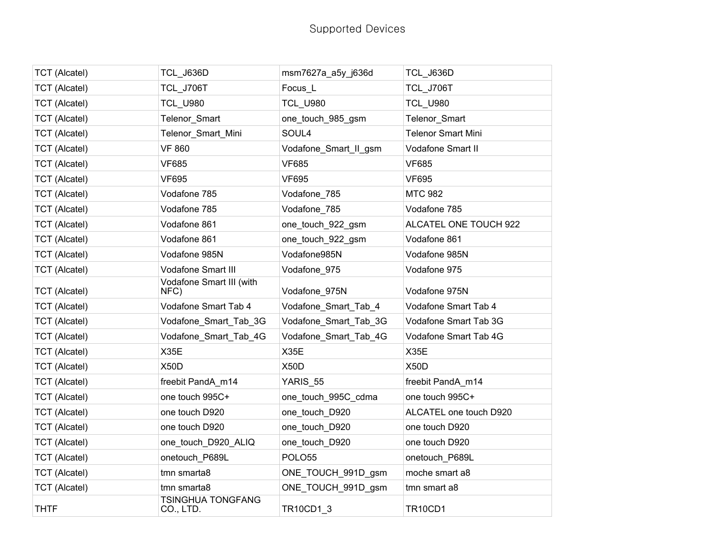| <b>TCT</b> (Alcatel) | TCL J636D                        | msm7627a_a5y_j636d    | <b>TCL_J636D</b>          |
|----------------------|----------------------------------|-----------------------|---------------------------|
| <b>TCT (Alcatel)</b> | TCL J706T                        | Focus L               | <b>TCL_J706T</b>          |
| <b>TCT (Alcatel)</b> | <b>TCL U980</b>                  | <b>TCL U980</b>       | <b>TCL_U980</b>           |
| <b>TCT (Alcatel)</b> | Telenor_Smart                    | one_touch_985_gsm     | Telenor_Smart             |
| <b>TCT (Alcatel)</b> | Telenor Smart Mini               | SOUL4                 | <b>Telenor Smart Mini</b> |
| <b>TCT</b> (Alcatel) | <b>VF 860</b>                    | Vodafone_Smart_II_gsm | Vodafone Smart II         |
| <b>TCT (Alcatel)</b> | <b>VF685</b>                     | <b>VF685</b>          | <b>VF685</b>              |
| <b>TCT</b> (Alcatel) | <b>VF695</b>                     | <b>VF695</b>          | <b>VF695</b>              |
| <b>TCT (Alcatel)</b> | Vodafone 785                     | Vodafone_785          | <b>MTC 982</b>            |
| <b>TCT (Alcatel)</b> | Vodafone 785                     | Vodafone_785          | Vodafone 785              |
| <b>TCT</b> (Alcatel) | Vodafone 861                     | one_touch_922_gsm     | ALCATEL ONE TOUCH 922     |
| <b>TCT</b> (Alcatel) | Vodafone 861                     | one_touch_922_gsm     | Vodafone 861              |
| <b>TCT (Alcatel)</b> | Vodafone 985N                    | Vodafone985N          | Vodafone 985N             |
| <b>TCT (Alcatel)</b> | <b>Vodafone Smart III</b>        | Vodafone_975          | Vodafone 975              |
| <b>TCT</b> (Alcatel) | Vodafone Smart III (with<br>NFC) | Vodafone 975N         | Vodafone 975N             |
| <b>TCT</b> (Alcatel) | Vodafone Smart Tab 4             | Vodafone_Smart_Tab_4  | Vodafone Smart Tab 4      |
| <b>TCT</b> (Alcatel) | Vodafone_Smart_Tab_3G            | Vodafone_Smart_Tab_3G | Vodafone Smart Tab 3G     |
| <b>TCT (Alcatel)</b> | Vodafone_Smart_Tab_4G            | Vodafone_Smart_Tab_4G | Vodafone Smart Tab 4G     |
| <b>TCT (Alcatel)</b> | <b>X35E</b>                      | <b>X35E</b>           | X35E                      |
| <b>TCT (Alcatel)</b> | X50D                             | X50D                  | <b>X50D</b>               |
| <b>TCT (Alcatel)</b> | freebit PandA_m14                | YARIS_55              | freebit PandA_m14         |
| <b>TCT (Alcatel)</b> | one touch 995C+                  | one_touch_995C_cdma   | one touch 995C+           |
| <b>TCT</b> (Alcatel) | one touch D920                   | one_touch_D920        | ALCATEL one touch D920    |
| <b>TCT</b> (Alcatel) | one touch D920                   | one_touch_D920        | one touch D920            |
| <b>TCT (Alcatel)</b> | one_touch_D920_ALIQ              | one_touch_D920        | one touch D920            |
| <b>TCT (Alcatel)</b> | onetouch P689L                   | POLO55                | onetouch P689L            |
| <b>TCT</b> (Alcatel) | tmn smarta8                      | ONE_TOUCH_991D_gsm    | moche smart a8            |
| <b>TCT (Alcatel)</b> | tmn smarta8                      | ONE_TOUCH_991D_gsm    | tmn smart a8              |
| <b>THTF</b>          | TSINGHUA TONGFANG<br>CO., LTD.   | TR10CD1_3             | <b>TR10CD1</b>            |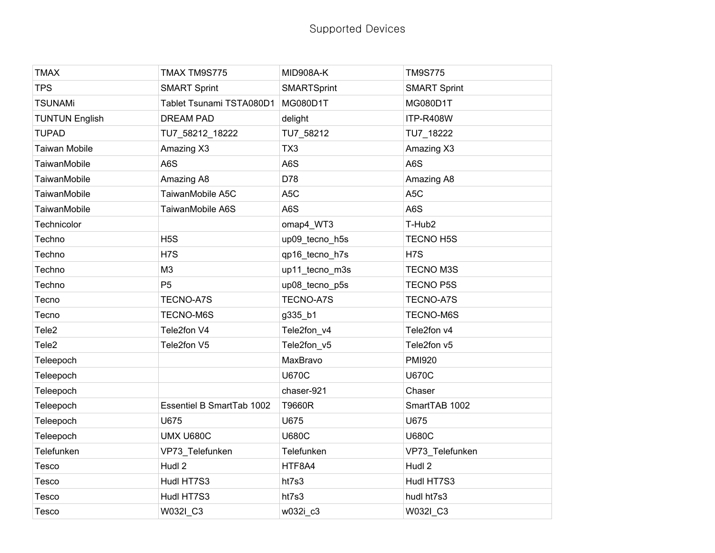| <b>TMAX</b>           | TMAX TM9S775              | MID908A-K          | <b>TM9S775</b>      |
|-----------------------|---------------------------|--------------------|---------------------|
| <b>TPS</b>            | <b>SMART Sprint</b>       | <b>SMARTSprint</b> | <b>SMART Sprint</b> |
| <b>TSUNAMi</b>        | Tablet Tsunami TSTA080D1  | MG080D1T           | MG080D1T            |
| <b>TUNTUN English</b> | <b>DREAM PAD</b>          | delight            | ITP-R408W           |
| <b>TUPAD</b>          | TU7_58212_18222           | TU7_58212          | TU7_18222           |
| Taiwan Mobile         | Amazing X3                | TX3                | Amazing X3          |
| TaiwanMobile          | A6S                       | A6S                | A6S                 |
| <b>TaiwanMobile</b>   | Amazing A8                | D78                | Amazing A8          |
| TaiwanMobile          | TaiwanMobile A5C          | A <sub>5</sub> C   | A <sub>5</sub> C    |
| TaiwanMobile          | TaiwanMobile A6S          | A6S                | A6S                 |
| Technicolor           |                           | omap4_WT3          | T-Hub2              |
| Techno                | H <sub>5</sub> S          | up09_tecno_h5s     | <b>TECNO H5S</b>    |
| Techno                | H <sub>7</sub> S          | qp16_tecno_h7s     | H <sub>7</sub> S    |
| Techno                | M3                        | up11_tecno_m3s     | <b>TECNO M3S</b>    |
| Techno                | P <sub>5</sub>            | up08_tecno_p5s     | <b>TECNO P5S</b>    |
| Tecno                 | <b>TECNO-A7S</b>          | <b>TECNO-A7S</b>   | <b>TECNO-A7S</b>    |
| Tecno                 | TECNO-M6S                 | g335_b1            | TECNO-M6S           |
| Tele <sub>2</sub>     | Tele2fon V4               | Tele2fon_v4        | Tele2fon v4         |
| Tele <sub>2</sub>     | Tele2fon V5               | Tele2fon_v5        | Tele2fon v5         |
| Teleepoch             |                           | MaxBravo           | <b>PMI920</b>       |
| Teleepoch             |                           | <b>U670C</b>       | <b>U670C</b>        |
| Teleepoch             |                           | chaser-921         | Chaser              |
| Teleepoch             | Essentiel B SmartTab 1002 | T9660R             | SmartTAB 1002       |
| Teleepoch             | U675                      | U675               | U675                |
| Teleepoch             | <b>UMX U680C</b>          | <b>U680C</b>       | <b>U680C</b>        |
| Telefunken            | VP73_Telefunken           | Telefunken         | VP73_Telefunken     |
| Tesco                 | Hudl 2                    | HTF8A4             | Hudl 2              |
| Tesco                 | Hudl HT7S3                | ht7s3              | Hudl HT7S3          |
| Tesco                 | Hudl HT7S3                | ht7s3              | hudl ht7s3          |
| Tesco                 | W032I_C3                  | w032i_c3           | W032I_C3            |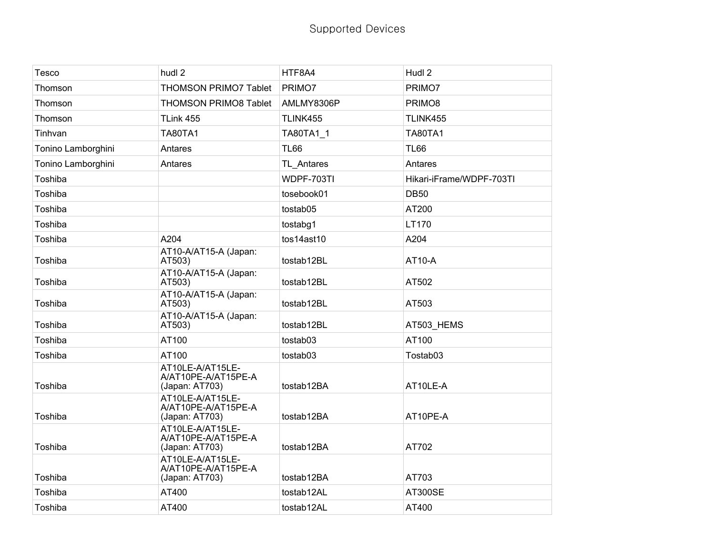| Tesco              | hudl 2                                                    | HTF8A4      | Hudl 2                   |
|--------------------|-----------------------------------------------------------|-------------|--------------------------|
| Thomson            | <b>THOMSON PRIMO7 Tablet</b>                              | PRIMO7      | PRIMO7                   |
| Thomson            | <b>THOMSON PRIMO8 Tablet</b>                              | AMLMY8306P  | PRIMO8                   |
| Thomson            | TLink 455                                                 | TLINK455    | TLINK455                 |
| Tinhvan            | <b>TA80TA1</b>                                            | TA80TA1_1   | <b>TA80TA1</b>           |
| Tonino Lamborghini | Antares                                                   | <b>TL66</b> | <b>TL66</b>              |
| Tonino Lamborghini | Antares                                                   | TL Antares  | Antares                  |
| Toshiba            |                                                           | WDPF-703TI  | Hikari-iFrame/WDPF-703TI |
| Toshiba            |                                                           | tosebook01  | <b>DB50</b>              |
| Toshiba            |                                                           | tostab05    | AT200                    |
| Toshiba            |                                                           | tostabg1    | LT170                    |
| Toshiba            | A204                                                      | tos14ast10  | A204                     |
| Toshiba            | AT10-A/AT15-A (Japan:<br>AT503)                           | tostab12BL  | AT10-A                   |
| Toshiba            | AT10-A/AT15-A (Japan:<br>AT503)                           | tostab12BL  | AT502                    |
| Toshiba            | AT10-A/AT15-A (Japan:<br>AT503)                           | tostab12BL  | AT503                    |
| Toshiba            | AT10-A/AT15-A (Japan:<br>AT503)                           | tostab12BL  | AT503_HEMS               |
| Toshiba            | AT100                                                     | tostab03    | AT100                    |
| Toshiba            | AT100                                                     | tostab03    | Tostab03                 |
| Toshiba            | AT10LE-A/AT15LE-<br>A/AT10PE-A/AT15PE-A<br>(Japan: AT703) | tostab12BA  | AT10LE-A                 |
| Toshiba            | AT10LE-A/AT15LE-<br>A/AT10PE-A/AT15PE-A<br>(Japan: AT703) | tostab12BA  | AT10PE-A                 |
| Toshiba            | AT10LE-A/AT15LE-<br>A/AT10PE-A/AT15PE-A<br>(Japan: AT703) | tostab12BA  | AT702                    |
| Toshiba            | AT10LE-A/AT15LE-<br>A/AT10PE-A/AT15PE-A<br>(Japan: AT703) | tostab12BA  | AT703                    |
| Toshiba            | AT400                                                     | tostab12AL  | <b>AT300SE</b>           |
| Toshiba            | AT400                                                     | tostab12AL  | AT400                    |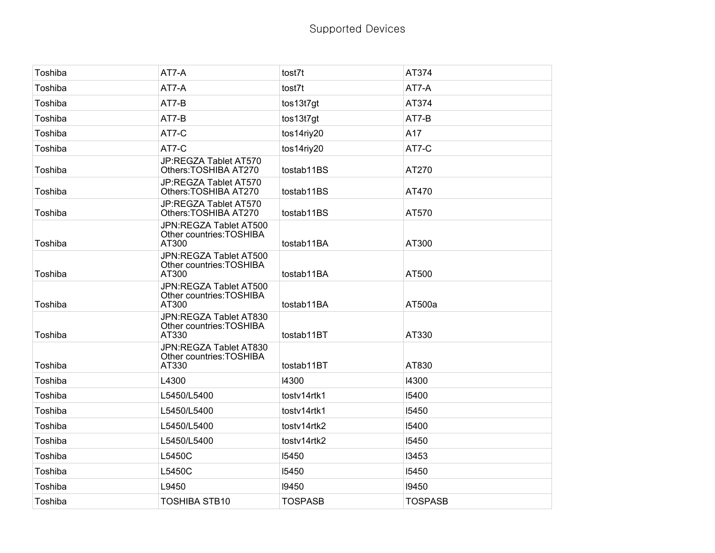| Toshiba | AT7-A                                                       | tost7t         | AT374          |
|---------|-------------------------------------------------------------|----------------|----------------|
| Toshiba | AT7-A                                                       | tost7t         | AT7-A          |
| Toshiba | AT7-B                                                       | tos13t7gt      | AT374          |
| Toshiba | AT7-B                                                       | tos13t7gt      | AT7-B          |
| Toshiba | AT7-C                                                       | tos14riy20     | A17            |
| Toshiba | AT7-C                                                       | tos14riy20     | AT7-C          |
| Toshiba | JP:REGZA Tablet AT570<br>Others: TOSHIBA AT270              | tostab11BS     | AT270          |
| Toshiba | JP:REGZA Tablet AT570<br>Others: TOSHIBA AT270              | tostab11BS     | AT470          |
| Toshiba | JP:REGZA Tablet AT570<br>Others: TOSHIBA AT270              | tostab11BS     | AT570          |
| Toshiba | JPN:REGZA Tablet AT500<br>Other countries: TOSHIBA<br>AT300 | tostab11BA     | AT300          |
| Toshiba | JPN:REGZA Tablet AT500<br>Other countries: TOSHIBA<br>AT300 | tostab11BA     | AT500          |
| Toshiba | JPN:REGZA Tablet AT500<br>Other countries: TOSHIBA<br>AT300 | tostab11BA     | AT500a         |
| Toshiba | JPN:REGZA Tablet AT830<br>Other countries: TOSHIBA<br>AT330 | tostab11BT     | AT330          |
| Toshiba | JPN:REGZA Tablet AT830<br>Other countries: TOSHIBA<br>AT330 | tostab11BT     | AT830          |
| Toshiba | L4300                                                       | 14300          | 14300          |
| Toshiba | L5450/L5400                                                 | tostv14rtk1    | 15400          |
| Toshiba | L5450/L5400                                                 | tostv14rtk1    | 15450          |
| Toshiba | L5450/L5400                                                 | tostv14rtk2    | 15400          |
| Toshiba | L5450/L5400                                                 | tostv14rtk2    | 15450          |
| Toshiba | L5450C                                                      | 15450          | 13453          |
| Toshiba | L5450C                                                      | 15450          | 15450          |
| Toshiba | L9450                                                       | 19450          | 19450          |
| Toshiba | <b>TOSHIBA STB10</b>                                        | <b>TOSPASB</b> | <b>TOSPASB</b> |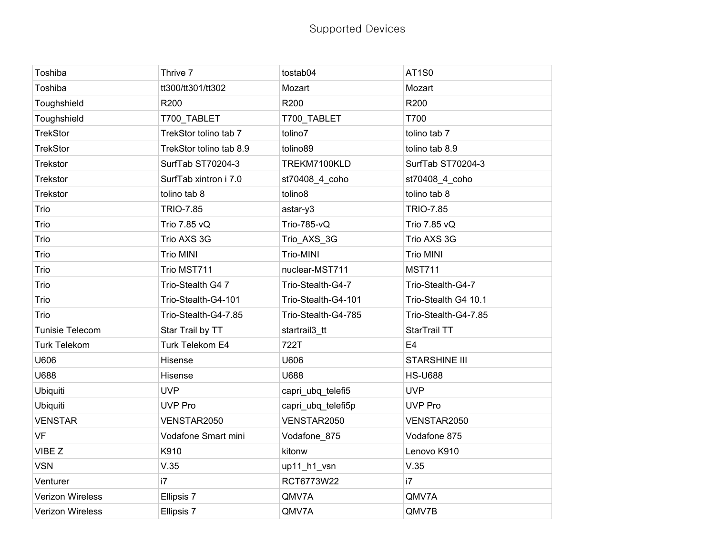| Toshiba                 | Thrive 7                | tostab04            | <b>AT1S0</b>         |
|-------------------------|-------------------------|---------------------|----------------------|
| Toshiba                 | tt300/tt301/tt302       | Mozart              | Mozart               |
| Toughshield             | R200                    | R200                | R200                 |
| Toughshield             | T700_TABLET             | T700_TABLET         | T700                 |
| <b>TrekStor</b>         | TrekStor tolino tab 7   | tolino7             | tolino tab 7         |
| <b>TrekStor</b>         | TrekStor tolino tab 8.9 | tolino89            | tolino tab 8.9       |
| Trekstor                | SurfTab ST70204-3       | TREKM7100KLD        | SurfTab ST70204-3    |
| Trekstor                | SurfTab xintron i 7.0   | st70408_4_coho      | st70408_4_coho       |
| <b>Trekstor</b>         | tolino tab 8            | tolino8             | tolino tab 8         |
| Trio                    | <b>TRIO-7.85</b>        | astar-y3            | <b>TRIO-7.85</b>     |
| Trio                    | Trio 7.85 vQ            | Trio-785-vQ         | Trio 7.85 vQ         |
| Trio                    | Trio AXS 3G             | Trio_AXS_3G         | Trio AXS 3G          |
| Trio                    | <b>Trio MINI</b>        | Trio-MINI           | <b>Trio MINI</b>     |
| Trio                    | Trio MST711             | nuclear-MST711      | <b>MST711</b>        |
| Trio                    | Trio-Stealth G4 7       | Trio-Stealth-G4-7   | Trio-Stealth-G4-7    |
| Trio                    | Trio-Stealth-G4-101     | Trio-Stealth-G4-101 | Trio-Stealth G4 10.1 |
| Trio                    | Trio-Stealth-G4-7.85    | Trio-Stealth-G4-785 | Trio-Stealth-G4-7.85 |
| <b>Tunisie Telecom</b>  | Star Trail by TT        | startrail3_tt       | StarTrail TT         |
| <b>Turk Telekom</b>     | Turk Telekom E4         | 722T                | E <sub>4</sub>       |
| U606                    | Hisense                 | U606                | <b>STARSHINE III</b> |
| U688                    | Hisense                 | U688                | <b>HS-U688</b>       |
| Ubiquiti                | <b>UVP</b>              | capri ubq telefi5   | <b>UVP</b>           |
| Ubiquiti                | <b>UVP Pro</b>          | capri_ubq_telefi5p  | <b>UVP Pro</b>       |
| <b>VENSTAR</b>          | VENSTAR2050             | VENSTAR2050         | VENSTAR2050          |
| <b>VF</b>               | Vodafone Smart mini     | Vodafone_875        | Vodafone 875         |
| VIBE Z                  | K910                    | kitonw              | Lenovo K910          |
| <b>VSN</b>              | V.35                    | up11_h1_vsn         | V.35                 |
| Venturer                | i7                      | RCT6773W22          | i7                   |
| Verizon Wireless        | Ellipsis 7              | QMV7A               | QMV7A                |
| <b>Verizon Wireless</b> | Ellipsis 7              | QMV7A               | QMV7B                |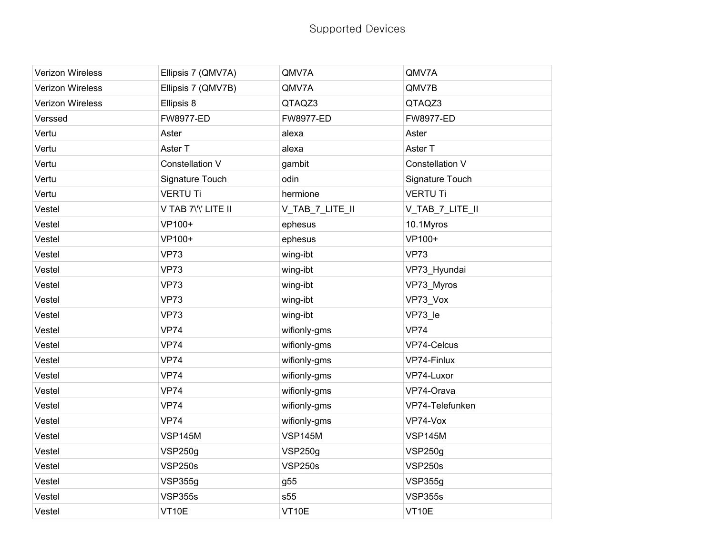| Verizon Wireless | Ellipsis 7 (QMV7A)  | QMV7A            | QMV7A            |
|------------------|---------------------|------------------|------------------|
| Verizon Wireless | Ellipsis 7 (QMV7B)  | QMV7A            | QMV7B            |
| Verizon Wireless | Ellipsis 8          | QTAQZ3           | QTAQZ3           |
| Verssed          | <b>FW8977-ED</b>    | <b>FW8977-ED</b> | <b>FW8977-ED</b> |
| Vertu            | Aster               | alexa            | Aster            |
| Vertu            | Aster T             | alexa            | Aster T          |
| Vertu            | Constellation V     | gambit           | Constellation V  |
| Vertu            | Signature Touch     | odin             | Signature Touch  |
| Vertu            | <b>VERTU Ti</b>     | hermione         | <b>VERTU Ti</b>  |
| Vestel           | V TAB 7\'\' LITE II | V_TAB_7_LITE_II  | V_TAB_7_LITE_II  |
| Vestel           | VP100+              | ephesus          | 10.1Myros        |
| Vestel           | VP100+              | ephesus          | VP100+           |
| Vestel           | <b>VP73</b>         | wing-ibt         | <b>VP73</b>      |
| Vestel           | <b>VP73</b>         | wing-ibt         | VP73 Hyundai     |
| Vestel           | <b>VP73</b>         | wing-ibt         | VP73_Myros       |
| Vestel           | <b>VP73</b>         | wing-ibt         | VP73_Vox         |
| Vestel           | <b>VP73</b>         | wing-ibt         | VP73_le          |
| Vestel           | <b>VP74</b>         | wifionly-gms     | <b>VP74</b>      |
| Vestel           | <b>VP74</b>         | wifionly-gms     | VP74-Celcus      |
| Vestel           | <b>VP74</b>         | wifionly-gms     | VP74-Finlux      |
| Vestel           | <b>VP74</b>         | wifionly-gms     | VP74-Luxor       |
| Vestel           | <b>VP74</b>         | wifionly-gms     | VP74-Orava       |
| Vestel           | <b>VP74</b>         | wifionly-gms     | VP74-Telefunken  |
| Vestel           | <b>VP74</b>         | wifionly-gms     | VP74-Vox         |
| Vestel           | <b>VSP145M</b>      | <b>VSP145M</b>   | <b>VSP145M</b>   |
| Vestel           | <b>VSP250g</b>      | <b>VSP250g</b>   | <b>VSP250g</b>   |
| Vestel           | <b>VSP250s</b>      | <b>VSP250s</b>   | <b>VSP250s</b>   |
| Vestel           | VSP355g             | g55              | <b>VSP355g</b>   |
| Vestel           | <b>VSP355s</b>      | s55              | <b>VSP355s</b>   |
| Vestel           | VT10E               | VT10E            | VT10E            |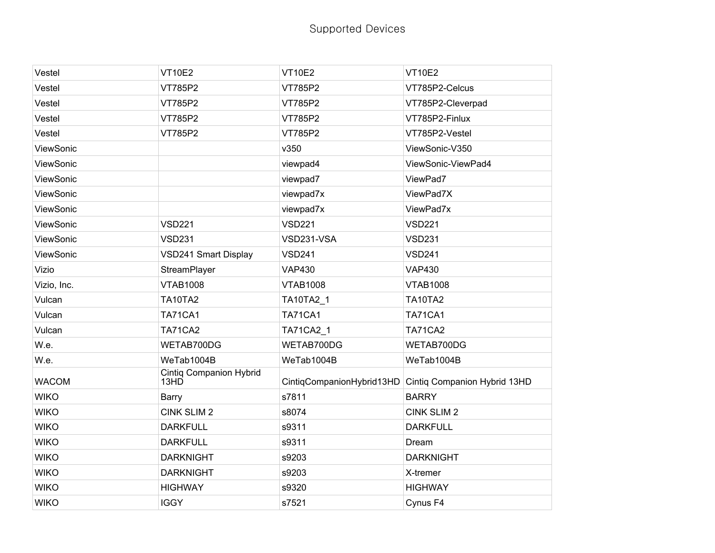| Vestel       | <b>VT10E2</b>                          | <b>VT10E2</b>             | <b>VT10E2</b>                |
|--------------|----------------------------------------|---------------------------|------------------------------|
| Vestel       | VT785P2                                | VT785P2                   | VT785P2-Celcus               |
| Vestel       | VT785P2                                | VT785P2                   | VT785P2-Cleverpad            |
| Vestel       | VT785P2                                | VT785P2                   | VT785P2-Finlux               |
| Vestel       | VT785P2                                | VT785P2                   | VT785P2-Vestel               |
| ViewSonic    |                                        | v350                      | ViewSonic-V350               |
| ViewSonic    |                                        | viewpad4                  | ViewSonic-ViewPad4           |
| ViewSonic    |                                        | viewpad7                  | ViewPad7                     |
| ViewSonic    |                                        | viewpad7x                 | ViewPad7X                    |
| ViewSonic    |                                        | viewpad7x                 | ViewPad7x                    |
| ViewSonic    | <b>VSD221</b>                          | <b>VSD221</b>             | <b>VSD221</b>                |
| ViewSonic    | <b>VSD231</b>                          | VSD231-VSA                | <b>VSD231</b>                |
| ViewSonic    | VSD241 Smart Display                   | <b>VSD241</b>             | <b>VSD241</b>                |
| Vizio        | StreamPlayer                           | <b>VAP430</b>             | <b>VAP430</b>                |
| Vizio, Inc.  | <b>VTAB1008</b>                        | <b>VTAB1008</b>           | <b>VTAB1008</b>              |
| Vulcan       | <b>TA10TA2</b>                         | TA10TA2_1                 | <b>TA10TA2</b>               |
| Vulcan       | <b>TA71CA1</b>                         | <b>TA71CA1</b>            | <b>TA71CA1</b>               |
| Vulcan       | <b>TA71CA2</b>                         | TA71CA2_1                 | <b>TA71CA2</b>               |
| W.e.         | WETAB700DG                             | WETAB700DG                | WETAB700DG                   |
| W.e.         | WeTab1004B                             | WeTab1004B                | WeTab1004B                   |
| <b>WACOM</b> | <b>Cintiq Companion Hybrid</b><br>13HD | CintiqCompanionHybrid13HD | Cintiq Companion Hybrid 13HD |
| <b>WIKO</b>  | Barry                                  | s7811                     | <b>BARRY</b>                 |
| <b>WIKO</b>  | <b>CINK SLIM 2</b>                     | s8074                     | CINK SLIM 2                  |
| <b>WIKO</b>  | <b>DARKFULL</b>                        | s9311                     | <b>DARKFULL</b>              |
| <b>WIKO</b>  | <b>DARKFULL</b>                        | s9311                     | Dream                        |
| <b>WIKO</b>  | <b>DARKNIGHT</b>                       | s9203                     | <b>DARKNIGHT</b>             |
| <b>WIKO</b>  | <b>DARKNIGHT</b>                       | s9203                     | X-tremer                     |
| <b>WIKO</b>  | <b>HIGHWAY</b>                         | s9320                     | <b>HIGHWAY</b>               |
| <b>WIKO</b>  | <b>IGGY</b>                            | s7521                     | Cynus F4                     |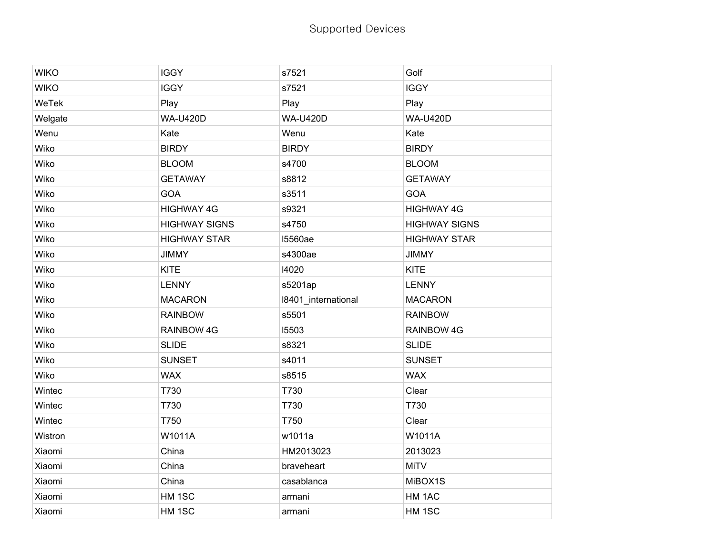| <b>WIKO</b> | <b>IGGY</b>          | s7521               | Golf                 |
|-------------|----------------------|---------------------|----------------------|
| <b>WIKO</b> | <b>IGGY</b>          | s7521               | <b>IGGY</b>          |
| WeTek       | Play                 | Play                | Play                 |
| Welgate     | <b>WA-U420D</b>      | <b>WA-U420D</b>     | <b>WA-U420D</b>      |
| Wenu        | Kate                 | Wenu                | Kate                 |
| Wiko        | <b>BIRDY</b>         | <b>BIRDY</b>        | <b>BIRDY</b>         |
| Wiko        | <b>BLOOM</b>         | s4700               | <b>BLOOM</b>         |
| Wiko        | <b>GETAWAY</b>       | s8812               | <b>GETAWAY</b>       |
| Wiko        | <b>GOA</b>           | s3511               | GOA                  |
| Wiko        | <b>HIGHWAY 4G</b>    | s9321               | <b>HIGHWAY 4G</b>    |
| Wiko        | <b>HIGHWAY SIGNS</b> | s4750               | <b>HIGHWAY SIGNS</b> |
| Wiko        | <b>HIGHWAY STAR</b>  | <b>15560ae</b>      | <b>HIGHWAY STAR</b>  |
| Wiko        | <b>JIMMY</b>         | s4300ae             | <b>JIMMY</b>         |
| Wiko        | <b>KITE</b>          | 14020               | <b>KITE</b>          |
| Wiko        | <b>LENNY</b>         | s5201ap             | <b>LENNY</b>         |
| Wiko        | <b>MACARON</b>       | 18401_international | <b>MACARON</b>       |
| Wiko        | <b>RAINBOW</b>       | s5501               | <b>RAINBOW</b>       |
| Wiko        | RAINBOW 4G           | 15503               | RAINBOW 4G           |
| Wiko        | <b>SLIDE</b>         | s8321               | <b>SLIDE</b>         |
| Wiko        | <b>SUNSET</b>        | s4011               | <b>SUNSET</b>        |
| Wiko        | <b>WAX</b>           | s8515               | <b>WAX</b>           |
| Wintec      | T730                 | T730                | Clear                |
| Wintec      | T730                 | T730                | T730                 |
| Wintec      | T750                 | T750                | Clear                |
| Wistron     | W1011A               | w1011a              | W1011A               |
| Xiaomi      | China                | HM2013023           | 2013023              |
| Xiaomi      | China                | braveheart          | MiTV                 |
| Xiaomi      | China                | casablanca          | MiBOX1S              |
| Xiaomi      | HM 1SC               | armani              | HM 1AC               |
| Xiaomi      | HM 1SC               | armani              | HM 1SC               |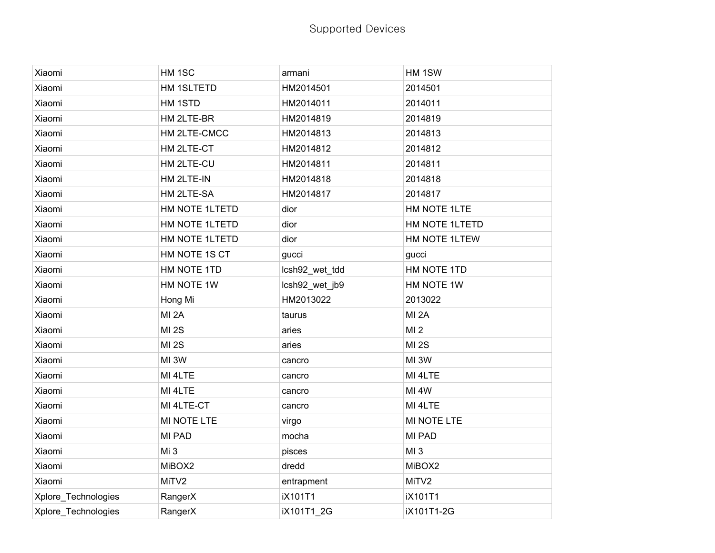| Xiaomi              | HM 1SC           | armani         | HM 1SW            |
|---------------------|------------------|----------------|-------------------|
| Xiaomi              | HM 1SLTETD       | HM2014501      | 2014501           |
| Xiaomi              | HM 1STD          | HM2014011      | 2014011           |
| Xiaomi              | HM 2LTE-BR       | HM2014819      | 2014819           |
| Xiaomi              | HM 2LTE-CMCC     | HM2014813      | 2014813           |
| Xiaomi              | HM 2LTE-CT       | HM2014812      | 2014812           |
| Xiaomi              | HM 2LTE-CU       | HM2014811      | 2014811           |
| Xiaomi              | HM 2LTE-IN       | HM2014818      | 2014818           |
| Xiaomi              | HM 2LTE-SA       | HM2014817      | 2014817           |
| Xiaomi              | HM NOTE 1LTETD   | dior           | HM NOTE 1LTE      |
| Xiaomi              | HM NOTE 1LTETD   | dior           | HM NOTE 1LTETD    |
| Xiaomi              | HM NOTE 1LTETD   | dior           | HM NOTE 1LTEW     |
| Xiaomi              | HM NOTE 1S CT    | gucci          | gucci             |
| Xiaomi              | HM NOTE 1TD      | lcsh92_wet_tdd | HM NOTE 1TD       |
| Xiaomi              | HM NOTE 1W       | lcsh92_wet_jb9 | HM NOTE 1W        |
| Xiaomi              | Hong Mi          | HM2013022      | 2013022           |
| Xiaomi              | MI <sub>2A</sub> | taurus         | MI <sub>2A</sub>  |
| Xiaomi              | <b>MI 2S</b>     | aries          | MI <sub>2</sub>   |
| Xiaomi              | <b>MI 2S</b>     | aries          | <b>MI 2S</b>      |
| Xiaomi              | MI 3W            | cancro         | MI3W              |
| Xiaomi              | MI 4LTE          | cancro         | MI 4LTE           |
| Xiaomi              | MI 4LTE          | cancro         | MI <sub>4</sub> W |
| Xiaomi              | MI 4LTE-CT       | cancro         | MI 4LTE           |
| Xiaomi              | MI NOTE LTE      | virgo          | MI NOTE LTE       |
| Xiaomi              | MI PAD           | mocha          | <b>MI PAD</b>     |
| Xiaomi              | Mi <sub>3</sub>  | pisces         | MI <sub>3</sub>   |
| Xiaomi              | MiBOX2           | dredd          | MiBOX2            |
| Xiaomi              | MiTV2            | entrapment     | MiTV2             |
| Xplore_Technologies | RangerX          | iX101T1        | iX101T1           |
|                     |                  |                |                   |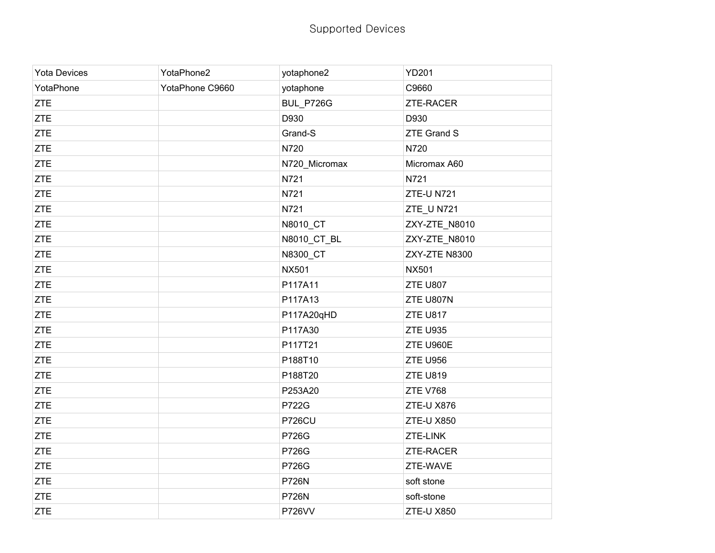| <b>Yota Devices</b> | YotaPhone2      | yotaphone2    | <b>YD201</b>      |
|---------------------|-----------------|---------------|-------------------|
| YotaPhone           | YotaPhone C9660 | yotaphone     | C9660             |
| <b>ZTE</b>          |                 | BUL_P726G     | ZTE-RACER         |
| <b>ZTE</b>          |                 | D930          | D930              |
| <b>ZTE</b>          |                 | Grand-S       | ZTE Grand S       |
| <b>ZTE</b>          |                 | N720          | N720              |
| <b>ZTE</b>          |                 | N720_Micromax | Micromax A60      |
| <b>ZTE</b>          |                 | N721          | N721              |
| <b>ZTE</b>          |                 | N721          | <b>ZTE-UN721</b>  |
| <b>ZTE</b>          |                 | N721          | ZTE_U N721        |
| <b>ZTE</b>          |                 | N8010_CT      | ZXY-ZTE_N8010     |
| <b>ZTE</b>          |                 | N8010_CT_BL   | ZXY-ZTE_N8010     |
| <b>ZTE</b>          |                 | N8300_CT      | ZXY-ZTE N8300     |
| <b>ZTE</b>          |                 | <b>NX501</b>  | <b>NX501</b>      |
| <b>ZTE</b>          |                 | P117A11       | <b>ZTE U807</b>   |
| <b>ZTE</b>          |                 | P117A13       | ZTE U807N         |
| <b>ZTE</b>          |                 | P117A20qHD    | <b>ZTE U817</b>   |
| <b>ZTE</b>          |                 | P117A30       | <b>ZTE U935</b>   |
| <b>ZTE</b>          |                 | P117T21       | ZTE U960E         |
| <b>ZTE</b>          |                 | P188T10       | <b>ZTE U956</b>   |
| <b>ZTE</b>          |                 | P188T20       | <b>ZTE U819</b>   |
| <b>ZTE</b>          |                 | P253A20       | <b>ZTE V768</b>   |
| <b>ZTE</b>          |                 | <b>P722G</b>  | ZTE-U X876        |
| <b>ZTE</b>          |                 | <b>P726CU</b> | <b>ZTE-U X850</b> |
| <b>ZTE</b>          |                 | P726G         | ZTE-LINK          |
| <b>ZTE</b>          |                 | P726G         | ZTE-RACER         |
| <b>ZTE</b>          |                 | P726G         | ZTE-WAVE          |
| <b>ZTE</b>          |                 | <b>P726N</b>  | soft stone        |
| <b>ZTE</b>          |                 | <b>P726N</b>  | soft-stone        |
| <b>ZTE</b>          |                 | <b>P726VV</b> | <b>ZTE-U X850</b> |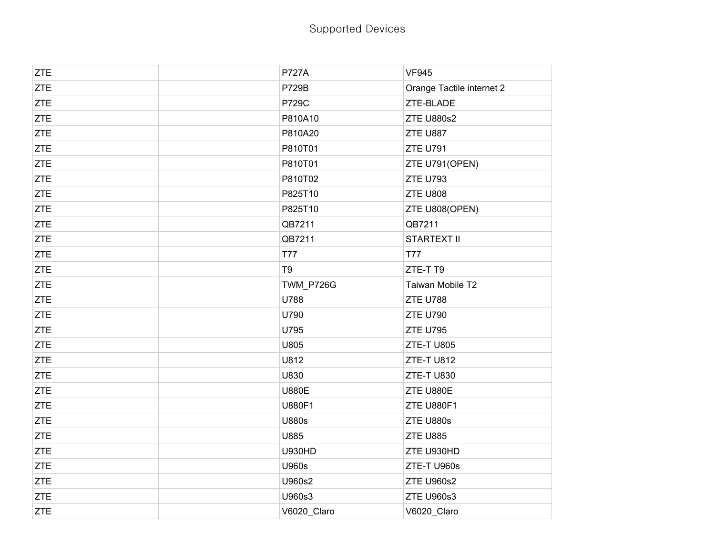| <b>ZTE</b> | <b>P727A</b>   | <b>VF945</b>              |
|------------|----------------|---------------------------|
| <b>ZTE</b> | <b>P729B</b>   | Orange Tactile internet 2 |
| <b>ZTE</b> | <b>P729C</b>   | ZTE-BLADE                 |
| <b>ZTE</b> | P810A10        | <b>ZTE U880s2</b>         |
| <b>ZTE</b> | P810A20        | ZTE U887                  |
| <b>ZTE</b> | P810T01        | <b>ZTE U791</b>           |
| <b>ZTE</b> | P810T01        | ZTE U791(OPEN)            |
| <b>ZTE</b> | P810T02        | <b>ZTE U793</b>           |
| <b>ZTE</b> | P825T10        | ZTE U808                  |
| <b>ZTE</b> | P825T10        | ZTE U808(OPEN)            |
| <b>ZTE</b> | QB7211         | QB7211                    |
| <b>ZTE</b> | QB7211         | <b>STARTEXT II</b>        |
| <b>ZTE</b> | T77            | T77                       |
| <b>ZTE</b> | T <sub>9</sub> | ZTE-TT9                   |
| <b>ZTE</b> | TWM_P726G      | Taiwan Mobile T2          |
| <b>ZTE</b> | U788           | ZTE U788                  |
| <b>ZTE</b> | U790           | <b>ZTE U790</b>           |
| <b>ZTE</b> | U795           | <b>ZTE U795</b>           |
| <b>ZTE</b> | U805           | ZTE-TU805                 |
| <b>ZTE</b> | U812           | ZTE-TU812                 |
| <b>ZTE</b> | U830           | ZTE-TU830                 |
| <b>ZTE</b> | <b>U880E</b>   | ZTE U880E                 |
| <b>ZTE</b> | U880F1         | ZTE U880F1                |
| <b>ZTE</b> | <b>U880s</b>   | ZTE U880s                 |
| <b>ZTE</b> | U885           | ZTE U885                  |
| <b>ZTE</b> | <b>U930HD</b>  | ZTE U930HD                |
| <b>ZTE</b> | U960s          | ZTE-TU960s                |
| <b>ZTE</b> | U960s2         | <b>ZTE U960s2</b>         |
| <b>ZTE</b> | U960s3         | ZTE U960s3                |
| <b>ZTE</b> | V6020_Claro    | V6020_Claro               |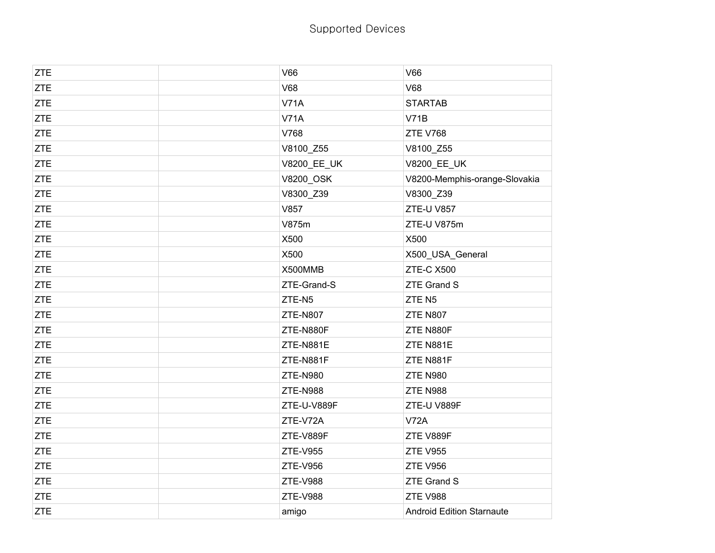| <b>ZTE</b> | <b>V66</b>      | <b>V66</b>                       |
|------------|-----------------|----------------------------------|
| <b>ZTE</b> | <b>V68</b>      | <b>V68</b>                       |
| <b>ZTE</b> | <b>V71A</b>     | <b>STARTAB</b>                   |
| <b>ZTE</b> | <b>V71A</b>     | V71B                             |
| <b>ZTE</b> | V768            | <b>ZTE V768</b>                  |
| <b>ZTE</b> | V8100_Z55       | V8100_Z55                        |
| <b>ZTE</b> | V8200_EE_UK     | V8200_EE_UK                      |
| <b>ZTE</b> | V8200_OSK       | V8200-Memphis-orange-Slovakia    |
| <b>ZTE</b> | V8300_Z39       | V8300_Z39                        |
| <b>ZTE</b> | V857            | ZTE-U V857                       |
| <b>ZTE</b> | V875m           | ZTE-U V875m                      |
| <b>ZTE</b> | X500            | X500                             |
| <b>ZTE</b> | X500            | X500_USA_General                 |
| <b>ZTE</b> | X500MMB         | <b>ZTE-C X500</b>                |
| <b>ZTE</b> | ZTE-Grand-S     | <b>ZTE Grand S</b>               |
| <b>ZTE</b> | ZTE-N5          | ZTEN5                            |
| ZTE        | <b>ZTE-N807</b> | <b>ZTE N807</b>                  |
| <b>ZTE</b> | ZTE-N880F       | ZTE N880F                        |
| <b>ZTE</b> | ZTE-N881E       | ZTE N881E                        |
| <b>ZTE</b> | ZTE-N881F       | ZTE N881F                        |
| <b>ZTE</b> | <b>ZTE-N980</b> | <b>ZTE N980</b>                  |
| <b>ZTE</b> | <b>ZTE-N988</b> | ZTE N988                         |
| <b>ZTE</b> | ZTE-U-V889F     | ZTE-U V889F                      |
| <b>ZTE</b> | ZTE-V72A        | <b>V72A</b>                      |
| <b>ZTE</b> | ZTE-V889F       | ZTE V889F                        |
| <b>ZTE</b> | <b>ZTE-V955</b> | <b>ZTE V955</b>                  |
| <b>ZTE</b> | <b>ZTE-V956</b> | <b>ZTE V956</b>                  |
| <b>ZTE</b> | <b>ZTE-V988</b> | ZTE Grand S                      |
| <b>ZTE</b> | <b>ZTE-V988</b> | <b>ZTE V988</b>                  |
| <b>ZTE</b> | amigo           | <b>Android Edition Starnaute</b> |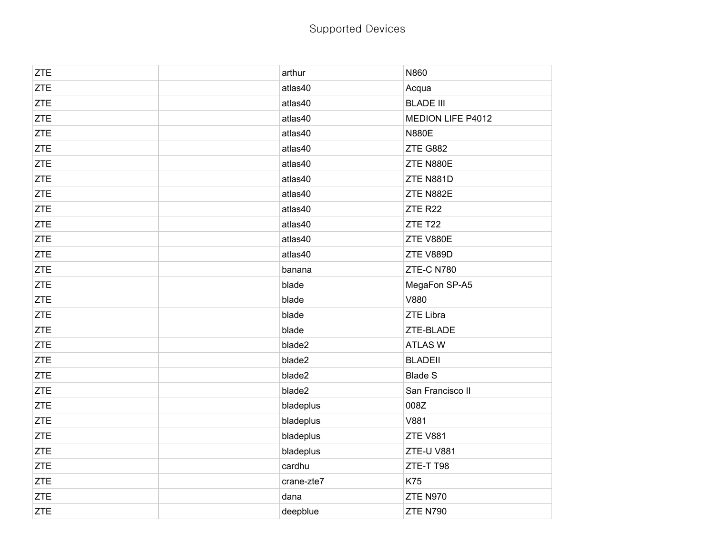| <b>ZTE</b> | arthur     | N860              |
|------------|------------|-------------------|
| <b>ZTE</b> | atlas40    | Acqua             |
| <b>ZTE</b> | atlas40    | <b>BLADE III</b>  |
| <b>ZTE</b> | atlas40    | MEDION LIFE P4012 |
| <b>ZTE</b> | atlas40    | <b>N880E</b>      |
| <b>ZTE</b> | atlas40    | ZTE G882          |
| <b>ZTE</b> | atlas40    | ZTE N880E         |
| <b>ZTE</b> | atlas40    | ZTE N881D         |
| <b>ZTE</b> | atlas40    | ZTE N882E         |
| <b>ZTE</b> | atlas40    | ZTE R22           |
| <b>ZTE</b> | atlas40    | ZTE T22           |
| <b>ZTE</b> | atlas40    | ZTE V880E         |
| <b>ZTE</b> | atlas40    | ZTE V889D         |
| <b>ZTE</b> | banana     | ZTE-C N780        |
| <b>ZTE</b> | blade      | MegaFon SP-A5     |
| <b>ZTE</b> | blade      | V880              |
| <b>ZTE</b> | blade      | <b>ZTE Libra</b>  |
| ZTE        | blade      | ZTE-BLADE         |
| <b>ZTE</b> | blade2     | <b>ATLAS W</b>    |
| <b>ZTE</b> | blade2     | <b>BLADEII</b>    |
| <b>ZTE</b> | blade2     | <b>Blade S</b>    |
| <b>ZTE</b> | blade2     | San Francisco II  |
| <b>ZTE</b> | bladeplus  | 008Z              |
| <b>ZTE</b> | bladeplus  | V881              |
| <b>ZTE</b> | bladeplus  | ZTE V881          |
| <b>ZTE</b> | bladeplus  | ZTE-U V881        |
| <b>ZTE</b> | cardhu     | ZTE-T T98         |
| <b>ZTE</b> | crane-zte7 | K75               |
| <b>ZTE</b> | dana       | <b>ZTE N970</b>   |
| <b>ZTE</b> | deepblue   | <b>ZTE N790</b>   |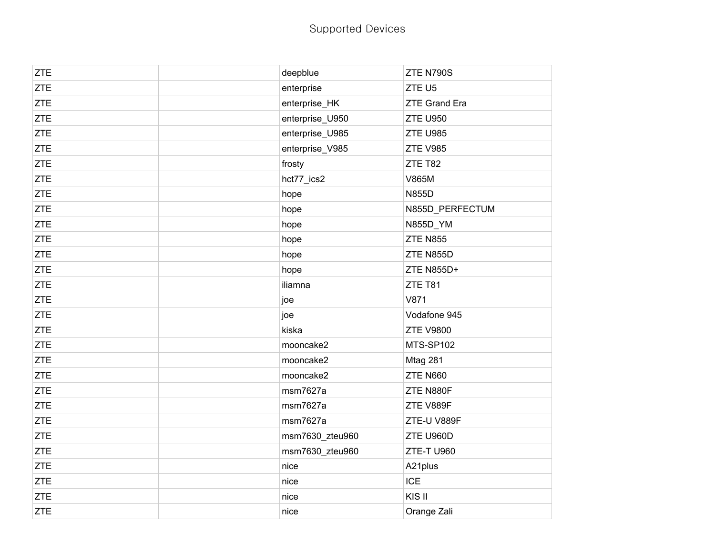| <b>ZTE</b> | deepblue        | ZTE N790S            |
|------------|-----------------|----------------------|
| <b>ZTE</b> | enterprise      | ZTE U5               |
| <b>ZTE</b> | enterprise_HK   | <b>ZTE Grand Era</b> |
| <b>ZTE</b> | enterprise_U950 | <b>ZTE U950</b>      |
| <b>ZTE</b> | enterprise_U985 | <b>ZTE U985</b>      |
| <b>ZTE</b> | enterprise_V985 | <b>ZTE V985</b>      |
| <b>ZTE</b> | frosty          | ZTE T82              |
| <b>ZTE</b> | hct77_ics2      | V865M                |
| <b>ZTE</b> | hope            | <b>N855D</b>         |
| <b>ZTE</b> | hope            | N855D_PERFECTUM      |
| <b>ZTE</b> | hope            | N855D_YM             |
| <b>ZTE</b> | hope            | <b>ZTE N855</b>      |
| <b>ZTE</b> | hope            | ZTE N855D            |
| <b>ZTE</b> | hope            | <b>ZTE N855D+</b>    |
| <b>ZTE</b> | iliamna         | ZTE T81              |
| <b>ZTE</b> | joe             | V871                 |
| <b>ZTE</b> | joe             | Vodafone 945         |
| <b>ZTE</b> | kiska           | <b>ZTE V9800</b>     |
| <b>ZTE</b> | mooncake2       | MTS-SP102            |
| <b>ZTE</b> | mooncake2       | Mtag 281             |
| <b>ZTE</b> | mooncake2       | <b>ZTE N660</b>      |
| <b>ZTE</b> | msm7627a        | ZTE N880F            |
| <b>ZTE</b> | msm7627a        | ZTE V889F            |
| <b>ZTE</b> | msm7627a        | ZTE-U V889F          |
| <b>ZTE</b> | msm7630_zteu960 | ZTE U960D            |
| <b>ZTE</b> | msm7630_zteu960 | <b>ZTE-T U960</b>    |
| <b>ZTE</b> | nice            | A21plus              |
| ZTE        | nice            | <b>ICE</b>           |
| <b>ZTE</b> | nice            | KIS II               |
| <b>ZTE</b> | nice            | Orange Zali          |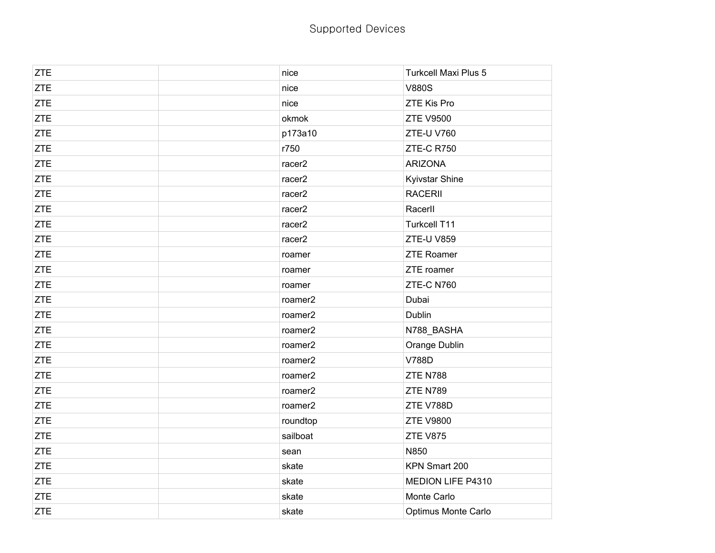| <b>ZTE</b> | nice     | <b>Turkcell Maxi Plus 5</b> |
|------------|----------|-----------------------------|
| <b>ZTE</b> | nice     | <b>V880S</b>                |
| <b>ZTE</b> | nice     | <b>ZTE Kis Pro</b>          |
| ZTE        | okmok    | <b>ZTE V9500</b>            |
| <b>ZTE</b> | p173a10  | ZTE-U V760                  |
| <b>ZTE</b> | r750     | ZTE-CR750                   |
| ZTE        | racer2   | <b>ARIZONA</b>              |
| ZTE        | racer2   | Kyivstar Shine              |
| <b>ZTE</b> | racer2   | <b>RACERII</b>              |
| ZTE        | racer2   | Racerll                     |
| ZTE        | racer2   | Turkcell T11                |
| ZTE        | racer2   | ZTE-U V859                  |
| <b>ZTE</b> | roamer   | <b>ZTE Roamer</b>           |
| ZTE        | roamer   | ZTE roamer                  |
| ZTE        | roamer   | ZTE-C N760                  |
| ZTE        | roamer2  | Dubai                       |
| <b>ZTE</b> | roamer2  | Dublin                      |
| ZTE        | roamer2  | N788_BASHA                  |
| <b>ZTE</b> | roamer2  | Orange Dublin               |
| <b>ZTE</b> | roamer2  | <b>V788D</b>                |
| ZTE        | roamer2  | ZTE N788                    |
| <b>ZTE</b> | roamer2  | <b>ZTE N789</b>             |
| <b>ZTE</b> | roamer2  | ZTE V788D                   |
| <b>ZTE</b> | roundtop | <b>ZTE V9800</b>            |
| <b>ZTE</b> | sailboat | ZTE V875                    |
| <b>ZTE</b> | sean     | N850                        |
| <b>ZTE</b> | skate    | KPN Smart 200               |
| ZTE        | skate    | MEDION LIFE P4310           |
| ZTE        | skate    | Monte Carlo                 |
| <b>ZTE</b> | skate    | Optimus Monte Carlo         |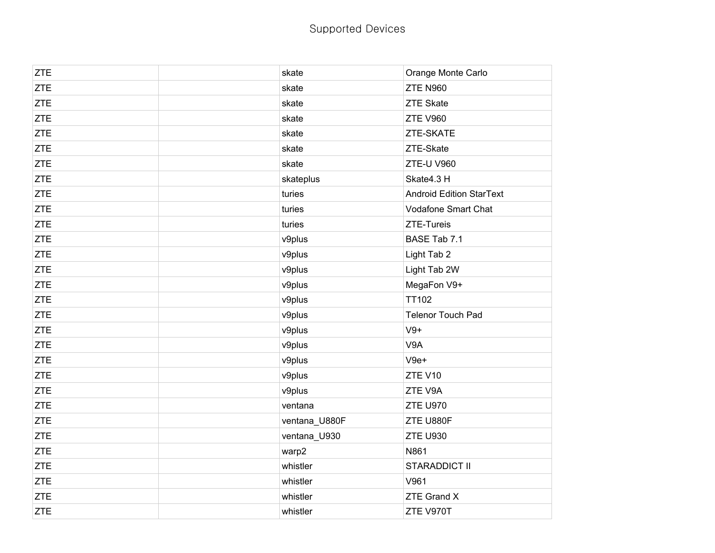| <b>ZTE</b> | skate         | Orange Monte Carlo              |
|------------|---------------|---------------------------------|
| <b>ZTE</b> | skate         | <b>ZTE N960</b>                 |
| <b>ZTE</b> | skate         | <b>ZTE Skate</b>                |
| <b>ZTE</b> | skate         | <b>ZTE V960</b>                 |
| <b>ZTE</b> | skate         | ZTE-SKATE                       |
| <b>ZTE</b> | skate         | ZTE-Skate                       |
| <b>ZTE</b> | skate         | ZTE-U V960                      |
| <b>ZTE</b> | skateplus     | Skate4.3 H                      |
| <b>ZTE</b> | turies        | <b>Android Edition StarText</b> |
| <b>ZTE</b> | turies        | Vodafone Smart Chat             |
| <b>ZTE</b> | turies        | ZTE-Tureis                      |
| <b>ZTE</b> | v9plus        | BASE Tab 7.1                    |
| <b>ZTE</b> | v9plus        | Light Tab 2                     |
| <b>ZTE</b> | v9plus        | Light Tab 2W                    |
| <b>ZTE</b> | v9plus        | MegaFon V9+                     |
| <b>ZTE</b> | v9plus        | <b>TT102</b>                    |
| <b>ZTE</b> | v9plus        | <b>Telenor Touch Pad</b>        |
| <b>ZTE</b> | v9plus        | $V9+$                           |
| <b>ZTE</b> | v9plus        | V9A                             |
| <b>ZTE</b> | v9plus        | $V9e+$                          |
| <b>ZTE</b> | v9plus        | ZTE V10                         |
| <b>ZTE</b> | v9plus        | ZTE V9A                         |
| <b>ZTE</b> | ventana       | <b>ZTE U970</b>                 |
| <b>ZTE</b> | ventana_U880F | ZTE U880F                       |
| <b>ZTE</b> | ventana_U930  | <b>ZTE U930</b>                 |
| <b>ZTE</b> | warp2         | N861                            |
| <b>ZTE</b> | whistler      | STARADDICT II                   |
| <b>ZTE</b> | whistler      | V961                            |
| <b>ZTE</b> | whistler      | <b>ZTE Grand X</b>              |
| <b>ZTE</b> | whistler      | ZTE V970T                       |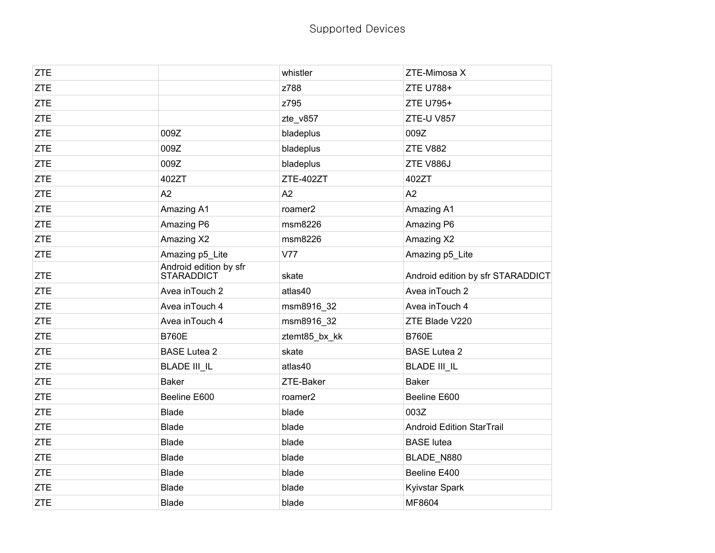| <b>ZTE</b> |                                      | whistler            | ZTE-Mimosa X                      |
|------------|--------------------------------------|---------------------|-----------------------------------|
| <b>ZTE</b> |                                      | z788                | ZTE U788+                         |
| <b>ZTE</b> |                                      | z795                | ZTE U795+                         |
| <b>ZTE</b> |                                      | zte_v857            | <b>ZTE-U V857</b>                 |
| <b>ZTE</b> | 009Z                                 | bladeplus           | 009Z                              |
| <b>ZTE</b> | 009Z                                 | bladeplus           | <b>ZTE V882</b>                   |
| <b>ZTE</b> | 009Z                                 | bladeplus           | ZTE V886J                         |
| <b>ZTE</b> | 402ZT                                | ZTE-402ZT           | 402ZT                             |
| <b>ZTE</b> | A2                                   | A2                  | A2                                |
| <b>ZTE</b> | Amazing A1                           | roamer <sub>2</sub> | Amazing A1                        |
| <b>ZTE</b> | Amazing P6                           | msm8226             | Amazing P6                        |
| <b>ZTE</b> | Amazing X2                           | msm8226             | Amazing X2                        |
| <b>ZTE</b> | Amazing p5_Lite                      | V77                 | Amazing p5_Lite                   |
| <b>ZTE</b> | Android edition by sfr<br>STARADDICT | skate               | Android edition by sfr STARADDICT |
| <b>ZTE</b> | Avea in Touch 2                      | atlas40             | Avea in Touch 2                   |
| <b>ZTE</b> | Avea in Touch 4                      | msm8916_32          | Avea in Touch 4                   |
| <b>ZTE</b> | Avea in Touch 4                      | msm8916_32          | ZTE Blade V220                    |
| <b>ZTE</b> | <b>B760E</b>                         | ztemt85_bx_kk       | <b>B760E</b>                      |
| <b>ZTE</b> | <b>BASE Lutea 2</b>                  | skate               | <b>BASE Lutea 2</b>               |
| <b>ZTE</b> | <b>BLADE III_IL</b>                  | atlas40             | <b>BLADE III_IL</b>               |
| <b>ZTE</b> | <b>Baker</b>                         | ZTE-Baker           | <b>Baker</b>                      |
| <b>ZTE</b> | Beeline E600                         | roamer <sub>2</sub> | Beeline E600                      |
| <b>ZTE</b> | <b>Blade</b>                         | blade               | 003Z                              |
| <b>ZTE</b> | <b>Blade</b>                         | blade               | <b>Android Edition StarTrail</b>  |
| <b>ZTE</b> | <b>Blade</b>                         | blade               | <b>BASE</b> lutea                 |
| <b>ZTE</b> | <b>Blade</b>                         | blade               | BLADE N880                        |
| <b>ZTE</b> | <b>Blade</b>                         | blade               | Beeline E400                      |
| <b>ZTE</b> | <b>Blade</b>                         | blade               | Kyivstar Spark                    |
| <b>ZTE</b> | <b>Blade</b>                         | blade               | MF8604                            |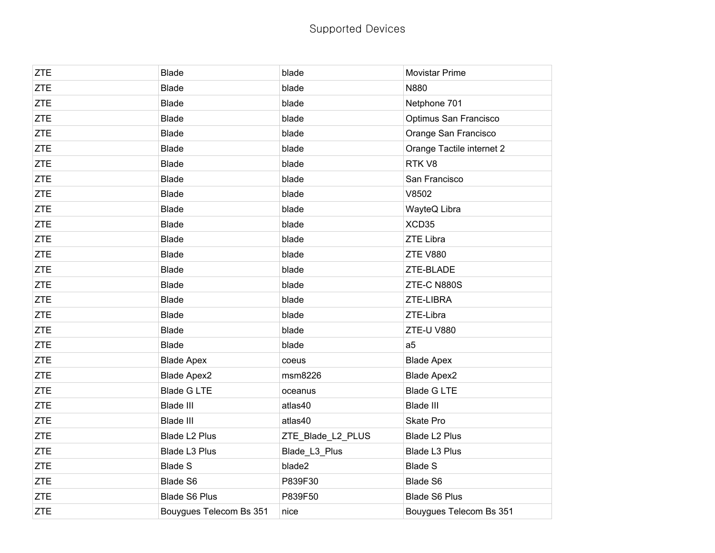| <b>ZTE</b> | <b>Blade</b>            | blade             | <b>Movistar Prime</b>     |
|------------|-------------------------|-------------------|---------------------------|
| <b>ZTE</b> | <b>Blade</b>            | blade             | N880                      |
| <b>ZTE</b> | <b>Blade</b>            | blade             | Netphone 701              |
| <b>ZTE</b> | <b>Blade</b>            | blade             | Optimus San Francisco     |
| <b>ZTE</b> | <b>Blade</b>            | blade             | Orange San Francisco      |
| <b>ZTE</b> | <b>Blade</b>            | blade             | Orange Tactile internet 2 |
| <b>ZTE</b> | <b>Blade</b>            | blade             | RTK V8                    |
| <b>ZTE</b> | <b>Blade</b>            | blade             | San Francisco             |
| <b>ZTE</b> | <b>Blade</b>            | blade             | V8502                     |
| <b>ZTE</b> | <b>Blade</b>            | blade             | WayteQ Libra              |
| <b>ZTE</b> | <b>Blade</b>            | blade             | XCD35                     |
| <b>ZTE</b> | <b>Blade</b>            | blade             | <b>ZTE Libra</b>          |
| <b>ZTE</b> | <b>Blade</b>            | blade             | <b>ZTE V880</b>           |
| <b>ZTE</b> | <b>Blade</b>            | blade             | ZTE-BLADE                 |
| <b>ZTE</b> | <b>Blade</b>            | blade             | ZTE-C N880S               |
| <b>ZTE</b> | <b>Blade</b>            | blade             | ZTE-LIBRA                 |
| <b>ZTE</b> | <b>Blade</b>            | blade             | ZTE-Libra                 |
| <b>ZTE</b> | <b>Blade</b>            | blade             | <b>ZTE-U V880</b>         |
| <b>ZTE</b> | <b>Blade</b>            | blade             | a <sub>5</sub>            |
| <b>ZTE</b> | <b>Blade Apex</b>       | coeus             | <b>Blade Apex</b>         |
| <b>ZTE</b> | <b>Blade Apex2</b>      | msm8226           | <b>Blade Apex2</b>        |
| <b>ZTE</b> | <b>Blade G LTE</b>      | oceanus           | <b>Blade G LTE</b>        |
| <b>ZTE</b> | <b>Blade III</b>        | atlas40           | Blade III                 |
| <b>ZTE</b> | <b>Blade III</b>        | atlas40           | Skate Pro                 |
| <b>ZTE</b> | Blade L2 Plus           | ZTE_Blade_L2_PLUS | Blade L2 Plus             |
| <b>ZTE</b> | Blade L3 Plus           | Blade_L3_Plus     | Blade L3 Plus             |
| <b>ZTE</b> | <b>Blade S</b>          | blade2            | <b>Blade S</b>            |
| <b>ZTE</b> | Blade S6                | P839F30           | Blade S6                  |
| <b>ZTE</b> | <b>Blade S6 Plus</b>    | P839F50           | <b>Blade S6 Plus</b>      |
| <b>ZTE</b> | Bouygues Telecom Bs 351 | nice              | Bouygues Telecom Bs 351   |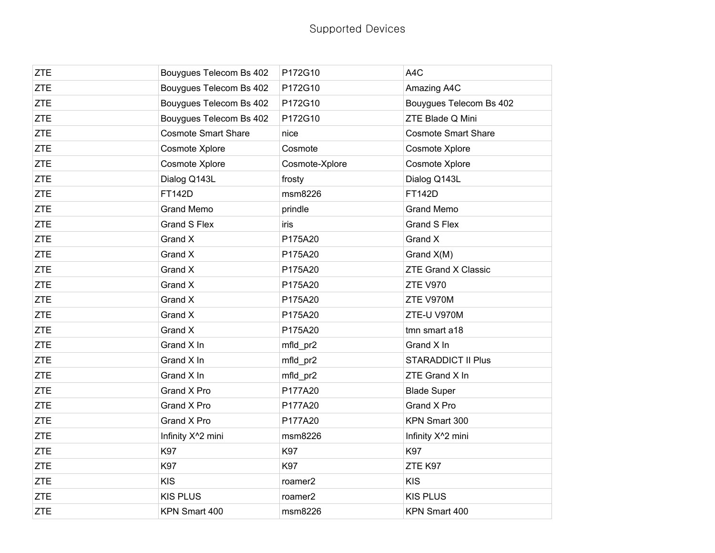| <b>ZTE</b> | Bouygues Telecom Bs 402        | P172G10             | A4C                            |
|------------|--------------------------------|---------------------|--------------------------------|
| <b>ZTE</b> | Bouygues Telecom Bs 402        | P172G10             | Amazing A4C                    |
| <b>ZTE</b> | Bouygues Telecom Bs 402        | P172G10             | Bouygues Telecom Bs 402        |
| <b>ZTE</b> | Bouygues Telecom Bs 402        | P172G10             | ZTE Blade Q Mini               |
| <b>ZTE</b> | <b>Cosmote Smart Share</b>     | nice                | <b>Cosmote Smart Share</b>     |
| <b>ZTE</b> | Cosmote Xplore                 | Cosmote             | Cosmote Xplore                 |
| <b>ZTE</b> | Cosmote Xplore                 | Cosmote-Xplore      | Cosmote Xplore                 |
| <b>ZTE</b> | Dialog Q143L                   | frosty              | Dialog Q143L                   |
| <b>ZTE</b> | <b>FT142D</b>                  | msm8226             | <b>FT142D</b>                  |
| <b>ZTE</b> | <b>Grand Memo</b>              | prindle             | <b>Grand Memo</b>              |
| <b>ZTE</b> | <b>Grand S Flex</b>            | iris                | <b>Grand S Flex</b>            |
| <b>ZTE</b> | Grand X                        | P175A20             | Grand X                        |
| <b>ZTE</b> | Grand X                        | P175A20             | Grand X(M)                     |
| <b>ZTE</b> | Grand X                        | P175A20             | <b>ZTE Grand X Classic</b>     |
| <b>ZTE</b> | Grand X                        | P175A20             | <b>ZTE V970</b>                |
| <b>ZTE</b> | Grand X                        | P175A20             | ZTE V970M                      |
| <b>ZTE</b> | Grand X                        | P175A20             | ZTE-U V970M                    |
| <b>ZTE</b> | Grand X                        | P175A20             | tmn smart a18                  |
| <b>ZTE</b> | Grand X In                     | mfld_pr2            | Grand X In                     |
| <b>ZTE</b> | Grand X In                     | mfld_pr2            | <b>STARADDICT II Plus</b>      |
| <b>ZTE</b> | Grand X In                     | mfld_pr2            | ZTE Grand X In                 |
| <b>ZTE</b> | Grand X Pro                    | P177A20             | <b>Blade Super</b>             |
| <b>ZTE</b> | Grand X Pro                    | P177A20             | Grand X Pro                    |
| <b>ZTE</b> | Grand X Pro                    | P177A20             | KPN Smart 300                  |
| <b>ZTE</b> | Infinity X <sup>^</sup> 2 mini | msm8226             | Infinity X <sup>^</sup> 2 mini |
| <b>ZTE</b> | K97                            | K97                 | <b>K97</b>                     |
| <b>ZTE</b> | K97                            | <b>K97</b>          | ZTE K97                        |
| <b>ZTE</b> | <b>KIS</b>                     | roamer <sub>2</sub> | <b>KIS</b>                     |
| <b>ZTE</b> | <b>KIS PLUS</b>                | roamer <sub>2</sub> | <b>KIS PLUS</b>                |
| <b>ZTE</b> | KPN Smart 400                  | msm8226             | KPN Smart 400                  |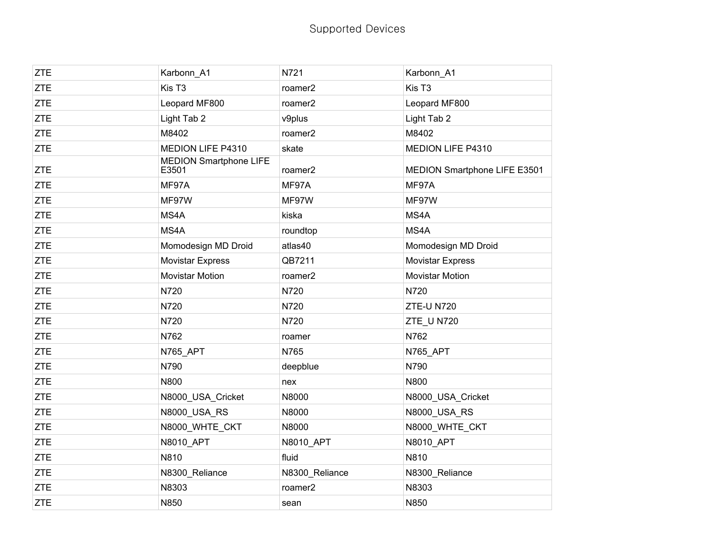| <b>ZTE</b> | Karbonn_A1                             | N721           | Karbonn_A1                   |
|------------|----------------------------------------|----------------|------------------------------|
| <b>ZTE</b> | Kis T <sub>3</sub>                     | roamer2        | Kis T <sub>3</sub>           |
| <b>ZTE</b> | Leopard MF800                          | roamer2        | Leopard MF800                |
| <b>ZTE</b> | Light Tab 2                            | v9plus         | Light Tab 2                  |
| <b>ZTE</b> | M8402                                  | roamer2        | M8402                        |
| <b>ZTE</b> | MEDION LIFE P4310                      | skate          | MEDION LIFE P4310            |
| <b>ZTE</b> | <b>MEDION Smartphone LIFE</b><br>E3501 | roamer2        | MEDION Smartphone LIFE E3501 |
| <b>ZTE</b> | MF97A                                  | MF97A          | MF97A                        |
| <b>ZTE</b> | MF97W                                  | MF97W          | MF97W                        |
| <b>ZTE</b> | MS4A                                   | kiska          | MS4A                         |
| <b>ZTE</b> | MS4A                                   | roundtop       | MS4A                         |
| <b>ZTE</b> | Momodesign MD Droid                    | atlas40        | Momodesign MD Droid          |
| <b>ZTE</b> | <b>Movistar Express</b>                | QB7211         | <b>Movistar Express</b>      |
| <b>ZTE</b> | <b>Movistar Motion</b>                 | roamer2        | <b>Movistar Motion</b>       |
| <b>ZTE</b> | N720                                   | N720           | N720                         |
| <b>ZTE</b> | N720                                   | N720           | <b>ZTE-U N720</b>            |
| <b>ZTE</b> | N720                                   | N720           | ZTE_U N720                   |
| <b>ZTE</b> | N762                                   | roamer         | N762                         |
| <b>ZTE</b> | N765 APT                               | N765           | N765 APT                     |
| <b>ZTE</b> | N790                                   | deepblue       | N790                         |
| <b>ZTE</b> | N800                                   | nex            | N800                         |
| <b>ZTE</b> | N8000 USA Cricket                      | N8000          | N8000 USA Cricket            |
| <b>ZTE</b> | N8000_USA_RS                           | N8000          | N8000_USA_RS                 |
| <b>ZTE</b> | N8000 WHTE CKT                         | N8000          | N8000_WHTE_CKT               |
| <b>ZTE</b> | N8010 APT                              | N8010 APT      | N8010 APT                    |
| <b>ZTE</b> | N810                                   | fluid          | N810                         |
| <b>ZTE</b> | N8300_Reliance                         | N8300_Reliance | N8300_Reliance               |
| <b>ZTE</b> | N8303                                  | roamer2        | N8303                        |
| <b>ZTE</b> | N850                                   | sean           | N850                         |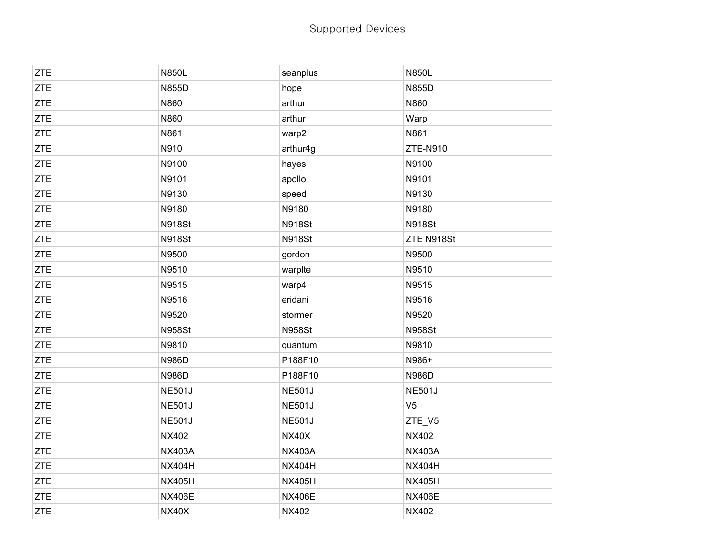| <b>ZTE</b> | <b>N850L</b>  | seanplus      | <b>N850L</b>   |
|------------|---------------|---------------|----------------|
| <b>ZTE</b> | <b>N855D</b>  | hope          | <b>N855D</b>   |
| <b>ZTE</b> | N860          | arthur        | N860           |
| <b>ZTE</b> | N860          | arthur        | Warp           |
| <b>ZTE</b> | N861          | warp2         | N861           |
| <b>ZTE</b> | N910          | arthur4g      | ZTE-N910       |
| <b>ZTE</b> | N9100         | hayes         | N9100          |
| <b>ZTE</b> | N9101         | apollo        | N9101          |
| ZTE        | N9130         | speed         | N9130          |
| <b>ZTE</b> | N9180         | N9180         | N9180          |
| <b>ZTE</b> | <b>N918St</b> | <b>N918St</b> | <b>N918St</b>  |
| <b>ZTE</b> | <b>N918St</b> | <b>N918St</b> | ZTE N918St     |
| <b>ZTE</b> | N9500         | gordon        | N9500          |
| <b>ZTE</b> | N9510         | warpIte       | N9510          |
| <b>ZTE</b> | N9515         | warp4         | N9515          |
| <b>ZTE</b> | N9516         | eridani       | N9516          |
| <b>ZTE</b> | N9520         | stormer       | N9520          |
| <b>ZTE</b> | <b>N958St</b> | <b>N958St</b> | <b>N958St</b>  |
| <b>ZTE</b> | N9810         | quantum       | N9810          |
| <b>ZTE</b> | <b>N986D</b>  | P188F10       | N986+          |
| ZTE        | N986D         | P188F10       | N986D          |
| <b>ZTE</b> | <b>NE501J</b> | <b>NE501J</b> | <b>NE501J</b>  |
| <b>ZTE</b> | <b>NE501J</b> | <b>NE501J</b> | V <sub>5</sub> |
| <b>ZTE</b> | <b>NE501J</b> | <b>NE501J</b> | ZTE_V5         |
| <b>ZTE</b> | <b>NX402</b>  | <b>NX40X</b>  | <b>NX402</b>   |
| <b>ZTE</b> | <b>NX403A</b> | <b>NX403A</b> | <b>NX403A</b>  |
| <b>ZTE</b> | <b>NX404H</b> | <b>NX404H</b> | <b>NX404H</b>  |
| <b>ZTE</b> | <b>NX405H</b> | <b>NX405H</b> | <b>NX405H</b>  |
| ZTE        | <b>NX406E</b> | <b>NX406E</b> | <b>NX406E</b>  |
| <b>ZTE</b> | <b>NX40X</b>  | <b>NX402</b>  | <b>NX402</b>   |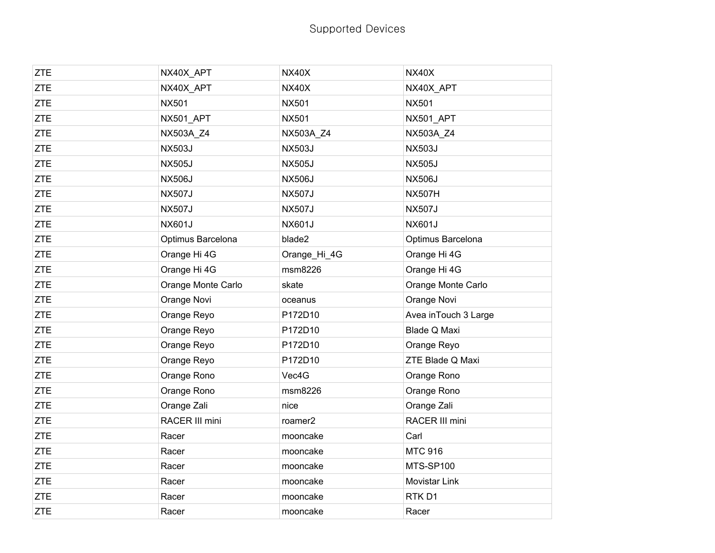| <b>ZTE</b> | NX40X_APT          | <b>NX40X</b>        | <b>NX40X</b>          |
|------------|--------------------|---------------------|-----------------------|
| <b>ZTE</b> | NX40X APT          | <b>NX40X</b>        | NX40X APT             |
| <b>ZTE</b> | <b>NX501</b>       | <b>NX501</b>        | <b>NX501</b>          |
| <b>ZTE</b> | NX501_APT          | <b>NX501</b>        | NX501_APT             |
| <b>ZTE</b> | NX503A_Z4          | NX503A_Z4           | NX503A_Z4             |
| <b>ZTE</b> | <b>NX503J</b>      | <b>NX503J</b>       | <b>NX503J</b>         |
| <b>ZTE</b> | <b>NX505J</b>      | <b>NX505J</b>       | <b>NX505J</b>         |
| <b>ZTE</b> | <b>NX506J</b>      | <b>NX506J</b>       | <b>NX506J</b>         |
| <b>ZTE</b> | <b>NX507J</b>      | <b>NX507J</b>       | <b>NX507H</b>         |
| <b>ZTE</b> | <b>NX507J</b>      | <b>NX507J</b>       | <b>NX507J</b>         |
| <b>ZTE</b> | <b>NX601J</b>      | <b>NX601J</b>       | <b>NX601J</b>         |
| <b>ZTE</b> | Optimus Barcelona  | blade2              | Optimus Barcelona     |
| <b>ZTE</b> | Orange Hi 4G       | Orange_Hi_4G        | Orange Hi 4G          |
| <b>ZTE</b> | Orange Hi 4G       | msm8226             | Orange Hi 4G          |
| <b>ZTE</b> | Orange Monte Carlo | skate               | Orange Monte Carlo    |
| <b>ZTE</b> | Orange Novi        | oceanus             | Orange Novi           |
| <b>ZTE</b> | Orange Reyo        | P172D10             | Avea in Touch 3 Large |
| <b>ZTE</b> | Orange Reyo        | P172D10             | Blade Q Maxi          |
| <b>ZTE</b> | Orange Reyo        | P172D10             | Orange Reyo           |
| <b>ZTE</b> | Orange Reyo        | P172D10             | ZTE Blade Q Maxi      |
| <b>ZTE</b> | Orange Rono        | Vec4G               | Orange Rono           |
| <b>ZTE</b> | Orange Rono        | msm8226             | Orange Rono           |
| <b>ZTE</b> | Orange Zali        | nice                | Orange Zali           |
| <b>ZTE</b> | RACER III mini     | roamer <sub>2</sub> | RACER III mini        |
| <b>ZTE</b> | Racer              | mooncake            | Carl                  |
| <b>ZTE</b> | Racer              | mooncake            | <b>MTC 916</b>        |
| <b>ZTE</b> | Racer              | mooncake            | MTS-SP100             |
| <b>ZTE</b> | Racer              | mooncake            | Movistar Link         |
| <b>ZTE</b> | Racer              | mooncake            | RTK <sub>D1</sub>     |
| <b>ZTE</b> | Racer              | mooncake            | Racer                 |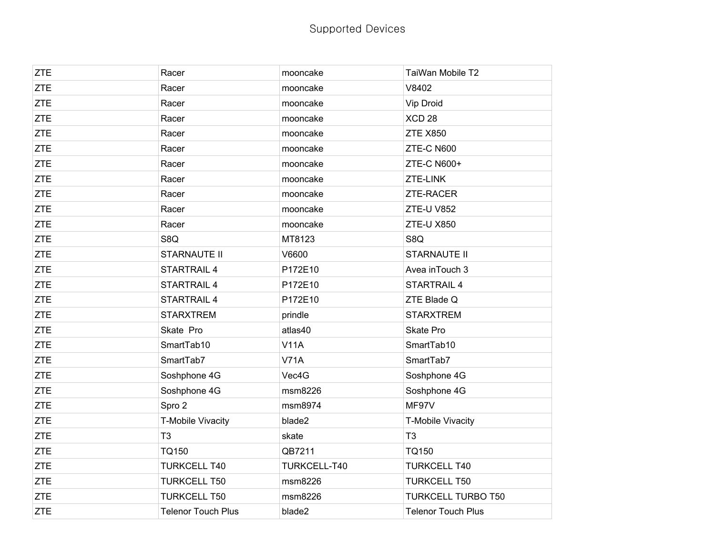| <b>ZTE</b> | Racer                     | mooncake     | TaiWan Mobile T2          |
|------------|---------------------------|--------------|---------------------------|
| <b>ZTE</b> | Racer                     | mooncake     | V8402                     |
| <b>ZTE</b> | Racer                     | mooncake     | Vip Droid                 |
| <b>ZTE</b> | Racer                     | mooncake     | XCD <sub>28</sub>         |
| <b>ZTE</b> | Racer                     | mooncake     | <b>ZTE X850</b>           |
| <b>ZTE</b> | Racer                     | mooncake     | ZTE-C N600                |
| <b>ZTE</b> | Racer                     | mooncake     | <b>ZTE-C N600+</b>        |
| <b>ZTE</b> | Racer                     | mooncake     | ZTE-LINK                  |
| <b>ZTE</b> | Racer                     | mooncake     | <b>ZTE-RACER</b>          |
| <b>ZTE</b> | Racer                     | mooncake     | ZTE-U V852                |
| <b>ZTE</b> | Racer                     | mooncake     | ZTE-U X850                |
| <b>ZTE</b> | S8Q                       | MT8123       | S8Q                       |
| <b>ZTE</b> | <b>STARNAUTE II</b>       | V6600        | <b>STARNAUTE II</b>       |
| <b>ZTE</b> | STARTRAIL 4               | P172E10      | Avea in Touch 3           |
| <b>ZTE</b> | <b>STARTRAIL 4</b>        | P172E10      | <b>STARTRAIL 4</b>        |
| <b>ZTE</b> | <b>STARTRAIL 4</b>        | P172E10      | ZTE Blade Q               |
| <b>ZTE</b> | <b>STARXTREM</b>          | prindle      | <b>STARXTREM</b>          |
| <b>ZTE</b> | Skate Pro                 | atlas40      | Skate Pro                 |
| <b>ZTE</b> | SmartTab10                | <b>V11A</b>  | SmartTab10                |
| <b>ZTE</b> | SmartTab7                 | <b>V71A</b>  | SmartTab7                 |
| <b>ZTE</b> | Soshphone 4G              | Vec4G        | Soshphone 4G              |
| <b>ZTE</b> | Soshphone 4G              | msm8226      | Soshphone 4G              |
| <b>ZTE</b> | Spro 2                    | msm8974      | MF97V                     |
| <b>ZTE</b> | T-Mobile Vivacity         | blade2       | T-Mobile Vivacity         |
| <b>ZTE</b> | T <sub>3</sub>            | skate        | T <sub>3</sub>            |
| ZTE        | <b>TQ150</b>              | QB7211       | <b>TQ150</b>              |
| <b>ZTE</b> | <b>TURKCELL T40</b>       | TURKCELL-T40 | <b>TURKCELL T40</b>       |
| <b>ZTE</b> | <b>TURKCELL T50</b>       | msm8226      | <b>TURKCELL T50</b>       |
| <b>ZTE</b> | <b>TURKCELL T50</b>       | msm8226      | <b>TURKCELL TURBO T50</b> |
| <b>ZTE</b> | <b>Telenor Touch Plus</b> | blade2       | <b>Telenor Touch Plus</b> |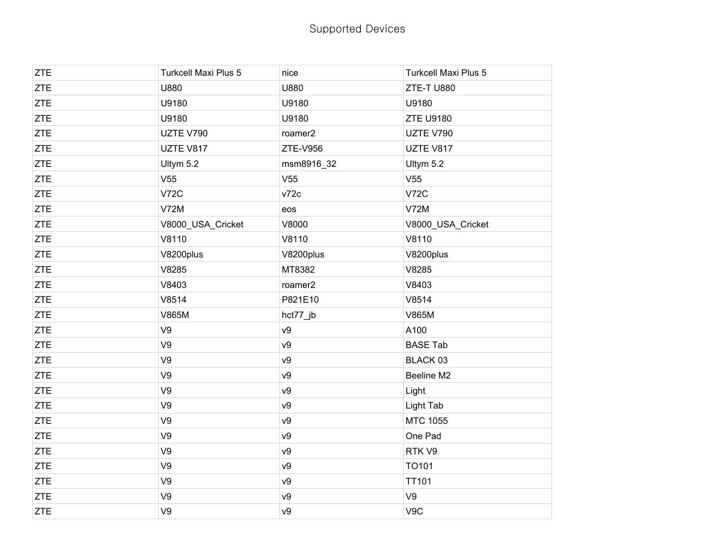| <b>ZTE</b> | <b>Turkcell Maxi Plus 5</b> | nice            | <b>Turkcell Maxi Plus 5</b> |
|------------|-----------------------------|-----------------|-----------------------------|
| <b>ZTE</b> | U880                        | U880            | ZTE-TU880                   |
| <b>ZTE</b> | U9180                       | U9180           | U9180                       |
| <b>ZTE</b> | U9180                       | U9180           | <b>ZTE U9180</b>            |
| <b>ZTE</b> | UZTE V790                   | roamer2         | UZTE V790                   |
| <b>ZTE</b> | UZTE V817                   | ZTE-V956        | UZTE V817                   |
| <b>ZTE</b> | Ultym 5.2                   | msm8916_32      | Ultym 5.2                   |
| <b>ZTE</b> | V <sub>55</sub>             | V <sub>55</sub> | V <sub>55</sub>             |
| <b>ZTE</b> | <b>V72C</b>                 | v72c            | <b>V72C</b>                 |
| <b>ZTE</b> | <b>V72M</b>                 | eos             | <b>V72M</b>                 |
| ZTE        | V8000_USA_Cricket           | V8000           | V8000_USA_Cricket           |
| <b>ZTE</b> | V8110                       | V8110           | V8110                       |
| <b>ZTE</b> | V8200plus                   | V8200plus       | V8200plus                   |
| ZTE        | V8285                       | MT8382          | V8285                       |
| ZTE        | V8403                       | roamer2         | V8403                       |
| <b>ZTE</b> | V8514                       | P821E10         | V8514                       |
| <b>ZTE</b> | <b>V865M</b>                | hct77_jb        | V865M                       |
| <b>ZTE</b> | V9                          | V9              | A100                        |
| <b>ZTE</b> | V9                          | v9              | <b>BASE Tab</b>             |
| <b>ZTE</b> | V9                          | V9              | BLACK 03                    |
| <b>ZTE</b> | V9                          | V9              | Beeline M2                  |
| ZTE        | V9                          | v9              | Light                       |
| <b>ZTE</b> | V9                          | v9              | <b>Light Tab</b>            |
| <b>ZTE</b> | V9                          | V9              | MTC 1055                    |
| <b>ZTE</b> | V9                          | v9              | One Pad                     |
| ZTE        | V9                          | v9              | RTK V9                      |
| <b>ZTE</b> | V9                          | v9              | TO101                       |
| <b>ZTE</b> | V9                          | V9              | <b>TT101</b>                |
| <b>ZTE</b> | V9                          | v9              | V9                          |
| <b>ZTE</b> | V9                          | V <sup>9</sup>  | V9C                         |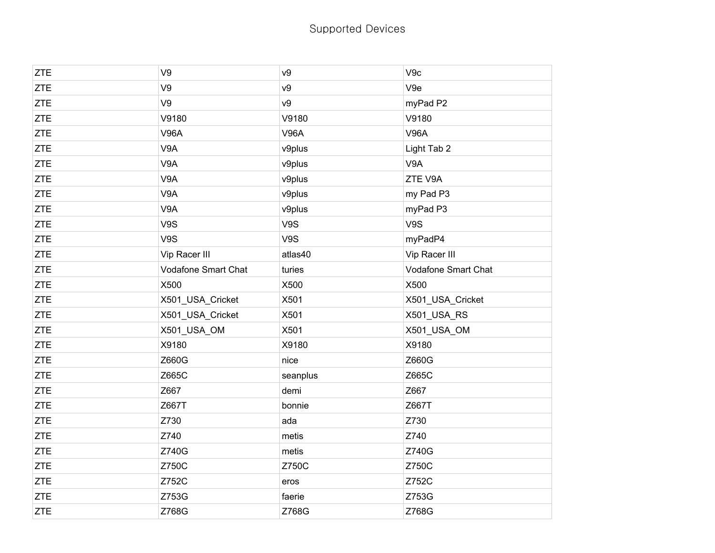| <b>ZTE</b> | V9                  | ν9             | V9c                 |
|------------|---------------------|----------------|---------------------|
| <b>ZTE</b> | V9                  | V <sub>9</sub> | V9e                 |
| ZTE        | V9                  | v9             | myPad P2            |
| <b>ZTE</b> | V9180               | V9180          | V9180               |
| <b>ZTE</b> | <b>V96A</b>         | <b>V96A</b>    | <b>V96A</b>         |
| ZTE        | V9A                 | v9plus         | Light Tab 2         |
| <b>ZTE</b> | V9A                 | v9plus         | V9A                 |
| <b>ZTE</b> | V9A                 | v9plus         | ZTE V9A             |
| ZTE        | V9A                 | v9plus         | my Pad P3           |
| <b>ZTE</b> | V9A                 | v9plus         | myPad P3            |
| <b>ZTE</b> | V9S                 | V9S            | V9S                 |
| <b>ZTE</b> | V9S                 | V9S            | myPadP4             |
| <b>ZTE</b> | Vip Racer III       | atlas40        | Vip Racer III       |
| <b>ZTE</b> | Vodafone Smart Chat | turies         | Vodafone Smart Chat |
| ZTE        | X500                | X500           | X500                |
| <b>ZTE</b> | X501_USA_Cricket    | X501           | X501_USA_Cricket    |
| <b>ZTE</b> | X501_USA_Cricket    | X501           | X501_USA_RS         |
| ZTE        | X501_USA_OM         | X501           | X501_USA_OM         |
| <b>ZTE</b> | X9180               | X9180          | X9180               |
| <b>ZTE</b> | Z660G               | nice           | Z660G               |
| <b>ZTE</b> | Z665C               | seanplus       | Z665C               |
| <b>ZTE</b> | Z667                | demi           | Z667                |
| <b>ZTE</b> | Z667T               | bonnie         | Z667T               |
| ZTE        | Z730                | ada            | Z730                |
| <b>ZTE</b> | Z740                | metis          | Z740                |
| <b>ZTE</b> | Z740G               | metis          | Z740G               |
| <b>ZTE</b> | Z750C               | Z750C          | Z750C               |
| <b>ZTE</b> | Z752C               | eros           | Z752C               |
| ZTE        | Z753G               | faerie         | Z753G               |
| <b>ZTE</b> | Z768G               | Z768G          | Z768G               |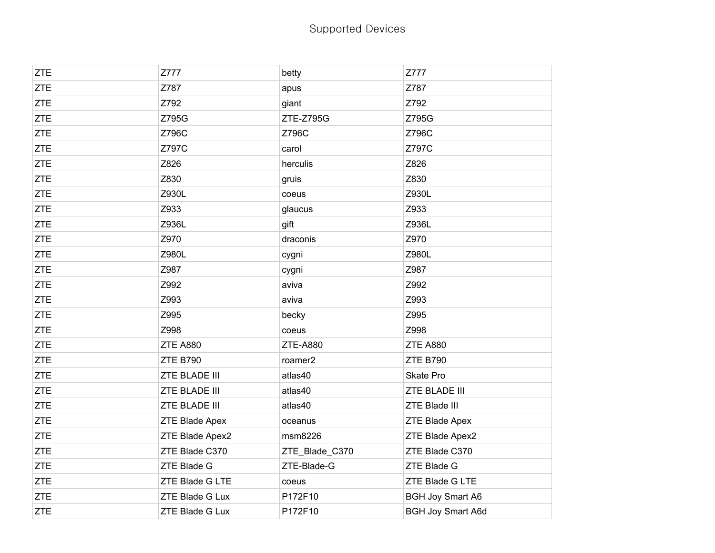| <b>ZTE</b> | Z777            | betty           | Z777                     |
|------------|-----------------|-----------------|--------------------------|
| <b>ZTE</b> | Z787            | apus            | Z787                     |
| <b>ZTE</b> | Z792            | giant           | Z792                     |
| <b>ZTE</b> | Z795G           | ZTE-Z795G       | Z795G                    |
| ZTE        | Z796C           | Z796C           | Z796C                    |
| <b>ZTE</b> | Z797C           | carol           | Z797C                    |
| <b>ZTE</b> | Z826            | herculis        | Z826                     |
| <b>ZTE</b> | Z830            | gruis           | Z830                     |
| <b>ZTE</b> | Z930L           | coeus           | Z930L                    |
| <b>ZTE</b> | Z933            | glaucus         | Z933                     |
| <b>ZTE</b> | Z936L           | gift            | Z936L                    |
| <b>ZTE</b> | Z970            | draconis        | Z970                     |
| <b>ZTE</b> | Z980L           | cygni           | Z980L                    |
| <b>ZTE</b> | Z987            | cygni           | Z987                     |
| <b>ZTE</b> | Z992            | aviva           | Z992                     |
| <b>ZTE</b> | Z993            | aviva           | Z993                     |
| <b>ZTE</b> | Z995            | becky           | Z995                     |
| <b>ZTE</b> | Z998            | coeus           | Z998                     |
| <b>ZTE</b> | <b>ZTE A880</b> | <b>ZTE-A880</b> | <b>ZTE A880</b>          |
| <b>ZTE</b> | <b>ZTE B790</b> | roamer2         | <b>ZTE B790</b>          |
| <b>ZTE</b> | ZTE BLADE III   | atlas40         | Skate Pro                |
| <b>ZTE</b> | ZTE BLADE III   | atlas40         | ZTE BLADE III            |
| <b>ZTE</b> | ZTE BLADE III   | atlas40         | <b>ZTE Blade III</b>     |
| <b>ZTE</b> | ZTE Blade Apex  | oceanus         | ZTE Blade Apex           |
| <b>ZTE</b> | ZTE Blade Apex2 | msm8226         | ZTE Blade Apex2          |
| ZTE        | ZTE Blade C370  | ZTE_Blade_C370  | ZTE Blade C370           |
| <b>ZTE</b> | ZTE Blade G     | ZTE-Blade-G     | ZTE Blade G              |
| <b>ZTE</b> | ZTE Blade G LTE | coeus           | ZTE Blade G LTE          |
| <b>ZTE</b> | ZTE Blade G Lux | P172F10         | <b>BGH Joy Smart A6</b>  |
| <b>ZTE</b> | ZTE Blade G Lux | P172F10         | <b>BGH Joy Smart A6d</b> |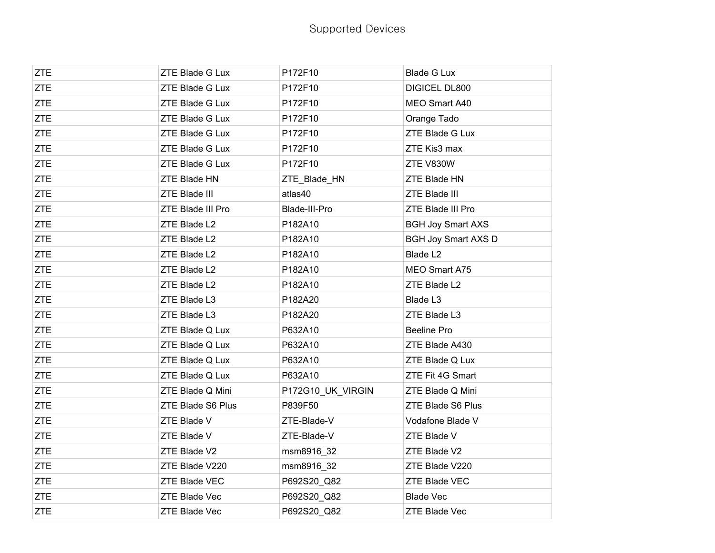| <b>ZTE</b> | ZTE Blade G Lux      | P172F10           | <b>Blade G Lux</b>         |
|------------|----------------------|-------------------|----------------------------|
| <b>ZTE</b> | ZTE Blade G Lux      | P172F10           | DIGICEL DL800              |
| <b>ZTE</b> | ZTE Blade G Lux      | P172F10           | MEO Smart A40              |
| ZTE        | ZTE Blade G Lux      | P172F10           | Orange Tado                |
| <b>ZTE</b> | ZTE Blade G Lux      | P172F10           | ZTE Blade G Lux            |
| <b>ZTE</b> | ZTE Blade G Lux      | P172F10           | ZTE Kis3 max               |
| <b>ZTE</b> | ZTE Blade G Lux      | P172F10           | ZTE V830W                  |
| <b>ZTE</b> | ZTE Blade HN         | ZTE_Blade_HN      | ZTE Blade HN               |
| <b>ZTE</b> | ZTE Blade III        | atlas40           | ZTE Blade III              |
| <b>ZTE</b> | ZTE Blade III Pro    | Blade-III-Pro     | ZTE Blade III Pro          |
| <b>ZTE</b> | ZTE Blade L2         | P182A10           | <b>BGH Joy Smart AXS</b>   |
| <b>ZTE</b> | ZTE Blade L2         | P182A10           | <b>BGH Joy Smart AXS D</b> |
| ZTE        | ZTE Blade L2         | P182A10           | Blade L <sub>2</sub>       |
| <b>ZTE</b> | ZTE Blade L2         | P182A10           | MEO Smart A75              |
| <b>ZTE</b> | ZTE Blade L2         | P182A10           | ZTE Blade L2               |
| <b>ZTE</b> | ZTE Blade L3         | P182A20           | Blade L3                   |
| ZTE        | ZTE Blade L3         | P182A20           | ZTE Blade L3               |
| <b>ZTE</b> | ZTE Blade Q Lux      | P632A10           | Beeline Pro                |
| <b>ZTE</b> | ZTE Blade Q Lux      | P632A10           | ZTE Blade A430             |
| <b>ZTE</b> | ZTE Blade Q Lux      | P632A10           | ZTE Blade Q Lux            |
| ZTE        | ZTE Blade Q Lux      | P632A10           | ZTE Fit 4G Smart           |
| ZTE        | ZTE Blade Q Mini     | P172G10_UK_VIRGIN | ZTE Blade Q Mini           |
| <b>ZTE</b> | ZTE Blade S6 Plus    | P839F50           | ZTE Blade S6 Plus          |
| <b>ZTE</b> | ZTE Blade V          | ZTE-Blade-V       | Vodafone Blade V           |
| <b>ZTE</b> | ZTE Blade V          | ZTE-Blade-V       | ZTE Blade V                |
| ZTE        | ZTE Blade V2         | msm8916_32        | ZTE Blade V2               |
| <b>ZTE</b> | ZTE Blade V220       | msm8916_32        | ZTE Blade V220             |
| <b>ZTE</b> | ZTE Blade VEC        | P692S20_Q82       | ZTE Blade VEC              |
| <b>ZTE</b> | ZTE Blade Vec        | P692S20_Q82       | <b>Blade Vec</b>           |
| <b>ZTE</b> | <b>ZTE Blade Vec</b> | P692S20 Q82       | <b>ZTE Blade Vec</b>       |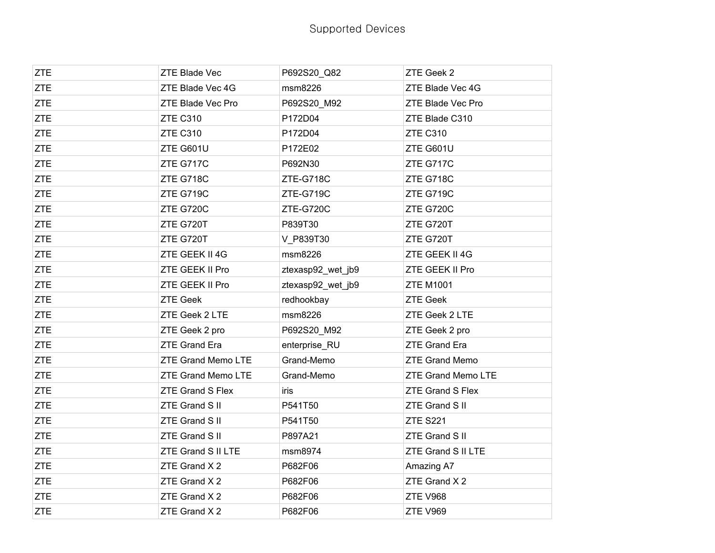| <b>ZTE</b> | ZTE Blade Vec        | P692S20_Q82       | ZTE Geek 2              |
|------------|----------------------|-------------------|-------------------------|
| <b>ZTE</b> | ZTE Blade Vec 4G     | msm8226           | ZTE Blade Vec 4G        |
| <b>ZTE</b> | ZTE Blade Vec Pro    | P692S20_M92       | ZTE Blade Vec Pro       |
| <b>ZTE</b> | <b>ZTE C310</b>      | P172D04           | ZTE Blade C310          |
| <b>ZTE</b> | ZTE C310             | P172D04           | <b>ZTE C310</b>         |
| <b>ZTE</b> | ZTE G601U            | P172E02           | ZTE G601U               |
| <b>ZTE</b> | ZTE G717C            | P692N30           | ZTE G717C               |
| <b>ZTE</b> | ZTE G718C            | ZTE-G718C         | ZTE G718C               |
| <b>ZTE</b> | ZTE G719C            | ZTE-G719C         | ZTE G719C               |
| <b>ZTE</b> | ZTE G720C            | ZTE-G720C         | ZTE G720C               |
| <b>ZTE</b> | ZTE G720T            | P839T30           | ZTE G720T               |
| <b>ZTE</b> | ZTE G720T            | V P839T30         | ZTE G720T               |
| <b>ZTE</b> | ZTE GEEK II 4G       | msm8226           | ZTE GEEK II 4G          |
| <b>ZTE</b> | ZTE GEEK II Pro      | ztexasp92_wet_jb9 | ZTE GEEK II Pro         |
| <b>ZTE</b> | ZTE GEEK II Pro      | ztexasp92_wet_jb9 | <b>ZTE M1001</b>        |
| <b>ZTE</b> | <b>ZTE Geek</b>      | redhookbay        | <b>ZTE Geek</b>         |
| <b>ZTE</b> | ZTE Geek 2 LTE       | msm8226           | ZTE Geek 2 LTE          |
| <b>ZTE</b> | ZTE Geek 2 pro       | P692S20_M92       | ZTE Geek 2 pro          |
| <b>ZTE</b> | <b>ZTE Grand Era</b> | enterprise_RU     | <b>ZTE Grand Era</b>    |
| <b>ZTE</b> | ZTE Grand Memo LTE   | Grand-Memo        | <b>ZTE Grand Memo</b>   |
| <b>ZTE</b> | ZTE Grand Memo LTE   | Grand-Memo        | ZTE Grand Memo LTE      |
| <b>ZTE</b> | ZTE Grand S Flex     | iris              | <b>ZTE Grand S Flex</b> |
| <b>ZTE</b> | ZTE Grand S II       | P541T50           | ZTE Grand S II          |
| <b>ZTE</b> | ZTE Grand S II       | P541T50           | <b>ZTE S221</b>         |
| <b>ZTE</b> | ZTE Grand S II       | P897A21           | ZTE Grand S II          |
| <b>ZTE</b> | ZTE Grand S II LTE   | msm8974           | ZTE Grand S II LTE      |
| <b>ZTE</b> | ZTE Grand X 2        | P682F06           | Amazing A7              |
| <b>ZTE</b> | ZTE Grand X 2        | P682F06           | ZTE Grand X 2           |
| <b>ZTE</b> | ZTE Grand X 2        | P682F06           | <b>ZTE V968</b>         |
| ZTE        | ZTE Grand X 2        | P682F06           | <b>ZTE V969</b>         |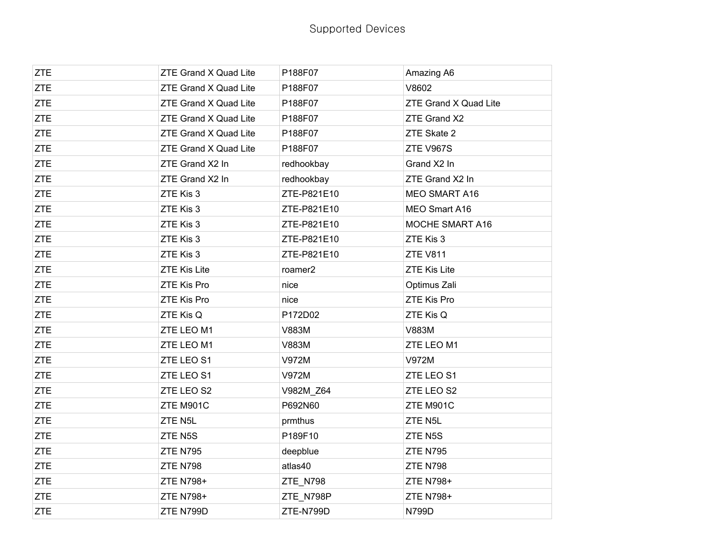| <b>ZTE</b> | ZTE Grand X Quad Lite        | P188F07     | Amazing A6                   |
|------------|------------------------------|-------------|------------------------------|
| <b>ZTE</b> | ZTE Grand X Quad Lite        | P188F07     | V8602                        |
| <b>ZTE</b> | <b>ZTE Grand X Quad Lite</b> | P188F07     | <b>ZTE Grand X Quad Lite</b> |
| <b>ZTE</b> | <b>ZTE Grand X Quad Lite</b> | P188F07     | ZTE Grand X2                 |
| <b>ZTE</b> | ZTE Grand X Quad Lite        | P188F07     | ZTE Skate 2                  |
| <b>ZTE</b> | ZTE Grand X Quad Lite        | P188F07     | ZTE V967S                    |
| <b>ZTE</b> | ZTE Grand X2 In              | redhookbay  | Grand X2 In                  |
| <b>ZTE</b> | ZTE Grand X2 In              | redhookbay  | ZTE Grand X2 In              |
| <b>ZTE</b> | ZTE Kis 3                    | ZTE-P821E10 | <b>MEO SMART A16</b>         |
| <b>ZTE</b> | ZTE Kis 3                    | ZTE-P821E10 | MEO Smart A16                |
| <b>ZTE</b> | ZTE Kis 3                    | ZTE-P821E10 | MOCHE SMART A16              |
| <b>ZTE</b> | ZTE Kis 3                    | ZTE-P821E10 | ZTE Kis 3                    |
| <b>ZTE</b> | ZTE Kis 3                    | ZTE-P821E10 | <b>ZTE V811</b>              |
| <b>ZTE</b> | <b>ZTE Kis Lite</b>          | roamer2     | <b>ZTE Kis Lite</b>          |
| <b>ZTE</b> | ZTE Kis Pro                  | nice        | Optimus Zali                 |
| <b>ZTE</b> | <b>ZTE Kis Pro</b>           | nice        | ZTE Kis Pro                  |
| <b>ZTE</b> | ZTE Kis Q                    | P172D02     | ZTE Kis Q                    |
| <b>ZTE</b> | ZTE LEO M1                   | V883M       | V883M                        |
| <b>ZTE</b> | ZTE LEO M1                   | V883M       | ZTE LEO M1                   |
| <b>ZTE</b> | ZTE LEO S1                   | V972M       | V972M                        |
| <b>ZTE</b> | ZTE LEO S1                   | V972M       | ZTE LEO S1                   |
| <b>ZTE</b> | ZTE LEO S2                   | V982M_Z64   | ZTE LEO S2                   |
| <b>ZTE</b> | ZTE M901C                    | P692N60     | ZTE M901C                    |
| <b>ZTE</b> | ZTE N5L                      | prmthus     | ZTE N5L                      |
| <b>ZTE</b> | ZTE N5S                      | P189F10     | ZTE N5S                      |
| <b>ZTE</b> | <b>ZTE N795</b>              | deepblue    | <b>ZTE N795</b>              |
| <b>ZTE</b> | <b>ZTE N798</b>              | atlas40     | <b>ZTE N798</b>              |
| <b>ZTE</b> | ZTE N798+                    | ZTE_N798    | ZTE N798+                    |
| <b>ZTE</b> | ZTE N798+                    | ZTE_N798P   | ZTE N798+                    |
| <b>ZTE</b> | ZTE N799D                    | ZTE-N799D   | N799D                        |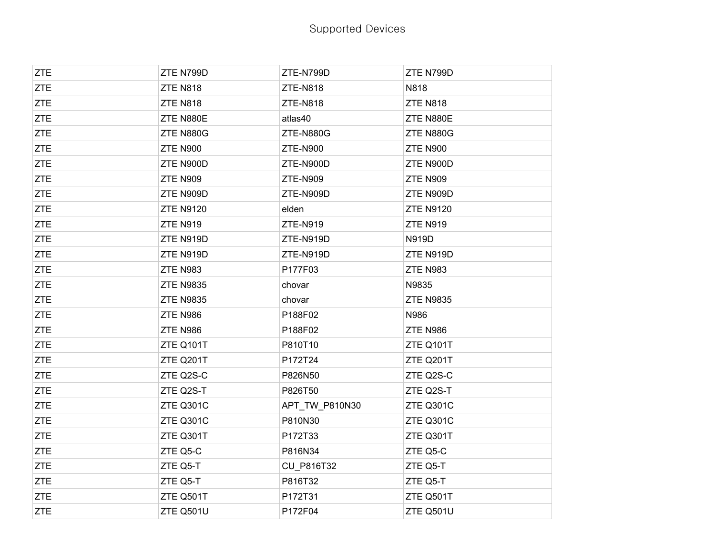| <b>ZTE</b> | ZTE N799D        | ZTE-N799D       | ZTE N799D        |
|------------|------------------|-----------------|------------------|
| <b>ZTE</b> | ZTE N818         | <b>ZTE-N818</b> | N818             |
| <b>ZTE</b> | ZTE N818         | <b>ZTE-N818</b> | <b>ZTE N818</b>  |
| <b>ZTE</b> | ZTE N880E        | atlas40         | ZTE N880E        |
| <b>ZTE</b> | ZTE N880G        | ZTE-N880G       | ZTE N880G        |
| <b>ZTE</b> | <b>ZTE N900</b>  | <b>ZTE-N900</b> | <b>ZTE N900</b>  |
| <b>ZTE</b> | ZTE N900D        | ZTE-N900D       | ZTE N900D        |
| <b>ZTE</b> | <b>ZTE N909</b>  | <b>ZTE-N909</b> | <b>ZTE N909</b>  |
| <b>ZTE</b> | ZTE N909D        | ZTE-N909D       | ZTE N909D        |
| <b>ZTE</b> | <b>ZTE N9120</b> | elden           | <b>ZTE N9120</b> |
| <b>ZTE</b> | <b>ZTE N919</b>  | ZTE-N919        | <b>ZTE N919</b>  |
| <b>ZTE</b> | ZTE N919D        | ZTE-N919D       | N919D            |
| <b>ZTE</b> | ZTE N919D        | ZTE-N919D       | ZTE N919D        |
| <b>ZTE</b> | ZTE N983         | P177F03         | <b>ZTE N983</b>  |
| <b>ZTE</b> | <b>ZTE N9835</b> | chovar          | N9835            |
| <b>ZTE</b> | <b>ZTE N9835</b> | chovar          | <b>ZTE N9835</b> |
| <b>ZTE</b> | ZTE N986         | P188F02         | N986             |
| <b>ZTE</b> | ZTE N986         | P188F02         | <b>ZTE N986</b>  |
| <b>ZTE</b> | ZTE Q101T        | P810T10         | ZTE Q101T        |
| <b>ZTE</b> | ZTE Q201T        | P172T24         | ZTE Q201T        |
| <b>ZTE</b> | ZTE Q2S-C        | P826N50         | ZTE Q2S-C        |
| <b>ZTE</b> | ZTE Q2S-T        | P826T50         | ZTE Q2S-T        |
| <b>ZTE</b> | ZTE Q301C        | APT_TW_P810N30  | ZTE Q301C        |
| <b>ZTE</b> | ZTE Q301C        | P810N30         | ZTE Q301C        |
| <b>ZTE</b> | ZTE Q301T        | P172T33         | ZTE Q301T        |
| <b>ZTE</b> | ZTE Q5-C         | P816N34         | ZTE Q5-C         |
| <b>ZTE</b> | ZTE Q5-T         | CU_P816T32      | ZTE Q5-T         |
| <b>ZTE</b> | ZTE Q5-T         | P816T32         | ZTE Q5-T         |
| <b>ZTE</b> | ZTE Q501T        | P172T31         | ZTE Q501T        |
| <b>ZTE</b> | ZTE Q501U        | P172F04         | ZTE Q501U        |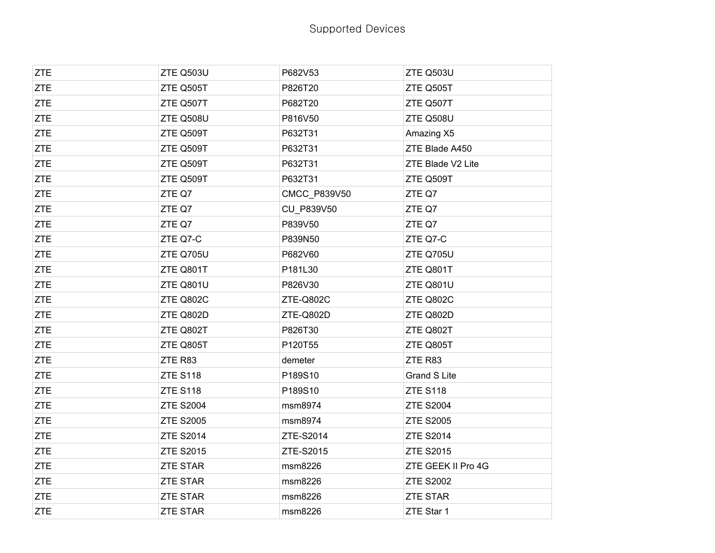| <b>ZTE</b> | ZTE Q503U        | P682V53      | ZTE Q503U           |
|------------|------------------|--------------|---------------------|
| <b>ZTE</b> | ZTE Q505T        | P826T20      | ZTE Q505T           |
| <b>ZTE</b> | ZTE Q507T        | P682T20      | ZTE Q507T           |
| <b>ZTE</b> | ZTE Q508U        | P816V50      | ZTE Q508U           |
| <b>ZTE</b> | ZTE Q509T        | P632T31      | Amazing X5          |
| <b>ZTE</b> | ZTE Q509T        | P632T31      | ZTE Blade A450      |
| <b>ZTE</b> | ZTE Q509T        | P632T31      | ZTE Blade V2 Lite   |
| <b>ZTE</b> | ZTE Q509T        | P632T31      | ZTE Q509T           |
| <b>ZTE</b> | ZTE Q7           | CMCC_P839V50 | ZTE Q7              |
| <b>ZTE</b> | ZTE Q7           | CU_P839V50   | ZTE Q7              |
| <b>ZTE</b> | ZTE Q7           | P839V50      | ZTE Q7              |
| <b>ZTE</b> | ZTE Q7-C         | P839N50      | ZTE Q7-C            |
| <b>ZTE</b> | ZTE Q705U        | P682V60      | ZTE Q705U           |
| <b>ZTE</b> | ZTE Q801T        | P181L30      | ZTE Q801T           |
| <b>ZTE</b> | ZTE Q801U        | P826V30      | ZTE Q801U           |
| <b>ZTE</b> | ZTE Q802C        | ZTE-Q802C    | ZTE Q802C           |
| <b>ZTE</b> | ZTE Q802D        | ZTE-Q802D    | ZTE Q802D           |
| <b>ZTE</b> | ZTE Q802T        | P826T30      | ZTE Q802T           |
| <b>ZTE</b> | ZTE Q805T        | P120T55      | ZTE Q805T           |
| <b>ZTE</b> | ZTE R83          | demeter      | ZTE R83             |
| <b>ZTE</b> | <b>ZTE S118</b>  | P189S10      | <b>Grand S Lite</b> |
| <b>ZTE</b> | <b>ZTE S118</b>  | P189S10      | <b>ZTE S118</b>     |
| <b>ZTE</b> | <b>ZTE S2004</b> | msm8974      | <b>ZTE S2004</b>    |
| <b>ZTE</b> | <b>ZTE S2005</b> | msm8974      | <b>ZTE S2005</b>    |
| <b>ZTE</b> | <b>ZTE S2014</b> | ZTE-S2014    | <b>ZTE S2014</b>    |
| <b>ZTE</b> | <b>ZTE S2015</b> | ZTE-S2015    | <b>ZTE S2015</b>    |
| <b>ZTE</b> | <b>ZTE STAR</b>  | msm8226      | ZTE GEEK II Pro 4G  |
| <b>ZTE</b> | <b>ZTE STAR</b>  | msm8226      | <b>ZTE S2002</b>    |
| <b>ZTE</b> | <b>ZTE STAR</b>  | msm8226      | <b>ZTE STAR</b>     |
| <b>ZTE</b> | <b>ZTE STAR</b>  | msm8226      | ZTE Star 1          |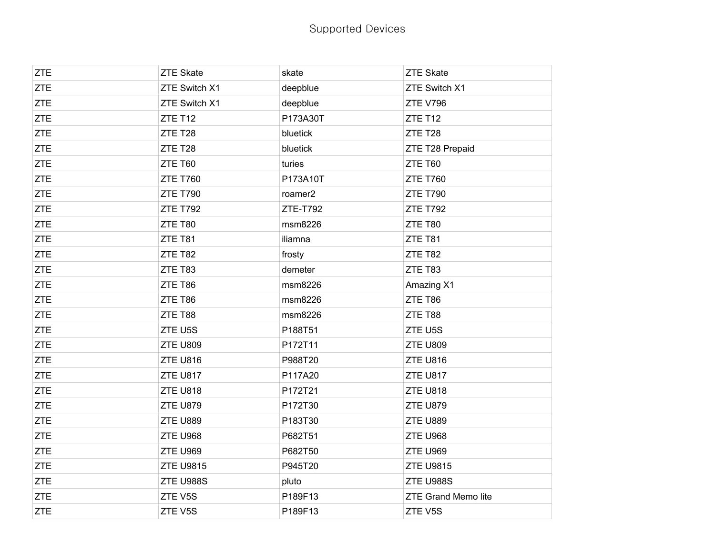| <b>ZTE</b> | <b>ZTE Skate</b> | skate    | <b>ZTE Skate</b>           |
|------------|------------------|----------|----------------------------|
| <b>ZTE</b> | ZTE Switch X1    | deepblue | ZTE Switch X1              |
| <b>ZTE</b> | ZTE Switch X1    | deepblue | <b>ZTE V796</b>            |
| <b>ZTE</b> | ZTE T12          | P173A30T | ZTE T12                    |
| ZTE        | ZTE T28          | bluetick | ZTE T28                    |
| <b>ZTE</b> | ZTE T28          | bluetick | ZTE T28 Prepaid            |
| <b>ZTE</b> | ZTE T60          | turies   | ZTE T60                    |
| <b>ZTE</b> | <b>ZTE T760</b>  | P173A10T | <b>ZTE T760</b>            |
| <b>ZTE</b> | <b>ZTE T790</b>  | roamer2  | <b>ZTE T790</b>            |
| <b>ZTE</b> | <b>ZTE T792</b>  | ZTE-T792 | <b>ZTE T792</b>            |
| <b>ZTE</b> | ZTE T80          | msm8226  | ZTE T80                    |
| <b>ZTE</b> | ZTE T81          | iliamna  | ZTE T81                    |
| <b>ZTE</b> | ZTE T82          | frosty   | ZTE T82                    |
| <b>ZTE</b> | ZTE T83          | demeter  | ZTE T83                    |
| <b>ZTE</b> | ZTE T86          | msm8226  | Amazing X1                 |
| <b>ZTE</b> | ZTE T86          | msm8226  | ZTE T86                    |
| <b>ZTE</b> | ZTE T88          | msm8226  | ZTE T88                    |
| <b>ZTE</b> | ZTE U5S          | P188T51  | ZTE U5S                    |
| <b>ZTE</b> | <b>ZTE U809</b>  | P172T11  | <b>ZTE U809</b>            |
| <b>ZTE</b> | ZTE U816         | P988T20  | ZTE U816                   |
| <b>ZTE</b> | <b>ZTE U817</b>  | P117A20  | <b>ZTE U817</b>            |
| <b>ZTE</b> | <b>ZTE U818</b>  | P172T21  | <b>ZTE U818</b>            |
| <b>ZTE</b> | ZTE U879         | P172T30  | ZTE U879                   |
| <b>ZTE</b> | <b>ZTE U889</b>  | P183T30  | <b>ZTE U889</b>            |
| <b>ZTE</b> | <b>ZTE U968</b>  | P682T51  | ZTE U968                   |
| <b>ZTE</b> | <b>ZTE U969</b>  | P682T50  | <b>ZTE U969</b>            |
| <b>ZTE</b> | <b>ZTE U9815</b> | P945T20  | <b>ZTE U9815</b>           |
| <b>ZTE</b> | ZTE U988S        | pluto    | ZTE U988S                  |
| <b>ZTE</b> | ZTE V5S          | P189F13  | <b>ZTE Grand Memo lite</b> |
| <b>ZTE</b> | ZTE V5S          | P189F13  | ZTE V5S                    |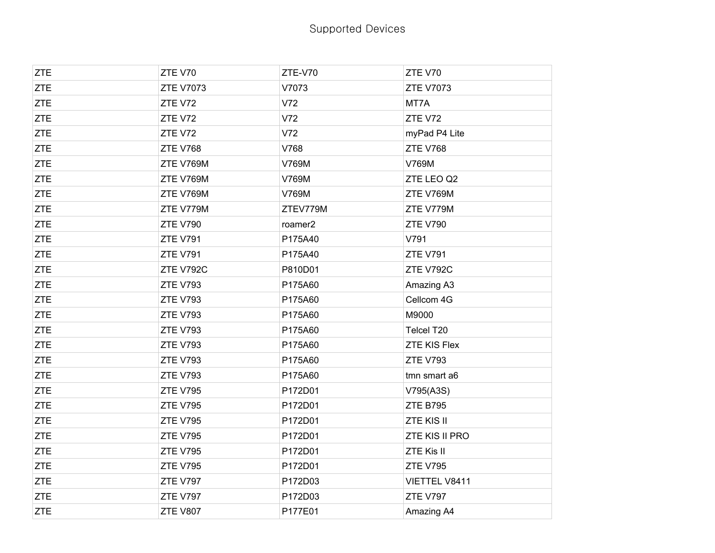| <b>ZTE</b> | ZTE V70          | ZTE-V70  | ZTE V70             |
|------------|------------------|----------|---------------------|
| <b>ZTE</b> | <b>ZTE V7073</b> | V7073    | <b>ZTE V7073</b>    |
| <b>ZTE</b> | ZTE V72          | V72      | MT7A                |
| <b>ZTE</b> | ZTE V72          | V72      | ZTE V72             |
| <b>ZTE</b> | ZTE V72          | V72      | myPad P4 Lite       |
| <b>ZTE</b> | <b>ZTE V768</b>  | V768     | <b>ZTE V768</b>     |
| <b>ZTE</b> | ZTE V769M        | V769M    | V769M               |
| <b>ZTE</b> | ZTE V769M        | V769M    | ZTE LEO Q2          |
| <b>ZTE</b> | ZTE V769M        | V769M    | ZTE V769M           |
| <b>ZTE</b> | ZTE V779M        | ZTEV779M | ZTE V779M           |
| <b>ZTE</b> | <b>ZTE V790</b>  | roamer2  | <b>ZTE V790</b>     |
| <b>ZTE</b> | <b>ZTE V791</b>  | P175A40  | V791                |
| <b>ZTE</b> | <b>ZTE V791</b>  | P175A40  | <b>ZTE V791</b>     |
| <b>ZTE</b> | ZTE V792C        | P810D01  | ZTE V792C           |
| <b>ZTE</b> | <b>ZTE V793</b>  | P175A60  | Amazing A3          |
| <b>ZTE</b> | <b>ZTE V793</b>  | P175A60  | Cellcom 4G          |
| <b>ZTE</b> | <b>ZTE V793</b>  | P175A60  | M9000               |
| <b>ZTE</b> | <b>ZTE V793</b>  | P175A60  | Telcel T20          |
| <b>ZTE</b> | <b>ZTE V793</b>  | P175A60  | <b>ZTE KIS Flex</b> |
| <b>ZTE</b> | <b>ZTE V793</b>  | P175A60  | <b>ZTE V793</b>     |
| <b>ZTE</b> | <b>ZTE V793</b>  | P175A60  | tmn smart a6        |
| <b>ZTE</b> | <b>ZTE V795</b>  | P172D01  | V795(A3S)           |
| <b>ZTE</b> | <b>ZTE V795</b>  | P172D01  | <b>ZTE B795</b>     |
| <b>ZTE</b> | <b>ZTE V795</b>  | P172D01  | ZTE KIS II          |
| <b>ZTE</b> | <b>ZTE V795</b>  | P172D01  | ZTE KIS II PRO      |
| <b>ZTE</b> | <b>ZTE V795</b>  | P172D01  | ZTE Kis II          |
| <b>ZTE</b> | <b>ZTE V795</b>  | P172D01  | <b>ZTE V795</b>     |
| <b>ZTE</b> | <b>ZTE V797</b>  | P172D03  | VIETTEL V8411       |
| <b>ZTE</b> | <b>ZTE V797</b>  | P172D03  | <b>ZTE V797</b>     |
| <b>ZTE</b> | <b>ZTE V807</b>  | P177E01  | Amazing A4          |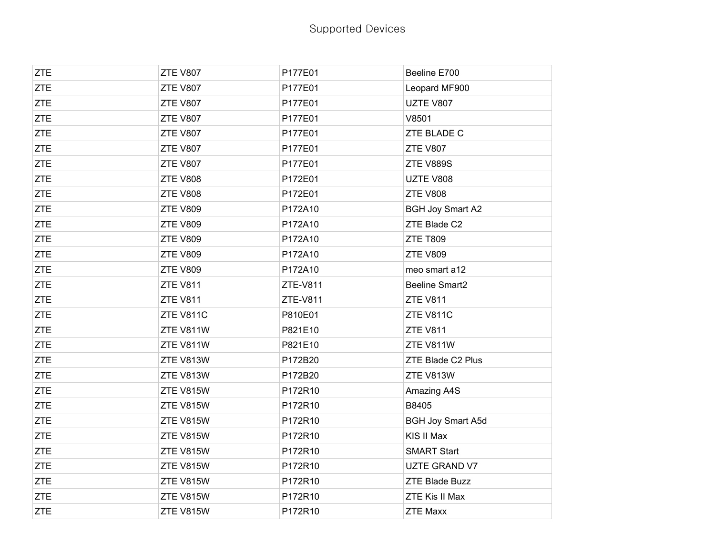| <b>ZTE</b> | <b>ZTE V807</b> | P177E01  | Beeline E700             |
|------------|-----------------|----------|--------------------------|
| <b>ZTE</b> | <b>ZTE V807</b> | P177E01  | Leopard MF900            |
| <b>ZTE</b> | <b>ZTE V807</b> | P177E01  | UZTE V807                |
| <b>ZTE</b> | <b>ZTE V807</b> | P177E01  | V8501                    |
| <b>ZTE</b> | <b>ZTE V807</b> | P177E01  | ZTE BLADE C              |
| <b>ZTE</b> | <b>ZTE V807</b> | P177E01  | <b>ZTE V807</b>          |
| <b>ZTE</b> | <b>ZTE V807</b> | P177E01  | ZTE V889S                |
| <b>ZTE</b> | <b>ZTE V808</b> | P172E01  | UZTE V808                |
| <b>ZTE</b> | <b>ZTE V808</b> | P172E01  | <b>ZTE V808</b>          |
| <b>ZTE</b> | <b>ZTE V809</b> | P172A10  | <b>BGH Joy Smart A2</b>  |
| <b>ZTE</b> | <b>ZTE V809</b> | P172A10  | ZTE Blade C2             |
| <b>ZTE</b> | <b>ZTE V809</b> | P172A10  | <b>ZTE T809</b>          |
| <b>ZTE</b> | <b>ZTE V809</b> | P172A10  | <b>ZTE V809</b>          |
| <b>ZTE</b> | <b>ZTE V809</b> | P172A10  | meo smart a12            |
| <b>ZTE</b> | <b>ZTE V811</b> | ZTE-V811 | <b>Beeline Smart2</b>    |
| <b>ZTE</b> | <b>ZTE V811</b> | ZTE-V811 | <b>ZTE V811</b>          |
| <b>ZTE</b> | ZTE V811C       | P810E01  | ZTE V811C                |
| <b>ZTE</b> | ZTE V811W       | P821E10  | <b>ZTE V811</b>          |
| <b>ZTE</b> | ZTE V811W       | P821E10  | ZTE V811W                |
| <b>ZTE</b> | ZTE V813W       | P172B20  | ZTE Blade C2 Plus        |
| <b>ZTE</b> | ZTE V813W       | P172B20  | ZTE V813W                |
| <b>ZTE</b> | ZTE V815W       | P172R10  | Amazing A4S              |
| <b>ZTE</b> | ZTE V815W       | P172R10  | B8405                    |
| <b>ZTE</b> | ZTE V815W       | P172R10  | <b>BGH Joy Smart A5d</b> |
| <b>ZTE</b> | ZTE V815W       | P172R10  | KIS II Max               |
| <b>ZTE</b> | ZTE V815W       | P172R10  | <b>SMART Start</b>       |
| <b>ZTE</b> | ZTE V815W       | P172R10  | UZTE GRAND V7            |
| <b>ZTE</b> | ZTE V815W       | P172R10  | <b>ZTE Blade Buzz</b>    |
| <b>ZTE</b> | ZTE V815W       | P172R10  | ZTE Kis II Max           |
| <b>ZTE</b> | ZTE V815W       | P172R10  | <b>ZTE Maxx</b>          |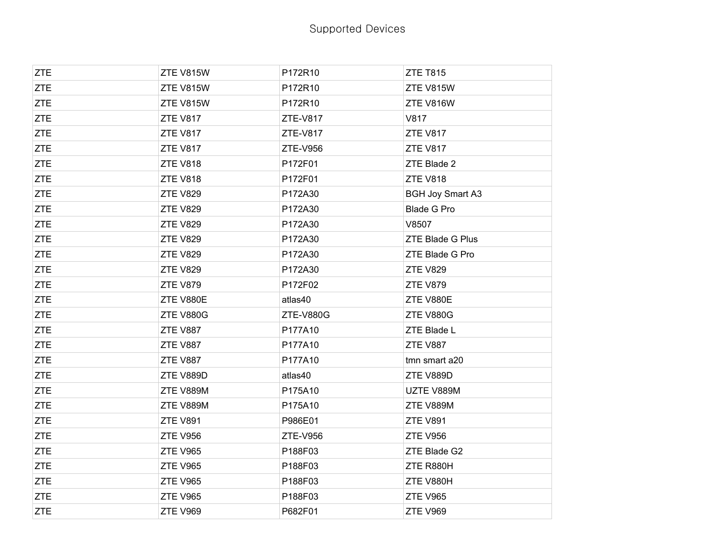| <b>ZTE</b> | ZTE V815W       | P172R10          | <b>ZTE T815</b>         |
|------------|-----------------|------------------|-------------------------|
| <b>ZTE</b> | ZTE V815W       | P172R10          | ZTE V815W               |
| <b>ZTE</b> | ZTE V815W       | P172R10          | ZTE V816W               |
| <b>ZTE</b> | <b>ZTE V817</b> | <b>ZTE-V817</b>  | V817                    |
| <b>ZTE</b> | <b>ZTE V817</b> | ZTE-V817         | <b>ZTE V817</b>         |
| <b>ZTE</b> | <b>ZTE V817</b> | ZTE-V956         | <b>ZTE V817</b>         |
| <b>ZTE</b> | <b>ZTE V818</b> | P172F01          | ZTE Blade 2             |
| <b>ZTE</b> | <b>ZTE V818</b> | P172F01          | <b>ZTE V818</b>         |
| <b>ZTE</b> | <b>ZTE V829</b> | P172A30          | <b>BGH Joy Smart A3</b> |
| <b>ZTE</b> | <b>ZTE V829</b> | P172A30          | <b>Blade G Pro</b>      |
| <b>ZTE</b> | <b>ZTE V829</b> | P172A30          | V8507                   |
| <b>ZTE</b> | <b>ZTE V829</b> | P172A30          | ZTE Blade G Plus        |
| <b>ZTE</b> | <b>ZTE V829</b> | P172A30          | ZTE Blade G Pro         |
| <b>ZTE</b> | <b>ZTE V829</b> | P172A30          | <b>ZTE V829</b>         |
| <b>ZTE</b> | <b>ZTE V879</b> | P172F02          | <b>ZTE V879</b>         |
| <b>ZTE</b> | ZTE V880E       | atlas40          | ZTE V880E               |
| <b>ZTE</b> | ZTE V880G       | <b>ZTE-V880G</b> | ZTE V880G               |
| <b>ZTE</b> | <b>ZTE V887</b> | P177A10          | ZTE Blade L             |
| <b>ZTE</b> | <b>ZTE V887</b> | P177A10          | <b>ZTE V887</b>         |
| <b>ZTE</b> | ZTE V887        | P177A10          | tmn smart a20           |
| <b>ZTE</b> | ZTE V889D       | atlas40          | ZTE V889D               |
| <b>ZTE</b> | ZTE V889M       | P175A10          | UZTE V889M              |
| <b>ZTE</b> | ZTE V889M       | P175A10          | ZTE V889M               |
| <b>ZTE</b> | <b>ZTE V891</b> | P986E01          | <b>ZTE V891</b>         |
| <b>ZTE</b> | <b>ZTE V956</b> | ZTE-V956         | <b>ZTE V956</b>         |
| <b>ZTE</b> | <b>ZTE V965</b> | P188F03          | ZTE Blade G2            |
| <b>ZTE</b> | <b>ZTE V965</b> | P188F03          | ZTE R880H               |
| <b>ZTE</b> | <b>ZTE V965</b> | P188F03          | ZTE V880H               |
| <b>ZTE</b> | <b>ZTE V965</b> | P188F03          | <b>ZTE V965</b>         |
| <b>ZTE</b> | <b>ZTE V969</b> | P682F01          | <b>ZTE V969</b>         |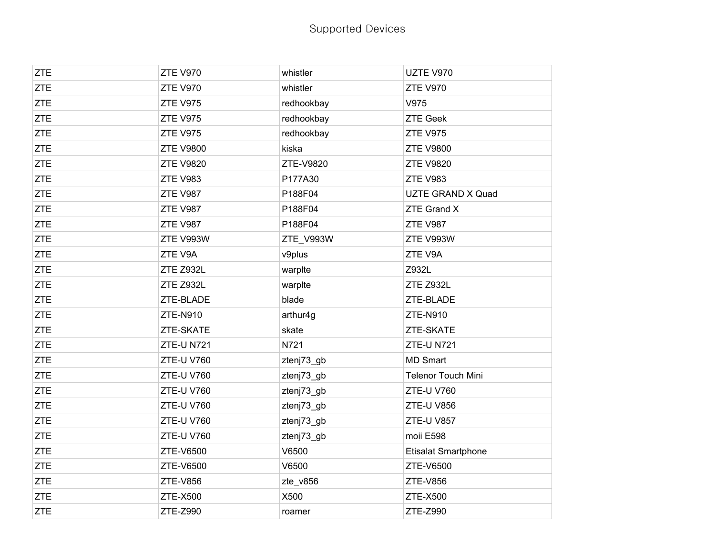| <b>ZTE</b> | <b>ZTE V970</b>   | whistler   | UZTE V970                  |
|------------|-------------------|------------|----------------------------|
| <b>ZTE</b> | <b>ZTE V970</b>   | whistler   | <b>ZTE V970</b>            |
| <b>ZTE</b> | <b>ZTE V975</b>   | redhookbay | V975                       |
| <b>ZTE</b> | <b>ZTE V975</b>   | redhookbay | <b>ZTE Geek</b>            |
| <b>ZTE</b> | <b>ZTE V975</b>   | redhookbay | ZTE V975                   |
| <b>ZTE</b> | <b>ZTE V9800</b>  | kiska      | <b>ZTE V9800</b>           |
| <b>ZTE</b> | <b>ZTE V9820</b>  | ZTE-V9820  | <b>ZTE V9820</b>           |
| <b>ZTE</b> | <b>ZTE V983</b>   | P177A30    | ZTE V983                   |
| <b>ZTE</b> | <b>ZTE V987</b>   | P188F04    | UZTE GRAND X Quad          |
| <b>ZTE</b> | <b>ZTE V987</b>   | P188F04    | <b>ZTE Grand X</b>         |
| <b>ZTE</b> | <b>ZTE V987</b>   | P188F04    | ZTE V987                   |
| <b>ZTE</b> | ZTE V993W         | ZTE_V993W  | ZTE V993W                  |
| <b>ZTE</b> | ZTE V9A           | v9plus     | ZTE V9A                    |
| <b>ZTE</b> | ZTE Z932L         | warpIte    | Z932L                      |
| <b>ZTE</b> | ZTE Z932L         | warpIte    | ZTE Z932L                  |
| <b>ZTE</b> | ZTE-BLADE         | blade      | ZTE-BLADE                  |
| <b>ZTE</b> | ZTE-N910          | arthur4g   | <b>ZTE-N910</b>            |
| <b>ZTE</b> | ZTE-SKATE         | skate      | ZTE-SKATE                  |
| <b>ZTE</b> | <b>ZTE-UN721</b>  | N721       | ZTE-U N721                 |
| <b>ZTE</b> | <b>ZTE-U V760</b> | ztenj73_gb | <b>MD Smart</b>            |
| <b>ZTE</b> | <b>ZTE-U V760</b> | ztenj73_gb | Telenor Touch Mini         |
| <b>ZTE</b> | <b>ZTE-U V760</b> | ztenj73_gb | <b>ZTE-U V760</b>          |
| <b>ZTE</b> | <b>ZTE-U V760</b> | ztenj73_gb | ZTE-U V856                 |
| <b>ZTE</b> | <b>ZTE-U V760</b> | ztenj73_gb | <b>ZTE-U V857</b>          |
| <b>ZTE</b> | <b>ZTE-U V760</b> | ztenj73_gb | moii E598                  |
| <b>ZTE</b> | ZTE-V6500         | V6500      | <b>Etisalat Smartphone</b> |
| <b>ZTE</b> | ZTE-V6500         | V6500      | ZTE-V6500                  |
| <b>ZTE</b> | <b>ZTE-V856</b>   | zte_v856   | <b>ZTE-V856</b>            |
| <b>ZTE</b> | ZTE-X500          | X500       | <b>ZTE-X500</b>            |
| <b>ZTE</b> | ZTE-Z990          | roamer     | ZTE-Z990                   |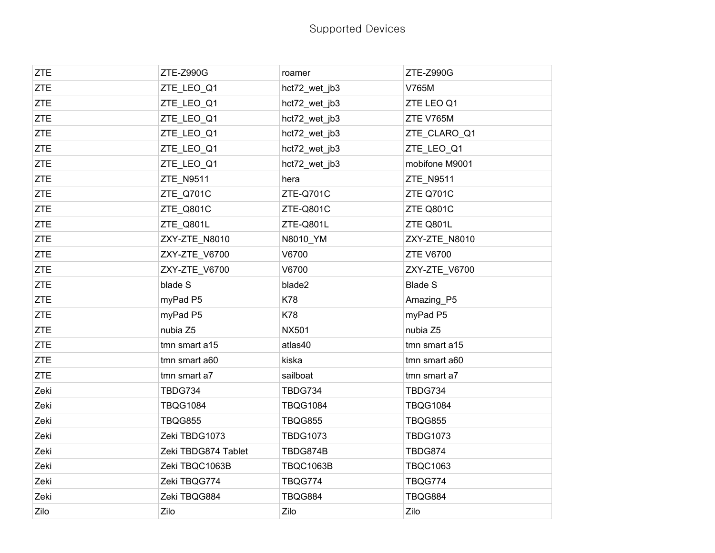| <b>ZTE</b> | ZTE-Z990G           | roamer           | ZTE-Z990G        |
|------------|---------------------|------------------|------------------|
| <b>ZTE</b> | ZTE_LEO_Q1          | hct72_wet_jb3    | V765M            |
| <b>ZTE</b> | ZTE_LEO_Q1          | hct72_wet_jb3    | ZTE LEO Q1       |
| <b>ZTE</b> | ZTE_LEO_Q1          | hct72_wet_jb3    | ZTE V765M        |
| <b>ZTE</b> | ZTE_LEO_Q1          | hct72_wet_jb3    | ZTE_CLARO_Q1     |
| <b>ZTE</b> | ZTE_LEO_Q1          | hct72_wet_jb3    | ZTE_LEO_Q1       |
| <b>ZTE</b> | ZTE_LEO_Q1          | hct72_wet_jb3    | mobifone M9001   |
| <b>ZTE</b> | ZTE_N9511           | hera             | ZTE_N9511        |
| <b>ZTE</b> | ZTE Q701C           | ZTE-Q701C        | ZTE Q701C        |
| <b>ZTE</b> | ZTE Q801C           | ZTE-Q801C        | ZTE Q801C        |
| <b>ZTE</b> | ZTE_Q801L           | ZTE-Q801L        | ZTE Q801L        |
| <b>ZTE</b> | ZXY-ZTE_N8010       | N8010_YM         | ZXY-ZTE_N8010    |
| <b>ZTE</b> | ZXY-ZTE_V6700       | V6700            | <b>ZTE V6700</b> |
| <b>ZTE</b> | ZXY-ZTE V6700       | V6700            | ZXY-ZTE V6700    |
| <b>ZTE</b> | blade S             | blade2           | <b>Blade S</b>   |
| <b>ZTE</b> | myPad P5            | K78              | Amazing_P5       |
| <b>ZTE</b> | myPad P5            | <b>K78</b>       | myPad P5         |
| <b>ZTE</b> | nubia Z5            | <b>NX501</b>     | nubia Z5         |
| <b>ZTE</b> | tmn smart a15       | atlas40          | tmn smart a15    |
| <b>ZTE</b> | tmn smart a60       | kiska            | tmn smart a60    |
| <b>ZTE</b> | tmn smart a7        | sailboat         | tmn smart a7     |
| Zeki       | <b>TBDG734</b>      | TBDG734          | TBDG734          |
| Zeki       | <b>TBQG1084</b>     | <b>TBQG1084</b>  | <b>TBQG1084</b>  |
| Zeki       | <b>TBQG855</b>      | <b>TBQG855</b>   | <b>TBQG855</b>   |
| Zeki       | Zeki TBDG1073       | <b>TBDG1073</b>  | <b>TBDG1073</b>  |
| Zeki       | Zeki TBDG874 Tablet | TBDG874B         | TBDG874          |
| Zeki       | Zeki TBQC1063B      | <b>TBQC1063B</b> | <b>TBQC1063</b>  |
| Zeki       | Zeki TBQG774        | TBQG774          | TBQG774          |
| Zeki       | Zeki TBQG884        | TBQG884          | TBQG884          |
| Zilo       | Zilo                | Zilo             | Zilo             |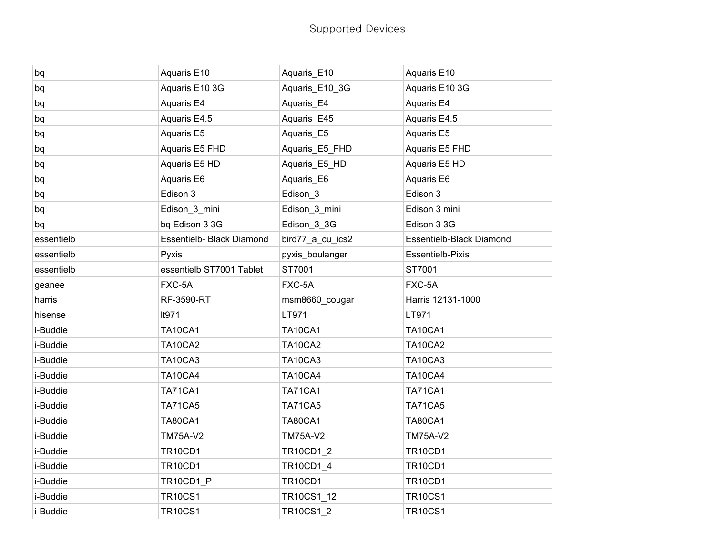| bq         | Aquaris E10               | Aquaris_E10      | Aquaris E10              |
|------------|---------------------------|------------------|--------------------------|
| bq         | Aquaris E10 3G            | Aquaris E10 3G   | Aquaris E10 3G           |
| bq         | Aquaris E4                | Aquaris_E4       | Aquaris E4               |
| bq         | Aquaris E4.5              | Aquaris_E45      | Aquaris E4.5             |
| bq         | Aquaris E5                | Aquaris_E5       | Aquaris E5               |
| bq         | Aquaris E5 FHD            | Aquaris_E5_FHD   | Aquaris E5 FHD           |
| bq         | Aquaris E5 HD             | Aquaris_E5_HD    | Aquaris E5 HD            |
| bq         | Aquaris E6                | Aquaris_E6       | Aquaris E6               |
| bq         | Edison 3                  | Edison_3         | Edison 3                 |
| bq         | Edison_3_mini             | Edison_3_mini    | Edison 3 mini            |
| bq         | bq Edison 3 3G            | Edison_3_3G      | Edison 3 3G              |
| essentielb | Essentielb- Black Diamond | bird77_a_cu_ics2 | Essentielb-Black Diamond |
| essentielb | Pyxis                     | pyxis_boulanger  | Essentielb-Pixis         |
| essentielb | essentielb ST7001 Tablet  | ST7001           | ST7001                   |
|            |                           |                  |                          |
| geanee     | FXC-5A                    | FXC-5A           | FXC-5A                   |
| harris     | RF-3590-RT                | msm8660_cougar   | Harris 12131-1000        |
| hisense    | It971                     | LT971            | LT971                    |
| i-Buddie   | <b>TA10CA1</b>            | <b>TA10CA1</b>   | <b>TA10CA1</b>           |
| i-Buddie   | <b>TA10CA2</b>            | <b>TA10CA2</b>   | <b>TA10CA2</b>           |
| i-Buddie   | <b>TA10CA3</b>            | TA10CA3          | TA10CA3                  |
| i-Buddie   | <b>TA10CA4</b>            | <b>TA10CA4</b>   | <b>TA10CA4</b>           |
| i-Buddie   | <b>TA71CA1</b>            | <b>TA71CA1</b>   | <b>TA71CA1</b>           |
| i-Buddie   | <b>TA71CA5</b>            | <b>TA71CA5</b>   | TA71CA5                  |
| i-Buddie   | <b>TA80CA1</b>            | <b>TA80CA1</b>   | <b>TA80CA1</b>           |
| i-Buddie   | <b>TM75A-V2</b>           | <b>TM75A-V2</b>  | <b>TM75A-V2</b>          |
| i-Buddie   | <b>TR10CD1</b>            | <b>TR10CD1 2</b> | <b>TR10CD1</b>           |
| i-Buddie   | <b>TR10CD1</b>            | TR10CD1_4        | <b>TR10CD1</b>           |
| i-Buddie   | TR10CD1_P                 | <b>TR10CD1</b>   | <b>TR10CD1</b>           |
| i-Buddie   | <b>TR10CS1</b>            | TR10CS1_12       | <b>TR10CS1</b>           |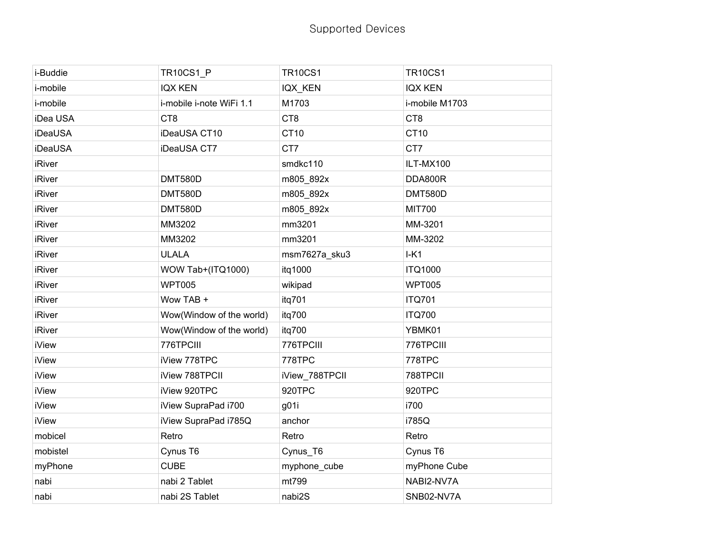| i-Buddie      | <b>TR10CS1_P</b>         | <b>TR10CS1</b> | <b>TR10CS1</b>  |
|---------------|--------------------------|----------------|-----------------|
| i-mobile      | <b>IQX KEN</b>           | IQX KEN        | <b>IQX KEN</b>  |
| i-mobile      | i-mobile i-note WiFi 1.1 | M1703          | i-mobile M1703  |
| iDea USA      | CT <sub>8</sub>          | CT8            | CT <sub>8</sub> |
| iDeaUSA       | iDeaUSA CT10             | CT10           | CT10            |
| iDeaUSA       | iDeaUSA CT7              | CT7            | CT7             |
| <b>iRiver</b> |                          | smdkc110       | ILT-MX100       |
| <b>iRiver</b> | <b>DMT580D</b>           | m805_892x      | DDA800R         |
| <b>iRiver</b> | <b>DMT580D</b>           | m805_892x      | <b>DMT580D</b>  |
| <b>iRiver</b> | <b>DMT580D</b>           | m805_892x      | <b>MIT700</b>   |
| <b>iRiver</b> | MM3202                   | mm3201         | MM-3201         |
| <b>iRiver</b> | MM3202                   | mm3201         | MM-3202         |
| <b>iRiver</b> | <b>ULALA</b>             | msm7627a_sku3  | $I-K1$          |
| <b>iRiver</b> | WOW Tab+(ITQ1000)        | itq1000        | <b>ITQ1000</b>  |
| <b>iRiver</b> | <b>WPT005</b>            | wikipad        | <b>WPT005</b>   |
| <b>iRiver</b> | Wow TAB +                | itq701         | <b>ITQ701</b>   |
| <b>iRiver</b> | Wow(Window of the world) | itq700         | <b>ITQ700</b>   |
| <b>iRiver</b> | Wow(Window of the world) | itq700         | YBMK01          |
| <b>iView</b>  | 776TPCIII                | 776TPCIII      | 776TPCIII       |
| <b>iView</b>  | iView 778TPC             | 778TPC         | 778TPC          |
| <b>iView</b>  | iView 788TPCII           | iView_788TPCII | 788TPCII        |
| <b>iView</b>  | iView 920TPC             | 920TPC         | 920TPC          |
| <b>iView</b>  | iView SupraPad i700      | g01i           | i700            |
| <b>iView</b>  | iView SupraPad i785Q     | anchor         | i785Q           |
| mobicel       | Retro                    | Retro          | Retro           |
| mobistel      | Cynus T6                 | Cynus_T6       | Cynus T6        |
| myPhone       | <b>CUBE</b>              | myphone_cube   | myPhone Cube    |
| nabi          | nabi 2 Tablet            | mt799          | NABI2-NV7A      |
| nabi          | nabi 2S Tablet           | nabi2S         | SNB02-NV7A      |